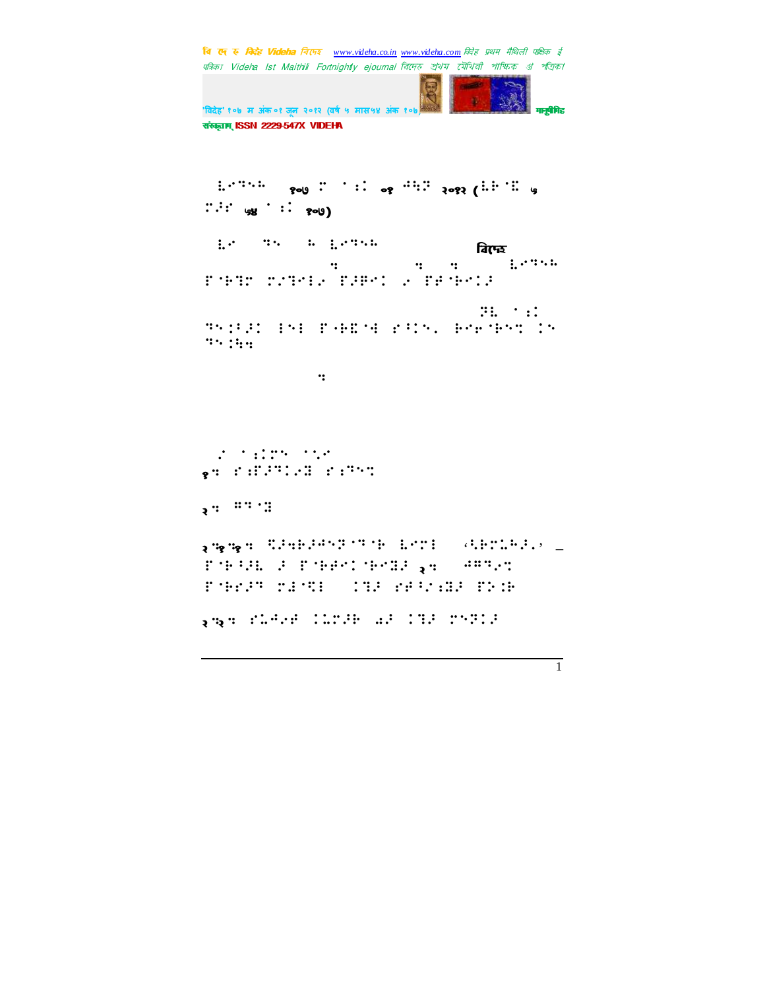```
त्रि एन रु क्रिटेह Videha विएम्ब _www.videha.co.in_www.videha.com विदेह प्रथम मैथिली पाक्षिक ई
 पत्रिका Videha Ist Maithili Fortnightly ejournal রিদেহ প্রথম মৌথিনী পাক্ষিক গ্র পত্রিক।
'विदेह' १०७ म अंक ०१ जून २०१२ (वर्ष ५ मास५४ अंक १०७) मानुसीर के सामुविधि मानुवीपित
संस्कृतम् ISSN 2229-547X VIDEHA
 \mathbb{R}^{n+1} in the \mathbb{R}^{n} same \mathbb{R}^{n} is the \mathbb{R}^{n} same \mathbb{R}^{n} in the same \mathbb{R}^{n} is the same \mathbb{R}^{n}\therefore \frac{1}{3} \therefore \frac{1}{3} \frac{1}{3} \therefore \frac{1}{3} \frac{1}{3} \therefore \frac{1}{3} \frac{1}{3} \therefore \frac{1}{3} \frac{1}{3} \therefore \frac{1}{3} \frac{1}{3} \therefore \frac{1}{3} \frac{1}{3} \therefore \frac{1}{3} \frac{1}{3} \therefore \frac{1}{3} \frac{1}{3! हिन्दी है कि साथ के लिए जिसमें का प्रकाश के लिए जिसमें के लिए जिसमें किया था। इस प्रकाश के लिए जिसमें के लिए<br>जनसङ्ख्या

 iuuq;00xxx⣒wjefib⣒dp⣒jo!!⣇⢹⢳!
 2⢷⣙!4⣙5⢴!2⢼⢿!⢴!2⢾⢷⢼!
                                                                           Gi: GSSIE O THE FARM PISS PREMENT IN
 T^* : B_{\rm H}page in the state page of the state page in the state page of the state page of the state page of the state page
 \mathcal{A} = \mathcal{A} \cup \mathcal{A} \cup \mathcal{A} \cup \mathcal{A}१⣒!"⣐2⢼⢹⢴⣝!"⣐⢹⣉!
 २ ... ... ...
 २ ९४ छन्। योजनिकारी संस्था संस्था काली समाधान के लिए प्राप्त करते हैं।<br>राजनीय
2⢷⢸⢼⣇!⢼!2⢷⢾⢷⣝⢼!२⣒!!⢺⢻⢹⢴⣉!
2⢷"⢼⢹!⣜⣋5.!⣙⢼."⢾⢸4⣐⣝⢼!2⢵⣈⢷!
 २७२ व संस्कृत संस्कृत संस्कृत संस्कृत संस्कृत संस्कृत संस्कृत संस्कृत संस्कृत संस्कृत संस्कृत संस्कृत संस्कृत
```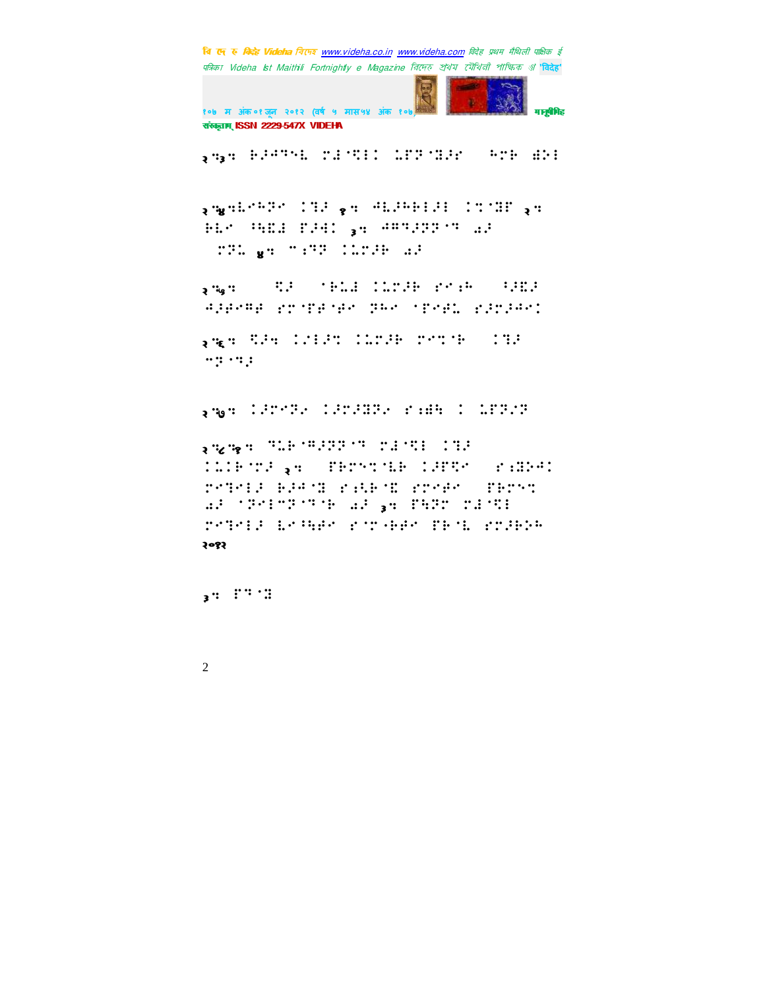

संख्याम् ISSN 2229-547X VIDEHA

२⣒३⣒!⢷⢼⢺⢹⣇!⣜⣋5!⣅2⢽⣝⢼".!⢳⢷!⣞⢵5!

२७७५: २३ दिन देश राज्य स्थान का प्राप्त होती.<br>१ ⢷⣇!⢸⣓⣏⣜!2⢼⣚!३⣒!⢺⢻⢹⢼⢽⢽⢹!⣔⢼!  $(272.4)$   $(273.4)$   $(273.4)$   $(273.4)$ 

⢺⢼⢾⢻⢾!"2⢾⢾!⢽⢳!2⢾⣅!"⢼⢼⢺!

२ुष्<sub>ष</sub>ण = २३ लक्ष्मी (11236-2016) हे अप्राप्त

२७६० थे थे थे अपनी अधिकारित का अधिकारित का अधिकारित का अधिकारित का अधिकारित का अधिकारित का अधिकारित का अधिकारि

२⣒७⣒!⢼⢽⢴!⢼⢼⣝⢽⢴."⣐⣞⣓!!⣅2⢽4⢽!

 $\overline{2}$ ⣙5⢼!⢷⢼⢺⣝!"⣐⣃⢷⣏!"⢾0!2⢷⣉! ⣔⢼!⢽5`⢽⢹⢷!⣔⢼!३⣒!2⣓⢽!⣜⣋5.

 $5$  ,  $5$  ,  $5$  ,  $5$  ,  $5$  ,  $5$  ,  $5$  ,  $5$  ,  $5$  ,  $5$  ,  $5$  ,  $5$  ,  $5$  ,  $5$  ,  $5$  ,  $5$  ,  $5$  ,  $5$  ,  $5$  ,  $5$  ,  $5$  ,  $5$  ,  $5$  ,  $5$  ,  $5$  ,  $5$  ,  $5$  ,  $5$  ,  $5$  ,  $5$  ,  $5$  ,  $5$  ,  $5$  ,  $5$  ,  $5$  ,  $5$  ,  $5$  ,

2

२०१२

 $3: T^2$ 

२⣒८⣒१⣒!⢹⣅⢷⢻⢼⢽⢽⢹!⣜⣋5.⣙⢼.!

 $\ldots$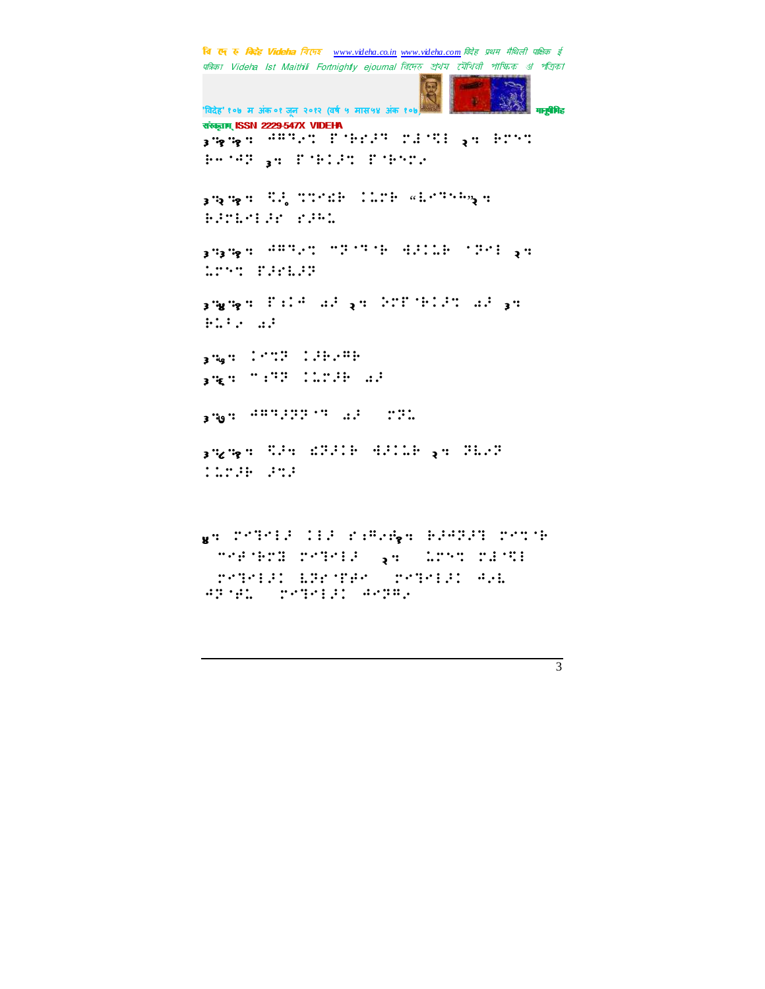**त्रि एन रु क्रिटेह Videha** विएम्ब \_www.videha.co.in\_www.videha.com विदेह प्रथम मैथिली पाक्षिक ई पत्रिका Videha Ist Maithili Fortnightly ejournal রিদেহ প্রথম মৌথিনী পাক্ষিক গ্র পত্রিক। 'विदेह' १०७ म अंक ०१ जून २०१२ (वर्ष ५ मास५४ अंक १०७) मानुसीर के सामुविधि मानुवीपित संस्कृतम् ISSN 2229-547X VIDEHA ३⣒१⣒१⣒!⢺⢻⢹⢴⣉!2⢷"⢼⢹!⣜⣋5!२⣒!⢷⣉! ⢷⢲⢺⢽!३⣒!2⢷⢼⣉!2⢷⢴! <sup>३</sup>⣒२⣒१⣒!⣋⢼॰ ⣉⣉⣎⢷!⣅⢷!"⣇⢹⢳"२⣒! BUSE STATES ३७३७<mark>३</mark>० अस्ति स्थानि स्थानि सम्बद्धाः स्थानि ।  $L$   $T$   $T$   $T$   $T$   $T$   $T$   $T$   $T$ ३⣒४⣒१⣒!2⣐⢺!⣔⢼!२⣒!⢵2⢷⢼⣉!⣔⢼!३⣒! ⢷⣅C⢴!⣔⢼! ३५: 1973 1969<del>.</del> ३⣒६⣒!`⣐⢹⢽!⣅⢼⢷!⣔⢼! ३५७: <sup>अञ्च</sup>ालयात्री अस्ति । अत्रिकाराः ३%८% में घेरी बेटिटी की प्राप्त करते हैं। ⣅⢼⢷!⢼⣉⢼! ४⣒!⣙5⢼!5⢼."⣐⢻⢴⢾१⣒!⢷⢼⢺⢽⢼⣙!⣉⢷!

) when the  $\mathbb{R}^3$  -photon  $\mathbb{R}^3$  -photon  $\mathbb{R}^3$  -photon  $\mathbb{R}^3$  -photon  $\mathbb{R}^3$ )⣙5⢼!⣇⢽"2⢾0!⣙5⢼!⢺⢴⣇. ⢺⢽⢾⣅0!⣙5⢼!⢺⢽⢻⢴\*!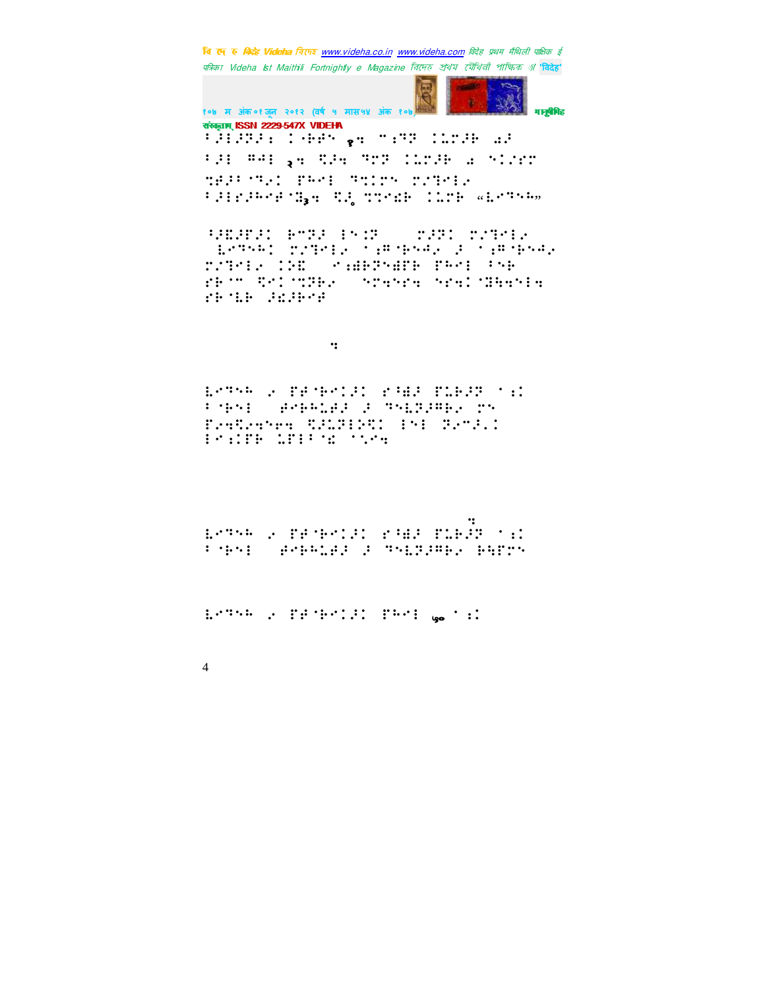

संस्कृतम् ISSN 2229-547X VIDEHA TÀISBA (SHEN), SIMBA 1128 SA C⢼5!⢻⢺5!२⣒!⣋⢼⣒!⢹⢽!⣅⢼⢷!⣔.4"! ⣉⢾⢼C⢹⢴!2⢳5!⢹⣉!4⣙5⢴!! C⢼5"⢼⢳⢾⣝३⣒!⣋⢼॰ ⣉⣉⣎⢷!⣅⢷!"⣇⢹⢳"

⢸⢼⣏⢼2⢼!⢷`⢽⢼.5⣈⢽!.\⢼⢽!4⣙5⢴^-! \⣇⢹⢳!4⣙5⢴.⣐⢻⢷⢺⢴!⢼!⣐⢻⢷⢺⢴! 4⣙5⢴!⢵⣏!)⣐⣞⢷⢽⣞2⢷!2⢳5!C⢷!  $'$  . The set of the set of the set of the set of the set of the set of the set of the set of the set of the set of the set of the set of the set of the set of the set of the set of the set of the set of the set of the set "⢷⣇⢷!⢼⣎⢼⢷⢾!.Cbtfe!po!nt.trm!

Ejdujpobsz⣒^!!

L'INE DE L'ESTRE L'ESTRE L'ESTRE L'ESTRE L'ESTRE L'ESTRE L'ESTRE L'ESTRE L'ESTRE L'ESTRE L'ESTRE L'ESTRE L'ES C⢷5-!⢾⢷⢳⣅⢾⢼!⢼!⢹⣇⢽⢼⢻⢷⢴!!\*! 2⢴⣒⣋⢴⣒⢶⣒!⣋⢼⣅⢽5⢵⣋!55!⢽⢴`⢼G! 5⣐2⢷!⣅25C⣎!⣁⣒!Bmm!uif!pme!

bu!uif!gpmmpxjoh!mjol⣒!! ⣇⢹⢳!⢴.2⢾⢷⢼!"⢸⣞⢼!2⣅⢷⢼⢽!⣐! C⢷5-!⢾⢷⢳⣅⢾⢼!⢼!⢹⣇⢽⢼⢻⢷⢴!⢷⣓2!

⣇⢹⢳!⢴.2⢾⢷⢼!2⢳5!५० ⣐!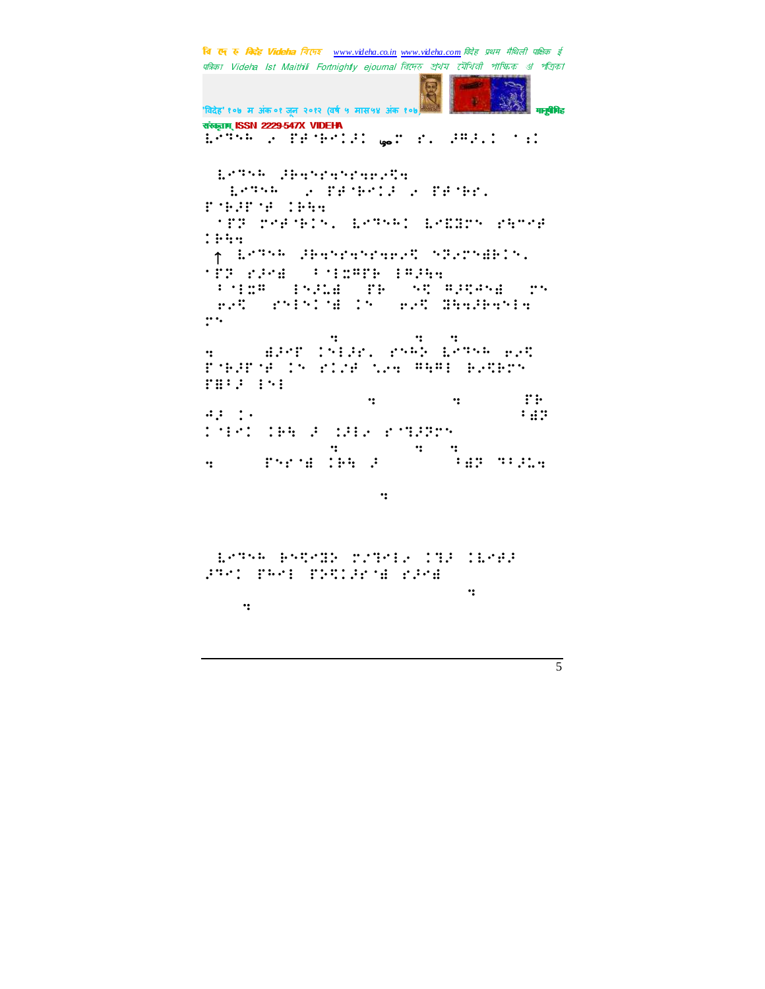'विदेह' १०७ म अंक ०१ जून २०१२ (वर्ष ५ मास५४ अंक १०७) मानुसीर के सामुवी मिट संस्कृतम् ISSN 2229-547X VIDEHA ⣇⢹⢳!⢴.2⢾⢷⢼!५०!"G!⢼⢻⢼G!⣐! !⣇⢹⢳!⢼⢷⣒"⣒"⣒⢶⢴⣋⣒! !#⣇⢹⢳#!⢴.2⢾⢷⢼!⢴.2⢾⢷"G! 2⢷⢼2⢾!⢷⣓⣒! !2⢽!⢾⢷G!⣇⢹⢳!⣇⣏⣝!"⣓`⢾!  $:$   $:$   $:$   $:$   $:$ ↑!⣇⢹⢳!⢼⢷⣒"⣒"⣒⢶⢴⣋!⢽⢴⣞⢷G! 2⢽!"⢼⣞0!C5⣍⢻2⢷!5⢻⢼⣓⣒!! !C5⣍⢻!#5⢼⣅⣞#!2⢷!#⣋!⢻⢼⣋⢺⣞#!! #⢶⢴⣋#!"5⣞!!#⢶⢴⣋!⣝⣓⣒⢼⢷⣒5⣒#! **!!!!** iuuq;00xxx⣒wjefib⣒dp⣒jo0joefy yn wnw defyr 1919r, roed bythe pat i 2⢷⢼2⢾!!"4⢾!⣁⢴⣒!⢻⣓⢻5!⢷⢴⣋⢷! PHILE INE ius;00sfbefsquare.com **A** Bee by the big two controls of the big two controls of the big two controls of the big two controls of the big two controls of the big two controls of the big two controls of the big two controls of the big two control  $5$  :  $1$  :  $1$  :  $1$  :  $1$  :  $1$  :  $1$  :  $1$  :  $1$  :  $1$  :  $1$  :  $1$  :  $1$  :  $1$  :  $1$  :  $1$  :  $1$  :  $1$  :  $1$  :  $1$  :  $1$  :  $1$  :  $1$  :  $1$  :  $1$  :  $1$  :  $1$  :  $1$  :  $1$  :  $1$  :  $1$  :  $1$  :  $1$  :  $1$  :  $1$  :  $1$  :  $1$  : iuuq;00xxx⣒wjefib⣒dp⣒jo0joefy  $y$  , Prod 1852 ( ) ( ) (B 922)  $\mathbf{g}$  is a set of  $\mathbf{g}$  is a set of  $\mathbf{g}$ !⣇⢹⢳!⢷⣋⣝⢵;4⣙5⢴!⣙⢼.⣇⢾⢼! ⢼⢹!2⢳5!2⢵⣋⢼"⣞!"⢼⣞! ius (1983), politica angleški politica (1984), politica (1984), politica (1984), politica (1984), politica (19  $\cdot$ :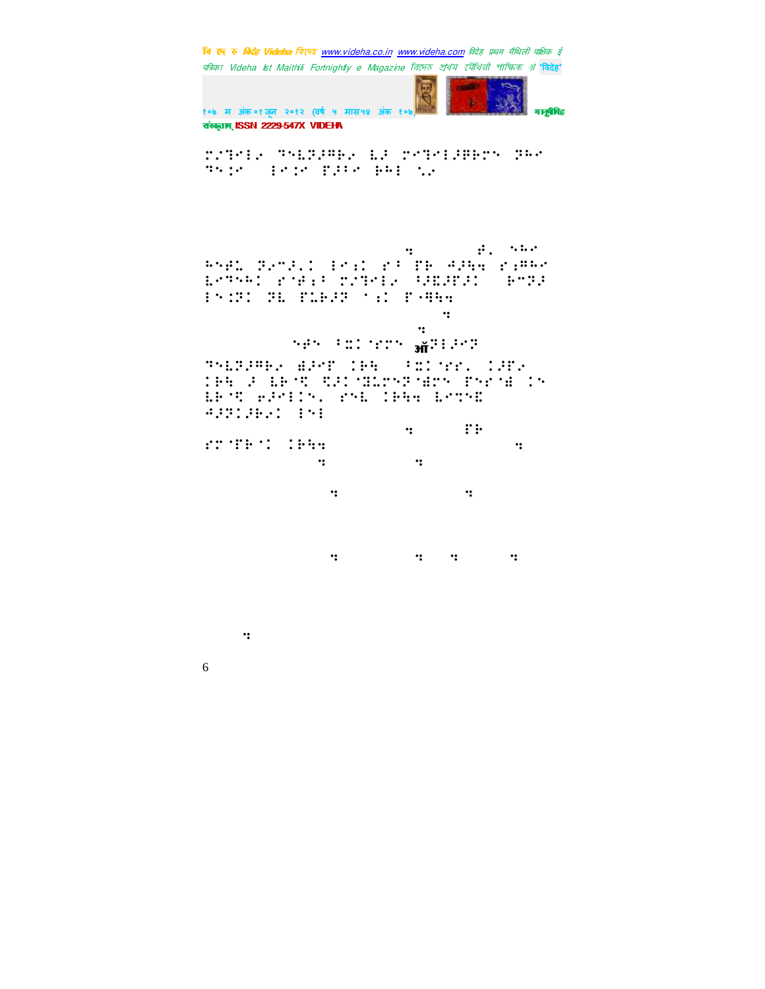

१०७ म अंक ०१जून २०१२ (वष ५ मास५४ अंक १०७) मानुषीिमह संस्कृतम् ISSN 2229-547X VIDEHA

4⣙5⢴!⢹⣇⢽⢼⢻⢷⢴!⣇⢼!⣙5⢼⢿⢷!⢽⢳! ⢹⣈0!5⣈!2⢼C!⢷⢳5!⣁⢴-!)dboopu!

hhbkfoesbawjefibles begin die deur die staat die begin die begin die begin die begin die begin die begin die b ⢳⢾⣅!⢽⢴`⢼G!5⣐!"⢸!2⢷!⢺⢼⣓⣒!"⣐⢻⢳! LARA DE CHARL THE START OF THE START OF THE START OF THE START OF THE START OF THE START OF THE START OF THE S 5⣈⢽!⢽⣇.2⣅⢷⢼⢽!⣐!2D⣛⣓⣒!!

# ius (1990), provincia est anno 1990.<br>1900 - Carlo Carlo Carlo Carlo Carlo Carlo Carlo Carlo Carlo Carlo Carlo Carlo Carlo Carlo Carlo Carlo Carlo ius (100 lbvmpomio dpn0vojobha vojoba vojoba vojoba vojoba vojoba vojoba vojoba vojoba vojoba vojoba vojoba vo

# bsj0 | 1991 - 1992 - 1993 - 1993 - 1994 - 1995 - 1995 - 1995 - 1995 - 1995 - 1995 - 1995 - 1995 - 1995 - 1995

⢹⣇⢽⢼⢻⢷⢴!⣞⢼2!⢷⣓-!C⣍""G!⢼2⢴!  $[100, 200]$  in the state  $[20, 200]$  in the state  $[20, 200]$ LE THE PRODUCT STATE OF THE PRODUCT ⢺⢼⢽⢼⢷⢴!55!

hekawi hekawi hekawi hekawi hekawi hekawi hekawi hekawi hekawi hekawi hekawi hekawi hekawi hekawi hekawi hekaw<br>2001 - Ali da kawi hekawi hekawi hekawi hekawi hekawi hekawi hekawi hekawi hekawi hekawi hekawi hekawi hekawi  $2$  :  $2$  :  $2$  :  $2$  :  $3$  :  $4$  :  $5$  :  $5$  :  $5$  :  $5$  :  $5$  :  $5$  :  $5$  :  $5$  :  $5$  :  $5$  :  $5$  :  $5$  :  $5$  :  $5$  :  $5$  :  $5$  :  $5$  :  $5$  :  $5$  :  $5$  :  $5$  :  $5$  :  $5$  :  $5$  :  $5$  :  $5$  :  $5$  :  $5$  :  $5$  :  $5$  :  $5$  :  $\mathbf{G}$  ) and  $\mathbf{G}$  (  $\mathbf{G}$  ) and  $\mathbf{G}$  (  $\mathbf{G}$  ) and  $\mathbf{G}$  $\mathcal{G}$  =  $\mathcal{G}$  =  $\mathcal{G}$  =  $\mathcal{G}$  =  $\mathcal{G}$  =  $\mathcal{G}$  =  $\mathcal{G}$ 

 $\mathcal{G}$ 

 $\ddot{o}$  is a constant of  $\ddot{o}$  is a constant of  $\ddot{o}$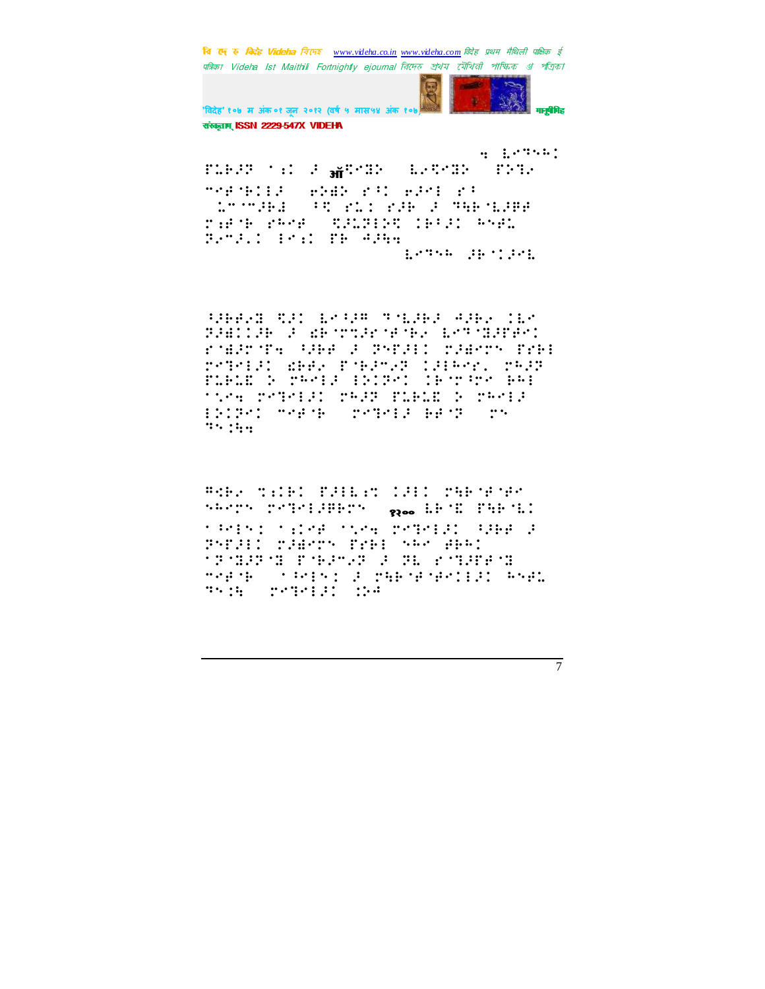

 $\frac{q}{\pi}$  (Letters) and  $\frac{q}{\pi}$ 2⣅⢷⢼⢽!⣐!⢼!ऑ⣋⣝⢵0!⣇⢴⣋⣝⢵0!2⢵⣙⢴0! `⢾⢷5⢼0!⢶⢵⣞⢵!"⢸!⢶⢼5!"⢸! )⣅``⢼⢷⣜-!C⣋!"⣅⣈!"⢼⢷!⢼!⢹⣓⢷⣇⢼⢿⢾! ⣐⢾⢷!"⢳⢾\*!⣋⢼⣅⢽5⢵⣋!⢷C⢼!⢳⢾⣅! SOLICIN SERVICE INTER STREET

⢸⢼⢷⢾⢴⣝!⣋⢼!⣇⢸⢼⢻!⢹⣇⢼⢷⢼!⢺⢼⢷⢴!⣇-! ⢽⢼⣞⢼⢷!⢼!⣎⢷⣉⢼"⢾⢷⢴!⣇⢹⣝⢼2⢾! "⣞⢼2⣒!⢸⢼⢷⢾!⢼!⢽2⢼5!⢼⣞!2"⢷5! ⣙5⢼!⣎⢷⢾⢴!2⢷⢼`⢴⢽!⢼5⢳"G!⢳⢼⢽! 2⣅⢷⣅⣏!⢵!⢳5⢼!5⢵⢽!⢷⢸!⢷⢳5!  $^{\prime}$  where  $^{\prime}$   $^{\prime}$   $^{\prime}$   $^{\prime}$   $^{\prime}$   $^{\prime}$   $^{\prime}$   $^{\prime}$   $^{\prime}$   $^{\prime}$   $^{\prime}$   $^{\prime}$   $^{\prime}$   $^{\prime}$   $^{\prime}$   $^{\prime}$   $^{\prime}$   $^{\prime}$   $^{\prime}$   $^{\prime}$   $^{\prime}$   $^{\prime}$   $^{\prime}$   $^{\prime}$   $^{\prime}$   $^{\prime}$   $^{\prime}$   $^{\prime}$   $^{\prime}$   $^{\prime}$ 5⢵⢽!`⢾⢷!(⣙5⢼!⢷⢾⢽(!! ⢹⣈⣓⣒!!

⢻⣊⢷⢴.⣉⣐⢷!2⢼5⣇⣐⣉!⢼5!⣓⢷⢾⢾-! SARTS TRIEFINE ROOM WAS LETERED THE TO  $^{\prime}$  S =  $^{\prime}$  S  $^{\prime}$  S  $^{\prime}$  S  $^{\prime}$  S  $^{\prime}$  S  $^{\prime}$  S  $^{\prime}$  S  $^{\prime}$  S  $^{\prime}$  S  $^{\prime}$  S  $^{\prime}$  S  $^{\prime}$  S  $^{\prime}$  S  $^{\prime}$  S  $^{\prime}$  S  $^{\prime}$  S  $^{\prime}$  S  $^{\prime}$  S  $^{\prime}$  S  $^{\prime}$  S  $^{\prime}$  S  $^{\prime}$  S  $^{\prime}$  S  $^{\prime$ 3MP3! ZWEEP SEE SAMPLE ⢽⣝⢼⢽⣝!2⢷⢼`⢴⢽!⢼!⢽⣇!"⣙⢼2⢾⣝-! `⢾⢷-!⢸5⣈!⢼!⣓⢷⢾⢾5⢼!⢳⢾⣅! ⢹⣈⣓!(⣙5⢼!⣈⢵⢺(!!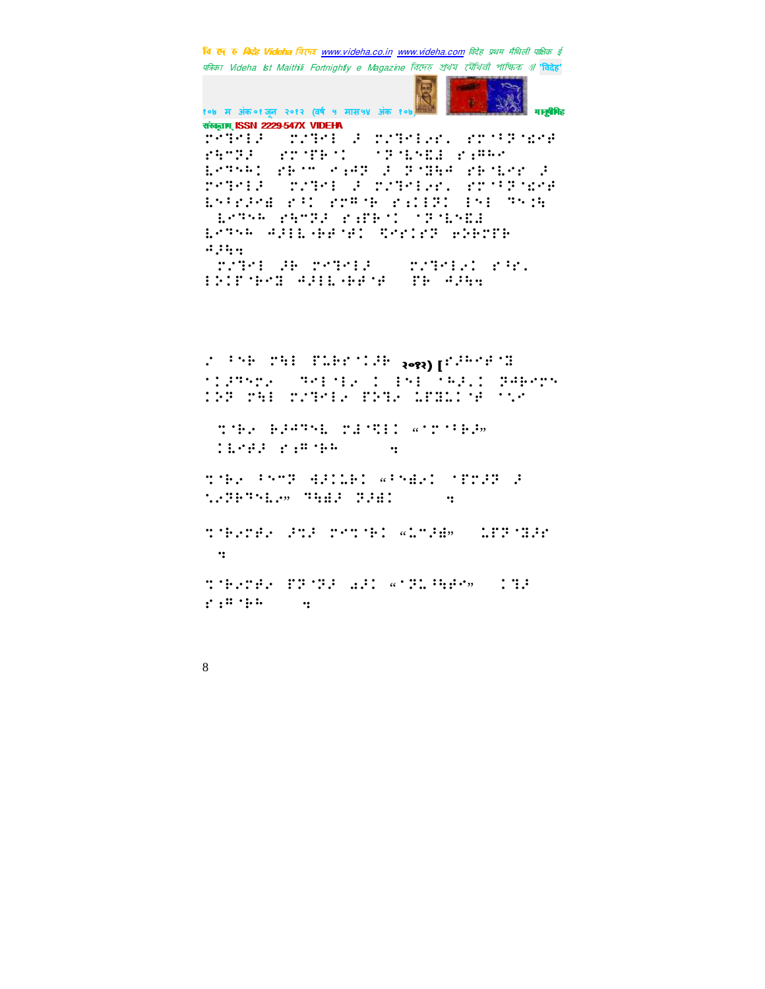

संस्कृतम् ISSN 2229-547X VIDEHA  $5$ -Tele something of the second control  $5$ " **"** ⣇⢹⢳!"⢷`.⣐⢺⢽!⢼!⢽⣝⣓⢺!"⢷⣇"!⢼!  $\mathbb{R}^5$ 5 $\mathbb{R}^5$   $\mathbb{R}^5$   $\mathbb{R}^5$   $\mathbb{R}^5$   $\mathbb{R}^5$   $\mathbb{R}^5$   $\mathbb{R}^5$   $\mathbb{R}^5$   $\mathbb{R}^5$   $\mathbb{R}^5$   $\mathbb{R}^5$   $\mathbb{R}^5$   $\mathbb{R}^5$   $\mathbb{R}^5$   $\mathbb{R}^5$   $\mathbb{R}^5$   $\mathbb{R}^5$   $\mathbb{R}^5$   $\mathbb{R}^5$   $\$ LNEWHERE WE SHOW IS THE SET #⣇⢹⢳!"⣓`⢽⢼!"⣐2⢷!⢽⣇⣏⣜#! ⣇⢹⢳!⢺⢼5⣇D⢷⢾⢾!⣋""⢽!⢶⢵⢷2⢷! ⢺⢼⣓⣒! #4⣙5!⢼⢷!⣙5⢼#!)4⣙5⢴!"⢸"G! 5⢵2⢷⣝!⢺⢼5⣇D⢷⢾⢾\*!2⢷!⢺⢼⣓⣒!

4!C⢷!⣓5!2⣅⢷"⢼⢷)२०१२) ["⢼⢳⢾⣝! ⢼⢹⢴-!⢹55⢴^!55!⢳⢼G!⢽⢺⢷! ⢵⢽!⣓5!4⣙5⢴!2⢵⣙⢴!⣅2⣝⣅⢾!⣁!@!

!⣉⢷⢴!⢷⢼⢺⢹⣇!⣜⣋5!"C⢷⢼" )⣇⢾⢼."⣐⢻⢷⢳\*!23⣒96&!!!

⣉⢷⢴!C`⢽!⣚⢼⣅⢷!"C⣞⢴!2⢼⢽!⢼! ⣁⢴⢽⢷⢹⣇⢴")⢹⣓⣞⢼!⢽⢼⣞\*!21⣒77&!!!

⣉⢷⢴⢾⢴!⢼⣉⢼!⣉⢷!"⣅`⢼⣞"!)⣅2⢽⣝⢼"\*!  $\cdot$ :

⣉⢷⢴⢾⢴!2⢽⢽⢼!⣔⢼!"⢽⣅⢸⣓⢾"!)⣙⢼!  $\mathbf{f}$   $\mathbf{f}$   $\mathbf{f}$   $\mathbf{f}$   $\mathbf{f}$   $\mathbf{f}$   $\mathbf{f}$   $\mathbf{f}$   $\mathbf{f}$   $\mathbf{f}$   $\mathbf{f}$   $\mathbf{f}$   $\mathbf{f}$   $\mathbf{f}$   $\mathbf{f}$   $\mathbf{f}$   $\mathbf{f}$   $\mathbf{f}$   $\mathbf{f}$   $\mathbf{f}$   $\mathbf{f}$   $\mathbf{f}$   $\mathbf{f}$   $\mathbf{f}$   $\mathbf{$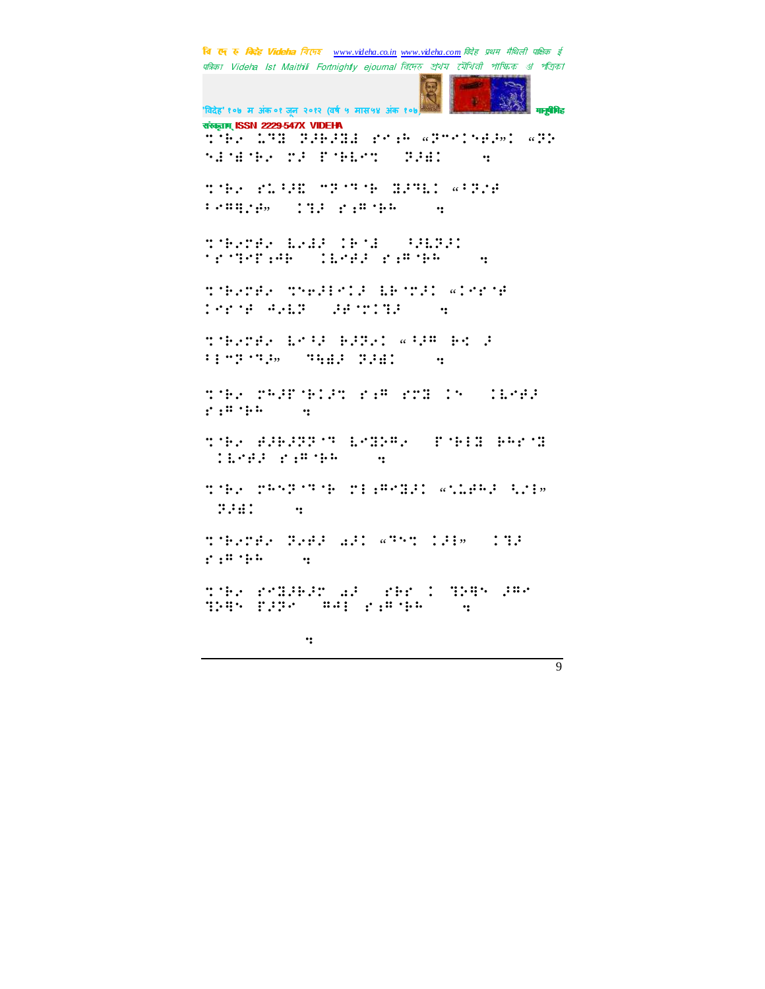मनुष्टीमिङ 'विदेह' १०७ म अंक ०१ जून २०१२ (वर्ष ५ मास५४ अंक १०

संस्कृतम् ISSN 2229-547X VIDEHA the 198 FRRB: Prim @Phothem: @PP Similar of Pompet (2011)  $\dddot{\mathbf{r}}$ 

the client thing manner with  $1.9897(45) = 1.314(4.48)(4.46) = 0.0001(4.46)$ 

there may be a suppo troporal died races of

TORATES TORRESTS EROTED WINKIN **Constanting Constanting Constanting Constanting Constanting Constanting Constanting Constanting Constanting Co** 

TTERNER LAND BOTH WARR BY J **11-2-13, THE FIEL ...** 

THE PREPRIED FIR PPE IN TEMPE  $\mathcal{C}:\mathbb{R}^{n\times n\times n}$  .  $\dddot{\mathbf{r}}$ 

the BRBST LEDGE THIS BATT tisk film  $\dddot{\mathbf{r}}$ 

the response rightlicians that **FREE** 1

there Reflair which will be  $2.24333444444$  $\dddot{\mathbf{r}}$ 

ster rollege af seks i speksem.<br>Speksege smallskæske sta

 $\ddot{\cdot}$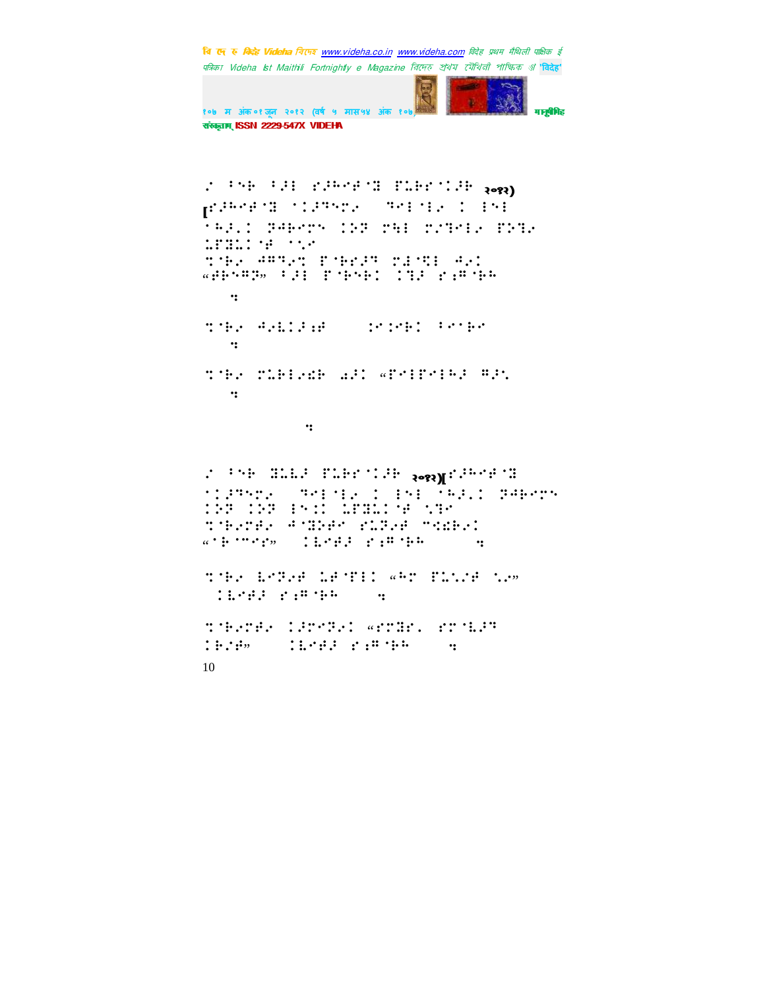

१०७ म अंक ०१जून २०१२ (वष ५ मास५४ अंक १०७) मानुषीिमह संस्कृतम् ISSN 2229-547X VIDEHA

4!C⢷!C⢼5!"⢼⢳⢾⣝!2⣅⢷"⢼⢷)२०१२) ["⢼⢳⢾⣝!⢼⢹⢴-!⢹55⢴^!55! <sup>5</sup>A2.1 P4Brr> 102 rH. r29212 rD92 **LPHILIPE 1980** ⣉⢷⢴!⢺⢻⢹⢴⣉!2⢷"⢼⢹!⣜⣋5!⢺⢴! "⢾⢷⢻⢽")C⢼5.2⢷⢷!⣙⢼!"⣐⢻⢷⢳\*!  $\ddot{\cdot}$ ⣉⢷⢴!⢺⢴⣇⢼⣐⢾!.!⣈⣈⢷!C⢷!  $\ddot{\cdot}$ ⣉⢷⢴!⣅⢷5⢴⣎⢷!⣔⢼!"2525⢳⢼!⢻⢼⣁!  $\ddot{\cdot}$ : Puifs;!2⣒54&!!!

 $4$  . Considers the construction  $\mathbf{z}_\mathbf{p}$ ⢼⢹⢴-!⢹55⢴^!55!⢳⢼G!⢽⢺⢷!  $\{59\}$   $\{59\}$   $\{59\}$   $\{59\}$   $\{29\}$   $\{29\}$ ⣉⢷⢴⢾⢴!⢺⣝⢵⢾!"⣅⢽⢴⢾!`⣊⣎⢷⢴! "⢷`""!)⣇⢾⢼!"⣐⢻⢷⢳\*!33⣒63&!!!

⣉⢷⢴!⣇⢽⢴⢾!⣅⢾25!"⢳!2⣅⣁4⢾!⣁⢴" ) (1991) The state of the state of the state of the state of the state of the state of the state of the state

10 ⣉⢷⢴⢾⢴!⢼⢽⢴!""⣝"G!"⣇⢼⢹!  $14.743$  -  $14.744$   $14.744$   $14.744$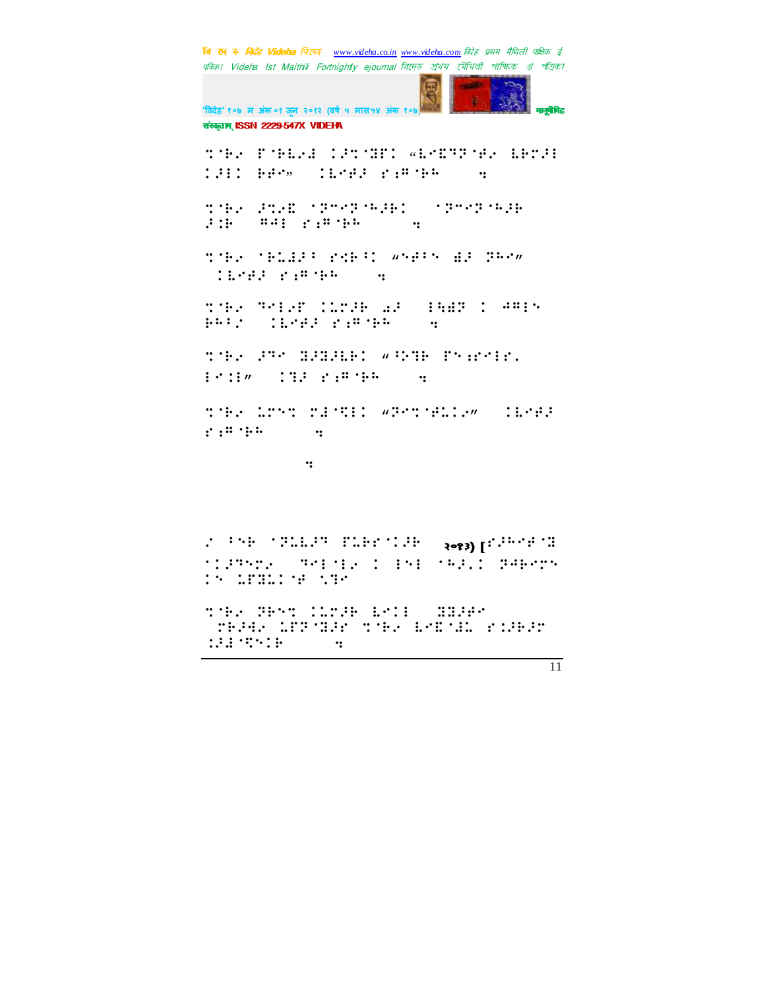'विदेह' १०७ म अंक ०१ जून २०१२ (वर्ष ५ मास५४ अंक १०७) मानुसीर के सामुवी मिट संस्कृतम् ISSN 2229-547X VIDEHA

⣉⢷⢴!2⢷⣇⢴⣜!⢼⣉⣝2!"⣇⣏⢹⢽⢾⢴!⣇⢷⢼5!  $\frac{1}{2}$   $\frac{1}{2}$   $\frac{1}{2}$   $\frac{1}{2}$   $\frac{1}{2}$   $\frac{1}{2}$   $\frac{1}{2}$   $\frac{1}{2}$   $\frac{1}{2}$   $\frac{1}{2}$   $\frac{1}{2}$   $\frac{1}{2}$   $\frac{1}{2}$   $\frac{1}{2}$   $\frac{1}{2}$   $\frac{1}{2}$   $\frac{1}{2}$   $\frac{1}{2}$   $\frac{1}{2}$   $\frac{1}{2}$   $\frac{1}{2}$   $\frac{1}{2}$   $\$ ⣉⢷⢴!⢼⣉⢴⣏!⢽`⢽⢳⢼⢷!#⢽`⢽⢳⢼⢷! ⢼⣈⢷#)⢻⢺5!"⣐⢻⢷⢳\*!35⣒43&!!! ⣉⢷⢴!⢷⣅⣜⢼⢸!"⣊⢷⢸!"⢾C!⣞⢼!⢽⢳" )⣇⢾⢼!"⣐⢻⢷⢳\*!7⣒42&!!! ⣉⢷⢴!⢹5⢴2!⣅⢼⢷!⣔⢼!#5⣓⣞⢽#!⢺⢻5! ⢷⢳C4!)⣇⢾⢼!"⣐⢻⢷⢳\*!9⣒22&!!! ⣉⢷⢴!⢼⢹!⣝⢼⣝⢼⣇⢷!"⢸⢵⣙⢷!2⣐"5"G!  $5 \cdot 12 \cdot 10^{-1}$   $12 \cdot 10^{-1}$   $15 \cdot 10^{-1}$   $16 \cdot 10^{-1}$ ⣉⢷⢴!⣅⣉!⣜⣋5!"⢽⣉⢾⣅⢴"!)⣇⢾⢼!  $f: B \rightarrow B$ Puifs; 2, 9 April 1988 4!C⢷!⢽⣅⣇⢼⢹!2⣅⢷"⢼⢷!)२०१३) ["⢼⢳⢾⣝! ⢼⢹⢴-!⢹55⢴^!55!⢳⢼G!⢽⢺⢷! !⣅2⣝⣅⢾!⣁⣙@! ⣉⢷⢴!⢽⢷⣉!⣅⢼⢷!⣇5!#⣝⣝⢼⢾#! )⢷⢼⣚⢴!⣅2⢽⣝⢼"!⣉⢷⢴!⣇⣏⣜⣅!"⣈⢼⢷⢼! ⣈⢼⣜⣋⢷\*!45⣒55&!!!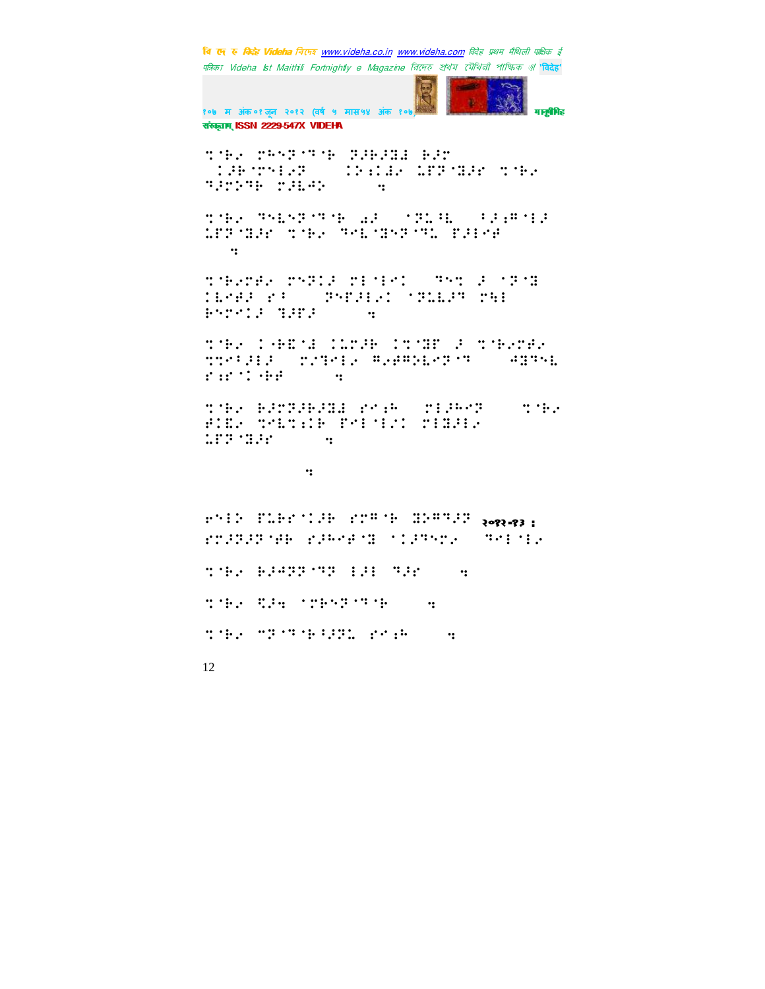

१०७ म अंक ०१जून २०१२ (वष ५ मास५४ अंक १०७) मानुषीिमह संस्कृतम् ISSN 2229-547X VIDEHA

⣉⢷⢴!⢳⢽⢹⢷!⢽⢼⢷⢼⣝⣜!⢷⢼! #⢼⢷5⢴⢽#!)⢵⣐⣜⢴!⣅2⢽⣝⢼"!⣉⢷⢴! ⢹⢼⢵⢹⢷!⢼⣇⢺⢵\*!24⣒44&!!!

⣉⢷⢴!⢹⣇⢽⢹⢷!⣔⢼!#⢽⣅⢸⣇#)C⢼⣐⢻5⢼! ⣅2⢽⣝⢼"!⣉⢷⢴!⢹⣇⣝⢽⢹⣅!2⢼5⢾\*! 22 **22** 

⣉⢷⢴⢾⢴!⢽⢼!55!#⢹⣉!⢼!⢽⣝! ⣇⢾⢼!"⢸#!)⢽2⢼5⢴!⢽⣅⣇⢼⢹!⣓5.! **BATAIRE THE SEASONE** 

⣉⢷⢴!D⢷⣏⣜!⣅⢼⢷!⣉⣝2!⢼!⣉⢷⢴⢾⢴! ⣉⣉C⢼5⢼.!4⣙5⢴!⢻⢴⢾⢻⢵⣇⢽⢹!)!⢺⣝⢹⣇! "⣐"D⢷⢾\*!24⣒44&!!!

⣉⢷⢴!⢷⢼⢽⢼⢷⢼⣝⣜!"⣐⢳!#5⢼⢳⢽#!)⣉⢷⢴! FILE SCHOOLS TELEVISING ⣅2⢽⣝⢼"\*!23⣒33&!!!

# Puifs;!2⣒22&!!!

⢶5⢵!2⣅⢷"⢼⢷."⢻⢷!⣝⢵⢻⢹⢼⢽!२०१२ -१३ : "⢼⢽⢼⢽⢾⢷!"⢼⢳⢾⣝!⢼⢹⢴-!⢹55⢴! ⣉⢷⢴!⢷⢼⢺⢽⢽⢹⢽!5⢼5!⢹⢼"!64⣒63&!!! ⣉⢷⢴!⣋⢼⣒!⢷⢽⢹⢷!36⣒46&!!! ⣉⢷⢴!`⢽⢹⢷⢸⢼⢽⣅!"⣐⢳!2:⣒83&!!!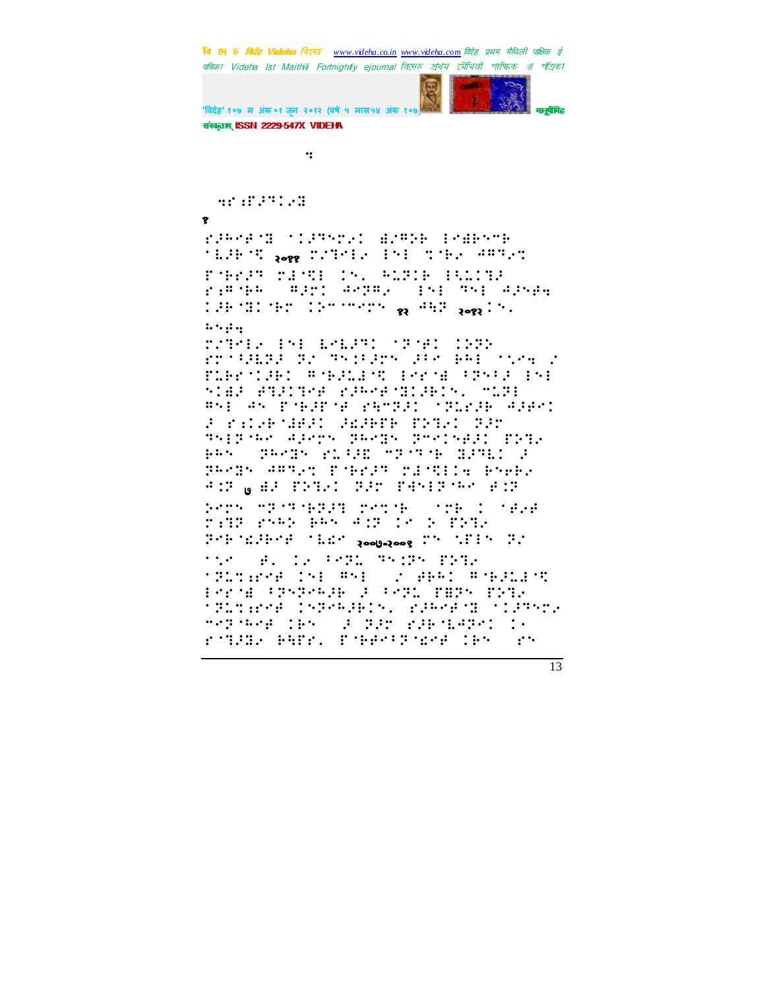ren real pas and the pine Policies of the posses In this P. MORE THE THE  $\label{eq:1} \mathcal{C}(\mathbb{R}^2) = \mathcal{C}(\mathbb{R}^2)$ **TRITERE INFORMED I BEEL ROBELEY** Perd (PSP-60 ) (STAR THRS TRIE nginare (ngekath) rakeng njenno mediane (Br) (F BEM PRESERVICE) rothe Parri Popelborn 1957  $\mathbf{r}$  :  $\mathbf{r}$ 

PRS SPREES PLANE MORTAN BRALL F PROBR ARRES PORTER SINCE LA ROBRE AST WAR TYTEL THE PENITHM AST POTS MEST 18721 CHOCH (1008) I SEPE

 $\ldots, \ldots$ TITMES ENE EMERTI TRANS INTE PRODUCED BY THE PRODUCED BREAKING FLEETIGE FORMATE PETA (PS) ESP SIEP PRICHAR PIRAPARIENS, MIRE #51 45 FYERFYE PRTRI YRIKIE ARRY FriGhman Adapt Chili Sp SSIP (68) Alego Saede Scribell PDTA

ESPART MASTE IN ANDIA BULITA<br>Admira (Alphi Andal) Informational DEPARTMENT DESCRIPTION & PHP 1991 PM

 $\mathbf{S}$ ribert (1919-1919) Arthr Pedbych TESHIN 1000 PATELS INE TIME SHATET

ardistica

'विदेह' १०७ म अंक ०१ जून २०१२ (वर्ष ५ मास५४ अंक संस्कृतम् ISSN 2229-547X VIDEHA

 $\dddot{\mathbf{r}}$ 



वि एक रु मिनेह Videha विएक www.videha.co.in www.videha.com विदेह प्रथम मैथिली पाक्षिक ई पत्रिका Videha Ist Maithili Fortnightly ejournal রিদেহ প্রথম মৌথিনী পাক্ষিক প্র পত্রিকা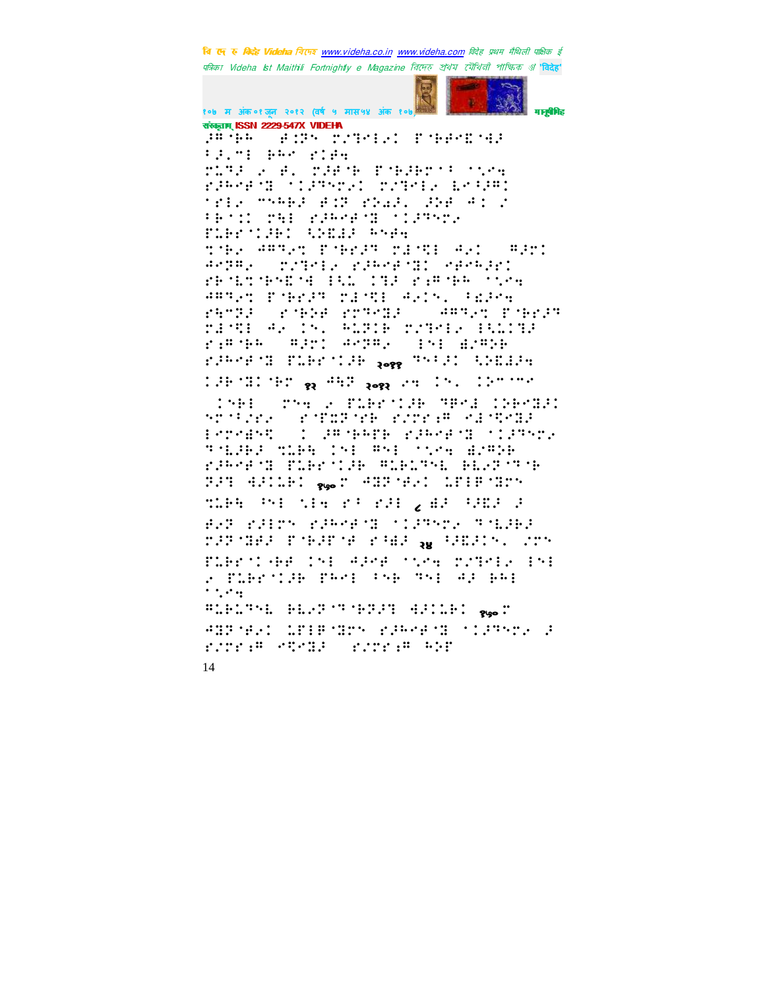

१०७ म अंक०१जून २०१२ (वर्ष ५ मास५४ अंक १०७ संस्कृतम् ISSN 2229-547X VIDEHA

**SECONDITIONS EMPRESH**  $\mathbf{1:} \mathbf{1:} \mathbf{1:}$ P.O.T. BRY 2184 MAR 2016, MARCH ECHANOIS COM rakers (1855) resear bras tria model est rhal. Dhe di s FRONT THE PARTNER ON PROP **POST CONTRACT CONTRACT** the APPet Press tires As: Part  $\mathbf{a} \cdot \mathbf{y}$ rather racers are necess restrievent (BL 192 riene sich ARTES PORTE SECRETARING PERMI FRONT PORT PORTH WARREN PORTH PECTE AN INTERFERIENT PROTE rimshed with espain is: Armyh rdherdom flerolde <sub>Rogg</sub> doedd Albmade

DEPARTMENT & HAR Goes the Child Community

THE THE PIGERISH MPM INFMST STORY FORTHE PATENT SPECIE Provency (1990) Harry Schreed (2001-2010) TALAMA ALEG INE THE SAME BITCH KAPAPA TUENTAE PUELTAE EELPATA SUS ARIGN WAS ASSARD GENERATOR

TOPE THE NEW PROPERTY WAS SPEED A RAN PIPPE PIPPENN STINGER NADDE TAR MARK IN BARNER OF HER SAN FARANCE COM FLEETIGE INE APPENING TITHE ENE 2 PLEYISE PROF PSE TSE AS BRE  $\cdots$ 

WIRLTHE BEAT TERRIT HALLBI gun: ABRICAN MERIDIAN PARTEIN ISTANY A rure servil rures ber  $14$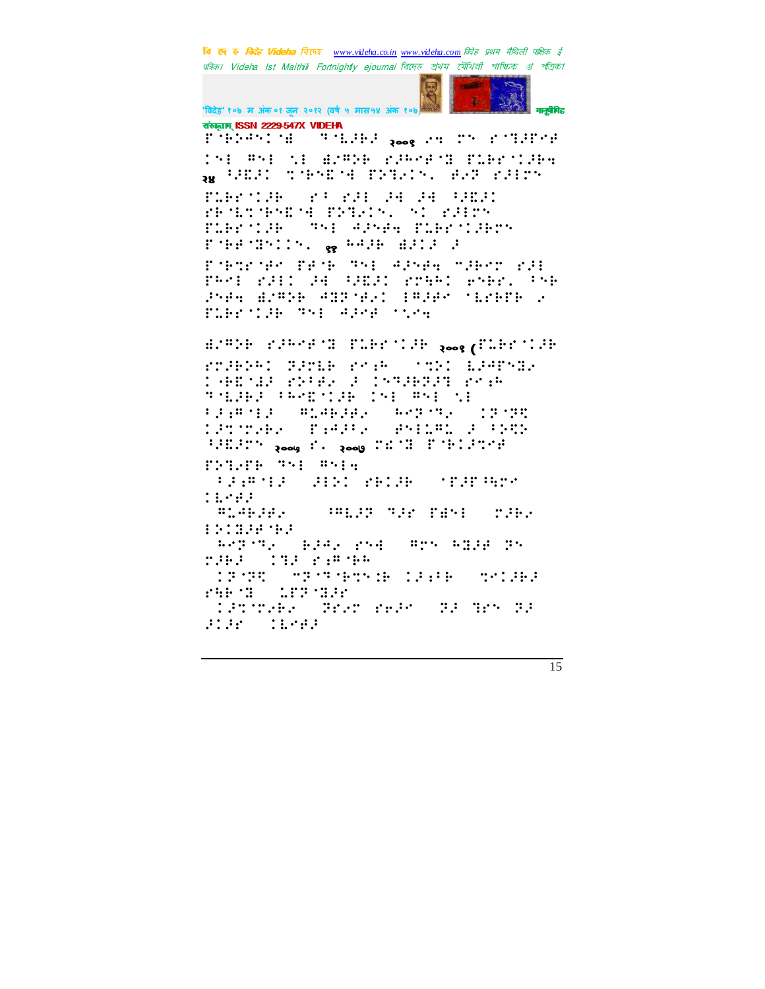

#### 'विदेह' १०७ म अंक ०१ जून २०१२ (वर्ष ५ मास५४ अंक संस्कृतम् ISSN 2229-547X VIDEHA

POPPOSTE CONSIDER Room on the Political INE ANE NE BRAGE RAPPENE PLERNIAEN W HARD TOPSEON EPHRICAL BRF PRIDS

TIRANIA (A) AI AI AE AE AHII PRODUCED OF FRONTS, SI PAIDS FLEETIGE (351 GPSPE FLEETIGETS Pobendrich, <sub>8</sub> HAGB BACA A Poberor Profiles (Albert 2002) PROF RAFI AN AARAT ROBER ROBER AND Pres dress additect fears incens a FLEETIE THE WINE TIME

BOTHE PUTCHER TIPP TUP Roof (TIPP TUP rodeba: Backe roda (1921-1940-19 **SARMAN PROPERTY INTERPERTY PART RADE PREVIE INFRALAT** FRAMES MINHAGE REPORT IPSP tanınday (pada) aslımla ağlan WERTH Rook C. Rook WENT FOR LITTLE **ARABAR AND MEDAL AND HOME**  $11.147$ **THESE TAP PASE SPACE**  $\mathbf{u}$  ,  $\mathbf{u}$  ,  $\mathbf{u}$  ,  $\mathbf{u}$  ,  $\mathbf{u}$ :2022592 (Ardina (Big) pre "Arr Adia dr **THE SIMPLE CEMPE - MP MP NEWS BOOKER - MACERS** PHP 12 - 127 1227 (19th-A) Trun rely (3) Try 3) FIRE TEMPE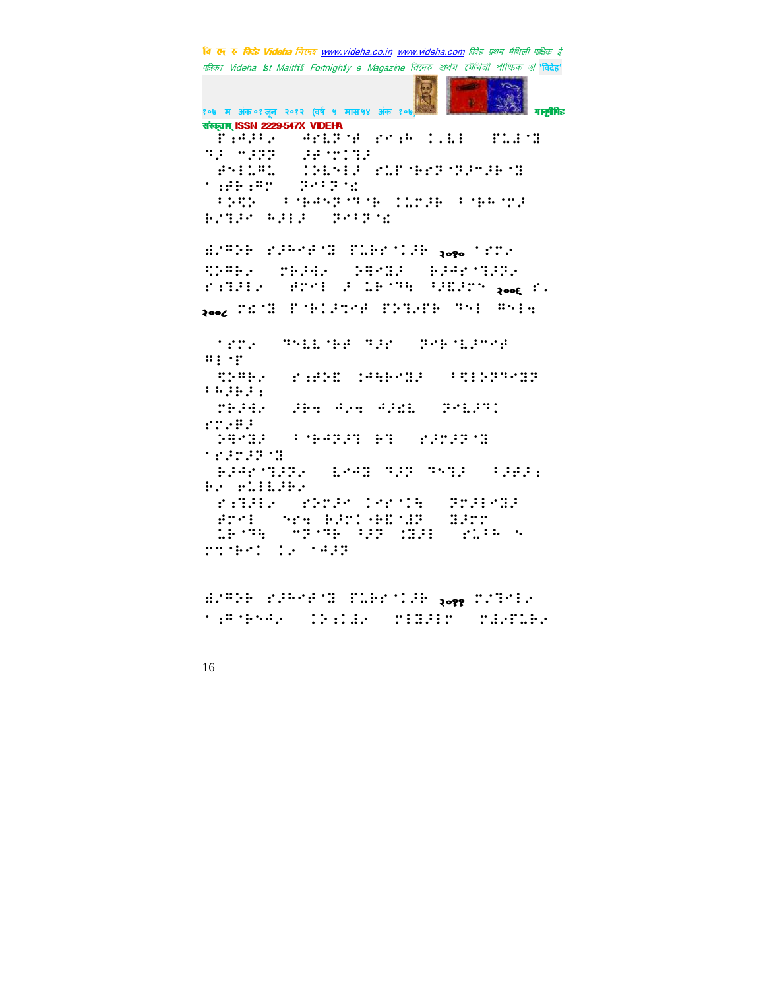**Service** 

मानुबेगिह १०७ म अंक०१ जून २०१२ (वर्ष ५ मास५४ अंक १०७ संस्कृतम् ISSN 2229-547X VIDEHA **APERING POST ISSUE**  $\mathbb{R}^{n}$  :  $\mathbb{R}^{n}$  :  $\mathbb{R}^{n}$  : **Same State**  $14.12132$ 32 522 INDUSTRIAL CONTRACTOR CONTRACTOR  $\frac{1}{2}$  $\mathcal{L}$  :  $\mathcal{L}$  :  $\mathcal{L}$  :  $\mathcal{L}$  : **SPONY CONSTRUCTION CONTROL** BINA WHAT NATURE BORDE PORCHOL PLEDOLIE 1000 1970 there weigh terms everyone ringer are a bette subgroup. Roof PECE FORTPURE FRIPER THE BHEW  $\mathcal{L}$  and  $\mathcal{L}$ **TALLARD TEP SPEARINGS**  $\mathbf{u}$  :  $\cdot$  : <u> 1988 - John Martin Marshall (f. 1989)</u>  $: . . . . . . .$ She die dikk Sekst **TRAGE PERMIT SAMAR REPORT BY SINCE** 1992913 SPARINGER SPAN SPRINGER (FREE) Br ellishe FRIDGE STREET IS THE PRIESE **Ardi New BATIGERS HATT** 18/78 77/78 923 1321 1118 8 proper to capp

BORDE PORCHOL FLEDOLOG 1000 POTCLA **SAPPARE CONSIDER PERFECT PROPERT**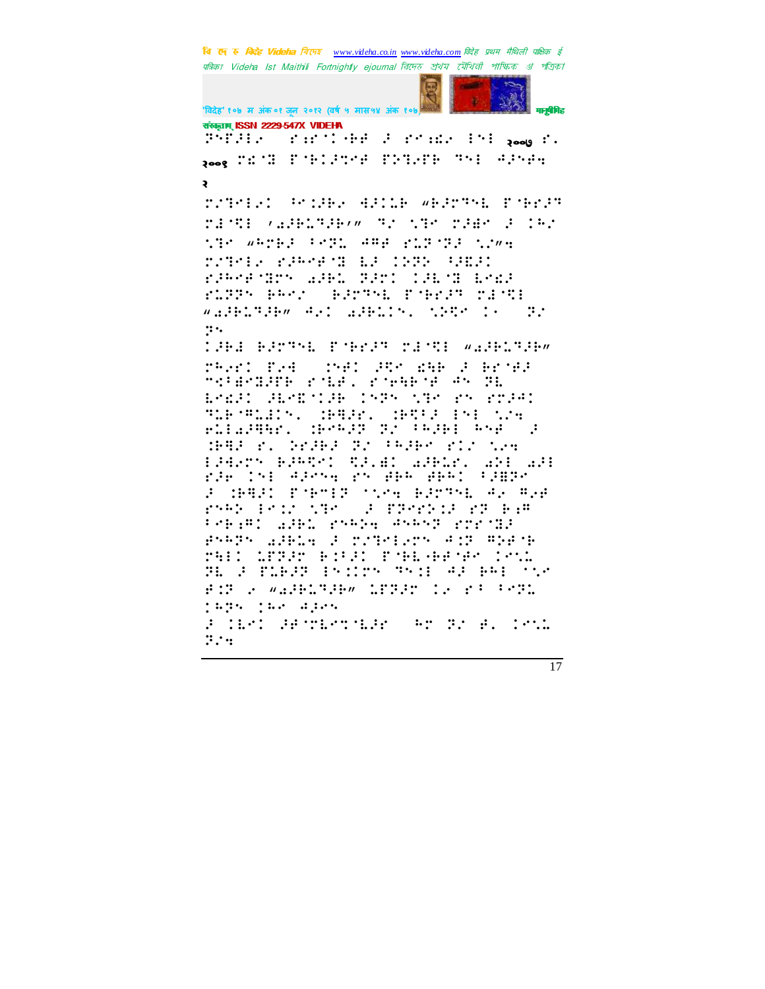

#### 'विदेह' १०७ म अंक ०१ जून २०१२ (वर्ष ५ मास५४ अंक १० संस्कृतम् ISSN 2229-547X VIDEHA

President and the state of the sounds. poor TEST FORTHOLD ENTERPOWER SPECIFIES  $\mathbf{z}$ 

rated to denote such spared for the rang wageshaw ho the read a car the warner conducting ringings them. rothers raw-end as then wear: rabertary aabi dari labu beea russ een electe coert clock waiters and all alters when the sta  $\mathbf{::}\cdot$ 

**THE BITTE THRIT TENT WEBSTH** reach fad ( the: 258 die 2 Brief metardiffe rolati romanism shi di Brasil Shriftish (535 (336 PS Priss) THE TAILS (BURG 1973-191-124 Willeman (Program of Comp) by Ma SPREAD, SPEED ROOFBERG PIC NAM EPHATY BRATIS TRIAL WHILE WAS WRI rde (ni Adrna rn Abb Abb) (decr F SARI PASI SAMA BISSA AY AY rak from the CE PRepared from Presmi albi rombe domog rrrjal FSARS WEEK 2 MUSEUM AND AGES THIS LEGGE BOOKS ESHLOHESHS ISSU BL F FLEFF ENCITY THIS AF EAS TIM BOR & WARRING ATTEM CO PROPERTY japs jar aprs F TEM SPORATER (PO PA PL IMAG  $\mathbb{R}^n$ 

 $\overline{17}$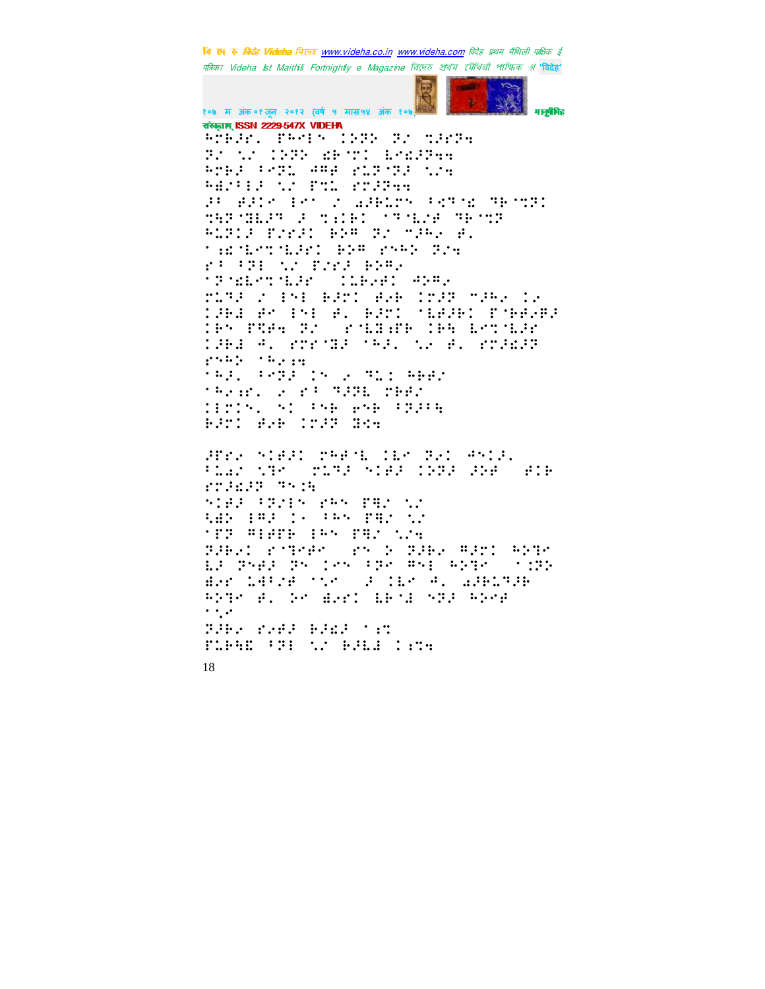

संस्कृतम् ISSN 2229-547X VIDEHA AMÉRIC PARIS (2002-02) SPRO T. W. TRE METT ROOM 8782 1721 488 213732 124 BENIS AN TEL STORE PE BRIS BST 2 WHEET PATTE TESTIN THE THEFT OF TOOLS OF TEST THOTA PLEIP PRESS BRACER MERRIEL tardernam: EPP robe Fre FR PH AN DIRE BRWG **SPARE SERVICE SERVICE** risa d'Est Bart deb 1828 mare 19<br>1964 de 151 de Bart (1896) forda TEN PERSONAL SOLERED IRBOARDIER THE AL POPTER TAR. TO AL PORCH grade of the grad fag, sergits a mir aper TRANSPORT THE TREA 11515. ST PSB 656 PPPP6 **BATI BAB 1233 BMW** 

Hra START THANK TEA TAIL ANIE. Plar the Crime Stee 1982 and Cete rrade man STAR PROPER SAN FRONTO 100 101 10 100 100 100 10 **TEP WEEDER END PROTION** BREAD ROBERT (RM) & BREAT MRTI ANDR EP PARK PACINA SPACEAL AND COMPANY ART 14528 MART STILL AG ASSISS RNTP B. No BRET LESE STE RNOB  $\cdot$  . THE PER BREAKING **POSSES AND STATE RESIDENCE**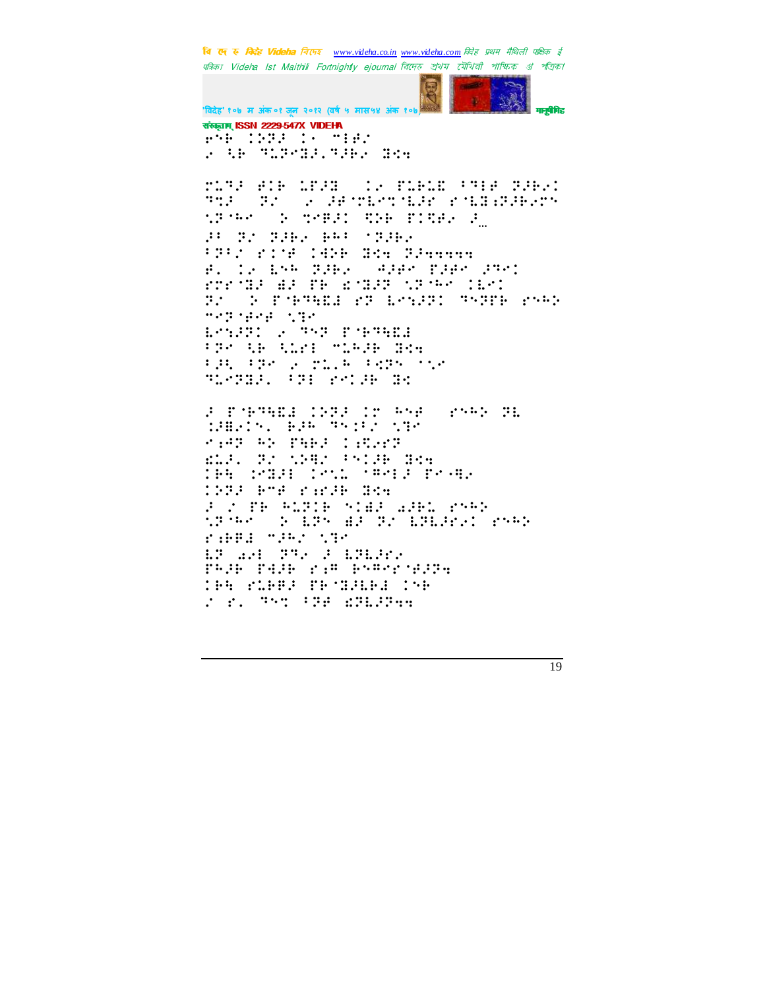

'विदेह' १०७ म अंक०१ जून २०१२ (वर्ष ५ मास५४ ३ संस्कृतम् ISSN 2229-547X VIDEHA PH 1133 18 MHz **FAR TEMPER TANK HAR** 

THE TEACHER SECTION AND POSSIBLE TO SPORT DOMESTORE FIRE P. **31 TA THE BRITISH** FRID KINE CHIE BIG REGGGG B. T. ESA BJE. (AJER BJER JSK) Preside The Philosophic Company (1981) BY S PATHER PR LOGIC TORP POD ned Gee (1981) Brunn Provinsing **TO BE WELL TIME HOW** FIR FROM TELEVISITY TEN WORKSHOW WORK

F PAPRES 1933 18 RAF (2009) 36 MHRIN, BJR SNORT ME **SAP RESERVISION** ELL TO WHO PAIN HOW 164 (PER True Per Pirrog) 1933 BMW PARTH B24 a z pe siale sida dael pser<br>Saser - r bas da az babarri pser rama nukritur **MONEY CONSTRUCT** PASE PASE FIR ESPECTANCE THE PLACE TRIBULAR INF **TE THE STREET**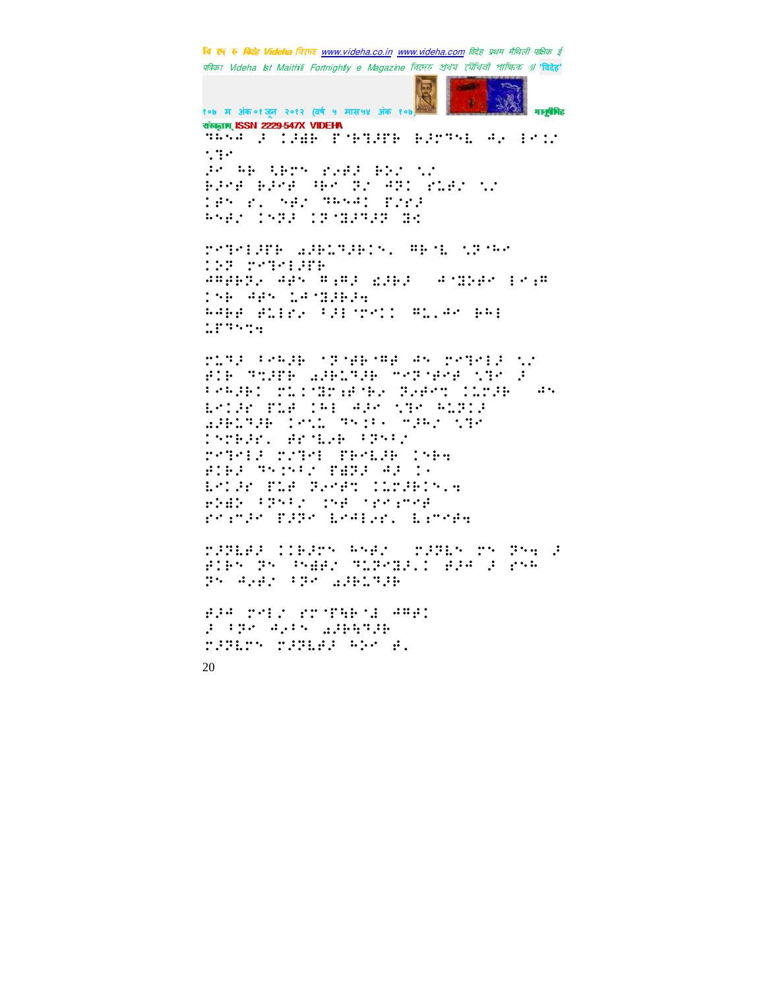

१०७ म अंक०१ जून २०१२ (वर्ष ५ मास५४ अंक १०७) संस्कृतम् ISSN 2229-547X VIDEHA stêka ji binavê pongiyan niver e. Betr  $\sim$  10  $\sim$ Prome term rade end to Bareleard Article: Goden to THE R. HAY TESHI PARA 8522 1523 12-23-23 St

reneidna adalmaats, mask speak **193 reterists** angep, ags ning gjep (asgygr prin 156 485 14782634 Added Billion (1910-001) All.Arc BAI **WEBS-199** 

PLAS PRESENTATEMENT PROPERTY NO EIR TTEPP WENTER TERMENTE STAND Program richards de Sager Cirgo  $\cdots$ ESTER PLA TAE APS NTS ALPIA GARDAR TELORIA EL MARI MAR Inched Arthur (Ship retell retel TBeLH (1964 BIBS TRINGS HARD AS IN ESTOR TEM TOSHT IEDERING PREP FRAME INFORMATCH reamse futbollediar. Lameda

ragiaa (1953ry 654) (ragis ry gyd a ates ps chaar minemalt also ports 35 4282 336 4381338

FIA relaterediens Amer  $P = PP$   $AP$   $AP$   $AP$   $AP$   $PP$ rance rance we a.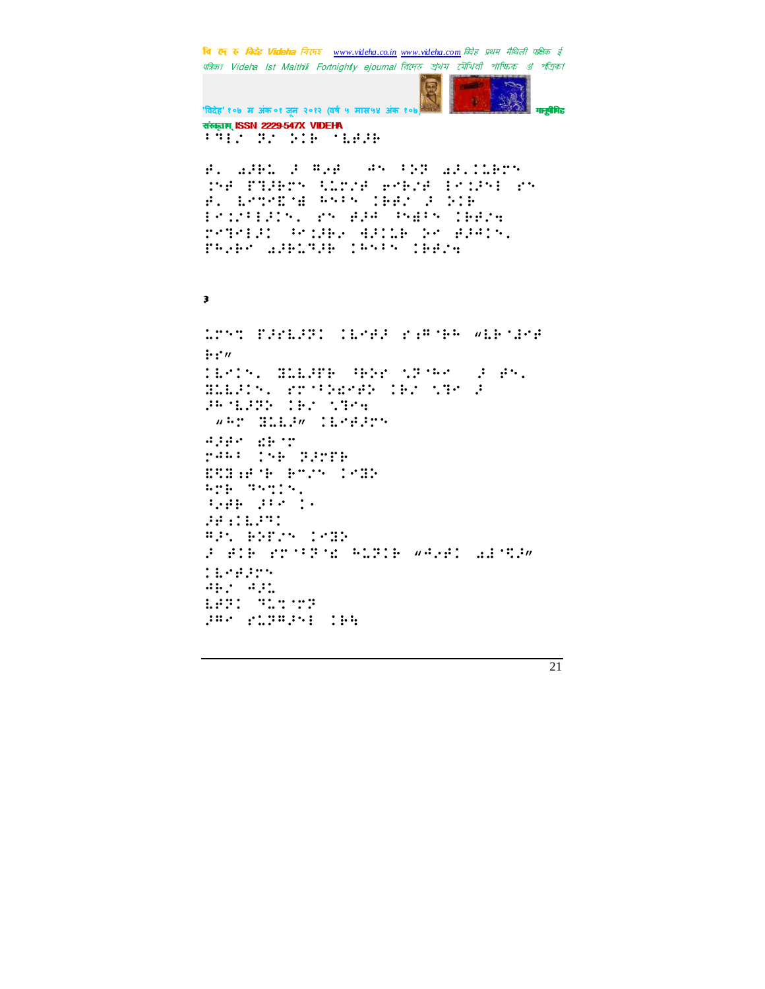

संस्कृतम् ISSN 2229-547X VIDEHA CO 54 20 20 20 20 21:21

⢾G!⣔⢼⢷⣅!⢼!⢻⢴⢾-!⢺!C⢵⢽.⣔⢼G⣅⢷! ⣈⢾.2⣙⢼⢷!⣃⣅4⢾.⢶⢷4⢾!5⣈⢼5!"!  $H$ . Letele by the character 5⣈4C5⢼G!"!⢾⢼⢺!⢸⣞C!⢷⢾4⣒! ⣙5⢼!⢸⣈⢼⢷⢴!⣚⢼⣅⢷!⢵!⢾⢼⢺G! 2⢳⢴⢷!⣔⢼⢷⣅⢹⢼⢷!⢳C!⢷⢾4⣒!

### ३

 $\Box$ rn" (Edisco )  $\Box$  $:: "$  $\,$  C  $\,$  C  $\,$  C  $\,$  C  $\,$  C  $\,$  C  $\,$  C  $\,$  C  $\,$  C  $\,$  C  $\,$  C  $\,$  C  $\,$  C  $\,$  C  $\,$  C  $\,$  C  $\,$  C  $\,$  C  $\,$  C  $\,$  C  $\,$  C  $\,$  C  $\,$  C  $\,$  C  $\,$  C  $\,$  C  $\,$  C  $\,$  C  $\,$  C  $\,$  C  $\,$  C  $\,$  ⣝⣅⣇⢼G!"C⢵⣎⢾⢵!⢷4!⣁⣙!⢼! ⢼⢳⣇⢼⢽⢵!⢷4!⣁⣙⣒!! WHO HERE THE SECTION ⢺⢼⢾.⣎⢷! rda: per pers ⣏⣋⣝⣐⢾⢷!⢷`4!⣝⢵! **ATH SATIS.** ⢸⢴⢾⢷!⢼C!l! ⢼⢾⣐⣇⢼⢹! **WEN BEET IN 1872** ⢼!⢾⢷!"C⢽⣎!⢳⣅⢽⢷!"⢺⢴⢾!⣔⣜⣋⢼" ⣇⢾⢼!  $41$ **LAN TERMIT** ⢼⢻!"⣅⢽⢻⢼5!⢷⣓!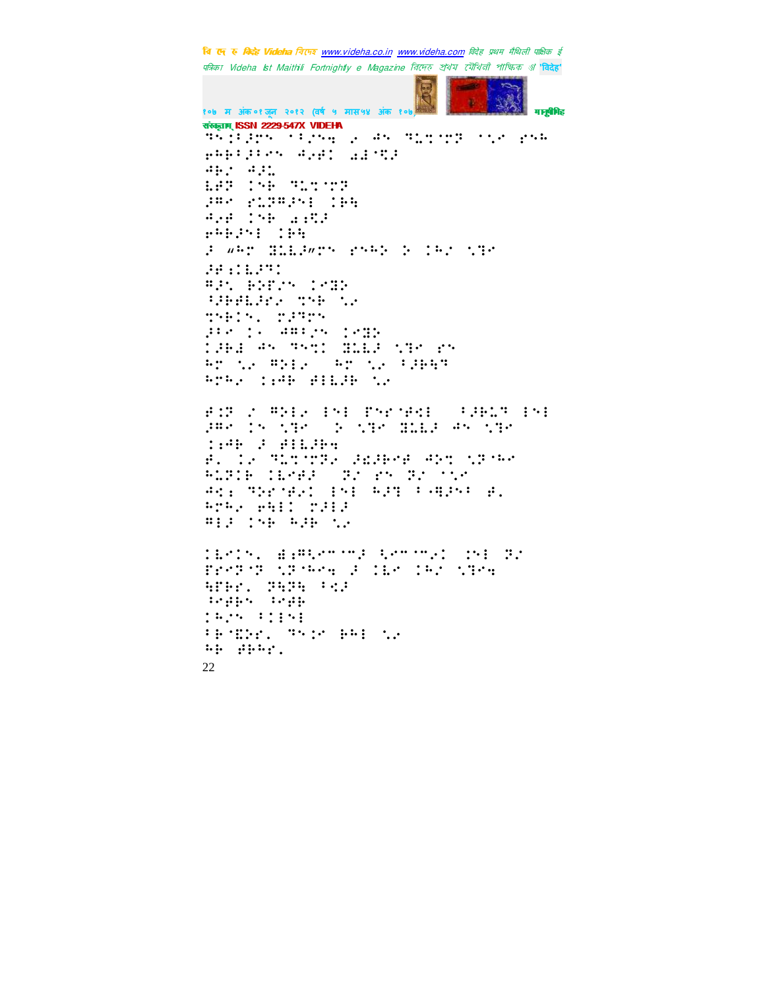**COMPANY** 

 $\mathbf{g}$  . १०७ म अंक०१ जून २०१२ (वर्ष ५ मास५४ अंक १०७) मानुबेगिह संस्कृतम् ISSN 2229-547X VIDEHA ašjers stre 2005 an algora ove rne philishes did: 2191 492 421 **1990 : 1990 : 1990 : 1990 : 1990 : 1990 : 1990 : 1990 : 1990 : 1990 : 1990 : 1990 : 1990 : 1990 : 1990 : 1990 (88)** rights (88) Apr 156 audi **PRESSIME** F war Hillswork raad is tar the 38311371 BR ENDY DOW WHERE THE WA THEIR, THUR  $\mu$  and  $\mu$  are  $\mu$  and  $\mu$  and  $\mu$  and  $\mu$ iger as went milk the re Protective Protections Arte cent sille te FOR 2 WEEK ENE PROYECE (FORCH ENE PRO 18 MBC 18 MBC BLEF AN MBC 1996 2 SHL2B4 B. 12 MINUTE SERPE AND CROW **ALTIB ILMED** At: Thrib. (15) APP FABPAC B. 5752 PHIL 7313 Hid the Wie to TERING BERGANING RANINGI INE TO Profile of the South Christien APPEL 2525 (A2)<br>Jegos (ego 1929-31191 FRONT TOM RHI AP bi diber.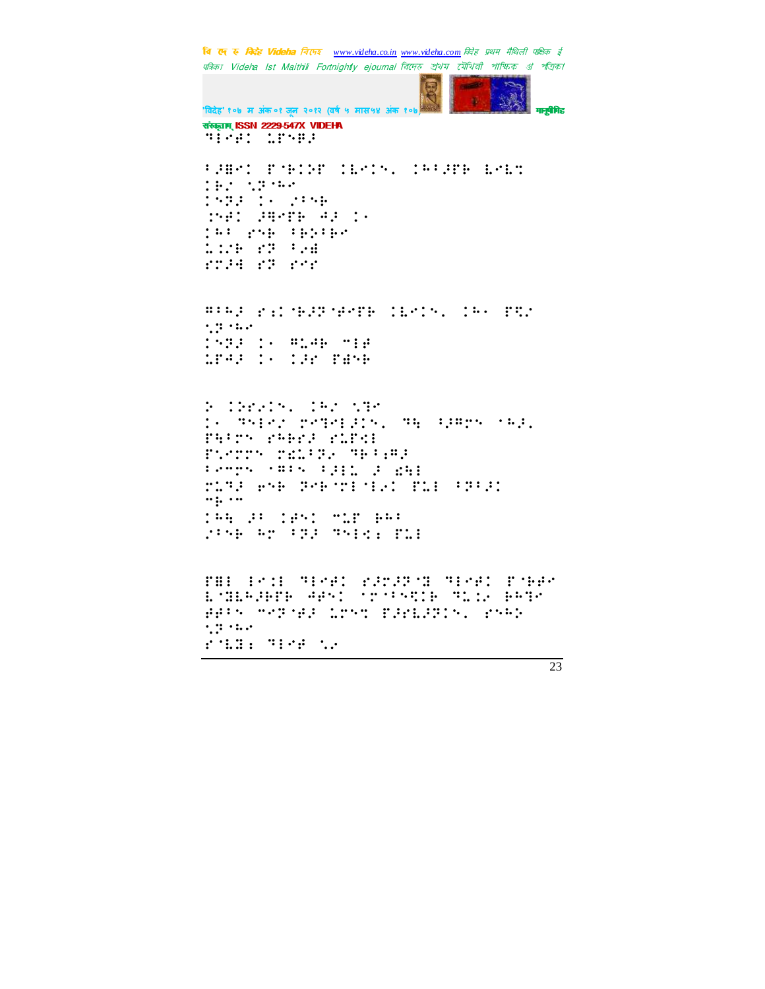**त्रि एन रु क्रिटेह Videha** विएम्ब \_www.videha.co.in\_www.videha.com विदेह प्रथम मैथिली पाक्षिक ई पत्रिका Videha Ist Maithili Fortnightly ejournal রিদেহ প্রথম মৌথিনী পাক্ষিক গ্র পত্রিক। **START** 'वदेह' १०७ म अंक ०१ जून २०१२ (वष ५ मास५४ अंक १०७) मानुषीिमह ø संस्कृतम् ISSN 2229-547X VIDEHA SHE SHE SHE CONDITIONS OF THE CONTROL OF THE CONTROL OF THE CONTROL OF THE CONTROL OF THE CONTROL OF THE CONTROL OF THE CONTROL OF THE CONTROL OF THE CONTROL OF THE CONTROL OF THE CONTROL OF THE CONTROL OF THE CONTROL OF THE CONTROL O  $197 - 197 + 107$ **CAPA (1995)** ⣈⢾!⢼⣛2⢷!⢺⢼!l!  $^{\prime}$  C  $^{\prime}$  C  $^{\prime}$  C  $^{\prime}$ 1.129 (20) 129 (20) "⢼⣚!"⢽!""! ⊞IWE SHIND OF SHIND OF SHIND OF SHIND OF SHIND OF SHIND OF SHIND OF SHIND OF SHIND OF SHIND OF SHIND OF SHIND O  $\frac{1}{2}$   $\frac{1}{2}$   $\frac{1}{2}$   $\frac{1}{2}$   $\frac{1}{2}$   $\frac{1}{2}$ 1933 1934 State State  $222$ S CHAIN, CHAINER l!⢹54!⣙5⢼G!⢹⣓.⢸⢼⢻!⢳⢼G! PHITS PHERI PLTT 2⣁!⣎⣅C⢽⢴.⢹⢷⢸⣐⢻⢼! COMPASS THE CONSTRUCTION  $TLP$  . For the state  $TSP$  $\cdots$ ⢳⣓!⢼C!⢾!`⣅2!⢷⢳C!  $1.1.4$  The state of the state of the state of the state of the state of the state of the state of the state o IB: 50.5 PERS 220223 PERS ISBN L'HAPJETE 4PSI 'T''STIE TLIK PRTM' ⢾⢾C!`⢽⢾⢼!⣅⣉!2⢼"⣇⢼⢽G!"⢳⢵!  $\frac{1}{2}$  ,  $\frac{1}{2}$  ,  $\frac{1}{2}$  ,  $\frac{1}{2}$ "⣇⣝⣐!⢹5⢾!⣁⢴!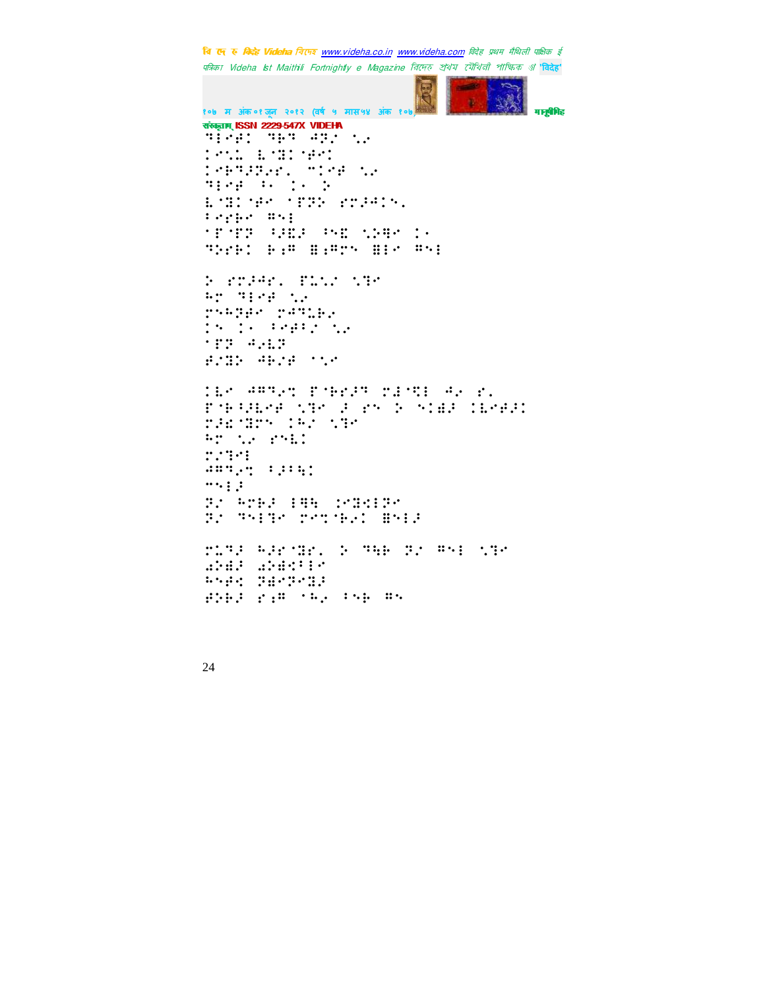**CONTRACTOR** १०७ म अंक ०१जून २०१२ (वष ५ मास५४ अंक १०७) मानुषीिमह

संस्कृतम् ISSN 2229-547X VIDEHA **SHOE!** THE SHOW 12 ⣁⣅!⣇⣝⢾! ⢷⢹⢼⢽⢴"G!`⢾!⣁⢴! Hine ∷l l'est L'HIVE TER PERSON Capper Bug 22⢽!⢸⢼⣏⢼.⢸⣏!⣁⢵⣛!l! THE BURNEY STA

 $\ddot{z}$  space The Section **We shall the set of the set of the set of the set of the set of the set of the set of the set of the set of the** ⢳⢽⢾.⢺⢹⣅⢷⢴! In the Performan 100 2010 2021 ⢾4⣝⢵!⢺⢷4⢾!⣁!

⣇!⢺⢻⢹⢴⣉!2⢷"⢼⢹!⣜⣋5!⢺⢴!"G! 2⢷⢸⢼⣇⢾!⣁⣙!⢼!"!⢵!⣞⢼!⣇⢾⢼! **TAN NEW 1978 1987** Product result **5.5951** ⢺⢻⢹⢴⣉!C⢼C⣓!  $\cdots$ : :  $92$  +  $193$  +  $194$  +  $194$ SI THIT STATES STAI  $\mathtt{?L}$   $\mathtt{?L}$   $\mathtt{?L}$   $\mathtt{?L}$   $\mathtt{?L}$   $\mathtt{?L}$   $\mathtt{?L}$   $\mathtt{?L}$   $\mathtt{?L}$   $\mathtt{?L}$   $\mathtt{?L}$   $\mathtt{?L}$   $\mathtt{?L}$   $\mathtt{?L}$   $\mathtt{?L}$   $\mathtt{?L}$   $\mathtt{?L}$   $\mathtt{?L}$   $\mathtt{?L}$   $\mathtt{?L}$   $\mathtt{?L}$   $\mathtt{?L}$   $\$ 

⣔⢵⣞⢼!⣔⢵⣞⣊C5! ⢳⢾⣊!⢽⣞⢽⣝⢼! ⢾⢵⢷⢼!"⣐⢻!⢳⢴!C⢷!⢻!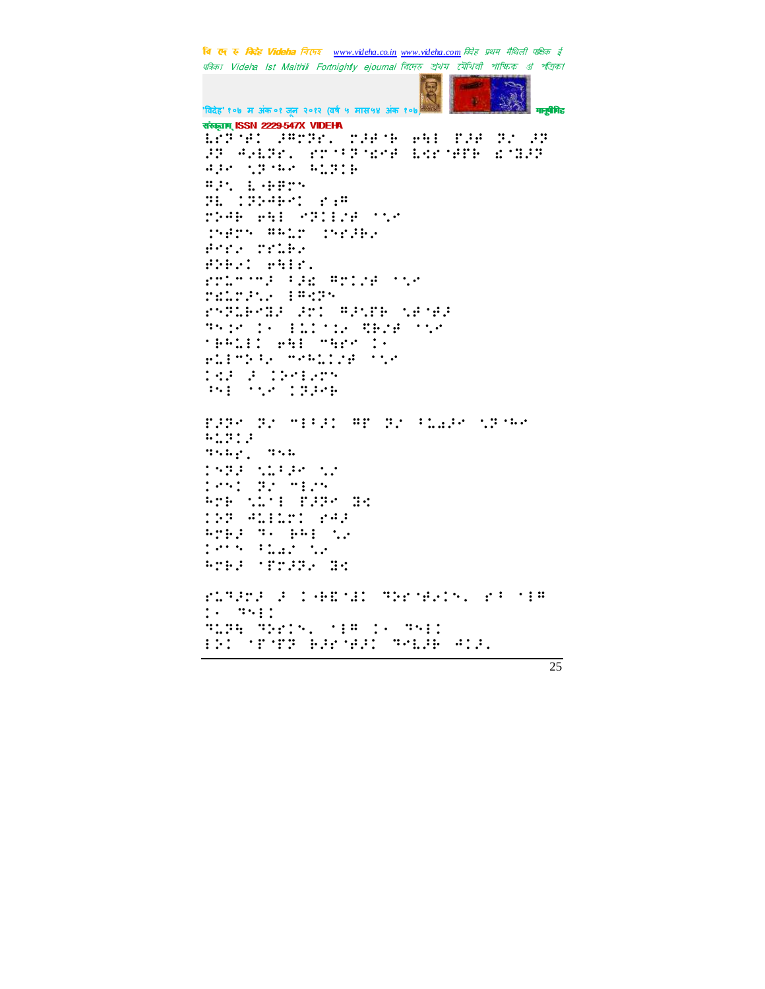**COLOR** 

'वदेह' १०७ म अंक ०१ जून २०१२ (वष ५ मास५४ अंक १०७) मानुषीिमह संस्कृतम् ISSN 2229-547X VIDEHA LÈS'A) SANDA DI SANDA DI SANDA DI  $F$  + Here, rooms we have the rooms GEN STREET ⢻⢼⣁.⣇D⢷⢿!  $\mathbb{R}$   $\mathbb{R}$   $\mathbb{R}$   $\mathbb{R}$   $\mathbb{R}$   $\mathbb{R}$   $\mathbb{R}$   $\mathbb{R}$   $\mathbb{R}$   $\mathbb{R}$   $\mathbb{R}$   $\mathbb{R}$   $\mathbb{R}$   $\mathbb{R}$   $\mathbb{R}$   $\mathbb{R}$   $\mathbb{R}$   $\mathbb{R}$   $\mathbb{R}$   $\mathbb{R}$   $\mathbb{R}$   $\mathbb{R}$   $\mathbb{R}$   $\mathbb{R}$   $\math$ ⢵⢺⢷!⢶⣓5!⢽54⢾!⣁! ⣈⢾!⢻⢳⣅.⣈"⢼⢷⢴! ⢾"⢴."⣅⢷⢴! ⢾⢵⢷⢴!⢶⣓5"G! "Www.come (1913) "Company (1913) ⣎⣅⢼⣁⢴!5⢻⣊⢽! "⢽⣅⢷⣝⢼!⢼!⢻⢼⣁2⢷!⣁⢾⢾⢼! SAN THE STATE STATE OF THE STATE OF THE STATE OF THE STATE OF THE STATE OF THE STATE OF THE STATE OF THE STATE ⢷⢳⣅5!⢶⣓5!`⣓"!l! ⢶⣅5`⢵⢸⢴!`⢳⣅4⢾!⣁!  $\{A,B,B,C,B\}$ GRE START 2⢼⢽!⢽4!`5C⢼!⢻2!⢽4!C⣅⣔⢼!⣁⢽⢳! ⢳⣅⢽⢼;! This, This ⢽⢼!⣁⣅C⢼!⣁4! !⢽4!`54! **APE (1) 2 PRP 30** ⢵⢽!⢺⣅5⣅!"⢺⢼! bre: 9. em: 12 !C⣅⣔4!⣁⢴!  $\frac{1}{2}$ "⣅⢹⢼⢼!⢼!D⢷⣏⣜!⢹⢵"⢾⢴G!"⢸!5⢻! l!⢹5;! SLEE SECOND THE 1- SHIP 5⢵!22⢽!⢷⢼"⢾⢼!⢹⣇⢼⢷!⢺⢼G!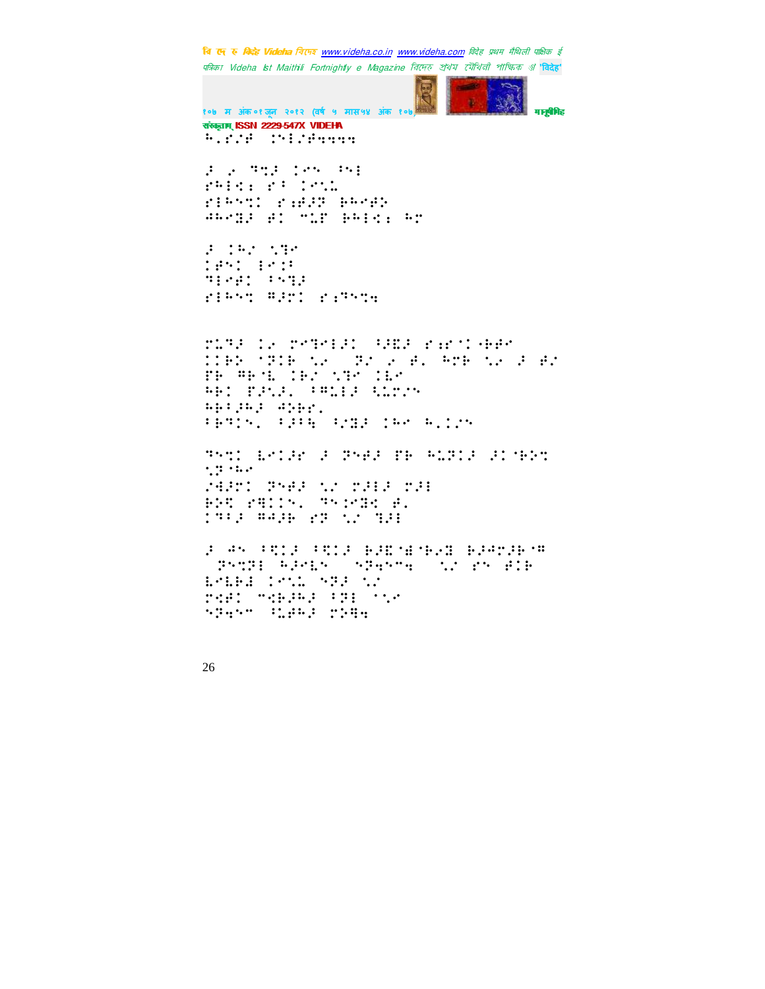

१०७ म अंक ०१जून २०१२ (वष ५ मास५४ अंक १०७) मानुषीिमह संस्कृतम् ISSN 2229-547X VIDEHA  $G$ 

₫ 2019 THE 1999 THE "⢳5⣊⣐!"⢸!⣁⣅! "5⢳⣉!"⣐⢾⢼⢽!⢷⢳⢾⢵! ⢺⢳⣝⢼!⢾!`⣅2!⢷⢳5⣊⣐!⢳!

 $\frac{1}{2}$   $\frac{1}{2}$   $\frac{1}{2}$   $\frac{1}{2}$   $\frac{1}{2}$   $\frac{1}{2}$   $\frac{1}{2}$   $\frac{1}{2}$   $\frac{1}{2}$   $\frac{1}{2}$  $5.951 - 1.651$ SHOW: THE "5⢳⣉!⢻⢼!"⣐⢹⣉⣒!

 $^{\prime}$  The state of the state of the state of the state of the state of the state of the state of the state of the state of the state of the state of the state of the state of the state of the state of the state of the sta 1195 M. P. S. M. S. M. M. S. M. S. M. G. M. G. 20 90 90 10 10 10 10 10 11 HE ERE STREET ⢳⢷C⢼⢳⢼!⢺⢵⢷"G! CHE CHE CHE CHE COLOR

⢹⣉!⣇⢼"!⢼!⢽⢾⢼!2⢷!⢳⣅⢽⢼!⢼⢷⢵⣉!  $\cdot$ ;  $\cdot$ ;  $\cdot$ ;  $\cdot$ ;  $\cdot$ 4⣚⢼!⢽⢾⢼!⣁4!⢼5⢼.⢼5! ĐHI PHILIN, TNIMBE B.  $^{\prime}$  C  $^{\prime}$  C  $^{\prime}$  C  $^{\prime}$  C  $^{\prime}$  C  $^{\prime}$  C  $^{\prime}$  C  $^{\prime}$  C  $^{\prime}$  C  $^{\prime}$  C  $^{\prime}$  C  $^{\prime}$  C  $^{\prime}$  C  $^{\prime}$  C  $^{\prime}$  C  $^{\prime}$  C  $^{\prime}$  C  $^{\prime}$  C  $^{\prime}$  C  $^{\prime}$  C  $^{\prime}$  C  $^{\prime}$  C  $^{\prime}$  C  $^{\prime}$  C  $^{\prime}$ 

⢼!⢺!C⣋⢼.C⣋⢼!⢷⢼⣏⣞⢷⢴⣝!⢷⢼⢺⢼⢷⢻! )⢽⣉⢽5!⢳⢼⣇-!⢽⣒`⣒\*!⣁4!"!⢾⢷! LALL 1971 521 52 ⣊⢾!`⣊⢷⢼⢳⢼!C⢽5!⣁! SHO SHOW SHOW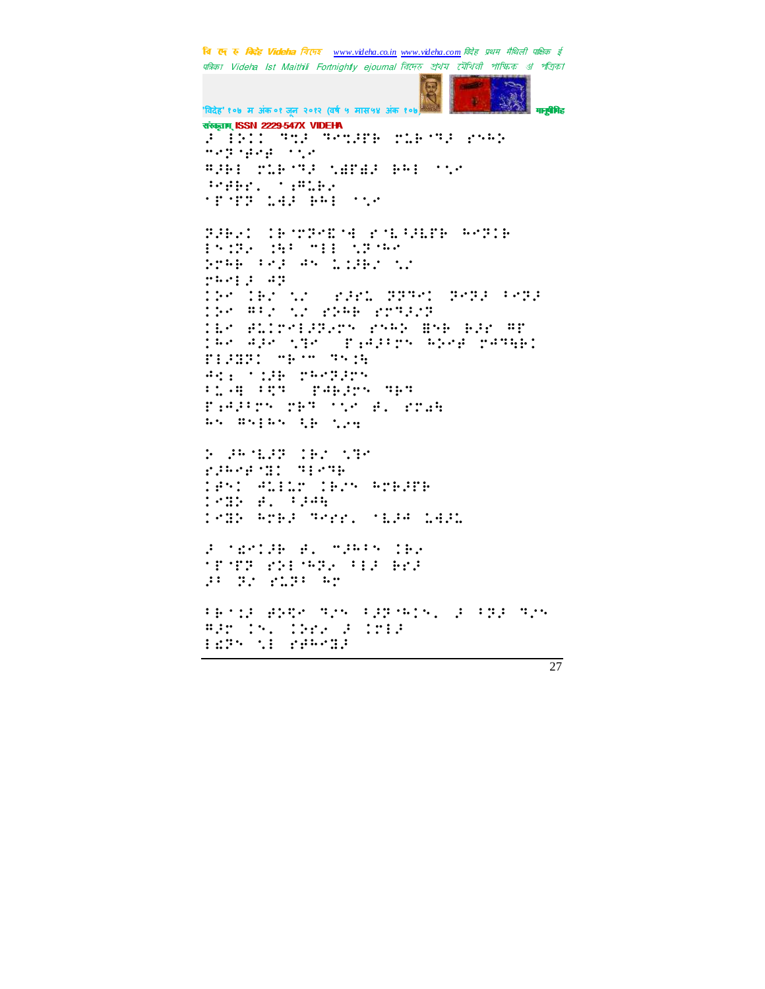**September** 

× 'वदेह' १०७ म अंक ०१ जून २०१२ (वष ५ मास५४ अंक १०७) मानुषीिमह संस्कृतम् ISSN 2229-547X VIDEHA ( )  $\frac{1}{2}$  ( )  $\frac{1}{2}$  ( )  $\frac{1}{2}$  ( )  $\frac{1}{2}$  ( )  $\frac{1}{2}$  ( )  $\frac{1}{2}$  ( )  $\frac{1}{2}$  ( )  $\frac{1}{2}$  ( )  $\frac{1}{2}$  ( )  $\frac{1}{2}$  ( )  $\frac{1}{2}$  ( )  $\frac{1}{2}$  ( )  $\frac{1}{2}$  ( )  $\frac{1}{2}$  ( )  $\frac{1}{2}$  ( )  $\frac{1$  $\begin{aligned} \mathbf{u}^T \cdot \mathbf{u}^T \cdot \mathbf{u}^T \cdot \mathbf{u}^T \cdot \mathbf{u}^T \cdot \mathbf{u}^T \cdot \mathbf{u}^T \cdot \mathbf{u}^T \cdot \mathbf{u}^T \cdot \mathbf{u}^T \cdot \mathbf{u}^T \cdot \mathbf{u}^T \cdot \mathbf{u}^T \cdot \mathbf{u}^T \cdot \mathbf{u}^T \cdot \mathbf{u}^T \cdot \mathbf{u}^T \cdot \mathbf{u}^T \cdot \mathbf{u}^T \cdot \mathbf{u}^T \cdot \mathbf{u}^T \cdot \mathbf{u$ ⢻⢼⢷5!⣅⢷⢹⢼!⣁⣞2⣞⢼!⢷⢳5!⣁! ⢸⢾⢷"G!⣐⢻⣅⢷⢴!! 12000 12000 12000 12000 12000 12000 12000 12000 12000 12000 12000 12000 12000 12000 12000 12000 12000 12000 120  $^{\circ}$  . The construction of the state of the state of the state of the state of the state of the state of the state of the state of the state of the state of the state of the state of the state of the state of the state o  $5 \times 12 \times 15 = 15$ **Grap (0) 45 LIBM (0)**  $55 - 15$  $134.1$   $14.1$   $14.1$   $14.1$   $14.1$   $14.1$   $14.1$   $14.1$   $14.1$ ⢵!⢻C4!⣁4!"⢵⢳⢷."⢹⢼4⢽!

⣇!⢾⣅5⢼⢽⢴!"⢳⢵!⣟⢷!⢷⢼"!⢻2! ¦Ar Adrich Celarer Adrichamen 25⢼⣝⢽!`⢷`!⢹⣈⣓;! ⢺⣊⣐!⣈⢼⢷!⢳⢽⢼! C�D : C�D : C�D : C�D : C�D : C�D : C�D : C�D : C�D : C�D : C�D : C�D : C�D : C�D : C�D : C�D : C�D : C�D : C� 2⣐⢺⢼C!⢷⢹!⣁!⢾G!"⣔⣓! **WE SHOT SHOT STATE** 

 $\frac{1}{2}$   $\frac{1}{2}$   $\frac{1}{2}$   $\frac{1}{2}$   $\frac{1}{2}$   $\frac{1}{2}$   $\frac{1}{2}$   $\frac{1}{2}$   $\frac{1}{2}$   $\frac{1}{2}$   $\frac{1}{2}$   $\frac{1}{2}$   $\frac{1}{2}$   $\frac{1}{2}$   $\frac{1}{2}$   $\frac{1}{2}$   $\frac{1}{2}$   $\frac{1}{2}$   $\frac{1}{2}$   $\frac{1}{2}$   $\frac{1}{2}$   $\frac{1}{2}$   $\$ 

"⢼⢳⢾⣝!⢹5⢹⢷! ⢾!⢺⣅5⣅!⢷4!⢳⢷⢼2⢷! **[**  $^{\circ}$ GID  $^{\circ}$  G  $^{\circ}$  C  $^{\circ}$  C  $^{\circ}$  C  $^{\circ}$  C  $^{\circ}$  C  $^{\circ}$  C  $^{\circ}$  C  $^{\circ}$  C  $^{\circ}$  C  $^{\circ}$  C  $^{\circ}$  C  $^{\circ}$  C  $^{\circ}$  C  $^{\circ}$  C  $^{\circ}$  C  $^{\circ}$  C  $^{\circ}$  C  $^{\circ}$  C  $^{\circ}$  C  $^{\circ}$  C  $^{\circ}$  C  $^{\circ}$  C  $\frac{1}{2}$   $\frac{1}{2}$   $\frac{1}{2}$   $\frac{1}{2}$   $\frac{1}{2}$   $\frac{1}{2}$   $\frac{1}{2}$   $\frac{1}{2}$   $\frac{1}{2}$   $\frac{1}{2}$   $\frac{1}{2}$   $\frac{1}{2}$   $\frac{1}{2}$   $\frac{1}{2}$   $\frac{1}{2}$   $\frac{1}{2}$   $\frac{1}{2}$   $\frac{1}{2}$   $\frac{1}{2}$   $\frac{1}{2}$   $\frac{1}{2}$   $\frac{1}{2}$   $\$ 

⢼!⣎⢼⢷!⢾G!`⢼⢳C!⢷⢴;! 22 THE 23 THE STATE SECTION  $F = T$ 

C⢷⣈⢼!⢾⢵⣋!⢹4!C⢼⢽⢳G!⢼!C⢽⢼!⢹4!  $#J$  The Constant of Constant of Constant of Constant of Constant of Constant of Constant of Constant of Constant of 5⣎⢽!⣁5!"⢾⢳⣝⢼!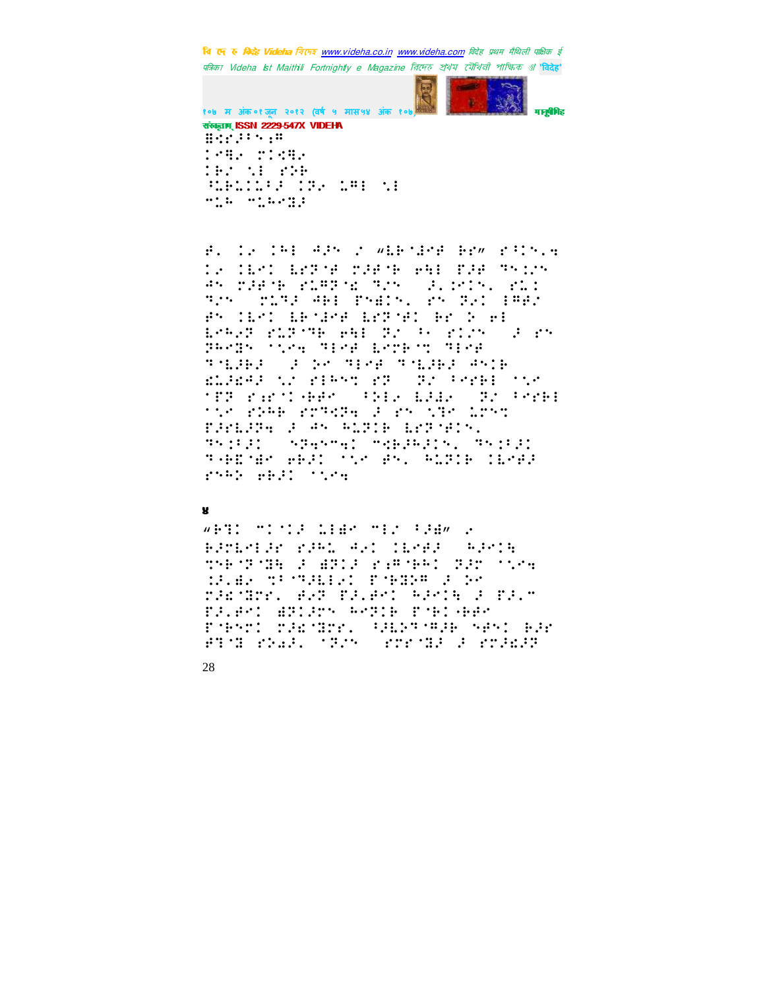

१०७ म अंक०१जन २०१२ (वर्ष ५ मास५४ अंक १०। संस्कृतम् ISSN 2229-547X VIDEHA  $H(2,2,1,2,1,1)$ 1982 21982 TEC SE PRE  $m_{\rm L}$  is a manifold in the state of the state of the state of the state of the state of the state of the state of the state of the state of the state of the state of the state of the state of the state of the state of

B. 12 191 425 2 wiBolog Brw r315.4 to thei brack raker whichar meson AN THE BOARD WORK SERVICE TO TON STORE HE PREDNO BY TAIL ENEX 85 MEST LETES LETTEL EE D'AL ESAGE PLESTE PHILIPS IN PISS OF PS PROBLEM COMPARISON ESTATE TEST TALLED I FOR THE TALLED PAIR ELEGE AN SIRM ST (The Post of **TER PARTIGHER (FRIGHTLER PROPERTY** the space spaces a sponger into TREATH 3 45 ROTE ENTHIT. Thill have conductive thill TARTER AND THROWN ALDIE INGE gabb phil street

#### $\mathbf{R}$

wen midde mer few r BETEMENT PARK AND TEMPER SARMIN THE TENDENT BOOKS IN THE PART OF THE STATE MARY SPORTER PORTER POST racure, asp palas: Aasia a palm FALAMI ANIANA RAPIA TANG-AAM PORTI TACATE SALPEGAR SANT RAT FINE CRAFT (FROM COOPER FOOTBARR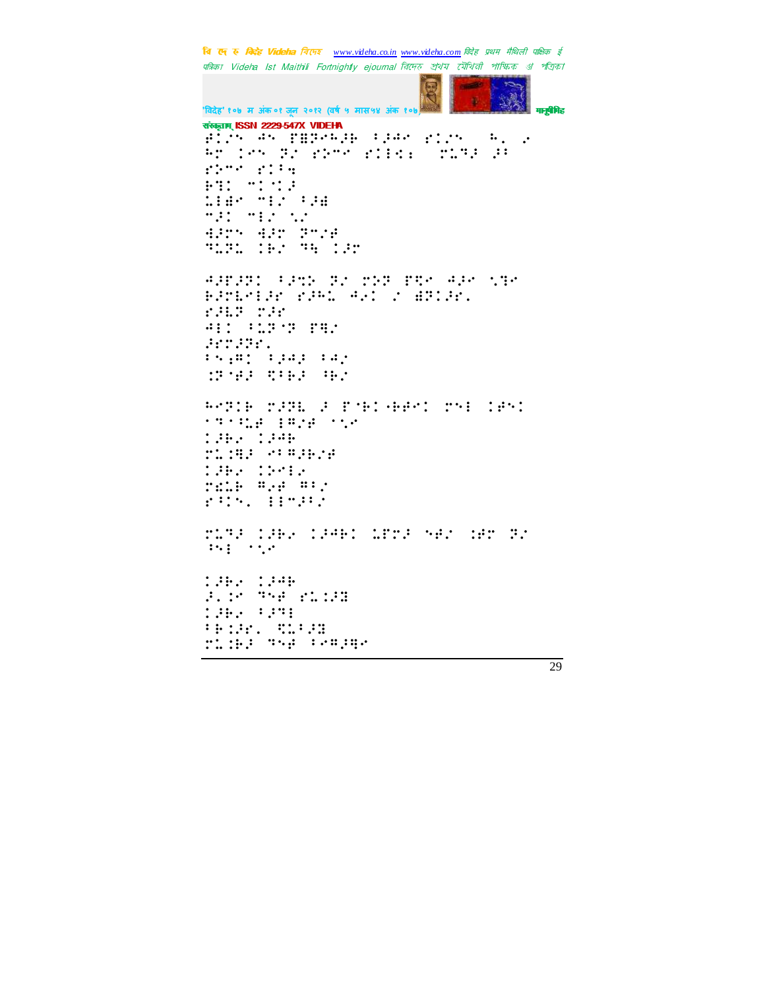**START** 

'वदेह' १०७ म अंक ०१ जून २०१२ (वष ५ मास५४ अंक १०७) मानुषीिमह संस्कृतम् ISSN 2229-547X VIDEHA H. 2004 - 2004 - 2004 - 2004 - 2004 - 2004 - 2004 - 2004 - 2004 - 2004 - 2004 - 2004 - 2004 - 2004 - 2004 - 20 AT IS TO THE THE TWO TABLE "⢵`!"C⣒! **FIL TIME LEEP TEAT FEE** ": ": : : : **GATS GATS IN THE** ⢹⣅⢽⣅!⢷4!⢹⣓!⢼! ⢺⢼2⢼⢽!C⢼⣉⢵!⢽4!⢵⢽!2⣋!⢺⢼!⣁⣙! **BUTER FUR AN AN I SENIE.** "⢼⣇⢽!⢼"! ⢺5!C⣅⢽⢽!2⣛4! GETSPE. Có, es estado en el control. ⣈⢽⢾⢼!⣋C⢷⢼!⢸⢷4!  $\frac{1}{2}$ ⢹⢸⣅⢾!5⢻4⢾!⣁;! ⢼⢷⢴!⢼⢺⢷!  $T$ .  $T$ ⢼⢷⢴!⢵5⢴! **THIS WALK WALK** "⢸G!55`⢼C4! ⣅⢹⢼!⢼⢷⢴!⢼⢺⢷!⣅2⢼!⢾4!⣈⢾!⢽4!  $55.5 \pm 0.5$ ⢼⢷⢴!⢼⢺⢷!  $G$ . The state ⢼⢷⢴!C⢼⢹5! PECH. CONFIR ⣅⣈⢷⢼!⢹⢾!C⢻⢼⣛!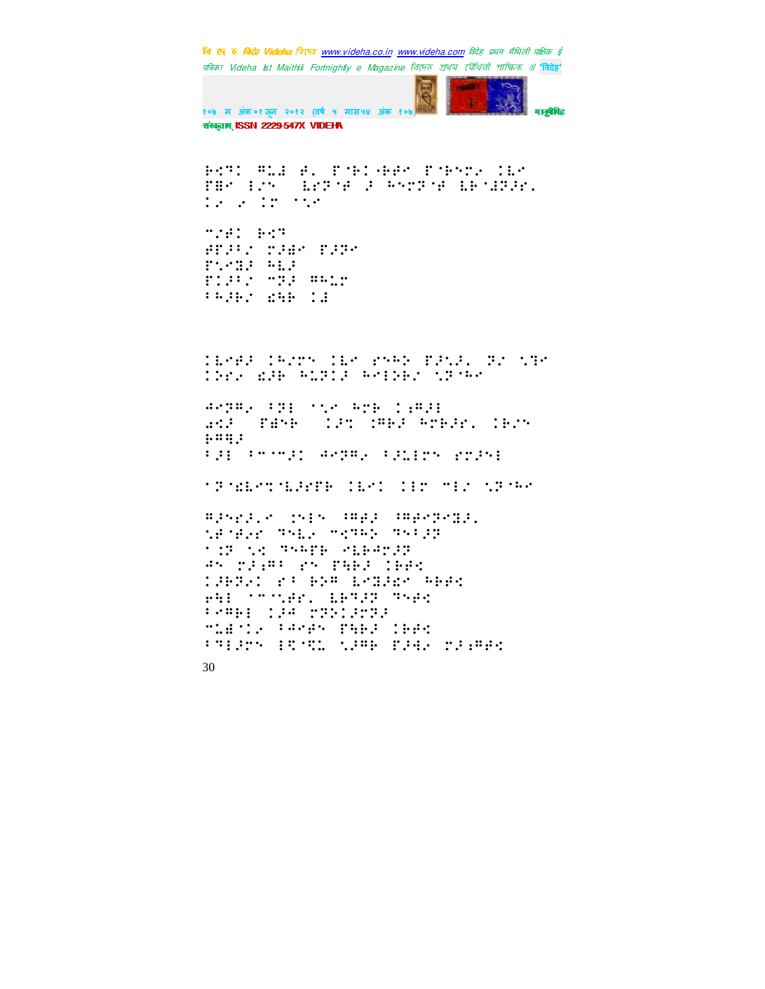

१०७ म अंक ०१जून २०१२ (वष ५ मास५४ अंक १०७) मानुषीिमह संस्कृतम् ISSN 2229-547X VIDEHA

BRT. PLE B. POBL-BBP POBPDA IEP 2⣟!54-!⣇"⢽⢾!⢼!⢳⢽⢾!⣇⢷⣜⢽⢼"G!  $\mathbb{R}^2 \times \mathbb{R}^2 \times \mathbb{R}^2 \times \mathbb{R}^2$ 

 $"$ ⢾2⢼C4!⢼⣞.2⢼⢽! 2⣁⣝⢼!⢳⣇⢼! 2⢼C4!`⢽⢼.⢻⢳⣅! COUNTY SHEET

⣇⢾⢼!⢳4!⣇!"⢳⢵!2⢼⣁⢼G!⢽4!⣁⣙-! ¦}es an bhrid bhide bhrid

⢺⢽⢻⢴!C⢽5!⣁!⢳⢷!⣐⢻⢼5!  $\overline{u}$ 43 - 2010 - 2020 - 2020 - 2020 - 2020 - 2020 - 2020 - 2020 - 2020 - 2020 - 2020 - 2020 - 2020 - 2020 - 2020 - 2020 - 2020 - 2020 - 2020 - 2020 - 2020 - 2020 - 2020 - 2020 - 2020 - 2020 - 2020 - 2020 - 2020 - 2020 -⢷⢻⣛⢼! COS CONSUMING CONSUMING CONTROL

 $^+$ Pomber there is the construction of the construction of the construction of the construction of the construction of the construction of the construction of the construction of the construction of the construction of th

⢻⢼"⢼G!⣈5!⢸⢻⢾⢼.⢸⢻⢾⢽⣝⢼G! ⣁⢾⢾⢴"!⢹⣇⢴!`⣊⢹⢳⢵!⢹C⢼⢽! ⣈⢽!⣁⣊!⢹⢳2⢷!⣇⢷⢺⢼⢽!  $\frac{1}{2}$  . The contract of the contract of the contract of the contract of the contract of the contract of the contract of the contract of the contract of the contract of the contract of the contract of the contract of th ⢼⢷⢽⢴!"⢸!⢷⢵⢻!⣇⣝⢼⣎!⢳⢷⢾⣊! ⢶⣓5.`⣁⢾"G!⣇⢷⢹⢼⢽!⢹⢾⣊! COSE CONTROL `⣅⣞⢴!C⢺⢾!2⣓⢷⢼!⢷⢾⣊! C⢹5⢼!5⣋⣋⣅.⣁⢼⢻⢷.2⢼⣚⢴!⢼⣐⢻⢾⣊!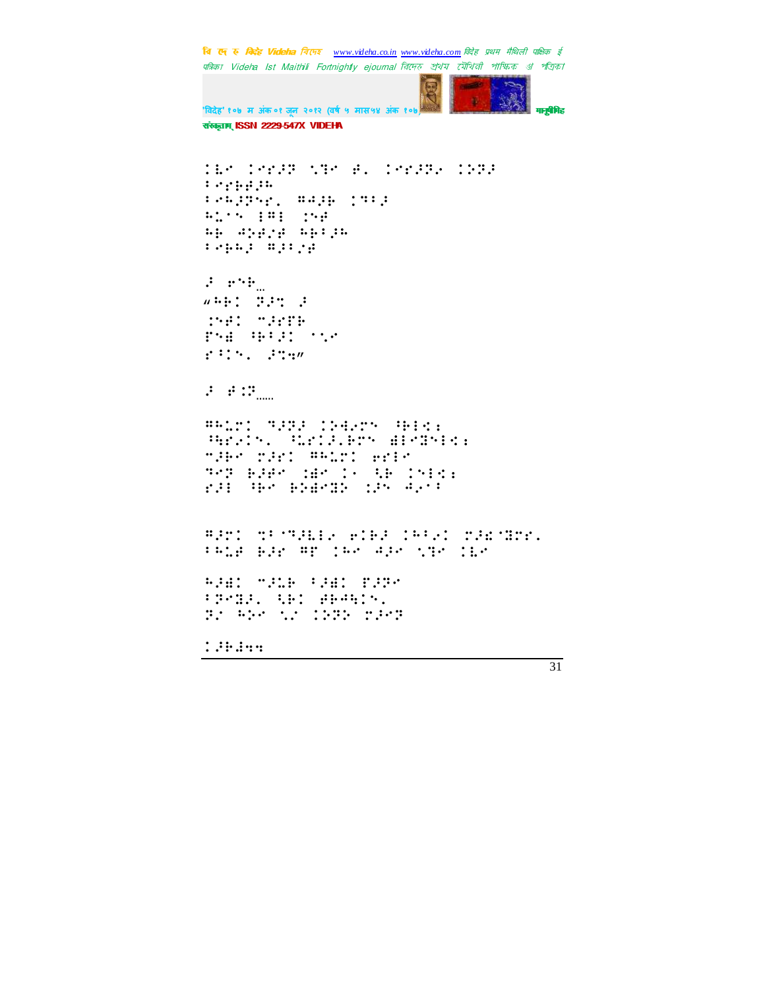```
त्रि एन रु क्रिटेह Videha विएम्ब _www.videha.co.in_www.videha.com विदेह प्रथम मैथिली पाक्षिक ई
पत्रिका Videha Ist Maithili Fortnightly ejournal রিদেহ প্রথম মৌথিনী পাক্ষিক গ্র পত্রিক।
'विदेह' १०७ म अंक ०१ जून २०१२ (वर्ष ५ मास५४ अंक १०७) मानुसार मानुसार कर रही । मानुसार
संस्कृतम् ISSN 2229-547X VIDEHA
\sqrt{2} (100 \sqrt{2} ) \sqrt{2} (100 \sqrt{2} ) \sqrt{2}C"⢷⢾⢼⢳;!
COLORADO COLORADO
SENS : 1951
EC⢷⢳⢼!⢻⢼C4⢾!
\mathbb{R}^n : then
w<sup>1</sup>: 337 3
⣈⢾!`⢼"2⢷!
PHE BRIDE TO
f^{\prime} C f^{\prime} C f^{\prime} C f^{\prime} C f^{\prime}\mathcal{F} \mathcal{F} \mathcal{F} \mathcal{F} \mathcal{F} \mathcal{F} \mathcal{F} \mathcal{F} \mathcal{F} \mathcal{F} \mathcal{F} \mathcal{F} \mathcal{F} \mathcal{F} \mathcal{F} \mathcal{F} \mathcal{F} \mathcal{F} \mathcal{F} \mathcal{F} \mathcal{F} \mathcal{F} \mathcal{F} \mathcal{F} \mathcal{⢻⢳⣅!⢹⢼⢽⢼!⢵⣚⢴!⢸⢷5⣊⣐!
Herita Manisier Welter
"WHAT I SEE THAT I STA
SHE SHE SHE SHE SHE
"c: 0.000 products the control of the control of the control of the control of the control of the control of t
BATI TEPANJANG PIPA IPENING PADA
CALE EST WE CAP ASP NEW TEM
⢳⢼⣞!`⢼⣅⢷!C⢼⣞!2⢼⢽!
CONGE CONGER
31 WHO AND THE 2009
\blacksquare
```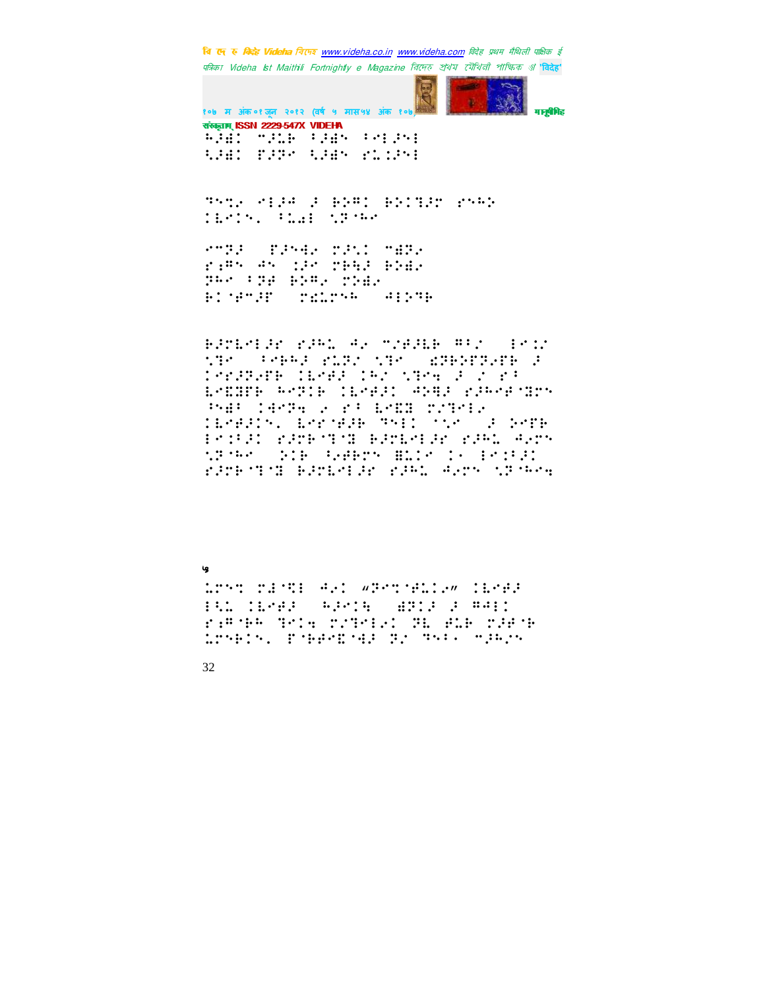

१०७ म अंक०१जून २०१२ (वर्ष ५ मास५४ अंक १०७ संस्कृतम् ISSN 2229-547X VIDEHA **ARE THE MAN PREPT** 1.000 TOP 1.000 CL000

35% 2124 2 BDM: BDINE 2540 TESTAL PEGE SPORT

PTRA ERSE TRI TEL ri<sup>ms as</sup> us real ever **968 : 98 : 828, 228. SERVICE SERVICE** BOOPPIE

BETEMEN VERLOGE MINEREN BRITTERIN the common state that announced a Personal Deal (a) when his ris LADOR WARIE (LABO) SORO KOWARTEN standingspalls at mens proposes<br>Cheapire measure ordinates a perm ESTRI KRYETITI ERVESER KRYET AVYS MPORT SIR RARET BLIP IS PRIPE ranking masseriar rako Avry (Pikra

يى

dryn range A. Newmadew Canal HAN TERRE (APRIL) APID D'AAID ramomenta ruguako gaurrarrage LTSELS, POBBSEORD RD RSPA STREET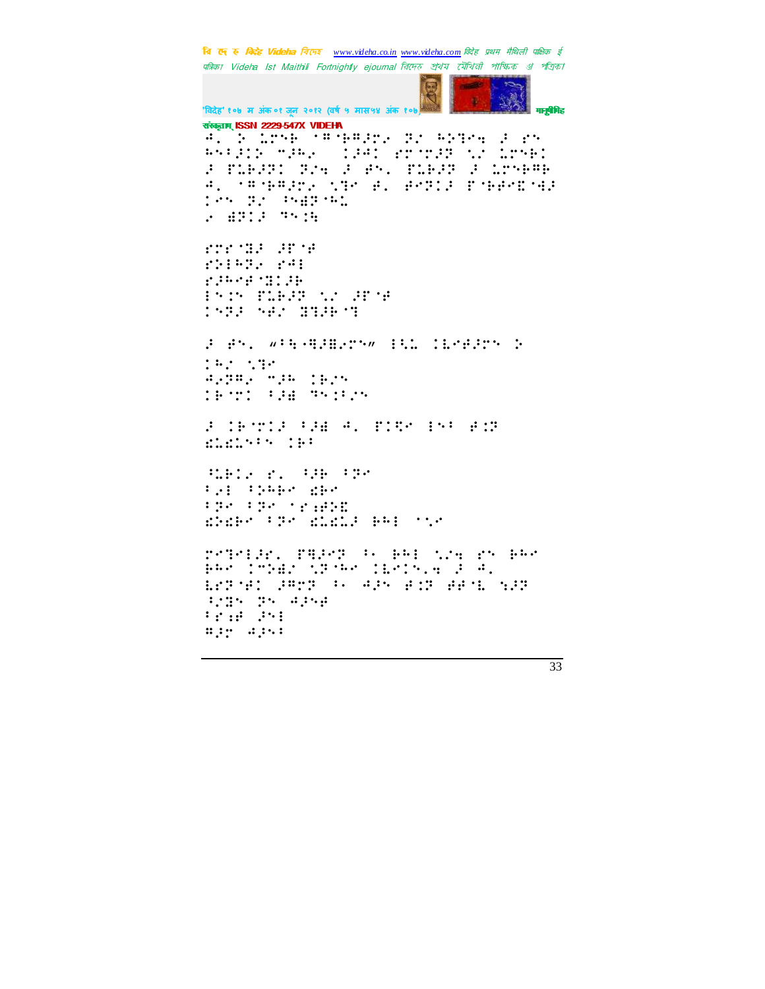$\sim$ 'विदेह' १०७ म अंक ०१ जून २०१२ (वर्ष ५ मास५४ अंक १०७) मानुसीर के सामुवी मिट संस्कृतम् ISSN 2229-547X VIDEHA  $G$   $\overline{G}$   $\overline{G}$   $\overline{G}$   $\overline{G}$   $\overline{G}$   $\overline{G}$   $\overline{G}$   $\overline{G}$   $\overline{G}$   $\overline{G}$   $\overline{G}$   $\overline{G}$   $\overline{G}$   $\overline{G}$   $\overline{G}$   $\overline{G}$   $\overline{G}$   $\overline{G}$   $\overline{G}$   $\overline{G}$   $\overline{G}$   $\overline{G}$   $\overline{G}$   $\overline{G}$   $\$  $\overline{0}$  $F$  . The  $F$  and  $F$  and  $F$  are  $F$  and  $F$  are  $F$ ⢺G!⢻⢷⢻⢼⢴!⣁⣙!⢾G!⢾⢽⢼!2⢷⢾⣏⣚⢼! !⢽4!⢸⣞⢽⢳⣅@! . *SOLO* ""⣝⢼!⢼2⢾! "⢵5⢳⢽⢴!"⢺5! "⢼⢳⢾⣝⢼⢷!!  $5$  \* 2  $\ldots$   $22$   $\ldots$   $22$ ⢽⢼!⢾4!⣝⣙⢼⢷⣙! ⢼!⢾G!"C⣓D⣛⢼⣟⢴"!5⣃⣅!⣇⢾⢼!⢵!  $14.2 \pm 0.34$ **W.PR. 794 (1975)**  $!$  FOR THE THE STATE  $F$  . In the state of  $F$  is the state of  $F$ ⣎⣅⣎⣅C!⢷C;! ⢸⣅⢷⢴."G.⢸⢼⢷!C⢽! Có Cina Che CONTROL COMMAND ⣎⢵⣎⢷!C⢽!⣎⣅⣎⣅⢼!⢷⢳5!⣁!  $5$ 50 G  $5$  G  $5$  G  $5$  G  $5$  G  $5$  G  $5$  G  $5$  G  $5$  G  $5$  G  $5$  G  $5$  G  $5$  G  $5$ HAR (1962) 1974 (1975), S. G. ⣇"⢽⢾!⢼⢻⢽!⢸l!⢺⢼!⢾⣈⢽!⢾⢾⣇!⣑⢼⢽! **AND PRODUCTS** 

C'HE SAI ⢻⢼!⢺⢼C!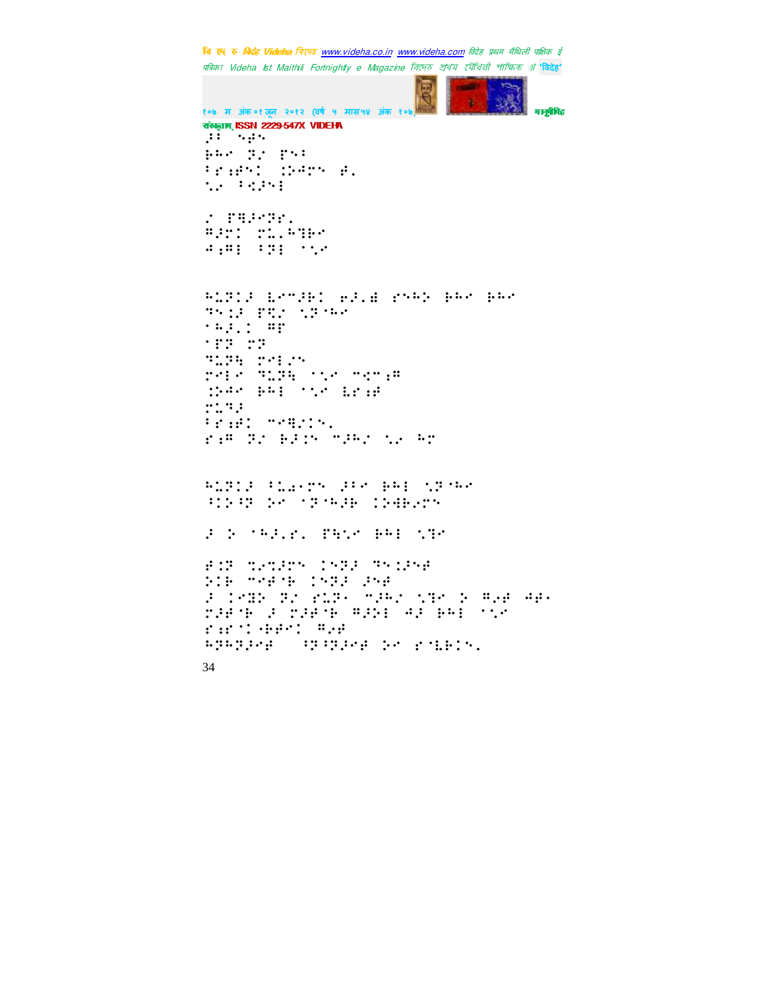**CONTRACTOR** १०७ म अंक ०१जून २०१२ (वष ५ मास५४ अंक १०७) मानुषीिमह संस्कृतम् ISSN 2229-547X VIDEHA ∰∑∯ **PRACES** Chart Care Se Segment 4!2⣛⢼⢽"G;.! **WEST CONFIDENTIAL**  $\overline{3}$   $\overline{3}$   $\overline{1}$   $\overline{1}$   $\overline{2}$   $\overline{3}$   $\overline{1}$   $\overline{2}$   $\overline{3}$   $\overline{3}$   $\overline{3}$   $\overline{4}$   $\overline{5}$   $\overline{5}$   $\overline{2}$   $\overline{3}$   $\overline{4}$   $\overline{5}$   $\overline{2}$   $\overline{5}$   $\overline{2}$   $\overline{5}$   $\overline{2}$   $\overline{5}$   $\overline{2$ ⢳⣅⢽⢼!⣇`⢼⢷!⢶⢼G⣞!"⢳⢵!⢷⢳.⢷⢳! ⢹⣈⢼!2⣋4!⣁⢽⢳;! ⢳⢼G!⢻2! 222 23

⢹⣅⢽⣓!54! 5!⢹⣅⢽⣓!⣁!`⣊`⣐⢻! ⣈⢵⢺!⢷⢳5!⣁!⣇"⣐⢾!  $\left\langle \mathbf{r},\mathbf{r},\mathbf{r}\right\rangle$ COMMENT CONTROL "⣐⢻!⢽4!⢷⢼⣈!`⢼⢳4!⣁⢴!⢳!

 $^+$  COUPSE IN THE SERVICE IN THE SERVICE IN THE SERVICE IN THE SERVICE IN THE SERVICE IN THE SERVICE IN THE S ⢸⢵⢸⢽!⢵!⢽⢳⢼⢷!⢵⣚⢷⢴!!

 $F: T \to T$  (Fig. s)  $T$  (Fig. s) (Fig. s) (Fig.

⢾⣈⢽!⣉⢴⣉⢼!⢽⢼!⢹⣈⢼⢾!  $\overline{C}$  :  $\overline{C}$   $\overline{C}$   $\overline{C}$   $\overline{C}$   $\overline{C}$   $\overline{C}$   $\overline{C}$   $\overline{C}$   $\overline{C}$   $\overline{C}$   $\overline{C}$   $\overline{C}$   $\overline{C}$   $\overline{C}$   $\overline{C}$   $\overline{C}$   $\overline{C}$   $\overline{C}$   $\overline{C}$   $\overline{C}$   $\overline{C}$   $\overline{C}$   $\overline{C}$   $\overline$ ⢼!⣝⢵!⢽4!"⣅⢽l!`⢼⢳4!⣁⣙!⢵!⢻⢴⢾!⢺⢾l! ⢼⢾⢷!⢼!⢼⢾⢷!⢻⢼⢵5!⢺⢼!⢷⢳5!⣁! "⣐"D⢷⢾!⢻⢴⢾;! ⢳⢽⢳⢽⢼⢾-!⢸⢽⢸⢽⢼⢾!⢵!"⣇⢷G!!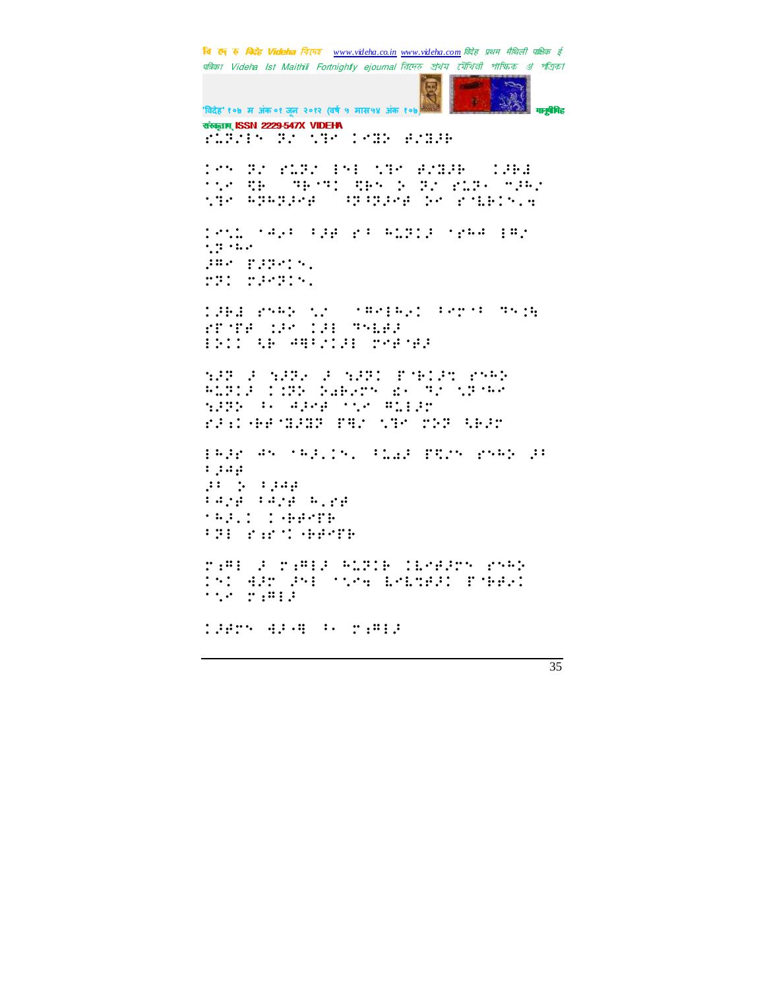**CONTRACT** 

'विदेह' १०७ म अंक ०१ जून २०१२ (वर्ष ५ मास५४ अंक १०७) मानुसीर के सामुवी मिट संस्कृतम् ISSN 2229-547X VIDEHA "⣅⢽45!⢽4!⣁⣙!⣝⢵!⢾4⣝⢼⢷! !~~ P. 202. ISB 191 \ T. 2010 | S. 2010 | ISB  $^{\prime}$   $^{\prime}$   $^{\prime}$   $^{\prime}$   $^{\prime}$   $^{\prime}$   $^{\prime}$   $^{\prime}$   $^{\prime}$   $^{\prime}$   $^{\prime}$   $^{\prime}$   $^{\prime}$   $^{\prime}$   $^{\prime}$   $^{\prime}$   $^{\prime}$   $^{\prime}$   $^{\prime}$   $^{\prime}$   $^{\prime}$   $^{\prime}$   $^{\prime}$   $^{\prime}$   $^{\prime}$   $^{\prime}$   $^{\prime}$   $^{\prime}$   $^{\prime}$   $^{\prime}$   $^{\prime}$   $^{\prime}$ ⣁⣙!⢳⢽⢳⢽⢼⢾-!⢸⢽⢸⢽⢼⢾!⢵!"⣇⢷G⣒! 105‰ Property of the Constitution of the Constitution of the Constitution of the Constitution of the Constitutio  $\gamma$  ,  $\gamma$  ,  $\gamma$  ,  $\gamma$ ⢼⢻.2⢼⢽G! THE TESTING ⢼⢷⣜!"⢳⢵!⣁4-!⢻5⢳⢴!CC!⢹⣈⣓;! "22⢾!⣈⢼!⢼5!⢹⣇⢾⢼! 5⢵!⣃⢷!⢺⣛C4⢼5!⢾⢾⢼! ⣑⢼⢽!⢼!⣑⢼⢽⢴!⢼!⣑⢼⢽!2⢷⢼⣉!"⢳⢵! ⢳⣅⢽⢼!⣈⢽⢵!⢵⣔⢷⢴!⣎l!⢹4!⣁⢽⢳;! ⣑⢼⢽⢵!⢸l!⢺⢼⢾!⣁!⢻⣅5⢼!  $'$ 5⢳⢼"!⢺!⢳⢼GG!C⣅⣔⢼!2⣋4!"⢳⢵!⢼C!  $\blacksquare$  $\mathbf{P} = \mathbf{C} \cdot \mathbf{C}$ C⢺4⢾.C⢺4⢾!⢳G"⢾! ⢳⢼G!D⢷⢾2⢷!! CH SINGLE ⣐⢻5!⢼!⣐⢻5⢼!⢳⣅⢽⢷!⣇⢾⢼!"⢳⢵! !⣚⢼!⢼5!⣁⣒!⣇⣇⣉⢾⢼!2⢷⢾⢴! ↑ LP (F) : F(F) ⢼⢾!⣚⢼D⣛!⢸l!⣐⢻5⢼!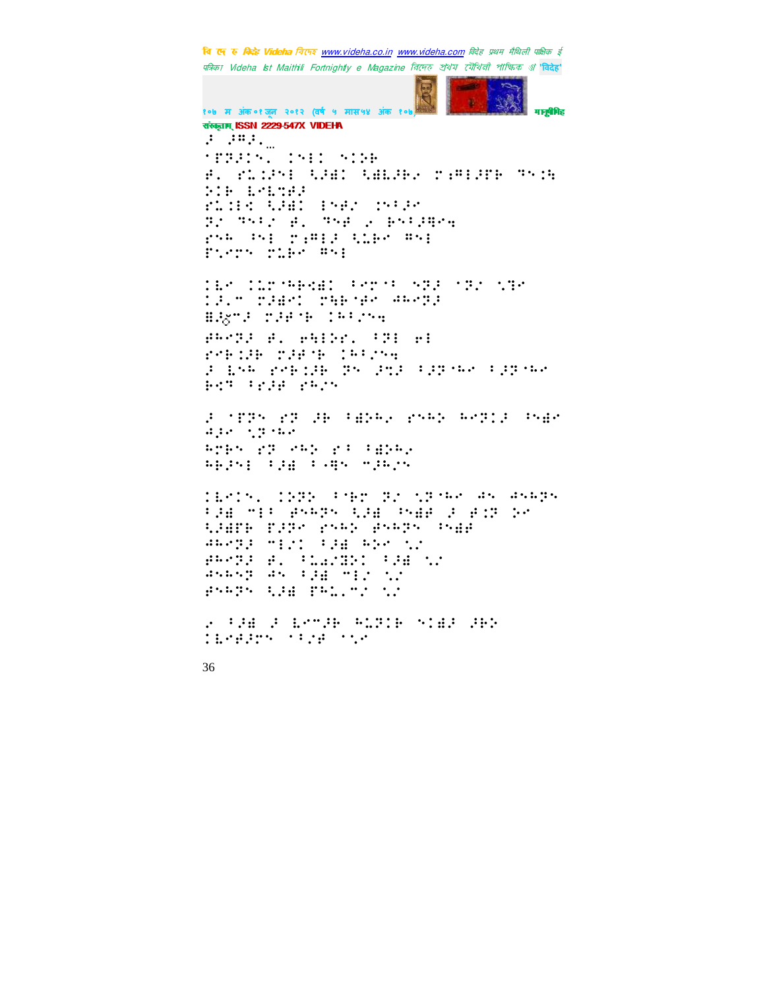

संस्कृतम् ISSN 2229-547X VIDEHA  $\mathbb{R}^n \times \mathbb{R}^n$  . 1PRESS (1911-9198) ⢾G!"⣅⣈⢼5!⣃⢼⣞!⣃⣞⣇⢼⢷⢴!⣐⢻5⢼2⢷!⢹⣈⣓!  $\overline{C}$ "SLIE WEE 1982 TRIE  $T$   $\bar{C}$   $\bar{C}$   $\bar{C}$   $\bar{C}$   $\bar{C}$   $\bar{C}$   $\bar{C}$   $\bar{C}$   $\bar{C}$   $\bar{C}$   $\bar{C}$   $\bar{C}$   $\bar{C}$   $\bar{C}$   $\bar{C}$   $\bar{C}$   $\bar{C}$   $\bar{C}$   $\bar{C}$   $\bar{C}$   $\bar{C}$   $\bar{C}$   $\bar{C}$   $\bar{C}$   $\bar{C}$   $\bar{C}$   $\bar{C}$   $\$  $\overline{\mathbb{R}}$ 4.  $\overline{\mathbb{R}}$   $\overline{\mathbb{R}}$   $\overline{\mathbb{R}}$   $\overline{\mathbb{R}}$   $\overline{\mathbb{R}}$   $\overline{\mathbb{R}}$   $\overline{\mathbb{R}}$   $\overline{\mathbb{R}}$   $\overline{\mathbb{R}}$   $\overline{\mathbb{R}}$   $\overline{\mathbb{R}}$   $\overline{\mathbb{R}}$   $\overline{\mathbb{R}}$   $\overline{\mathbb{R}}$   $\overline{\mathbb{R}}$   $\overline{\mathbb{R}}$   $\overline{\mathbb{R}}$   $\overline$ **Pier Pier Pie** 

 $\frac{1}{16}$   $\frac{1}{16}$   $\frac{1}{16}$   $\frac{1}{16}$   $\frac{1}{16}$   $\frac{1}{16}$   $\frac{1}{16}$   $\frac{1}{16}$   $\frac{1}{16}$   $\frac{1}{16}$   $\frac{1}{16}$   $\frac{1}{16}$   $\frac{1}{16}$   $\frac{1}{16}$   $\frac{1}{16}$   $\frac{1}{16}$   $\frac{1}{16}$   $\frac{1}{16}$   $\frac{1}{16}$   $\frac{1}{16}$   $\$  $G: C \to C$  . The construction of  $G$ ⣟⢼◌ॅ`⢼!⢼⢾⢷!⢳C4⣒!

⢾⢳⢽⢼!⢾G!⢶⣓5⢵"G!C⢽5!⢶5!! "⢷⣈⢼⢷!⢼⢾⢷!⢳C4⣒!  $F$  in the set of  $F$  in the set of  $F$  in the set of  $F$  in the set of  $F$ ⢷⣊⢹.C"⢼⢾!"⢳4!

⢼!2⢽!"⢽!⢼⢷!C⣞⢵⢳⢴!"⢳⢵!⢳⢽⢼!⢸⣞!  $\mathcal{A}$  gives the properties ₩TEN 27 PEN 25 PEN 1 BEJN! CJE CHE HIN MJB2N

⣇G!⢵⢽⢵!⢸⢷!⢽4!⣁⢽⢳!⢺!⢺⢳⢽! C�� ischer Gourse Communications of the Communications of the Communications of the Communications of the Comm **WEEN PART OF THE PROPERTY IN THE PROPERTY IN THE PROPERTY IN THE PROPERTY IN THE PROPERTY IN THE PRO** ⢺⢳⢽⢼!`54!C⢼⣞!⢳⢵!⣁4! ∄W~99 W. P. Parto 99 (198 M. GRANG GRANG SING SING S ⢾⢳⢽!⣃⢼⣞!2⢳⣅G`4!⣁4!

 $\sim$  0.00  $\pm$  0.00  $\sim$  0.00  $\sim$  0.00  $\sim$  $\frac{1}{2}$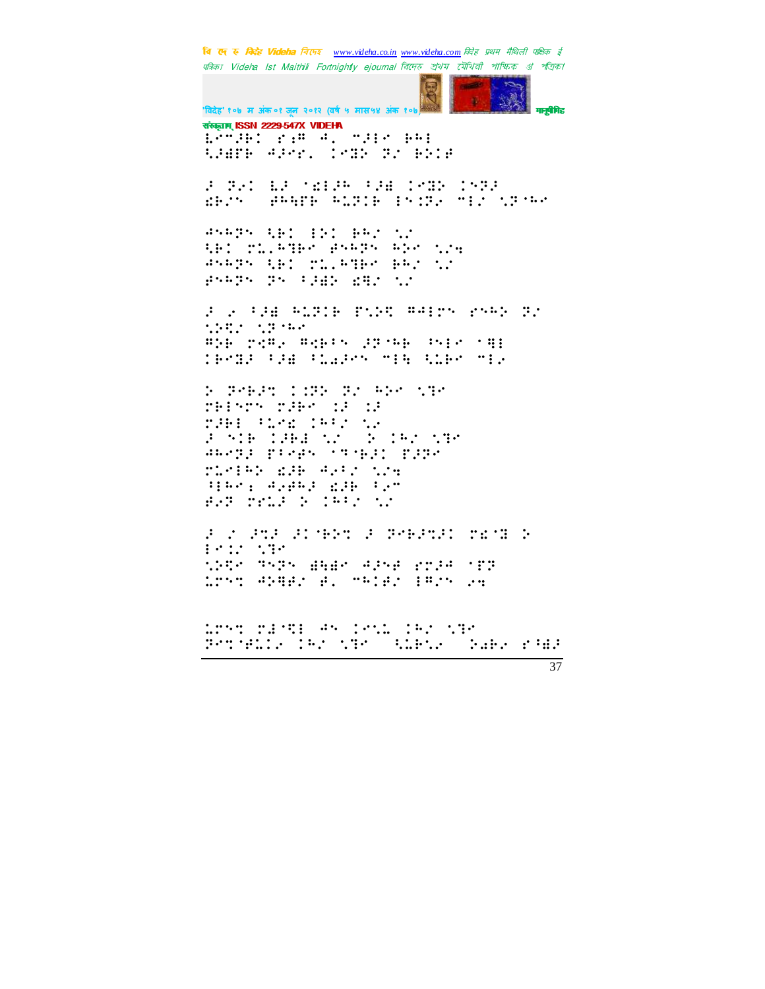वि एक रु मिनेह Videha विएक www.videha.co.in www.videha.com विदेह प्रथम मैथिली पाक्षिक ई पत्रिका Videha Ist Maithili Fortnightly ejournal রিদেহ প্রথম মৌথিনী পাক্ষিক প্র পত্রিকা

**September** मनुषेपिह 'विदेह' १०७ म अंक ०१ जून २०१२ (वर्ष ५ मास५४ अंक १० संस्कृतम् ISSN 2229-547X VIDEHA EPTHI FAR AT THE BAL tann ger fur no bid F BALLEY MIRE FRE 1882 1882 ERS PRAIR RUSSE ENTRANSES NESS **ANADY WEIGHT BASES** WI TEATHY PAPA AND MA ANAPN GEI MILATER BAZ NI **BAADA DA FJED 282 12** I . TH WILL TIM WHIT PART IN **SERVICE MAY** BH 2082 BOBIN CROBE DIR 188 thend the things will the wil 5 POEPS LORE RE PEC STO THINTS THE SACTO idel (1920) 1472 (D)<br>John Cleanor (1930) 147 (193 ARABI PEARS STORI PIPA TESTAR RIB APIC NOR SIRA ESPARA SARSIA<br>BARSIMAR DE CREZ SO a d'ana almern a ameanal reme r 18:12-0115 three monominate agost space frn LTST ANGER B. MACHI BRIS 24 MOVEMENT AN INCLUSIVER Berghile Car wie Walkie (\* Saby Pidd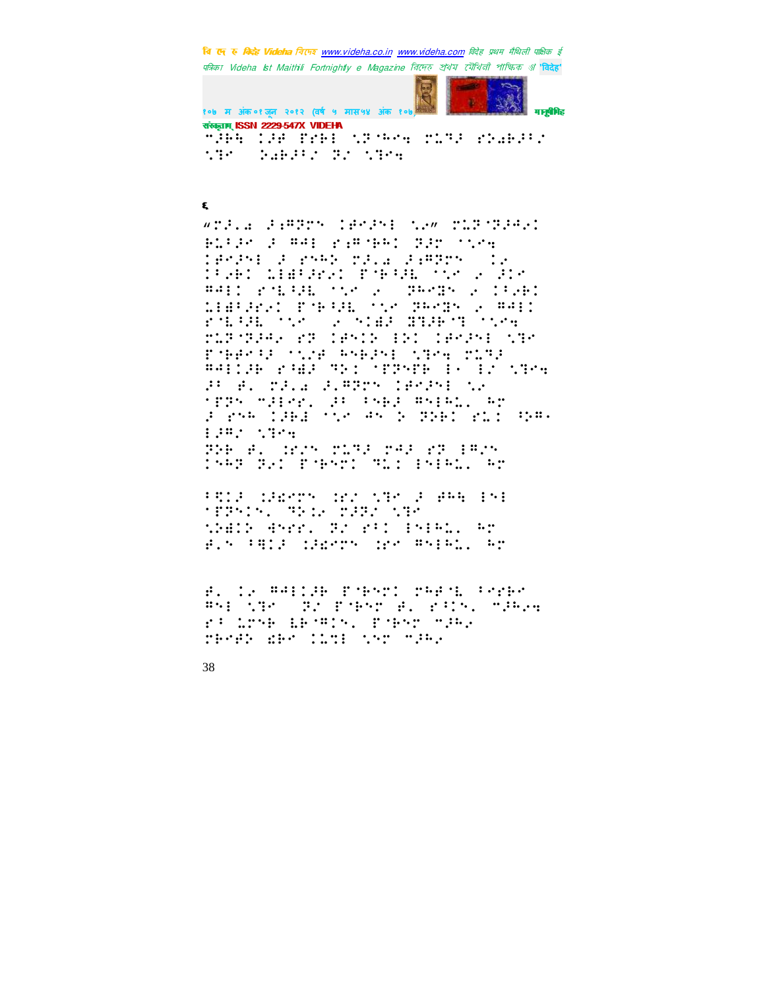बि ए रु क्रिटे Videha विएक www.videha.co.in www.videha.com बिरेह प्रथम मैथिली पाक्षिक ई पत्रिका Videha Ist Maithili Fortnightly e Magazine রিদেক প্রথম মৌথিনী পাক্ষিক প্র' 'विदेह'



१०७ म अंक०१जून २०१२ (वर्ष ५ मास५४ अंक १०७) संस्कृतम् ISSN 2229-547X VIDEHA

màin 198 froi sanna roga reabas the Sample Britannic

£

wrald admonstrated the riproduct Bille Power Partner Sir Stee TEMPER PROPERTY PERMITTED CEARD INNEARAT PORTAGE TO A VIC RAID POLICE ON 2007-RATH 2001-201 LIBRARY PORTH ON PROBLEM RED FOR PRODUCT OF STREET REPORTS MIRTRAG FROM HALL LEGAL CRO PORPOR STAR ROBERT TEMP PLAS ##1126 PAGE MSI TEMPE 16 12 NBMH FROM THE PUBLICATION OF PROPERTY SPPS MPEREL PROPERTIES AN directing the self-printings. 1982 5389 FRE B. MCM TLEF THE PF 1825 1542 Bal Pobsei Shi Balkhi Ar

FRIE MESTY HIS NES FORM END **MERNING REGALIZED NEW** their dynn, ar nai 1914. An B.N. FRIE (Berry 188 Animal, Ar

B. De WALLER PORTO THEOR PREP BAL ANY THAT HE FAIRS THEM r: 1758 BESEN, FSBST 5862 TRANK WHAT INTERNATIONAL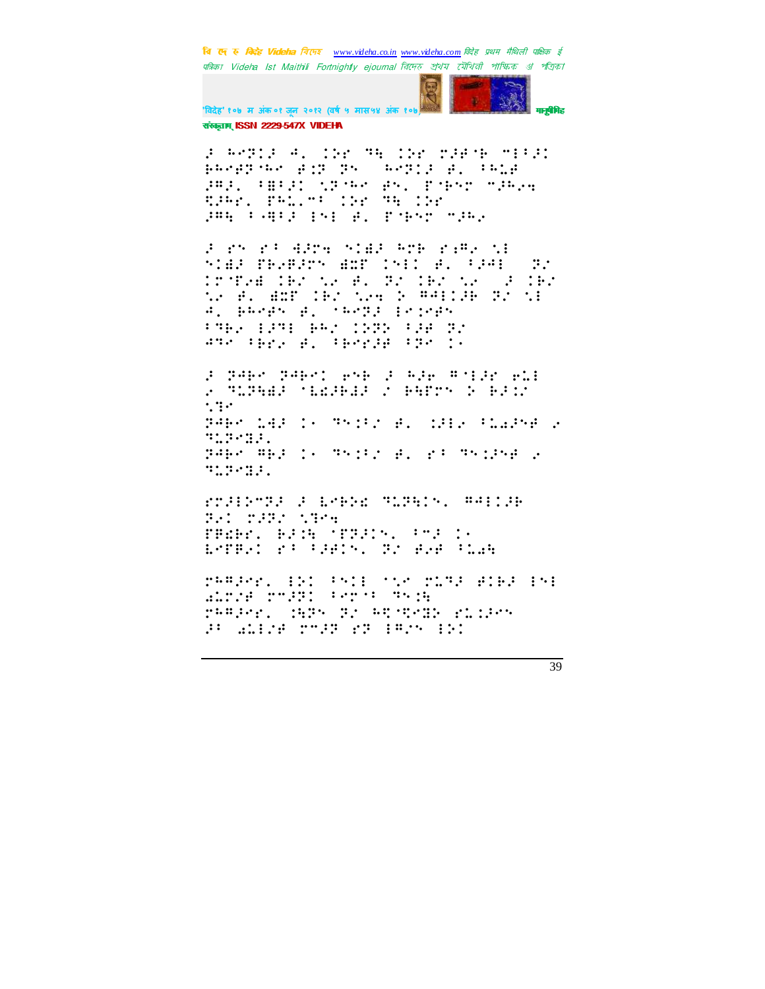चि एक रु *विदेह Videha चिए*न्छ <u>www.videha.co.in www.videha.com</u> विदेह प्रथम मैथिली पाक्षिक ई पत्रिका Videha Ist Maithili Fortnightly ejournal রিদেহ প্রথম মৌথিনী পাক্ষিক গ্র পত্রিক।



'वदेह' १०७ म अंक ०१ जून २०१२ (वष ५ मास५४ अंक १०७) मानुषीिमह संस्कृतम् ISSN 2229-547X VIDEHA

 $\mathcal F$  = From F. O. St. (Sec. ) is the state of the state of the state of the state of the state of ⢷⢳⢾⢽⢳!⢾⣈⢽!⢽-!⢳⢽⢼!⢾G!C⢳⣅⢾! ⢼⢻⢼G!C⣟C⢼!⣁⢽⢳!⢾G!2⢷!`⢼⢳⢴⣒! ⣋⢼⢳"G!2⢳⣅G`C!⢵".⢹⣓!⢵"! ⢼⢻⣓!CD⣛C⢼!55!⢾G!2⢷!`⢼⢳⢴!

 $F$  and the first problem  $F$  and  $F$  is the set of  $F$ ⣞⢼!2⢷⢴⢿⢼!⣞⣍2!5!⢾G!C⢼⢺5.!⢽4! 10 TEAM IRANGA PANGEAN NANG PINAS  $\sim$  4. ANT (F. N. 1988)  $\sim$  4911.28 (F. N.)  $G$ , proposed in the set of  $G$ THE CHUIST CONTROL HTP (FRE) #. FRPEJ# (FRP)1.

⢼!⢽⢺⢷.⢽⢺⢷!⢶⢷!⢼!⢳⢼⢶!⢻5⢼"!⢶⣅5! ⢴!⢹⣅⢽⣓⣞⢼!⣇⣎⢼⢷⣜⢼!4!⢷⣓2!⢵!⢷⢼⣈4!  $\cdot$ ; :: ⢽⢺⢷!⣅⣚⢼!l!⢹⣈C4!⢾G!⣈⢼5⢴!C⣅⣔⢼⢾!⢴! ⢹⣅⢽⣝⢼G! ⢽⢺⢷!⢻⢷⢼!l!⢹⣈C4!⢾G!"⢸!⢹⣈⢼⢾!⢴! ⢹⣅⢽⣝⢼G!

"⢼5⢵`⢽⢼!⢼!⣇⢷⢵⣎!⢹⣅⢽⣓G!⢻⢺5⢼⢷! **We will develop the control** IPERIS, RESUM (IPERIS, PTE I). LATRAD (200) PAC RAD PLANT

⢳⢻⢼"G!5⢵!C5!⣁!⣅⢹⢼!⢾⢷⢼!55! **WEDE PRESS FRIE READ** THE GENERAL GENERAL SERVICE  $F = 15.1$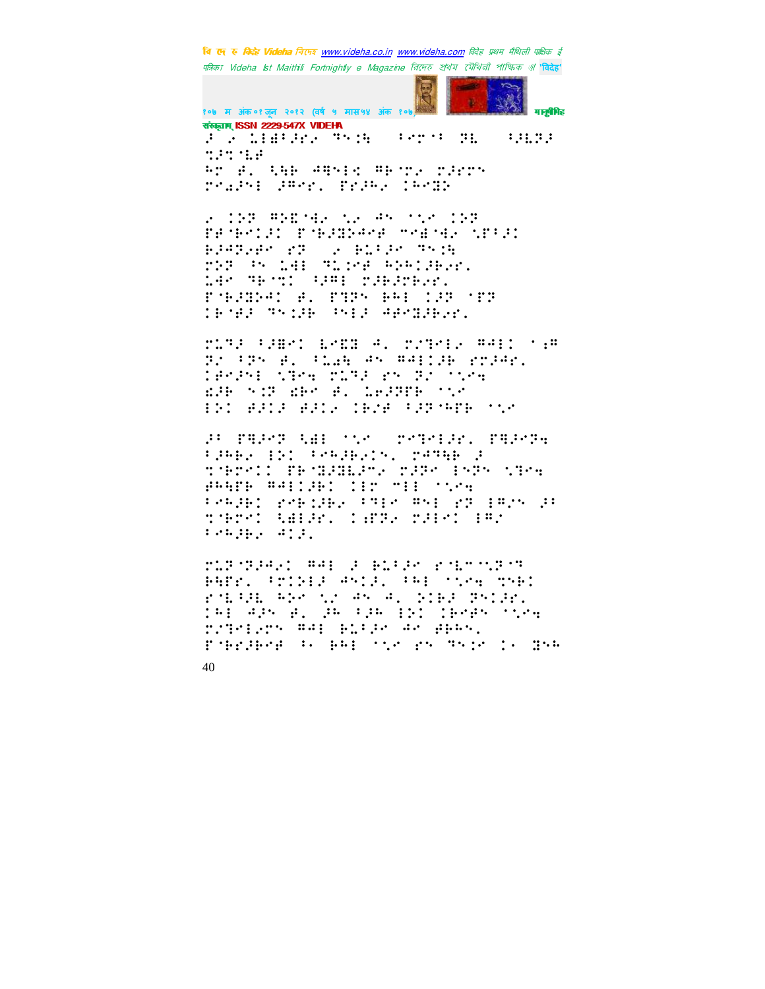बि एक रु क्विहे Videha विरफ्श www.videha.co.in www.videha.com बिरेह प्रथम मैथिली पाक्षिक ई पत्रिका Videha Ist Maithili Fortnightly e Magazine রিদেক প্রথম মৌথিনী পাক্ষিক প্র' 'विदेह'

**Separate**  $\mathcal{G}$ १०७ में अंक०१ जून २०१२ (वर्ष ५ मास५४ अंक १०७) मानुबेगिह

संस्कृतम् ISSN 2229-547X VIDEHA COMMENTARY THIS  $\sim 3.8 \pm 0.002$  $1, 1, 2, 3, 4$ **MANY MEET** RE B. AND ARMER ABOVE CHECK reach: Smer, Brime (Aed)

a composition of a service of rement russee management BISTORY 87 & BLIDE THIS MAR PY LAB SLOWE ANALOGAN. 145 TEST (1891 TABATER) PORTHOL B. PRY PHE CAR YPR TROPE TRIP PHIP APOIPER.

MINE FRANCISCHE AL MINER AARD SAA Br (Pr A. (Lab Ar Addish rrad) DESPERSENT DURE EN PLOTISE ER STER EN EL LEPPE MA EST BRID BRID CROB FROM THE SOM

30 PRACE AND SAME SYSTEMS PRACES fjar, 191 feagrain, range p THEFT PROBLEM THE PAPE CHA **PRED RAILED IN THE TIME** FRAGE PRESER FREE #51 PR 1#25 PF threl GHIR. LATR rHel (#2 Penggi att.

MIRTING WHO FELLE FINDS BATE, PRIDED ANIEL PAE STRA THE PAINE BEST AN ANTAL EIGHT PRIES. ter ags al de fae rol tange som rinerary map phone as game. Porting to had the short products die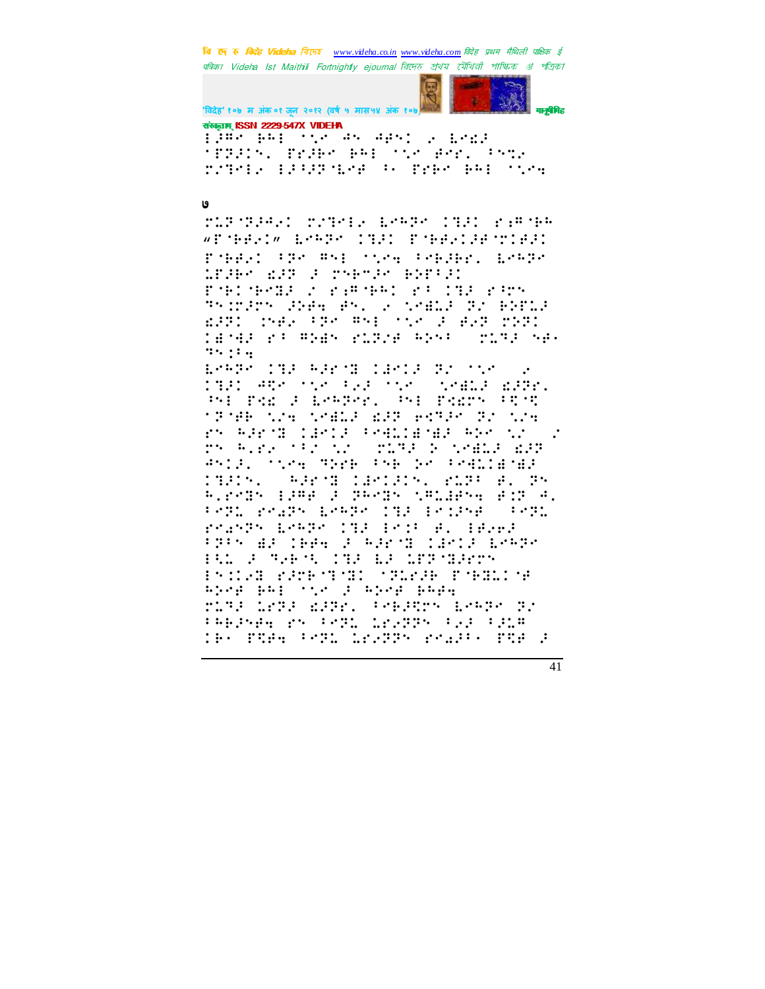वि एक रु मिनेह Videha विएक www.videha.co.in www.videha.com विदेह प्रथम मैथिली पाक्षिक ई पत्रिका Videha Ist Maithili Fortnightly ejournal রিদেহ প্রথম মৌথিনী পাক্ষিক প্র পত্রিকা



### 'विदेह' १०७ म अंक ०१ जून २०१२ (वर्ष ५ मास५४ अंक १०७ संस्कृतम् ISSN 2229-547X VIDEHA

ijar pal sur as apsi 2 brod SPREDS, Premier man stronger, Park rately laggedy as reposite the

#### وا

richteer rathe beer (tel rather WP 1992: A LARGA (1991) P 1992139 121919 PORT OF THE CONTROL OF THE LOTS March Mar Bornbrac Billi PORTGABLE 2 STARTED STOCKERS Thirley left for a third In Berli EPPI THE FRAMENE TO PURPETREE *land roman ruthe* Absc  $\mathbb{R}^n$  . The first part of  $\mathbb{R}^n$  $25.214$ 

EMPROVIS PROSECUTION ROOMS **TARI AGA STA PAR STA STARDE REPR.** PH Per Planeter, PH Perry Pro **TRIB WA WELF EST FORM ROOMS** rn Albert (1813) Pedicards Abertin re alre dan dr. riga e demia 235 ANIEL TOME MOVE THE OWNER ENERGY 1921-2 - R2278 (1971-2152 2023) 82 25<br>R22785 (288 2 25785 5821854 812 32 PARL PALEN EARRA INF PAIRSE (PARL reandy bende (MI Pell B. BRANK FRAN AR CEPA (P. REPNA CANCE APROX **BELLE THE RESIDENT SERVICE** PRIZE REPRODUCTEDE POBLICE RDAR BRI SNA 2 RDAR BRAG ring 1838 East, Person Lease St PRESSEN PROPERTIES IN PARTIES <u> 16. PRA 1971 12.775 PRAIL PRA 1</u>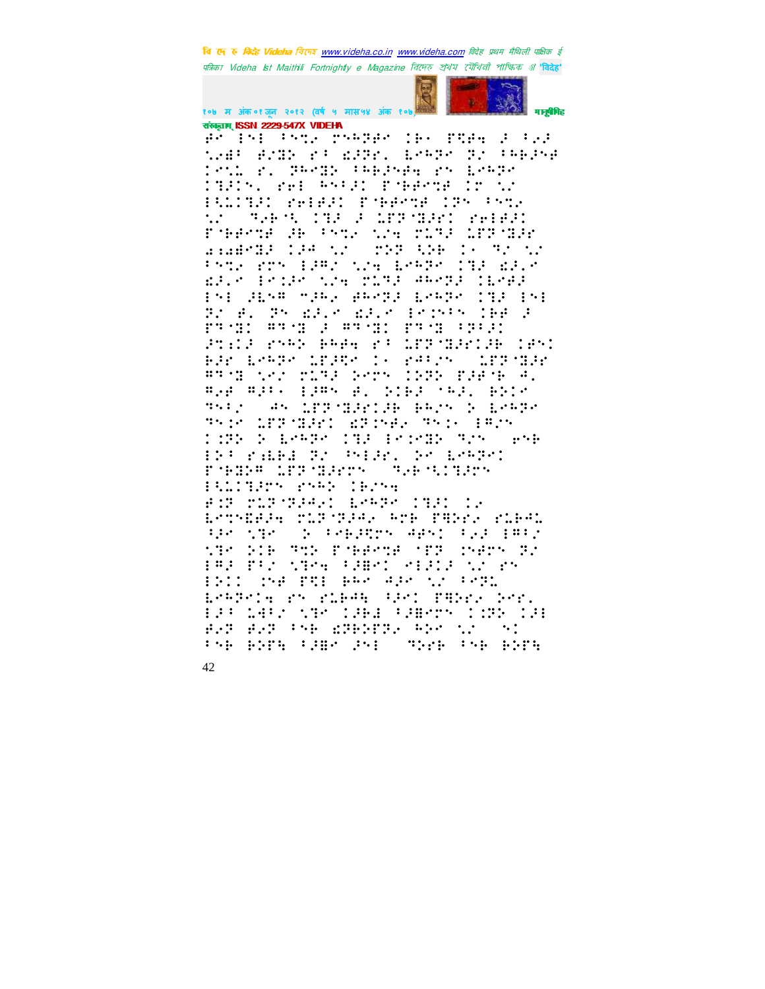बि एक रु क्विहे Videha विएक www.videha.co.in www.videha.com बिदेह प्रथम मैथिली पाक्षिक ई पत्रिका Videha Ist Maithili Fortnightly e Magazine রিদেক প্রথম মৌথিনী পাক্ষিক প্র' 'विदेह'

१०७ म अंक०१जून २०१२ (वर्ष ५ मास५४ अंक १०७) संस्कृतम् ISSN 2229-547X VIDEHA



añ 151 fork romane (B) freg d'fra WHE BIZE PE BIZEN LOADS IN FARING Chi : Throma (Abjects 1961) **TAIN, rel ANGAN Preach In th** HALTED PRIES PORFOR ITS PSTA WT RASKINA A DRAGAN PANAN Pobene de Province oute 182700 anaksi 194 trundsis 196 197 tru Province famouse beach ina sale ale frugiska binā akrašīnāji 151 JEST MJRA BRADI EARDA (1920151)<br>DA BLODS WILLA WILLA EARSES (1880) radi est a esti radi est Price and beem all dry derive cent Bar Leage LEAGe () rather LEGERA #3 N YAY TESA YATA INGGUNE 4. Ref Rate 1985 B. Siba (Ra. 1930) 1983 - An LEGOLAE, BRING LANGA<br>1983 LEGOLAE (2019-2019) 1983 - ERIN 1985 - Berge (1920-1998) (2000) and<br>1995 - Albu (2000) (1912-1990-1990-1991) FORDE AND MARTY (PAROLIBES) HISTORY PRES INTE BOR TORONGAL BANK THE TO Berndale rubries are possible coat SPOINTED IN PERSONARY PRESENTED the bib and pobgeng off charm by PROTECTIVE ERROR MEDIATORY ESIL MA PRE BRACHEM NACHAPD ESPECIE PROPERTIES TERRY PERSON EPP LAFT NORTHERN FRENCH (1998-198 BAN BAN PAR ENDING WAS STOLEN. <u> 156 6226 1385 251 - 7236 156 6226</u>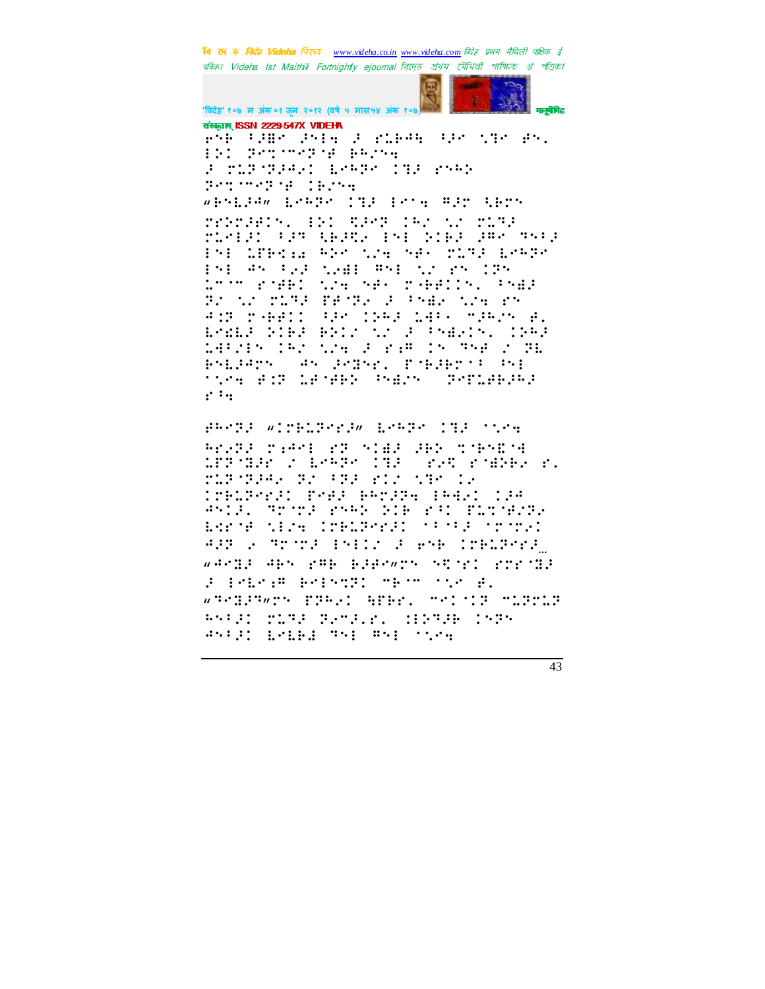वि एक रु मिनेह Videha विएक www.videha.co.in www.videha.com विदेह प्रथम मैथिली पाक्षिक ई पत्रिका Videha Ist Maithili Fortnightly ejournal রিদেহ প্রথম মৌথিনী পাক্ষিক প্র পত্রিকা



'विदेह' १०७ म अंक ०१ जून २०१२ (वर्ष ५ मास५४ अंक १०।

संस्कृतम् ISSN 2229-547X VIDEHA PSE FJER JSTA I PLEAR TIR NTK BS. ESI Benceste Barne 2 rifered beer (np ree 20100202010200 weshing heade the Essa App ters

rebraath, abi gang tahun rugs MATRI FRA GERG THE SIER PAG AND InfoResia Recovery March Engel PAP 45 PAR SAMP RSP STORY IPS 1-7- ruel (24 se créelos) pseu Bronzolle Bronzolle (1962) the reand raggin and her 1962 the Schedule.<br>Ermed bieg ebit st g Sheris, 1963 LARVER TROUVER & SAM IN THE 2008 Brigann (an Grand, Pobler (8) 851 tive for Lever (med) (Proceede  $\mathbf{r}$  in

HRATE WITHINGS LARTA ITE STAR REVER COPPER EN SIER REPORTENENE LEP MAR (2) LEAPEN (TEA) (2005) 2012160 201 TERMINAL RESIDENCE CHANNEL **CONSIGNATIONS INCOME INC.**  $\mathbb{R}^2$  .  $\mathbb{R}^2$ ANIEL RECEE PNAD DIA PAIL PLECHER Edrif Mich (Crelland) (Financric) APP 2 MOVOS ENELY 2 BNB ISBN2012 werds en ren hadrach schrieder da F PALAGE BAPACK: MB M TOA B. whereway range areas which weaker PRESS MINE RANGER, HENGE 1888 WARRENT EPERSONAL MAI (1959)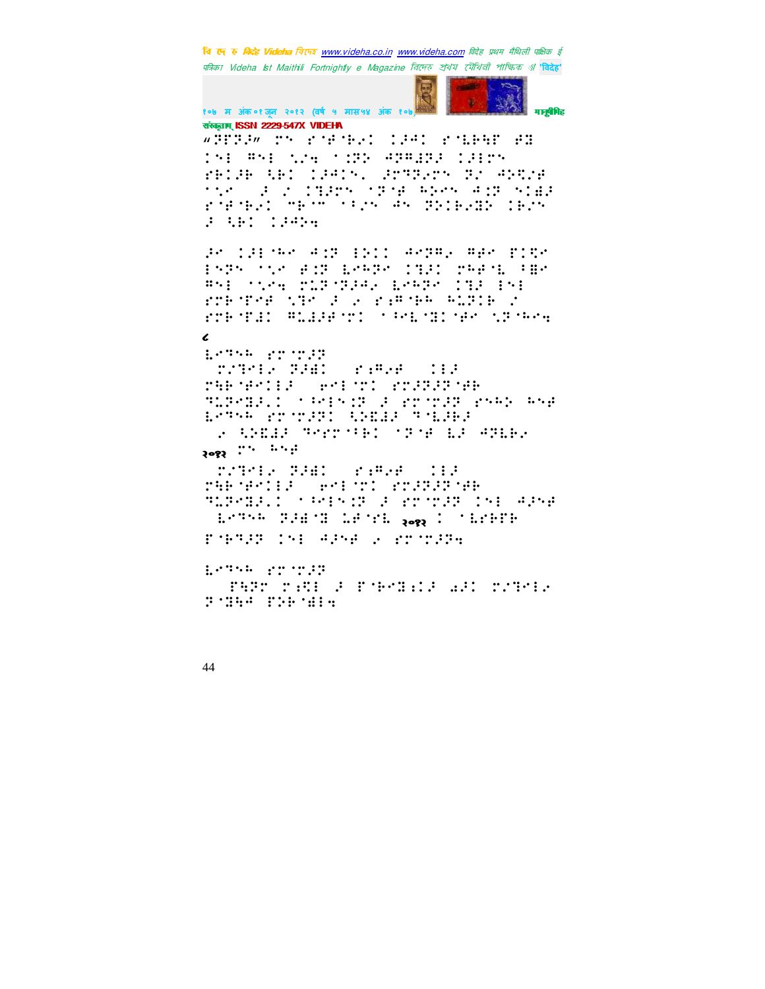बि एक रु क्विहे Videha विरफ्श www.videha.co.in www.videha.com बिरेह प्रथम मैथिली पाक्षिक ई पत्रिका Videha Ist Maithili Fortnightly e Magazine রিদেত প্রথম মৌথিনী পাক্ষিক প্র' 'विदेह'



संस्कृतम् ISSN 2229-547X VIDEHA wPPP3w rr rieies lag riege de 151 #51 524 5122 #P#283 131r5 abide Abi (delk) danguar gu extua<br>152 - d'un logar (deng extre els rigu<br>acadeul cent (dur er gulbugu leur) **FARI 19954** 

an tarnen Admirti Andma man pich PAPA TER BER ERAPA TERI PARTE FER #5: TV5: MIP THAN ESPECTIVE IS: robject that a constant where a FOR THE PLEASURE SERVICE THAN 12 MAY

### $\epsilon$

Letter group: Crimer Bar  $\mathcal{L}:\mathbb{R}\times\mathbb{R}\rightarrow\mathbb{R}\times\mathbb{R}$ MARTIN POINT MORRISH hirdali) verso a roman resposa ESTAR POSTERI SPELE TALERE S CHAIR TERRITORY (TRIAL ATLAS  $2022$  ...  $\cdots$  ... **TIME SHIP SHOW IN** reportif which refer we RIPERII SPENIR F PROPRIE PROF

ESTAR PRESENTENE <sub>Ro</sub>g I SEPPER response the speed and contra

ESTAR PROPER THIS SHIP I FAMILIA AN SAINA **SYNCH PREMIER**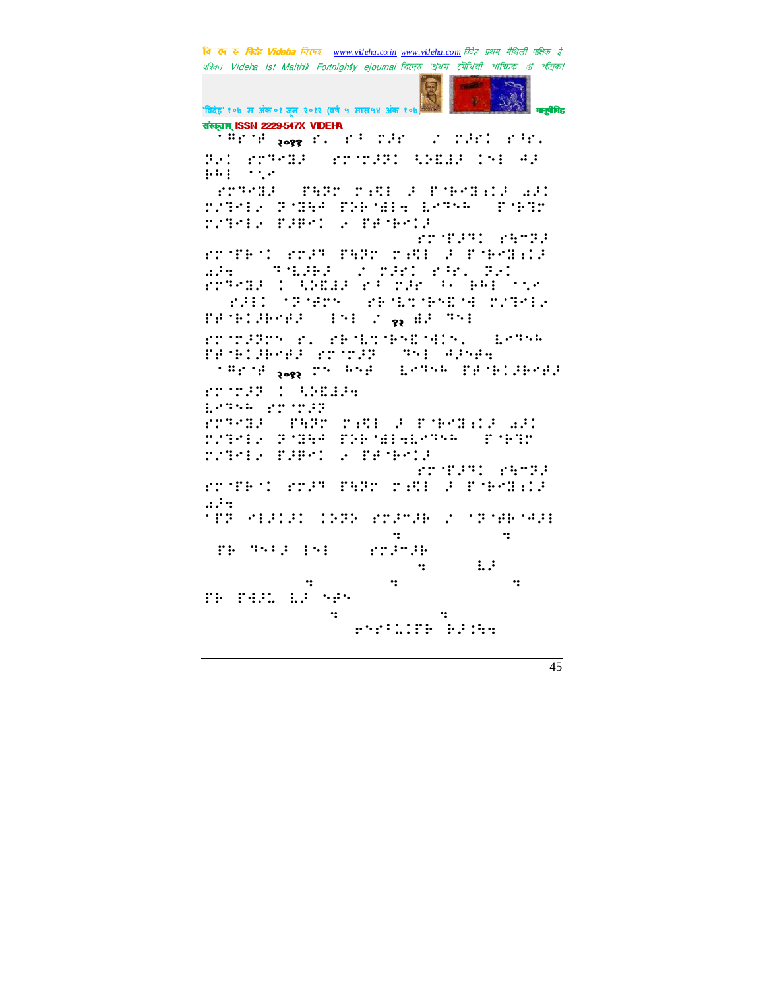'विदेह' १०७ म अंक ०१ जून २०१२ (वर्ष ५ मास५४ अंक १०७) मानुसीर के सामुवी मिट संस्कृतम् ISSN 2229-547X VIDEHA .⢻"⢾!२०११ "G!"⢸!⢼"!#4!⢼"!"⢸"G! ⢽⢴!"⢹⣝⢼#!"⢼⢽!⣃⢵⣏⣜⢼!5!⢺⢼!  $j_1, j_2, \ldots, j_{n-1}$ ."⢹⣝⢼.!2⣓⢽!⣐⣋5!⢼!2⢷⣝⣐⢼!⣔⢼! 4⣙5⢴!⢽⣝⣓⢺!2⢵⢷⣞5⣒!⣇⢹⢳.!2⢷⣙! 4⣙5⢴!2⢼⢿!⢴.2⢾⢷⢼!JTTO! 333:.658Y!WJEFIB!"2⢼⢹."⣓`⢽⢼. "2⢷."⢼⢹!2⣓⢽!⣐⣋5!⢼!2⢷⣝⣐⢼! ⣔⢼⣒!.!⢹⣇⢼⢷⢼!#4!⢼"!"⢸"G!⢽⢴! "comedia : "Aleida "en "ole "na "na "pai" (s. .!"⢼5!⢽⢾!#"⢷⣇⣉⢷⣏⣚!4⣙5⢴! 2⢾⢷⢼⢷⢾⢼#!55!4!१२ ⣞⢼!⢹5! "C" THE SAME CALL AND THE SAME CALL AND THE SAME CALL AND THE SAME CALL AND THE SAME CALL AND THE SAME CALL AND 2⢾⢷⢼⢷⢾⢼!"⢼⢽#!⢹5!⢺⢼⢾⣒! .<br>The Son Constant of the Constant of Son Constant of the Constant of the Constant of the Constant of the Consta " L'INE 2010122<br>2011-28 PHP "⢹⣝⢼.!2⣓⢽!⣐⣋5!⢼!2⢷⣝⣐⢼!⣔⢼! 4⣙5⢴!⢽⣝⣓⢺!2⢵⢷⣞5⣒⣇⢹⢳.!2⢷⣙! 4⣙5⢴!2⢼⢿!⢴.2⢾⢷⢼!JTTO! 333:.658Y!WJEFIB!"2⢼⢹."⣓`⢽⢼. "2⢷."⢼⢹!2⣓⢽!⣐⣋5!⢼!2⢷⣝⣐⢼!  $\ldots$ 2⢽!5⢼⢼!⢵⢽⢵!"⢼`⢼⢷!4!⢽⢾⢷⢺⢼5! )iuuq;00ftbnbbesquadpnbbesquadpnbbesquadpnbbesquadpnbbesquadpnbbesquad \*2⢷!⢹C⢼!55!-!"⢼`⢼⢷!  $q_1$  and  $q_2$  and  $q_3$  and  $q_4$  and  $q_5$  and  $q_6$  and  $q_7$ qsjzbolbimada (1982), bishin diobat bashkibahnbimada (1982), bishin diobat bashkibahnbimada (1982), bishin dio 20 PHONE 12 500 ius;00xxxx quadratic production of the control of the control of the control of the control of the control of the control of the control of the control of the control of the control of the control of the control of the con toricite bilin

चि एक रु *विदेह Videha चिए*न्छ <u>www.videha.co.in www.videha.com</u> विदेह प्रथम मैथिली पाक्षिक ई पत्रिका Videha Ist Maithili Fortnightly ejournal রিদেহ প্রথম মৌথিনী পাক্ষিক গ্র পত্রিক।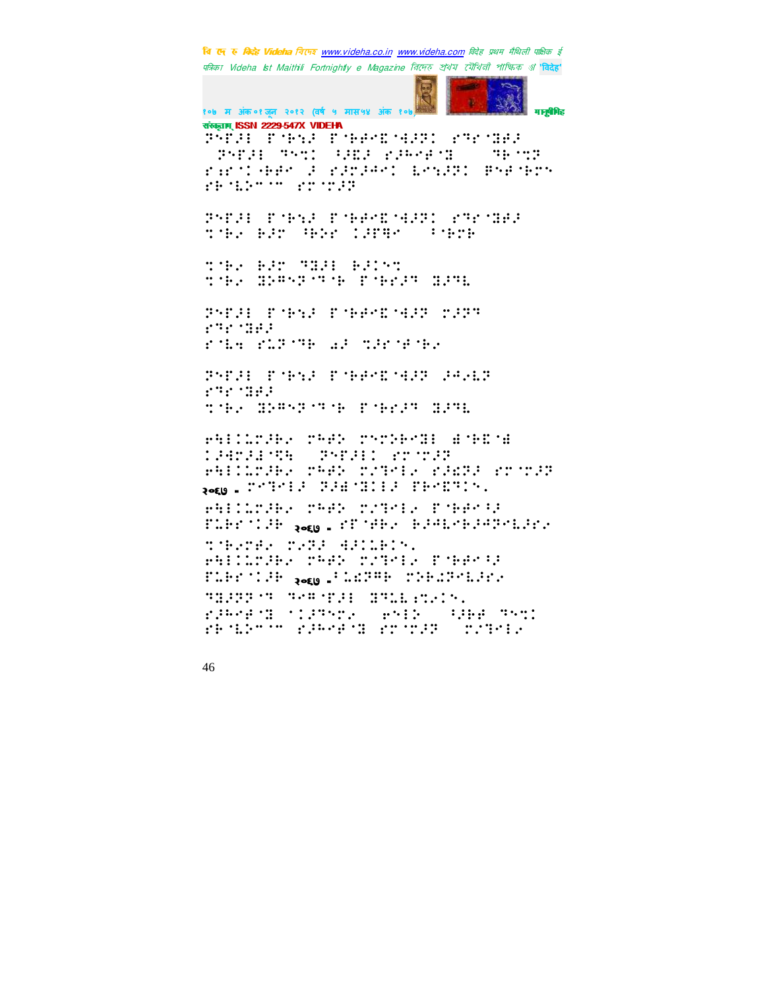बि एक रु क्विहे Videha विरफ्श www.videha.co.in www.videha.com बिरेह प्रथम मैथिली पाक्षिक ई पत्रिका Videha Ist Maithili Fortnightly e Magazine রিদেক প্রথম মৌথিনী পাক্ষিক প্র' 'विदेह'



संस्कृतम् ISSN 2229-547X VIDEHA PYPEL PYRSE PYRRYRYRYRY (PRYNA) STRIKE THIS HOUSE SONGERING  $\cdots$ randake a ranaen brugi gregor rB 112000 (refr.12)

PYDE PYRG PYRRYHADI PYPYBRA the Bir Gid (STR) (1908

the BBT THE BBITT STEP STREET THE PARTNER STRE

FYDD PANG PARKDAGE MGF **PARTICAL** role riform af thromoby

SMORT PORT PORTHER SALE PRESERVE the HERTTH PORT HER.

PHILDSHE SPHE SYSTEMI BYED'S **BEER STEP**  $\mathbb{R}^n$  and  $\mathbb{R}^n$  are the set of  $\mathbb{R}^n$ PHILDIDA TRAS TITULA RIGHA RTTIC

POED \_ PATRIC FOR THILE FRANCIS.

PHILDSHE THEN TITMES IMPROSE FLEETIJE <sub>Doel</sub> er yfre fjyleisigerije.

there real astably.

FAILDTARY TRANSTITES PORPOR

FLEETISE DOES FLETTE TEELTHESE.

THERE'S THRIST HILL MATH

rakers offerry well (ame men

rendroom raakens roomas oppsele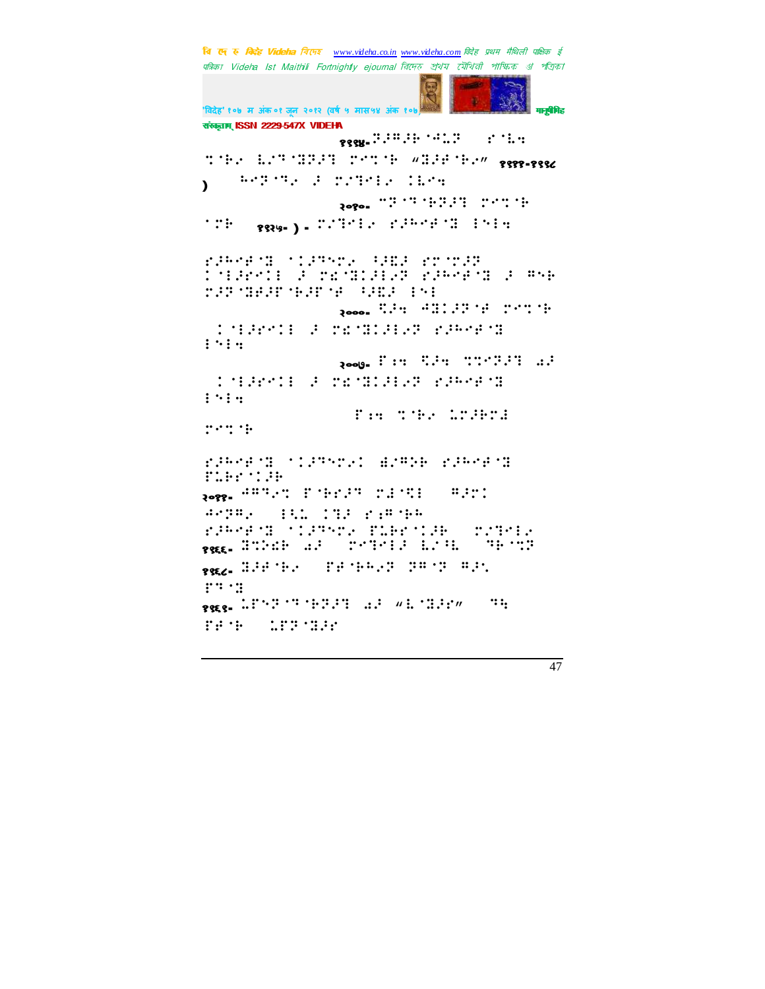चि एक रु *विदेह Videha चिए*न्छ <u>www.videha.co.in www.videha.com</u> विदेह प्रथम मैथिली पाक्षिक ई पत्रिका Videha Ist Maithili Fortnightly ejournal রিদেহ প্রথম মৌথিনী পাক্ষিক গ্র পত্রিক। 'विदेह' १०७ म अंक ०१ जून २०१२ (वर्ष ५ मास५४ अंक १०७) मानुसारी का सामुविभिद्द संस्कृतम् ISSN 2229-547X VIDEHA  $\frac{1}{255}$ ⣉⢷⢴!⣇4⢹⣝⢽⢼⣙!⣉⢷!"⣝⢼⢾⢷⢴" १९११ -१९९८ ) - Provincia Carolina **?** ा हो। 1989-) - 2019-10 - 2019-2010 को 1919 "⢼⢳⢾⣝!⢼⢹⢴!⢸⢼⣏⢼!"⢼⢽!)! 5⢼"5!⢼!⣎⣝⢼5⢴⢽!"⢼⢳⢾⣝!⢼!⢻⢷! ⢼⢽⣝⢾⢼2⢷⢼2⢾!⢸⢼⣏⢼!55\*;.! !!!!!!!!!!!२००० - ⣋⢼⣒!⢺⣝⢼⢽⢾!⣉⢷! )5⢼"5!⢼!⣎⣝⢼5⢴⢽!"⢼⢳⢾⣝!  $5.5<sub>1</sub>$ ! Roogs First SPH (1772-23) al )5⢼"5!⢼!⣎⣝⢼5⢴⢽!"⢼⢳⢾⣝!  $555:$  $r$  : The Louisval ⣉⢷! "⢼⢳⢾⣝!⢼⢹⢴!⣞4⢻⢵⢷!"⢼⢳⢾⣝! 2⣅⢷"⢼⢷! २०११ - ⢺⢻⢹⢴⣉!2⢷"⢼⢹!⣜⣋5!)⢻⢼! ⢺⢽⢻⢴-!5⣃⣅!⣙⢼!"⣐⢻⢷⢳\*! "⢼⢳⢾⣝!⢼⢹⢴!2⣅⢷"⢼⢷.!4⣙5⢴! PRES BUNDE AF SPORTFIE LINE THENS १९६८ - ⣝⢼⢾⢷⢴!)2⢾⢷⢳⢴⢽!⢽⢻⢽!⢻⢼⣁-! 2⢹⣝\*! १९६९ - ⣅2⢽⢹⢷⢽⢼⣙!⣔⢼!"⣇⣝⢼""!)⢹⣓! 2⢾⢷-!⣅2⢽⣝⢼"\*!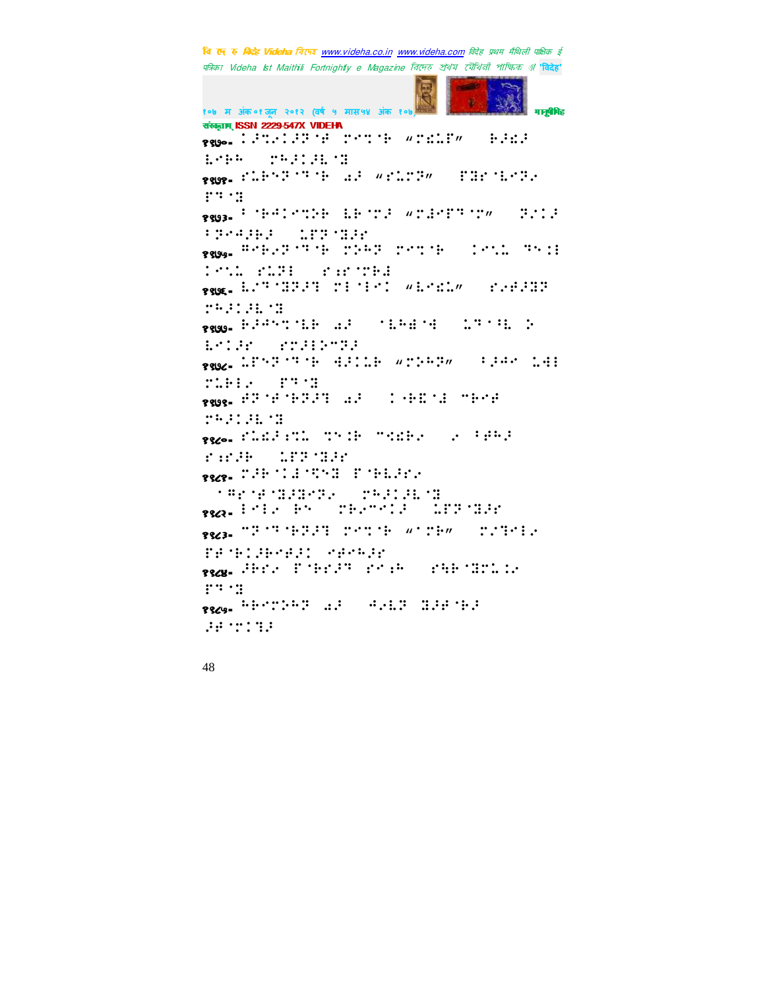चि एक रु मिन्हे Videha विएक www.videha.co.in www.videha.com विदेह प्रथम मैथिली पाक्षिक ई पत्रिका Videha Ist Maithili Fortnightly e Magazine রিদেহ প্রথম মৌথিরী পাক্ষিক রা'**বিदेह'** 

```
१०७ म अंक ०१जून २०१२ (वष ५ मास५४ अंक १०७) मानुषीिमह 
संस्कृतम् ISSN 2229-547X VIDEHA
१९७० - ⢼⣉⢴⢼⢽⢾!⣉⢷!"⣎⣅2"!)⢷⢼⣎⢼!
⣇⢷⢳-!⢳⢼⢼⣇⣝*!
8998 - "WARD TO THE WARD TO THE MANUFACTURE
2^*8893- CIERISTER ERITE WILFERIT WAS STILL
CONCO CONTROL
१९७५ - ⢻⢷⢴⢽⢹⢷!⢵⢳⢽!⣉⢷!)⣁⣅!⢹⣈5!
⣁⣅!"⣅⢽5-!"⣐"⢷⣜*!
8996- LAT MERPE TESTER WERELW (1999-19
⢳⢼⢼⣇⣝*!
१९७७ - ⢷⢼⢺⣉⣇⢷!⣔⢼!)⣇⢳⣞⣚;!⣅⢹⢸⣇!⢵!
LATH - STILLATH
8806 - WENDER HERICH WORKER (1998) LAB
TLP: TTP \setminus T१९७९ - <sup>अ</sup>प्त भारति प्रति प्रति प्रति । अप्रति प्रति प्रति प्रति । अप्रति प्रति प्रति प्रति । अप्रति । अप्रति प
⢳⢼⢼⣇⣝*!
886- FLEDER TO HE TEEPS OF PERP
rune in the the
१९८१ - ⢼⢷⣜⣋⣝!2⢷⣇⢼"⢴!
 )⢻"⢾⣝⢼⣝⢽⢴-!⢳⢼⢼⣇⣝*!
१९८२ - 5512 - 551 - 1952 - 552 1953 1954
8823 - "F'HIFFF THTTE WITH, TITHE
2⢾⢷⢼⢷⢾⢼!⢾⢳⢼"*!
8868 - JERA I PERJE INAH (IBENBRIDG
2^*१९८५ - ⢳⢷⢵⢳⢽!⣔⢼!)⢺⢴⣇⢽!⣝⢼⢾⢷⢼-!
⢼⢾⣙⢼*!
```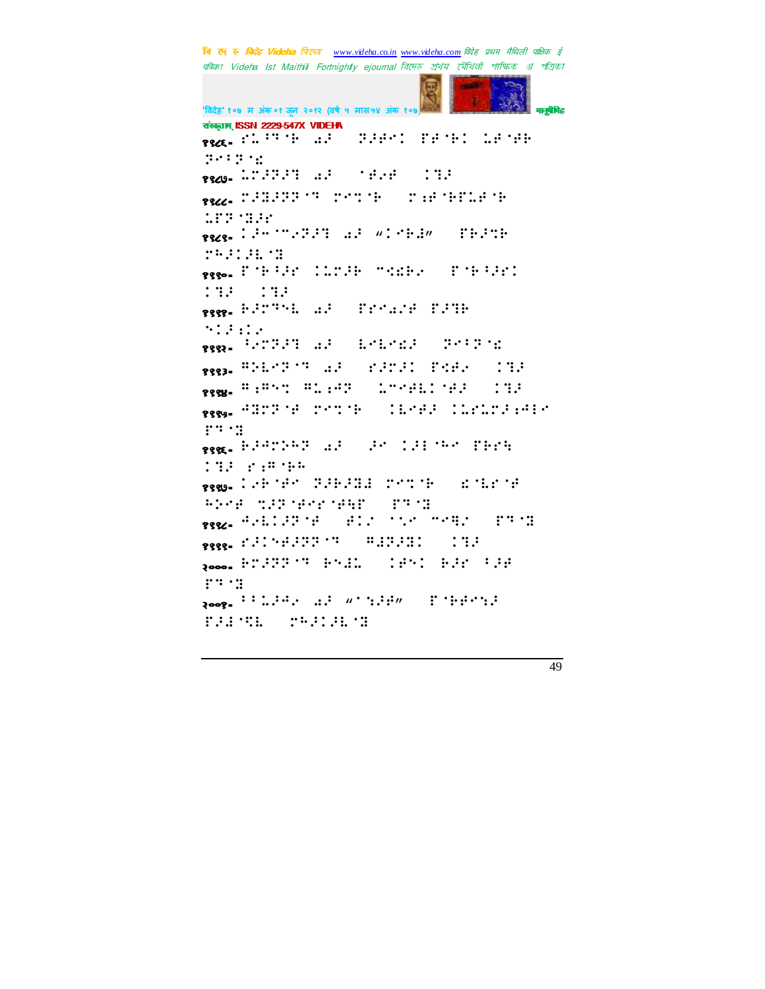चि एक रु *विदेह Videha चिए*न्छ <u>www.videha.co.in www.videha.com</u> विदेह प्रथम मैथिली पाक्षिक ई पत्रिका Videha Ist Maithili Fortnightly ejournal রিদেহ প্রথম মৌথিনী পাক্ষিক গ্র পত্রিক।

'विदेह' १०७ म अंक ०१ जून २०१२ (वर्ष ५ मास५४ अंक १०७) मानुसीर के सामुवी मिट संस्कृतम् ISSN 2229-547X VIDEHA 886 - "QUE PER START PRODUCT IN THE ⢽C⢽⣎\*! १९८७ - ⣅⢼⢽⢼⣙!⣔⢼!)⢾⢴⢾-!⣙⢼\*! 8866 - PARAMENT PARTIES - PARTIES  $LPT$  \*  $T$   $T$ 8868- ISH WARAT WAR WARD TERTH ⢳⢼⢼⣇⣝\*! 8880 FORTH CLOSE MARRY INTERNAT **THE THE** 8999- <sup>1</sup> <sup>2079</sup> - al - Freach Flu  $\sim$   $\sim$   $\sim$   $\sim$ १९९२ - २००३ - ४२० - ४२० - ४२० - ४१० - ४१० - ४१० - ४१० - ४१० - ४१० - ४१० - ४१० - ४१० - ४१० - ४१० - ४१० - ४१० - 1998 - 1998 - 1998 - 1998 - 1998 - 1998 - 1998 - 1998 - 1998 - 1998 - 1998 - 1999 - 1999 - 1999 - 1999 - 1999 -१९९४ - ⢻⣐⢻⣉!⢻⣅⣐⢺⢽!)⣅`⢾⣇⢾⢼-!⣙⢼\*! 8999- SERRITE INTERNATIONAL  $2^*$ १९९६ - ⢷⢼⢺⢵⢳⢽!⣔⢼!)⢼!⢼5⢳!2⢷"⣓-! ⣙⢼!"⣐⢻⢷⢳\*! १९९७ - ⢴⢷⢾!⢽⢼⢷⢼⣝⣜!⣉⢷!)⣎⣇"⢾! ⢳⢵⢾!⣉⢼⢽⢾"⢾⣓2-!2⢹⣝\*! १९९८- नेतृति उपाधाः स्थानं प्रति करणे पुरस्कारः स्थानि १९९९ - "⢼⢾⢼⢽⢽⢹!)⢻⣜⢽⢼⣝-!⣙⢼\*! २००० - ⢷⢼⢽⢽⢹!⢷⣜⣅!)⢾!⢷⢼"!C⢼⢾-! 22.23 २००१ <sup>: C</sup>Cºº, al wide wide when the control 2⢼⣜⣋⣇-!⢳⢼⢼⣇⣝\*!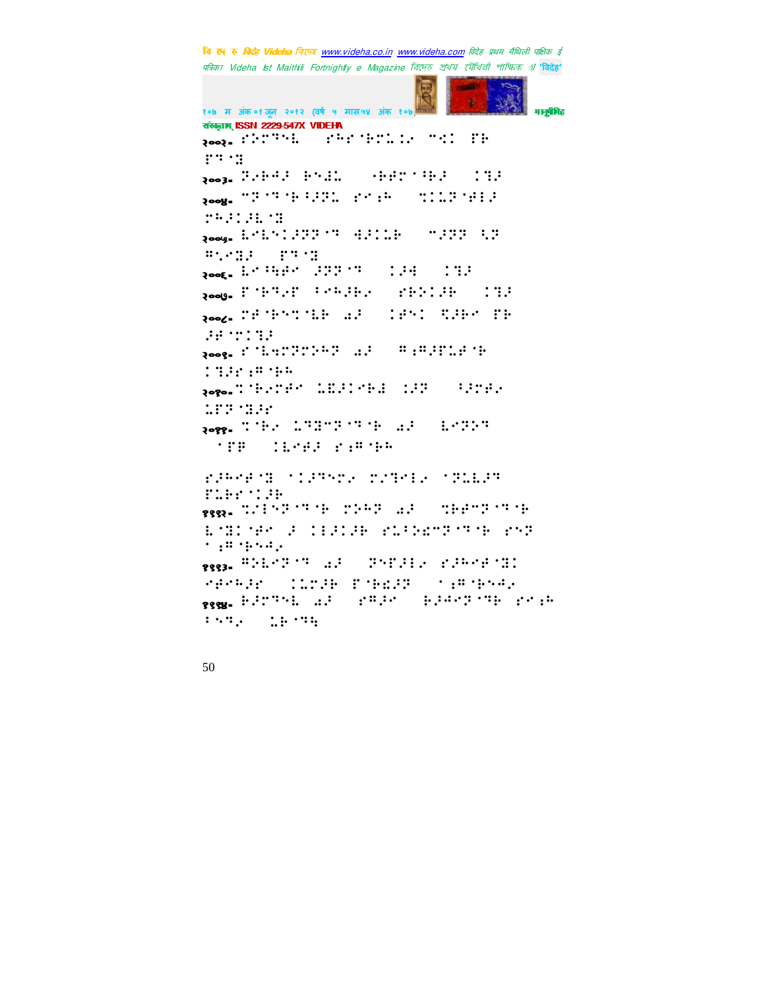चि एक रु मिन्हे Videha विएक www.videha.co.in www.videha.com विदेह प्रथम मैथिली पाक्षिक ई पत्रिका Videha Ist Maithili Fortnightly e Magazine রিদেহ প্রথম মৌথিরী পাক্ষিক রা'**বিदेह'** 

१०७ म अंक ०१जून २०१२ (वष ५ मास५४ अंक १०७) मानुषीिमह संस्कृताम् ISSN 2229-547X VIDEHA २००२- <sup>21</sup>07791 - 1991 1991 1991 1991 199  $2^*$ २००३ - <sup>1</sup>/1042 - 1042 - 1042 - 1042 - 1042 - 1042 २००४ - `⢽⢹⢷⢸⢼⢽⣅!"⣐⢳!)⣉⣅⢽⢾5⢼-! ⢳⢼⢼⣇⣝\*! २००५ - ⣇⣇⢼⢽⢽⢹!⣚⢼⣅⢷!)`⢼⢽⢽!⣃⢽! ⢻⣁⣝⢼-!2⢹⣝\*! २००६ - २००१ मध्ये अपूर्ण अपूर्ण अपूर्ण अपूर्ण अपूर्ण अपूर्ण अपूर्ण अपूर्ण अपूर्ण अपूर्ण अपूर्ण अपूर्ण अपूर्ण<br>जनसङ्ख्या २००७ <sup>21</sup>999 - 2009 - 2009 - 2009 - 2009 - 2009 - 2009 - 2009 - 2009 - 2009 - 2009 - 2009 - 2009 - 2009 - 2009 - 200 २००८- २० कि. १९ अ.स. १९६१ - २००१ - २००१ - १९६० - १९६ ⢼⢾⣙⢼\*! २००९ <sup>-</sup> "<del>८ २ ७०९ - "२ २ % - " २ % - " २ % - " २ % - " २ % - " २ % - " २ % - " २ % - " २ % - " २ % - " २ % - " २ % - " २ % - " २ % - " २ % - " २ % - " २ % - " २ % - " २ % - " २ % - " २ % - " २ % - " २ % - " २ % - " २ % -</del> ⣙⢼"⣐⢻⢷⢳\*! २०१० -⣉⢷⢴⢾!⣅⣏⢼⢷⣜!⣈⢼⢽!)⢸⢼⢾⢴-!  $LPT'$ २०१९ - २०११ - २०११ - २०११ - २०११ - २०११ - २०११ - २०११ - २०११ - २०११ - २०११ - २०११ - २०११ - २०११ - २०११ - २०११  $2^{\circ}$  (FB  $^{\circ}$  )  $2^{\circ}$  (EPH  $^{\circ}$  )  $2^{\circ}$  (FB  $^{\circ}$  )  $2^{\circ}$  (FB  $^{\circ}$  )  $2^{\circ}$ "⢼⢳⢾⣝!⢼⢹⢴!4⣙5⢴!⢽⣅⣇⢼⢹! 2⣅⢷"⢼⢷! १९९२ - ⣉45⢽⢹⢷!⢵⢳⢽!⣔⢼!)⣉⢷⢾`⢽⢹⢷! ⣇⣝⢾!⢼!5⢼⢼⢷."⣅C⢵⣎`⢽⢹⢷!"⢽-! ⣐⢻⢷⢺⢴\*! 8993- "PERT" aP PPTPER FREETRO , <br/>quelle , locale , l'estat , l'amperate , l'amperate , l'amperate , l'amperate , l'amperate , l'amperate , l' १९९४ - ⢷⢼⢹⣇!⣔⢼!)"⢻⢼.!⢷⢼⢺⢽⢹⢷!"⣐⢳! Company of the company of the company of the company of the company of the company of the company of the compa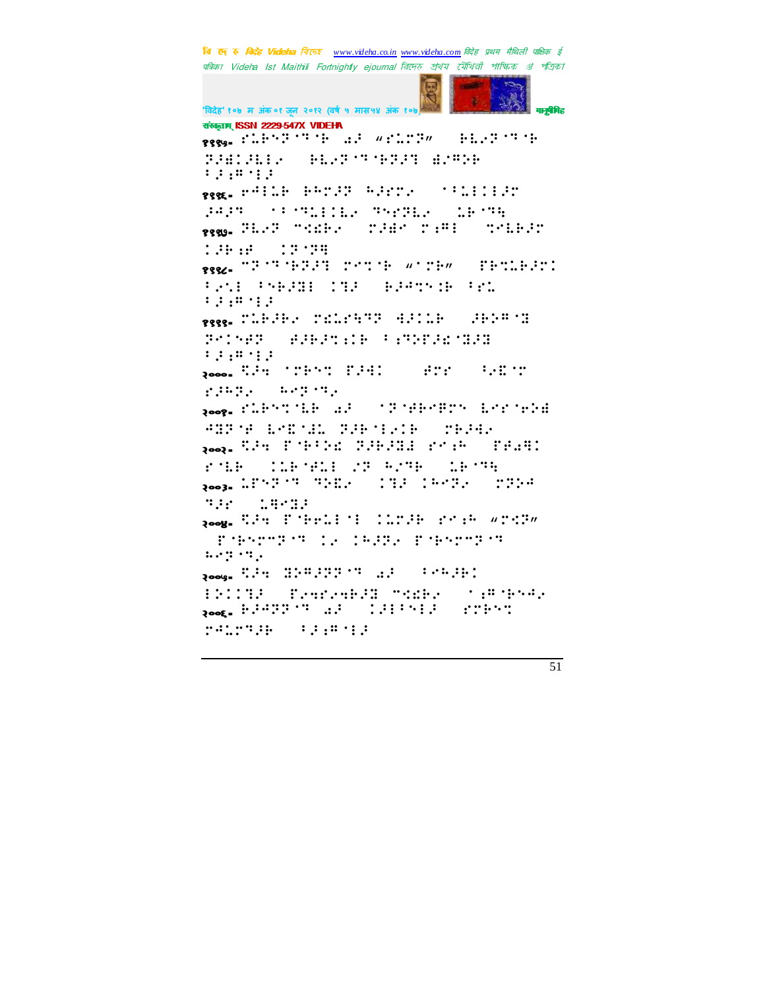**बि एक रु** *बिर्दह Videha विए***नर** www.videha.co.in www.videha.com विदेह प्रथम मैथिली पाक्षिक ई पत्रिका Videha Ist Maithili Fortnightly ejournal রিদেহ প্রথম মৌথিনী পাক্ষিক প্র পত্রিকা

मानुबेमिह 'विदेह' १०७ म अंक ०१ जून २०१२ (वर्ष ५ मास५४ अंक १ संस्कृतम् ISSN 2229-547X VIDEHA eees :1857778 af writh, BEATTTE **THILL SETTHER STRE RREE PHELE (PROJECT) RIPOLE (CONSTRUCT)** PAPE SECRETIS TREES (1879)  $_{3339}$   $\frac{11.11}{10.000}$   $\frac{11.11}{10.000}$ **STORY START START : :: :: : :: :: ::: BASE PRESENTED BEFORE PEL**  $13.24432$ eee. Willet watcher deling webset SYNE SHRID CREATER pool: WHA STERN FRAME (FILM SPECT) ging, agen, <sub>Roog</sub> PLEST LE GUA (1991-1992) LOP SPA **AND REAL AND REAL PROPERTY OF STATE** <sub>2002</sub> C.P. F.P.P.N. P.P.F.B. Prim (PRINT) rue Cordinal Constant Serve 1003 MPSP THE STEP INSPERSED TO **TAP LESSE** Rooms With Enterthelment Clarker and the Wardley POPSTOR IS INCLUDED POPSTOR  $4.03.032$ Noong= With HDB122217 all (186196) ISTOR PARTNERS MARK TEMPAG <sub>Roog</sub> B2022-75 a2 (1211-512) rrB5-1 *PALPRID (10.001)*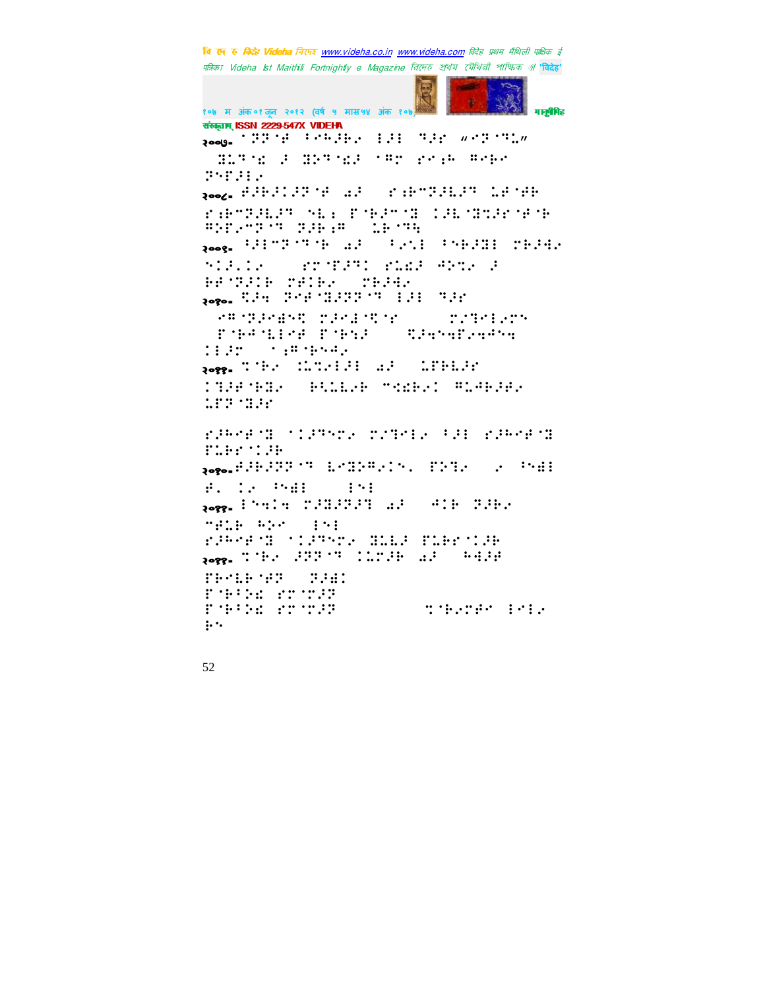चि एक रु मिन्हे Videha विएक www.videha.co.in www.videha.com विदेह प्रथम मैथिली पाक्षिक ई पत्रिका Videha Ist Maithili Fortnightly e Magazine রিদেহ প্রথম মৌথিরী পাক্ষিক রা'**বিदेह'** 

**Separate** १०७ म अंक ०१जून २०१२ (वष ५ मास५४ अंक १०७) मानुषीिमह

संस्कृतम् ISSN 2229-547X VIDEHA 2009 ' FF W SCHEN HE STE WAT TEN )⣝⣅⢹⣎!⢼!⣝⢵⢹⣎⢼.⢻!"⣐⢳!⢻⢷-! ⢽2⢼5⢴\*! २००८ - ⢾⢼⢷⢼⢼⢽⢾!⣔⢼!)"⣐⢷`⢽⢼⣇⢼⢹!⣅⢾⢾⢷. "⣐⢷`⢽⢼⣇⢼⢹!⣇⣐!2⢷⢼`⣝!⢼⣇⣝⣉⢼"⢾⢷. ⢻⢵2⢴`⢽⢹!⢽⢼⢷⣐⢻-!⣅⢷⢹⣓\*! २००९ - ⢸⢼5`⢽⢹⢷!⣔⢼!)C⢴⣁5!C⢷⢼⣝5!⢷⢼⣚⢴!  $\overline{G}$  . The contract of the contract of the contract of the contract of the contract of the contract of the contract of ⢷⢾⢽⢼⢷!⢾⢷⢴-!⢷⢼⣚⢴\*! 2080 - 109 - 1090 - 1090 - 1090 - 1090 - 1091 - 1092 - 1093 - 1093 - 1093 - 1093 - 1093 - 1093 - 109 #⢻⢽⢼⣞⣋!⢼⣜⣋"#!.!4⣙5⢴! #2⢷⢺⣇5⢾!2⢷⣑⢼#.!⣋⢼⣒⣒2⢴⣒⢺⣒! 5⢼-!⣐⢻⢷⢺⢴\*! 2088 - 7: The South School School School School School School School School School School School School School ⣙⢼⢾⢷⣝⢴-!⢷⣃⣅⣇⢴⢷!`⣊⣎⢷⢴!⢻⣅⢺⢷⢼⢾⢴!  $LPT'$   $TPT'$ "⢼⢳⢾⣝!⢼⢹⢴!4⣙5⢴!C⢼5!"⢼⢳⢾⣝! 2⣅⢷"⢼⢷! २०१० -⢾⢼⢷⢼⢽⢽⢹!⣇⣝⢵⢻⢴G!2⢵⣙⢴!#⢴!⢸⣞5! S. O. PHI ST २०११ - 5⣒⣒!⢼⣝⢼⢽⢼⣙!⣔⢼!#⢺⢷!⢽⢼⢷⢴! `⢾⣅⢷!⢳⢵#!55!  $'$ raber " (1375) Silla Fibrila 2088 - 101 - 102 - 102 - 103 - 104 - 104 - 104 - 104 - 104 - 104 - 104 - 104 - 104 - 104 - 104 - 104 - 104 - 1 2⢷⣇⢷⢾⢽-!⢽⢼⣞\*! PORT PRODUCE 2⢷C⢵⣎!"⢼⢽!3115.!⣉⢷⢴⢾!55⢴!  $\vdots$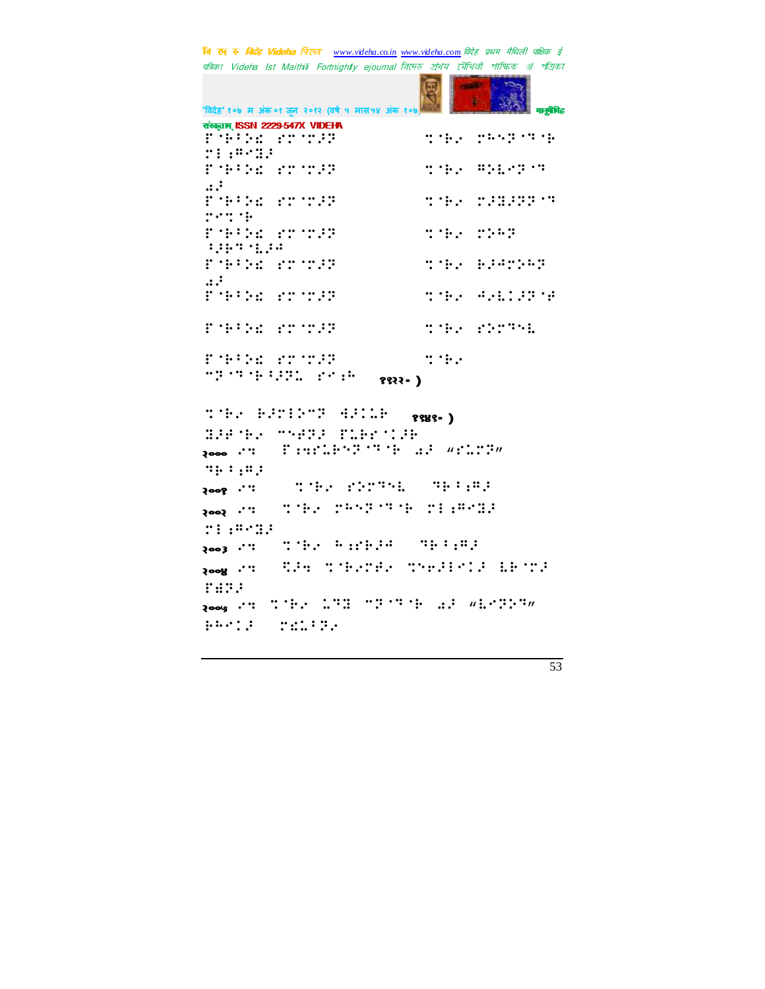चि एक रु *विदेह Videha चिए*न्छ <u>www.videha.co.in www.videha.com</u> विदेह प्रथम मैथिली पाक्षिक ई पत्रिका Videha Ist Maithili Fortnightly ejournal রিদেহ প্রথম মৌথিনী পাক্ষিক গ্র পত্রিক।

| 'विदेह' १०७ म अंक०१ जून २०१२ (वर्ष ५ मास५४ अंक १०७ की ही                                                       |                  | <b>मा जन्मी मानुवेगित</b>                                                                                      |
|----------------------------------------------------------------------------------------------------------------|------------------|----------------------------------------------------------------------------------------------------------------|
| संस्कृतम् ISSN 2229-547X VIDEHA                                                                                |                  |                                                                                                                |
| and the state of the state of the state of the state of the state of the state of the state of the state of th |                  | <b>MINE PROPIES</b>                                                                                            |
| 21.8033                                                                                                        |                  |                                                                                                                |
|                                                                                                                |                  | ang mga managawan ng mga managawan ng mga managawan ng mga managawan ng mga managawan ng mga managawan ng mga  |
| $\ddots$ :                                                                                                     |                  |                                                                                                                |
| reth rreth                                                                                                     |                  | an na mana an amacan a mata a an amacan amacan a ta an amacan a ta an amacan a ta an amacan a ta an amacan a t |
| $22.22 \times 10^{-12}$                                                                                        |                  |                                                                                                                |
| POST PROVIDE                                                                                                   | <b>TOBA TIME</b> |                                                                                                                |
|                                                                                                                |                  |                                                                                                                |
| roman crock                                                                                                    |                  | the BRSPER                                                                                                     |
| :                                                                                                              |                  |                                                                                                                |
| PORTH STORES                                                                                                   |                  | chi di senda da matsa da matsa da matsa da matsa da matsa da matsa da matsa a matsa a matsa a matsa a matsa a  |
|                                                                                                                |                  |                                                                                                                |
| rena arga                                                                                                      |                  | characters and an architecture                                                                                 |
|                                                                                                                |                  |                                                                                                                |

2⢷C⢵⣎!"⢼⢽!3123.!⣉⢷⢴!  $\frac{1}{2}$ 

⣉⢷⢴!⢷⢼5⢵`⢽!⣚⢼⣅⢷!)१९४९ - ) ⣝⢼⢾⢷⢴.`⢾⢽⢼!2⣅⢷"⢼⢷! <sup>२०००</sup>⢴⣒.!2⣐⣒"⣅⢷⢽⢹⢷!⣔⢼!""⣅⢽"-! ⢹⢷⢸⣐⢻⢼<! २००१ ८९ : २०१९ साल का अपनी सामने का अपनी सामने का अपनी सामने का अपनी सामने का अपनी सामने का अपनी सामने का अपनी २००२ ⢴⣒.!⣉⢷⢴!⢳⢽⢹⢷!5⣐⢻⣝⢼-! 5⣐⢻⣝⢼<! २००३ ⢴⣒.!⣉⢷⢴!⢳⣐"⢷⢼⢺-!⢹⢷⢸⣐⢻⢼<! २००४ ⢴⣒.!⣋⢼⣒!⣉⢷⢴⢾⢴!⣉⢶⢼5⢼!⣇⢷⢼-! 2⣞⢽⢼<! <sup>२००५</sup>⢴⣒.⣉⢷⢴!⣅⢹⣝!`⢽⢹⢷!⣔⢼!"⣇⢽⢵⢹"-! ⢷⢳⢼-!⣎⣅C⢽⢴<!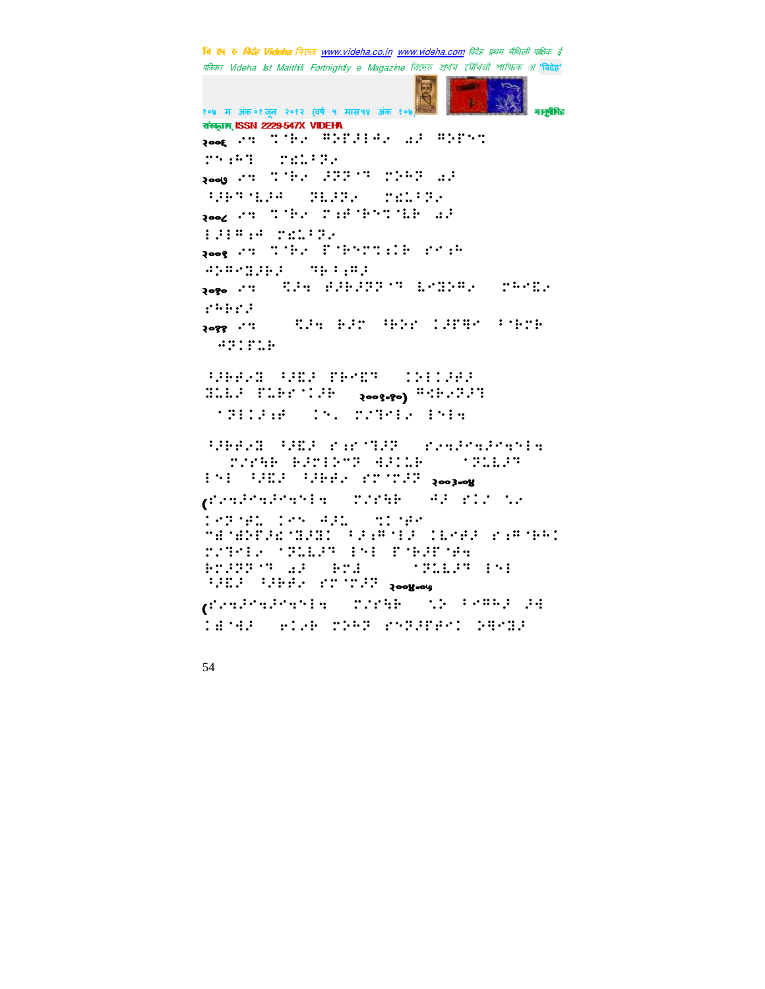बि ए रु क्रिटे Videha विएक www.videha.co.in www.videha.com बिरेह प्रथम मैथिली पाक्षिक ई पत्रिका Videha Ist Maithili Fortnightly e Magazine রিদেক প্রথম মৌথিনী পাক্ষিক প্র' 'विदेह'

मानुबेगिह १०७ म अंक०१जून २०१२ (वर्ष ५ मास५४ अंक १०७) संस्कृतम् ISSN 2229-547X VIDEHA Roof of Tibe Shiffler all Spread  $P^2$  :  $P^2$  =  $P^2$  :  $P^2$  :  $P^2$  :  $P^2$  :  $P^2$  :  $P^2$  :  $P^2$  :  $P^2$  :  $P^2$  :  $P^2$  :  $P^2$  :  $P^2$  :  $P^2$  :  $P^2$  :  $P^2$  :  $P^2$  :  $P^2$  :  $P^2$  :  $P^2$  :  $P^2$  :  $P^2$  :  $P^2$  :  $P^2$  :  $P^2$  :  $P^2$  :  $P^2$ pool (m TTB: 2008) 72-0 22-0 SPRING BEBY TELER pook of Time Partition the ad Roog and Time Pomphille read-49#21888 7894#3 1000 CH STAR HARRIST ESTATA CORPORA grippe production **COMPARY MODEL CONTROL** ... 860 }  $-4311111$ HILLS FIRSTICE Reserved "SPRESH **MIDDLE CONTROL PRES** SPEAR SPEAKER TEP Productionship TYPH PATETY AAILE  $\sim$   $\sim$   $\sim$   $\sim$   $\sim$   $\sim$   $\sim$   $\sim$ INE WHEN WHEN STATED Roomer guadeania conde al riche **ISTMED ISS ARD STIPS** MENERISMENT PRIMIT INVER SIMPLY TIME THE BUILDER OF THE TIME **PARA PARA PERSONAL Resources** Confraireia conal su computa TEMPER WITH THE PREPERT SEMIP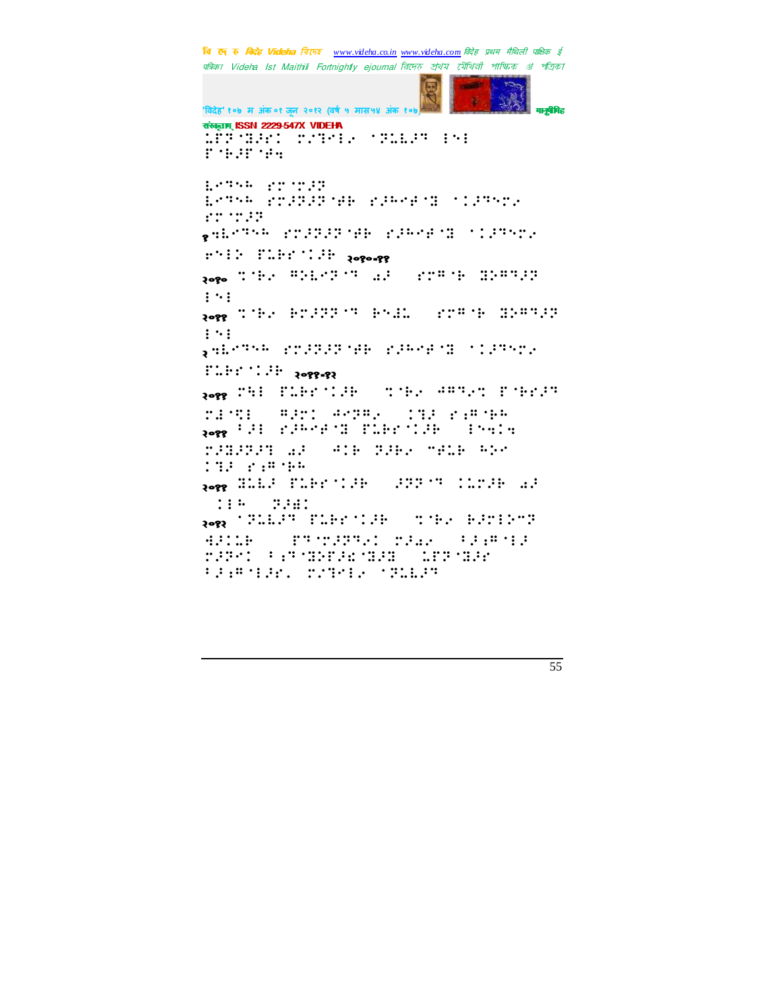चि एक रु *विदेह Videha चिए*न्छ <u>www.videha.co.in www.videha.com</u> विदेह प्रथम मैथिली पाक्षिक ई पत्रिका Videha Ist Maithili Fortnightly ejournal রিদেহ প্রথম মৌথিনী পাক্ষিক গ্র পত্রিক।

'वदेह' १०७ म अंक ०१ जून २०१२ (वष ५ मास५४ अंक १०७) मानुषीिमह संस्कृतम् ISSN 2229-547X VIDEHA ⣅2⢽⣝⢼"!4⣙5⢴!⢽⣅⣇⢼⢹!55! 2⢷⢼2⢾⣒! ⣇⢹⢳!"⢼⢽! ⣇⢹⢳!"⢼⢽⢼⢽⢾⢷!"⢼⢳⢾⣝!⢼⢹⢴! :::::: १⣒⣇⢹⢳!"⢼⢽⢼⢽⢾⢷!"⢼⢳⢾⣝!⢼⢹⢴! ⢶5⢵!2⣅⢷"⢼⢷!२०१० -११ २०१० ⣉⢷⢴!⢻⢵⣇⢽⢹!⣔⢼!)"⢻⢷!⣝⢵⢻⢹⢼⢽!  $: \cdot :$ २०११ ⣉⢷⢴!⢷⢼⢽⢽⢹!⢷⣜⣅!)"⢻⢷!⣝⢵⢻⢹⢼⢽! 55\*! २⣒⣇⢹⢳!"⢼⢽⢼⢽⢾⢷!"⢼⢳⢾⣝!⢼⢹⢴!  $2 \cdot 1 \cdot 1 \cdot 1 \cdot 1 \cdot 1 \cdot 1$ २०११ ⣓5!2⣅⢷"⢼⢷.!⣉⢷⢴!⢺⢻⢹⢴⣉!2⢷"⢼⢹! ⣜⣋5!)⢻⢼!⢺⢽⢻⢴-!⣙⢼!"⣐⢻⢷⢳\*! २०११ COL 2014 COL 2014 COL 2014 COL ⢼⣝⢼⢽⢼⣙!⣔⢼!)⢺⢷!⢽⢼⢷⢴!`⢾⣅⢷!⢳⢵-! ⣙⢼!"⣐⢻⢷⢳\*! २०११ ⣝⣅⣇⢼!2⣅⢷"⢼⢷.!⢼⢽⢽⢹!⣅⢼⢷!⣔⢼! )5⢳-!⢽⢼⣞\*! २०१२ ⢽⣅⣇⢼⢹!2⣅⢷"⢼⢷.!⣉⢷⢴!⢷⢼5⢵`⢽! ⣚⢼⣅⢷.!)2⢹⢼⢽⢹⢴!⢼⣔⢴-!C⢼⣐⢻5⢼.! ⢼⢽!C⣐⢹⣝⢵2⢼⣎⣝⢼⣝-!⣅2⢽⣝⢼"! COUNTER CONTROL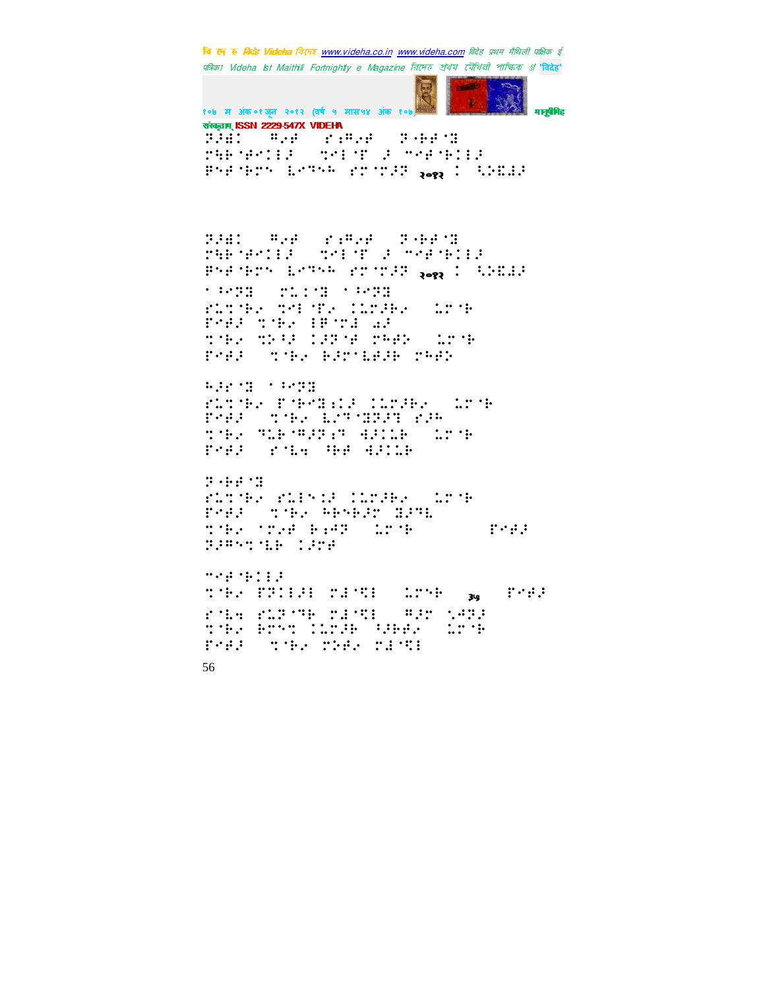बि ए रु क्रिटे Videha विएक www.videha.co.in www.videha.com बिरेह प्रथम मैथिली पाक्षिक ई पत्रिका Videha Ist Maithili Fortnightly e Magazine রিদেক প্রথম মৌথিনী পাক্ষিক প্র' 'विदेह'



१०७ म अंक०१जून २०१२ (वर्ष ५ मास५४ अंक १०७ संस्कृतम् ISSN 2229-547X VIDEHA *CONSTRUCTER* a di serie di Santa Caraccia THE MATER CONFIDENT COMMENTER Brechtr Ernrechtung <sub>Ro</sub>m (Schlag

1981 - Par Coortear (1998)<br>1987 - Paris Coortear (1998) Presers bette from 22 <sub>202</sub> 1 52022 \*\*\*\* \*\*\* \*\*\* runde nd Mr (1826) (1836 PARK THE IPATE AP the thus curve read on the real with blundade page

**Address 100000** FLOWER POPPHELE LLOPER (LOOP F43 THE ETHING ST the Milton State Cont red rue model

 $7 + 6 + 12$ runde rubel (under und PART THE WEST INTE THE TEST FERR LITE  $\cdots$ 22850 M 1202

mean saidh an THE FRIED PANEL AND SAL a pres role rifoge rache (gar 1921 the Bryt Clrde Gode (1876 **TANK THE TENT** president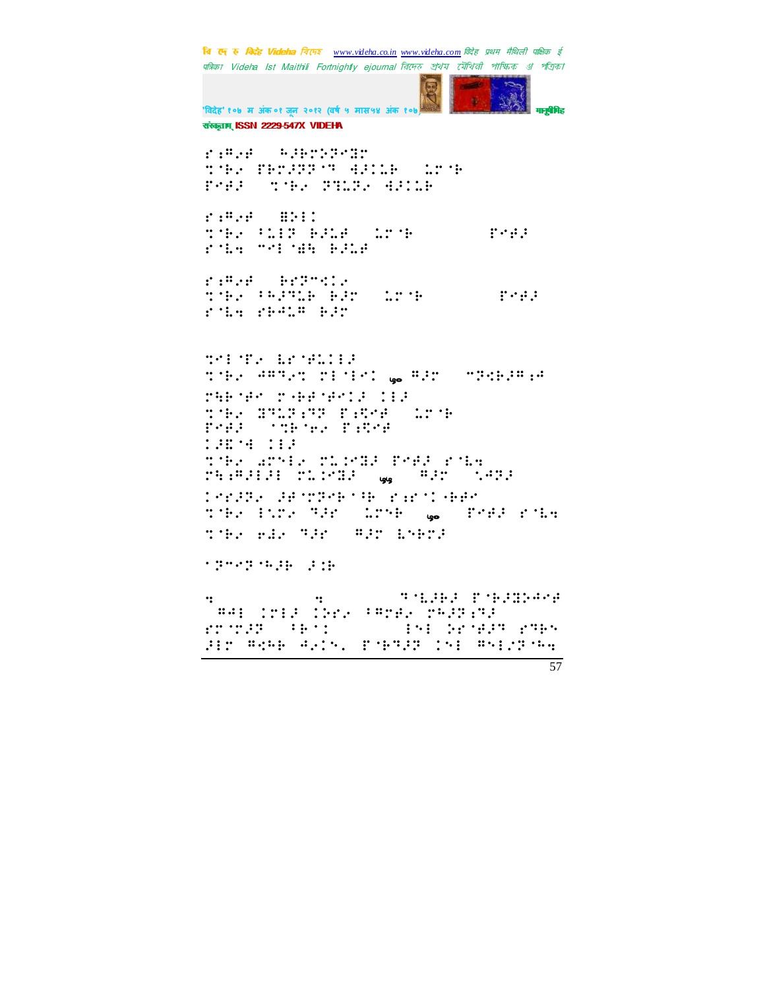चि एक रु *विदेह Videha चिए*न्छ <u>www.videha.co.in www.videha.com</u> विदेह प्रथम मैथिली पाक्षिक ई पत्रिका Videha Ist Maithili Fortnightly ejournal রিদেহ প্রথম মৌথিনী পাক্ষিক গ্র পত্রিক।

'विदेह' १०७ म अंक ०१ जून २०१२ (वर्ष ५ मास५४ अंक १०७) मानुसीर के सामुवीरित

"⣐⢻⢴⢾!)⢳⢼⢷⢵⢽⣝\*! ⣉⢷⢴!2⢷⢼⢽⢽⢹!⣚⢼⣅⢷-!⣅⢷.!41-! 2⢾⢼.!⣉⢷⢴!⢽⣙⣅⢽⢴!⣚⢼⣅⢷!

संस्कृतम् ISSN 2229-547X VIDEHA

"⣐⢻⢴⢾!)⣟⢵5\*! ⣉⢷⢴!C⣅5⢽!⢷⢼⣅⢾-!⣅⢷.!56-!2⢾⢼.!  $T$  The Tot Control Department

"⣐⢻⢴⢾!)⢷"⢽`⣊⢴\*! ⣉⢷⢴!C⢳⢼⢹⣅⢷!⢷⢼-!⣅⢷.!66-!2⢾⢼.! "⣇⣒!"⢷⢺⣅⢻!⢷⢼!

⣉52⢴.⣇"⢾⣅5⢼! ⣉⢷⢴!⢺⢻⢹⢴⣉!55-५० ⢻⢼.!`⢽⣊⢷⢼⢻⣐⢺! ⣓⢷⢾.D⢷⢾⢾⢼!5⢼! ⣉⢷⢴!⣝⢹⣅⢽⣐⢹⢽!2⣐⣋⢾-!⣅⢷.!56-!

2⢾⢼.!⣉⢷⢶⢴!2⣐⣋⢾! ⢼⣏⣚.5⢼! ⣉⢷⢴!⣔5⢴!⣅⣈⣝⢼-2⢾⢼!"⣇⣒!  $\overline{5}$ 5. 200 5. 1999 5. 1999 5. 1999 5. 1999 5. 1999 5. 1999 5. 1999 5. 1999 5. 1999 5. 1999 5. 1999 5. 1999 5. 1999 5. 1999 5. 1999 5. 1999 5. 1999 5. 1999 5. 1999 5. 1999 5. 1999 5. 1999 5. 1999 5. 1999 5. 1999 5. 1999

 $\frac{1}{2}$   $\frac{1}{2}$   $\frac{1}{2}$   $\frac{1}{2}$   $\frac{1}{2}$   $\frac{1}{2}$   $\frac{1}{2}$   $\frac{1}{2}$   $\frac{1}{2}$   $\frac{1}{2}$   $\frac{1}{2}$   $\frac{1}{2}$   $\frac{1}{2}$   $\frac{1}{2}$   $\frac{1}{2}$   $\frac{1}{2}$   $\frac{1}{2}$   $\frac{1}{2}$   $\frac{1}{2}$   $\frac{1}{2}$   $\frac{1}{2}$   $\frac{1}{2}$   $\$ S TERM THE SALE OF THE STAR ⣉⢷⢴!⢶⣜⢴!⢹⢼"-!⢻⢼!⣇⢷⢼!

⢽`⢽⢳⢼⢷!⢼⣈⢷!)!

 $\ddot{\textbf{u}}$ #⢻⢺5!5⢼.⢵"⢴.C⢻⢾⢴.⢳⢼⢽⣐⢹⢼! "⢼⢽#!C⢷⣈!3122!55!⢵"⢾⢼⢹!"⢹⢷! ⢼5!⢻⣊⢳⢷!⢺⢴G!2⢷⢹⢼⢽!5!⢻54⢽⢳⣒!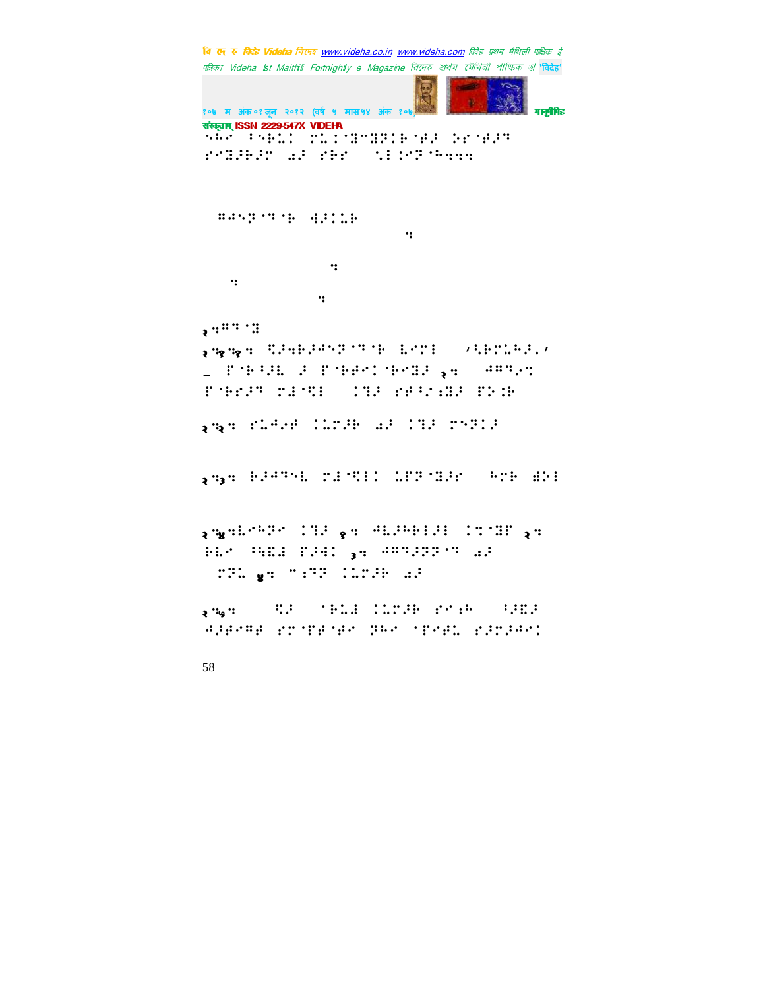"⣝⢼⢷⢼!⣔⢼#"⢷"#!⣁5⣈⢽⢳⣒⣒⣒! !⢻⢺⢽⢹⢷!⣚⢼⣅⢷! hekawiefiburie bakhawiefiburie bakhawiefiburie bakhawiefiburie bakhawiefiburie bakhawiefiburie bakhawiefiburie<br>Amerikaanse bakhawiefiburie bakhawiefiburie bakhawiefiburie bakhawiefiburie bakhawiefiburie bakhawiefiburie ba iuuq;00xxx⣒nbjuijmjmflibltbo hidpn $\alpha$ 1212180cmph.  $q_1$  and  $q_2$  if  $q_3$  if  $q_4$ २⣒⢻⢹⣝! २७१७९ पाटिलाने सम्पर्कत करने के अन्यान करते हैं। –!2⢷⢸⢼⣇!⢼!2⢷⢾⢷⣝⢼!२⣒!!⢺⢻⢹⢴⣉! 2⢷"⢼⢹!⣜⣋5.!⣙⢼."⢾⢸4⣐⣝⢼!2⢵⣈⢷! २७२ व संस्कृत संस्कृत संस्कृत संस्कृत संस्कृत संस्कृत संस्कृत संस्कृत संस्कृत संस्कृत संस्कृत संस्कृत संस्कृत २७३º BA9996 MARIC 1999 MARIC 1999 MARIC २७७५: २३ दिन देश राज्य स्थान का प्राप्त होती.<br>१ ⢷⣇!⢸⣓⣏⣜!2⢼⣚!३⣒!⢺⢻⢹⢼⢽⢽⢹!⣔⢼! (⢽⣅(४⣒!`⣐⢹⢽!⣅⢼⢷!⣔⢼! २ुष्<sub>ष</sub>ण = २३ लक्ष्मी (11236-2016) हे अप्राप्त ⢺⢼⢾⢻⢾!"2⢾⢾!⢽⢳!2⢾⣅!"⢼⢼⢺!

पत्रिका Videha Ist Maithili Fortnightly e Magazine রিদেহ প্রথম মৌথিরী পাক্ষিক রা'**বিदेह'** 

१०७ म अंक ०१जून २०१२ (वष ५ मास५४ अंक १०७) मानुषीिमह

 $\frac{1}{2}$  . The state of the state of the state of the state of the state of the state of the state of the state of the state of the state of the state of the state of the state of the state of the state of the state of th

संस्कृतम् ISSN 2229-547X VIDEHA

चि एक रु मिन्हे Videha विएक www.videha.co.in www.videha.com विदेह प्रथम मैथिली पाक्षिक ई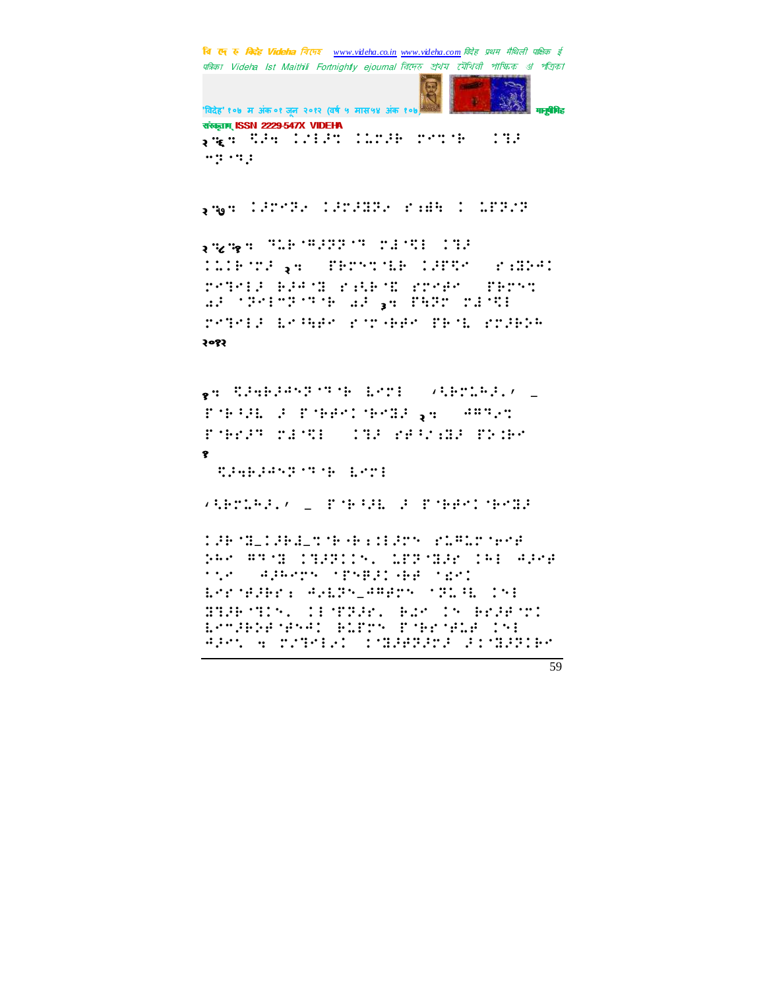'⣃⢷⣅⢳⢼G' –!2⢷⢸⢼⣇!⢼!2⢷⢾⢷⣝⢼! ⢼⢷⣝–⢼⢷⣜–⣉⢷D⢷⣐⣈5⢼!"⣅⢻⣅⢶⢾! ⢵⢳!⢻⢹⣝!⣙⢼⢽G!⣅2⢽⣝⢼"!⢳5!⢺⢼⢾!  $\{ \cdot \}$  $^{\circ}$   $^{\circ}$   $^{\circ}$   $^{\circ}$   $^{\circ}$   $^{\circ}$   $^{\circ}$   $^{\circ}$   $^{\circ}$   $^{\circ}$   $^{\circ}$   $^{\circ}$   $^{\circ}$   $^{\circ}$   $^{\circ}$   $^{\circ}$   $^{\circ}$   $^{\circ}$   $^{\circ}$   $^{\circ}$   $^{\circ}$   $^{\circ}$   $^{\circ}$   $^{\circ}$   $^{\circ}$   $^{\circ}$   $^{\circ}$   $^{\circ}$   $^{\circ}$   $^{\circ}$   $^{\circ}$   $^{\circ}$ ⣝⣙⢼⢷⣙G!52⢽⢼"G!⢷⣌!!⢷"⢼⢾! LOTAN PAPP PRESENT ⢺⢼⣁!⣒!4⣙5⢴!⣈⣝⢼⢾⢽⢼⢼!⢼⣈⣝⢼⢽⢷!

## 2⢷⢸⢼⣇!⢼!2⢷⢾⢷⣝⢼!२⣒!!⢺⢻⢹⢴⣉! 2⢷"⢼⢹!⣜⣋5.!⣙⢼."⢾⢸4⣐⣝⢼!2⢵⣈⢷! १ !⣋⢼⣒⢷⢼⢺⢽⢹⢷!⣇5!

 $\frac{1}{2}$ s (SPA): FAND (SPA) – SPA) – SPA (SPA) – SPA) – SPA (SPA) – SPA (SPA) – SPA (SPA) – SPA (SPA) – SPA (SPA) – SPA (SPA) – SPA (SPA) – SPA (SPA) – SPA (SPA) – SPA (SPA) – SPA (SPA) – SPA (SPA) – SPA (SPA) – SPA (SPA)

# २०१२

२ % % अ ⣅⢷⢼!२⣒!!2⢷⣉⣇⢷!⢼2⣋-!"⣐⣝⢵⢺!  $5$  ,  $5$  ,  $5$  ,  $5$  ,  $5$  ,  $5$  ,  $5$  ,  $5$  ,  $5$  ,  $5$  ,  $5$  ,  $5$  ,  $5$  ,  $5$  ,  $5$  ,  $5$  ,  $5$  ,  $5$  ,  $5$  ,  $5$  ,  $5$  ,  $5$  ,  $5$  ,  $5$  ,  $5$  ,  $5$  ,  $5$  ,  $5$  ,  $5$  ,  $5$  ,  $5$  ,  $5$  ,  $5$  ,  $5$  ,  $5$  ,  $5$  ,  $5$  , ⣔⢼!⢽5`⢽⢹⢷!⣔⢼!३⣒!2⣓⢽!⣜⣋5. ⣙5⢼!⣇⢸⣓⢾!"D⢷⢾!2⢷⣇!"⢼⢷⢵⢳!

## २<u>७७ : 2000 - 2000 : 2000 : 2000 : 2000 : 2000 : 2000 : 2000 : 2000 : 2000 : 2000 : 2000 : 2000 : 2000 : 2000 : 20</u>

'विदेह' १०७ म अंक ०१ जून २०१२ (वर्ष ५ मास५४ अंक १०७) मानुसीर के सामुवी मिट संस्कृतम् ISSN 2229-547X VIDEHA २⣒६⣒!⣋⢼⣒!45⢼⣉!⣅⢼⢷!⣉⢷.!⣙⢼.!  $\ldots$ 

चि एक रु *विदेह Videha चिए*न्छ <u>www.videha.co.in www.videha.com</u> विदेह प्रथम मैथिली पाक्षिक ई पत्रिका Videha Ist Maithili Fortnightly ejournal রিদেহ প্রথম মৌথিনী পাক্ষিক গ্র পত্রিক।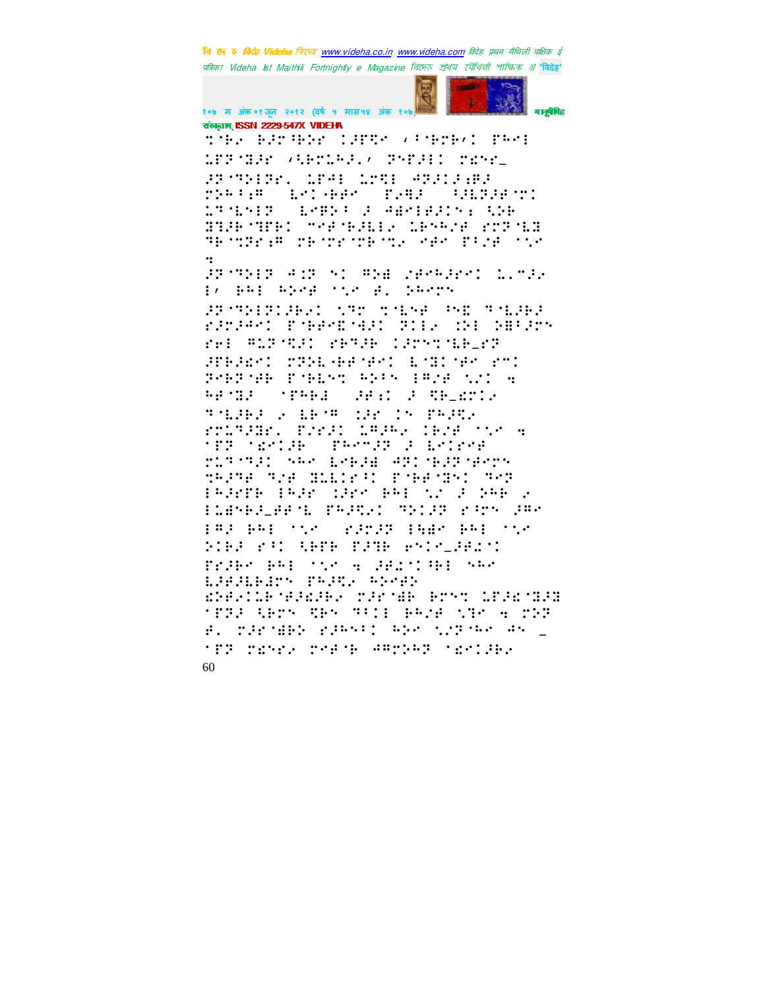बि एक रु क्विहे Videha विरफ्श www.videha.co.in www.videha.com बिरेह प्रथम मैथिली पाक्षिक ई पत्रिका Videha Ist Maithili Fortnightly e Magazine রিদেহ প্রথম মৌথিরী পাক্ষিক প্র' '<mark>विदेह'</mark>

१०७ म अंक०१जन २०१२ (वर्ष ५ मास५४ अंक १०७)



संस्कृतम् ISSN 2229-547X VIDEHA the Brief Christian Schedul Pen MIRTHS SHOWER, PRESEDENT STORIES, SPAL STOR ATSISED gialis in the sense of the state of the sense of the sense of the sense of the sense of the sense of the sense **LAMENT AND CONSTRUCTS** BREE MORE THE MEET CONTROL FOR NO TE MORE EN DE MESME MES SER SIGE SOL  $\ddot{\cdot}$ BRITHER AND STORES SAMPARED LUMBE f, baj apro spring, pargs STORIESES AT TEACHER TEACHER ranawi reperent dile in Shiang red Wilton: regio Crystalica **ATEACH TIME GENERIC ENTINE STI** PORTHE PORTH AND HAVE NOT A  $\cdots$  $\mathbf{a}, \mathbf{b}, \mathbf{c}, \mathbf{c}$ **ARANGER AND ARANGEMENT AND ARANGEMENT AND ARANGEMENT AND ARANGEMENT ARANGEMENT A** THERE A LEAR THAT TRANS rriche. Crri 18262 IB28 Time a **TER TEMISE (FRAMER 2 LAIPAR** TIP TEL ARA LABER API BEPARATA tere the million coefficient the PRACH PRAY MAY PRESS 2 2020 2 itanbigan peput supernya pe PAS RAI TOT STRIP PART RAI TOT SIBE SI ARTH THR PHILIPS! Probe BRI Ste a GRISTOPE SPO ROBOTH MARK CHIMA BOY TEACHER TERPORAGES THIS BACK NOW A COP B. THROBEN REAGN AND NOTOR AN L tra pendido prese apprendo entima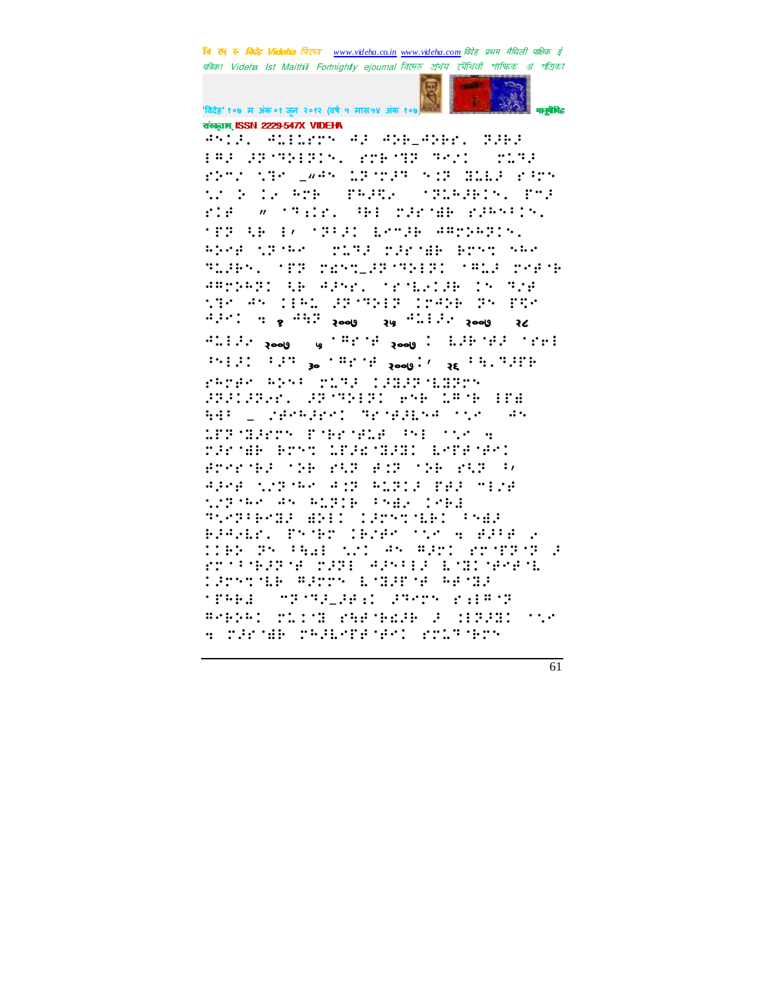वि ए रु क्रिडे Videha विएक www.videha.co.in www.videha.com विदेह प्रथम मैथिली पाक्षिक ई पत्रिका Videha Ist Maithili Fortnightly ejournal রিদেহ প্রথম মৌথিনী পাক্ষিক প্র পত্রিকা

'विदेह' १०७ म अंक०१ जून २०१२ (वर्ष ५ मास५४ अंक १ संस्कृतम् ISSN 2229-547X VIDEHA



While Willers WI Wik\_Wike, SJRP **FAR REMARKS, PTEMB ROLL TEST** rent the Last LETTER STR HILL rans the boots again pages of pragade of perrif w "Thir. He warner rangin. **TER AR EV TRAPE EPTIE ARTSARIN.** ANGEL STORY - MITE MEROHE BMAN SAR SLEEK, MED MARTIER MODER (1912) MARCH aspushi uk alse, sesualah is men the as flat drenger track by Fre  $\frac{1}{2} \frac{1}{2} \frac{1}{2} \frac{1}{2} \frac{1}{2} \frac{1}{2} \frac{1}{2} \frac{1}{2} \frac{1}{2} \frac{1}{2} \frac{1}{2} \frac{1}{2} \frac{1}{2} \frac{1}{2} \frac{1}{2} \frac{1}{2} \frac{1}{2} \frac{1}{2} \frac{1}{2} \frac{1}{2} \frac{1}{2} \frac{1}{2} \frac{1}{2} \frac{1}{2} \frac{1}{2} \frac{1}{2} \frac{1}{2} \frac{1}{2} \frac{1}{2} \frac{1}{2} \frac{1}{2} \frac{$ Hill-in good by "Hill" good I Hill Hill Title!  $\{15, \{1, 1\} \} \cup \{1, 1\} \cup \{1, 2, 3, 3, 4, 5\} \cup \{1, 3, 4, 6\} \cup \{1, 3, 6, 1\} \cup \{1, 1\} \cup \{1, 1\}$ FRIED RINE TIME LIBRE 18875 Add \_ Seckled: Mr Galber (tr.  $\mathbf{a}$   $\mathbf{b}$ MPP SERIES (PORTORIA (PS) (Sig) a rar de erro 1831/3281 broeinge Freedth (1988) PAR FAR (1988) PART (1) APAR SYPHA ASP ALBIB BAR MISE transfer an analyse share free SVARTEARD ANIC COMMUNED TAAD<br>Edgebrijfster Ceven twa Aldereig **TIBE THE FEAR NOTE AN ARTICLET TEST P** rrother a reference the research **COMMODE APPROXIMATE APPRE TEARS THE MALARET AND PLANES** Bebye: Thing Phenbadb 2 (1323) the HOMAN HE MARRATH MAIL PROFESSOR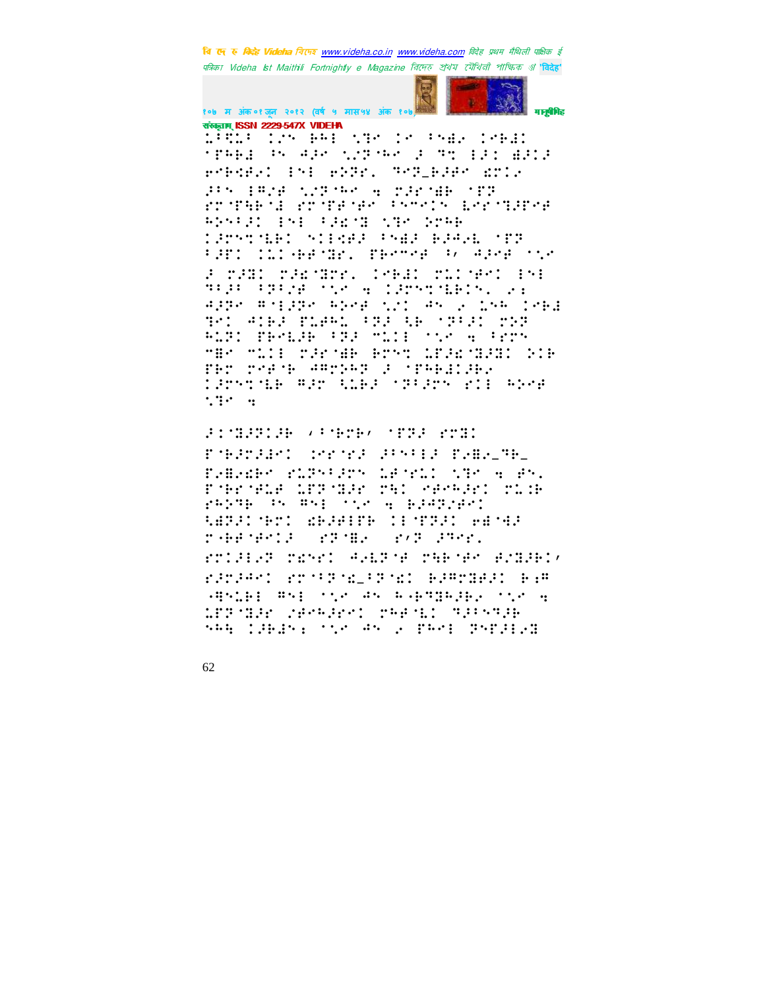बि एक रु क्विहे Videha विरफ्श www.videha.co.in www.videha.com बिरेह प्रथम मैथिली पाक्षिक ई पत्रिका Videha Ist Maithili Fortnightly e Magazine রিদেক প্রথম মৌথিনী পাক্ষিক প্র' 'विदेह'



१०७ म अंक०१जून २०१२ (वर्ष ५ मास५४ अंक १०७) संस्कृतम् ISSN 2229-547X VIDEHA

1951: Try BAE STR IR (Self Index treed to gat without the day day. PORCHAI INI POTE, TOT\_BJBO ATIV PPS EASE SITES & TRINK TTP POSTABINE POSTAGAN PASSING ESPIREDA PROFIL INFORMATION ROOM TRONG MET STERRE FRAG BRAKE SOP FIRE COLORENTES TRANSPORT (2014) STAR

a pad: partor: (PRE: poliet: 85 BEAT FRIDE SAM A CAPATABING DE APPA RAPPA REAR NOT AN 2 188 TARE THI WILL PLAND FOR AN ISSUE THE ALP: PROLED FRAMELIE STONE ROOM MBK MLIE DAR MER EDRO LEAR MAARD DIE TEM MYESE ARMSAR 2 STARBIZER TRONG MARKET STAR STRAIN STATES  $1.39\%$   $\pm$ 

SIMBUR (PEN) MUR PUB

PORTERT OVERFUNDED PARATHA PARAGE PLENGED LEGGI STATE BY. PORTHER APPORATORE SHOWARD TACH gayng in mng siya a gunnyaa: tang: hr: abgeine :i dreg: ea-ag readments exchanges and the rridish rayon galhyd rhbydy drhddi. rdnaan rhottoritti alla aannaan alu **ABSIDE RSE TO AN RADIOBUS TO A** MPP MER SPEARERS SARGE SPACER sag jugas, nyelas y part psputyo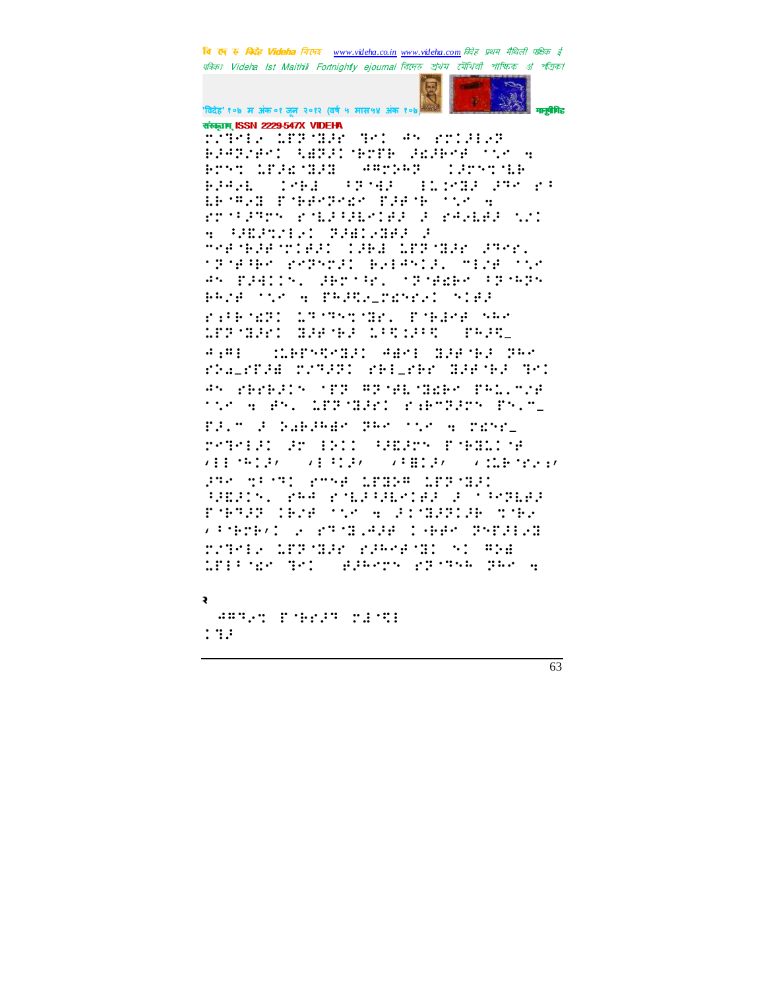**बि एक रु** *बिर्दह Videha विए***नर** www.videha.co.in www.videha.com विदेह प्रथम मैथिली पाक्षिक ई पत्रिका Videha Ist Maithili Fortnightly ejournal রিদেহ প্রথম মৌথিনী পাক্ষিক প্র পত্রিকা

1961 (FRYAR) (111918-278-27

 $\sqrt{3}$  :  $\frac{1}{2}$  :  $\frac{1}{2}$  ,  $\frac{1}{2}$ 

'विदेह' १०७ म अंक ०१ जून २०१२ (वर्ष ५ मास५४ अंक १०।

reports the day poller from an and BISTIAN SATURDED BEAM TO A 8000 1030 1031 - 80000 100000

EPSALTOHESPAR THOR OR 4

PROFINSOR PRARAINSENS NIEA rathematics there may popular shall STRATES SHEAR SPRAGUE TEMP A.M. CORPSPORT ART ORPOR THE PRAINTED SYSTEM PHIRTHY HEATS AND AN PREPLIN TER ARTHETICAL TALLTUR **TACH BY, LEPTERI PERTINA PY.ML** FALM A DEBAMBE PRESSURE TENS readily around concrete readies

and then: Prof. 18808 1887881

BERG PROPERED FOR STREET PORTE INSTITUTE STORECAL TOPS *VISERAD A PROBABE LABER BREELAR* TIME ANYWHERE MANUFIC STAR tricke met almers engen par a

\* :::::::::::::::::::::

 $\sqrt{2}$  (  $\frac{1}{2}$   $\frac{1}{2}$   $\frac{1}{2}$   $\frac{1}{2}$   $\frac{1}{2}$   $\frac{1}{2}$   $\frac{1}{2}$   $\frac{1}{2}$   $\frac{1}{2}$   $\frac{1}{2}$   $\frac{1}{2}$   $\frac{1}{2}$   $\frac{1}{2}$   $\frac{1}{2}$   $\frac{1}{2}$   $\frac{1}{2}$   $\frac{1}{2}$   $\frac{1}{2}$   $\frac{1}{2}$   $\frac{1}{2}$   $\frac{1}{2}$ 

asset rees rich

 $\ddot{\phantom{0}}$ 

 $133.5$ 

rodages romanamental a regula wil

mergerien iel wiederen **TRIAGE PROPOSE BALANCE, MIZA TIP** AN ESELIN, SERVAN, MEMAGEM PEMPR

संस्कृतम् ISSN 2229-547X VIDEHA

**F.P.P.L.** 



मानुबैमिह

 $\sqrt{118}$  is the set of  $\sqrt{118}$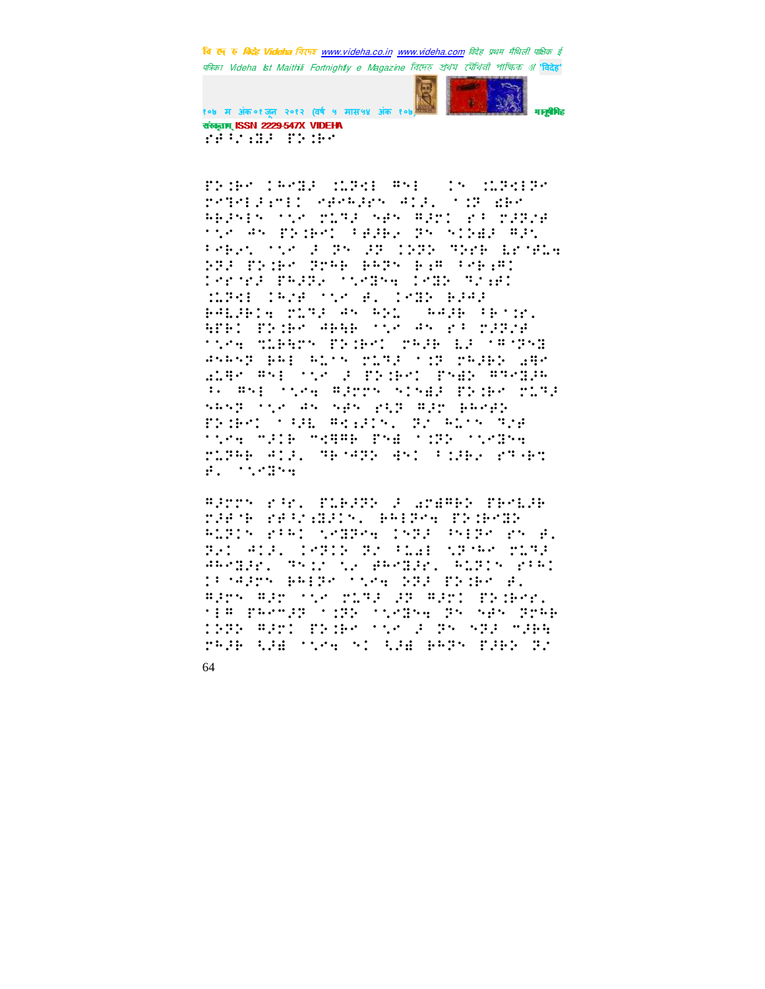बि एक रु क्विहे Videha विरफ्श www.videha.co.in www.videha.com बिरेह प्रथम मैथिली पाक्षिक ई पत्रिका Videha Ist Maithili Fortnightly e Magazine রিদেহ প্রথম মৌথিরী পাক্ষিক প্র' '<mark>विदेह'</mark>



१०७ म अंक०१जून २०१२ (वर्ष ५ मास५४ अंक १० संस्कृतम् ISSN 2229-547X VIDEHA retrade maner

EVIRG CROBE MIRE AND CONSIDER redebracht eachden Alb. (12 dec REPAIR ONE PLAP SES APPLICATIONS the AS Probel FERED BS SINER ART 1982) 1993 - 2004 - 220 - 1222 - 3238 - 1234 1244<br>1922 - Picter Caree, Germany and Carelett Christ Pelle (thing 1986 Staf SLPHE CRIP TOO B. COBE BRAF PALIBIA TITE AN ADI (AAJB FB'IT. APPI PRIDE APAR SIS AN RI MIRIA tics theory from the book of the ANANG BAI ALIN MING TIO MAGBA ABK angel gerichte in die Gerichten Geenheide Be Which they wanted bibaa from the sasp (1,0 as sp) pip app pagp.<br>Primi (1986-94:215) Promins 928 **MARK MAIR MARREY PARK MARK MARKET** ringe and speak and they prac  $H_1 = 1.1441444$ 

BRYTH PRINT BOOK AND START BRAIN DEPTH PERMITTED FRIPPH TRIPPIE RUBIN PERI SPEEPH INEE PHIER PN B. Bel All, 19815 Br Fial (19768 Mine) ARREST TRIP NA ARREST ROCK STRI 18 September 2004 1998 Prime B. Rans Ran tie nicht ab Rani Prober. tim recover the ticked by Gev poes 1989 Admi prima tia di Palage Sim rele the straint the eers files It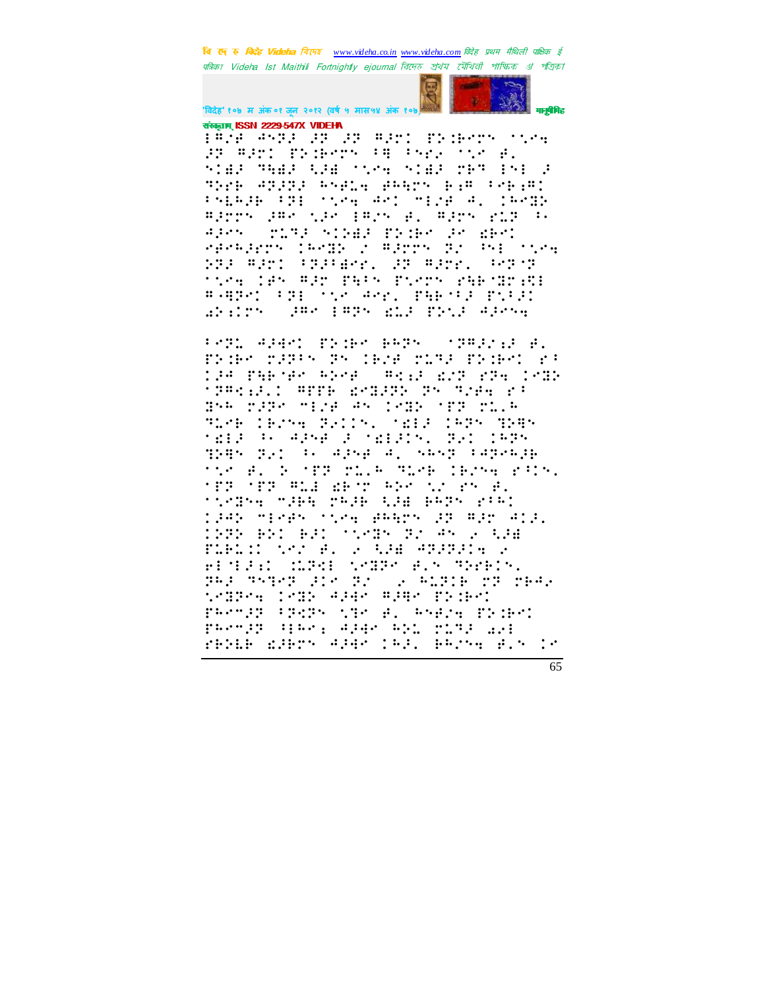वि एक रू विरोह Videha विएक www.videha.co.in www.videha.com विदेह प्रथम मैथिली पाक्षिक ई पत्रिका Videha Ist Maithili Fortnightly ejournal রিদেহ প্রথম মৌথিনী পাক্ষিক প্র পত্রিকা



### 'विदेह' १०७ म अंक ०१ जून २०१२ (वर्ष ५ मास५४ अंक १०७ संस्कृतम् ISSN 2229-547X VIDEHA

fêje angj je je mjel primern ting FROM FROM THE PART OF THE REAL PROPERTY SIAR PAAR SIA 'SYN SIAR 267 ESE P THE STITE RAPLE PRESS FIR CAPING PALAGE FRE STRAG ART MEDECAL CARDS #Prrn P#8 NPK P#25 B. #Prn PNP P+ APPN (MITE SIDER TRIBP PROBB) edemokrat (media a morre da stal tie) STA ARTI (TAGGA), AT ARTI (POST tics (FS APT PAPS Pictry PAPTERS) # HPP: FPE TOP APPL PHETE POIR ANITY (PRO 1925 ALI TIME SPOR

PARL APART TRIBA BATA (STRINGE B. PRINCIPALLY THORPHONE PRINCIPS a ferro be solo and consider theil: Arre Roding in The Pl HAR PARK MEDAL AN IREN 197 PL.R SLAR (Programs) (2019) (2019) 1929 Thes tell Rosene Poellin, Beloleph THE BALLAGUAR AL SASP PAPPARE the B. S (FF Mile Side Derne FRIN, TER TER RES WHICH RES TO YOUR SE tiche sam rege und mer red 1945 MIRAR Stra ARAMA 98 A9M A19. .<br>1985 BSI BJI YYMEN BJ AN 2 RJE PLECIMO EL 2018 APIDILLA FINISH MERICANES FACTOREDS PHI RNPH CO ROLL ANDCH TP THA **SPIRE IPIN 4245 #245 FRIED** PROSPECTED STATE ROOM PRESS PRINCIP PROSP HERO, APHOLOGY CATE and recept duess adapt tell easywellely to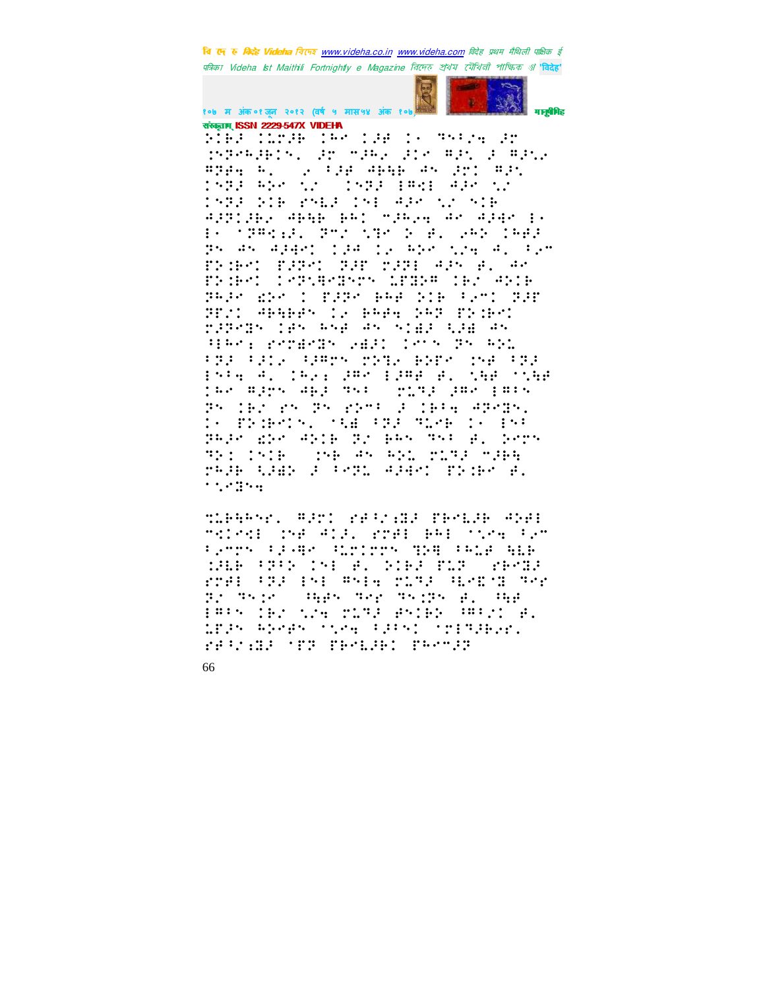बि एक रु क्विहे Videha विरफ्श www.videha.co.in www.videha.com बिरेह प्रथम मैथिली पाक्षिक ई पत्रिका Videha Ist Maithili Fortnightly e Magazine রিদেক প্রথম মৌথিনী পাক্ষিক প্র' 'विदेह'

१०७ म अंक०१ जून २०१२ (वर्ष ५ मास५४ अंक १०७) संस्कृतम् ISSN 2229-547X VIDEHA



bîêg (1219) (Ar 198 () Mrgen gr SSPARDEDS, DE MORAL DIA ROS D'ROSA ange als skrive applicate her<br>1888 and the 1888 indicate  $\mathbb{R}^n$ 1533 1841 438 MM 1599 DIE PSEP ISE APP NO SIE 4221262 4656 651 : Sjapy ar ajgr :. EX (1984)22, 952-598 2002 2003 1902 gs as apart ta the spectrum check<br>Deden Blant ta the spectra al spec<br>Deden Blant dam blam als al an reden 19719-2010 1820 1931 9518 PREMISSION PREMISSE PAND REP PP21 HEARDN 12 EARN 2AP PEIBO rageds tes bse ds staa taa ds HARY PROBREM WEEK (POSSES AND FRA FALE FARM METE BERY ME FRA ESPA AL CREE DRY EDRE BL SAB SSAB par Agre App Met (ring gar pate Prodector Program (Podera APPBr. ik friekom) kie pod pikelov (m) PRIM WHO ANIE PACERN THE B. NATH **THE 45 APL 2173 THE SECONDE** rage than 1 ferd agaed from 8.  $1.12344$ 

tibbby, Bitl (SI) CO Coup obdi melevi (nd 412. prdi 641 stem for Perry Plage Refers HPH Pale ALB MAR PROVINCE B. MORAGE TAR (SHRAK rred (22) dad and ring direction are  $\mathcal{G}(\mathcal{F})$  . The problem is **SAPE THE TEST B. MAR** 1855 IBZ SZA PLTA ASIBN <sup>18</sup>521<sup>7</sup>8. 1835 Wheel they film: thinking REVIEW THREE-BRIDGE BROWSH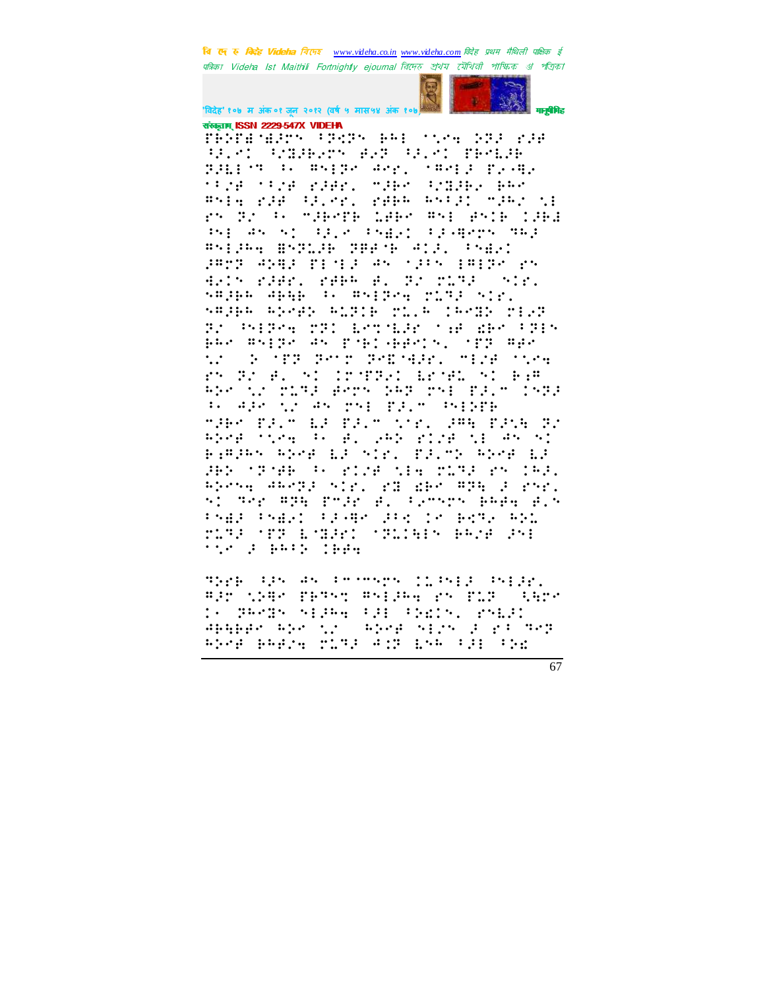वि एक रू विरोह Videha विएक www.videha.co.in www.videha.com विदेह प्रथम मैथिली पाक्षिक ई पत्रिका Videha Ist Maithili Fortnightly ejournal রিদেহ প্রথম মৌথিনী পাক্ষিক প্র পত্রিকা

'विदेह' १०७ म अंक०१ जून २०१२ (वर्ष ५ मास५४ अंक १०७



संस्कृतम् ISSN 2229-547X VIDEHA PÊSÎNAMAJYA (PAJA AH) (SAN 233 PJA HAND REPROSPERED HAND PROBE BREET & WHER WAY, TWALE BY ME tice tice ragge make achairs bee Brig rif Winn, read brief mins ti rs Br & Sabshe Lebs #si esib 1961 PHI 45 51 PELS PSEED PERMITTER #5:36: #53138 38656 413. P5#21 ample avoid profile as open represent 4215 PART, PARK A. T. TITA (518) 58366 8646 10 851386 2133 512. segna apend andin rhia (aedi rist BY PHIRM TRI EMTHIN THE WHO FRES par supreme portered up optime which the best personal mass the PROFINE RECONSTRUCTIONS AND PER RES NO PLAS ROOM ERR OME FRID INFR Be applied an end price shipping ngen falm aa falm syfel affilfase ar and the scale and the normal BIRGHA ANNE ES ATRI PSIMO ANNE ES ARD STORE AN VIVE NEW MITAGES INCL Riche ARCES Sir, rd den APR 3 ror. SI TOP PPR PORT B. FACSON BRAN B.S Pres President and and in Bung Adi MIRA YER EYBANI YELIBIN BAZA 251 the Party Min

THE UPS AN INSTALLENT INTER. #25 N286 PRTST #SE2PA PS PLP (SAT) 16 BRABA SEPRA FRE FREDA, PSER sphere who are whose sire in reduced ANGE BARYA MITA ANT ESA PAD PNE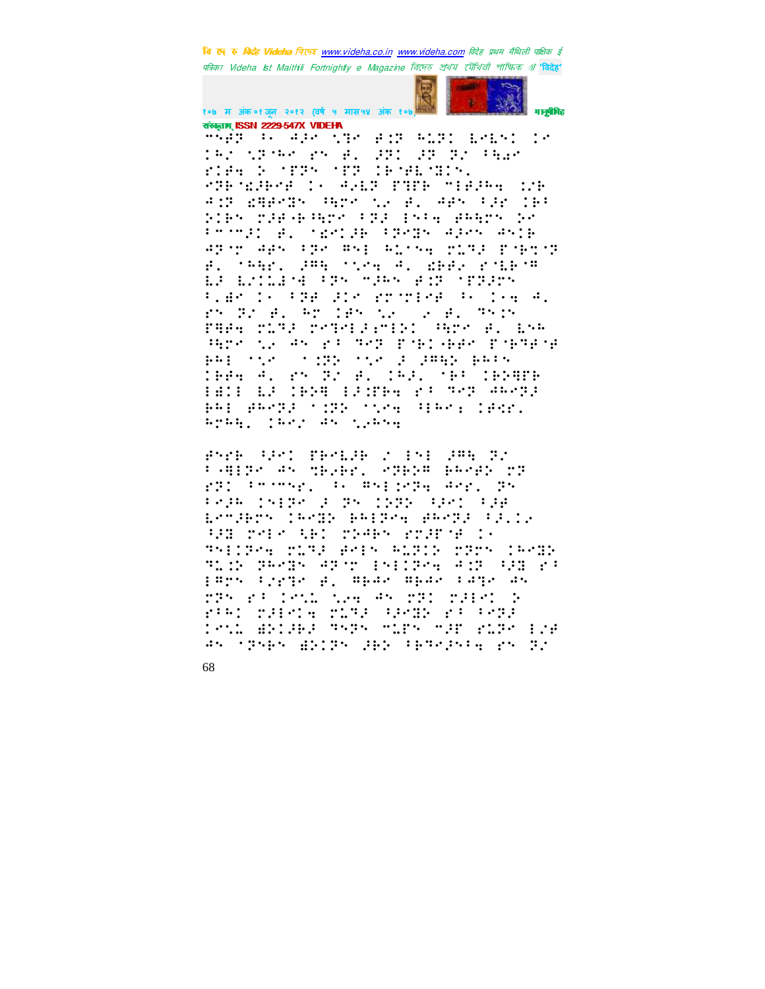बि एक रु क्विहे Videha विरफ्श www.videha.co.in www.videha.com बिरेह प्रथम मैथिली पाक्षिक ई पत्रिका Videha Ist Maithili Fortnightly e Magazine রিদেহ প্রথম মৌথিরী পাক্ষিক প্র' '<mark>विदेह'</mark>

१०७ म अंक०१जून २०१२ (वर्ष ५ मास५४ अंक १०७) संस्कृतम् ISSN 2229-547X VIDEHA



mêği bi alk sik esi Alic bros (r 192 NEMPORT B. 201 20 02 5540 ries & MEPA MER IBMELMEN. <u>2012 Gabrillo Alealach Chlàsba (ch</u> Add before through A. Add the Cet NIES (1989) Adrie (1990) Esta (95ans (28 Promat al cartae Paran Aarn Ante APAM APA PPA PAI PLONE MLTA PARTY B. TAGE, 286 TIPE 4, BEEP PALETR 12 brilling fast namn ald craach Plan 18 PPR Sin Errich Protes A. an Boogle and Dan Nool of Buchnam<br>Para chiff contractoral face Buchnam Benedite and each map and the search memorial PRESS 2010 12:00:00 PRESS PRESS ieke A. 25 Br al 1421 (A) iezere HATE AS TANK ESTAGE PO REPORT PRI PROTE TITE TION SIROL IPOL Reng (Rengel Schen

PACE OPSI PERSON 2 INFORM DA PARING AS MELER, STEPH BASED MT 231 Fring, B. Welleng Web, 35 FR2R (51386 2005) 1982 (5261) 128 Ernabns (Redb BRide, AReda (A.C. SEE THE SEE TRAPS FIRTH IS THEIPPH TITE PRES RIFIN TRON CRPIN SLIP PROBA APAR ENEIPOR AIR SHE RA part bridge all apactapactory at 235 23 1812 124 35 231 23181 3 FARI THERE TIME ARMIE FACATE TRIL BRIGGE THEN TIPS THE PIPE FOR an treen anire den ferspelacen ro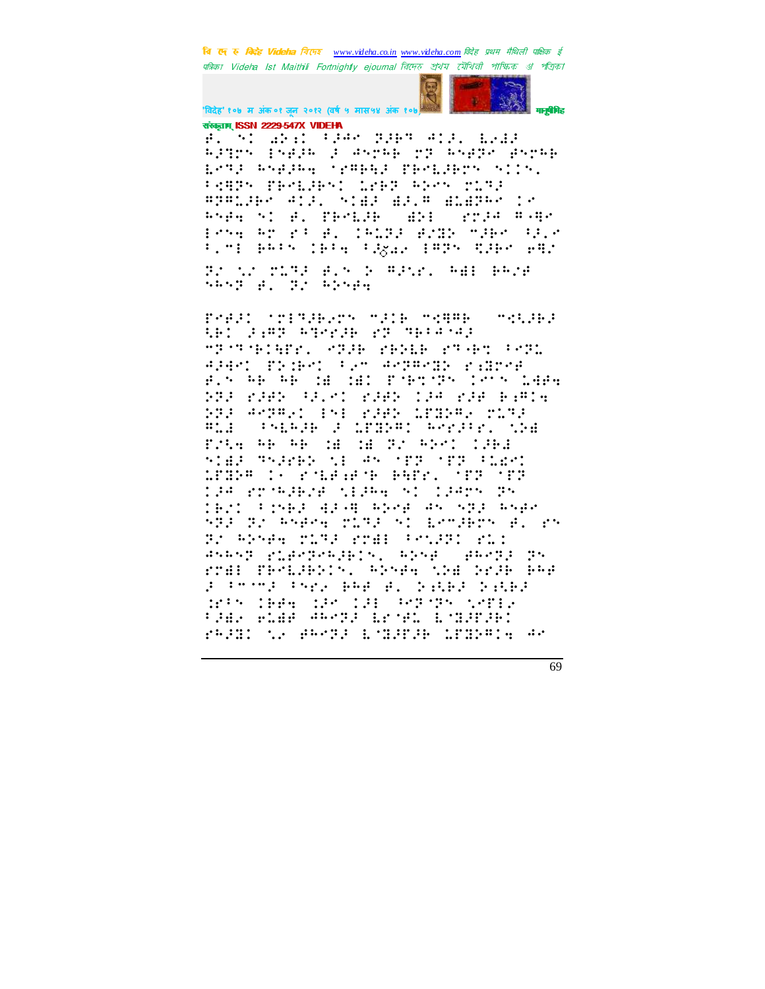बि एक रु *बिरोह Videha चिए*क www.videha.co.in www.videha.com विदेह प्रथम मैथिली पाक्षिक ई पत्रिका Videha Ist Maithili Fortnightly ejournal রিদেহ প্রথম মৌথিনী পাক্ষিক প্র পত্রিকা



### 'विदेह' १०७ म अंक०१ जून २०१२ (वर्ष ५ मास५४ अंक १०७ संस्कृतम् ISSN 2229-547X VIDEHA

aggre ieda g aerak rolaege gerak<br>Allen abil tiae dikt angl kelg 1073 Andlay Spadel Machines nils. FRAME PROLIBS: 1893 ANOS M173 #P#1864 #18, STAR AR.# ANAPRA DA Rogg of B. PRoblem ADE (2014-8-48) Program Program (PDP) Program Service Find BROS IBOW ORNER TRES REPORT

Brown MiRA Almon Rank, RAI ARMA sasp g, pr apspg

POBRI TORRADA MARE MORRE thi limp ageria ry mataear "P'T'PIRE, STAR PROLE PT-RT PST. APART TRIBRI FOR ARTHRON FIORE B.S. RE RE ME MED PORTON CROSS LARA 992 MHP (912) **SAN CA FAR BANA** 223 Angeli (151 Siad) Modele, Mich **SARA A MARA WARR CA**  $\mathbb{R}^n$ rne me me de de la lancea como SIER TSREED SE AN TER TER FLEWI SPORT () righth HAPr. (PP (PP 194 romaara siawe si 1945 dis , kingi gian siya an ngi shaw  $\mathbb{R}^2$ STE TO RSPOR TITE SI ESTERTS PL PS Br Rober M192 Small Conduct S1: asksp piperelepts, kisp (pker) ps rrd: PRSLARIN, ADNA SDE DrJR RAF 2 Front Park PAR B. SARP SARP WAS INNER WORLD PERPOSE WELL **FRAME ARTICLYPE L'ARTIE!** PRINT A BRANCH MINISTER MINERAL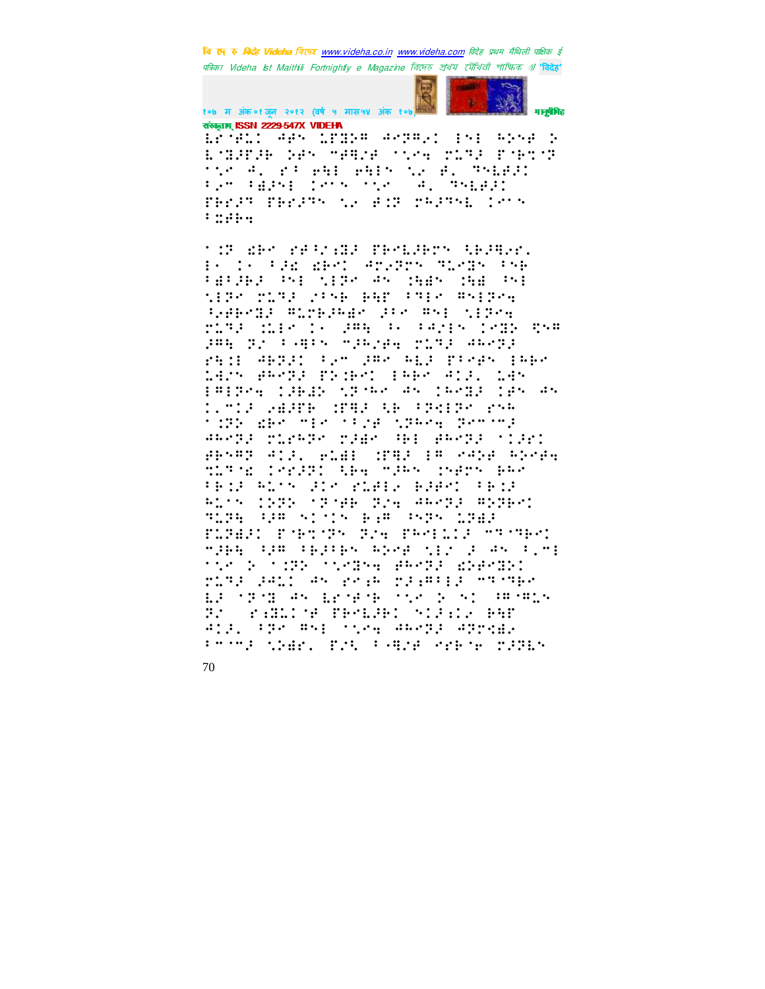बि एक रु क्विहे Videha विरफ्श www.videha.co.in www.videha.com बिरेह प्रथम मैथिली पाक्षिक ई पत्रिका Videha Ist Maithili Fortnightly e Magazine রিদেক প্রথম মৌথিনী পাক্ষিক প্র' 'विदेह'

१०७ म अंक०१ जून २०१२ (वर्ष ५ मास५४ अंक १०७) संस्कृतम् ISSN 2229-547X VIDEHA



Ernell ags Lrobe ander 151 apse b L'HATAR DAN MARCA (1984-2193) ESPESO ing al ra em em employer al angal.<br>Album album ignoring cal angaleli THEFT THEFTS AS FAT TESTS INTO **Fighter** 

**THE ART PROVIDE THREETH ARTHLEY** Post Paragonic Street Street Street Street FEFTHI PSE SERVICE SHER SHE PSE SEPP TERP SPAR RAT PRESS RAIDS SHEMIS PUTESHEM SPM PHE NETME ring (if of the game of object temporary FAR SPORTAGES STATES STATES ARE ST rad About the own and preps pape 1425 akkul ridaki 1466 guz. 145 PRIPER CORD STORY AN INFORMATION timid wadde graf te freids est tisk der med tig tyened ben'ng ARRIE MINRIK MIAR (B) ARRIE MIAN ARSAT ATT, PLAT (PRF IA 2458 AS2A) there is high the side there has PRIPADOS RIS PLATA RAPO PRIR RITH INTH TOTHE ONE ARMOR ANTER SIBE OF STORE FOR SAFEKEEP FLREED PORTUGAL PAR PARELIE STOCKER mann ann annan Shen mar a' am aime tic S (195 ticker Abcha Enemy) ring gair as read regards momen EP (POD AN EPOPOR COM DON) (BOBL)<br>P2 (Primitor Profile: Nightl PRP) ajj, the way symposium appeal From: Charl Tri Fogra orbor plick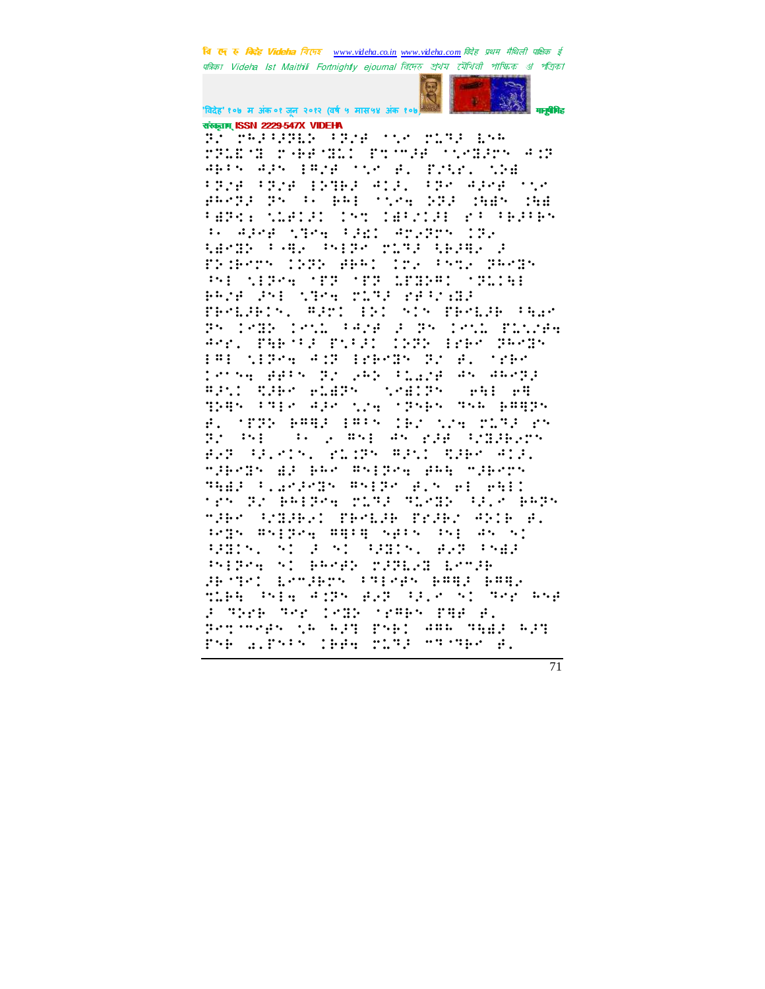बि एक रु *बिरोह Videha चिए*क www.videha.co.in www.videha.com विदेह प्रथम मैथिली पाक्षिक ई पत्रिका Videha Ist Maithili Fortnightly ejournal রিদেহ প্রথম মৌথিনী পাক্ষিক প্র পত্রিকা

'विदेह' १०७ म अंक०१ जून २०१२ (वर्ष ५ मास५४ अंक १०७



संस्कृतम् ISSN 2229-547X VIDEHA Břímasagna (Breston Magasagna rale di raggali fronge cialere all ABIS APS EACH TOT B. FINE, WH PRIA PRIA INTER ATA, PRO APAR SIN garge professional stray body degree ded FARK: MARIAI INT IAPILIA 27 FEAREN Produce the Part drifts IT. SEMINOR HERO PAIRS SING SEVEN OF FRIENDS (1939 BEAT ING PANG 34035 **WE SERVE YEE YEE LEBBED YELDED** PROF 251 5309 MINI PROVINC PROLED S. ARTICLES STORY PROLEK ARAS Projeme (ethologene a Projeth Phthem Ann. Partis Pulli 1972 1885 PAndr PRESERVATOR EPROPAGNO PLANTERO terne aakn di ympokiele an amedi #251 RARK PLATH (SMATTH) PAI PR THE PRESS AND SIGNIFICANT PARTNERS B. Stray email and the size runs les Brown (1992) and an electronic EPP REPORT PLOPS RPLE RPP ROLL mandre da her estre, per mandre THE PLEASEN THER FIN HE PHIL try ar belake right girm all berg "He WIBS TRUB ROBS WIP B. nega marpeg munu agna nar da ay REDNAMN ENN REDNAMNE PART Prince of Bacer Siller Local APTES LETAPT (CREEK PORT PORT) the Pile Funk and Direct The End F THE TEN IFR SPARE THE B. permeas to open pap: door mage opr Press. Print (BBA 2173 272782 B.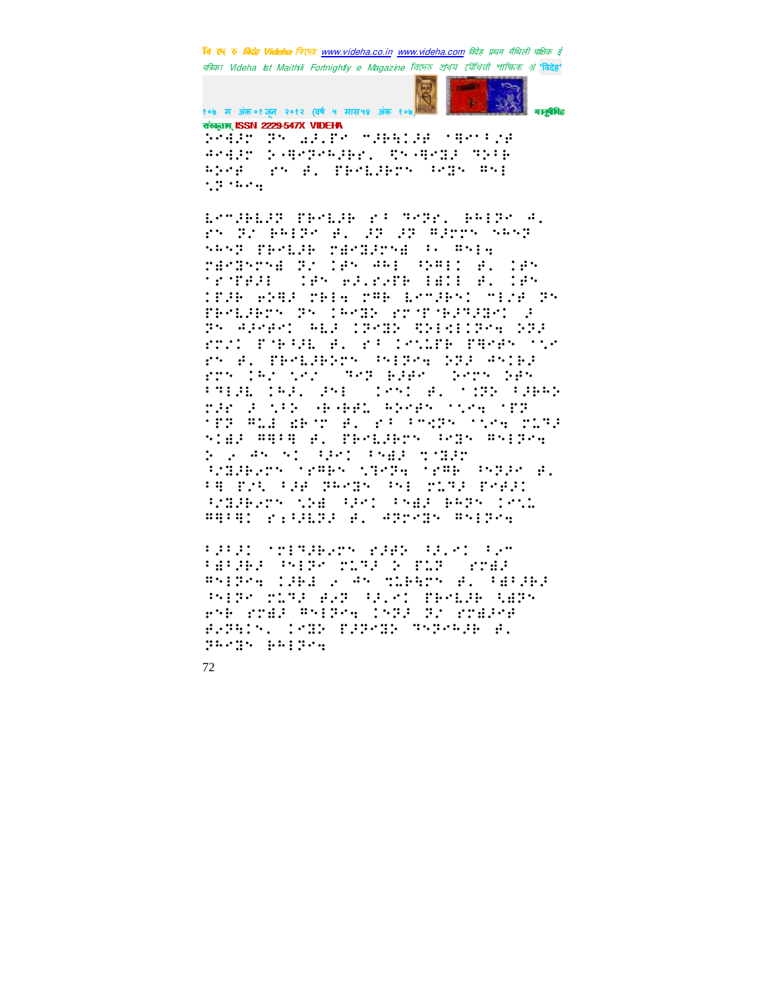बि एक रु क्विहे Videha विरफ्श www.videha.co.in www.videha.com बिरेह प्रथम मैथिली पाक्षिक ई पत्रिका Videha Ist Maithili Fortnightly e Magazine রিদেক প্রথম মৌথিনী পাক্ষিক প্র' 'विदेह'



१०७ म अंक०१ जून २०१२ (वर्ष ५ मास५४ अंक १०७) संस्कृतम् ISSN 2229-547X VIDEHA

Sêdir 35 al.Er hibbija (Arniva Angly Sagnyanghr, Chagnis This RESEARCH B. PHOLIBON ROBOTES  $\gamma$  (1)  $\gamma$  (1)  $\gamma$  (1)  $\gamma$ 

1073B132 PROLIB 23 SOP2. BAIDO 4. PS RE-BRIRK B. 28 28 82555 5658 sky pedig reduced b msp. randhrha di leh Ami Guail e. 195 troped (185 educate 1811 e. 185 IFAR PARA MELH MAR EPMARNI MIMA PN FRAMERY TH CRAIN FROM BENEDY I Produced ALP (Provincial Produced FTIL FORTH AL FT LOCUTE FROM TOO rn e. Mendaebrn (nighe boa anieg rns (ar ver "aer eges" bens bes PREAL INAL 251 (1951-81-5120-920-0 THE FAIL HERE FEED MAN THE TER tra Ang kato allas tekas tida bias STAR WHIM A. PERLANS SPOK WSITE S 2005 SI HPC PSEP TOBE CHARACTERS STORE SPER PORCH. FRONTO PRECEDENT PERSONAL PRESS STREAMS THE SPOT SHEETERS INTO ##:#: :::##: #: #####\* #\*:#\*+

FREED STEPHENTS PRESS RELATIVES FARABA PERK MIRA & BIR (MMA) #SIPPA IPBI 2 #S MIRROS #1 F#F2R2 PHIR TITE AND SUCCIPATION SARR PSB PTEP #SIPSE 15PP PT PTEPSE RATEIN, IMID PATMID THIMAGE R. parge pappry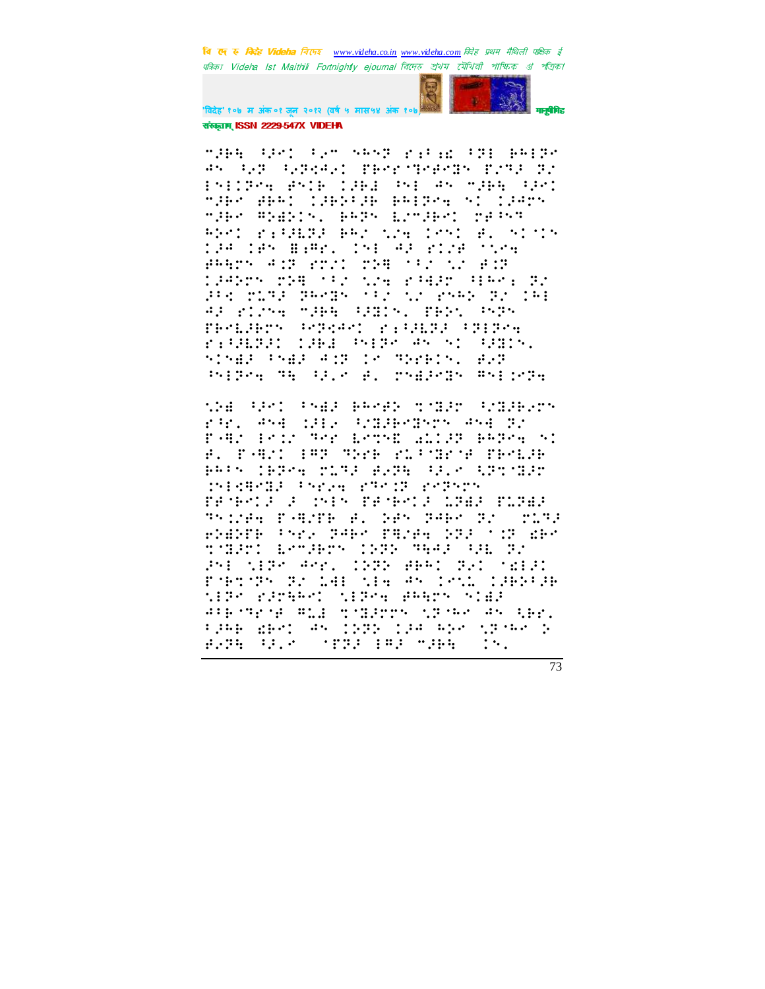बि एक रु *बिरोह Videha चिए*क www.videha.co.in www.videha.com विदेह प्रथम मैथिली पाक्षिक ई पत्रिका Videha Ist Maithili Fortnightly ejournal রিদেহ প্রথম মৌথিনী পাক্ষিক প্র পত্রিকা



'विदेह' १०७ म अंक ०१ जून २०१२ (वर्ष ५ मास५४ अंक १ संस्कृतम् ISSN 2229-547X VIDEHA

mann aget alem shsp rifir aga nafpe AN USE USBAAL PROSTERORN PIRA PI ESECRYA ASCELCARE PSE AS MARA SAMO mark are: 1382-38 Pelaka SI 13455 MARK PREPINS PROVIETAREMI MEJNO REAL PARRER PROVING ISSUED RUNDING 198 185 Bamb, 151 83 blide time PRESS AND POST OFFICER SAMPLE 1945ry roll of the rade flee. By Belging besky the newspapers AF RICHA MERR (FEIN, PROV. 1929 PROBRET ROBERT FIRED PRIPOR rightly the same starts. SISBN 9882-932-18-7020618. BOB PHIRMS TROTELY B. THEFMIN THEOMIS

the GPS (PAE) BRAGE TORP (CROBING ran, est park andershis est pr Page from The Level Wille Baths 51 B. P.R.: 183 Ship Ship Called Street PRIN (PRNA TIME PRNA JELY 1375-1327 THERBOIL PARKS PROTECTIVES rement a chip rement bras rugas Things Parte A. San Bake Br (2178 FRENTH SYNC 2468 PROPE 223 MOD ERM tikt brier CSB 988 88 78 351 MIRK ARE, ISBN 8841 BAI MEDI FORTUN EN LAI MIA AN CAML CARRESE SEPA PJOHHAI SEPAN BHHON SIBJ alpended mis cemprove (persoan upp.<br>Panp abel an 1939 194 mps (23 me) 2 BOW WAY THE BULLERY  $\mathbb{R}^n$  .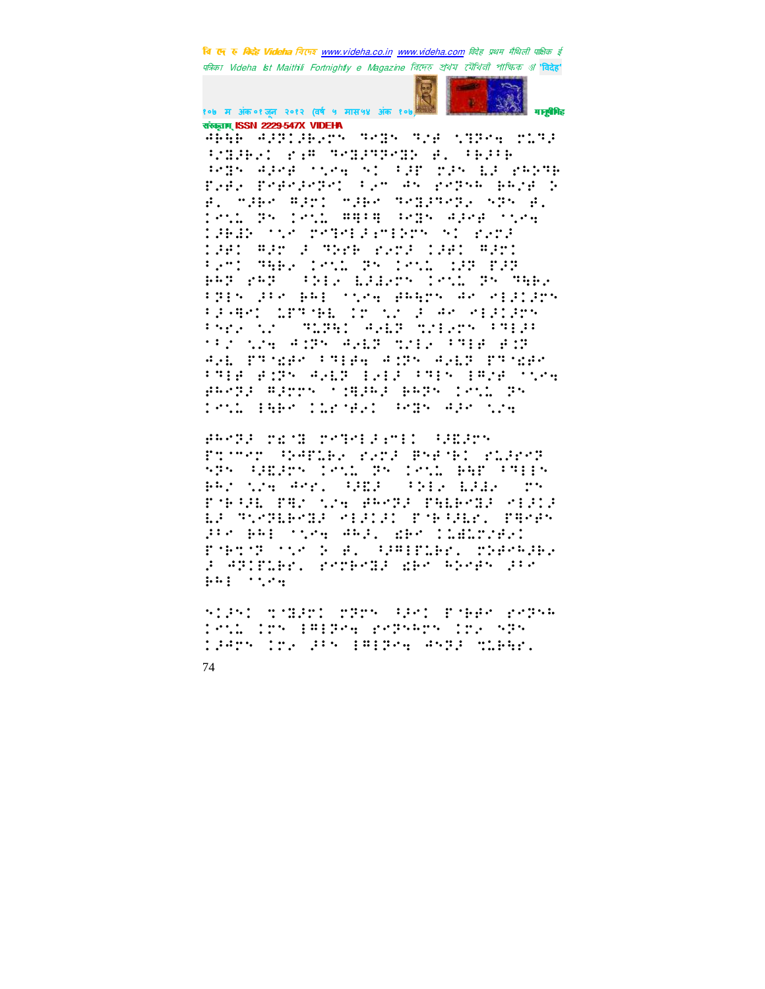बि एक रु क्विहे Videha विएक www.videha.co.in www.videha.com बिदेह प्रथम मैथिली पाक्षिक ई पत्रिका Videha Ist Maithili Fortnightly e Magazine রিদেহ প্রথম মৌথিরী পাক্ষিক প্র' '<mark>विदेह'</mark>

१०७ म अंक०१ जून २०१२ (वर्ष ५ मास५४ अंक १०७) संस्कृतम् ISSN 2229-547X VIDEHA



ARAB APPLIERTS SPOK SIN SOPPA PLSP **BOOKS PHONORITY: B. BEER** PORT APORT TO ME AT FIRE TIME ER TENNIS raka rékordel (al- 45 pérső köld 3 B. M.Br W.Etc M.Br Writwith STS B. Tenn de Tenn Agric Pede Alego (neg Damar (tro-podoia) ni no rana 1987 Auf a Spel evid 1981 Auf: teni make isil selleni das bås PROGRESS CREATED TO THE PROPERTY OF THE STATE OF THE STATE OF THE STATE OF THE STATE OF THE STATE OF THE STATE FRENCHE BELONGE BEEN ACCORDING FRAME LETTER IN NO. 8 AM MERIPHY President and 1999 - 1999 - 1999 - 1999 - 1999 - 1999 - 1999 - 1999 - 1999 - 1999 - 1999 - 1999 - 1999 - 1999 - 1999 - 1999 <br>1999 - 1999 - 1999 - 1999 - 1999 - 1999 - 1999 - 1999 - 1999 - 1999 - 1999 - 1999 - 1999 - 1999 - 1999 - 1999 **TES NOR ROBA RALE MOLA PRIR ROB** AND PROBLEMENT AND AND PROBE PREP BIRS ANDR ENER PRES IPNB STRA PROTE RETTY TIRER PROVISOR TO Tend (BBP Torney) Peds Ade now

PROTE TECH TOTOLERI (FEDERA Promer Spepale, rangelevely radion SPS REPORT ISLE PS ISLE BET PRIES BRO NOR ANY, PARA (PRES RABS) TH rden fan de Abdelfande dit: EF TVTERTE MIRIE PARRE. PRYR PPS BRE Street ARD, WHO CLAIDTIERS PORTUBE TO SEARCH (PARTIERS EDGERAL) F APITLER, RYTERIE WER ANNEN JOR  $1441 - 1144$ 

SIPS TOBEL MEM SPOI PORP POPS Tend Try Espes Persons Try Spy *light ins are imined gena thank*.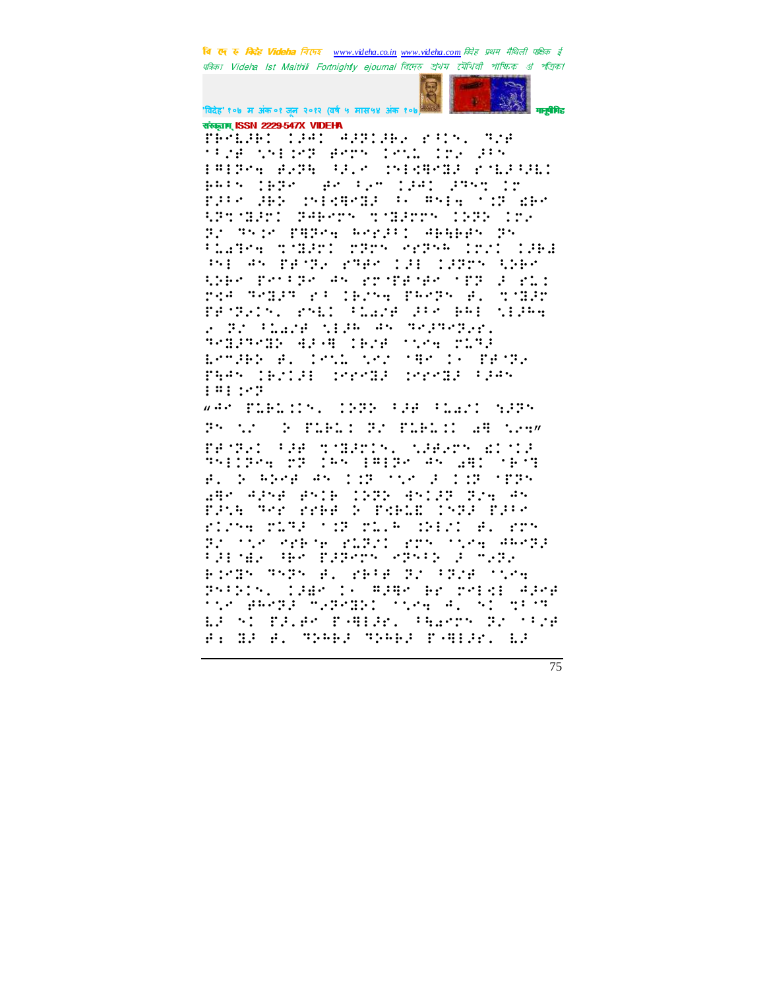बि एक रु विदेह Videha विएक www.videha.co.in www.videha.com विदेह प्रथम मैथिली पाक्षिक ई पत्रिका Videha Ist Maithili Fortnightly ejournal রিদেহ প্রথম মৌথিনী পাক্ষিক প্র পত্রিকা



#### 'विदेह' १०७ म अंक ०१ जून २०१२ (वर्ष ५ मास५४ अंक १०७ संस्कृतम् ISSN 2229-547X VIDEHA

ਸੰਨੇਜ਼ਾ ਮਰ ਰਾਪਣ ਹਨ ਹ **TEAM AND MAN DRAW CONSTRUCTS** EMERGE BATH (REV) INFORMER ROLERED 198 Par 1981 Part 12 para (ppe) FRAM RES INFORMAR AN ANIW MIR WER trendred rabers endrem 1989 (r. Br Shir PAPer Werdt: Ababen Br Plater within 2725 exter limit 1861 PH AN PENDANCHE CAP (2005) CARP the follow as professor (FF 2 pil ref semas ra care peer al comar PROPERTY PART FORCH SPACERE MESSE S IS MARK SEEM AN TRETPERS. PARPARK HEAR IENE STAA TUPE ESTARP AL CRIL NAM TAS DE TAMBA FARS IBMINE THREE MERTIN FIRS : #: : - :

wer field: 191 1978 F.H. Fiast 5275

British States Britain at New FACTOS PAR CONFESSO CARDOS RICIA Thiller of the Emiles an Wellington B. S ANGELAN TIR THAT PITT TERM 288 APAR BRIE INTE 85127 T.A. AS PRS THE PRES D'ANGLIST PRES FISH TURE OF TUE ORIGINAL PURP Brothe effice flat: from the Sweep FRINGS HAN PROVINCING A MARA BIRGH THREAT ALTERATIVE PROFINING Printri (1865) () Rang Brondel Aage the BREED MARKENS (the R. S. MI METR EP ST PRIP PARTNEL PRINTS BY SPYR F: H: F. THAR TUARE FANCY, LE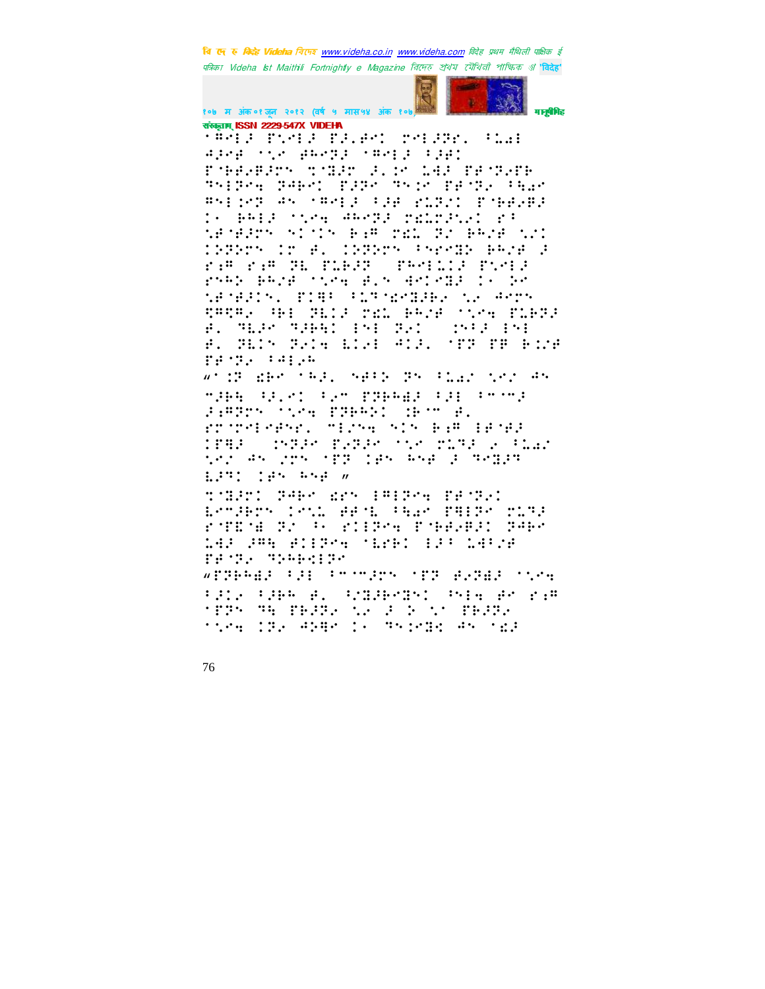बि एक रु क्विहे Videha विरफ्श www.videha.co.in www.videha.com बिरेह प्रथम मैथिली पाक्षिक ई पत्रिका Videha Ist Maithili Fortnightly e Magazine রিদেহ প্রথম মৌথিরী পাক্ষিক প্র' '<mark>विदेह'</mark>



१०७ में अंक०१ जून २०१२ (वर्ष ५ मास५४ अंक १०७) संस्कृतम् ISSN 2229-547X VIDEHA

**TRAFFICATE PRIPOS PARREL PLAT** Alexandre Amerikandra (1981) ESPERENT TOGET ALON 142 FESTREE<br>TSIDAR DARAL FIDA TSIR FESTREEN By: SP AN YBP: FIR PLBS: PORPHER (+ 6612 ning A6nga peloang) pa NETERNY SINOR BAR DEL PROBREM NOI CARATH (C B. CARATH PHAGE BRAB ) re resultant precipitat PART PRINT TONE BUN ANIMED IN TH METRAIN, PIRP PLATEMERED NO AMPR SASAR HE SELF TEL PRIM TIME FLPTP B. MAR MARK INE BAL (1993-199) #. PEIS PAIN EIGE #19. TEP PP BICE PR 722 (1912)

wid des tell neth dn film this en mann (Blet Cam Panned Cap Chroma Finder the Post of School rounders, miche sin Bem Bene

IPBS (1982) PARPY THO PLAS & FLAT tri an inn off len ane a <sup>ha</sup>dad  $\mathbb{R}^{2m}$  :  $\mathbb{R}^{n}$  :  $\mathbb{R}^{n}$  :  $\mathbb{R}^{n}$  :  $\mathbb{R}^{n}$ 

tile: Per ar (PHP-) Beth. ESTARTS CSNL RROL FRAS PRIPS TITR Portog al 30 pliano Poppel della 142 284 Alisea (1261 127 14724 prop. pharoline WTTPART FREE FOUNDY TIT RATHE TIME ting the B. Chileder Poly Brooks **TER THERE IN A REAL PROPERTY** the fire space of surveyed an education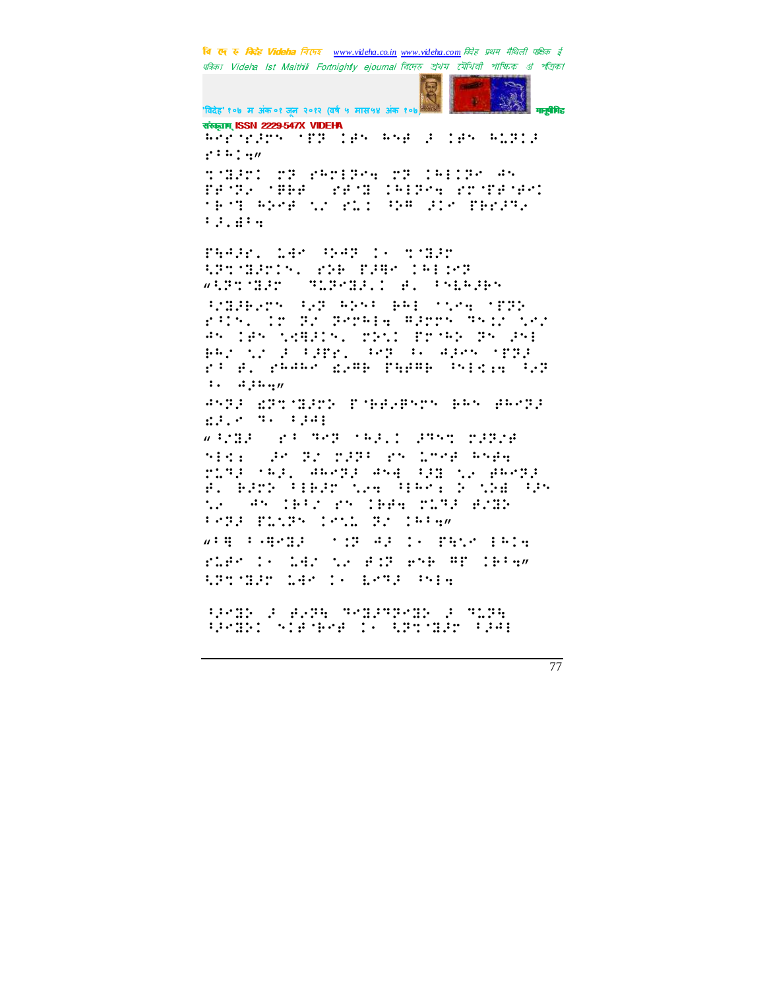वि एक रु मिनेह Videha विएक www.videha.co.in www.videha.com विदेह प्रथम मैथिली पाक्षिक ई पत्रिका Videha Ist Maithili Fortnightly ejournal রিদেহ প্রথম মৌথিনী পাক্ষিক প্র পত্রিকা

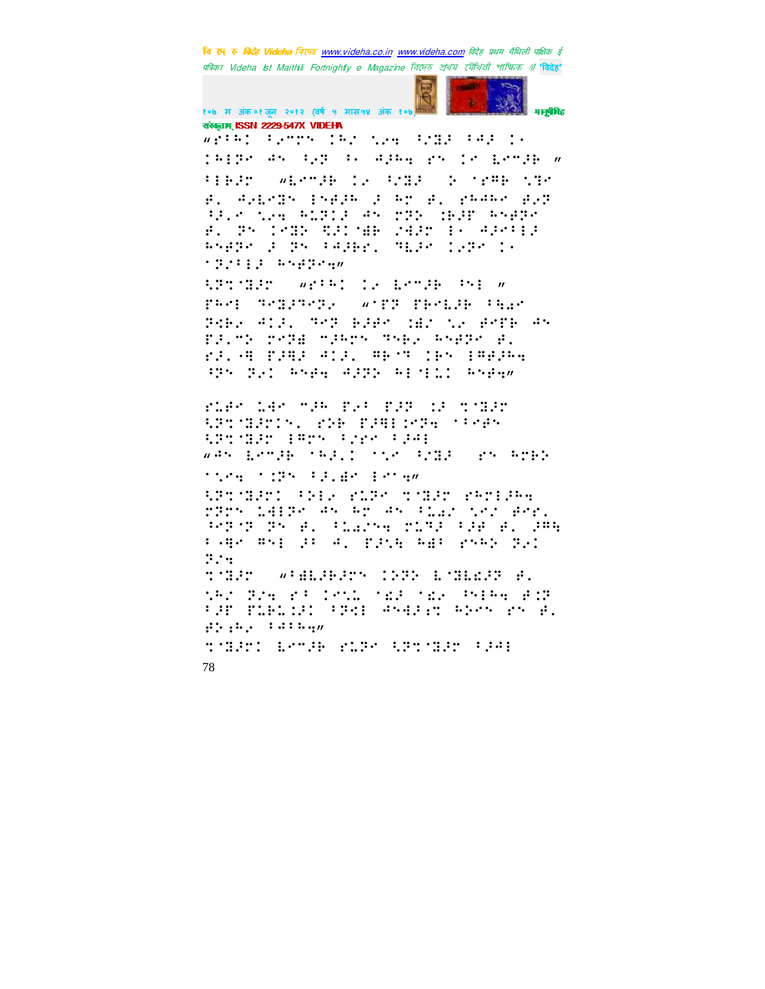बि एक रु क्विहे Videha विरफ्श www.videha.co.in www.videha.com बिरेह प्रथम मैथिली पाक्षिक ई पत्रिका Videha Ist Maithili Fortnightly e Magazine রিদেহ প্রথম মৌথিরী পাক্ষিক প্র' '<mark>विदेह'</mark>



संस्कृतम् ISSN 2229-547X VIDEHA wright from the new from FRA (1) TREPO AS SUP POSSERED PS IS ESTER W HERM WESTER IS ROBE IN STREET B. AGLAIN ENBIA 2 AT B. PAAAN BGI SPLATING ROBIN AN TOP SHIP RNAPA al'av'igm'thicae dans l'Angelin sage a pactager, miss tipe to  $\mathcal{L}(\mathbb{R}^n; \mathbb{R}^n; \mathbb{R}^n; \mathbb{R}^n; \mathbb{R}^n; \mathbb{R}^n; \mathbb{R}^n)$ APTARE WEEK IS RETH PH W pag segredy, wid pagua sale The All Thr Elen War in Phil An FALME TRIE MARTH THEY RHAIRS A. 83.98 FJ92 912. 96.9 165 F92264 SPS Pat Repairlers Richard Repay

right ight was first flat in which SPONSERING SPR PRHEIMPH (1946) 5357335 (Pro Free F34) were percept the protocol engine through

**Time TIPS FRIED ESTAN** 

SPOTED ORGANIZE CORPORATION rzry 1812/04/05/45/3121/101/87/85 and the second contract of the second contract of the second contract of the second contract of the second con ruge maj je si pjeja age ean pij  $22.4$ 

**TABLE WEBSTERN TERM CONTROL** the Beacht Crim and any Shine BiB FAP PLELIS (SPA) Andler Roch an A.  $\ddot{p}$  :  $\ddot{p}$  :  $\ddot{p}$  :  $\ddot{p}$  :  $\ddot{p}$  :  $\ddot{p}$  :  $\ddot{p}$  :  $\ddot{p}$  :  $\ddot{p}$  :  $\ddot{p}$  :  $\ddot{p}$  :  $\ddot{p}$  :  $\ddot{p}$  :  $\ddot{p}$  :  $\ddot{p}$  :  $\ddot{p}$  :  $\ddot{p}$  :  $\ddot{p}$  :  $\ddot{p}$  :  $\ddot{p}$  :

tiler kode rib (Stirige (See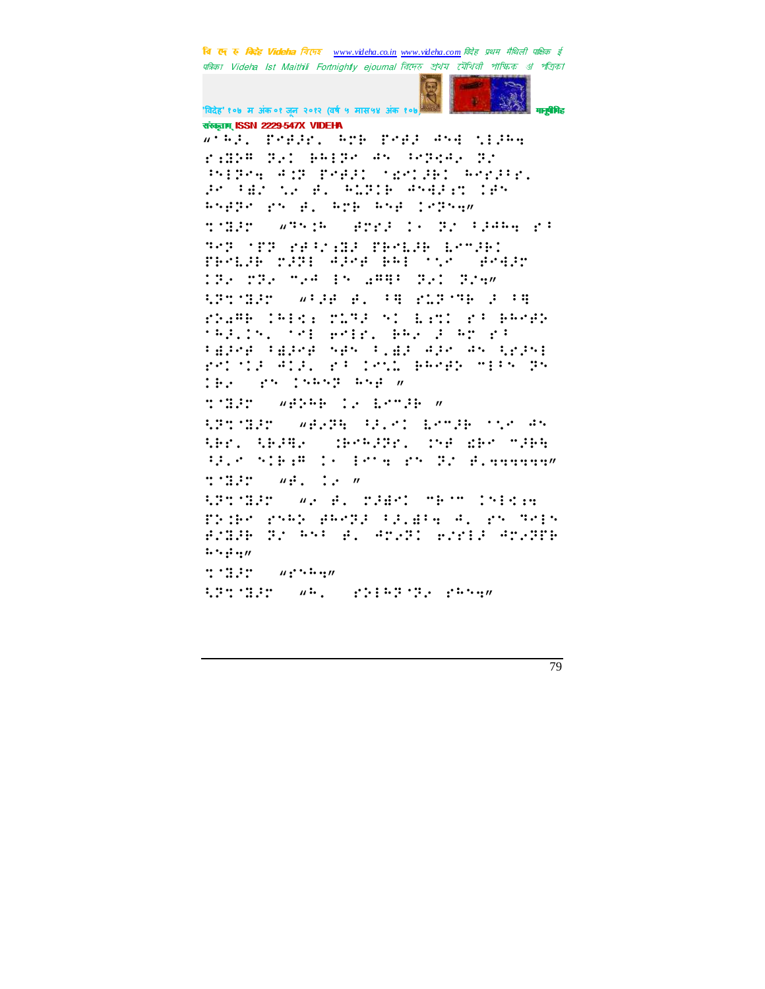बि ए रु क्रिडे Videha विएक www.videha.co.in www.videha.com विदेह प्रथम मैथिली पाक्षिक ई पत्रिका Videha Ist Maithili Fortnightly ejournal রিদেত প্রথম মৌথিনী পাক্ষিক প্রা পত্রিকা

'विदेह' १०७ म अंक ०१ जून २०१२ (वर्ष ५ मास५४ अंक



संस्कृतम् ISSN 2229-547X VIDEHA  $\pi$ 'Al. Predr. Arb Pred And (1944) rings and person and practice ar PHIRM AND PRESS TEMPERS REPORT. Protection B. ALBIB Andler 185 Andle prod. And And Lelbag tille which seed is by class of THE STE PRINTED TRALED LATER: TEMLIE TITE AIMA EAE MOM (AMAIT **13. 23. 224 15 288: 321 329** APTARP WHERE HE PAPAR FOR H rhame (Rick chame of East resoluted TRAVING THE BHEAT BRACK RD BT FARME FARME NEW FIAR ARM AN ARINE relate ale, ra levi page missips  $\mathbb{R}^n$  is the control of  $\mathbb{R}^n$ till with 1. Brill " APSIBE WEDNESDAY ROCH STOCK thr. this. (Septimer, the der middle HELP SIE: WOLLENS END TO BLANKARD  $\mathbb{R}^n$  :  $\mathbb{R}^n$  :  $\mathbb{R}^n$  ,  $\mathbb{R}^n$  ,  $\mathbb{R}^n$  ,  $\mathbb{R}^n$ APTIER (we followed their limbers Think read darth films all records ROBERT AND R. AMARI ROBER AMARRA  $\ldots$   $\ldots$  $\mathbf{H} \cdot \mathbf{H} \cdot \mathbf{H} = \mathbf{W} \cdot \mathbf{H} \cdot \mathbf{H}$  $\mathbb{E}[\mathbb{P}^n \cap \mathbb{H}, \mathbb{P}^n] = \mathbb{E}[\mathbb{P}^n] = \mathbb{E}[\mathbb{P}^n \cap \mathbb{H}, \mathbb{P}^n] = \mathbb{E}[\mathbb{P}^n \cap \mathbb{P}^n] = \mathbb{E}[\mathbb{P}^n \cap \mathbb{P}^n] = \mathbb{E}[\mathbb{P}^n \cap \mathbb{P}^n] = \mathbb{E}[\mathbb{P}^n \cap \mathbb{P}^n] = \mathbb{E}[\mathbb{P}^n \cap \mathbb{P}^n] = \mathbb{E}[\mathbb{$ 

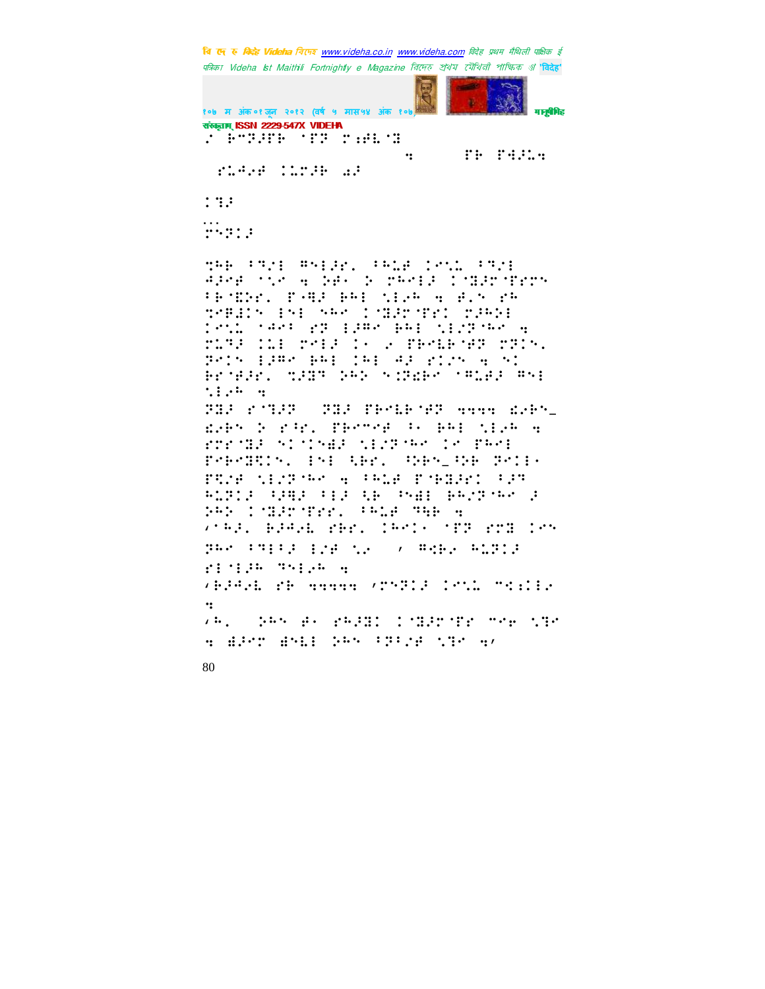चि एक रु मिन्हे Videha विएक www.videha.co.in www.videha.com विदेह प्रथम मैथिली पाक्षिक ई पत्रिका Videha Ist Maithili Fortnightly e Magazine রিদেহ প্রথম মৌথিরী পাক্ষিক রা'**বিदेह'** 

```
START
१०७ म अंक ०१जून २०१२ (वष ५ मास५४ अंक १०७) मानुषीिमह 
संस्कृतम् ISSN 2229-547X VIDEHA
4 : \frac{1}{2} : \frac{1}{2} : \frac{1}{2} : \frac{1}{2} : \frac{1}{2} : \frac{1}{2} : \frac{1}{2} : \frac{1}{2} : \frac{1}{2} : \frac{1}{2} : \frac{1}{2} : \frac{1}{2} : \frac{1}{2} : \frac{1}{2} : \frac{1}{2} : \frac{1}{2} : \frac{1}{2} : \frac{1}{2} : 
                                             \mathbf{h} , and \mathbf{h} , and \mathbf{h} , and \mathbf{h} , and \mathbf{h}!"⣅⢺⢴⢾!⣅⢼⢷!⣔⢼!
\ddot{\phantom{0}}\cdotsPAPE
⣉⢳⢷!C⢹45!⢻5⢼"G!C⢳⣅⢾!⣁⣅!C⢹45!
⢺⢼⢾!⣁!⣒!⢵⢾l!⢵!⢳5⢼!⣝⢼2"!
CHICO GET CHAIN CONTROL CONTROL
⣉⢿⣜!55!⢳!⣝⢼2"!⢼⢳⢵5!
\left\{ \frac{1}{2} + \frac{1}{2} + \frac{1}{2} + \frac{1}{2} + \frac{1}{2} + \frac{1}{2} + \frac{1}{2} + \frac{1}{2} + \frac{1}{2} + \frac{1}{2} + \frac{1}{2} + \frac{1}{2} + \frac{1}{2} + \frac{1}{2} + \frac{1}{2} + \frac{1}{2} + \frac{1}{2} + \frac{1}{2} + \frac{1}{2} + \frac{1}{2} + \frac{1}{2} + \frac{1}{2} + \frac{1}{2} + \frac{1}{2} + \frac{1}{2} + \frac{1}{2} + \frac{1}{2} + \⣅⢹⢼!⣅5!5⢼!l!⢴!2⢷⣇⢷⢾⢽!⢽G!
35 5. FOR 55 5. FOR 55 5. FOR 55 5. FOR 55⢷"⢾⢼"G!⣉⢼⣝⢹!⢵⢳⢵!⣈⢽⣎⢷!⢻⣅⢾⢼!⢻5!
\ddot{\phantom{1}}⢽⣝⢼!"⣙⢼⢽-!⢽⣝⢼!2⢷⣇⢷⢾⢽!⣒⣒⣒⣒!⣎⢴⢷–
⣎⢴⢷!⢵!"⢸"G!2⢷`⢾!⢸l!⢷⢳5!⣁5⢴⢳!⣒!
""⣝⢼!⣞⢼!⣁54⢽⢳!!2⢳5!
2⢷⣝⣋G!55!⣃⢷"G!⢸⢵⢷–⢸⢵⢷!⢽5l!
2⣋4⢾!⣁54⢽⢳!⣒!C⢳⣅⢾!2⢷⣝⢼"!C⢼⢹!
⢳⣅⢽⢼!⢸⢼⣛⢼!C5⢼!⣃⢷!⢸⣞5!⢷⢳4⢽⢳!⢼!
\frac{1}{2} The Construction of the Construction of the Construction of the Construction of the Construction of the Construction of the Construction of the Construction of the Construction of the Construction of the Construc
'⢳⢼G!⢷⢼⢺⢴⣇!"⢷"G!⢳l!2⢽!"⣝!!
 The Constant of the Second Constant of the Second Constant of the Second Constant of the Second Constant of
"55⢼⢳!⢹5⢴⢳!⣒!!
'⢷⢼⢺⢴⣇!"⢷!⣒⣒⣒⣒⣒-'⢽⢼!⣁⣅!`⣊⣐5⢴!
\cdot :
\sqrt{4}G- 10 \sqrt{4} and 10 \sqrt{4} . The set \sqrt{2} is the set \sqrt{2} in the set \sqrt{2}+ #PC #511 542 5925 5926 5926
```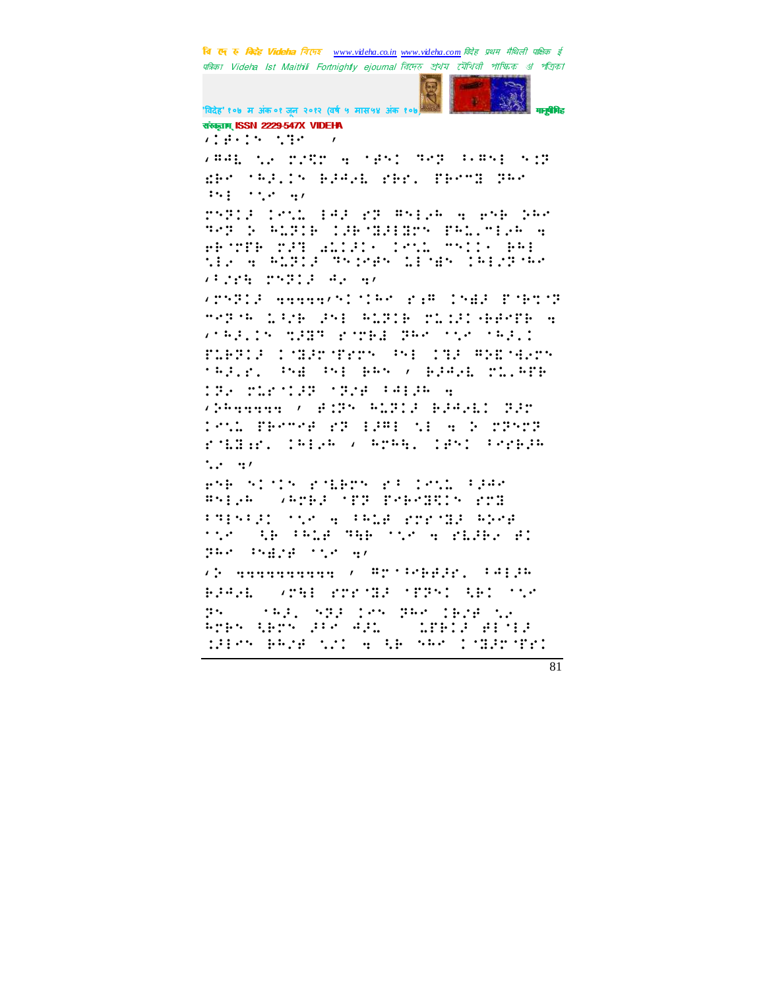**बि एक रु** *बिर्दह Videha विए***नर** www.videha.co.in www.videha.com विदेह प्रथम मैथिली पाक्षिक ई पत्रिका Videha Ist Maithili Fortnightly ejournal রিদেহ প্রথম মৌথিনী পাক্ষিক প্র পত্রিকা

'विदेह' १०७ म अंक ०१ जून २०१२ (वर्ष ५ मास५४ ३



संस्कृतम् ISSN 2229-547X VIDEHA  $\sqrt{2} \left( \frac{1}{2} \right) \left( \frac{1}{2} \right) \left( \frac{1}{2} \right) \left( \frac{1}{2} \right) \left( \frac{1}{2} \right) \left( \frac{1}{2} \right) \left( \frac{1}{2} \right) \left( \frac{1}{2} \right) \left( \frac{1}{2} \right) \left( \frac{1}{2} \right) \left( \frac{1}{2} \right) \left( \frac{1}{2} \right) \left( \frac{1}{2} \right) \left( \frac{1}{2} \right) \left( \frac{1}{2} \right) \left( \frac{1}{2} \right) \left( \frac{1$ **VARE NO START A MERICAN PROFILERED RIS** des sellis bleed der. Pessi Pes rnFlacinth 183 27 Which a php inn THE E RITIE CHEMISTER PRINTER & PROTECTE ALISS IMAG MAIL BAB the a Alfra Thomas limes cancrowe  $\sqrt{3} \left( \frac{1}{2} \frac{1}{2} \frac{1}{2} \frac{1}{2} \frac{1}{2} \frac{1}{2} \frac{1}{2} \frac{1}{2} \frac{1}{2} \frac{1}{2} \frac{1}{2} \frac{1}{2} \frac{1}{2} \frac{1}{2} \frac{1}{2} \frac{1}{2} \frac{1}{2} \frac{1}{2} \frac{1}{2} \frac{1}{2} \frac{1}{2} \frac{1}{2} \frac{1}{2} \frac{1}{2} \frac{1}{2} \frac{1}{2} \frac{1}{2} \frac{1}{2} \frac{1}{2} \frac{1}{2} \frac$ **ATSRIE AAAAA/SISIP PAR ISABE PSPTS** media in the same and the minister each a **VIRGIN MODEL POTER DRAMATE PROVIS** POST CONTROL PERSON teles ha he per please noing **10. MAY100 (928 FRIB 4** *(Shaagaa ) Bi*rk Willie BlW.E. 225 TRIL PERMAN 23 1281 IL 4 2 23723 ringer (Bisho, Arba, 1951 (Preaso PRESSING PREPROPED PRICE PERM #512# (WebF STP PebeHT15 STH PRESERVATOR PROFINER RESP the AB (ALB MAB the A PLOG B) gas regge the ex *() managanan / Arthelin, 1913*6 ATED PTP ME STRAINED STAR  $1.14.1$ (1963) 532 185 398 1928 to  $\mathbb{R}^n$ **Arbh 1875 200 421 ANDRESS SERVICE** 1880 BRIE NIT A AB SAM IMBEMENT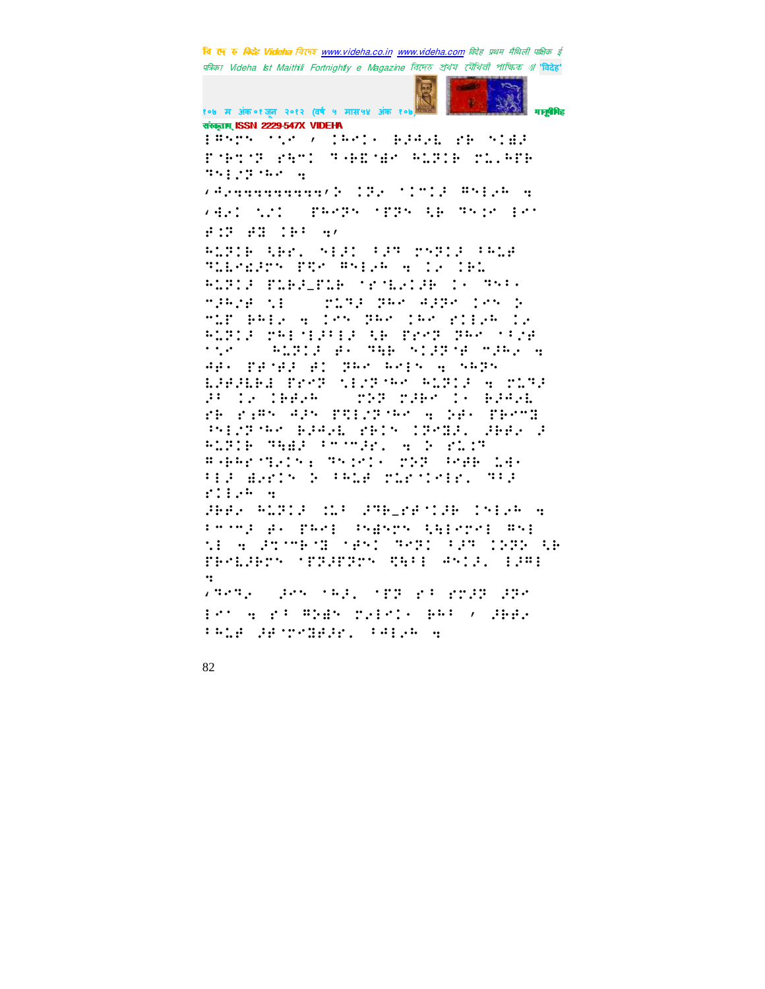बि एक रु क्विहे Videha विरफ्श www.videha.co.in www.videha.com बिरेह प्रथम मैथिली पाक्षिक ई पत्रिका Videha Ist Maithili Fortnightly e Magazine রিদেহ প্রথম মৌথিরী পাক্ষিক প্র' '<mark>विदेह'</mark>

१०७ म अंक०१जून २०१२ (वर्ष ५ मास५४ अंक १०७ संस्कृतम् ISSN 2229-547X VIDEHA



PRSTS TO A TRADA REAGN PROSTRE FORTON PROVINCES AND ALDIE CLIPPE  $353.123.223.223$ 

*\Arguagency: IS: 'TI' Bright'* **SPACE SERVICE TRIP EST**  $\sqrt{4}$ .  $\sqrt{2}$   $\sqrt{2}$ #:P #H :B: 4/

RITIE ART, MISI (27 MMT) (ALE THREET BR BY:A 4 IN CH RITIS TIBELTIB SYSTEMIB IS THE  $\mathcal{P}(\mathcal{D},\mathcal{P},\mathcal{P})=\mathcal{P}(\mathcal{D},\mathcal{P})$ Shippophe aggestive p min BAE2 A Crn BAR CAR rien C2 ROSCA PREMERED DE PRAT PRA MARA the SALE PACK RESIDENCE PARK A ABC PENBERG PRO ROLL & SAPS LAADED PAT NIMBA ROOF 1970 35 12 19825 - 203 2395 17 93926 rb rifs APS PRichter a Secondern Printer Bard Helt (True, Aber 3 SIDE THE Province Denn # HAP MELS: TSIMIK TEP PMH LAP HIS BANDA D'ANNE MIRTIPER. MAS  $f'$ :  $f'$  ,  $f''$  ,  $f''$ 

BRE RITIS IN STRINGENSHIPS Promp as PREP Pearch thermed Rep the animals rand west faw cost to PROLEDY SPEEDED RAIL ANIEL LAND  $\ddot{\bullet}$ 

VARA (PRS 1980) 1990 ET EDIR 297 Prove randomers refers only deed **CALA SAMPRIARE, CALLA A**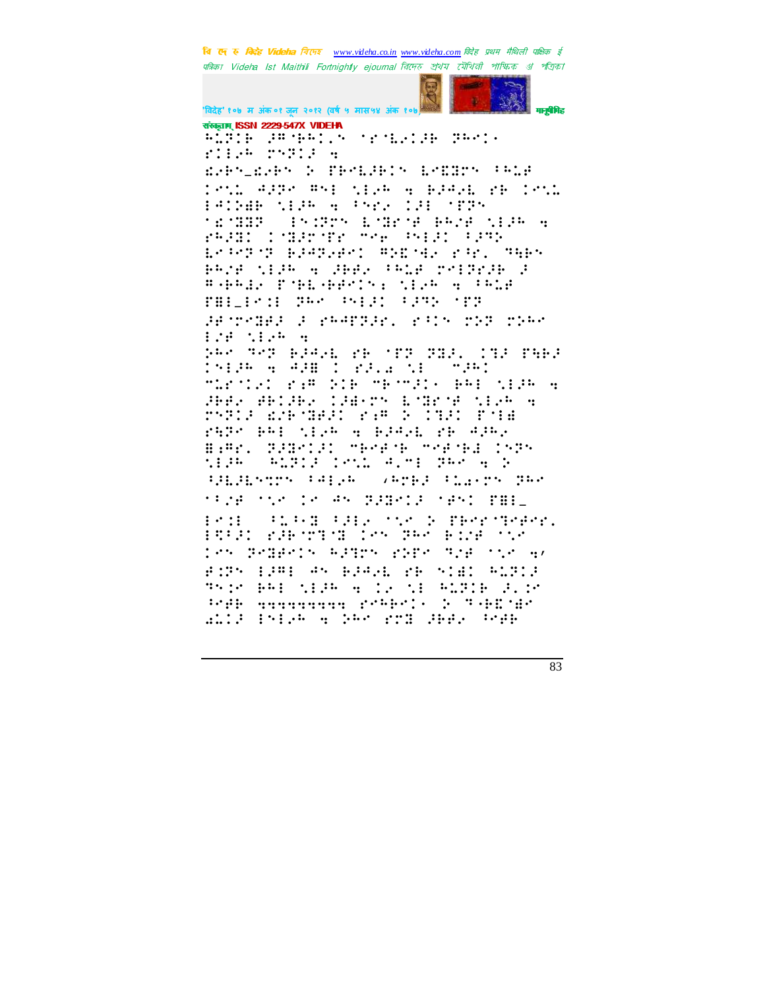**बि एक रु** *बिर्दह Videha विए***नर** www.videha.co.in www.videha.com विदेह प्रथम मैथिली पाक्षिक ई पत्रिका Videha Ist Maithili Fortnightly ejournal রিদেহ প্রথম মৌথিনী পাক্ষিক প্র পত্রিকা



संस्कृतम् ISSN 2229-547X VIDEHA RITIE FRONTLA OPOLIJE TRADA chain children RAPYLRADY (STRANDRICH RATTEN PRIN Tend Added And (1924 A BlAGE 28 Iend **EATSAB SEPA A PSEVILE TERS MAYBOR (ENSTRY ENDING PRYPINEDR)** PRAID LOBACORE SEN PHALL FASE ESPECT BRATISHI AND MASSER THEY BRYA SIJR A JEAN (REA TRITYJE J # GREE PORTHERS TO SEARCH (FREE FBILESIE THE PHERICAPTY STP *SAMPARES S PRAPPIRE, PAIN PRP PRRP* 128 5125 8 PARTNER BRACK PROTECTION CONTROL DSEPH APRIL 1982. SE  $\cdots$  ,  $\cdots$  , minicial part bib mb mais deed wide a SHAR ABISHA 13Arry E'Hr'A tlak g rysta erkomaal kim 2 Toal folm rado em clum a elgua ne glmu BARY, PABRIAL MERBOR MRBORE 1595 MIRA SERIE IMA AVALJAM A D BELBETTE PALLA (ATEL PLAYT THE **SPERING IS AN BEBRIE SAND FBIL**  $\mathbf{F} \cdot \mathbf{F}$ **SEAR PRESCRIPTION TO PROPERTY** ESPEC PERSONAL CRN SPACEDOR SOM Ten Bedaeln Alfon Pope Tha Sie Ad FURN 1981 AN BOARD PRONINCERS Third BAI NIGH A CO NI ALTIB SLIP Prik aaaaaaaa rekkti ("Pakrup ALIS ENEUR A DRA 200 SPAR SPAR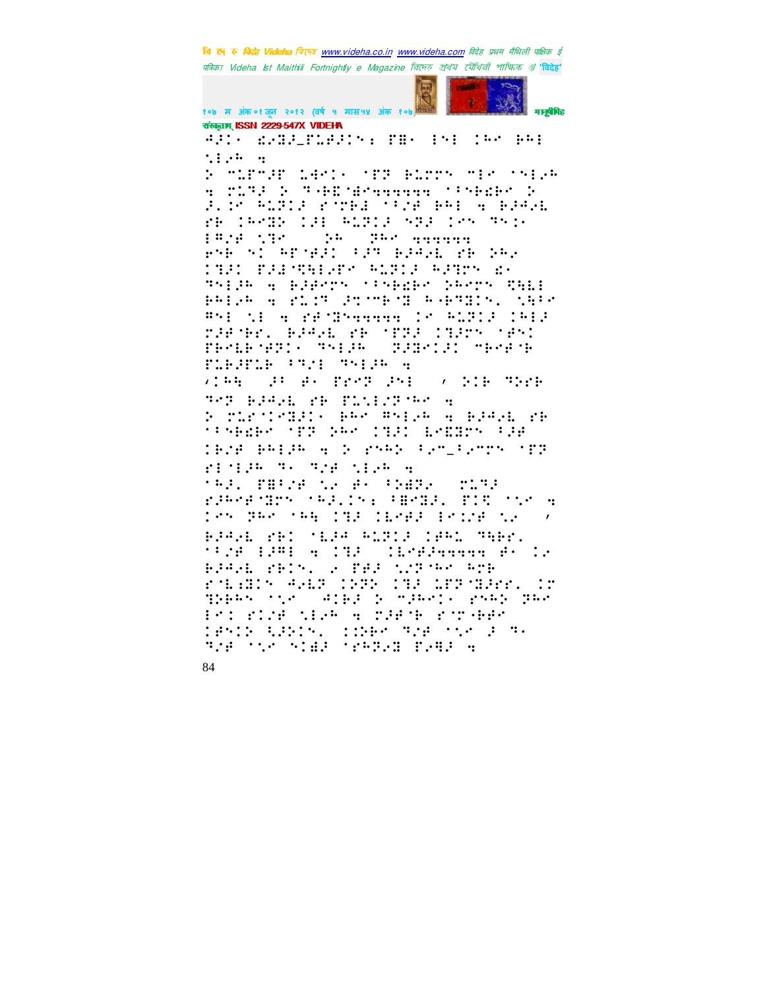बि एक रु क्विहे Videha विएक www.videha.co.in www.videha.com बिदेह प्रथम मैथिली पाक्षिक ई पत्रिका Videha Ist Maithili Fortnightly e Magazine রিদেক প্রথম মৌথিনী পাক্ষিক প্র' 'विदेह'



१०७ म अंक०१जून २०१२ (वर्ष ५ मास५४ अंक १०७) संस्कृतम् ISSN 2229-547X VIDEHA

A:: A:B: MA::\: MB: IN: IA: BA:  $\ddots \ddots$  .

S MIPMER LARIS SPP BINNS MER SSEPA a rith > termenage (there ) F. Sc. RITIF ROTTER OFFICE BRI A BERGE PROTECTED IN BURIN SEA ISSUED: 1828 138 ene no Armedo (dr. Bagal en SA) **THE PAINTHEST WEBER WATER AS** Thill a Black claber been Shi PRISH A POST STORES RAPOIN, NAPP #5: SE & PROBSARAN IS RUBIP IREP MARTHY, BARAL MB (PPA 1980) (AN) PROBRETT STORES SPREADED SPORTH MADDA MY THAM

 $\sqrt{2.44}$   $\sqrt{24}$   $\sqrt{44}$   $\sqrt{24}$   $\sqrt{24}$   $\sqrt{24}$   $\sqrt{24}$ Sep place sp philippine a S ringerelle bes malle a bleid ne SPARER STRUCHE INFORMATION PRE IPAR PRIPROG 2 YOMAN FATISTING TER

ridin al arrivina q

TRAVERSA NA BRITANICA MORA rangement that in Edmond Pit tight Tes BAR (AR) 192 (1898) Pring (2)

834. SRT 103 RTC 1041 THE ''ZE 1281 a 132 (1242aaaaa Pris BARAN YELMI V PEA NYEMPA AMB FARITY WAS THE THE LEFTLER. IT THERE IS A REAL RESIDENCE TO THE TEAM Encontra deskoa rafta foraman DANIS RASIN, CIGAR ANA SIR A AR Reformida cepted memory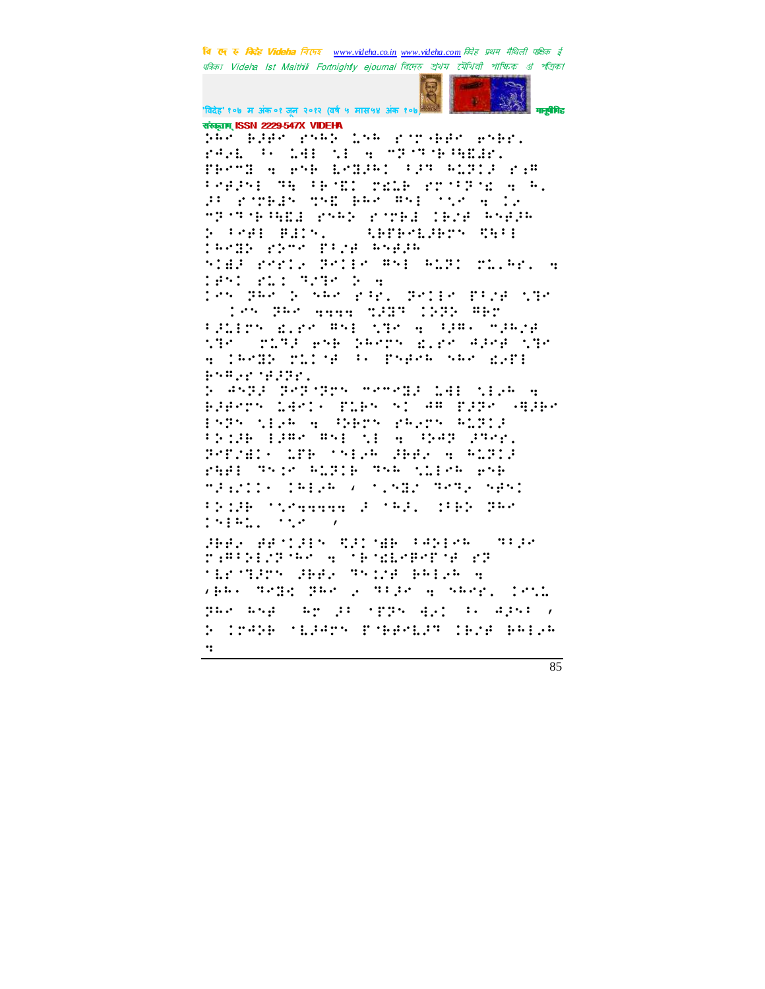वि एक रू विरोह Videha विएक www.videha.co.in www.videha.com विदेह प्रथम मैथिली पाक्षिक ई पत्रिका Videha Ist Maithili Fortnightly ejournal রিদে<u>ক</u> প্রথম মৌথিরী পাক্ষিক *ঙা* পত্রিকা



मानुबेमिह संस्कृतम् ISSN 2229-547X VIDEHA aêd bibr roea 106 romane roer. PARK POINT NEOR TROPPERENT. PROSE A POR ESERAD FRA ALPIZ PIR Person we seem while rockers a w. an remark wir am And eine auf **MPARAGEMENT PARK PATEL IPAP RAPPR** S PAR BOS. APPROLIPY TOO lekan pres biza espas ()<br>Siag pretz drier ese eldi pliebi a 1951 ric School (1985)<br>1956 part 2004 rice (1961) rice field (198 **105 PRO 9999 1227 1222 PRT** FRIEDS RIPS AND STROW PRACTICE धारी काणि काम किर्निट केंद्र नक्सी दिन 4 TRANS PLINE IN PARCH AND WATE PARTY 19332. S ANGEL GAGIGEN MAMPADE 1911 (1926) 4 BRAYS LAMI FLBS SI AW FROM SHRBS PARA MELA SE PERDA PALEN ALBID <u> 15:06 1285 851 51 4 6542 2551</u> BSTAIL AND SSIER AREA A RANCH rand than Allia the Click phi magnity (PEGP) ("LSB) PrP2 Servi PRIN SYMPHON 2 SALL THR TAM SHER BESCHIN ROCSER (ADERA) MAJR risticars and changes are the MENTERS PHEN TSINE BRIGHTH Chas deng nas i dies 4 saskil 1951 gar and sample regnology accounts. 3 (rada (blar) fobedil (bla balla

∵.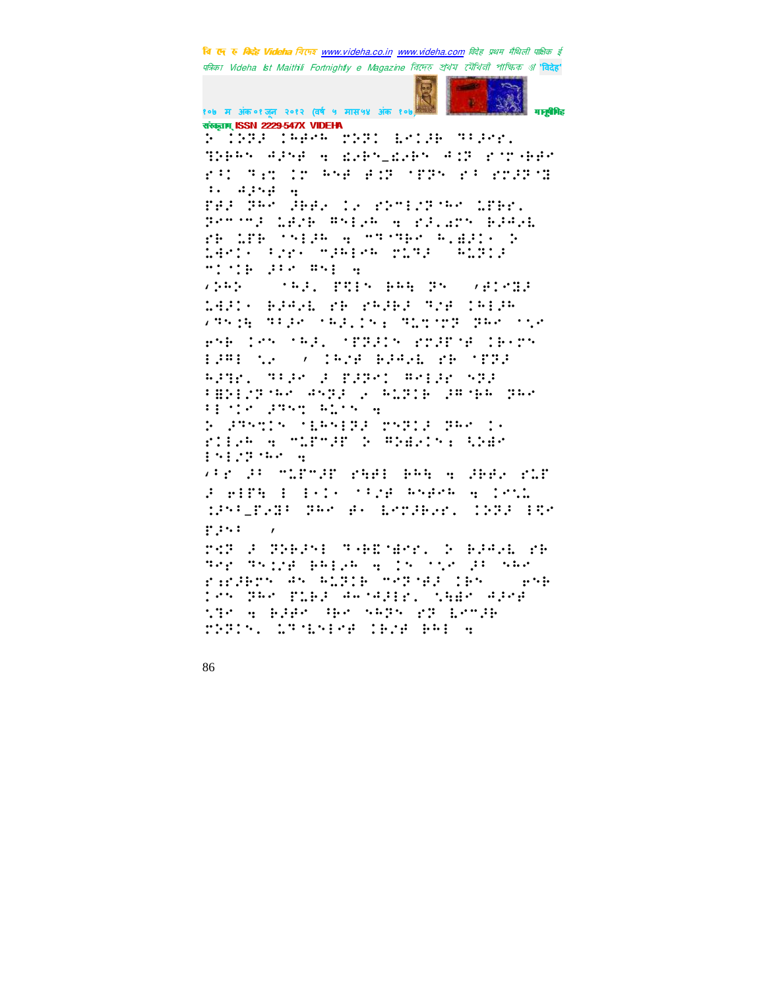बि एक रु क्विहे Videha विरफ्श www.videha.co.in www.videha.com बिरेह प्रथम मैथिली पाक्षिक ई पत्रिका Videha Ist Maithili Fortnightly e Magazine রিদেহ প্রথম মৌথিরী পাক্ষিক প্র' '<mark>विदेह'</mark>



१०७ म अंक०१जन २०१२ (वर्ष ५ मास५४ अंक १०७) संस्कृतम् ISSN 2229-547X VIDEHA

STIRA (Resk 2001 bs126 Afles) THESE APSE A BRESINES AND POTABLE ri and the state of the state of the state of  $\mathbf{1}$ .  $\mathbf{1}$ .  $\mathbf{2}$ .  $\mathbf{3}$ .  $\mathbf{4}$ .

THE TAK SHER IS STATISTIC LIFE. Poning Leve Wiles a raidry Base rb 186 (Stage Australian Alactic 1481- Fred Magazie ring (A1013 **MINIMUM PRESS** 

 $\sqrt{2}$  is  $2\pi$ **STAR, PRIN BAG PN SACTOR** 1931- BJARE PR PROBJ 778 (REDR CREAM REPORTED IN BUILDING PROTISC PRESIDENT MARI TERRIN BERENE IBARN EPPE NA SA CRAN BRAGE NB MTRR APROVED FOR STREET AND STA FBREAK AND 2 BINIE 28 MAR SAM H MA 2355 BLOCK P PRYSIN MERSERA SYRIP RRM IK

rliek a miner 2 member (200  $1.5177777779$ 

**Vir Pronuncial PART BAR A PRES PLP** F WITH I ISLA STOR REPRODUCTION MARINE THANK EATHER INTE ITA posts.

rd J BRAG TAENEY D'APAL de der derre bestehende te ere die ene randers as ALBIA moded ins cons Crs BAr Ples Ansager, Segr Adre the a Base des SAPS 22 Estas robin Canadia (Breaking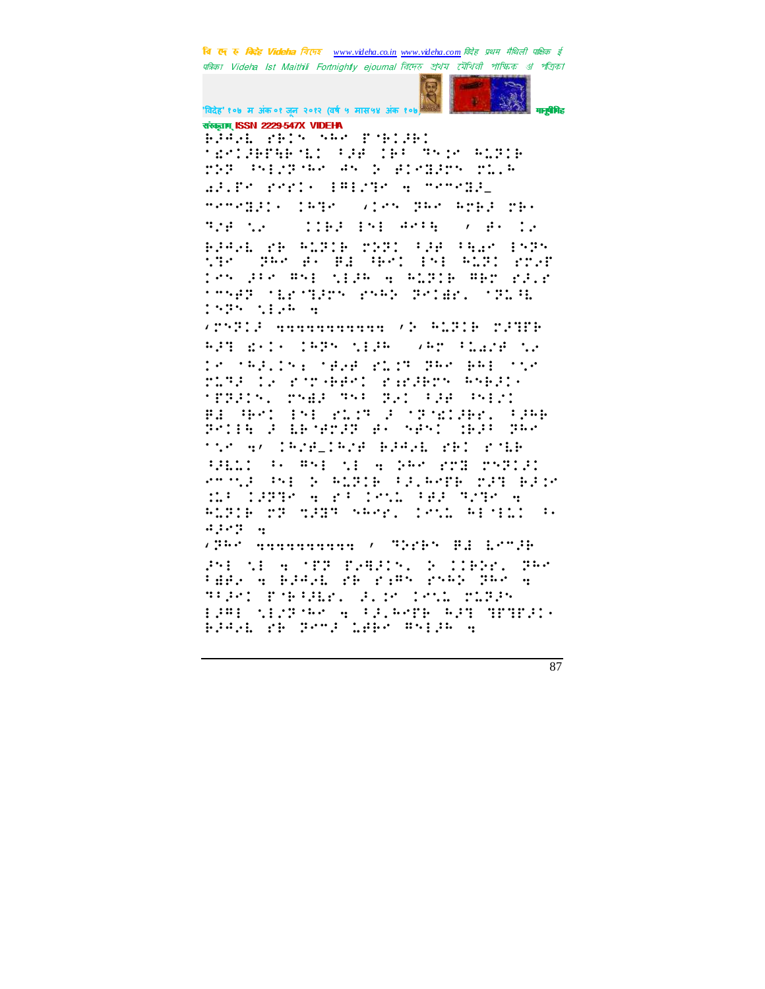**बि एक रु** *बिर्दह Videha विए***नर** www.videha.co.in www.videha.com विदेह प्रथम मैथिली पाक्षिक ई पत्रिका Videha Ist Maithili Fortnightly ejournal রিদেহ প্রথম মৌথিনী পাক্ষিক প্র পত্রিকা

'विदेह' १०७ म अंक०१ जून २०१२ (वर्ष ५ मास५४ अंक १०

संस्कृतम् ISSN 2229-547X VIDEHA BRAGE PRIN NAM PYRIGHI **MARINERS: PRESERVE PROVINCES** PPE PHILENES AN DEFICABLES PLIA APLER PRETS ERECTRON MANRIE menedic (Page (Cen dae Arag rak  $\left(1142, 154, 4014, 1, 4015, 1\right)$ **The State** BIGGE PROGRESS PRESS FIRST BAR 1525 the deeper des als der lieb en en prob Tes and msi siam a migle mer ralr **MONER MESSERIES SONG ROLLS (1928)** TAGA SEPA 4

**VINGLE AAAAAAAAAA VE PLGIE CENTE** APP BYIK IAPS MIPH (AP PLATE NA Technology (1999) PLIP PRE BREAKER **TIME IS STORES! SEPRED BARRIE** frack real be successful BE HERT INFORMATION STATISTICS, COMP 30:14 3 167823 al 585171111  $\mathbf{u}$ the my largelard black shi ship BRIDGE BRIDGE A DAY KNI MYRID POSSES PHOTO RIPIE FELROPE CEP BESO 1988 a ri 1911 (89 328 4  $\mathbb{R}^2$ RUPIE TP THER SAMPL IMAL REMELT  $\cdots$  $\mathcal{A}$  ,  $\mathcal{A}$  ,  $\mathcal{C}$  ,  $\mathcal{C}$ 

**VIA: ANNANNAME / TWEE BE LONGE** 351 SE A TER PARIS, S CIENT, PAR tako a bigil ze zimo zubi dio 4 TERM PHERMAN ALIM IMAL TARRY EPRE SEMPLAR A PRINCE ARE TETRIS BJARN PR SYMP NARY ANDREW

87

मनुष्यमिह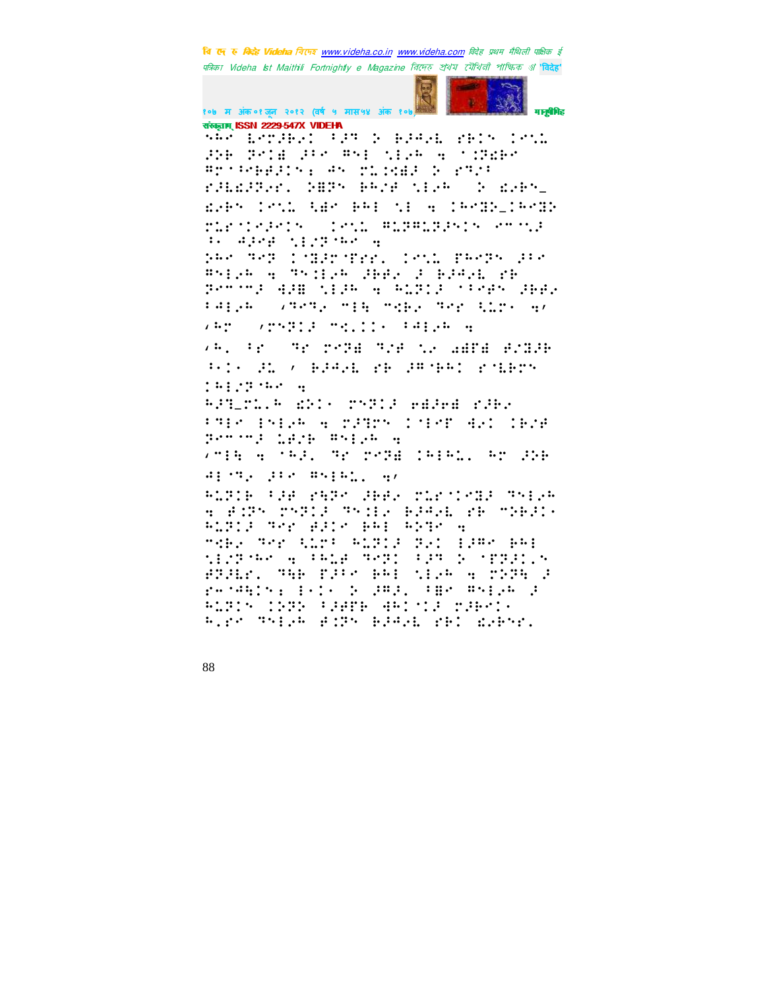बि एक रु क्रिके Videha विरफ्श www.videha.co.in www.videha.com बिरेह प्रथम मैथिली पाक्षिक ई पत्रिका Videha Ist Maithili Fortnightly e Magazine রিদেক প্রথম মৌথিনী পাক্ষিক প্র' 'विदेह'



संस्कृतम् ISSN 2229-547X VIDEHA SAR ESTABRICADA DO BARRE PRIS ISLU SPE POIE SPORTER SEPHON COREO Brithedis, An right & PROP ramearer ders begannige de ears EVEN CHILDREN BREAKE A CRNIN\_CRNIN THE TERMS CONTROL BERBEINGS SHOUL de april night he a PRO POR L'ARRETREL (POL PROPO PRO #5126 g #51126 2BB2 2 B2421 PB Bening Adm (196 A ALB)2 (1945 BH) adapat (seny naap ngap nee athol ay Ver //25312 maille felch a **(A) Process that the thought and availa FOIR ALL PROPERTY OF SECRETS**  $141.11 \cdot 10000$ <u>SIZMA ANI MYNI PADA MDA</u> PRES ESERN A MARMO CHAR ARC CROP Sening 1826 Angua 4 **VMIR A MAR, ME PROB CAINE, AP JOB**  $\frac{1}{2}$  (2)  $\frac{1}{2}$  (3)  $\frac{1}{2}$  (3)  $\frac{1}{2}$  (3)  $\frac{1}{2}$  (3)  $\frac{1}{2}$  (3)  $\frac{1}{2}$  (3)  $\frac{1}{2}$  (3)  $\frac{1}{2}$  (3)  $\frac{1}{2}$  (3)  $\frac{1}{2}$  (3)  $\frac{1}{2}$  (3)  $\frac{1}{2}$  (3)  $\frac{1}{2}$  (3)  $\frac{1}{2}$  (3)  $\frac{1}{2}$  ( RUSIN FIN PASS INNS TURNISH THIS 4 FIRS TSPIE TSIE BIGGE TE TERIL SIS THE BACK BAI ANTE A  $\ddots$ media mer sirra alpida pai funkciaaf SECRETARY AND RADES REPORT OF TERRITA FRAME THE PAPE BAIL MINH A PATH A PHORNIX: 1919 & 282, 388 85126 2 RUBIN (1985 FJAPE ARINIA MJERI) alre dalla sida esele rel coear.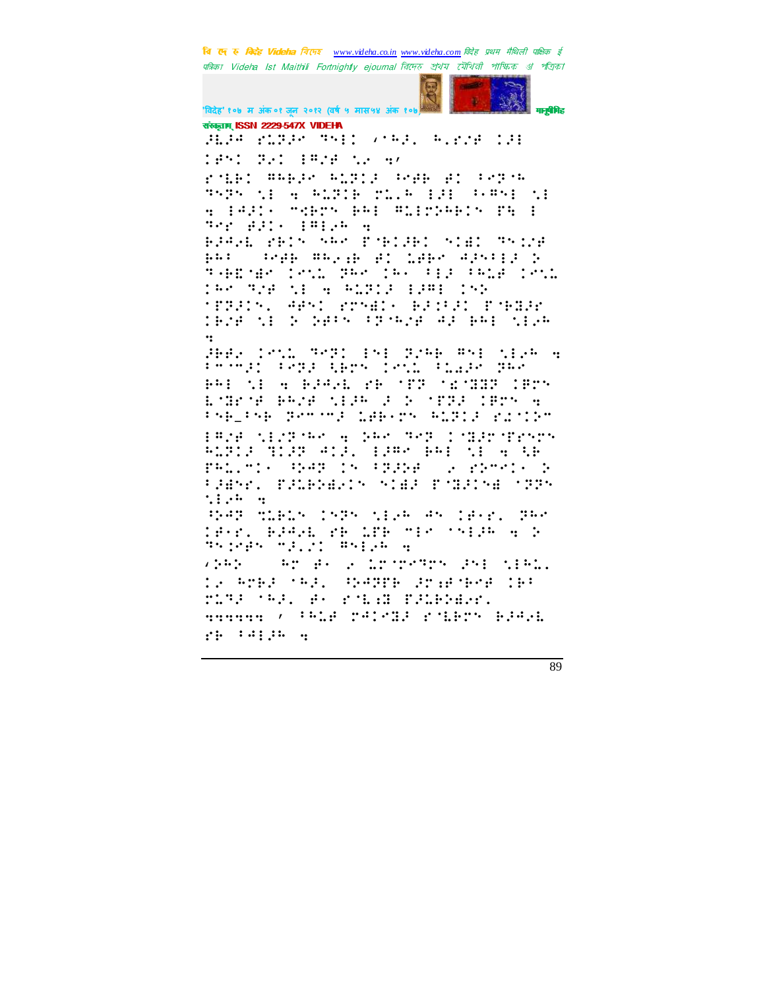**बि एक रु** *बिर्दह Videha विए***नर** www.videha.co.in www.videha.com विदेह प्रथम मैथिली पाक्षिक ई पत्रिका Videha Ist Maithili Fortnightly ejournal রিদেহ প্রথম মৌথিনী পাক্ষিক প্র পত্রিকা



'विदेह' १०७ म अंक०१ जून २०१२ (वर्ष ५ मास५४ अंक १०। संस्कृतम् ISSN 2229-547X VIDEHA HURTHING THIS CORE REPORTED TANI BAD 1828 NA MA rowel makes along sega an seper TAPA NE A RIPIE MILA ESE PRESENE 4 FARIO MARTY RAI ALITYPEIN TROI 702 BJ10 18125 A BEACH SELF TAR POBLEM TO SEE THING par segre merge al labe also pro THEMS INDUSTRY IN THE TELESCOND 188 M28 M1 A RGMIR 12M1 182 **TERRY, APSI POSED BRIER ETHER** TEZE NE D'OBRA RIMAZE AR BAE NEJA  $\bullet\bullet$ BREAKING TATI IN TIME THE SEARCH From Planet Reproduced Player Ber PRI NI A PJAJE ZR JEZ JEJEN (PD) ESTRIA PROFINIBUS D'OSTRE IBM A Preject School Laborn ALTIP Kindle PROFINED THAT A DARK TREAT COMPOSITION RIBIA TIAP AIA, 1288 BAI NI 4 RE PROJECT PRAP IN FRANK (2002-2014) S FJERE, PJLEDERIN NIEJ POBJINE OFF  $\ddots \ddots$  . BAR TEEN INFO NEW WORLDWIGHT 1958. BJAZE 28 LTB MIK 1913R A 2 Thingh ME.M. Bright 4  $\sqrt{2}$  :  $\frac{1}{2}$  :  $\frac{1}{2}$ **SAM ARE STORED START START** ta Ango (Ad. 1943) dharantar (B) ring (Ag, B) still flicker. aaaaaa / Pele pelemp romers eggin  $f(x) = 1.41(10 - 4)$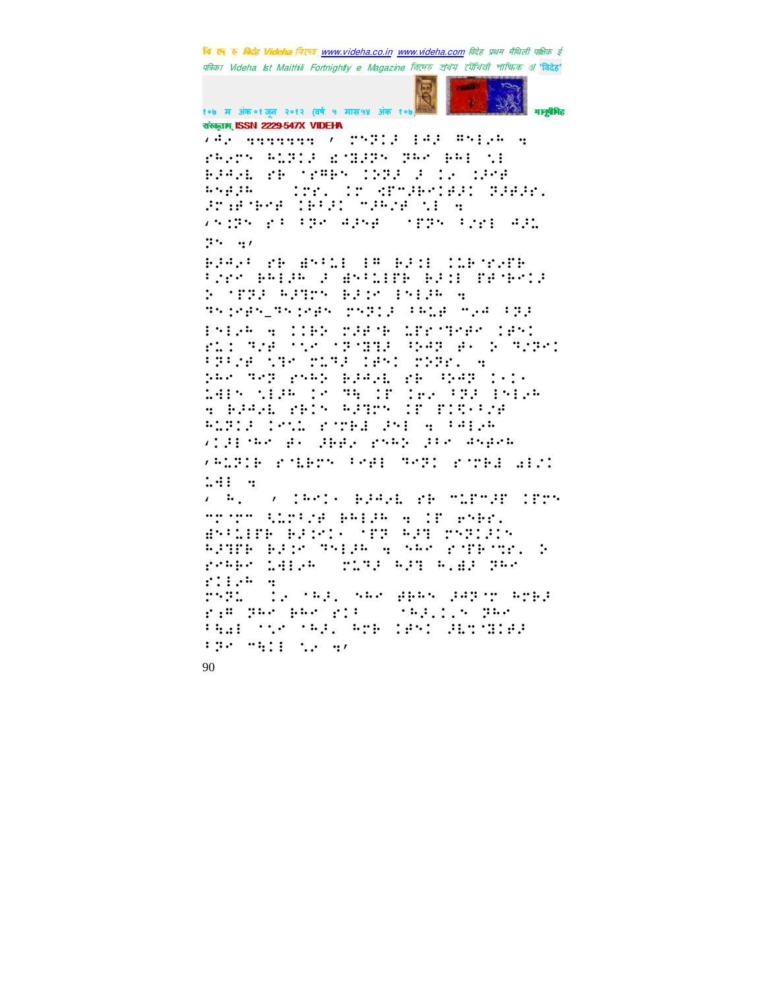बि एक रु क्विहे Videha विरफ्श www.videha.co.in www.videha.com बिरेह प्रथम मैथिली पाक्षिक ई पत्रिका Videha Ist Maithili Fortnightly e Magazine রিদেক প্রথম মৌথিনী পাক্ষিক প্র' 'विदेह'



१०७ म अंक०१ जून २०१२ (वर्ष ५ मास५४ अंक १०७) संस्कृतम् ISSN 2229-547X VIDEHA

 $\sqrt{4}$ , aaaaaaa / 25213 143 85126 a PROTECTION AND PROPERTY OF BJAZE PROTESHOLDER 2012 1208 they in Anderleaf near.  $\ldots$  ,  $\ldots$ STARTERS INTER TEACH SIDE Verde als spacedes competitives educ

## $\mathbb{R}^{n}$   $\rightarrow$

BRAZE YR ANELL IR BRIL CLB MYTB Pres PALPA 2 deplify R2d1 from 22 5 1832 APRY BRIE 19125 A Things in provincing the state of the state Prish a CIBN 2387B LEETIMAR (Br) ri: The the trings there as report PROF STATEMENT CANDIDATES A 568 983 2565 BJG26 2B 3563 1919 1915 MIPH IS MA IP IPS FRA ISISH Albadi eks kaps introdue RIPORTICIO POTRE PRESS PRESS *VISINA AL SEAR PART SIN ANAMA* **ARLIED ROBBON FORE MODE ROOMS WELF.** 

 $1.41 - n$ 

 $\mathbf{v}$  is  $\mathbf{v}$ *ny lenik biny*i de mirmar (frm monom tictica amigu a li shari. BMAINE BROOK TER RPT MMDRIN Radhi baix shear A she kankar t reage three rings and all day  $f: P^* \to P$ 12 MARI SAR BAAS DARAM AMAD rim Ben Ben rit (1992), S. Ben PASE TO TRE REPORT SENT SETTED age made the av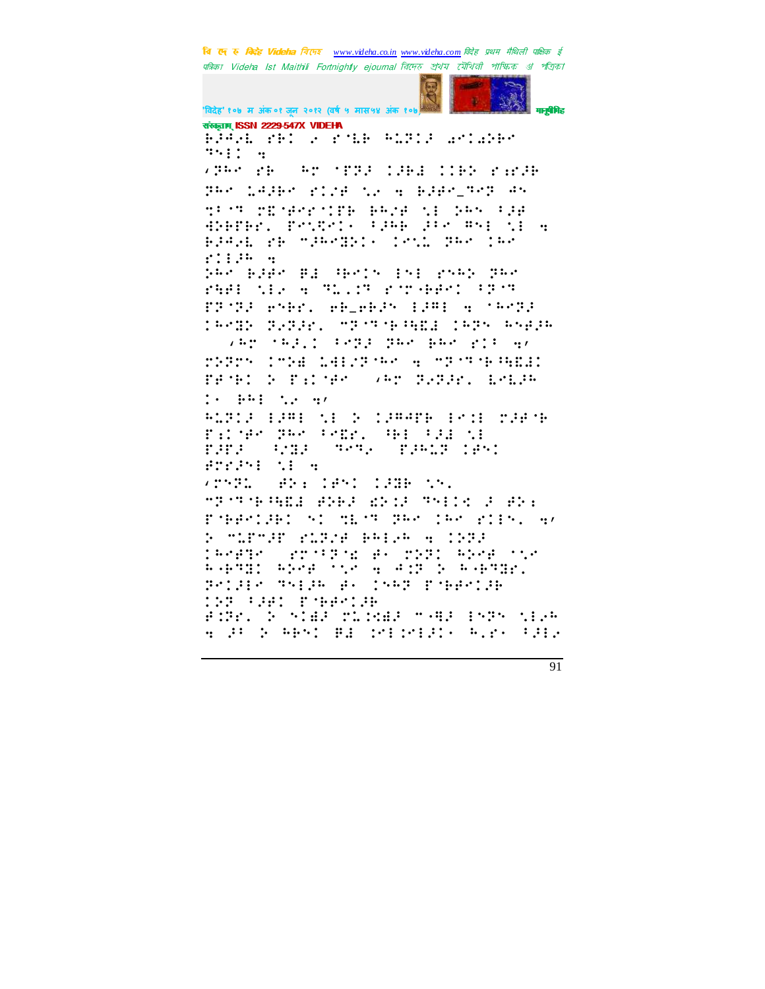**बि एक रु** *बिर्दह Videha विए***नर** www.videha.co.in www.videha.com विदेह प्रथम मैथिली पाक्षिक ई पत्रिका Videha Ist Maithili Fortnightly ejournal রিদেহ প্রথম মৌথিনী পাক্ষিক প্র পত্রিকা



**100 :00 :00 :00 :00** FOR THINGS TO MEASURE INTO SEAR A PRODUCED BE SAFEKEED ALMOSTIC

**MESTABLE BREE COLL TALLS FREE** PORTSEL SI MEST PRO IRO MIN. 47

IRMANA (Profesor A) redicted the **A-BRID ADAB (101 A-BRID D) A-BRID.** Pride There as instrumented

**ATABLE WEEK TWAITING TOOL**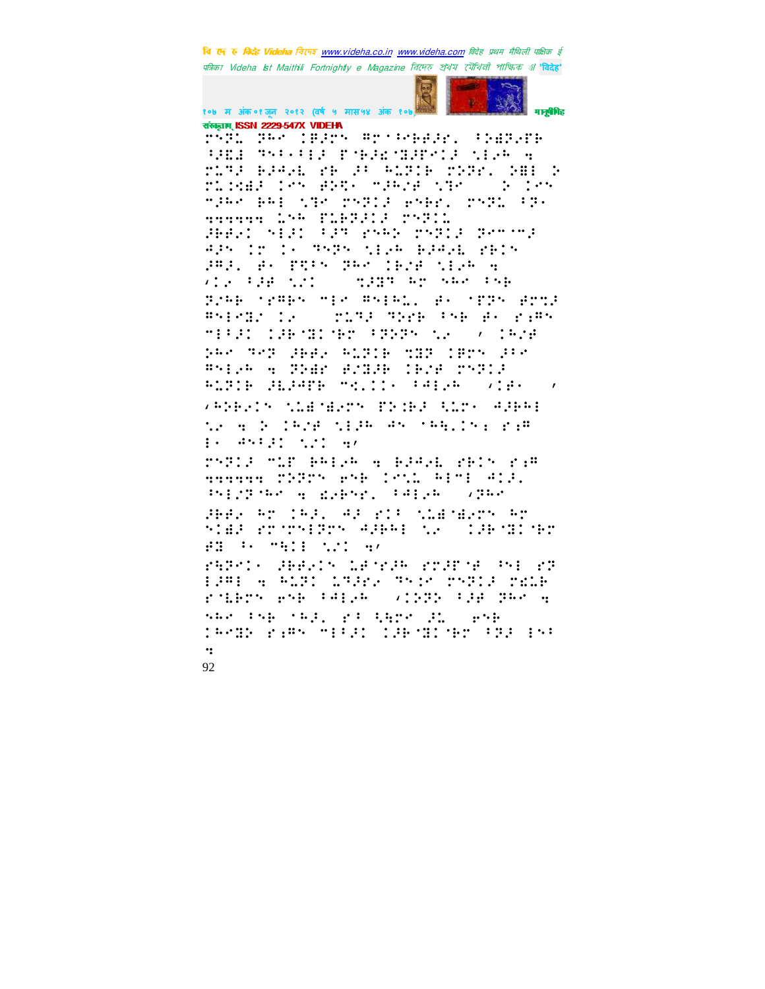बि एक रु क्विहे Videha विरफ्श www.videha.co.in www.videha.com बिरेह प्रथम मैथिली पाक्षिक ई पत्रिका Videha Ist Maithili Fortnightly e Magazine রিদেহ প্রথম মৌথিনী পাক্ষিক প্র''<mark>विदेह'</mark>

१०७ म अंक०१जून २०१२ (वर्ष ५ मास५४ अंक १०७) संस्कृतम् ISSN 2229-547X VIDEHA



rêdî des (Blus Australia) (Sadiqua BEE THREE PRESIDENT SEARCH MIRA BARAN YE AR ALIKE MYIK, YOU Y TIRES IS STORE TEND THAT  $\mathcal{L} = \frac{1}{2} \mathcal{L} = \frac{1}{2} \mathcal{L} \mathcal{L}^2$ make belonge regia bebr. regi (g. sseem 196 PLBB313 29311 ABASI NEAD FAR YNAD YNAID BRYTYD APROVE IN THE MIGHT BEACH SEIN ama, ek pors der jere siye k  $\begin{aligned} \nabla \cdot \mathbf{1} \cdot \mathbf{1} \cdot \mathbf{1} \cdot \mathbf{1} \cdot \mathbf{1} \cdot \mathbf{1} \cdot \mathbf{1} \cdot \mathbf{1} \cdot \mathbf{1} \cdot \mathbf{1} \cdot \mathbf{1} \cdot \mathbf{1} \cdot \mathbf{1} \cdot \mathbf{1} \cdot \mathbf{1} \cdot \mathbf{1} \cdot \mathbf{1} \cdot \mathbf{1} \cdot \mathbf{1} \cdot \mathbf{1} \cdot \mathbf{1} \cdot \mathbf{1} \cdot \mathbf{1} \cdot \mathbf{1} \cdot \mathbf{1} \cdot \mathbf{1} \cdot \$ Bree sreek min ekiel en spry erne Bright is while the treated to remove MERRI ISBNEDNEM FROGH NA 1978 <u> 200 909 2000 0000 100 100 200 200</u> #SiyA & BREM RMIJA (AMA MSB)2 ROBIN SEPATE MALICA PAELA (CEL) **VANDATY NIGHT SENT PRIDE SING AND A** the model in the fight of the state of the state  $\frac{1}{2}$  .  $\frac{1}{2}$   $\frac{1}{2}$  .  $\frac{1}{2}$  .  $\frac{1}{2}$  .  $\frac{1}{2}$  .  $\frac{1}{2}$  .  $\frac{1}{2}$  . rn212 min BRIGH & B2421 rBIN riB sseem 22225 e56 1212 5171 413. Printer a debro (PRIAR)  $\mathbf{u}$ abel ar 192. Aa rif widnelbry ar SIER PROPSERDS ARRAITSEN ISBOGIOBE **HIM : "WILL LAT WAY** razers deeler mennes rodpne (me ro EPRE A RUSI DRIEW RYSM SYRIE SEDE rders esk falle (1990-198-968 g She the Ship, at these in- $\cdots$ TRANS PARK MIRRI TREMNIME FRE INF

- $\dddot{\bullet}$
- 92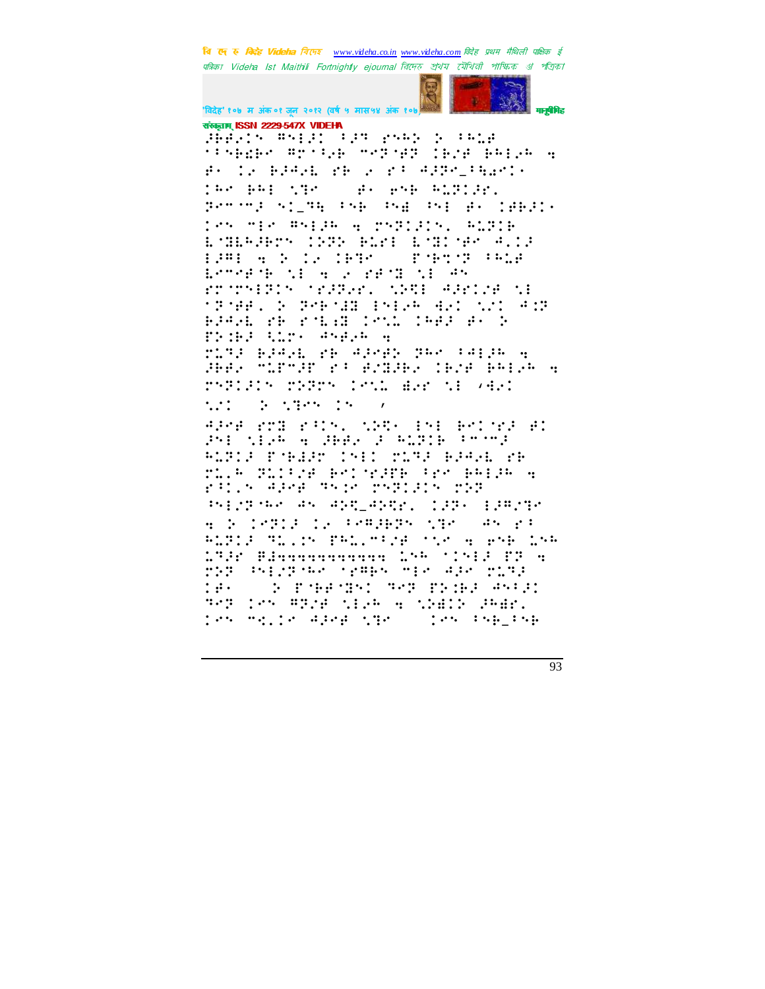**बि एक रु** *बिर्दह Videha विए***नर** www.videha.co.in www.videha.com विदेह प्रथम मैथिली पाक्षिक ई पत्रिका Videha Ist Maithili Fortnightly ejournal রিদেহ প্রথম মৌথিনী পাক্ষিক প্র পত্রিকা



संस्कृतम् ISSN 2229-547X VIDEHA Herry Walley Cam Rowe & Canad tinggan Artiga merupakan pada anggo g Book BRAN MR 2013 AND SANCTO the BRE STAR (BR) BRE ROBINS. Bening Stone PSB PSB PSB BK 188316 iss mas #sage 4 refigies, enfin ESHERRY CONFIDENTIAL AND EPROVE 2012 IPP - POPTS PROF Ennedida di Alberta della Grande rrundlik (riker, 1958 gibber 18 **STAR. DETECH PRESS AN SAL ST** BRAN SE STENE IMILIAN BROG Thing three Stephon

TITE BEACH TH AFTER TAT FAIRS A akes minnan på esolaks lese kals<sup>6</sup> a ryPlil ryPry lath and the vari

 $\ddots$  $\mathbb{R}^n \times \mathbb{R}^{n \times n} \times \mathbb{R}^n$ 

APAR PTI PAIN, NGCH 151 BAINER BI sti tisk a skes s kodob froms RITIS PORTE INTI TILE RAGE TR rd.A Police Brindshe fro BADA 4 FRIS APPEARANCERTRY COR 35127342 45 425\_4252. 1376 138278 4 2 18912 12 3892995 598 595 23 RUBIE MULIN PROJECTOR SAN A PNB ONR 1938 Blandenbergen 156 (1513-89 g THE PHILEPHALL PREPARTED AFRICATE  $\vdots$  :  $\cdot$ **CONTRACTOR SERVICE** PAR LAN PROF NEWS A NEWS PART. Ten melle Ageg squ'il lon PhylPhp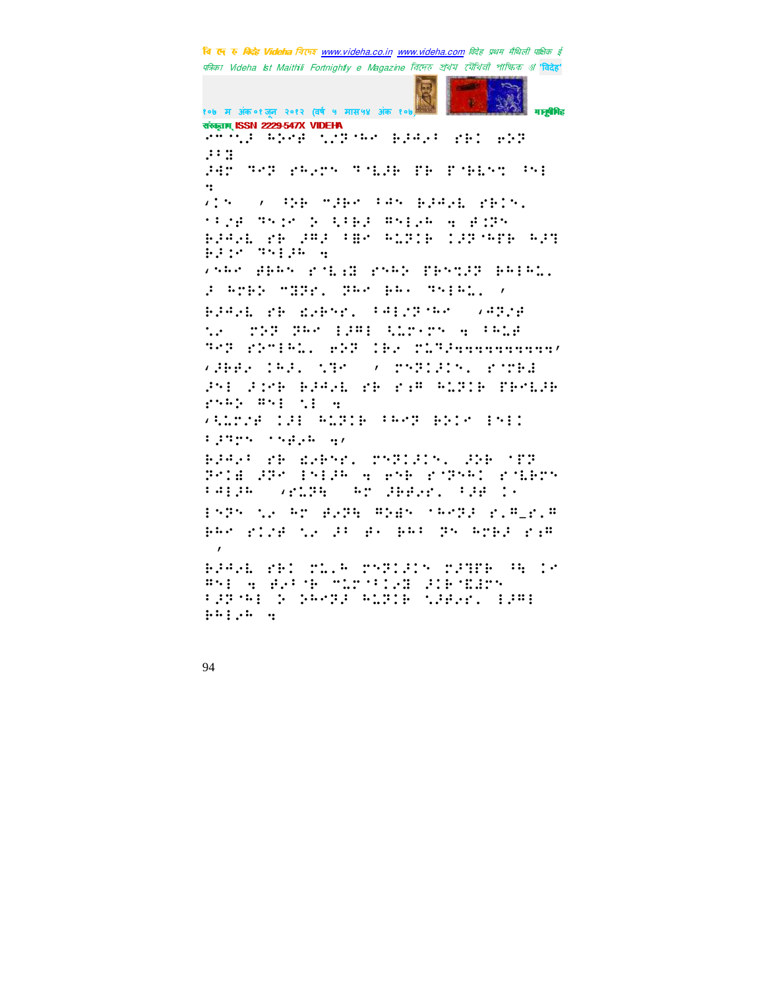बि एक रु क्रिके Videha विरफ्श www.videha.co.in www.videha.com बिरेह प्रथम मैथिली पाक्षिक ई पत्रिका Videha Ist Maithili Fortnightly e Magazine রিদেক প্রথম মৌথিনী পাক্ষিক প্র' 'विदेह'

> **Service**  $\mathbf{g}_i$ मानुबेगिह

१०७ म अंक०१जून २०१२ (वर्ष ५ मास५४ अंक १०७) संस्कृतम् ISSN 2229-547X VIDEHA añóil esde cirade eleja del esr  $\mathbb{R}^2$ FAT TET PROTECTION THE PONDET TE  $\dddot{\mathbf{z}}$ KIN 7 PH MIRM PROPERTY. tige more politic more a sign BJAVE YR JAZ (BR ALSIB 1JSP)APR AJS Bit Still Still **And Abord Miss Represent Bosc**. g agan ennel par aas pepan. . BJASE PR RSPND, FALSTING (ATSP the stat the finite three working se erit. E. B. A. B. A. S. S. A. **VARA CRESS NORTH ASSOCIATIONS AND A** PH FOR BRAIN SE SAM ALTIB TBMLAB  $\mathbf{r}^{n+1}$  ,  $\mathbf{r}^{n+1}$  ,  $\mathbf{r}^{n+1}$  ,  $\mathbf{r}^{n+1}$  ,  $\mathbf{r}^{n+1}$ **VINTE IN BIRD BRY BYD BY:** fings there are BJAR SB RRBYS, TYPICIY, JDB YFF Prim SPr (Prisk a and Prince) Primer PAIRN (MIRA) AM REPART PRESID PARA NG AT BURG ANGKALANG PIALENT participation of property with property rin BRAGE SEL TILE TERLIS TRIBE SE LE #51 & #2016 Minitied Siburners tures i population (des lign  $1.411...$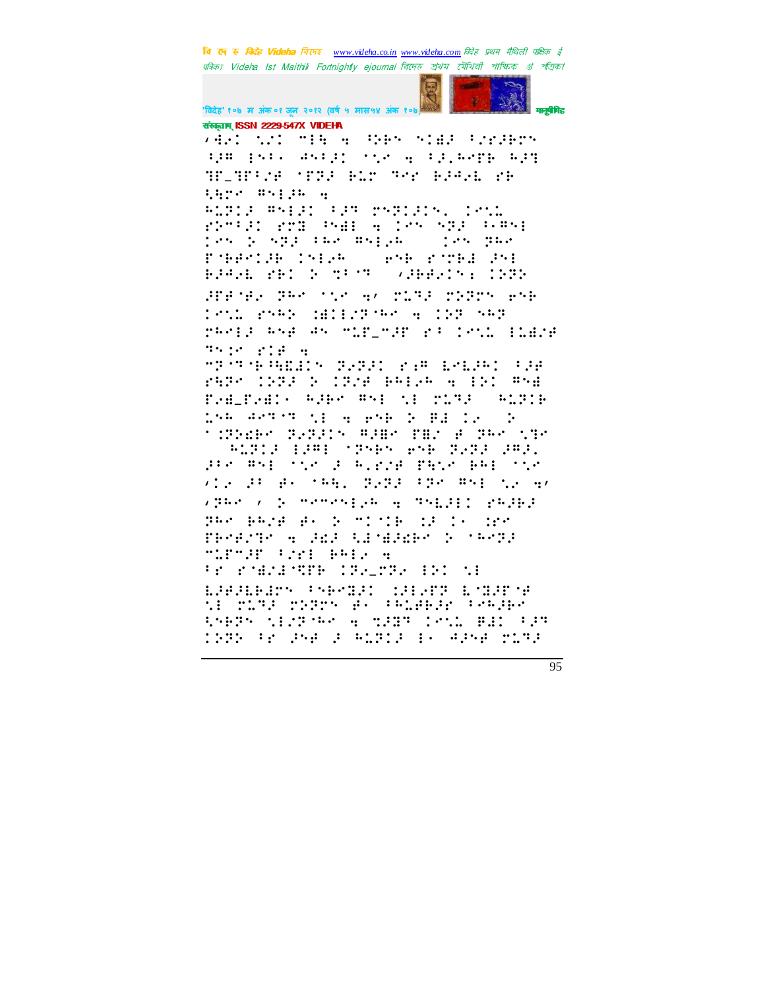वि एक रु मिनेह Videha विएक www.videha.co.in www.videha.com विदेह प्रथम मैथिली पाक्षिक ई पत्रिका Videha Ist Maithili Fortnightly ejournal রিদেহ প্রথম মৌথিনী পাক্ষিক প্র পত্রিকা



संस्कृतम् ISSN 2229-547X VIDEHA verd this minor they will fredery PROTECT ANTILOGAL PRINTED RPT WINDOWS THE BIN TEN BRACK PR thre molin 4 PLETA RYLAI (PAR CYPIAIN, IV)L.<br>CPOPAI CCE PYBE A IVY YPA PARE jes į spilter msije () jes par resets teles **Art Publication** 834. SST 3 ST **WEEKSTERS** HEATH THAT TO A TITL TETT PH Tend read matter as a correct racia and an outionar rations inder  $35.16 - 21.8 - 9$ **MESTABLES BARE PAR LALBE FRE** PARK 1983 & 1828 BREAK A 191 WHA THETHIS WHAT WAS TITLE WITH 156 APRIM (E A ASE D'El C) (C tinger namet waar het almot te GOD DA SAR AR AS SA and And only a Avend Pane BAD one  $\sqrt{2}$  ,  $\sqrt{2}$  ,  $\frac{1}{2}$  ,  $\frac{1}{2}$  ,  $\frac{1}{2}$  ,  $\frac{1}{2}$  ,  $\frac{1}{2}$  ,  $\frac{1}{2}$  ,  $\frac{1}{2}$  ,  $\frac{1}{2}$  ,  $\frac{1}{2}$  ,  $\frac{1}{2}$  ,  $\frac{1}{2}$  ,  $\frac{1}{2}$ **VINK / N MAMANESH & PRESED PROBE** PRO BRIE BY D'OINTE DE LY DEC PROPOSE AND SIGNARY DOCKOR **MINIST PASS BREACH** From Market Market Stock LAARBEN (SPARK) MEART LORROB ti risk regre ek saleber skappe SMERN SECRIPHY A MODERN CROL RED FOR 1935 Front PowerPoint Research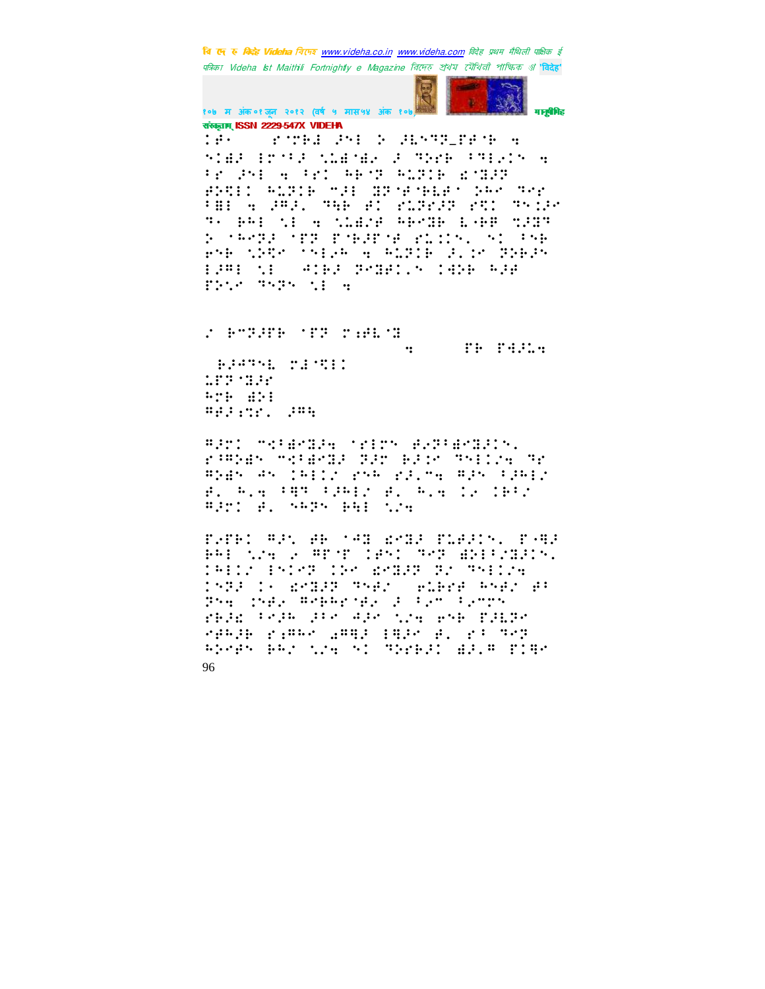चि एक रु मिन्हे Videha विएक www.videha.co.in www.videha.com विदेह प्रथम मैथिली पाक्षिक ई पत्रिका Videha Ist Maithili Fortnightly e Magazine রিদেহ প্রথম মৌথিরী পাক্ষিক রা'**বিदेह'** 



संस्कृतम् ISSN 2229-547X VIDEHA :  $\ddot{F}$   $\ddot{F}$   $\ddot{F}$   $\ddot{F}$   $\ddot{F}$   $\ddot{F}$   $\ddot{F}$   $\ddot{F}$   $\ddot{F}$   $\ddot{F}$   $\ddot{F}$   $\ddot{F}$   $\ddot{F}$   $\ddot{F}$   $\ddot{F}$   $\ddot{F}$   $\ddot{F}$   $\ddot{F}$   $\ddot{F}$   $\ddot{F}$   $\ddot{F}$   $\ddot{F}$   $\ddot{F}$   $\ddot{F}$  ⣞⢼!5C⢼!⣁⣅⣞⣞⢴!⢼!⢹⢵"⢷!C⢹5⢴!⣒!! C"!⢼5!⣒!C"!⢳⢷⢽!⢳⣅⢽⢷!⣎⣝⢼⢽! ⢾⢵⣋5!⢳⣅⢽⢷!`⢼5!⣝⢽⢾⢷⣇⢾!⢵⢳!⢹"! CHE S SHE SHE S SHEET SAN THIS  $\overline{5}$  . FM: M: A MINE ADAM APMIR 1982  $\mathcal{L}$  /  $\mathcal{L}$  /  $\mathcal{L}$  /  $\mathcal{L}$  /  $\mathcal{L}$  /  $\mathcal{L}$  /  $\mathcal{L}$  /  $\mathcal{L}$  /  $\mathcal{L}$  /  $\mathcal{L}$  /  $\mathcal{L}$  /  $\mathcal{L}$  /  $\mathcal{L}$  /  $\mathcal{L}$  /  $\mathcal{L}$  /  $\mathcal{L}$  /  $\mathcal{L}$  /  $\mathcal{L}$  /  $\mathcal{L}$  /  $\mathcal{L}$  /  $\$ ⢶⢷!⣁⢵⣋!5⢴⢳!⣒!⢳⣅⢽⢷!⢼G⣈!⢽⢵⢷⢼! 5⢼⢻5!⣁5-!⢺⢷⢼!⢽⣝⢾G!⣚⢵⢷!⢳⢼⢾! 25.00 35.00 35.00 35.00 35.00

4!⢷`⢽⢼2⢷!2⢽!⣐⢾⣇⣝! hhbkfoesbAwjefib⣒dpn!2⢷!2⣚⢼⣅⣒! !⢷⢼⢺⢹⣇!⣜⣋5!!  $LPT$  :  $T$  $+$ ⢻⢾⢼⣐⣉"G!⢼⢻⣓.!

⢻⢼!`⣊C⣞⣝⢼⣒!"5!⢾⢴⢽C⣞⣝⢼G!  $'$ COUNCIL TO SAINT AND THE COUNTY OF THE COUNTY OF THE COUNTY OF THE COUNTY OF THE COUNTY OF THE COUNTY OF THE COUNTY OF THE COUNTY OF THE COUNTY OF THE COUNTY OF THE COUNTY OF THE COUNTY OF THE COUNTY OF THE COUNTY OF TH When we inite the street we're not ⢾G!⢳G⣒!C⣛⢹!C⢼⢳54!⢾G!⢳G⣒!⢴!⢷C4-! ⢻⢼!⢾G!⢳⢽!⢷⣓5!⣁4⣒!

96 2⢴2⢷!⢻⢼⣁!⢾⢷!⢺⣝!⣎⣝⢼.2⣅⢾⢼G!2D⣛⢼! ⢷⢳5!⣁4⣒!⢴!⢻22!⢾!⢹⢽!⣞⢵5C4⣝⢼G!  $14127$   $15427$   $154137$   $154137$  $\{ \gamma^{\mu} \}$  is a consequently defined as  $\{ \gamma^{\mu} \}$ ⢽⣒!⣈⢾⢴.⢻⢷⢳"⢾⢴!⢼!C⢴`.C⢴`! "⢷⢼⣎.C⢼⢳!⢼C!⢺⢼!⣁4⣒!⢶⢷!2⢼⣇⢽. ⢾⢳⢼⢷!"⣐⢻⢳!⣔⢻⣛⢼.5⣛⢼!⢾G!"⢸!⢹⢽! ⢳⢵⢾!⢷⢳4!⣁4⣒!.⢹⢵"⢷⢼!⣞⢼G⢻!2⣛!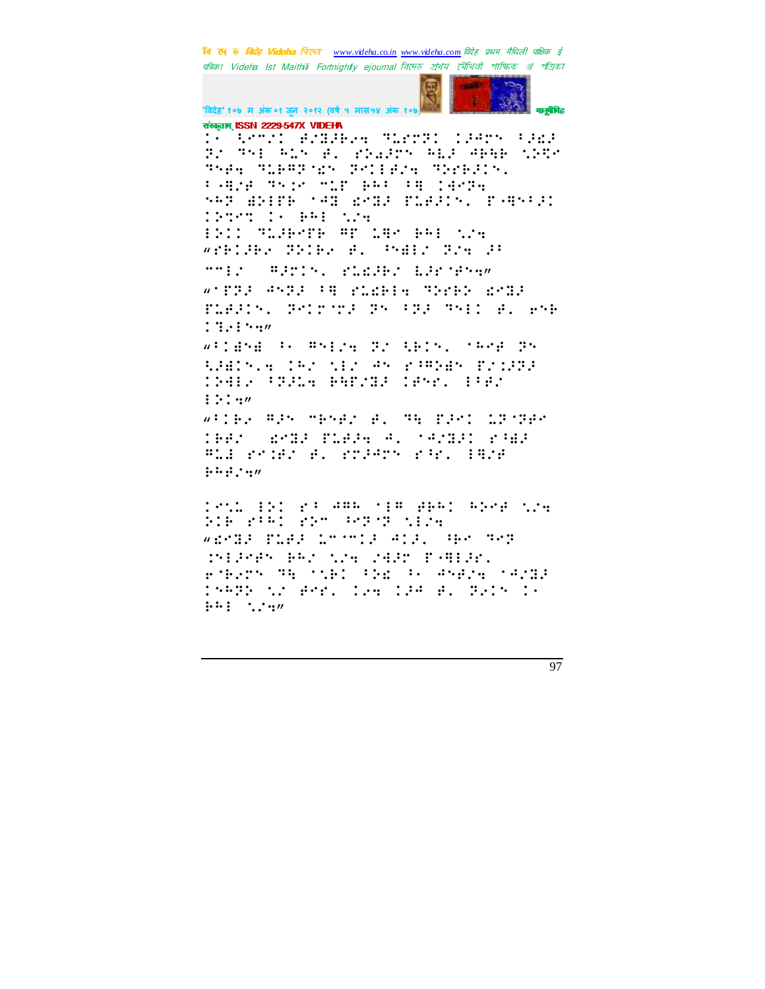चि एक रु *विदेह Videha चिए*न्छ <u>www.videha.co.in www.videha.com</u> विदेह प्रथम मैथिली पाक्षिक ई पत्रिका Videha Ist Maithili Fortnightly ejournal রিদেহ প্রথম মৌথিনী পাক্ষিক গ্র পত্রিক।



संस्कृतम् ISSN 2229-547X VIDEHA l: Artic Alama Minti (Aart Aai  $F$ 4 "AN SI GE OF SIDE AND A SIDE AND A SIDE AND A SIDE AND A SIDE AND A SIDE AND A SIDE AND A SIDE AND A SIDE AND A SIDE AND A SIDE AND A SIDE AND A SIDE AND A SIDE AND A SIDE AND A SIDE AND A SIDE AND A SIDE AND A SIDE A ⢹⢾⣒!⢹⣅⢷⢻⢽⣎!⢽5⢾4⣒!⢹⢵"⢷⢼G! CODE RESERVED TO CAPTAIN ⢳⢽!⣞⢵52⢷!⢺⣝!⣎⣝⢼.2⣅⢾⢼G!2D⣛C⢼! ⢵⣉⣉!l!⢷⢳5!⣁4⣒! 5⢵!⢹⣅⢼⢷2⢷!⢻2!⣅⣛!⢷⢳5!⣁4⣒! WHIPS THE STRIP OF STRIP OF  $\overline{5}$   $\overline{5}$   $\overline{5}$   $\overline{5}$   $\overline{5}$   $\overline{5}$   $\overline{5}$   $\overline{5}$   $\overline{5}$   $\overline{5}$   $\overline{5}$   $\overline{5}$   $\overline{5}$   $\overline{5}$   $\overline{5}$   $\overline{5}$   $\overline{5}$   $\overline{5}$   $\overline{5}$   $\overline{5}$   $\overline{5}$   $\overline{5}$   $\overline{5}$   $\overline{5}$   $\overline{5$  $^{\prime}$  (PP) 4593 (FB clable Thrb) and  $^{\prime}$ 2⣅⢾⢼G!⢽⢼!⢽!C⢽⢼!⢹5!⢾G!⢶⢷! ⣙⢴5⣒" W:C@S@ (F #spray Rr Relis (SAPA RS ⣃⢼⣞G⣒!⢳4!⣁54!⢺!"⢸⢻⢵⣞!24⣈⢼⢽⢼! ⢵⣚5⢴!C⢽⢼⣅⣒!⢷⣓24⣝⢼!⢾"G!5C⢾4!  $\vdots$  : : : : "C⢷⢴.⢻⢼!`⢷⢾4!⢾G!⢹⣓!2⢼!⣅⢽⢽⢾! ⢷⢾4-!⣎⣝⢼.2⣅⢾⢼⣒!⢺G!⢺4⣝⢼!"⢸⣞⢼! ⢻⣅⣜!"⣈⢾4!⢾G!"⢼⢺!"⢸"G!5⣛4⢾!  $\ddot{a}$ .  $\ddot{a}$ 105‰ !P^1 {FOI}} 100 {FOI}} 100 {FOI}} 100 {FOI}} 100 {FOI}} 100 {FOI}} 100 {FOI}} 100 {FOI}} 100 {FOI}} 100 {FOI}} 100 {FOI}} 100 {FOI}} 100 {FOI}} 100 {FOI}} 100 {FOI}} 100 {FOI}} 100 {FOI}} 100 {FOI}} 100 {FOI}} 100 {F  $\overline{H}$  :  $\overline{H}$   $\overline{H}$  :  $\overline{H}$  :  $\overline{H}$  :  $\overline{H}$  :  $\overline{H}$  :  $\overline{H}$  :  $\overline{H}$  :  $\overline{H}$  :  $\overline{H}$  :  $\overline{H}$  :  $\overline{H}$  :  $\overline{H}$  :  $\overline{H}$  :  $\overline{H}$  :  $\overline{H}$  :  $\overline{H}$  :  $\overline{H}$  :  $\overline{H}$  :  $\overline$ WERE THE STRIP OF STRIP

⣈5⢼⢾!⢷⢳4!⣁4⣒!4⣚⢼!2D⣛5⢼"G! ⢶⢷⢴!⢹⣓!⣁⢷!C⢵⣎!⢸l!⢺⢾4⣒!⢺4⣝⢼! ⢳⢽⢵!⣁4!⢾"G!⢴⣒!⢼⢺!⢾G!⢽⢴!l! **EDE** 1.197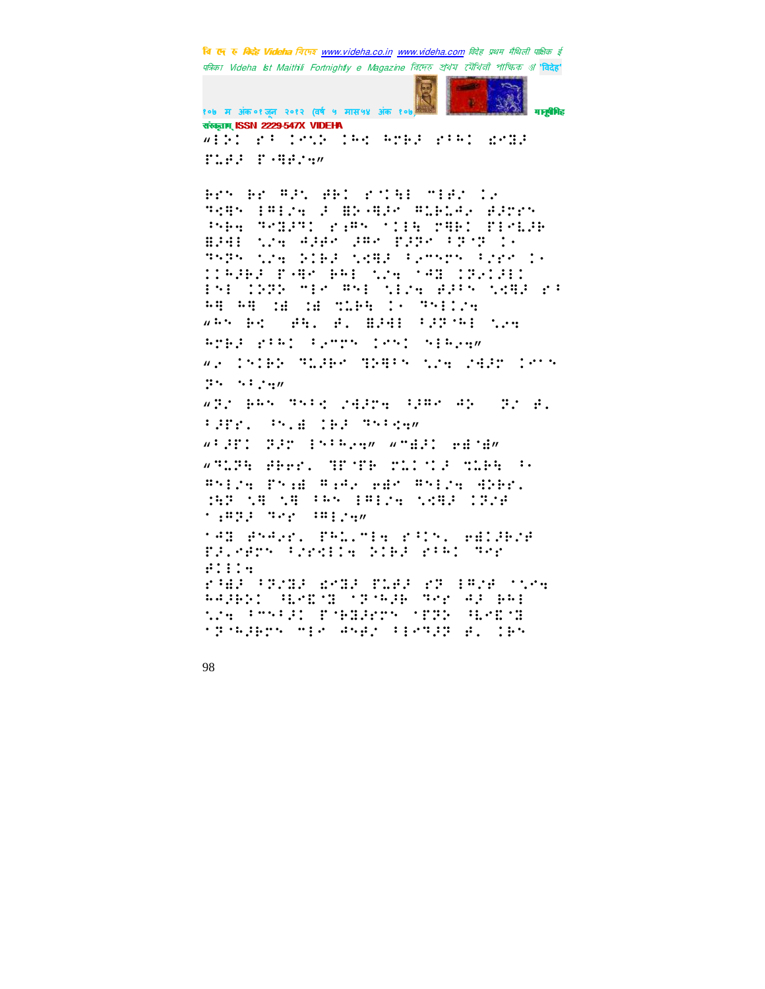चि एक रु मिन्हे Videha विएक www.videha.co.in www.videha.com विदेह प्रथम मैथिली पाक्षिक ई पत्रिका Videha Ist Maithili Fortnightly e Magazine রিদেহ প্রথম মৌথিরী পাক্ষিক রা'**বিदेह'** 



संस्कृतम् ISSN 2229-547X VIDEHA "5⢵!"⢸!⣁⢵!⢳⣊!⢳⢷⢼!"C⢳!⣎⣝⢼.

2⣅⢾⢼!2D⣛⢾4⣒"

Ern Er Aun Ab en rie mer la . Bd#r Halle Bookster Bander ⢸⢷⣒!⢹⣝⢼⢹!"⣐⢻!5⣓!⣛⢷!25⣇⢼⢷! BP4! tra 4940 PR0 PPP (PP ). THEN AND PIER ARE PROVINCING ⢳⢼⢷⢼!2D⣛!⢷⢳5!⣁4⣒!⢺⣝!⢽⢴⢼5! 55!⢵⢽⢵!`5!⢻5!⣁54⣒!⢾⢼C!⣁⣊⣛⢼!"⢸! ⢳⣛.⢳⣛!⣈⣞.⣈⣞!⣉⣅⢷⣓!l!⢹54⣒!  $\sqrt{+}$  +  $\sqrt{+}$  $`$ W. CHIER TEAPY TRAPS WAR WARD IS NO  $\mathbb{R}^n$   $\mathbb{R}^n$   $\mathbb{R}^n$   $\mathbb{R}^n$  $\sqrt{2}$ . EAS TSIE JEP 1919 III 43 TP 1 COUNTY CONTROL COMPANY w:2010 The South Company which shipped wich der Trip Mill's Mid : PHIN THE PHA PER PHIN THE. ⣈⣓⢽!⣁⣛.⣁⣛!C⢳!5⢻54⣒!⣁⣊⣛⢼!⢽4⢾! ⣐⢻⢽⢼!⢹"!⢸⢻54⣒" ⢺⣝!⢾⢺⢴"G!2⢳⣅G`5⣒!"⢸G!⢶⣞⢼⢷4⢾! 2⢼G⢾!C4"⣊5⣒!⢵⢷⢼!"C⢳!⢹"!  $f: T: T$ "⢸⣞⢼!C⢽4⣝⢼!⣎⣝⢼.2⣅⢾⢼!"⢽!5⢻4⢾!⣁⣒! ⢳⢺⢼⢷⢵!⢸⣇⣏⣝!⢽⢳⢼⢷!⢹"!⢺⢼!⢷⢳5!  $^{\prime}$  . Constant Constant Constant Constant Constant Constant Constant Constant Constant Constant Constant Co ⢽⢳⢼⢷!`5!⢺⢾4!C5⢹⢼⢽!⢾G!⢷!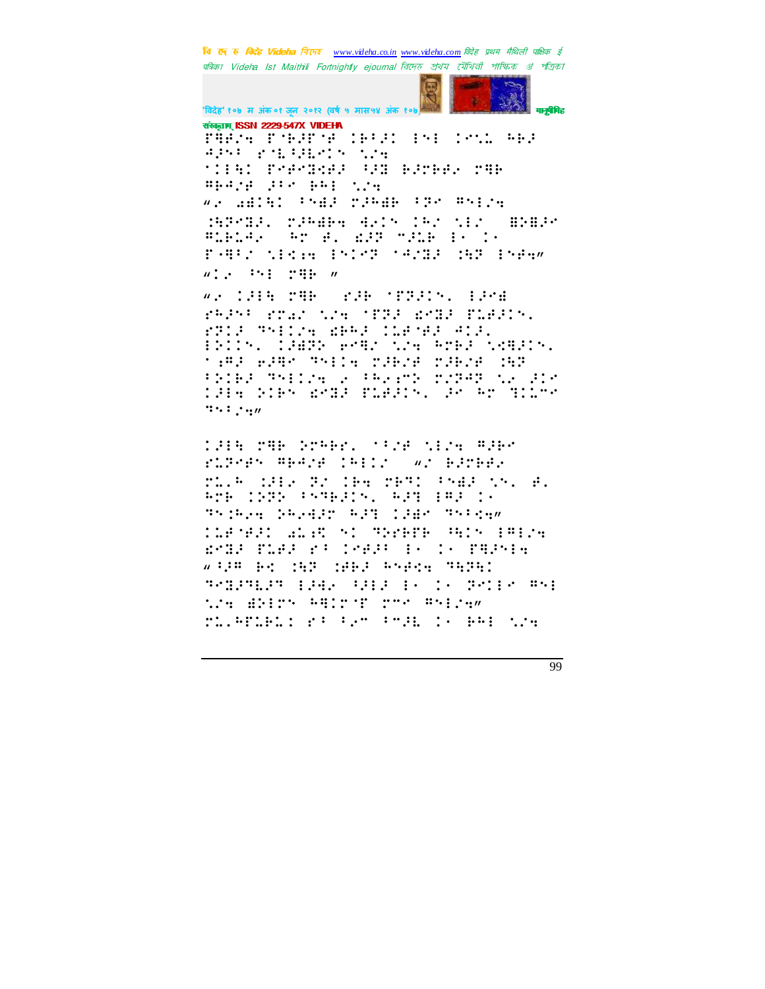चि एक रु *विदेह Videha चिए*न्छ <u>www.videha.co.in www.videha.com</u> विदेह प्रथम मैथिली पाक्षिक ई पत्रिका Videha Ist Maithili Fortnightly ejournal রিদেহ প্রথম মৌথিনী পাক্ষিক গ্র পত্রিক।

'विदेह' १०७ म अंक ०१ जून २०१२ (वर्ष ५ मास५४ अंक १०७) मानुसार के सामग्री मानुसीमेह

संस्कृतम् ISSN 2229-547X VIDEHA 2⣛⢾4⣒!2⢷⢼2⢾!⢷C⢼!55!⣁⣅!⢳⢷⢼! ⢺⢼C!"⣇⢸⢼⣇!⣁4⣒! 5⣓!2⢾⣝⣊⢾⢼!⢸⢼⣝!⢷⢼⢷⢾⢴!⣛⢷! ⢻⢷⢺4⢾!⢼C!⢷⢳5!⣁4⣒! W. WEIN THE THE STANDARD ⣈⣓⢽⣝⢼G!⢼⢳⣞⢷⣒!⣚⢴!⢳4!⣁54-!⣟⢵⣟⢼! ⢻⣅⢷⣅⢺⢴.!⢳!⢾G!⣎⢼⢽.`⢼⣅⢷!5l!l! 2D⣛C4!⣁5⣊⣐⣒!5⢽!⢺4⣝⢼!⣈⣓⢽!5⢾⣒" w: . : : : : : : : //

W. SHE THE SHE THIS WAS INTO "⢳⢼C!"⣔4!⣁4⣒!2⢽⢼!⣎⣝⢼.2⣅⢾⢼G! "⢽⢼!⢹54⣒!⣎⢷⢳⢼!⣅⢾⢾⢼!⢺⢼G! 5⢵G!⢼⣞⢽⢵!⢶⣛4!⣁4⣒!⢳⢷⢼!⣁⣊⣛⢼G! ⣐⢻⢼!⢶⢼⣛!⢹5⣒!⢼⢷4⢾.⢼⢷4⢾!⣈⣓⢽! C⢵⢷⢼!⢹54⣒!⢴!C⢳⢴⣐`⢵!4⢽⢺⢽!⣁⢴!⢼! ⢼5⣒!⢵⢷!⣎⣝⢼.2⣅⢾⢼G!⢼!⢳!⣙⣅`!  $T: \mathcal{L}_1 \rightarrow \mathcal{L}_2$ 

1994 CHE 250HE. 'F20 SI24 P90' "⣅⢽⢾!⢻⢷⢺4⢾!⢳54.!"4!⢷⢼⢷⢾⢴-! ⣅G⢳!⣈⢼5⢴!⢽4!⢷⣒!⢷⢹!C⣞⢼!⣁G!⢾G! **ATE ISTE PARAIO APP 183 1-**⢹⣈⢳⢴⣒!⢵⢳⢴⣚⢼!⢳⢼⣙!⢼⣞!⢹C⣊⣒" ⣅⢾⢾⢼!⣔⣅⣐⣋!!⢹⢵"⢷2⢷!⢸⣓!5⢻54⣒! ⣎⣝⢼.2⣅⢾⢼!"⢸!⢾⢼C!5l!l!2⣛⢼5⣒!! "⢸⢼⢻!⢷⣊!⣈⣓⢽!⣈⢾⢷⢼!⢳⢾⣊⣒!⢹⣓⢽⣓! ⢹⣝⢼⢹⣇⢼⢹!5⢼⣚⢴.⢸⢼5⢼!5l!l!⢽5!⢻5! **WEB 2010 12:54 SERVICE SERVICE**  $T$ G, APLEL : FP ( )  $T$  ( )  $T$  ( )  $T$  ( )  $T$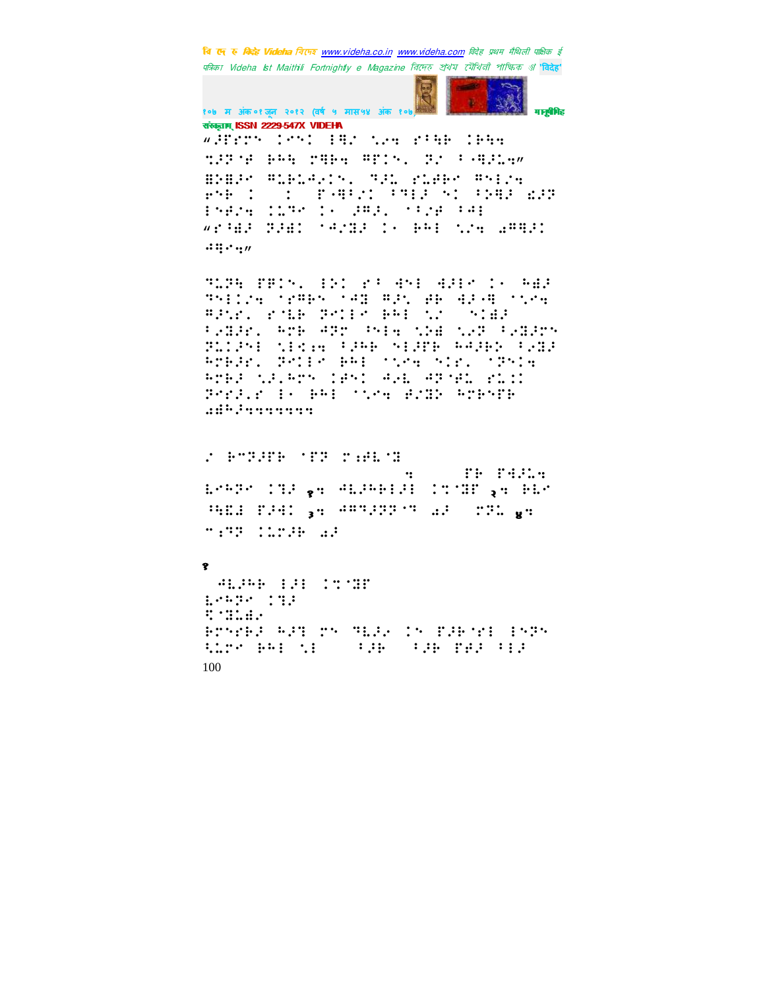चि एक रु मिन्हे Videha विएक www.videha.co.in www.videha.com विदेह प्रथम मैथिली पाक्षिक ई पत्रिका Videha Ist Maithili Fortnightly e Magazine রিদেহ প্রথম মৌথিরী পাক্ষিক রা'**বিदेह'** 



संस्कृतम् ISSN 2229-547X VIDEHA WHIST CONTROL SECTIONS  $^{\prime}$  . The state of the state of the state of the state of the state of the state of the state of the state o ⣟⢵⣟⢼!⢻⣅⢷⣅⢺⢴G!⢹⢼⣅!"⣅⢾⢷!⢻54⣒! ⢶⢷!-!⣈-!2D⣛C4!C⢹5⢼!!C⢵⣛⢼!⣎⢼⢽! 5⢾4⣒!⣅⢹!l!⢼⢻⢼G!C4⢾!C⢺5.! " "We GAR THAT THREE IN THE SIGN AREA  $\ldots,$ 

BLPB PRIN, 101 pf dnf ddfe 1, Adfo SWED AND THE STATE OF A STATE OF A STATE OF A STATE OF A STATE OF A STATE OF A STATE OF A STATE OF A STATE OF A ⢻⢼⣁"G!"⣇⢷!⢽5!⢷⢳5!⣁4.!⣞⢼! CANO GE SALL GE SALL GE SALL GE SALL GE SALL GE SALL GE SALL GE SALL GE SALL GE SALL GE SALL GE SALL GE SALL G SUNS TO STREET THE STREET IS THE STREET IS AN INC BTERN TRIE FEE SOME SIN, STRIE ⢳⢷⢼!⣁⢼G⢳!⢾!⢺⢴⣇.⢺⢽⢾⣅!"⣅⣈! ⢽"⢼G"!5l!⢷⢳5!⣁⣒!⢾4⣝⢵!⢳⢷2⢷! ⣔⣞⢳⢼⣒⣒⣒⣒⣒⣒⣒!!!

 $4$  : F-2010 (12 - 2010 ) h and 2 in 1992. ⣇⢳⢽!⣙⢼!१⣒!⢺⣇⢼⢳⢷5⢼5!⣉⣝2!२⣒!⢷⣇! ⢸⣓⣏⣜!2⢼⣚!३⣒!⢺⢻⢹⢼⢽⢽⢹!⣔⢼!(⢽⣅(४⣒! `⣐⢹⢽!⣅⢼⢷!⣔⢼!

#### १

100 !⢺⣇⢼⢳⢷!5⢼5!⣉⣝2! L-939 113 ⣋⣝⣅⣞⢴! ⢷"⢷⢼!⢳⢼⣙!!⢹⣇⢼⢴!!2⢼⢷"5!5⢽! ⣃⣅!⢷⢳5!⣁5!0!C⢼⢷.!C⢼⢷!2⢾⢼!C5⢼!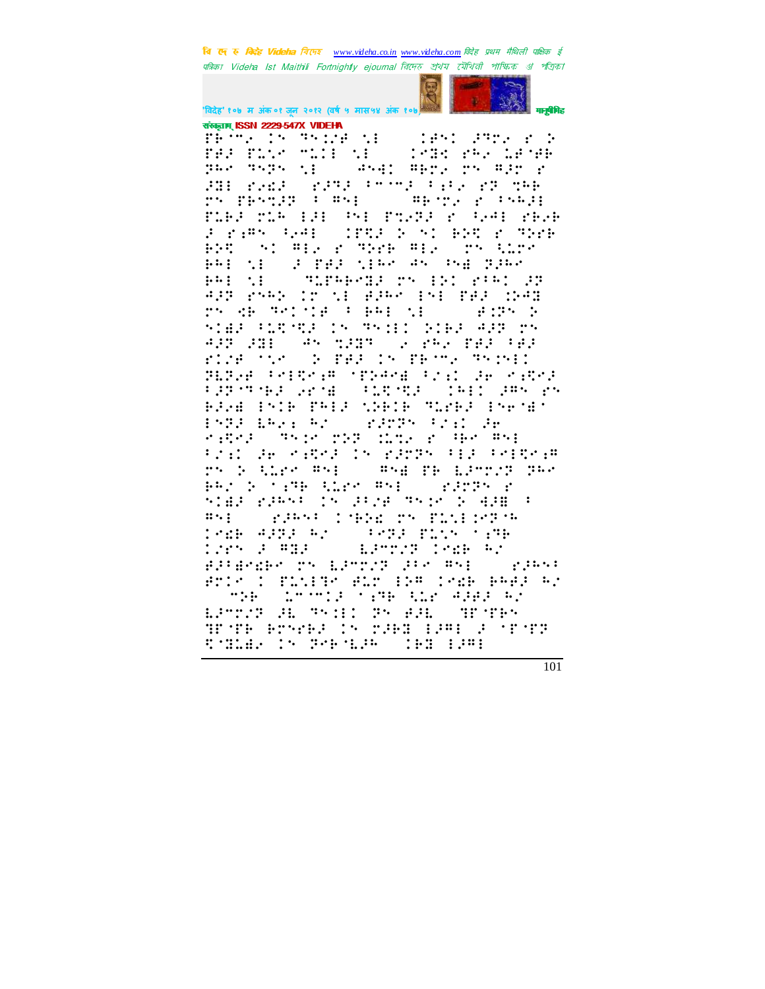बि एक रु *बिरोह Videha चिए*क www.videha.co.in www.videha.com विदेह प्रथम मैथिली पाक्षिक ई पत्रिका Videha Ist Maithili Fortnightly ejournal রিদেহ প্রথম মৌথিনী পাক্ষিক প্র পত্রিকা

'विदेह' १०७ म अंक ०१ जून २०१२ (वर्ष ५ मास५४ अंक १०७



संस्कृतम् ISSN 2229-547X VIDEHA FROM IN BYZE NEWS<br>FRAMELY MILE NEWS test anne rob Teme Page Lange par dypy (E) ( Ayd) Abra ry Adr ( PHORAGE CRPP From Fifty RP MAR **TV PRAMIE : #41 SHOW PORTS** FLBJ MLB 131 PM FMJE K 5241 KB2B *Farmer General Constitution of the Book* BBC AT WEST TREE WEST TO RITE First the as we play  $1441 - 11$ **MITHERS TY SEC PRESS**  $1.41 \div 1.1$ 432 room in the Back lol PAP (143 rs de Polole (Pael di Sco Burs ) SIER FLEMEN IN THILL DIER ART TH ali dil Astron (2 ASTRA) ed FIRE TOP OF PERSON PROMISSION PERSE PRINSIPLATING PASS SECTIONS FRIDA BELGEDE CONSTRUCTOR COMPONENT BRAN INIB PRIR NOBIB MUSBR INFONT PARA LAGE AND CONTRACTING CH PARKS THIR MIR WILL FORM WH tral de campa lo admos tip teimeam rs & Wire #s: | #si :B iProff (#6 PRO DO 1996 RIPO RNEO O 2003NO2 ATER PRESS TO REPRODUCE ARE **SEPARATE PER STATE PROPER**  $\mathbf{a} \cdot \mathbf{b}$ n (1972) Playen a PR<br>Shipara (1986) Play 19dB 4222 A21 1225 2 AB2 BREAKER TY LETTER BER WYE a ang pagkatan ng panganan Anig I Bindge Alm 198 (gib BAA) Ay Time (Divis The Weigher<br>World A. Stall Staal (Argent)<br>Argenteel It Saes (Age 2019) **COMMA IN POPULH (IH 1PH**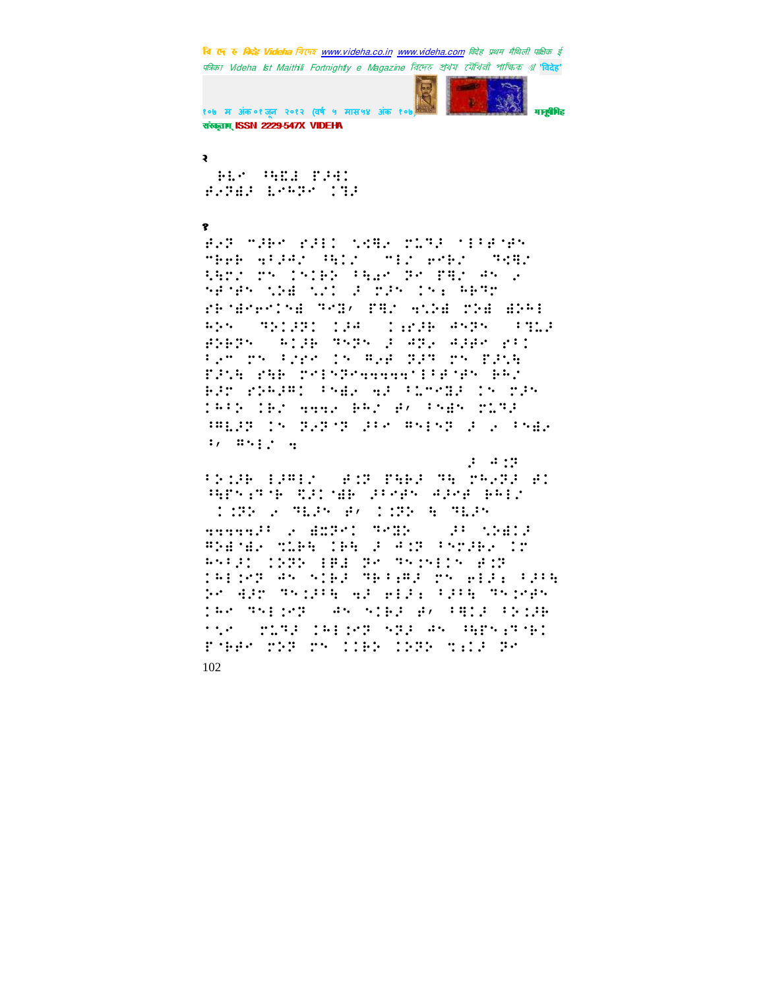बि एक रु क्विहे Videha विरफ्श www.videha.co.in www.videha.com बिरेह प्रथम मैथिली पाक्षिक ई पत्रिका Videha Ist Maithili Fortnightly e Magazine রিদেহ প্রথম মৌথিরী পাক্ষিক প্র' '<mark>विदेह'</mark>



१०७ में अंक०१जून २०१२ (वर्ष ५ मास५४ अंके १०। संस्कृतम् ISSN 2229-547X VIDEHA

 $\mathbf{z}$ **BL: BRITISH BATHER LANTA (20)** 

#### $\mathbf{S}$

BAR MIRK RIED NAMA MITE METROPS MBB ALBAN ALIN MIN BYBI MARI through Indeb (Rar Brugg An S senes wa wi albas isllaam rendrathe man, par anne che ena: RES TELEPO LEGO LANGUARES CONDA (Alde Syds d'Ad. Ades et BRB BR tion and their product due one and the FRIE PAR TOINFORMANCIEF NO BAC BED PRAED (PAB) AF SIMPER IN DIR IRED IRS anno BRO By Then MITE SHEEP IN BARYE SEA HAINE FOR SAME  $1, 0, 0, 1, 0, 0,$ 

 $3.432$ **TORE END: FOR THE ME THANK AT** HPSP9 RATH APPARTMENT **TIME A MEAN AVIOUR A MEAN ANNALLE A BOOK** TANK  $\mathbb{R}^2$  :  $\mathbb{R}^2$  :  $\mathbb{R}^2$  :  $\mathbb{R}^2$ Whene, the cell a wife problem in PRESS INTO HEATER TRINING BIT IRENT AN NIED METARD MN WEDER PDP Product Shipper alogical club Shipper TRA SAEINS (AN NIER B) FRIE FILE tic risk (Alvo School And Article) Pobel 200 20 1160 1000 2110 00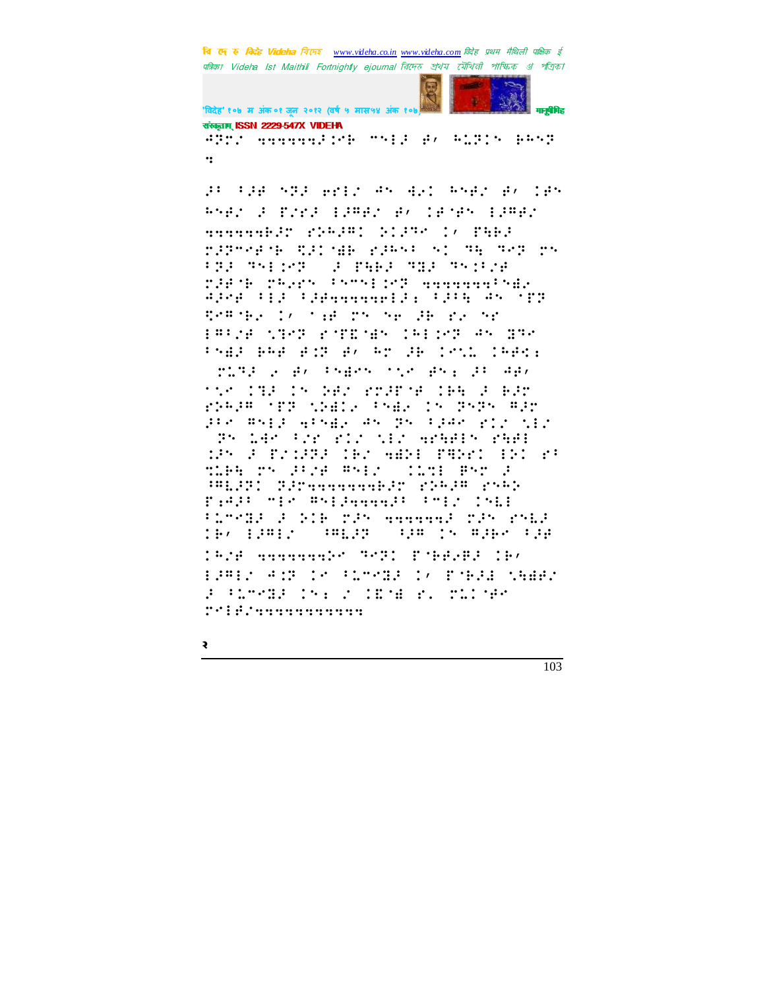वि एक रु मिनेह Videha विएक www.videha.co.in www.videha.com विदेह प्रथम मैथिली पाक्षिक ई पत्रिका Videha Ist Maithili Fortnightly ejournal রিদেহ প্রথম মৌথিনী পাক্ষিক প্র পত্রিকা



संस्कृतम् ISSN 2229-547X VIDEHA APPS AAAAAAFISE MSEE B, ALPIS BASP  $\ddot{\cdot}$ 

31 138 533 eric An Aut Andr By 185 ANAZ 2 TIRA 128AI AV 187AN 128AI HANNAHER PRAZHI SIJMA IZ PARJ MIRTON ROLL AND MIRTING AT THE TOP CON *BURGER TELL TELLS* **FREE MAILERY** rleth result form of signature of APA MI MAGgaganii MAG MT Seminar Doctor State Security Section PRIZE STRT POTDOMS IREDAT AS DRA PABE PRESENT BY AT SPONSOLIARS:

TITE FOR PARTY TO BY: PO AP. **TAR IN IS NOT START OF THE STORY** roge from their space in properties pre majo grago da pa rode etc tro Prodes the side in arbeit staff 185 F. P. 1898 (B. SADE PRES 181 PF TIPE TO PRINT WORK CITE POT P WEST SPreedenburghum est PART MES #SERGAGE PMES ISEE PLOGRAPH PIP CAN SEEMER CAN PALA the paper (andre comprehensive pro *lain shanganin 2021 Bjeede le.* 

EPRIM AND IN SIMMIN IN PARK NAMED F PLYMER IN: 2 IENE P. TELYEM 

र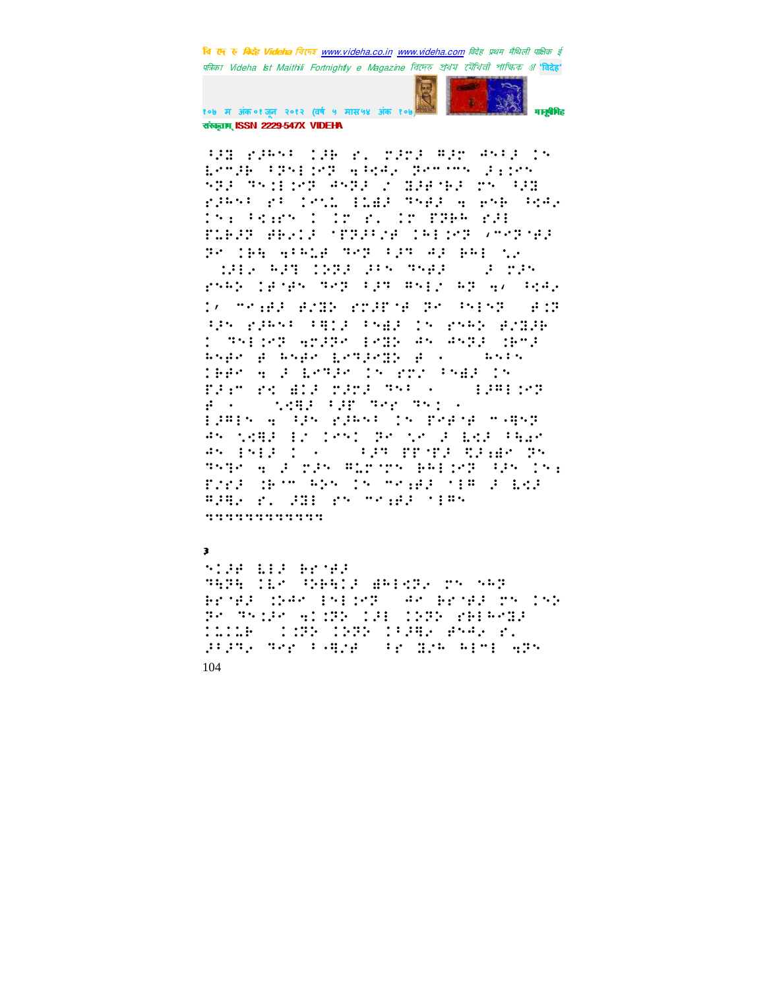बि एक रु क्विहे Videha विरफ्श www.videha.co.in www.videha.com बिरेह प्रथम मैथिली पाक्षिक ई पत्रिका Videha Ist Maithili Fortnightly e Magazine রিদেহ প্রথম মৌথিরী পাক্ষিক প্র' '<mark>विदेह'</mark>



१०७ में अंक०१जून २०१२ (वर्ष ५ मास५४ अंके १०। संस्कृतम् ISSN 2229-547X VIDEHA

APD REAGAN CERTIFIC PERSONAL CA ESTAR FRANCIS ARGE RETURN FIRM 533 TS: 197 PS33 2 HAPPA 25 HA right rist (etc) field their a phe drag 15: Poen I Im P. Im PPP PPP FLEST SEALS (FRS) 28 1912-2020 (MARINES se daa geeda ses een gelaat oo MIR RET INTE ERS TSEE ( F. M. gang jeres depoien dan nu ay ter Do traks and anguary grounded and aps plast agje asge is psay group 1 PRESPECTED EPRY AN ANDES SPOR ange geange geziege geveel ander THE A 2 ESTE IN YOU PARE IN Fact of Ala papa music ( Tighting For the SEP PERSONS (S) ijags alltis piese los phene magno<br>An Sagi iv Leni de Se d'Albia Pape AN INEF I A SUPPLIEDED REAR TH some a class who would be computed Fred denn abs is medde sim dowed 8282 P. SHE PS SCHEL 1185 ...............

 $\mathbf{3}$ 

**NIGHT LEST BEAMS** MARA CLP MERLI BRIGHE MA SAR Brief Charles Miller an Brief Th 155 Be Shide alone CH (1986 PHPeda inche Voldže Vizze (1986) ande av<br>Grupe Prast dura (1986-1986) and ann 104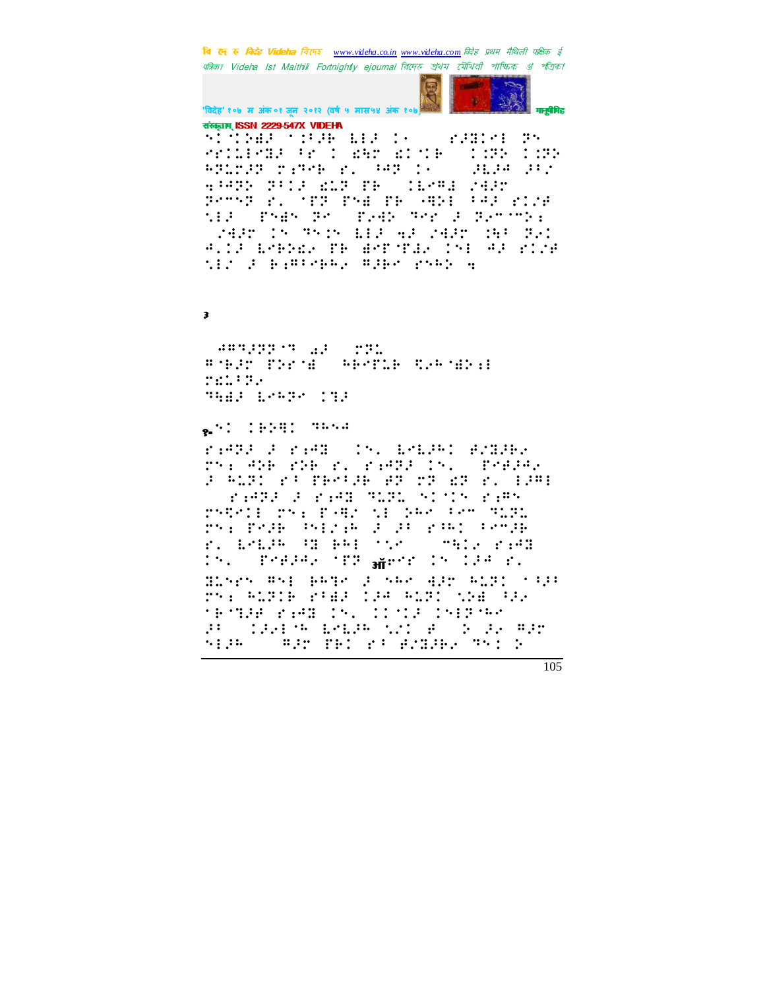वि ए रु क्रिडे Videha विएक www.videha.co.in www.videha.com विदेह प्रथम मैथिली पाक्षिक ई पत्रिका Videha Ist Maithili Fortnightly ejournal রিদেহ প্রথম মৌথিনী পাক্ষিক প্র পত্রিকা

**START** 'विदेह' १०७ म अंक ०१ जून २०१२ (वर्ष ५ मास५४ अंक १०) मनुषेभिह संस्कृतम् ISSN 2229-547X VIDEHA

Mühaf (1936-1938-1)  $\pm 231 \pm 1/25$ PRINCE OF THE RING TIME THR **Address category and the components** and and an APPROPELE WIR THOUGHAM SARE Brook r. (FR Pod PR (AD) (AR ride MER (Pres Pro Page Pres Portugal THE IN THIN BEFORE THE HOUSE A.C.P. LARGER TR GATATIE (SAI AP 2008 the Polenters when role a

#### $\mathbf{3}$

**AUTITITY AT ATL AMERY COMMA ARMICA CAMBRID** mada title THE ESSES THE

# $\frac{1}{2}$  . The second contribution of  $\frac{1}{2}$

ragged ranged the broght andger The ADE PDE P. ParkP. In. (Prese) 2 ALBI 23 TEMPER 23 23 23 26 1.991  $\begin{bmatrix} \mathcal{L}_1^2 + \mathcal{L}_2^2 + \mathcal{L}_3^2 + \mathcal{L}_4^2 + \mathcal{L}_5^2 + \mathcal{L}_6^2 + \mathcal{L}_7^2 + \mathcal{L}_7^2 + \mathcal{L}_8^2 + \mathcal{L}_9^2 + \mathcal{L}_9^2 + \mathcal{L}_9^2 + \mathcal{L}_9^2 + \mathcal{L}_9^2 + \mathcal{L}_9^2 + \mathcal{L}_9^2 + \mathcal{L}_9^2 + \mathcal{L}_9^2 + \mathcal{L}_9^2 + \mathcal{L}_9^2 + \mathcal{L}_9^2 + \mathcal{$ PARKIE PAR PHRONE DAR FRM BLBL byl brak bylsik a al sams tengk r. 18134 (B. 641 (18) **STATE** PART 15. Preses off Wern In 128 p. Hingh Whi BRIE J new High Riff (1933) rna Riche Radi (24 Rich She Ad. nentae anatolis, conceptsores<br>apostava ne pepae svoje još avjeta  $\sim$   $\pm$   $\pm$   $\sim$   $\sim$ HAT THIS IS NOTHER THIS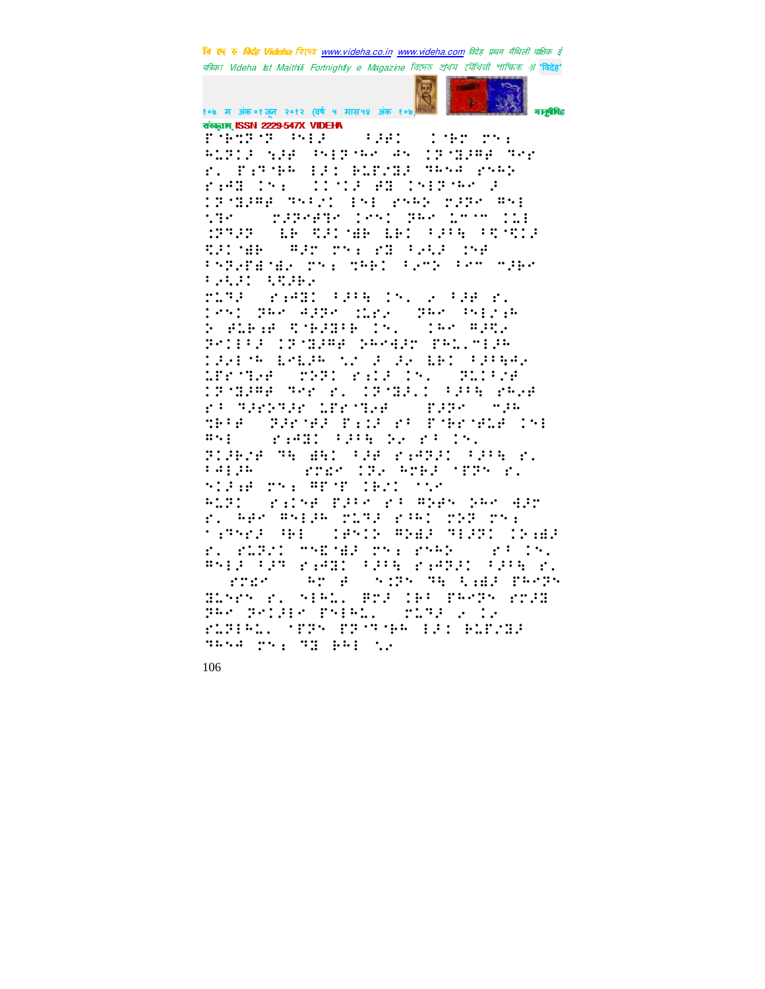बि एक रु क्विहे Videha विरफ्श www.videha.co.in www.videha.com बिरेह प्रथम मैथिली पाक्षिक ई पत्रिका Videha Ist Maithili Fortnightly e Magazine রিদেক প্রথম মৌথিনী পাক্ষিক প্র' 'विदेह'

### १०७ म अंक०१ जून २०१२ (वर्ष ५ मास५४ अंक १०७) संस्कृतम् ISSN 2229-547X VIDEHA



 $\therefore$  the red PASSE BELL SER RITIS ASE PAIT RESEARCHER THE r. Titte art birdi mes rep realist (1000) and critical trump were parametered with STREET CAN TEACHER CO  $\mathbb{R}^{n+1}$ SPAR AR RAYAR ARI PAR PRYSI SIMAR WESTERN STATES PARAMENES MAY MARI PAMA PAM MARA **POST REPORT** 

MAR CREAM PRESING A PRESS 1951 gen agger diri (gen syfire)<br>2 filmaf tjeggsa (s. 1148 geg. Priese (Prieme Sarger Pallmeda 1921'A LALOA NZ 3 SV LET FJFAAV Martine Constants (1977) suites 13.1986 982 21 13.18.1 (1996 2626 ra Sarrar Mroder (1996) Mak SARA (1992-1992) participal proposal con FRAME PROBLEM STORE  $\mathbf{a} \cdot \mathbf{b}$ PIPER TH WHI FAR RIPRI  $\frac{1}{2}$  :  $\frac{1}{2}$  :  $\frac{1}{2}$  :  $\frac{1}{2}$  :  $\frac{1}{2}$  :  $\frac{1}{2}$ FAILER COOPERATES ROBE STORY BY SUBSCRIPTIONS TO RITE (Pring file) pa Angel neu gir r. Apr Angla ring rang rin win SYSTEM AND CONTROLLER  $\mathbb{R}^n$  :  $\mathbb{R}^n$ r. rusi manga malawa sa ta #5:3 PP PAN: PPR PAND: PPR P. **Ar A STR ME LAR PROPE** and and service of the series of the series of the series of the series of the series of the series of the series of the series of the series of the series of the series of the series of the series of the series of the ser Himshop: Mish, Brd 198 Party 2023 We person research range and runian (1995 promota isi anchri Shad ga: SH BA: W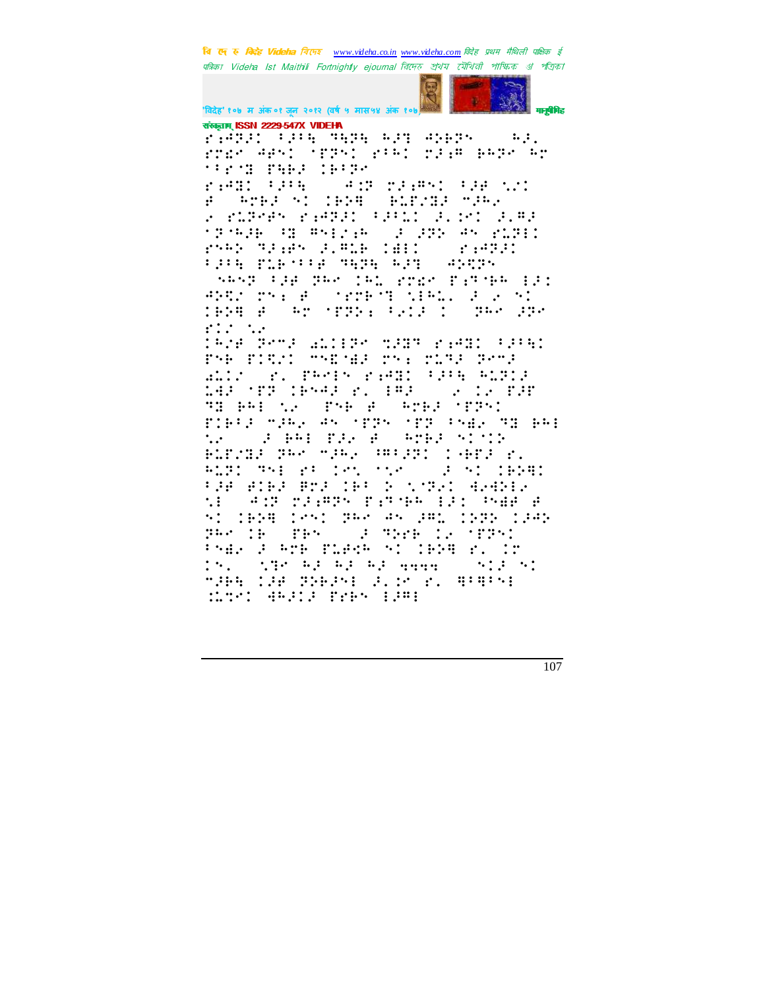**बि एक रु** *बिर्दह Videha विए***नर** www.videha.co.in www.videha.com विदेह प्रथम मैथिली पाक्षिक ई पत्रिका Videha Ist Maithili Fortnightly ejournal রিদেহ প্রথম মৌথিনী পাক্ষিক প্র পত্রিকা



#### 'विदेह' १०७ म अंक०१ जून २०१२ (वर्ष ५ मास५४ अंक १०७ संस्कृतम् ISSN 2229-547X VIDEHA

rada: 1916-2626 633-35625 - 63. rres APS: SPPS: r:A: right pape ar **SPECIES INTER** 

r:40: (205) *ASS TREPLIER NI* # Pres SI 1828 (BLPINS MPR) 2 PLANES PARAL FARIO ALIMI ALAA trage or marked a government ryky Malgy almie (gil) (riggar) FRANCISCHE SERVICE SERVICE

SASP FRE BAY IND FORM FIRTHA 12: AND THE FUNCTION SINGLE REPORT 1928 A (Ar 1832) 1912 1 (SA) 391 star to

1928 Brng Willer S208 R.AOI (2091 PAR PIRTI MARYBA PAS PIRA RAMA aliz (r. PROS regi (2006-61212) 142 YEA IBMAA E. 182 | 2012 E.H THE BRITISH OF THE BOOK ROBERT CEPHI FIRED TONY AN TEPN TEP PARK TE PAI tro a para far e arba siste BITTER THAN MARK WHITE I SHER E. RLED THE PROJECTION OF POSSESSED the eight provides to their goddie **Automation Constitution Constitution Constitution Constitution Constitution**  $\ddots$ SI IBSH 1951 THA AS 281 ISTS 1282 PHOTO TRY 2 THE 12 TER: Pres a bre flach ní 1928 (. . .  $\mathbb{R}^{n}$  $\sim$  1980 A.P. A.P. A.P. A.A.A. (2005)  $\sim$  1980 A.P. MARA CAR TERAH ALIM P. HINIME **MARY: 48.013 Print 1981** 

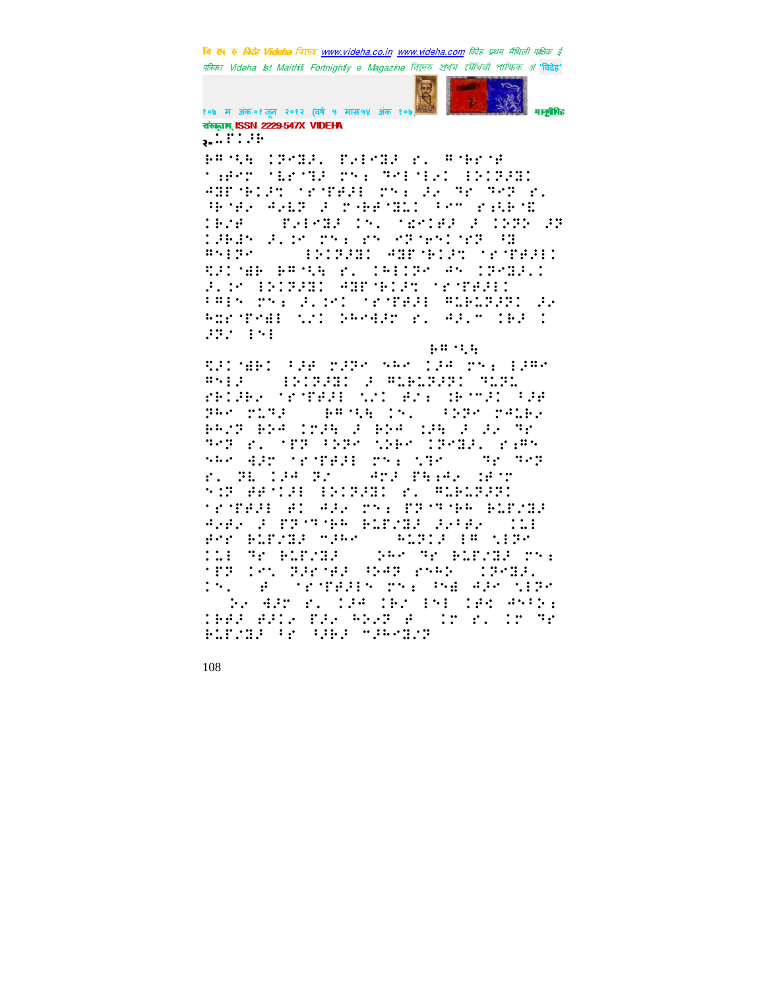बि एक रु क्विहे Videha विएक www.videha.co.in www.videha.com बिदेह प्रथम मैथिली पाक्षिक ई पत्रिका Videha Ist Maithili Fortnightly e Magazine রিদেক প্রথম মৌথিনী পাক্ষিক প্র' 'विदेह'



१०७ में अंक०१जून २०१२ (वर्ष ५ मास५४ अंके १०। संस्कृतम् ISSN 2229-547X VIDEHA  $\sum_{i=1}^{n}$ 

PROBLEMED PAPER R. Robert teach through hye would be seen ABENELAN SENEGAI PRESA APSAR PARSE. HORE SALE FOR HEMILI FOR PARTIE **THREE IN TENNE FIRE PR TESP** Daean alde zhe en ezhendiez (g  $\mathbf{B} \mathbf{A} \mathbf{B} \mathbf{B} \mathbf{A}$ SPINGE ERMIE PL IPHIPM AN IPMORI **A SEARCH SHIPPIER TENDER** FAIR TRE FLORI SEMIFIED ALBEDDING Roberted this presence, says that i **232 EME** 

 $1.8 - 1.1$ SALMARI FAR SARK SAR 194 SS. 1945  $H^1(1,1,1)$ BROWN SESERIES WILL BEEN IR MAIL POR 250 2132  $\frac{1}{2}$  is the control of  $\frac{1}{2}$  in the control of  $\frac{1}{2}$ impo indonesia di indonesia da di me<br>Median Sada (nombor) nombo identiti angk SAR ARD SECREE DREAMS THE REP E. H. 194 F. - 453 Philips ofth **SH ARTIF INTERNAL MURRER** TRITERE BI ARK THE TRITIER BOTING AND FIRM HENDER SHOW THE Pro Birona Mames (ALBIA 18 S130 **A PARTIES AND RESIDENT** (248 Tr BLEVIE MA) **TER CAN REPORT SHE PART CRABE. A STREET TO BE ARTICLE**  $\sim$  . The Album, 194 192 191 193 4990: 1992 8212 822 9528 8 (18 8) 18 78 BOOTS IN HAR MINUTE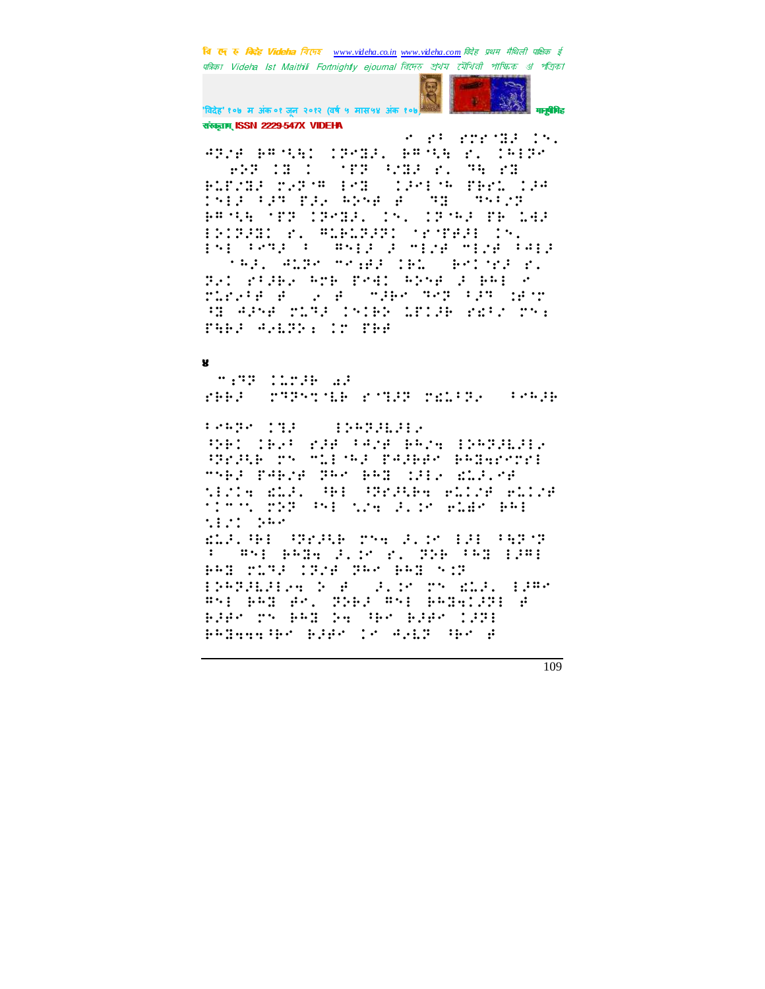**बि एक रु** *बिर्दह Videha विए***नर** www.videha.co.in www.videha.com विदेह प्रथम मैथिली पाक्षिक ई पत्रिका Videha Ist Maithili Fortnightly ejournal রিদেহ প্রথম মৌথিনী পাক্ষিক প্র পত্রিকা

'विदेह' १०७ म अंक०१ जून २०१२ (वर्ष ५ मास५४ अंक १०) संस्कृतम् ISSN 2229-547X VIDEHA



**POST STEPHENO** APIA BASAN (PABA) BASAN K. TANG **PREMIE : THE CHI CONTROL** BLEVER MARCH 188 (1981)A PREL 194 **THE FER BEATHER THE THILB** PROGRAM TERMITANIAN (1982) IRANG PENGERA EDIRAHI K. MIRIRARI YENERHALIM. ESE PROFIN ASER 2 MEZE MEZE PAE2 TAG, ALPS TRAGE IBL (BRITER E) Bal ridge and redisorated ballet ringfør af de af stade med fams harr SE APRE MISP INIEN INIE METAL MY **PART CONTROL IN THE** 

\*\*\*\*\*\*\*\*\*\* PRES TRIPPONE PORT PRISE STORE

Prepriete (1982-2021) THI INT YAR PAYE BRY: INTALALY WEIGHT THAT IS THE PAINT PRINTER mer rekke på and der streve tiste dig. Am (Sprage eilse eilse ting may be the life wide what 11: 25 ELF. HE STRIKE THE F.C. EF SHIPT **The mail page (F. W. W. W. Page 1981)** PAI MINE (228 PR) PAI 512 EPPERDING P P (Richard Electronic Pro #51 PRI AM. THAN #51 PRINCIPE A BJBK 25 BRI 24 BBK BJBK 1331 PRIGGATES RIPS IS AGLY THS P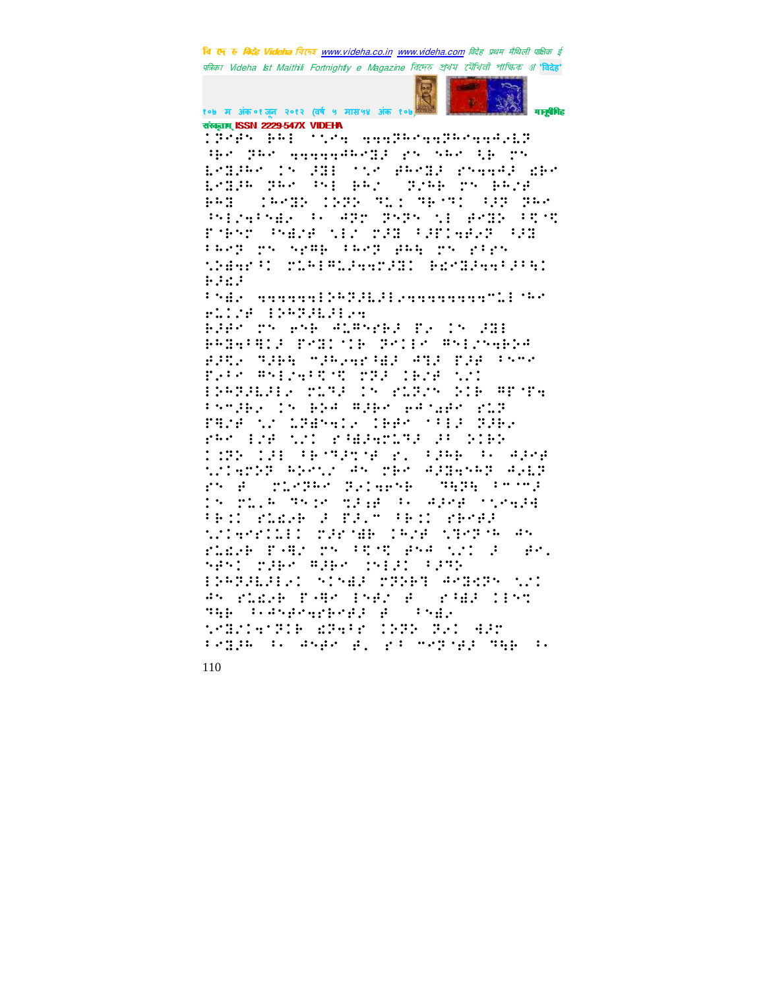बि एक रु क्विहे Videha विएक www.videha.co.in www.videha.com बिदेह प्रथम मैथिली पाक्षिक ई पत्रिका Videha Ist Maithili Fortnightly e Magazine রিদেহ প্রথম মৌথিরী পাক্ষিক প্র' '<mark>विदेह'</mark>



१०७ म अंक०१ जून २०१२ (वर्ष ५ मास५४ अंक १०७) संस्कृतम् ISSN 2229-547X VIDEHA

ISPAR BRI TYPE AAASHPAARAHAALS Ger Ser gggggdeng: Proven Georg ESBARO IN ABE TIS ARSBA PHAGAA WHO 1819 partie 14 **True readings** PAN (1928) 1939 MET MP MT (1938) PAR PricePris P. ATT TRTP NI PRID PER PAST PENE NIM THE FHINER THE PROP TO STREET ROLLING TO TETO these: http://www.com/communication. **BREE** 

**POINT INSTRUMENT** 

BJP 75 PSB SLAGED DE LA CH PRINTED POILTR POIR AND SARRA BRD TARE SARVER BR TAR PASS PAP PHINAPPORTER DESPITE ESPERING TITE IN FIRTY SIE WEITH Projects had specified and the still PRIA NI LPANACI CHAM MALA PJA. ren 128 mai raggemen de Sigo **MIN DAE FRYSKYE EL FJAR IN AJMA** wiert brow as nes algebracis rn e chirper pilaene (pepa from: in pilk snje plak (njegov) se pre njegla TRID PLEAR & TACH TRID SHARP wienribe: Marnee (Aze window 45 rings removed the seated of a sec SPS: MIRR WIRR MAIL: FINE :SANGLIK YAGA MASH AMBAR WA An eleva foge frag a craft flor THE POPPORTHOLD # POL templatule analy 1909 USD 400 Pedan Property and September 19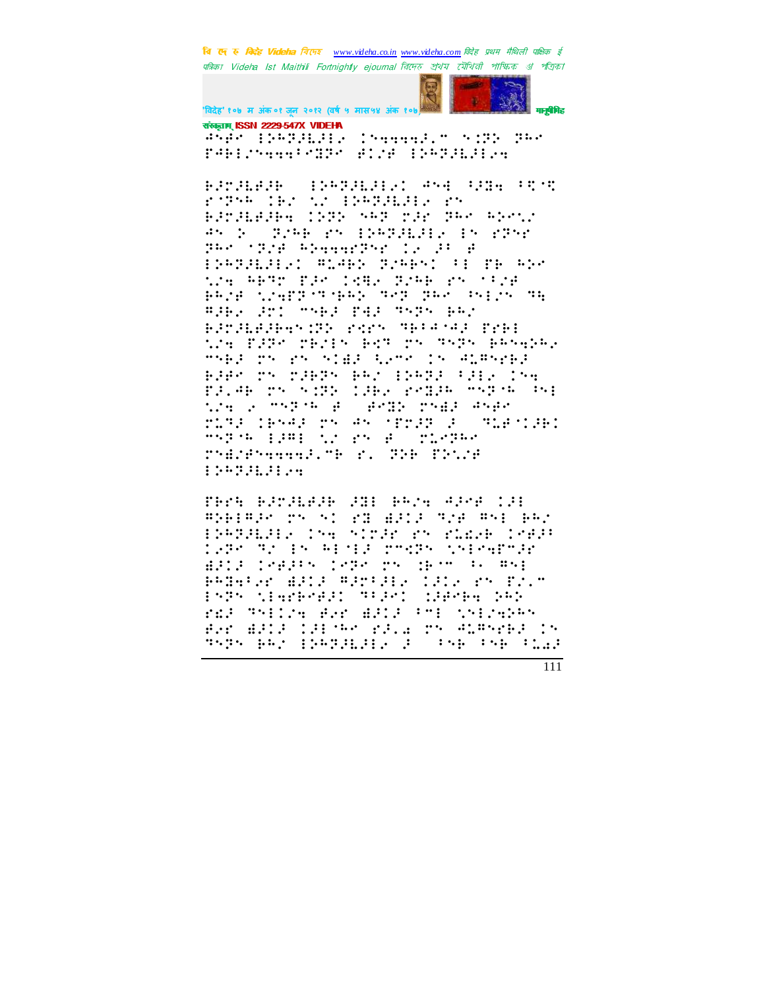**बि एक रु** *बिर्दह Videha विए***नर** www.videha.co.in www.videha.com विदेह प्रथम मैथिली पाक्षिक ई पत्रिका Videha Ist Maithili Fortnightly ejournal রিদেহ প্রথম মৌথিনী পাক্ষিক প্র পত্রিকা



### 'विदेह' १०७ म अंक ०१ जून २०१२ (वर्ष ५ मास५४ अंक १०७) संस्कृतम् ISSN 2229-547X VIDEHA

ANPROIDEDHALL CHAAALLT SIDE DES PARISHARD STAR (POSSESSION)

BJMARA (PREALAIN) AND AZE ASY rope in the freemand re BJMJEJER (1935 SP3 MJR 3P8 PS85) AN DO BRAE PN IDABIAIL IN PRNP PRO 1928 RomanShr (2008)8 **INFORMATION MINER CONFESS AT CONSTRUCT** the ABST PAR CHAR PORK PROTECT BRIE SIGTS TOBRY TET TRE CRIIN TH BHR PT THE PHP PHP PRY BETHERM CB 2425 TELL-BE CODE wa mga shin ka sa sala kaana. THE THURSDAY SILL RETS IN SERVER BARS IN DARK BRO 1952, 1912 (194)<br>FALAR IN NOR (1962 PAIA) SND 6 (191 the 2 mappe as angol pagguanan rige tesse ra sa freez le giantee: 5535 EPR ST PS # 212782 rndrengene.re r. 336 Shirt :: : : : : : : : : . .

Then bleididh dil bhen diff (1) #261#20 prontops alone mode #nicked irrandis (m. mora em elgua (maga<br>1980 an am Aada organ nhagaran BRID TREPS TREE TROCHES POSSES PROFINE BOOK ROBOTER COOK PRINT PSPS SEAPROFIL TOPS (SEPRA PRP rda Prilje dje dala foi vrijeter<br>dje dala lainer raju produgerea lr **Simple Properties** THE BAY INDIALIA A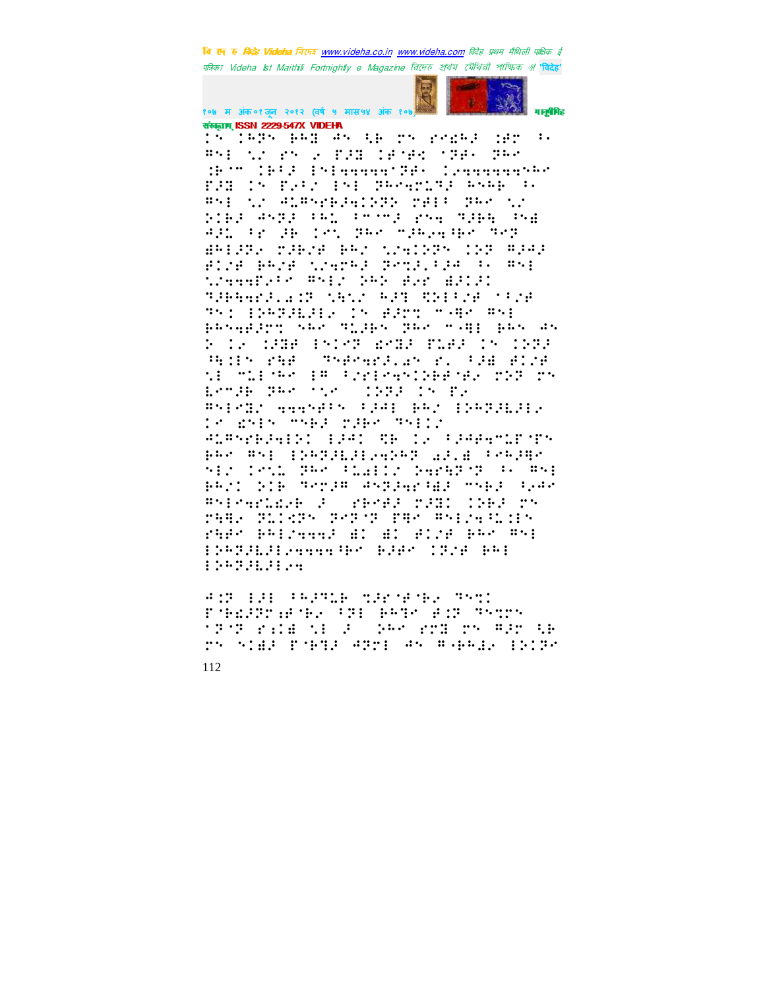बि एक रु क्विहे Videha विएक www.videha.co.in www.videha.com बिदेह प्रथम मैथिली पाक्षिक ई पत्रिका Videha Ist Maithili Fortnightly e Magazine রিদেহ প্রথম মৌথিরী পাক্ষিক প্র' '<mark>विदेह'</mark>

१०७ म अंक०१ जून २०१२ (वर्ष ५ मास५४ अंक १०७) संस्कृतम् ISSN 2229-547X VIDEHA



16 lags pag as the re-regard der  $\cdot$  : . #51 NM PS & BAB CENHA (BE) BRA SPOT SPEP Enforced Tex Concernance F.B. 18 F.H.M. 181 PRESENTA RARE IN BS: 52 WEBSPERIEDED MAIN BRACE bieg ange fab forme ene geek fne APL Profession, BAR Schedule Mod BRIANA MARZA RRZ NZAINNY INN APAR BIZB BRZB SZAMRU BRMU, PUR (P. 85) traggiver #sir the did differ SPRANDLANS NANZ RPD SPEEZA (1924 Thi EPPERDIA In RRT THR RNE Phonestic and Shippa Brooking Practice S 12 MAH 15157 ESHA PLAR 15 ISBA Shirm rhe (Shermanich r. Sid else ti milime im friedraftee av stellar ESTER PROVINCE INFERIOR PR BSPS2 GAASPIS FRAME PAY MORELLER In Entr Shee Side Shill ALASPERENT BRO SE LE PRAPARTNES par ms: :papulliperap alle craper MES IMED PRO PEARING DAMAGON PROPHE BRIT DIE SYSTE ANGEWEID MARK (PAP #SPREDENT F PROFF THIS INFORMA THE TILETY TYTE THY WHITHEITY rafo PRizesel di di fize PRO Ani PROGRAMMENT CONTROLLED PART : 1473131.4

ANT DE PRESE SENSEN TYS PORTER HOLES FREE RATE RIP SPOOR **TRIP PAIR NE PO DAY PPR PROFILE** rs side forth great as whede dides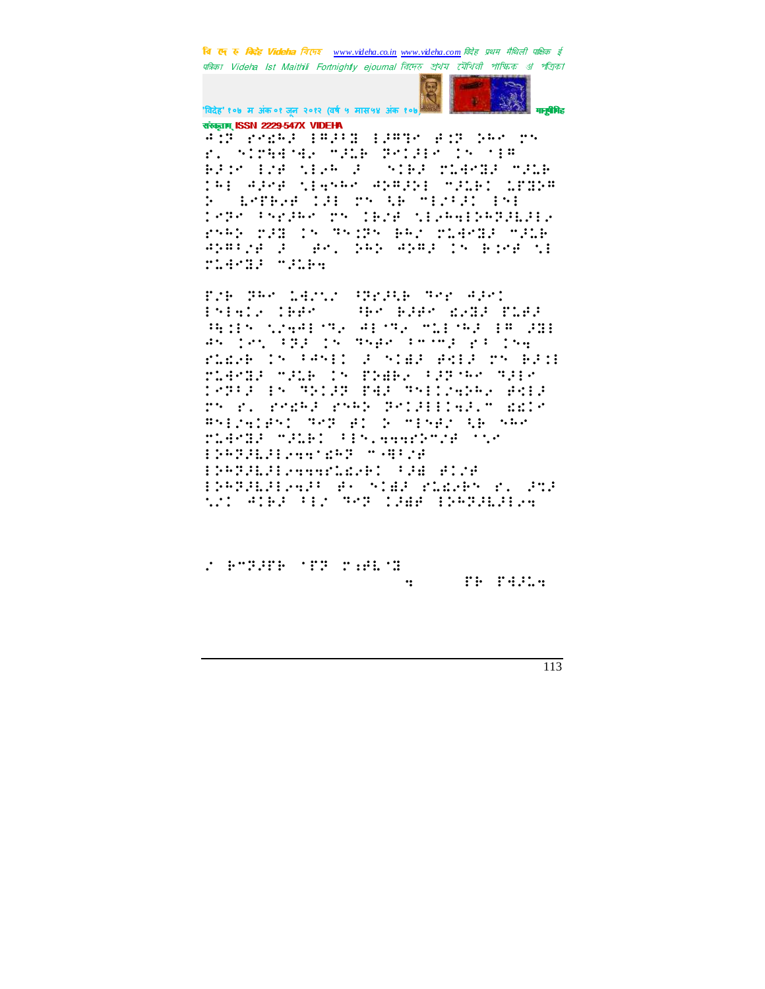चि एक रु *विदेह Videha चिए*न्छ <u>www.videha.co.in www.videha.com</u> विदेह प्रथम मैथिली पाक्षिक ई पत्रिका Videha Ist Maithili Fortnightly ejournal রিদেহ প্রথম মৌথিনী পাক্ষিক গ্র পত্রিক।



# संस्कृतम् ISSN 2229-547X VIDEHA

₫₩ 1,500 ISBN 9-000  $G$ . SIPHEMA MALE POINT (S. 159)  $F$  , see The Section 1990 in the Section 1991 in the Section 1991 in the Section 1991 in the Section 1991 in the Section 1991 in the Section 1991 in the Section 1991 in the Section 1991 in the Section 1991 in the Section ⢳5!⢺⢼⢾!⣁5⣒⢳!⢺⢵⢻⢼⢵5!`⢼⣅⢷!⣅2⣝⢵⢻!  $\ddot{5}$  (100  $\ddot{1}$  )  $\ddot{1}$  (100  $\ddot{1}$  )  $\ddot{1}$  (100  $\ddot{1}$  )  $\ddot{1}$  (100  $\ddot{1}$  )  $\ddot{1}$  (100  $\ddot{1}$  )  $\ddot{1}$  (100  $\ddot{1}$  )  $\ddot{1}$  (100  $\ddot{1}$  )  $\ddot{1}$  (100  $\ddot{1}$  )  $\ddot{1}$  (100  $\ddot{1}$  $1$ 59 - The Constant of Stephen Constants of Stephen Constants of Stephen Constants of Stephen Consta "⢳⢵!⢼⣝!!⢹⣈⢽!⢷⢳4!⣅⣚⣝⢼!`⢼⣅⢷! ⢺⢵⢻C4⢾!⢼(!⢾G!⢵⢳⢵!⢺⢵⢻⢼!!⢷⣈⢾!⣁5! ⣅⣚⣝⢼!`⢼⣅⢷⣒!

226 PAR 244 SEPARA 201 55⣒⢴!⢷⢾!@!⢸⢷!⢷⢼⢾!⣎⢴⣝⢼.2⣅⢾⢼! ⢸⣓⣈5!⣁4⣒⢺5⢹⢴.⢺5⢹⢴!`⣅5⢳⢼!5⢻!⢼⣝5!  $\mathcal{L}$  of the control of the control of the control of the control of the control of the control of the control of the control of the control of the control of the control of the control of the control of the control of "⣅⣎⢴⢷!!C⢺5!⢼!⣞⢼!⢾⣊5⢼!!⢷⢼⣈5! ruevas vien ty reakl'(spielo) viel  $\overline{C}$ COUP OF THE SECOND SECOND SECOND SECOND SECOND SECOND SECOND SECOND SECOND SECOND SECOND SECOND SECOND SECOND SECOND SECOND SECOND SECOND SECOND SECOND SECOND SECOND SECOND SECOND SECOND SECOND SECOND SECOND SECOND " G. PORT PORT OF STRING CONT ⢻54⣒⢾!⢹⢽!⢾!⢵!`5⢾4!⣃⢷!⢳! ⣅⣚⣝⢼!`⢼⣅⢷!C5G⣒⣒⣒"⢵`4⢾!⣁! 5⢵⢳⢽⢼⣇⢼5⢴⣒⣒⣎⢳⢽!`D⣛C4⢾! 5⢵⢳⢽⢼⣇⢼5⢴⣒⣒⣒"⣅⣎⢴⢷!C⢼⣞!⢾4⢾! 5⢵⢳⢽⢼⣇⢼5⢴⣒⢼C!⢾l!⣞⢼!"⣅⣎⢴⢷!"G!⢼⣉⢼! **WEIGHT THE STATE OF STATE OF STATE OF STATE OF STATE OF STATE OF STATE OF STATE OF STATE OF STATE** 

 $2$  +  $\frac{1}{2}$  +  $\frac{1}{2}$  +  $\frac{1}{2}$  +  $\frac{1}{2}$  +  $\frac{1}{2}$  +  $\frac{1}{2}$  +  $\frac{1}{2}$  +  $\frac{1}{2}$  +  $\frac{1}{2}$  +  $\frac{1}{2}$  +  $\frac{1}{2}$  +  $\frac{1}{2}$  +  $\frac{1}{2}$  +  $\frac{1}{2}$  +  $\frac{1}{2}$  +  $\frac{1}{2}$  +  $\frac{1}{2}$  +  $\frac{1}{2}$  + hhbkfoesbAwjefib⣒dpn!2⢷!2⣚⢼⣅⣒!!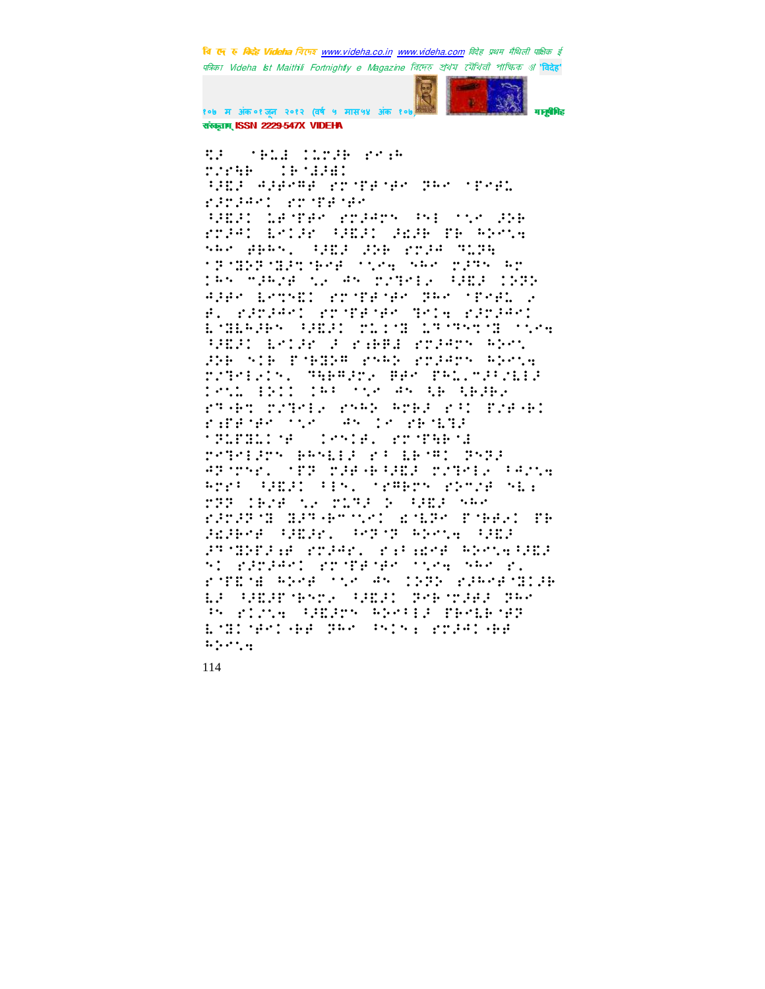बि एक रु क्विहे Videha विएक www.videha.co.in www.videha.com बिदेह प्रथम मैथिली पाक्षिक ई पत्रिका Videha Ist Maithili Fortnightly e Magazine রিদেহ প্রথম মৌথিরী পাক্ষিক প্র' '<mark>विदेह'</mark>



१०७ म अंक०१जून २०१२ (वर्ष ५ मास५४ अंक १ संस्कृतम् ISSN 2229-547X VIDEHA

SP (1914-11599 Prim SHIP APPARE POSTAGES THAN STARL rinaan rrigga SPEPT LEATER POPPORT SALTAN PRE rrag bolar gund and ne evolu **SAR ARAS, MARI CON 2018 MICH SPERFERENCE SAM SEA PRODUCT** TAN MIRSE NS AN WINNER SHEE COOP APPROACHED POSTPORT DAR STRAD & B. PATAWI PTOPEOBN BMIA PATAWI EMBRIS HEAT CLITE COMMON STA BREAK ESTER I RABBE ROBBON ROST SSB SIB P'BBSW 2545 273475 ASC54 rated (SS) SHERING BES PROJECTION TRIL ENIT INFORMATION AND RESERV PROPOSICATION POST PREFICILITY EXECUT parange inter-**ARCHIMETER SPAPELISE (PSIE, PRSPHESE** regendre Baennic ro da emi deglo APARAL YES DIRAFINED DIRACT PARTY ROCK REDUCTION COMPONENTS SEA **THE CENE NA TIME & GARAGEMENT** EPPPER BPF-BS WALL EMPALEMENT TH PERPENDIER POTTFRONT URD PROBREAGE POPAR. PARAGEMENTS PRO NI PROPERT POSTESSE STREETER rolled about the AN 1989 raw-railer LF PREPUBSING PREPUBSING PRO Profilma (GEATH ANGLA PROBORT ESTIMATORE PARTNERS PRAIDER  $1.1.11$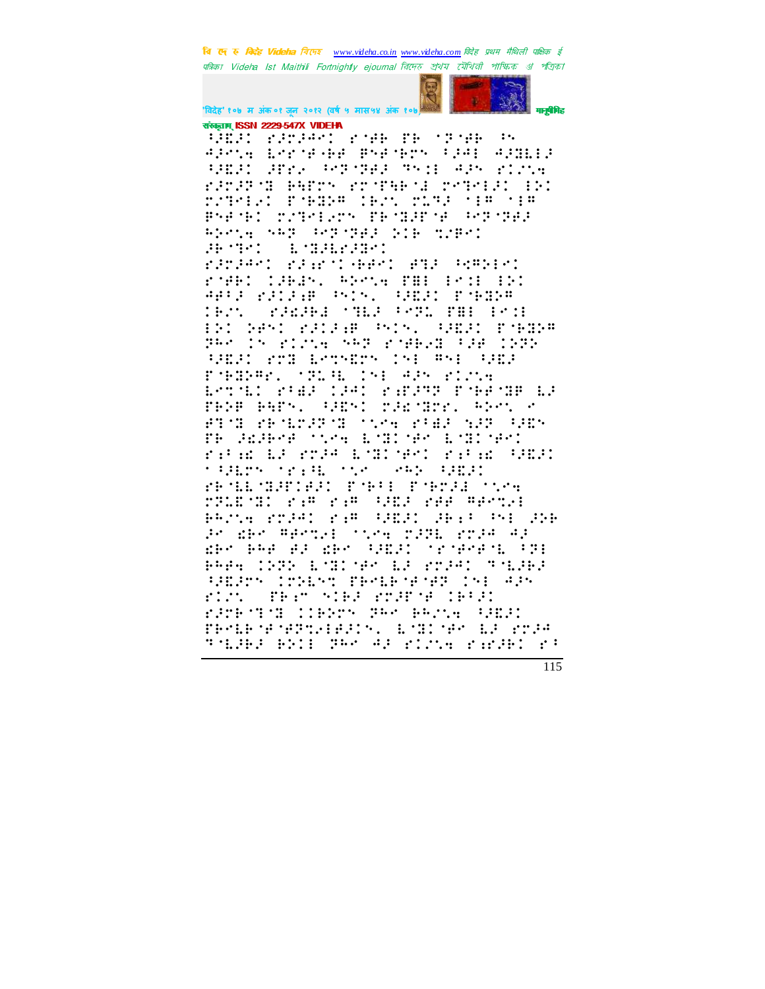बि एक रु *बिरोह Videha चिए*क www.videha.co.in www.videha.com विदेह प्रथम मैथिली पाक्षिक ई पत्रिका Videha Ist Maithili Fortnightly ejournal রিদেহ প্রথম মৌথিনী পাক্ষিক প্র পত্রিকা



### 'विदेह' १०७ म अंक ०१ जून २०१२ (वर्ष ५ मास५४ अंक १०७ संस्कृतम् ISSN 2229-547X VIDEHA

SRRD PROFESSION RESERVED  $\cdots$ Alcha Lerofael Bracker (1941 Aldii) BRIDGER PROGRESS PART ARM RICH FRITTE BATTY STIPHER TETHIS  $\cdots$ rated in Temper (dati ring edge) ( PSP (B) (DITP) 205 (PH (BPP) (P) (PP (PPP) REMOVE SRP PRP THE EIR TIMES! 28, 1981. **ALIMINARY CONTROL** ranaet raar vaeht ena ereigt roBritanis, Grove PH: 1831 (P. APPE PRIPER POST PREPLACEMENT **TEM REGIST THE STATE IS STATE** BO NAME RISH PONT TANK FORD PHOTO PICA NAP POBRETH COPP HARRY FOR RECONSIST THE SPACE REPORT POSSER, MESS INFORMATION Berghi Pada (SA) PATPR PopenBR BR PROF RATS, SORNI MORTIME, ADVI V FTM PRODUCT CONFIDENT CHE FR SESPAR TOAK ETHING ETHINGS ratar al role and new ratar teat **SERIES SEER THE SEE PRESS** FROM THE RESEARCH POSSESSION OF THE RESEARCH PRIESED PAR PAR SANA PAR RASCA PROSE POSAL PAR SANAL SPAR SHE SPR Po den Adnusi (1954 p.PR. 2014 AP aby best spoken (profile spoken (pr PRES 1999 L'OSTER LE POSES P'ESPS SPERS CONSTRUCTIONS CONTROL find The Side from Shift PRESTOR CORREN BAS BASSA SPERI PROBREM METHODS IN STRING ON THE POST TABE BID THA AF SING PECH!  $\cdots$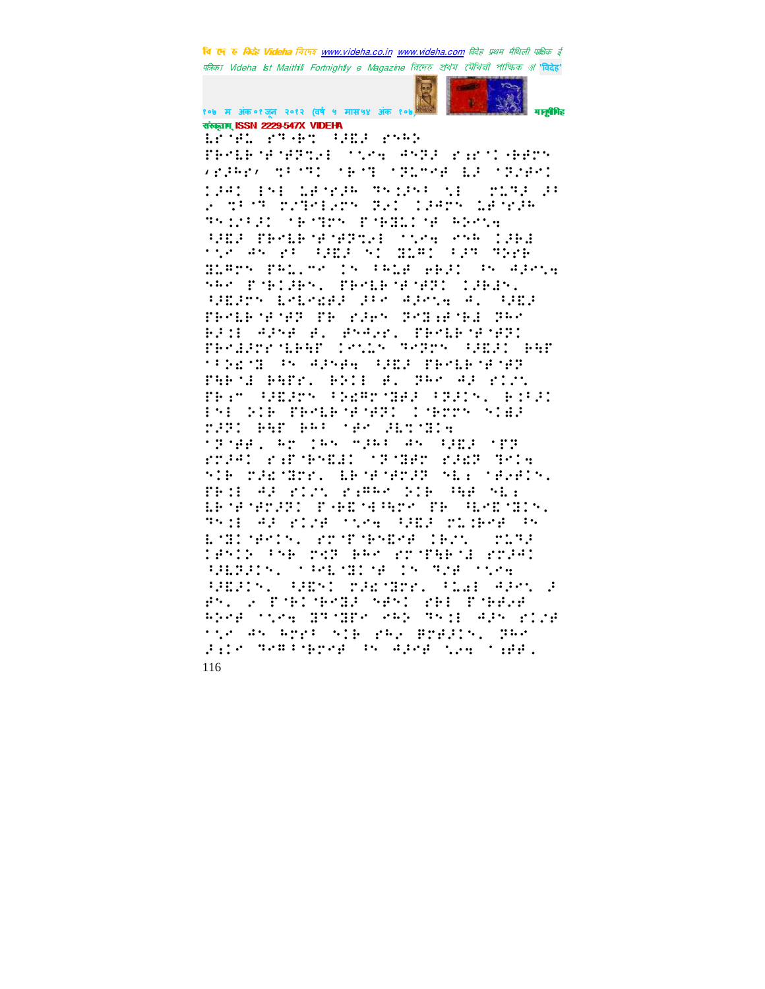बि एक रु क्विहे Videha विएक www.videha.co.in www.videha.com बिदेह प्रथम मैथिली पाक्षिक ई पत्रिका Videha Ist Maithili Fortnightly e Magazine রিদেহ প্রথম মৌথিরী পাক্ষিক প্র' '<mark>विदेह'</mark>



### १०७ म अंक०१जून २०१२ (वर्ष ५ मास५४ अंक १०७) संस्कृतम् ISSN 2229-547X VIDEHA

ESSEL STORY CORPORAT PROLEOGOROSE OSOS ANTE PAPOS GROU *VERRY TROPE OF THE CRIPPE LE CRIEC* TEAT ENE LANGER SPORT OF  $\frac{1}{2}$   $\frac{1}{2}$   $\frac{1}{2}$   $\frac{1}{2}$   $\frac{1}{2}$   $\frac{1}{2}$   $\frac{1}{2}$   $\frac{1}{2}$   $\frac{1}{2}$   $\frac{1}{2}$ 2 METRO MITHELMA (P21) 1998A LEONIA There is the Theory of the Abene SHIP TEMENT MARTIN SYNCHOLOGICAL the Angel Company mind concepts History Palison to Calls Abdi Conceptua SAR PORTHS, PROBRETT THEN. ARROY ESESER PROGRAM 4. ARR TEMENTAR TE 2365 PMB ATES PRO BICE APSA A. ASANY. TESER SESEN FRAMES MARK CANDA PAPEA (MENC PAP **MINESH APARTMENT PROLESSION** PARTE RATE. RDIE B. PRO AF EIZU FRAM GUEDY (SEARTSED (BOIN, ROGO) INE DIE TEMLENENEI LOETTE NIEF 1981 BAR BAR SAN SENSELA<br>1934: An 195 Sense An Sens Sh rhaal beforest op dan band ble SIE MARCHEL BECHONNEN SER CHRECK. TRIP AF SIST SIMMA DIR AND ME: BROWNER WHENHAM TH HENDON This Al Plat the SHEP TEDPE TH  $11.333$ ESTIMATE STATEMENT INC. TANIN PNB 237 BRS STOPHETA STAR REPRING THE MICH IN THE COME HERRY, HERRY TRETHT, PLAN ARMY R PROVE PORT RESEARCH PROPERTY 8288 MY88 BRMBER 882 MY38 825 FISE the An April nie reg Breath, Ber File Seminares in Alex New Sadd.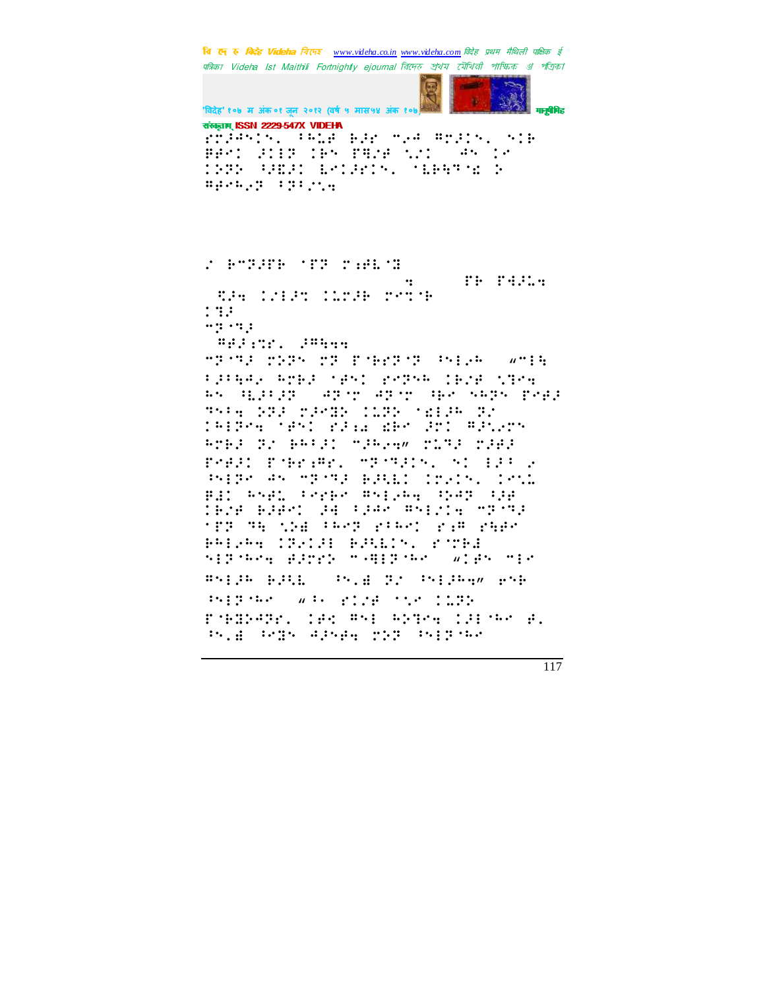वि एक रु मिनेह Videha विएक www.videha.co.in www.videha.com विदेह प्रथम मैथिली पाक्षिक ई पत्रिका Videha Ist Maithili Fortnightly ejournal রিদেত প্রথম মৌথিনী পাক্ষিক প্রা পত্রিকা

'विदेह' १०७ म अंक०१ जून २०१२ (वर्ष ५ मास५४ अंक १०७ मानुबैमिह संस्कृतम् ISSN 2229-547X VIDEHA rranch. Feld bar med #rach. Sib BAS SIR OF FRONTING AND **TANK PRINT BALLAST CONFIDENCE** BERBER (1912) **TH PARLA** STAR ISBN 11838 SPOTE  $113.5$  $0.23 - 0.32$ WHITH, WHAT **MESTA MATH ME PORTINE PHILE (WHE** PJPAG AMBJ SAND PATSA IBNA STAA 85 H.F.F.T. 47 T. 47 T. H.C. 4875 T.E. THE SEE MEMBER 1082 (MILES BY IREPAN YENI KEWA WEN 201 RENEDA RTES IN BRIS MSR.H. MITS MSBS PART PARTNEL MEMBIN, NI BRAIN Began an eperal Bauri Critic Crim BIL RYAL PREP RYEAR (1943-194 TRIA RJAMI JA FJAR ANGIIN MIMIR tra se the cheap plant pip per BRIGHT CONCOR BOULER, STORE siphes albub maggine (wias mis  $\mathbf{B} \cdot \mathbf{B}$  and  $\mathbf{B} \cdot \mathbf{B}$  and  $\mathbf{B} \cdot \mathbf{B}$  $\mathcal{L}(\mathcal{L}, \mathcal{L}, \mathcal{L}, \mathcal{L}) = \mathcal{L}(\mathcal{L}, \mathcal{L}, \mathcal{L}, \mathcal{L}, \mathcal{L}, \mathcal{L}, \mathcal{L})$ PHIRDER SALE FIRE TOP TIPE PORTHURS CHA WAI ANTEN COLORED. ings began adnaly right beggene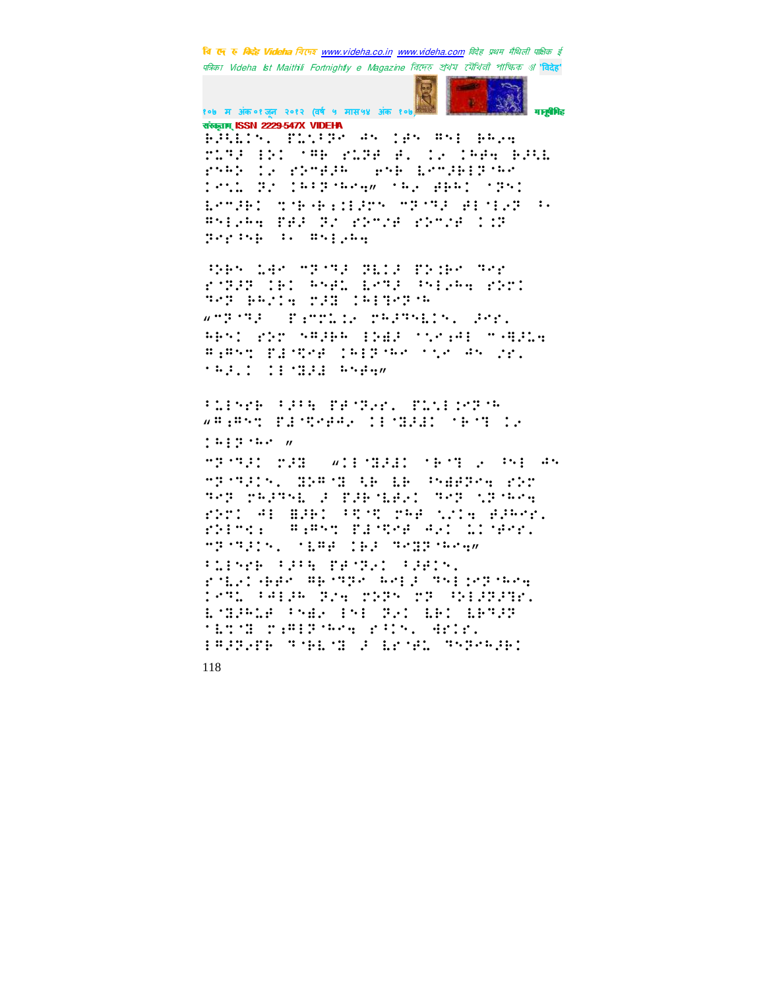बि एक रु क्विहे Videha विरफ्श www.videha.co.in www.videha.com बिरेह प्रथम मैथिली पाक्षिक ई पत्रिका Videha Ist Maithili Fortnightly e Magazine রিদেহ প্রথম মৌথিরী পাক্ষিক প্র' '<mark>विदेह'</mark>



संस्कृतम् ISSN 2229-547X VIDEHA BRG115. PL1PP AS 185 ASE BA24 MURA INI YAF YURE E. IN IREA BASE rner is rrnere whe bookernes Tend Britaingenes, the BBAI this ESTARI TERRIBAT TATAR RETER P #512#4 PAR PS PROSE PROSE LIP person is morphy

Special with the Same Constant roll of which will be a **SAN BRATH MAN THERMAN** WHEN PERMIT AND PREPARTS, SAMI RESI PRO SAGER IREA COMPAINS MARINH BiBST PENDENTHERNA STACK BY MA **TERRIT IN THE BARGE** 

SLENGE SPEARED TANK IN STAR w#i#st PlopeAl StoRal (For 20

## $\frac{1}{2}$  is in the set of  $\frac{1}{2}$

72731 233 **AND STATES OF STREET AND STATES** "PORTS, HPP'H AR 18 PHAPP'S POT nep palnel i placial nep chica FRIDGE BARD FROM THE NAIR BARAN. refres (BiBSt Elfred Art 11 mer.  $\mathcal{F}(\mathcal{F}) = \mathcal{F}(\mathcal{F}) \mathcal{F}(\mathcal{F}) = \mathcal{F}(\mathcal{F}) \mathcal{F}(\mathcal{F}) = \mathcal{F}(\mathcal{F}) \mathcal{F}(\mathcal{F}) \mathcal{F}(\mathcal{F}) \mathcal{F}(\mathcal{F})$ PLENGE PROB BEGRAD PREDNI richter and the same and in the repower 1891 (4126 P.S. 2525 22 (512223). L'APLA PAR PAR AL ARI LESPA tinum ramarkee rath, andr. **INSTALL TORING & RINGS TYPERS**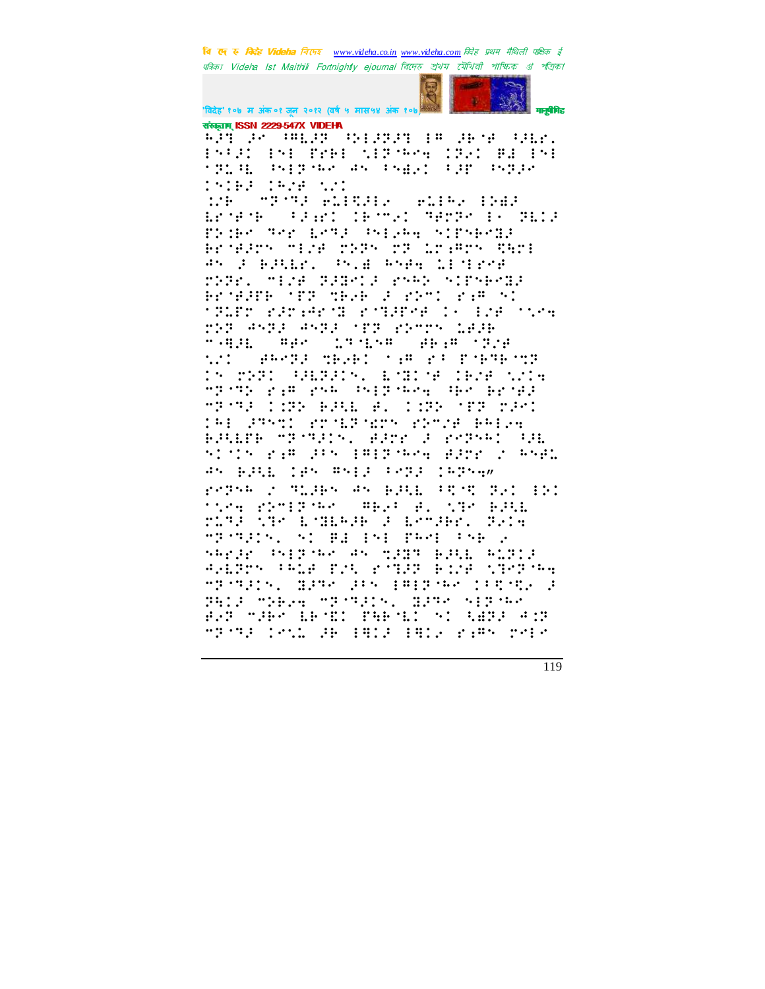वि एक रू विरोह Videha विएक www.videha.co.in www.videha.com विदेह प्रथम मैथिली पाक्षिक ई पत्रिका Videha Ist Maithili Fortnightly ejournal রিদেহ প্রথম মৌথিনী পাক্ষিক প্র পত্রিকা



### 'विदेह' १०७ म अंक०१ जून २०१२ (वर्ष ५ मास५४ अंक १०७ संस्कृतम् ISSN 2229-547X VIDEHA

439 pr ABLAS (21.89.9 18 JETA (1912) 15921 151 Prei Silboman (221 Bl 151 this the state of the complete state **SACRA CROWN WAY** 

**ME TRUE FIREE** a politica india Ended (Franciskov) derre i delle ENGER TRE ERTE INFORM NIENERER Brields Mile 2005 20 Lriens Chri AN F-BREEL PNIE PNAE LEMPAR refr. Mich fame: Peer Sireed Brighth (FF 1828 ) root rim 51 **SPLED RADARYS ROBARON CO BIACOSON** MAR ANGLE ANGLE (MG KAMMA 1828) **THE WAY ITEM WHERE THE**  $\ddots$  : **SAMPLE MELLEY SAMPLE PREMIERS** In 1981 (BASEDN, EMAINE IB28 N214 **MESTA PARTICAL PHETIMAL HAS BESEA** MESTA CORPORATE AL CORPOSTE MANI **IRE STATI POSSESSOR PARTIE PRESH** BREEF TRINK BRY FATHE WAR STORY PARTIES IRIPORTAL BROOK SSAL as plum jas msil (engl japsam Pepsa ji midas ds adal (nom pli 15) ting professor what all the Ball MUSE ANY LONDARY F LONGER. SPIR MESTRING NI BE ENE PROF FNR 2 SARIE PSIERS AS THE BILL BLEEF AVERTY PAGE POS PORPR BINE STRETCH **MESTAL BATA ARS ERECTA LITTLE A** PRIA MIRA MP MAIN. BARK NEPHR EVP THEY LETTE THE LOOST LEFT FIT MESTA LAND AR EALA EALA PARK PALA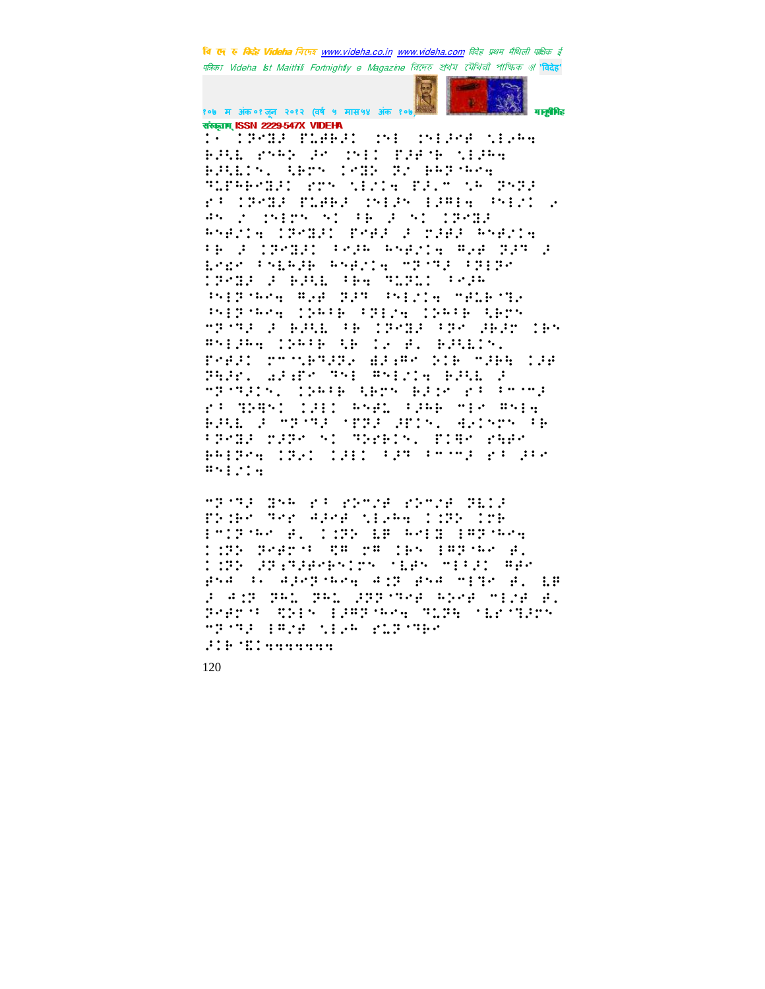बि एक रु क्विहे Videha विएक www.videha.co.in www.videha.com बिदेह प्रथम मैथिली पाक्षिक ई पत्रिका Videha Ist Maithili Fortnightly e Magazine রিদেক প্রথম মৌথিনী পাক্ষিক প্র' 'विदेह'

१०७ म अंक०१ जून २०१२ (वर्ष ५ मास५४ अंक १०७) संस्कृतम् ISSN 2229-547X VIDEHA



16 CPMB PLARAD INE INEAMA NEWHA BREAKING ROOMS THEM SERW RAGINA ARTY ISBN 22 RH27874<br>SUPRESBAL ETY NAJNA PALT NR 2524 ra crema right cyfay fawlg ayfri y ski z indrojni te z ni iredz RNAVIA (SPORT PRAF 2 MIAA RNAVIA PROFILEMENT PREPARATOR ARROGANCE Erar Championnelle Spring (1919) CRYBA A BARB (BH) MIRIC PYA Begrave we gas sende melecte PHIRTHER (19838-32124-19838-5825 MESTA A BAGI PE CAMBA PAN ABAN CEN #51364 12696 RE 12 #. 638115. PARI TEMPRES ARAM SIR SPRA CRE BAR, ARABA BALING BALLA mpongis, ibere ters egin professor ri mani (201 kët fjer një esp.<br>Bjer johenj ndje jeth, alinon fr FRAME MARK AT SPARING FIRE PRAC BRITES (TRAINING) FROM POSSESS PRO  $1144224$ 

MESTA BYA YA YEMMA YEMMA BULA Probe Mer Aleg Slight Lody Cod EMIPARK B. LIPE ER RMED ERPARK Siph pages qu'en jar (Agoupeau). MIR JRIMAGNIUS (1865 MI)JM AAR gsa () apeproeg and gsa mige g. 18 F ANT TAL TAL STIPPER ADAPTEDENT. President Reduction (Particle Particle Particle Particle Particle Particle Particle Particle Particle Particle **MESTA ERSE SEAR PLESTER**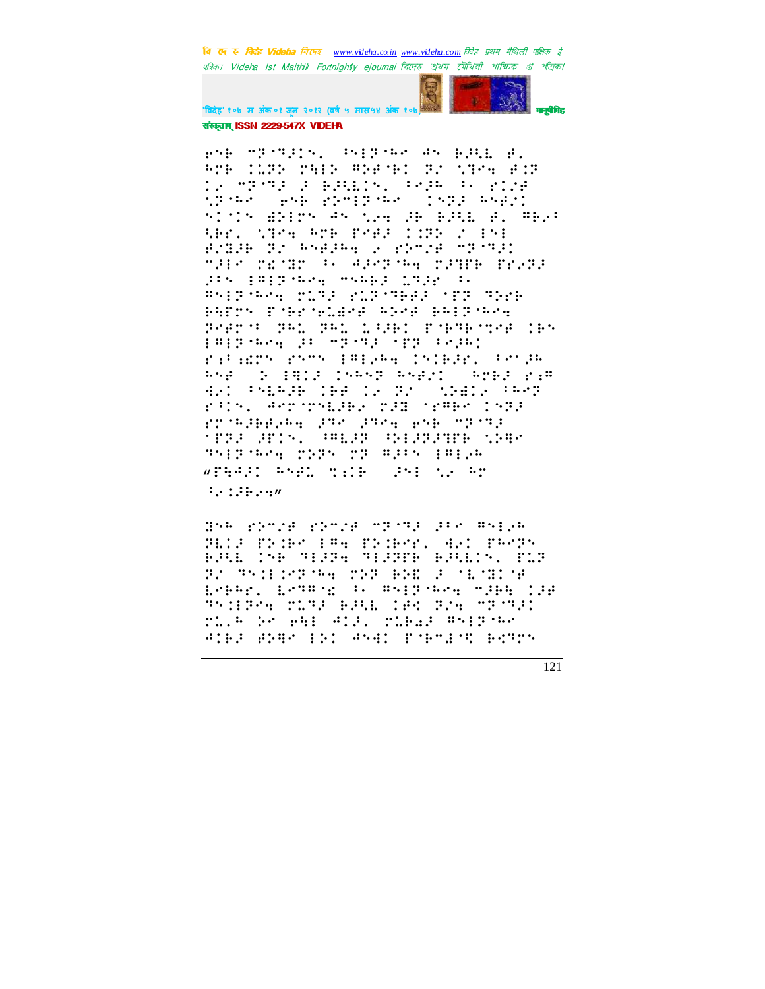वि एक रु मिनेह Videha विएक www.videha.co.in www.videha.com विदेह प्रथम मैथिली पाक्षिक ई पत्रिका Videha Ist Maithili Fortnightly ejournal রিদেহ প্রথম মৌথিনী পাক্ষিক প্র পত্রিকা



'विदेह' १०७ म अंक ०१ जून २०१२ (वर्ष ५ मास५४ अंक १ संस्कृतम् ISSN 2229-547X VIDEHA

and spending compensation did . ara (1295 raio Adena) du Sang esp.<br>19 maio a agusto, fega foi elige SPORT PRESSORSHED STATE RAPIO SINDS ARENS AN NEW JEAPJEL B. PRES Website are held for a stat BOOK 22 RABING & CROSE MESSED male remove to dangerous rather from: jis įmįpakė, mukį įnyį (k BNESTARY TITLE FISHTERS TER TEFF PAPTS Port wider Alse PAIPORS. PART THE THE LIBE PARTNAR IR iniraad in Aran Yr Gar rilms resolution (Siler) (Allan Cond RNA (2018) PRIZ INRNA RNAZI (RMB2 PiR ARI PALARA TER IR TV (MIRIN PAMT rin, Annonkar, nam orar 1932 rrighthere are and every the **MERE SELV. PRESS PRESSISE NARM** Thirtheory 2006 27 Harry 18126 wrain will note the new  $\ddots$  :  $:$  :  $...$ 

Bre prove prove of the engles BLIP ENDER PARTINGER, AND PARTS BREATH MERG MERRE BREEK, FLR BY THIS METH, MAR BAD A MEMBINE Lebar, Lemmor () maintains with 199 ThilPhe TLTP BREE IRE TWE TT TRI ri.h bi eki dil. ribal #sifine ACES ANNY ENC AND CONNECT BROOK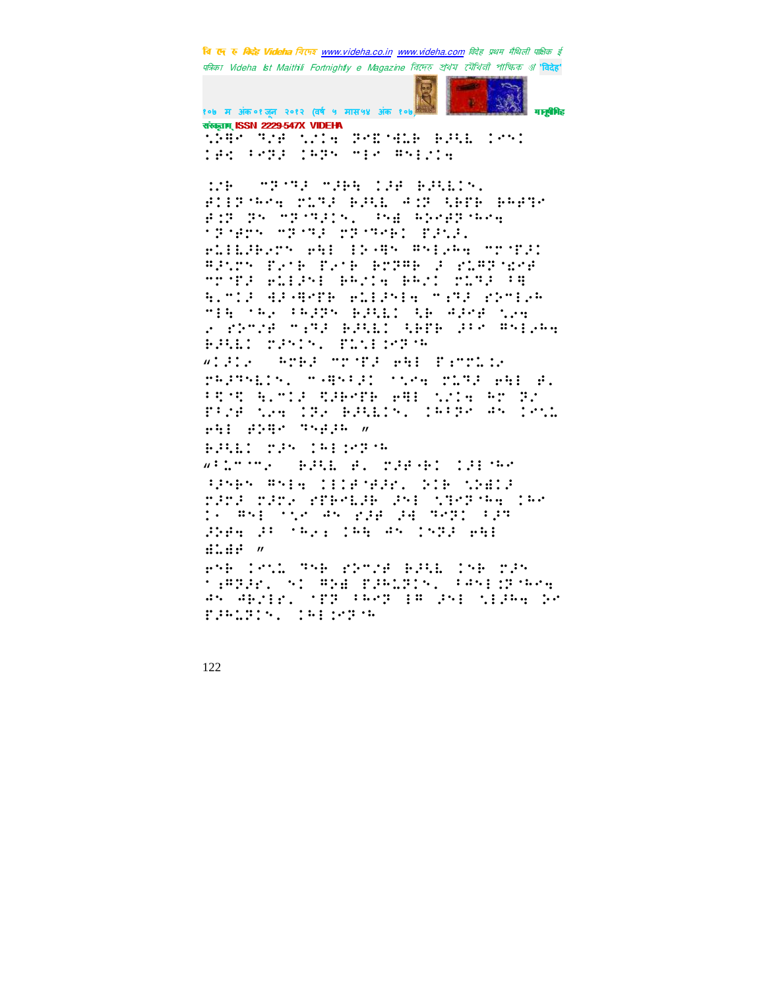बि एक रु क्विहे Videha विरफ्श www.videha.co.in www.videha.com बिरेह प्रथम मैथिली पाक्षिक ई पत्रिका Videha Ist Maithili Fortnightly e Magazine রিদেক প্রথম মৌথিনী পাক্ষিক প্র' 'विदेह'



१०७ म अंक०१जून २०१२ (वर्ष ५ मास५४ अंक १०७ संस्कृतम् ISSN 2229-547X VIDEHA

WHE SAR WIR PENNAR RAL INN ter Peda tede min Reinte

ME TRIP THE IN BREAK FILENCE TILE FOR CONTROLLER BON PROMETEDS, PRESENTATION **121825 72173 2217581 2313.** FILLBATH FAL IS AN ANIAN STYPE RATH THE THE BETRE A PLATING TO TE PLEPE BROOK BROOK CLTES FR B.MIP BESHMIN WEEPSEN MYTE WOMEN? MIN TRA PRIPR BIRLI AB AIMB NAM a chur man bhill Gene ann mhiam. BREE TRING TEMPTH

**Wille And: "TTP ANI PATT!!!** regarding magnegic time riage which, PRODUKTI RAMAR MBU SAlau PRUPA<br>PRAFUSA (1920-PARIS), 19792008 (2011 ell 2290 Thelm w

BREET TRANSPORTE

wiching a bail by napabilia ne SPART ANIW CICA MARK (2018) MARCA rara rare effective and shering che 18 #51 155 #5 228 24 #531 F2# 3584 35 562: 155 45 1573 661  $\ddot{a}$   $\dddot{a}$   $\dddot{a}$   $\dddot{a}$   $\dddot{a}$ PH INI TH STOP BRE INF TP

**SAPPARE SI REALISHERS CONFIDENCY** as aprir, organiser people tiday to FIRMS (THEFT)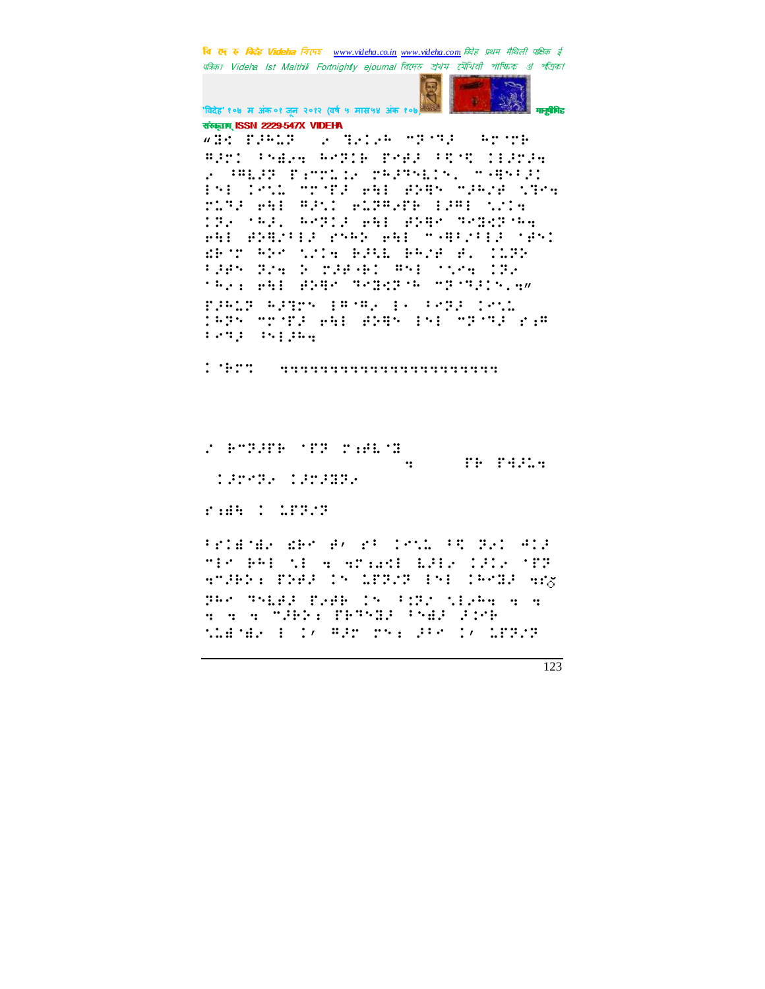चि एक रु *विदेह Videha चिए*न्छ <u>www.videha.co.in www.videha.com</u> विदेह प्रथम मैथिली पाक्षिक ई पत्रिका Videha Ist Maithili Fortnightly ejournal রিদেহ প্রথম মৌথিনী পাক্ষিক গ্র পত্রিক।



# संस्कृतम् ISSN 2229-547X VIDEHA

"⣝⣊!2⢼⢳⣅⢽-!⢴!⣙⢴⢴⢳!`⢽⢹⢼-!⢳⢷! ⢻⢼!C⣞⢴⣒!⢳⢽⢷!2⢾⢼!C⣋⣋!5⢼⢼⣒! ⢴!⢸⢻⣇⢼⢽!2⣐`⣅⣈⢴!⢳⢼⢹⣇G!`D⣛C⢼! 55!⣁⣅!`2⢼!⢶⣓5!⢾⢵⣛!`⢼⢳4⢾!⣁⣙⣒! ⣅⢹⢼!⢶⣓5!⢻⢼⣁!⢶⣅⢽⢻⢴2⢷!5⢼⢻5!⣁4⣒! ⢽⢴!⢳⢼G!⢳⢽⢼!⢶⣓5!⢾⢵⣛!⢹⣝⣊⢽⢳⣒!  $^{\prime\prime}$   $^{\prime\prime}$   $^{\prime\prime}$   $^{\prime\prime}$   $^{\prime\prime}$   $^{\prime\prime}$   $^{\prime\prime}$   $^{\prime\prime}$   $^{\prime\prime}$   $^{\prime\prime}$   $^{\prime\prime}$   $^{\prime\prime}$   $^{\prime\prime}$   $^{\prime\prime}$   $^{\prime\prime}$   $^{\prime\prime}$   $^{\prime\prime}$   $^{\prime\prime}$   $^{\prime\prime}$   $^{\prime\prime}$   $^{\prime\prime}$   $^{\prime\prime}$   $^{\prime\prime}$   $^{\prime\prime}$   $^{\prime\prime$ ⣎⢷!⢳⢵!⣁4⣒!⢷⢼⣃⣇!⢷⢳4⢾!⢾G!⣅⢽⢵! C⢼⢾!⢽4⣒!⢵!⢼⢾D⢷!⢻5!⣁⣒!⢽⢴-! ⢳⢴⣐!⢶⣓5!⢾⢵⣛!⢹⣝⣊⢽⢳!`⢽⢹⢼G⣒" 2⢼⢳⣅⢽!⢳⢼⣙!5⢻⢻⢴!5l!C⢽⢼!⣁⣅!  $1+2<sup>5</sup>$  . The state of  $1+2<sup>5</sup>$  . The state of  $1+2<sup>5</sup>$ Company Company

 $\cdot$ ,  $\cdot$ ,  $\cdot$ ,  $\cdot$ ,  $\cdot$ ,  $\cdot$ ,  $\cdot$ ,  $\cdot$ ,  $\cdot$ ,  $\cdot$ ,  $\cdot$ ,  $\cdot$ ,  $\cdot$ ,  $\cdot$ ,  $\cdot$ ,  $\cdot$ ,  $\cdot$ ,  $\cdot$ ,  $\cdot$ ,  $\cdot$ ,  $\cdot$ ,  $\cdot$ ,  $\cdot$ ,  $\cdot$ ,  $\cdot$ ,  $\cdot$ ,  $\cdot$ ,  $\cdot$ ,  $\cdot$ ,  $\cdot$ ,  $\cdot$ ,  $\cdot$ ,  $\cdot$ ,  $\cdot$ ,  $\cdot$ ,  $\cdot$ ,  $\cdot$ ,

# 4!⢷`⢽⢼2⢷!2⢽!⣐⢾⣇⣝! hhbkfoesbAwjefib⣒dpn!2⢷!2⣚⢼⣅⣒!! !⢼⢽⢴!⢼⢼⣝⢽⢴!!

"⣐⣞⣓!!⣅2⢽4⢽!

C"⣞⣞⢴!⣎⢷!⢾'!"C!⣁⣅!C⣋!⢽⢴!⢺⢼! `5!⢷⢳5!⣁5!⣒!⣒⣐⣔⣊5!⣇⢼5⢴!⢼⢴!2⢽!  $^+$  +"HP: The Sound International Sections of  $^+$  $^{\text{2H}\sigma}$  . The state of the state of the state of the state of the state of the state of the state of the state of the state of the state of the state of the state of the state of the state of the state of the state of ⣒!⣒!⣒!`⢼⢷⢵⣐!2⢷⢹⣝⢼!C⣞⢼!⢼⣈⢷! ⣁⣅⣞⣞⢴!5!'!⢻⢼!⣐!⢼C!'!⣅2⢽4⢽!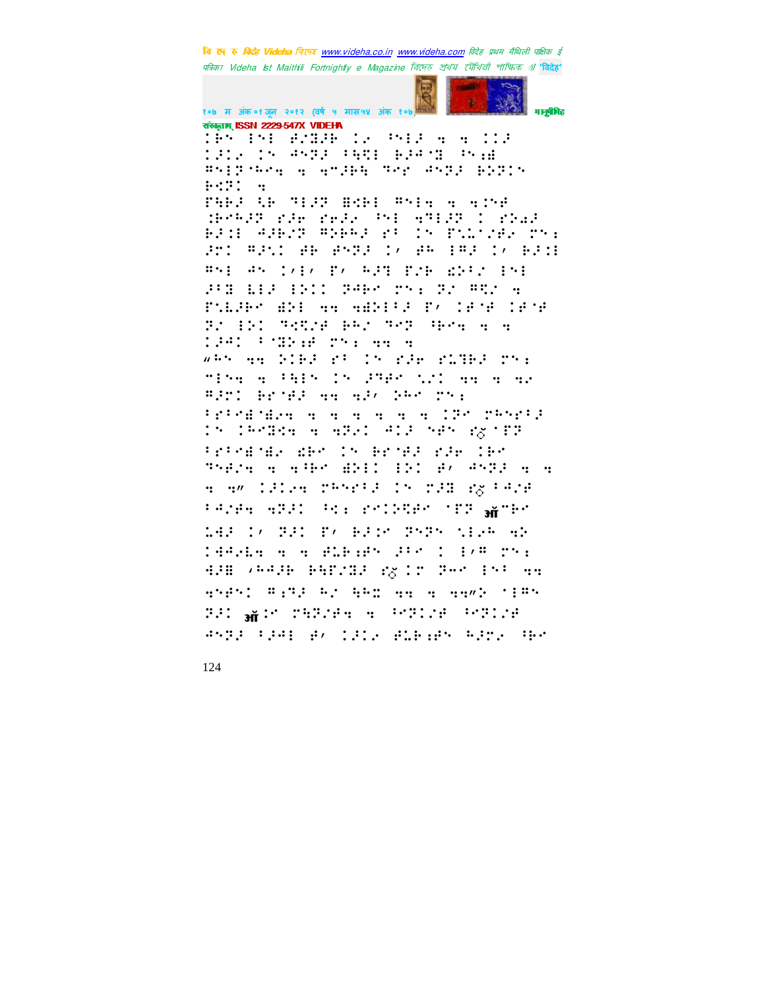बि एक रु क्विहे Videha विरफ्श www.videha.co.in www.videha.com बिरेह प्रथम मैथिली पाक्षिक ई पत्रिका Videha Ist Maithili Fortnightly e Magazine রিদেক প্রথম মৌথিনী পাক্ষিক প্র' 'विदेह'

१०७ म अंक०१जून २०१२ (वर्ष ५ मास५४ अंक १०७ संस्कृतम् ISSN 2229-547X VIDEHA



TEN INE BOORE IS THE A A ILE #5137674 4 47366 772 4533 65315 **FRITT** :

THE SE TIST HARD WYDE A AINE GEORGE PAR PRAY THE ATEAP I PREA BASE APROX ARBAN PROTOCAL CONTRACTOR 351 APVI AR ANGE 17 AR 183 17 B311 #51 #5 1/1/ F/ #23 F/B #237 151 PE MI SET PARK THE BI WEIGH ruge and an added by lege lege Br 191 Senre Bar Sep Saeg 4 4 1941 FMB:P 25: 99 9 who as hims at in adm andms and TEND OF FRENCIN STREETING ON OUR BETT BENEFAS ARE THE TRE Prindides a a a a a a 195 resri In TRABAN A APRIL AIR nen 2018? Pringigh den in erheb rie len There a albe dril inc ex Angl a a Home ISIDE TESTS IS THE MX PROF PAYER ARRI PEL PRIDER TER WTER 193 1, PRI P, BRIG PAPA (194 91) lddybe e a dibady dir 1 b/A rya 428 VARIE BADYNS AVIA DAM 15: 44 andni A.S. A. And aa a aawn timn BRI WIM TABLES S POILE POILE ANDS PSAINTE, ISID ANDARN RAMA ADM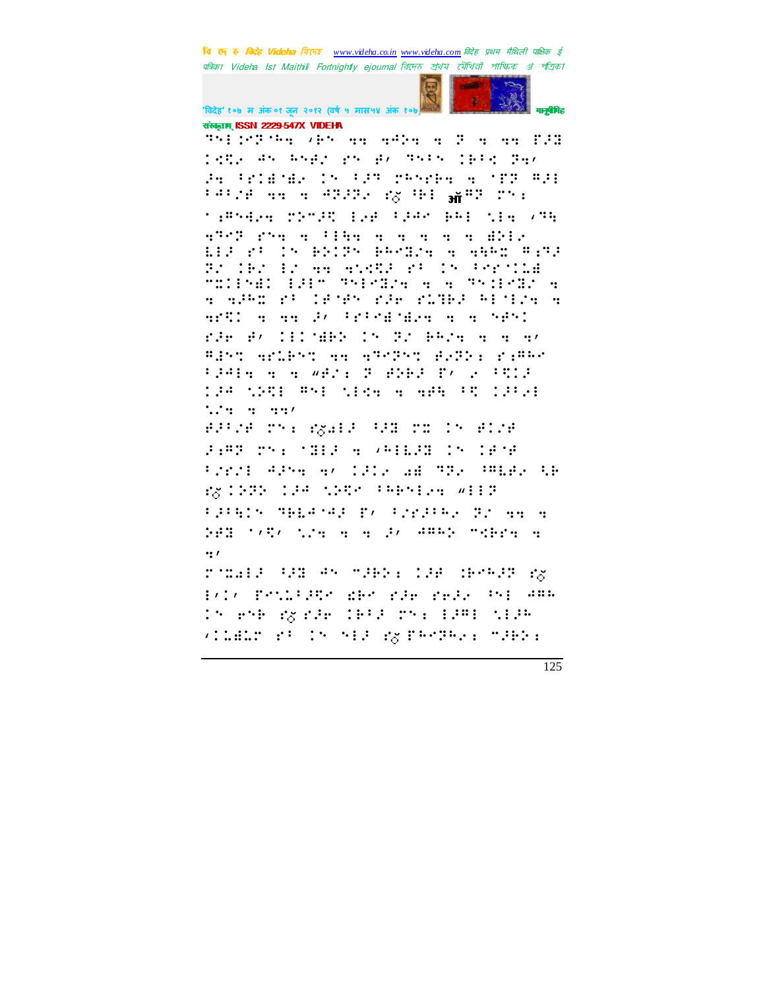वि ए रु क्रिडे Videha विएक www.videha.co.in www.videha.com विदेह प्रथम मैथिली पाक्षिक ई पत्रिका Videha Ist Maithili Fortnightly ejournal রিদেহ প্রথম মৌথিনী পাক্ষিক প্র পত্রিকা



### 'विदेह' १०७ म अंक०१ जून २०१२ (वर्ष ५ मास५४ अंक १ संस्कृतम् ISSN 2229-547X VIDEHA

351102364 (B5 AB A424 A 2 A AA C23 1852 45 5582 85 87 3515 1918 397 Pe Pridide in PP renchs a 182 APE FARIE AN A APPROVING HE WAR TOOL

times and the second contract and the second second second second second second second second second second se and rangeline and a series BIS PROTH BETTY BRAINE A ARRE RITE BY TESTIN AN ANNEL 25 IN SPECIA <u>Montan Bush Astronal a a Astrology</u> a albo st lends sie siche Aldera a arti a an 2, trivelare a a mémi rde ek licher in 22 Prog a a ak #dro erlbro ee e\*r7ro #2722. ri##r fjelg gog weri 2 ener 27 i frir 194 NEWS #51 NEWS 4 APR FR 19F21  $1.74 - 3.337$ 

99529 rh: gal3 998 rd 15 9129 FPP The MODEL A VAILED IN 1878 Fred Advance Calendar Microsoft #8:1930 124 5055 (PRPHIPH WILB PROBLEM THEORY OF PERSONAL CONTROL OF 1911 (2012) Note of of 22 APRIL 201910 of  $\dddot{\mathbf{r}}$ 

romate (23 An office 198 decess by Bull Printler der die dele swimmen In the grade IBCE who 1281 M126 Wilmar Professor Reporters which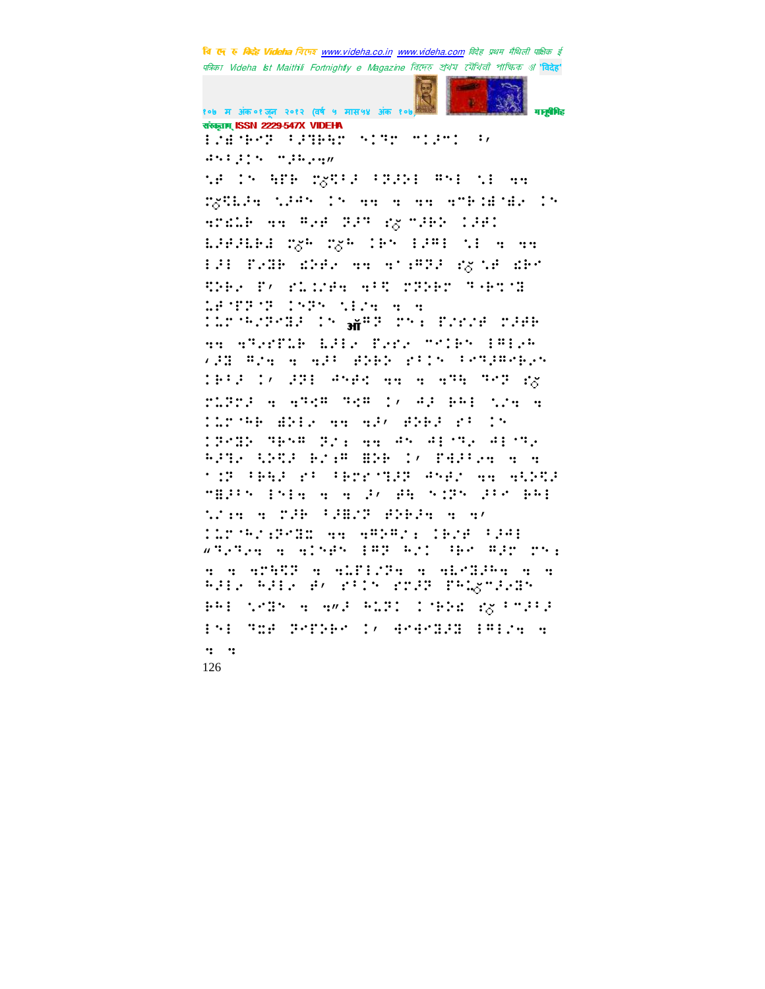बि ए रु क्रिटे Videha विएक www.videha.co.in www.videha.com बिरेह प्रथम मैथिली पाक्षिक ई पत्रिका Videha Ist Maithili Fortnightly e Magazine রিদেক প্রথম মৌথিনী পাক্ষিক প্র' 'विदेह'



संस्कृतम् ISSN 2229-547X VIDEHA  $\begin{minipage}{.4\linewidth} \begin{tabular}{l} \hline \multicolumn{3}{c}{\multicolumn{3}{c}{\multicolumn{3}{c}{\multicolumn{3}{c}{\multicolumn{3}{c}{\multicolumn{3}{c}{\multicolumn{3}{c}{\multicolumn{3}{c}{\multicolumn{3}{c}{\multicolumn{3}{c}{\multicolumn{3}{c}{\multicolumn{3}{c}{\multicolumn{3}{c}{\multicolumn{3}{c}{\multicolumn{3}{c}{\multicolumn{3}{c}{\multicolumn{3}{c}{\multicolumn{3}{c}{\textbf{1}}}}}}}} \end{tabular} \end{minipage} \begin{minipage}{.4\linewidth} \$  $\mathcal{A} \sim \mathcal{I} \left( \mathcal{I} \right) \sim \mathcal{I} \left( \mathcal{I} \right) \sim \mathcal{I} \left( \mathcal{I} \right) \sim \mathcal{I} \left( \mathcal{I} \right)$ ME IN HER MEDIA FRAME WHE ME HH SMELFE NEFR IN HE BOAR ATEMPEDEN encle ee Waa did gymdib 1981 LEBER 28 28 185 1991 MI 4 44 EPE PAGE dies aan an 2922 ggnue den THE TANKING STRIP TERM LENTRIC INTN NEIGH & W TEMPERBEN IN WAR TO E PRESENTABL es elette blir frer scientific **VID Reals and Beech ries for Proprieties** 1853 17 331 4585 44 4 475 753 3% rizra e engo ngo ti da bos tre e TIMME BREAKER AND BREAKER IN premiernich presentation and the RATE RESEARCH BER 17 PAPPER A A tif (PAS in (Print) and an albu MEPPS INFACTOR IN THE NITREIPROPER WH + TH FHM BREAGHT TIM MAGEMENT AR APPROXIMAGE FIRE when you also provided the magnetic. t t thus a third t through the st PRES PRES BY PRINTPORT PROMAGEN PRESSURE AND RUBLE TERRITORY PUBLIC PSP THE TRISPY IS GREATED PRISE A  $\mathbf{u}$   $\mathbf{u}$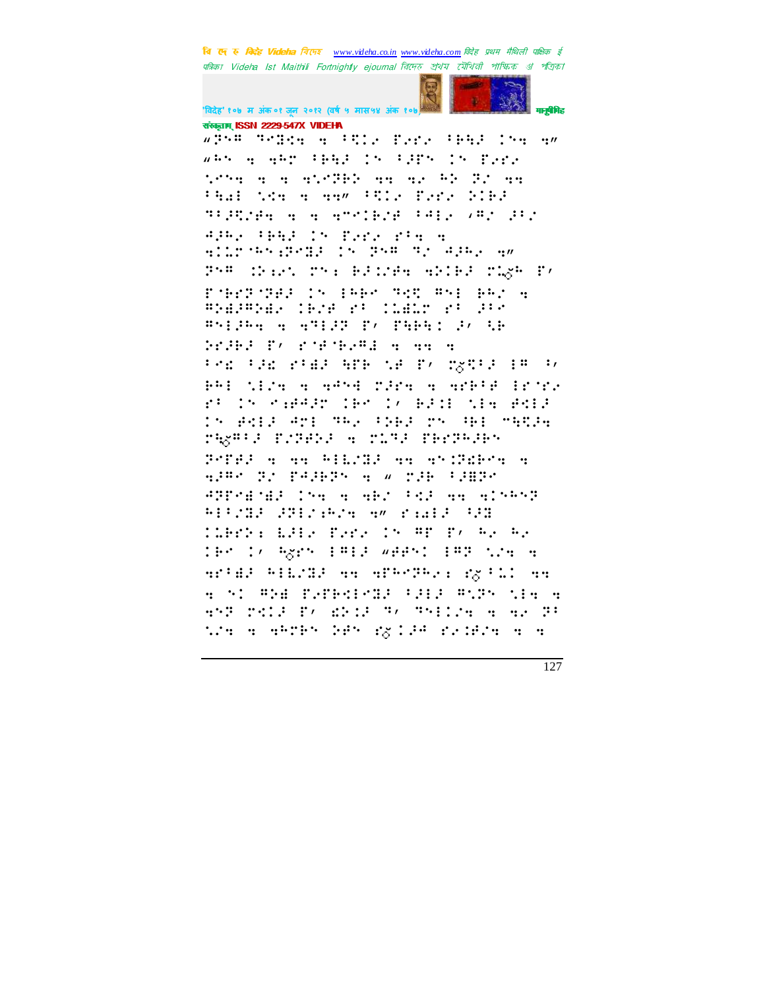वि ए रु क्रिडे Videha विएक www.videha.co.in www.videha.com विदेह प्रथम मैथिली पाक्षिक ई पत्रिका Videha Ist Maithili Fortnightly ejournal রিদেহ প্রথম মৌথিনী পাক্ষিক প্র পত্রিকা

### 'विदेह' १०७ म अंक ०१ जून २०१२ (वर्ष ५ मास५४ अंक १ संस्कृतम् ISSN 2229-547X VIDEHA

मनुबेमिह

wPSA Produce fore fere feel ing am who a and the costing to the control tre a a strikk as an Ab Br as Phal tem a agus Plie Perr 2162 BERNAH A A AMMIRNA FALL VAN SEN Alba (BAI) In Para rin A allroadered in Power Stage and President presenter abien page fa Pobrada in the server be part #5d:#5d> (Br# r+ (1d1r r+ ;+) #5:364 4 47:37 F/ PARE: 3/ CR brand for the home a and a Pro Pao Pao Africa e Pacografia (PC) PRE SEZA A APRA MJEN A AMPIR EMSMA PROTH PAPPER TERMIN BETEMIN BRID in Adda Ard MA. (SA. 2nd Add Mata. rage of freedom a ring ferneen SMINI A AN AILMIN AN ANGGERA A gund Conductor word (200 APPREMENTING A ABY FAS AN AINANP WINCH STEAMS AN PART WH TIRENT LAIR TREP IN AT TV AR AR IES IV Agen 1912 ween: 192 tra a artel Plazer as affective by this as 4 SI WAR PAPPARANG PARA WARS SEE 4 AND MAIL BY WRITE TO THEICA A ALM DE tine a abres des 28.198 richte a a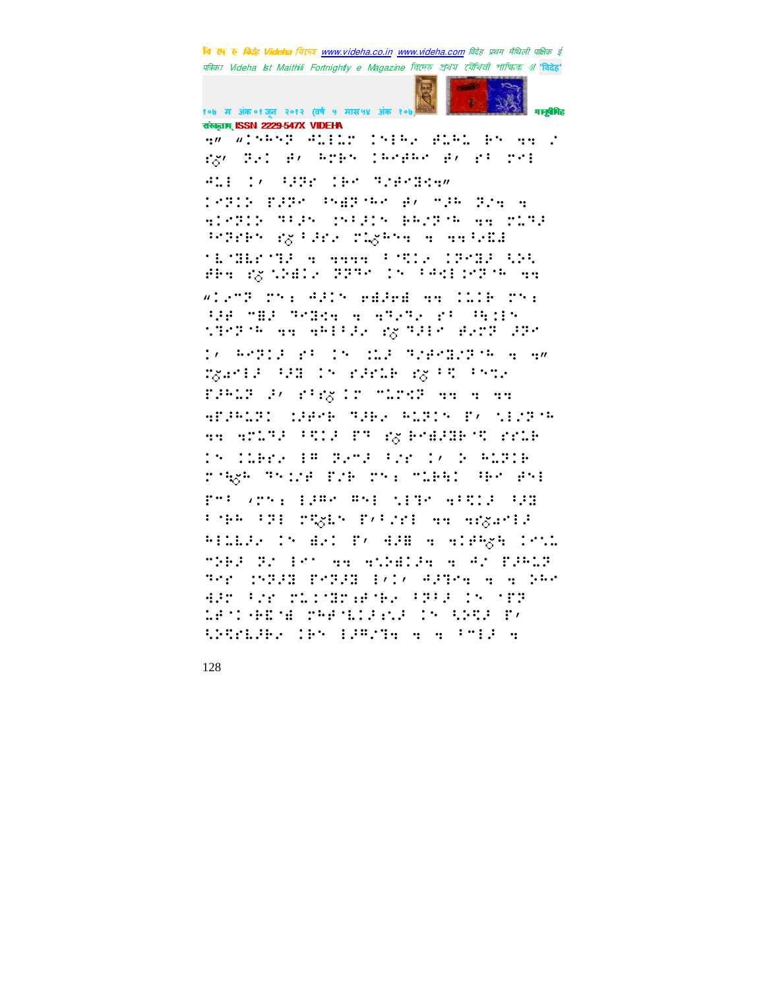बि एक रु क्विहे Videha विरफ्श www.videha.co.in www.videha.com बिरेह प्रथम मैथिली पाक्षिक ई पत्रिका Videha Ist Maithili Fortnightly e Magazine রিদেক প্রথম মৌথিনী পাক্ষিক প্র' 'विदेह'



१०७ म अंक०१जून २०१२ (वर्ष ५ मास५४ अंक १०७ संस्कृतम् ISSN 2229-547X VIDEHA

the within the state in the state of the state of the state of the state of the state of the state of the state of the state of the state of the state of the state of the state of the state of the state of the state of the rg/ Pal By Arbs (AndAn B) rt ref ALE IN APPE IN TENTRICH 18312 PARK SNAPHAN AV MAR STAVA ADVECT TEAM CHEATH BACKER AN CONTA

POTER OSTER CLOSER A AATOEE 'E'HA'TA a assa FTDA 1972 CO. PHO 28 MHILE PPTS IN FRAINT STORAGE

wirth ry: 4315 added as 1118 ry: SAR MER TRING A ATATA PROSENT STATIS AN ARTICLE ON THE SEAT CHA *I, while it in the middleth a am* T&WELF PRESS PARTLE B& PROPERTY FRANCE Postegic minds as a as WERACH MARK TARK ALTIN EX MEZTA HE HOLFS FRIS FT B& BOBSER TO BOLE In Times IR Renaulter IV & Riche righ third from the tide: He dhi Pristing (200 05) the AFRICAN CO POPE FIL PRES PAPIE aa angenis RILLED IN BOI FACHER ACATEMYA ISL maka di ber aa anamila a gu pagda The child Price but, Ading a a thr HAT TIM TILLTERHED TRIP IN TER <u> 1000 - PERSON PRESENTANT EN BANDARY EN </u> CONSIDER OF BUILDING AND PRESS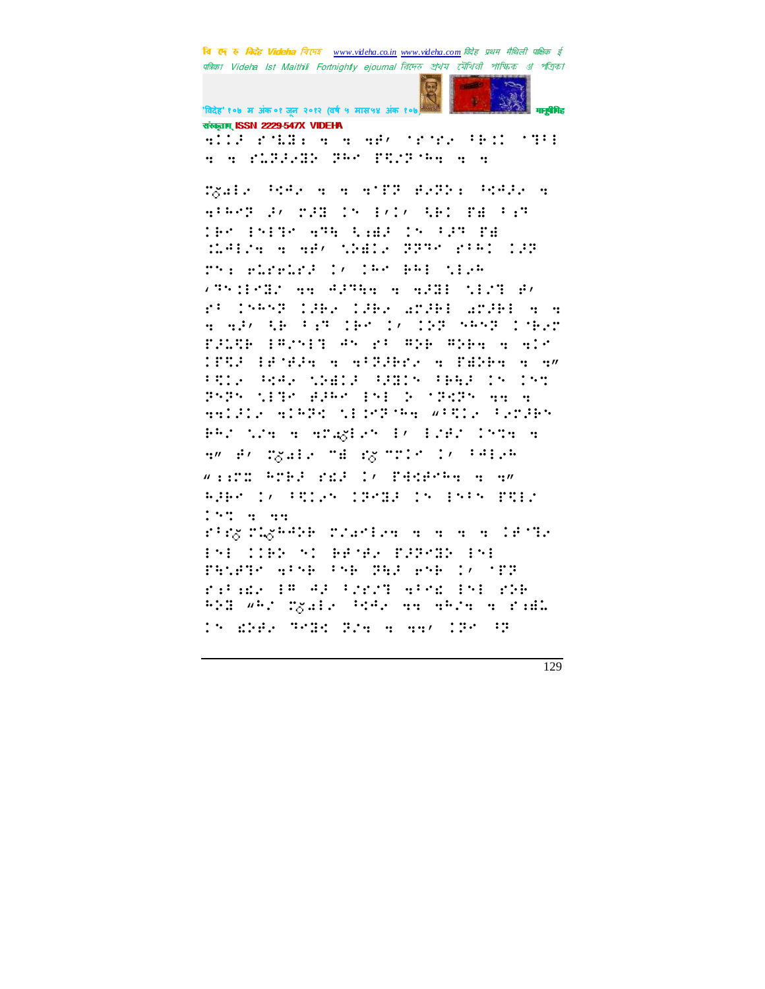वि ए रु क्रिडे Videha विएक www.videha.co.in www.videha.com विदेह प्रथम मैथिली पाक्षिक ई पत्रिका Videha Ist Maithili Fortnightly ejournal রিদেহ প্রথম মৌথিনী পাক্ষিক প্র পত্রিকা



### संस्कृतम् ISSN 2229-547X VIDEHA

HILP POLE: HOME HRV SPORT FRIE STEE a a filling The Till the a a

rgade Gode a a antr Berbi Gode a HIRMB SA MAB IN BAIA ABI PE FIN TER 19198 AND CHEE IN FIN TH different and chair SSTP atter car The element is the BRE time **VANDAD AN APAR A APRE NEST BY** rt 1555 (SB) 186 ander ander 4 g 4 43, 56 F.M. DER 1, 153 SAST 1962 FJLCB (P.51) 45 PF PDB PDBg g gld IFRA 187824 4 4572822 4 FEDRA 4 47 **FRIE RAF CHEEF REEN RARE IN INT** PARK NEWS BRACENE DO SPORT AN A AAISIA AIRPO NEOSPAA WERDA FAMIRY PRO NORTH HOWERS EXTENSIONS TO ne for Towner management is there wiich bred rad 1, Penerbe e es RARK IS PRIEM IBMBA IN 1995 BRID 157 S. S. riggengeene moarten non hom de Te PH CORP AT BEARY COPACY INE Philade Albert Che dall'Ana (77 'Pr rilda (# 43 (nn)1 40m (51 nh) 521 who mysic fore as about a rail In Shee Model Row A Any 196 (P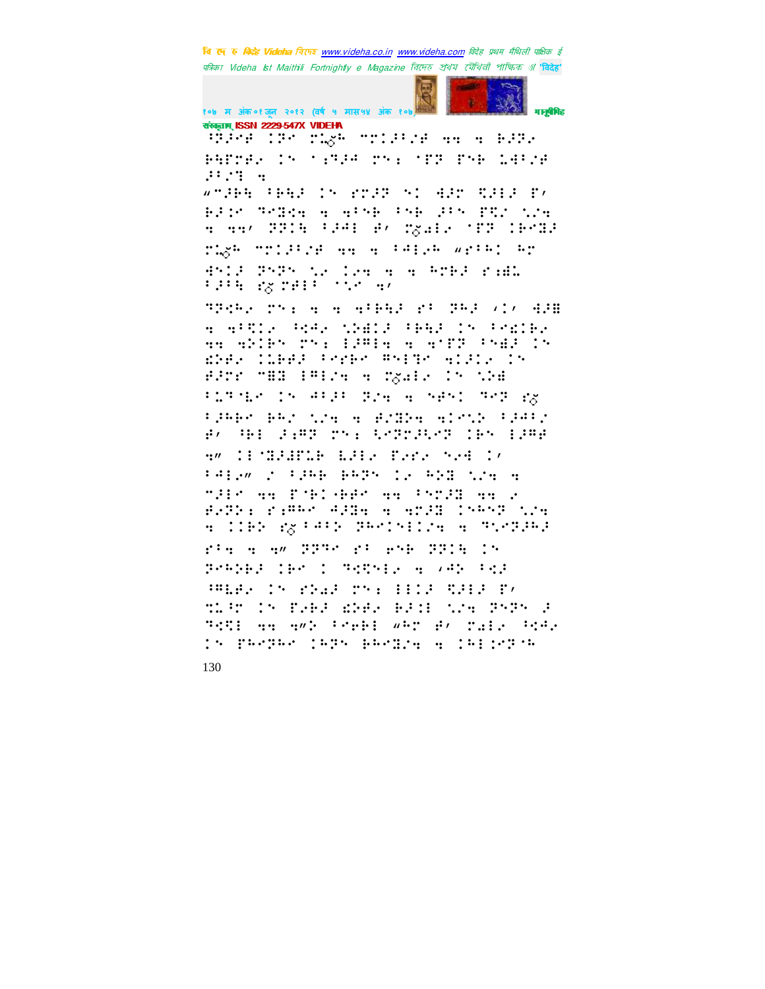बि एक रु क्विहे Videha विरफ्श www.videha.co.in www.videha.com बिरेह प्रथम मैथिली पाक्षिक ई पत्रिका Videha Ist Maithili Fortnightly e Magazine রিদেক প্রথম মৌথিনী পাক্ষিক প্র' 'विदेह'



१०७ म अंक०१जून २०१२ (वर्ष ५ मास५४ अंक १०७) संस्कृतम् ISSN 2229-547X VIDEHA alike the rugbortlead as a Bell PATTER IN TERRA THE TIT THE LARGE  $33.73 - 4$ which that in roll ni dir silf fr Bir Teles a attribute for FEN wh 4 44/ PPIR (241 8/ WALL 'TP IR'SE TAS TRIPINE AN A PAINE WRIGHT AR 4512 PSPS to low a 4 5762 radi PRINT BOOKER CONTROL SPEAK THE BUBLEMENT PAP SIX BRB a anti- nav their new in naise An Addes the EPPIA A Anto they EDER TIBES FRYBR WRITE WISIR IN FRTE TEE PRICE & Tgale In the PLANER IN APPEALMENT NEWS PRESENT PARES BRI NIN A BIZEN ALSNO PAPPI #, HH JAMB THA SPPTSPT IN 1988 the Constant and Constanting Co FAILA 2 FIRE BROS 12 RDB 524 A MAIR AN EMPLANEM AN FRONT AN 2 BATE: PARRY AGOR A AMGO 15857 SIA a CIER ESTATR PRODUCTE a TUSPAR Place aw 2236 Plot Philippin In Bearing the Compress and Carolina **BEACH START THE BILE THE TA** 

tiv Industrial and Basic the PhPhot TOTE as amb free: who en pair form ja parpar japa parpja a japjrpa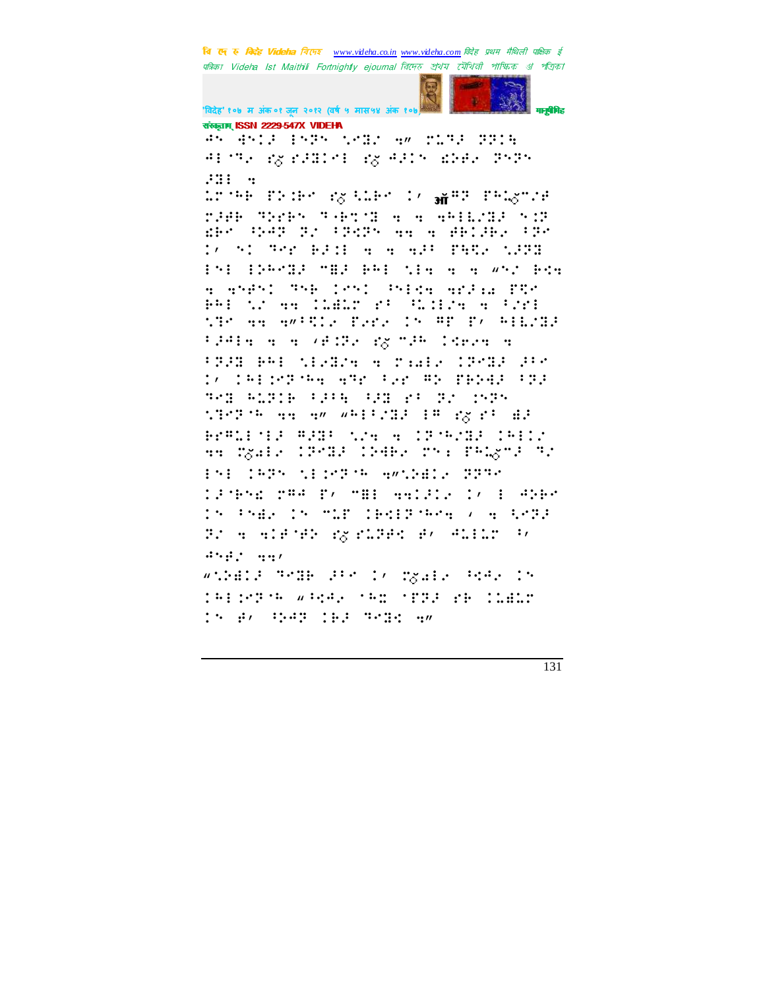वि ए रु क्रिडे Videha विएक www.videha.co.in www.videha.com विदेह प्रथम मैथिली पाक्षिक ई पत्रिका Videha Ist Maithili Fortnightly ejournal রিদেহ প্রথম মৌথিনী পাক্ষিক প্র পত্রিকা



संस्कृतम् ISSN 2229-547X VIDEHA AS ASIA ESPS SPRI AW PLEA PRIA HETRO SYSTEMA SYSTEM SPER PRPR  $333 - 4$ Loomb (Ebiden ag Slben 17) <sub>an</sub> 82 (Emlgrod

rade There Tarrin a a amining the der Ges de Frens aa a Ablibe fre DOM: PAR BESE A A APP PARE NERR Pri Presz sz em hel the e who bee a andni The Leni Phica anlas FTP PRESSA AR CLALM PROGRESS ROBERT the agency fore in Willey William Pleis a a vecho dz mie loboa a FRAM ARE SEVENS A CAWER (POR 200 *t, thingthe end the my payer opi* **THE ALTIM FIRE FIRE PROTHER** STORYBOON ON WHIPPER IR PSOFT HR REGINE WEB 124 A CRYPOOR CRIC aa mgale 1983, 1948, nol Phigh, 72 ESE CRES SERVENS AWSHER JEFF ISTENS THAN EVITHE ANISIS IV ENAPPY In the InstitutedForm ( estep Prove alenebody rubbe spokulich ()  $\begin{array}{cccccc} \mathbf{1} & \mathbf{1} & \mathbf{1} & \mathbf{1} & \mathbf{1} & \mathbf{1} & \mathbf{1} & \mathbf{1} & \mathbf{1} & \mathbf{1} & \mathbf{1} & \mathbf{1} & \mathbf{1} & \mathbf{1} & \mathbf{1} & \mathbf{1} & \mathbf{1} & \mathbf{1} & \mathbf{1} & \mathbf{1} & \mathbf{1} & \mathbf{1} & \mathbf{1} & \mathbf{1} & \mathbf{1} & \mathbf{1} & \mathbf{1} & \mathbf{1} & \mathbf{1} & \mathbf{1} & \math$ wirdle Pode and is gade home in **THEORY WHO SAN STREET INCOME**  $\mathbb{R}^n$   $\mathbb{R}^n$  , and  $\mathbb{R}^n$  and  $\mathbb{R}^n$  are  $\mathbb{R}^n$  and  $\mathbb{R}^n$ 

131

मानवैमित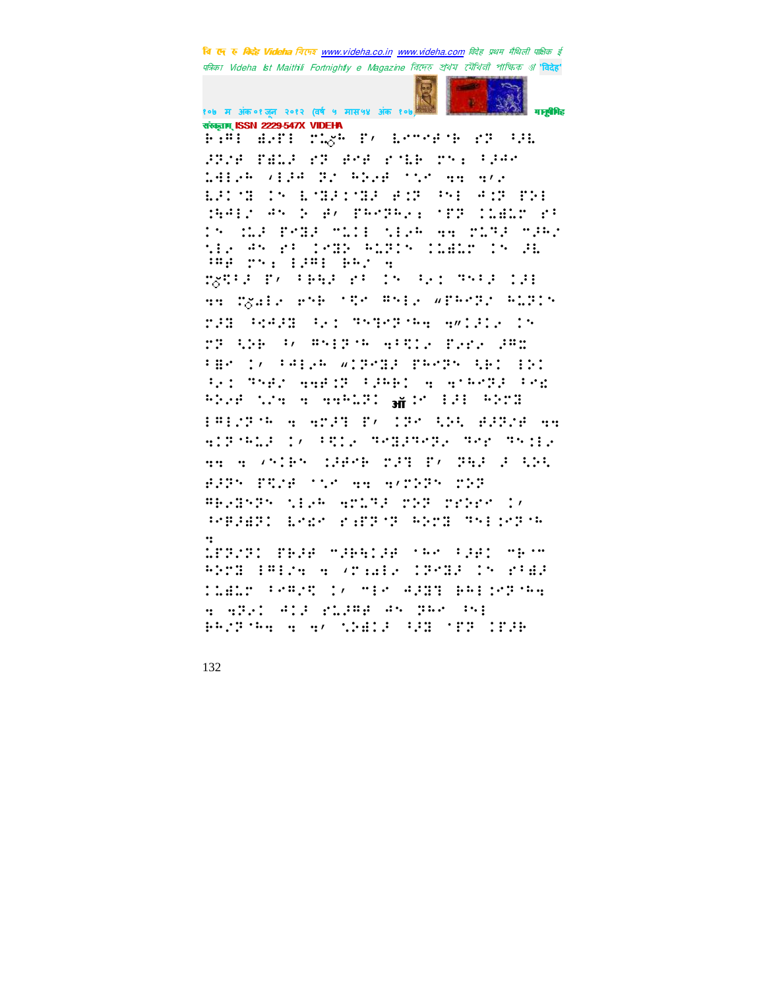बि एक रु क्विहे Videha विरफ्श www.videha.co.in www.videha.com बिरेह प्रथम मैथिली पाक्षिक ई पत्रिका Videha Ist Maithili Fortnightly e Magazine রিদেক প্রথম মৌথিনী পাক্ষিক প্র' 'विदेह'

१०७ म अंक०१जून २०१२ (वर्ष ५ मास५४ अंक १०७ संस्कृतम् ISSN 2229-547X VIDEHA



PARE BATE MIXA TV ESSAM DE MT (PE JOSE PALE 27 AME 2716 273 FIAM 19125 (195 TV 5226 TV 99 972 BOSTO IN BROOKLAND AND AND CO SARES AN DOWN, PROPRISE SPROGRAMMENT In the Profession (196 Am 2172 Sept the Angel (200 A1215 Clair (5 GB **HART : 1281 BAY :** TRUE TO FEED PROTHOUR THEF IS HH TSALE POR TES POLE WERPEN RUBIN THE REAL RESTRICTS WE WILL IN TP 526 F/ #51276 GFT12 F222 PRT FBK 12 FAILA WIPMIN PAMPY RED IDI Service Service Service Service Service Rhef the a aarbili mar fill rhei 181239 A ANSI D/ 130 ANG 23322 AA ADPENDENTAL FRIEUR SPRINGER SPECIES ee e vikt dieth nat folgen is die BUDA PRIS TIM AN AVINDA PRD WESHING NISH ANDRE NER NATAR IS POBJET LOGO FERRY BYDE THEODIA  $\dddot{\bullet}$ LERMED FROM MORRISH (SAM FORD MR)M RETH EARLY STEED IRSE IN PREP TLACK PRESS IN MIR AGGS BAINSTAN

a and six right as participate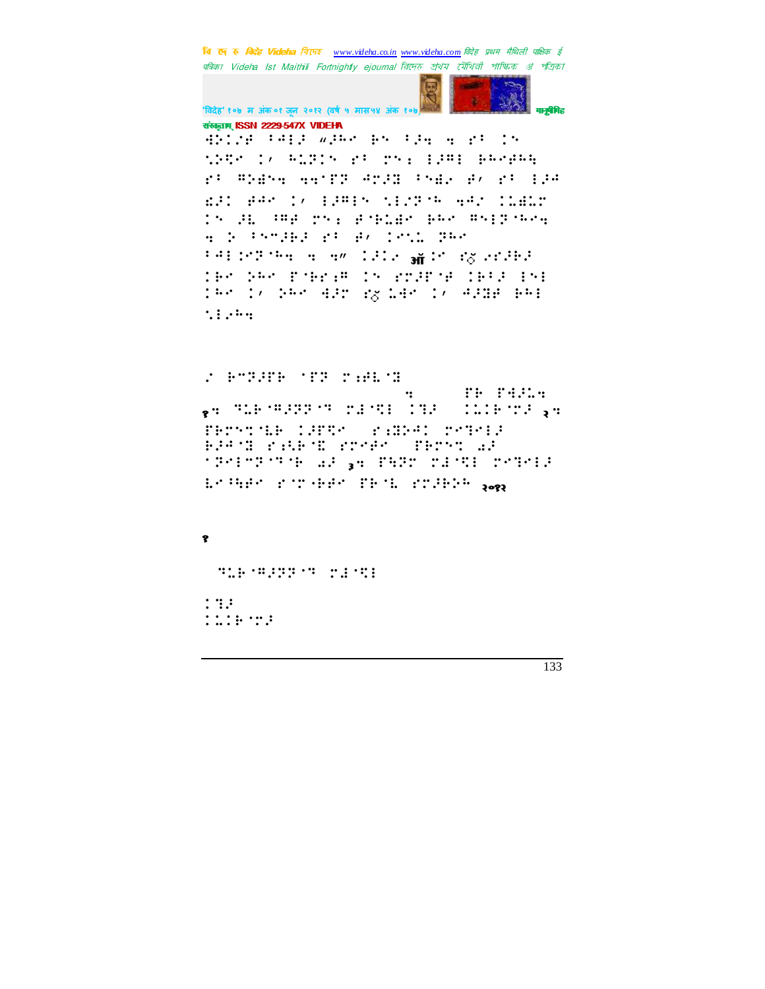चि एक रु *विदेह Videha चिए*न्छ <u>www.videha.co.in www.videha.com</u> विदेह प्रथम मैथिली पाक्षिक ई पत्रिका Videha Ist Maithili Fortnightly ejournal রিদেহ প্রথম মৌথিনী পাক্ষিক গ্র পত্রিক।



⣚⢵4⢾!C⢺5⢼!"⢼⢳!⢷!C⢼⣒!⣒!"C!! ⣁⢵⣋!'!⢳⣅⢽!"C!⣐!5⢼⢻5!⢷⢳⢾⢳⣓! "C!⢻⢵⣞⣒!⣒⣒2⢽!⢺⢼⣝!C⣞⢴!⢾'!"C!5⢼⢺! ⣎⢼!⢾⢺!'!5⢼⢻5!⣁54⢽⢳!⣒⢺4!⣅⣞⣅! !⢼⣇!⢸⢻⢾!⣐!⢾⢷⣅⣞!⢷⢳!⢻5⢽⢳⣒!  $\pm$  2 (200) 2001 2002 2003 2003 2004 CHE COST THE COST OF STREET  $[+1, -2, -2]$  . The set  $[+1, -2, -2]$  is the set of  $[+1, -2, -2]$  $\left(15\sigma/12\right)$   $\left(15\sigma/15\sigma/12\right)$   $\left(15\sigma/15\right)$   $\left(15\sigma/15\right)$ ⣁5⢴⢳⣒!!

4!⢷`⢽⢼2⢷!2⢽!⣐⢾⣇⣝! hhe radius १⣒!⢹⣅⢷⢻⢼⢽⢽⢹!⣜⣋5.⣙⢼.!⣅⢷⢼!२⣒!! 2⢷⣉⣇⢷!⢼2⣋-!"⣐⣝⢵⢺!⣙5⢼! ⢷⢼⢺⣝!"⣐⣃⢷⣏!"⢾0!2⢷⣉!⣔⢼!  $^{\prime}$ 5.000  $^{\prime}$  5.000  $^{\prime}$  3.000  $^{\prime}$  3.000  $^{\prime}$  3.000  $^{\prime}$  3.000  $^{\prime}$  3.000  $^{\prime}$  3.000  $^{\prime}$  3.000  $^{\prime}$  3.000  $^{\prime}$  3.000  $^{\prime}$  3.000  $^{\prime}$  3.000  $^{\prime}$  3.000  $^{\prime}$  3.000  $^{\prime}$  3.000  $^{\prime}$  3.000  $^$ ⣇⢸⣓⢾!"D⢷⢾!2⢷⣇!"⢼⢷⢵⢳!२०१२

!⢹⣅⢷⢻⢼⢽⢽⢹!⣜⣋5!  $\ddot{\phantom{0}}$ ⣅⢷⢼!

१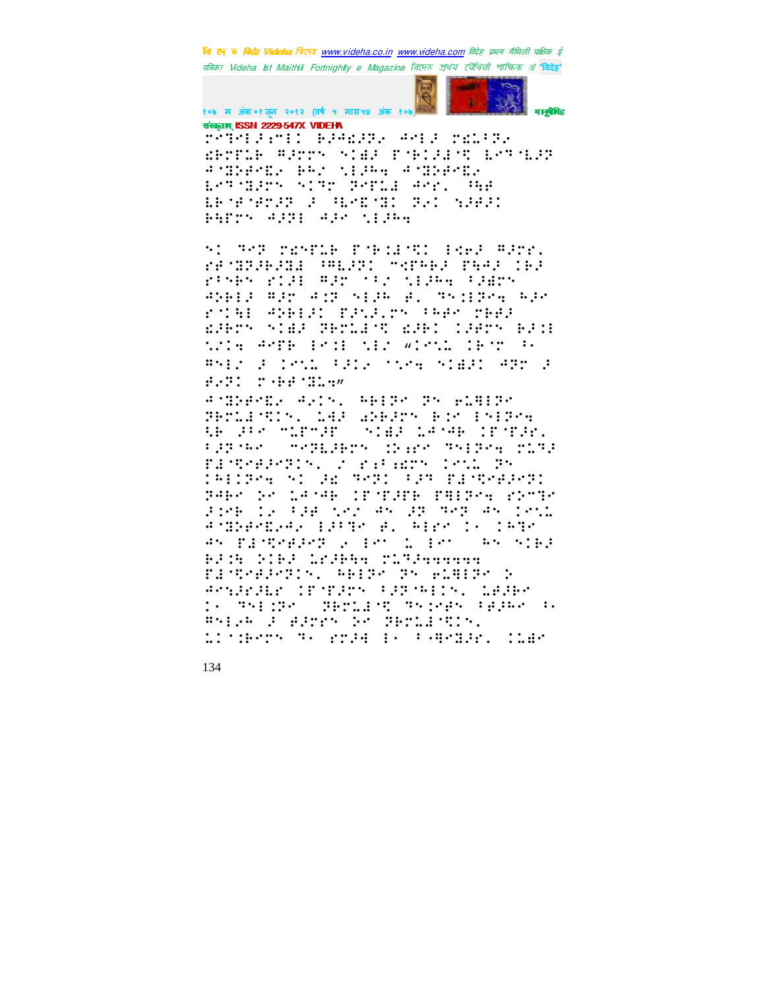बि एक रु क्विहे Videha विएक www.videha.co.in www.videha.com बिदेह प्रथम मैथिली पाक्षिक ई पत्रिका Videha Ist Maithili Fortnightly e Magazine রিদেক প্রথম মৌথিনী পাক্ষিক প্র' 'विदेह'



१०७ में अंक०१ जून २०१२ (वर्ष ५ मास५४ अंक १०७) संस्कृतम् ISSN 2229-547X VIDEHA

reteractive bandary and a relates RRTIR ARTH NIE TYRIET BY RYSER **ANDREW BRY NICH ANDREW** ESTARITY SITE PATLE ASE, THE BRANCH FARTH THISPER **BAPPS APPE APP SEPAR** 

SI TEP TESTIP POBLETT BEE THIT. rendraadd (Alari Hergaa paga 193 rinen rid: Adr (1) midwe (1drn ANNIE ART AND NICH AL SNIEDER ARM roan exend paidles (ees ceed ERRY SIE BROER ERI CHRY BRI trie Arme Erdi tir wirth derm Be Brigan Denn (Fall Snew Riga) Add a **BANK TABBALLAW** 

A SENARA SALA, ARISA SA ALGISA PROLESSING GAR WHERE RIS ENERGY SE PRODUCEDED STAR LANAR IPOPPE. Christ Whiles Bar will have the FACTORING A FROM TOLETY CAILBAN SI JR MAGI FJM PINGAJAGI PARK SK LANAR CENTRER PHIPMA 23576 Free to the server grower as test andbarburu (1959) al Albrilo (1958)<br>An Bantragram u lan (1965) an nobel BICH WILL MIDDE TUTIONS PERSONAL WHERE THE HERPY & Anderson (Popers (1980-118) 1996 19 MARINE SPECIER MAJORA PRINCIP Bright F BRYER No BETLETTY. LISIPSTS TO STEED BOOK HOBER (CLAS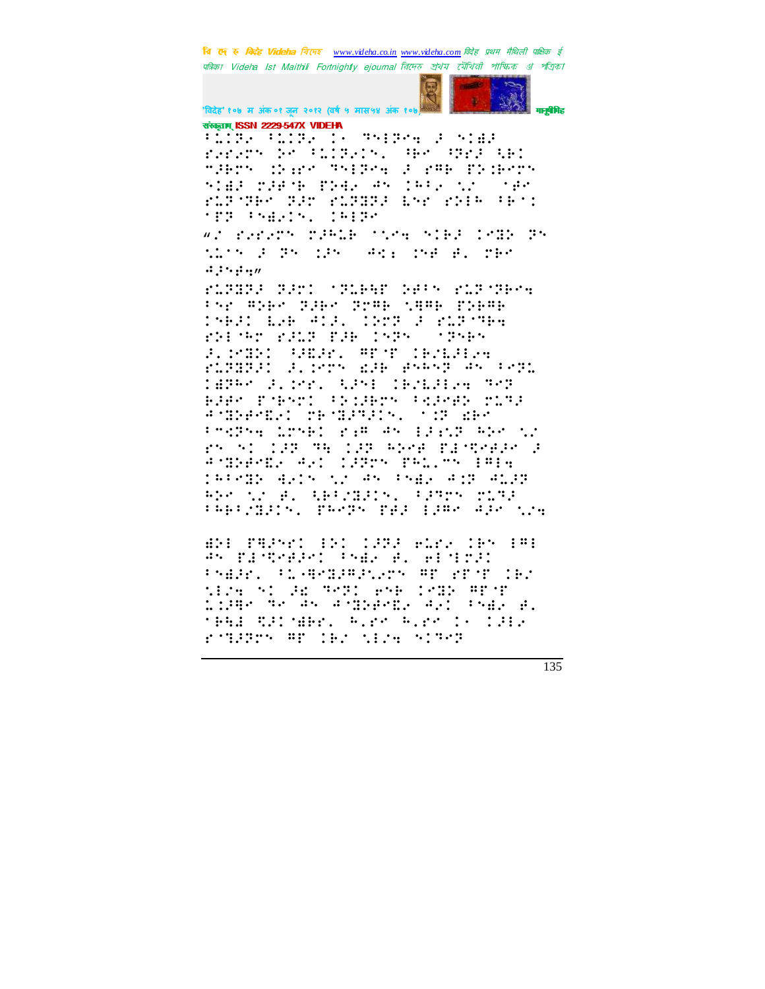वि ए रु क्रिडे Videha विएक www.videha.co.in www.videha.com विदेह प्रथम मैथिली पाक्षिक ई पत्रिका Videha Ist Maithili Fortnightly ejournal রিদেহ প্রথম মৌথিনী পাক্ষিক প্র পত্রিকা



मनुबैमिह

संस्कृतम् ISSN 2229-547X VIDEHA Hija Hija 16 meter 2 mis renew by ELIBRIA, He SBrF ABI "Bro dark Third Park Price STAR TRESH THE AN INFR NO  $\cdot \cdot \cdot$ rifthe from riffer and reading **SPP PSHELL CRIPS** 

wi rarany njumb stem yiel lemb py this P Ps disc Add the P. Ter  $\ldots$   $\ldots$   $\ldots$ 

FLABA ARTI (ALEBE DELS FLAGES) **The Webs Bibs BrWb (MWb PibBWb** 1982) LAR ALA, 1973 A PLAYARA reform range far 1939 (1996) **BEEL SECTIFIERS**  $3.19371$ filmen alber 200 stat at the 1825/ Alist. CANE IBMLH.H. 7/2 BJP PORT OFFIRM ORPHE MICH A drefering de difficile. The abili Profess Longi rim an Eleit abe in ES SI LOR PE LOR POSE PIPORES D **ANDREW AND CARTY PALENT PRIA** 193815 4215 N2 AS 3542 AUR ALPR REPORT B. MELTING PRESS TITE fabiyosin, pakpn pad idak adk nya

BRI PRINKI IDI 1993 ALIK 195 IPI 45 PESPHART PSER B. BESERI PABRIC PLARABARAGAN AP VENT CHO MECHANICAL PARI ESPANYARY PENE 1994 Arlan Alderen art (her e.<br>1994 Salimbro Robe Robe (h. 1912) rigges WE Dec Side STRP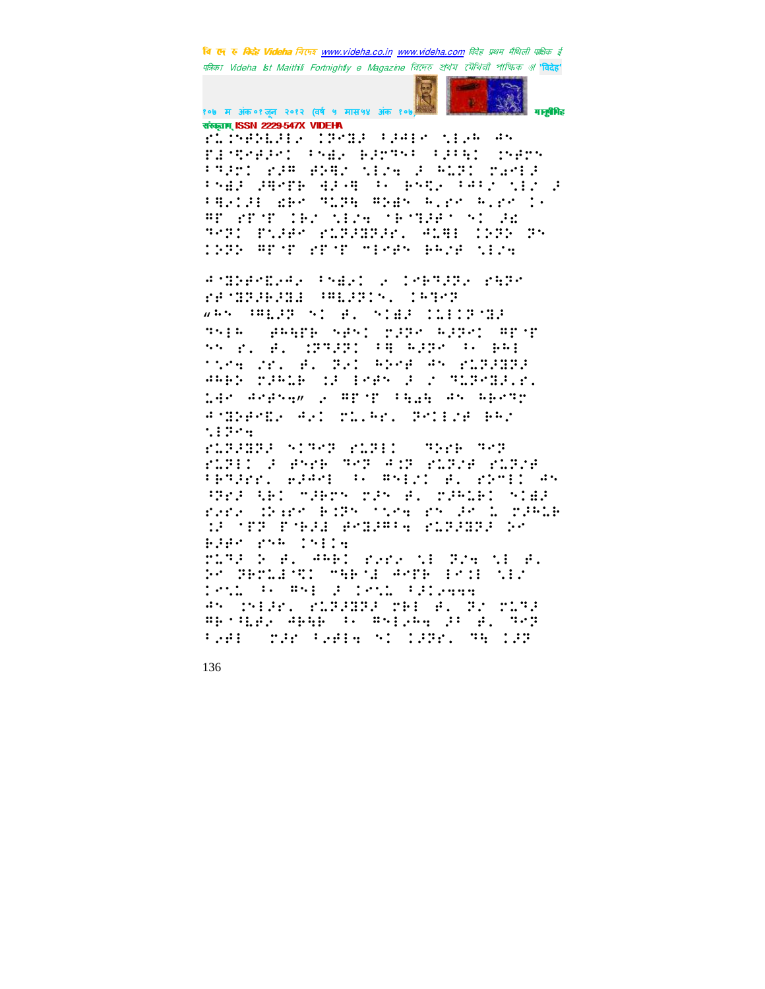बि एक रु क्विहे Videha विरफ्श www.videha.co.in www.videha.com बिरेह प्रथम मैथिली पाक्षिक ई पत्रिका Videha Ist Maithili Fortnightly e Magazine রিদেক প্রথম মৌথিনী পাক্ষিক প্র' 'विदेह'



#### १०७ म अंक०१ जून २०१२ (वर्ष ५ मास५४ अंक १०७) संस्कृतम् ISSN 2229-547X VIDEHA

rîdepara (Beza (Pale Gleb As FINGERS PARK BRYTH FREE THEY FRAME RAR BRAZ NEZA A PLAT MAREA PARE SAMPLE ASSAULTED BARS TATS NIS S FRAIDE WHO PUPE PEWS Right Right I. PE PENE DES NESE MENDEMOND DE sky: Pile Kolonie, Alon Colo Sk ISBN 8878-8878-71898-8828-5129

ANDREWS PART & CEPTER PADE was done to a state the control skie ange sast pape napet mpje 55 F. A. (2332) (8 6326 F. 66) ting an el 201 Abne en Miller ARES MARLE OF PRES A CONTENTATO 148 Angrey 2 April 1414 Archenty ANDREW ART TO REV PRIEM BRO  $\mathbf{1}$  :  $\mathbf{2}$  and  $\mathbf{3}$ 

 $\mathbb{R}^n$  , the set of  $\mathbb{R}^n$ ruggi a angelong ang rugga rugga PETRY, EPAY PO RNESS E. PRTES AN PRIS RECOMPRON DINORD DIRECT SCHIF rana (Dary Billy Sige an An LongHib MACHE PORT PORTH PLEADER NO Bille Pak (Sile

MIRA D'AL ARBI RAPA NE PIN NE A. se mengën tëkulletë ish Sho Poul Poster Portugalement AN INTERVIEWERE THE BUILD TWITE #6311.02 #646 : #51264 : # 0 Pad: The Pad: 51 1996, 76 197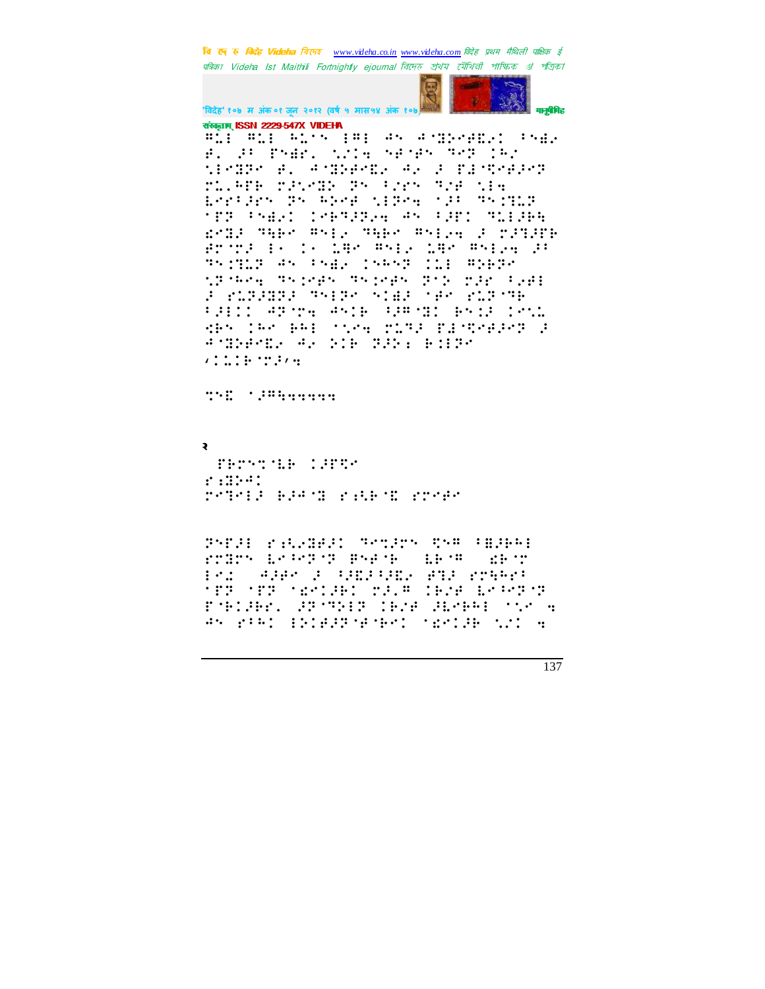वि एक रु मिनेह Videha विएक www.videha.co.in www.videha.com विदेह प्रथम मैथिली पाक्षिक ई पत्रिका Videha Ist Maithili Fortnightly ejournal রিদে<u>ক</u> প্রথম মৌথিরী পাক্ষিক *ঙা* পত্রিকা

'विदेह' १०७ म अंक ०१ जून २०१२ (वर्ष ५ मास५४ अंक १०) संस्कृतम् ISSN 2229-547X VIDEHA



WIE WIE ALTS EWE AS ATORFEELD PSER B. B. Phen. Wie nenen der IBC SPORT AL AMERICAN FINANCE MILFER MAYER AN AVENUEVER Lerian Propertiens (FC) 1980 **TER PROJECT CREATERS AN PERIODICAL** ROBE THEY THEY THEY THEIR I STITUTE Bronk is to 19 men mode 198 modes at WHIP AN PARK TANG IN SPEAR transfer and presentations of the critical set F RINGEN THER STAR SES RINGE FRIDE ARMEN ANDER FRANKE EN DE DELD den 198 eel nied with pictures i ANDREW AR DIE DIDE BIOP  $\sqrt{2}$   $\frac{1}{2}$   $\frac{1}{2}$   $\frac{1}{2}$   $\frac{1}{2}$   $\frac{1}{2}$   $\frac{1}{2}$   $\frac{1}{2}$   $\frac{1}{2}$   $\frac{1}{2}$ 

**TAD 1988-0010** 

 $\mathbf{r}$ 

THOST LE LITTS :: : : : : : : retera based rathed rrepe

PHIL RALARI TELEV TEN CHARGE rodon branco phene (bene (beno Bri (Aler a Garagan Ada Press TER TER TEMIRED WALR IRVE ENFORTE PORTUGAL SPORTS TEMP SEMBAT TO A An elections and ment cancel with a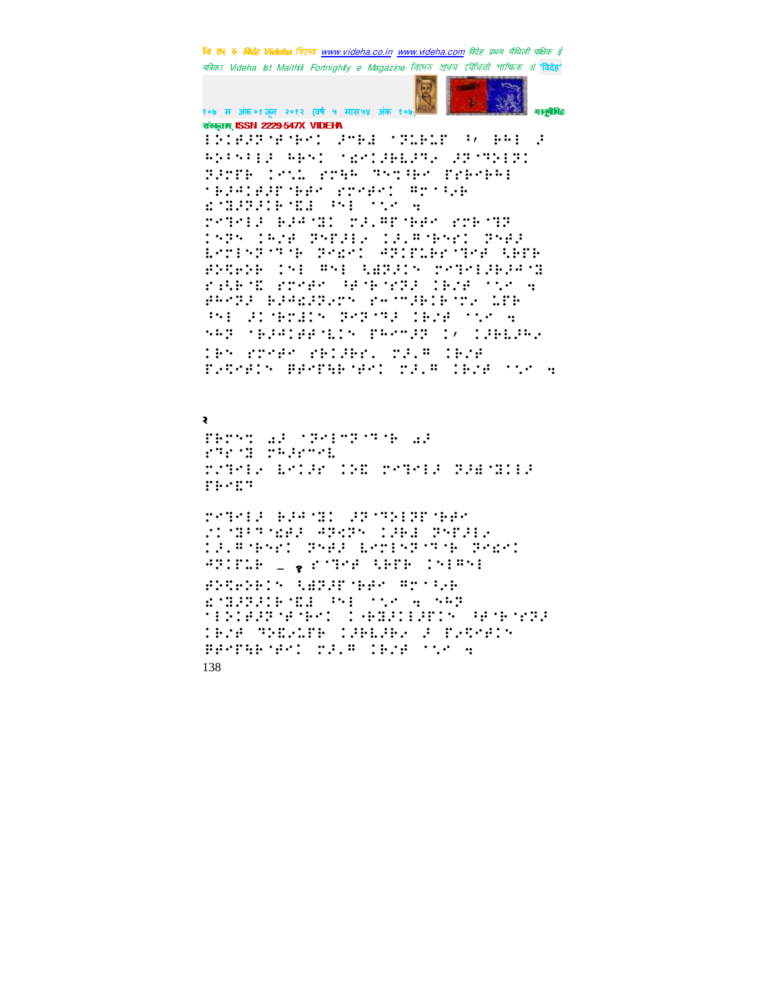बि एक रु क्विहे Videha विरफ्श www.videha.co.in www.videha.com बिरेह प्रथम मैथिली पाक्षिक ई पत्रिका Videha Ist Maithili Fortnightly e Magazine রিদেহ প্রথম মৌথিরী পাক্ষিক প্র' '<mark>विदेह'</mark>



संस्कृतम् ISSN 2229-547X VIDEHA BOGGPMANNI PRE MPDED A BREAK REPORT RESISTANCIBLING IN METRI BRTH ISL FTH TSTHE HERRH! **MEDGED BER PROFIL ARMIE** RUBBELL THE STATE  $\ddot{\phantom{0}}$ redell blacht richtcher erbodt 1595 (Rie SSPEER 13.#7651 SSPE ESTINE THE PARTY APIELER TEM ARTH BRIGGE IN: #NE RABBIN PRIPERBANC ralend roman aphendal (Brasnen A BRATA BARGATANA KASARBIBATA LEB PAL SUMBOLE PARTNE IBOB TOP A SAP SERGERAL'S PASSE (2001) les profo peller. M.B. Ceze FARMATN BAMPAR MANT CALP CROAT TOM A

 $\mathbf{r}$ PROST AF SPRING SPACE FREAM PROPERTY rrank brightin the rrange dightig  $11.111$ 

renera based: arenarrene ringernade agags (dea gspeel IS.P'BYEI JYES EKTEYP'T'E JKEKI APIELE \_ , MITH APPE INFAN

SCONDIN REPRODUCED ROOMS EMISSIONE PHONE ARE **MERCHARD RESOURCES AND SERVICE** TEMP TEDACIE COREOGN O PARMEDY BREEDWAY TRIP INTERVIEW 138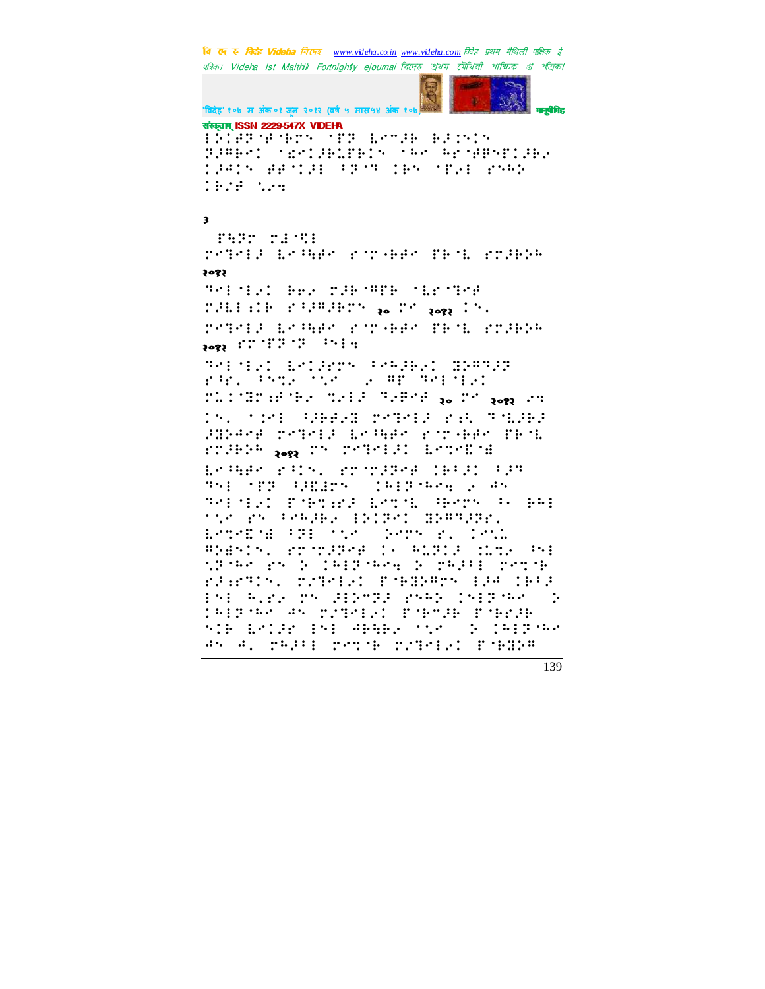चि एक रु *विदेह Videha चिए*न्छ <u>www.videha.co.in www.videha.com</u> विदेह प्रथम मैथिली पाक्षिक ई पत्रिका Videha Ist Maithili Fortnightly ejournal রিদেহ প্রথম মৌথিনী পাক্ষিক গ্র পত্রিক।

'विदेह' १०७ म अंक ०१ जून २०१२ (वर्ष ५ मास५४ अंक १०७) मानुसीर के सामुवीरित संस्कृतम् ISSN 2229-547X VIDEHA 5⢵⢾⢽⢾⢷!2⢽!⣇`⢼⢷!⢷⢼⣈! ⢽⢼⢻⢷!⣎⢼⢷⣅2⢷!⢳!⢳"⢾⢿2⢼⢷⢴! ⢼⢺!⢾⢾⢼5!C⢽⢹!⢷!2⢴5!"⢳⢵!  $14.24$   $1.24$ ३ !2⣓⢽!⣜⣋5!  $5$ 503, 2003, 2004, 2005, 2005, 2005, 2005, 2005, 2006, 2007, 2007, 2007, 2007, 2007, 2007, 2007, 2007, 2007, 200 २०१२ SHIST THE STREET SECTION ⢼⣇5⣐⢷!"⢸⢼⢻⢼⢷!२० !२०१२ G! ⣙5⢼!⣇⢸⣓⢾!"D⢷⢾!2⢷⣇!"⢼⢷⢵⢳! २०१२ मध्य अस्ति । अस्ति । अस्ति । अस्ति । अस्ति । अस्ति । अस्ति । अस्ति । अस्ति । अस्ति । अस्ति । अस्ति । अस्त  $T$  $F$  Group (1999)  $F$  (2)  $F$  (3)  $F$  (3)  $F$  (3)  $F$ SLIPED HETER STREET THEFT 20 DE 2012 PO  $G$  , the General model of  $G$ ⢼⣝⢵⢺⢾!⣙5⢼!⣇⢸⣓⢾!"D⢷⢾!2⢷⣇! "⢼⢷⢵⢳!२०१२ !⣙5⢼!⣇⣉⣏⣞! Lranger (1980)<br>Seiner Stranger (1985–989) ⢹5!2⢽!⢸⢼⣏⣜!!⢳5⢽⢳⣒!⢴!⢺! SALMER SALMER STREET  $^{\prime}$  . The state of the state of the state of the state of the state of the state of the state of the state of the state of the state of the state of the state of the state of the state of the state of the state of the s Levera (FR) the Service Cond ⢻⢵⣞G!"⢼⢽⢾!l!⢳⣅⢽⢼!⣈⣅⣉⢴!⢸5! ⣁⢽⢳!"!⢵!⢳5⢽⢳⣒!⢵!⢳⢼C5!⣉⢷! "⢼⣐"⢹G!4⣙5⢴!2⢷⣝⢵⢻!5⢼⢺!⢷C⢼! 55!⢳G"⢴!!⢼5⢵`⢽⢼!"⢳⢵!5⢽⢳-!⢵!

¦a]palè'aé réfété: farmun randh SIE ESIR IST WEEKS TO THE THIRTH  $\frac{1}{2}$   $\frac{1}{2}$   $\frac{1}{2}$   $\frac{1}{2}$   $\frac{1}{2}$   $\frac{1}{2}$   $\frac{1}{2}$   $\frac{1}{2}$   $\frac{1}{2}$   $\frac{1}{2}$   $\frac{1}{2}$   $\frac{1}{2}$   $\frac{1}{2}$   $\frac{1}{2}$   $\frac{1}{2}$   $\frac{1}{2}$   $\frac{1}{2}$   $\frac{1}{2}$   $\frac{1}{2}$   $\frac{1}{2}$   $\frac{1}{2}$   $\frac{1}{2}$   $\$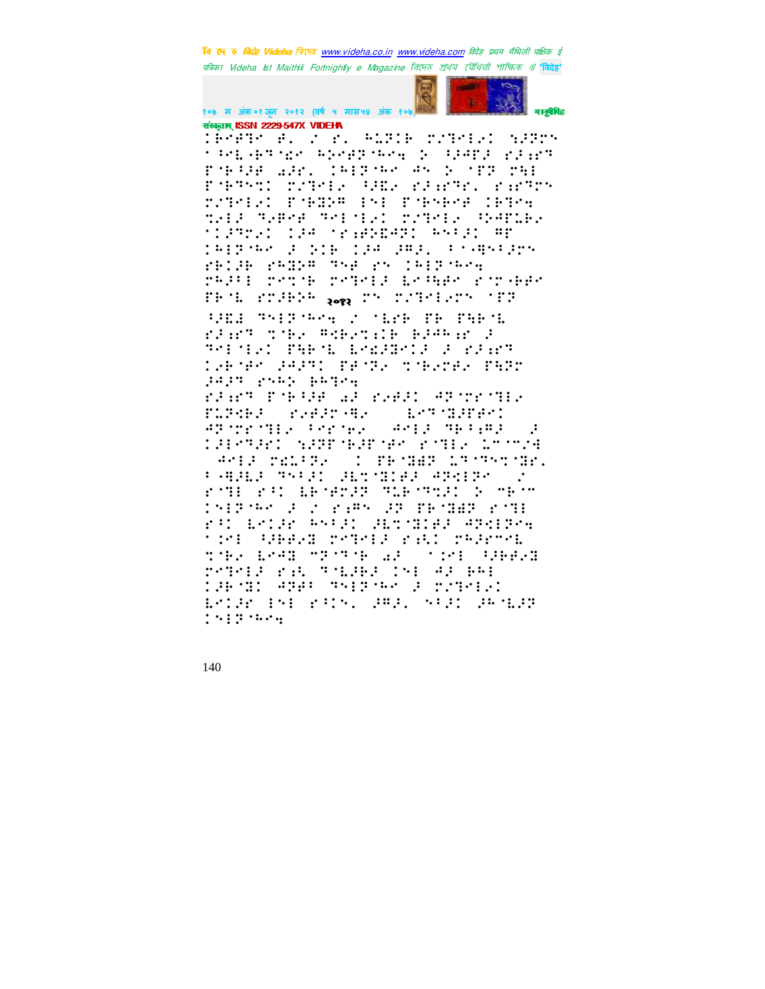बि एक रु क्विहे Videha विरफ्श www.videha.co.in www.videha.com बिरेह प्रथम मैथिली पाक्षिक ई पत्रिका Videha Ist Maithili Fortnightly e Magazine রিদেহ প্রথম মৌথিরী পাক্ষিক প্র' '<mark>विदेह'</mark>

१०७ म अंक०१ जून २०१२ (वर्ष ५ मास५४ अंक १०७) संस्कृतम् ISSN 2229-547X VIDEHA



TRAPTO PLOS EL PLUTE DSTOLEN NAUDO t Pickerich Abnelther (2019) 2019 PORTH WAY, INIPORT AN INCREDIBLY POPTED TATEL SHEETING CONTROL rateled format left foreign drive. tHE SHEET SHIRL TIME SHELL 1913-98 2 518 124 282, Fright2nn relate remain were recommitted. refil reste retell between conduct FROM PUSHER ROBERT UNIVERSITY OFF BEE THERMAN I MESS TE TERME rlut the World Bund of ! THE MEDIUM RESEARCH IN SERVICE takier agant persa rikarea pesp pape gamp pages. raun besam un read grorome FLIGHT SHIP-RA  $\frac{1}{2}$  ,  $\frac{1}{2}$  ,  $\frac{1}{2}$  ,  $\frac{1}{2}$  ,  $\frac{1}{2}$  ,  $\frac{1}{2}$  ,  $\frac{1}{2}$  ,  $\frac{1}{2}$ AP TESTING PRESENT AREA TEPHER **COUNTERY SOUTHOUR PROVIDING AN UNIVER** , engun balgus (), pendag (1979-1928)<br>Gegalu megun uaindade edagun () ril ri Bruz Sbibing ( ) INFRAM FOR BURN PROPERTY BOTH FIL ESTAR WALLS ARMINIAL ANGENA time (Beeks proves rationalent) the ESS of the art contracts PATALE PART TALLER INE AR BAI iski ask system britisk ESTAR ENE RATN, JAA, NAAR JANEAR  $1.512.239$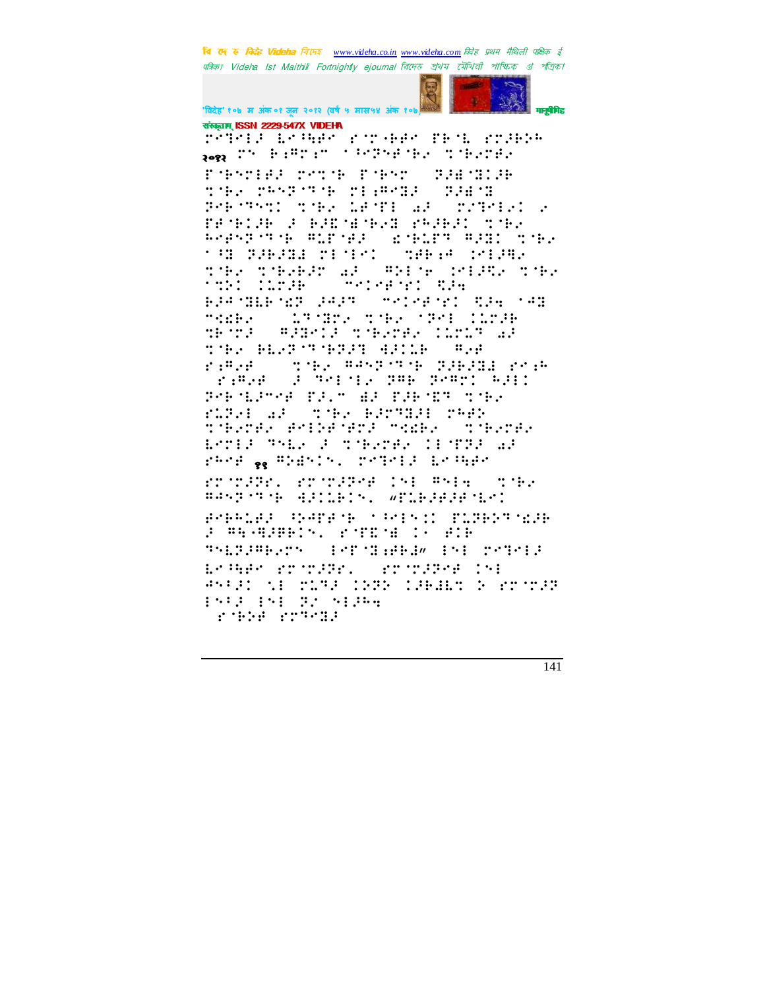बि एक रु *बिरोह Videha चिए*क www.videha.co.in www.videha.com विदेह प्रथम मैथिली पाक्षिक ई

**CONTRACT** ×

पत्रिका Videha Ist Maithili Fortnightly ejournal রিদেহ প্রথম মৌথিনী পাক্ষিক প্র পত্রিকা

मनुवैमिह 'विदेह' १०७ म अंक ०१ जून २०१२ (वर्ष ५ मास५४ अंक १०७ संस्कृतम् ISSN 2229-547X VIDEHA retell bethen rinder from ride le de la provincia de la constitución de la constitución de la constitución de la constitución de la constituc<br>Desenvolverse de la constitución de la constitución de la constitución de la constitución de la constitución d POPTER TOTE FORT  $13.41113134$ THE PRESSURE PERSON  $7.74 - 12$ Personal three Length AP (ordered a PROFILE 2 EACHORAGE PRAEAT SOF Agegrane Alphart Ghelph Azir Shak<br>198 Saeagu binis: Saeag Shiae. the there are the present the faki (1828) (meterski sam BARTHETER ARAS TECHNIC RAY TRE

STORY TON OPEN COOP media-**WEIGHT WEEKLE TIMES CONST AR** the BLSTREET BRIDE (Be **The Western Thursday's**  $\mathbf{r}^{1}$  ,  $\mathbf{r}^{1}$  ,  $\mathbf{r}^{2}$  ,  $\mathbf{r}^{3}$ Species of Reprisonal Beach Addi President fact af fæstis typik FLIGHT AFTER THE BETTIEF THEY tikanës estarimin model (tielore) ESTER THEN FOUR-TRATES IN TERROR rang pemperint remedia beage

rronage. Pronages (Si Ania) code ##SPYPE WRIGHTS, WPLEFFFF GST PORTH RATES SECTION TIMES WIR F RESERVATION IS RE THERPHONY (PT TEAPLE INE TYPE) ESPARA PROVINCE PROVINCE INF ANDER NICHT IN DER COMMUNICATION ESPECIAL PROSERVA robbe cryena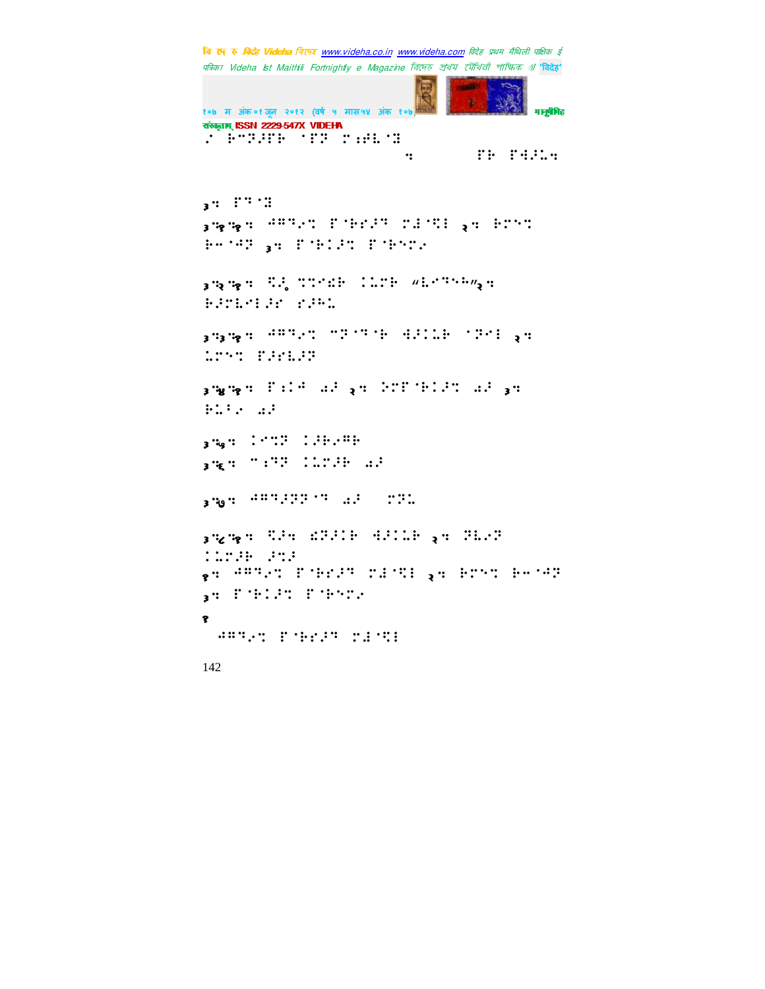```
चि एक रु मिन्हे Videha विएक www.videha.co.in www.videha.com विदेह प्रथम मैथिली पाक्षिक ई
पत्रिका Videha Ist Maithili Fortnightly e Magazine রিদেহ প্রথম মৌথিরী পাক্ষিক রা'বিदेह'
१०७ म अंक ०१जून २०१२ (वष ५ मास५४ अंक १०७) मानुषीिमह 
संस्कृतम् ISSN 2229-547X VIDEHA
142
\frac{1}{2} : \frac{1}{2} : \frac{1}{2} : \frac{1}{2} : \frac{1}{2} : \frac{1}{2} : \frac{1}{2} : \frac{1}{2} : \frac{1}{2} : \frac{1}{2} : \frac{1}{2} : \frac{1}{2} : \frac{1}{2} : \frac{1}{2} : \frac{1}{2} : \frac{1}{2} : \frac{1}{2} : \frac{1}{2} : \frac{1}{he state best and state the state of the state of the state of the state of the state of the state of the stat<br>The state of the state of the state of the state of the state of the state of the state of the state of the st
३⣒!2⢹⣝!
३⣒१⣒१⣒!⢺⢻⢹⢴⣉!2⢷"⢼⢹!⣜⣋5!२⣒!⢷⣉!
⢷⢲⢺⢽!३⣒!2⢷⢼⣉!2⢷⢴!
३%१<mark>३%</mark> पुल्ला अधिकारिके अधिकारिके अधिकारिके अधिकारिके अधिकारिके अधिकारिके अधिकारिके अधिकारिके अधिकारिके अधिकारि
BJPEPE 3: 2005
३७३७<mark>३</mark>०१ लमप्टर एक्टिका स्टाइन टक्स इन
L"'" FREER
३⣒४⣒१⣒!2⣐⢺!⣔⢼!२⣒!⢵2⢷⢼⣉!⣔⢼!३⣒!
⢷⣅C⢴!⣔⢼!
३५: : ::: ::::::
३⣒६⣒!`⣐⢹⢽!⣅⢼⢷!⣔⢼!
३⣒७⣒!⢺⢻⢹⢼⢽⢽⢹!⣔⢼!(⢽⣅(!!
३%८% में घेरी बेटिटी के प्राप्त करते हैं।
⣅⢼⢷!⢼⣉⢼!
१⣒!⢺⢻⢹⢴⣉!2⢷"⢼⢹!⣜⣋5!२⣒!⢷⣉!⢷⢲⢺⢽!
३⣒!2⢷⢼⣉!2⢷⢴!
१
  !⢺⢻⢹⢴⣉!2⢷"⢼⢹!⣜⣋5!
```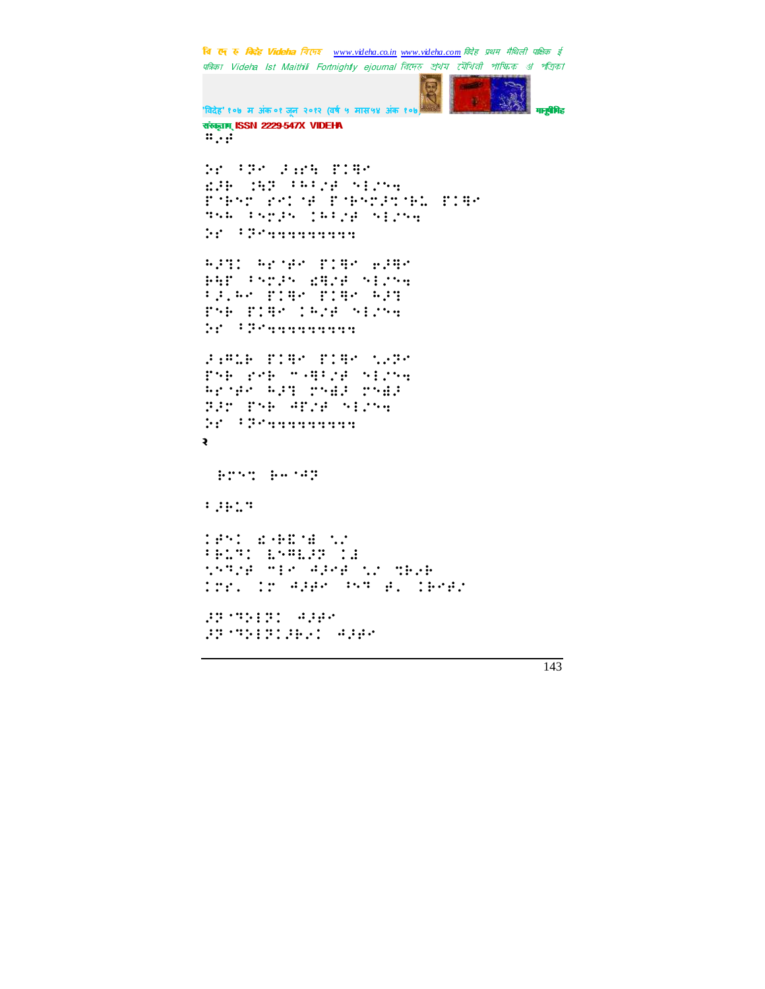```
चि एक रु विदेह Videha चिएन्छ <u>www.videha.co.in www.videha.com</u> विदेह प्रथम मैथिली पाक्षिक ई
पत्रिका Videha Ist Maithili Fortnightly ejournal রিদেহ প্রথম মৌথিনী পাক্ষিক গ্র পত্রিক।
'वदेह' १०७ म अंक ०१ जून २०१२ (वष ५ मास५४ अंक १०७) मानुषीिमह 
संस्कृतम् ISSN 2229-547X VIDEHA
\ddots.
\overline{C} : The state of \overline{C}WE SHOULD BE SERVED
2⢷!"⢾!2⢷⢼⣉⢷⣅!2⣛!
The Copper person of the
⢵"!C⢽⣒⣒⣒⣒⣒⣒⣒⣒⣒!
⢳⢼⣙!⢳"⢾!2⣛!⢶⢼⣛!
BAP PATES SEAR SEARS
COLORED THE STATE
250 2120 10120 5125
\ddotsc . The momentum
^{\circ} . PHIP III 2010 1222
250 200 200 2012 202
We have seen that the control
332 PH 4228 51254
\mathbb{R}^* : Construction
२
 !⢷⣉!⢷⢲⢺⢽!
\blacksquare⢾!⣎D⢷⣏⣞!⣁4!!
CONNECT CONNECT 20
⣁⢹4⢾!`5!⢺⢼⢾!⣁4!⣉⢷⢴⢷!
"G!!⢺⢼⢾!⢸⢹!⢾G!⢷⢾4!
⢼⢽⢹⢵5⢽!⢺⢼⢾!
⢼⢽⢹⢵5⢽⢼⢷⢴!⢺⢼⢾!
```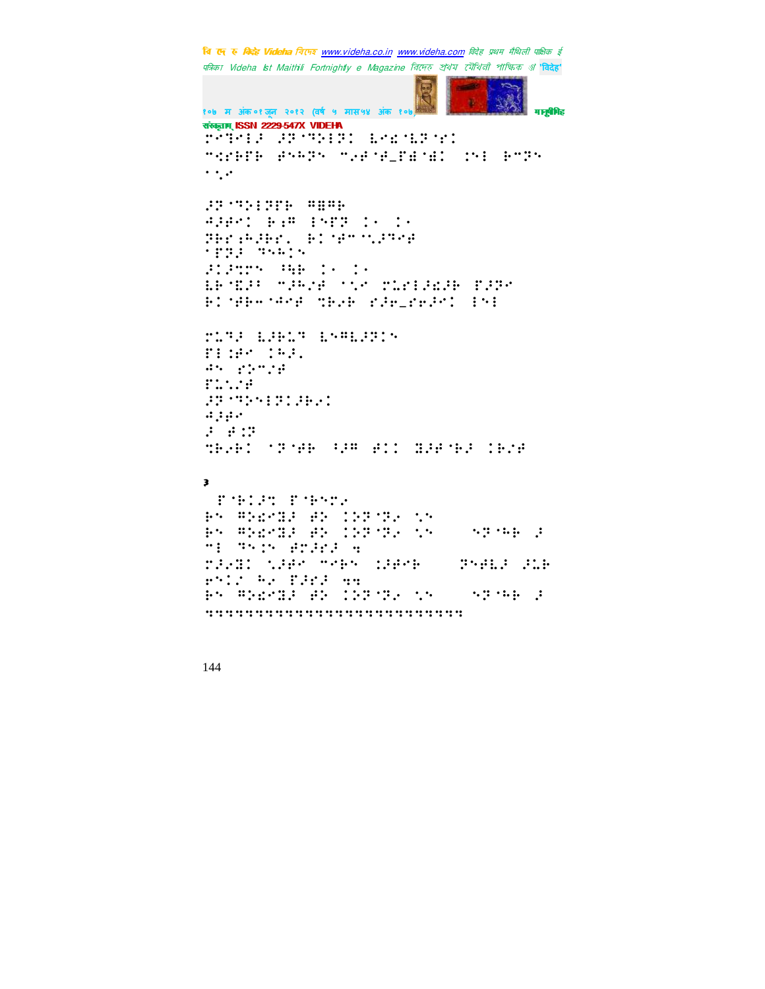बि एक रु क्रिके Videha विरफ्श www.videha.co.in www.videha.com बिरेह प्रथम मैथिली पाक्षिक ई पत्रिका Videha Ist Maithili Fortnightly e Magazine রিদেত প্রথম মৌথিনী পাক্ষিক প্র' 'विदेह'

**CONTRACTOR** 

```
\mathcal{G}१०७ म अंक०१जून २०१२ (वर्ष ५ मास५४ अंक १०७
                                                        मानुबेगिह
संस्कृतम् ISSN 2229-547X VIDEHA
réfeis sponsible berobert
MARRER BYFTY MORTHLIBYS (ME RMIN
\cdot . \cdotAND AND AND AND AND ALL AND AND ALL AND ADDRESS
APPS RAM ENTR IN IN
The Wilhel Gilbert (1964
SPEED PARTS
BIRTH MARIN IN
ERMIN MIRSE SOM MINISER FIRM
BI MEHAMMAR MEZE PARLPRAMI (15)
MARY BALLARY BALLARY SERVICE
Fide (83)
45.427724Thurs
33.9551313651
\alpha , \beta , \gamma\mathbb{R}^n \times \mathbb{R}^nMEARI MEMBER HAR BIL BABARA IRZB
\mathbf{3}FORTH POST
BS WEEKER BE 19373. TS
Browneria and the macroscopy research
mi drih spana 4
MAGIC NIGHT MAGH (1965)
                                          STARLE PLE
print by Plant and
PS WHENER HE IEFTER NS (
                                           \sim 1.1 \sim 1.1 \sim 1.1 \sim 1.1 \sim 1.1 \sim 1.1 \sim 1.1 \sim 1.1 \sim 1.1 \sim 1.1 \sim 1.1 \sim 1.1 \sim 1.1 \sim 1.1 \sim 1.1 \sim 1.1 \sim 1.1 \sim 1.1 \sim 1.1 \sim 1.1 \sim 1.1 \sim 1.1 \sim 1.1 \sim 1.1 \sim 
**************************************
```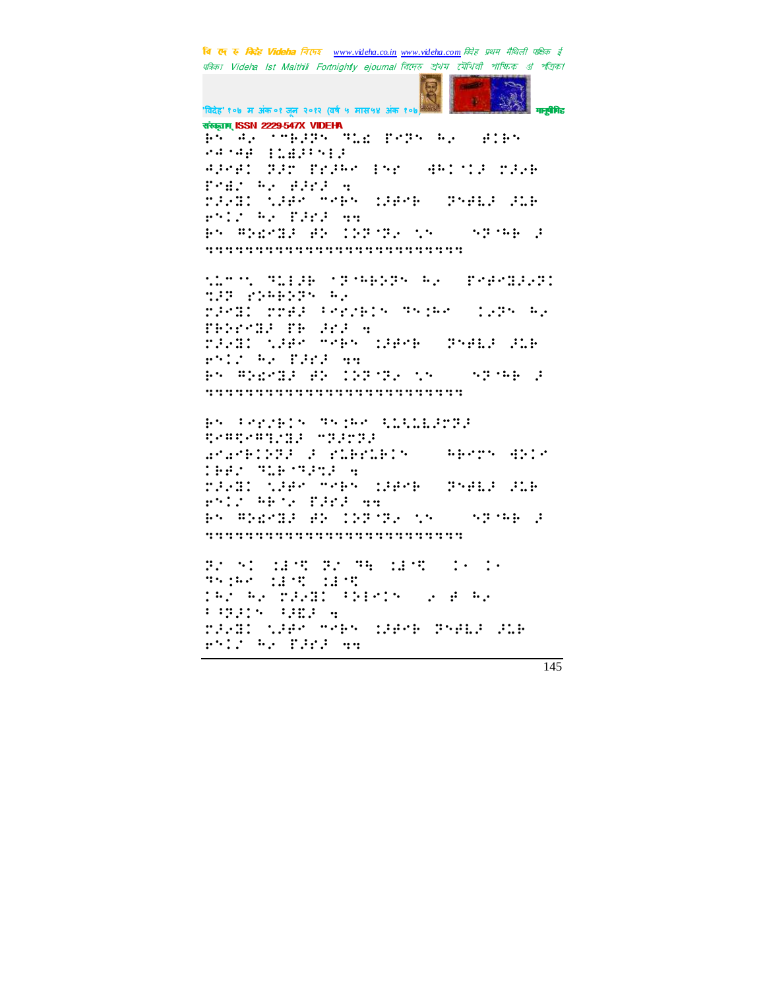वि एक रु मिनेह Videha विएम्ब www.videha.co.in www.videha.com विदेह प्रथम मैथिली पाक्षिक ई पत्रिका Videha Ist Maithili Fortnightly ejournal রিদেত প্রথম মৌথিনী পাক্ষিক প্রা পত্রিকা

'विदेह' १०७ म अंक ०१ जून २०१२ (वर्ष ५ मास५४ अंक १०

संस्कृतम् ISSN 2229-547X VIDEHA Br A. (TBJP) The Popy A. (BIB) **PAINE ELEPTICE** APART BEN BERWA 158 (ARISIE DELE Profile Addin. ravoi taro mort dare covena alb pris A. Plei nu PS WEEKS HE IEFTER 19  $\sim$  7.14  $\mu$  3.14  $\mu$ \*\*\*\*\*\*\*\*\*\*\*\*\*\*\*\*\*\*\*\*\*\*\*\*\*\*\*\*\*\*\*\*\*\*\*\*\*\*

three which openative also practicate mar rinnings al radhi rrea adribin animo (1935 mg **PERSONAL PROPERTY** rave: Same Schoolande (Poma aur principal first and PS REPORT BE INTERFERED STORE P \*\*\*\*\*\*\*\*\*\*\*\*\*\*\*\*\*\*\*\*\*\*\*\*\*\*\*\*\*\*\*\*\*\*\*\*\*\*

Britannia Transa (Britannia gengengens ensens anankithi i ribribin (Abhrr 451) ther will wind a ravo: tak seks dare Then the **PAIN ABOR THE AN** .................................

ROST MET ROSE MET CHOIC **THINK LETT LETT** TRACKS MASHING PRESIDENT ROBERT **PREDS REFUL** MARI SAPA MARY SAPAR PYBLA ALB pris We Birl An

145

मानुबेगिह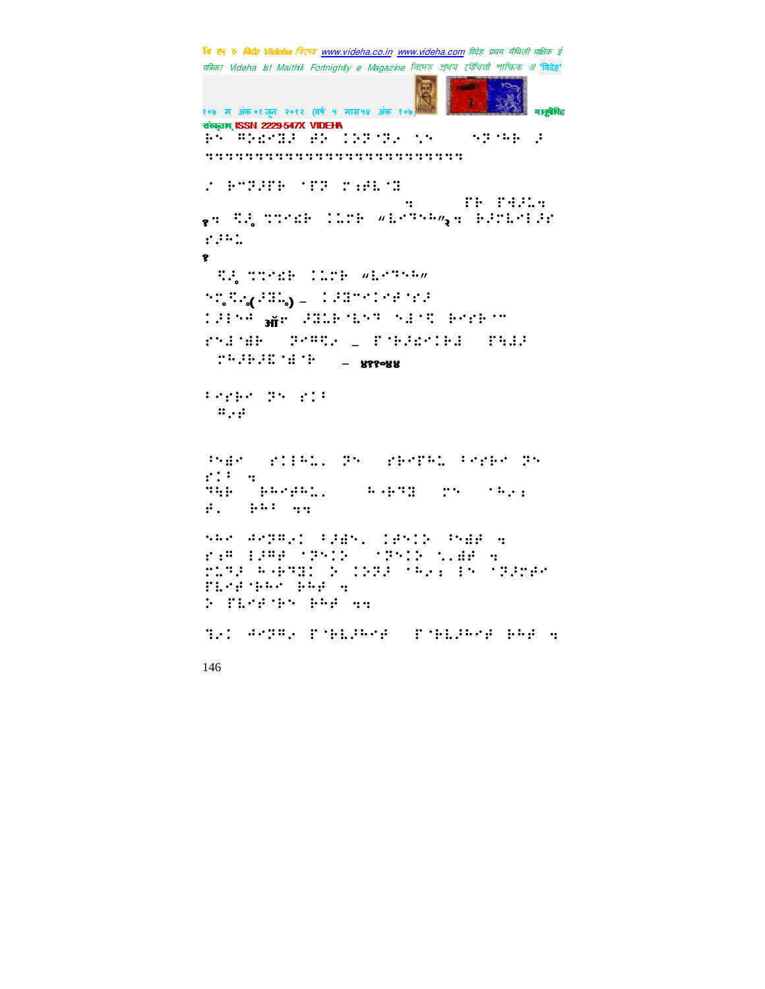```
बि ए रु क्रिटे Videha विएक www.videha.co.in www.videha.com बिरेह प्रथम मैथिली पाक्षिक ई
पत्रिका Videha Ist Maithili Fortnightly e Magazine রিদেক প্রথম মৌথিনী পাক্ষিক প্র' 'विदेह'
                                                                                  मानुबेगिह
१०७ म अंक०१जून २०१२ (वर्ष ५ मास५४ अंक १०।
संस्कृतम् ISSN 2229-547X VIDEHA
añ Arango en 1937, tr
                                                              \sim 1.1 \sim 1.1 \sim 1.1 \sim 1.1 \sim 1.1 \sim 1.1 \sim 1.1 \sim 1.1 \sim 1.1 \sim 1.1 \sim 1.1 \sim 1.1 \sim 1.1 \sim 1.1 \sim 1.1 \sim 1.1 \sim 1.1 \sim 1.1 \sim 1.1 \sim 1.1 \sim 1.1 \sim 1.1 \sim 1.1 \sim 1.1 \sim 
.................................
A BUSSEY STARTED
                                                         September 1995
                                                 \cdot:
ga S2, TTPER (LDPR winThinga P2TErl2P
\mathbf{r}: \mathbf{r}\mathbf{P}E. TTER ILTE WESTER
\mathcal{H}^{\mathcal{G}}_{\mathcal{G}}\mathcal{H}^{\mathcal{G}}_{\mathcal{G}}(\mathcal{G}^{\mathcal{G}}\mathcal{H}_{\mathcal{G}})=\mathcal{H}^{\mathcal{G}}(\mathcal{G}^{\mathcal{G}}\mathcal{H}^{\mathcal{G}})(\mathcal{G}^{\mathcal{G}}\mathcal{H}^{\mathcal{G}})19854 We SHIP NOT SETT POINT
rninge Shock (field (1912)
  Perke Brond
  \mathbf{a}Press and the production of the product of the second second second second second second second second second second second second second second second second second second second second second second second second second 
f: Y \rightarrow YThe BRYSE.
                                    \sim 4.49 \sim 100 \sim 100 \sim 100 \sim 100 \sim 100 \sim 100 \sim 100 \sim 100 \sim 100 \sim 100 \sim\ddot{r}, \ddot{r} \ddot{r} \ddot{r} \ddot{r} \ddot{r}ske aegog (das, 1851) Pap a
rim 1988 (SSC) (SSC) (2018)
MIRA RAPRI DO IDRA MRAVA EN MRAMAM
Theforme paper
3 Michigan Bag an
18: Andal Poblach - Poblach Berle
146
```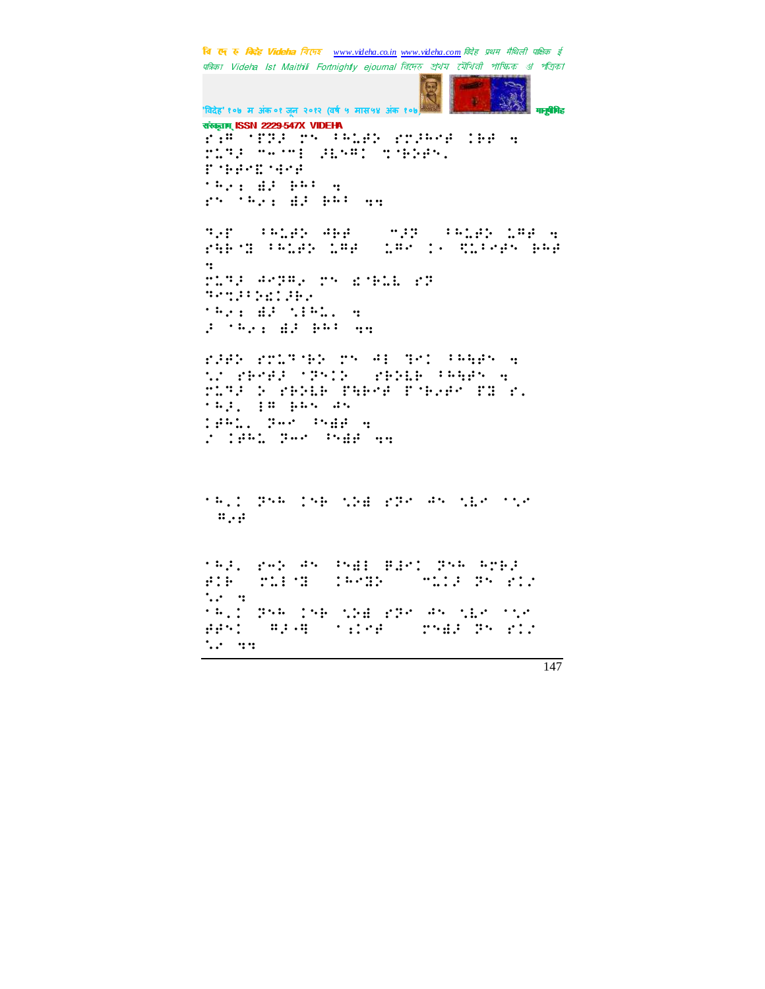बि एक रु क्रिके Videha विरमर www.videha.co.in www.videha.com विदेह प्रथम मैथिली पाक्षिक ई पत्रिका Videha Ist Maithili Fortnightly ejournal রিদেহ প্রথম মৌথিনী পাক্ষিক প্র পত্রিকা

**COLOR** 

× 'विदेह' १०७ म अंक०१ जून २०१२ (वर्ष ५ मास५४ अंक १०७ मानुबेगिह संस्कृतम् ISSN 2229-547X VIDEHA rì<sup>m</sup> (1933 cy (6118) rogher (68 g ring machinesis nomber. Potentiners ry (62) #F B61 A4 TAT (PALEN ARE) TAT (PALEN 188 A)<br>PARTIE PALEN 188 (188 1) TAT VIEWEN RAP  $\dddot{\phantom{0}}$ TIPS APPRESS TO STELL FT **Senatherians** ther Al timic a  $\beta$  (b,  $\beta$  and  $\beta$  in the set ras rolady to specific the s W PROFINSING PREFINERS & MUSE & PRALE PARTE PORTE PROP.  $\pm 5\frac{1}{2}$ ,  $\pm 0$   $\pm 0.5$   $\pm 0.4$ 1961, Ger Syge a<br>2019-1008-2010 Syde as tage passenger who special when the  $\cdots$ tag, red an indicated phacerpil **South Control**  $\mathbf{f}$ **PLICE INSTALL** ing a<br>1962-ban 196 ning 296 an ngusing  $\mathbf{H}^{\text{max}}$  $\mathbf{u}_1, \mathbf{u}_2, \ldots, \mathbf{u}_n$ **Strait Crook**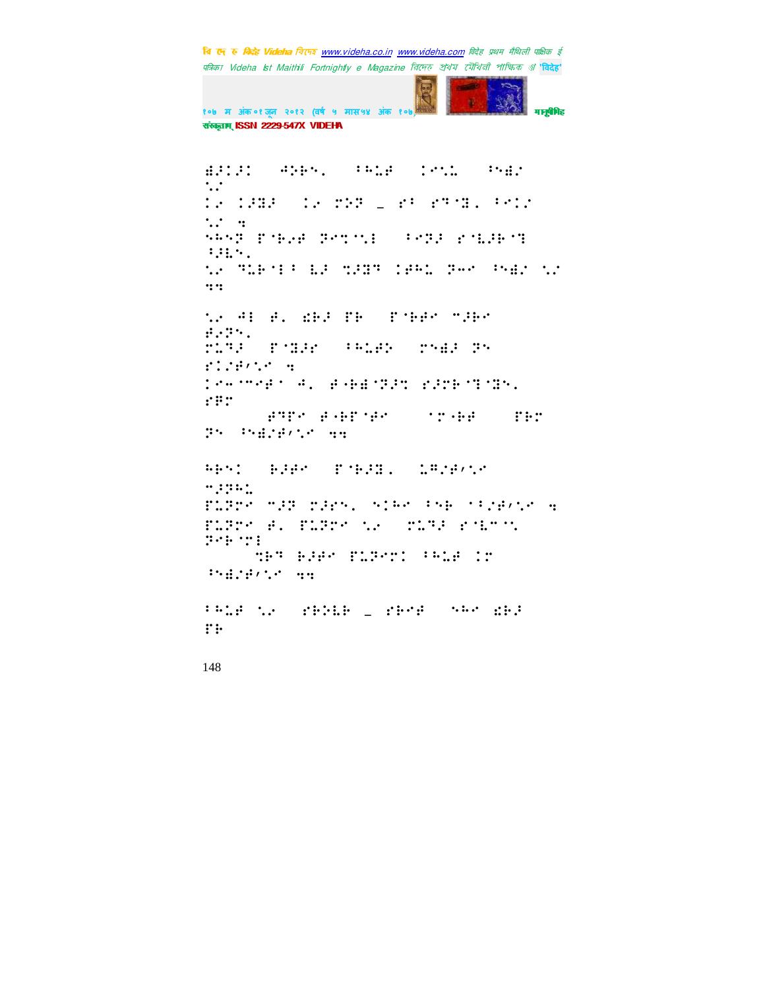१०७ म अंक ०१जून २०१२ (वष ५ मास५४ अंक १०७) मानुषीिमह संस्कृतम् ISSN 2229-547X VIDEHA

⣞⢼⢼!!⢺⢵⢷G!!C⢳⣅⢾!!⣁⣅!!⢸⣞4!!  $\ddots$  $\frac{1}{2}$   $\frac{1}{2}$   $\frac{1}{2}$   $\frac{1}{2}$   $\frac{1}{2}$   $\frac{1}{2}$   $\frac{1}{2}$   $\frac{1}{2}$   $\frac{1}{2}$   $\frac{1}{2}$   $\frac{1}{2}$   $\frac{1}{2}$   $\frac{1}{2}$   $\frac{1}{2}$   $\frac{1}{2}$   $\frac{1}{2}$   $\frac{1}{2}$   $\frac{1}{2}$   $\frac{1}{2}$   $\frac{1}{2}$   $\frac{1}{2}$   $\frac{1}{2}$   $\$  $\ddot{a}$ .  $\ddot{a}$ ⢳⢽!2⢷⢴⢾!⢽⣉⣁5-!C⢽⢼!"⣇⢼⢷⣙!  $\mathcal{L}$ . ⣁⢴!⢹⣅⢷5⢸!⣇⢼!⣉⢼⣝⢹!⢾⢳⣅!⢽⢲!⢸⣞4!⣁4! ⣒⣒! ⣁⢴!⢺5!⢾G!⣎⢷⢼!2⢷-!2⢷⢾!`⢼⢷! ⢾⢴⢽G-! ⣅⢹⢼!!2⣝⢼"-!C⢳⣅⢾⢵!!⣞⢼!⢽! " 4 (1) 1 (1) 1 (1) 1 (1) 1 (1) 1 (1) 1 (1) 1 (1) 1 (1) 1 (1) 1 (1) 1 (1) 1 (1) 1 (1) 1 (1) 1 (1) 1 (1) 1 (1) 1  $\{$   $\{$   $\}$   $\{$   $\{$   $\}$   $\{$   $\}$   $\{$   $\}$   $\{$   $\{$   $\}$   $\{$   $\}$   $\{$   $\}$   $\{$   $\}$   $\{$   $\}$   $\{$   $\}$   $\{$   $\}$   $\{$   $\}$   $\{$   $\}$   $\{$   $\}$   $\{$   $\}$   $\{$   $\}$   $\{$   $\}$   $\{$   $\}$   $\{$   $\}$   $\{$   $\}$   $\{$   $\$  $\mathbf{r}$ !!!!!⢾⢹2!⢾D⢷2⢾!.!D⢷⢾!.!2⢷!  $T^*$  Problem in the set of the set

⢳⢷!!⢷⢼⢾!!2⢷⢼⣝⣀!!⣅⢻4⢾'⣁!! `⢼⢽⢳⣅-! PLPP- "PP PRES STREETSE THE STREET PLPPA B. PLPPA M. TELPH PARTY. ⢽⢷5-! !!!!⣉⢷⢹!⢷⢼⢾!2⣅⢽!C⢳⣅⢾!! Shellow, the company CHIE 'S CONSIDE' THAT IS NOT THE

148

 $:::$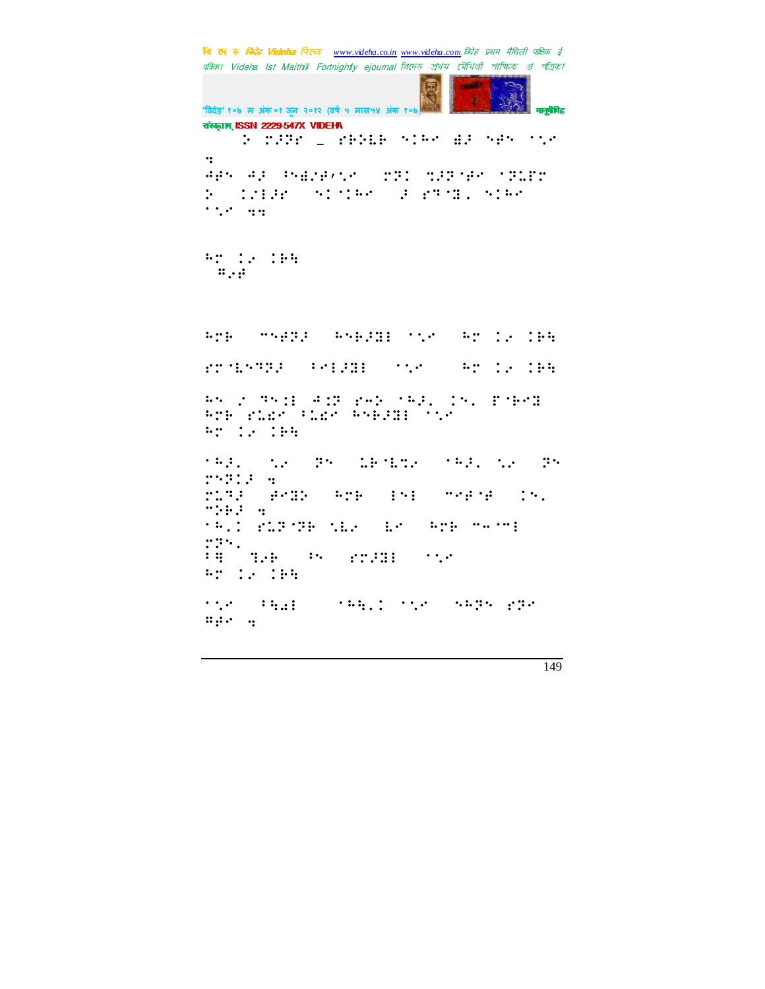```
चि एक रु विदेह Videha चिएन्छ <u>www.videha.co.in www.videha.com</u> विदेह प्रथम मैथिली पाक्षिक ई
पत्रिका Videha Ist Maithili Fortnightly ejournal রিদেহ প্রথম মৌথিনী পাক্ষিক গ্র পত্রিক।
                                                            September
                                                              ×
'विदेह' १०७ म अंक ०१ जून २०१२ (वर्ष ५ मास५४ अंक १०७) मानुसीर के सामुवी मिट
संस्कृतम् ISSN 2229-547X VIDEHA
         E . THE \pm THE EVALUATE EXAMPLE TO THE STATE OF THE STATE OF THE STATE OF THE STATE OF THE STATE OF THE STATE OF THE STATE OF THE STATE OF THE STATE OF THE STATE OF THE STATE OF THE STATE OF THE STATE OF THE STATE OF T
\dddot{\phantom{0}}⢺⢾!⢺⢼!⢸⣞4⢾'⣁-!⢽!⣉⢼⢽⢾!⢽⣅2-!
⢵!!45⢼"!!⢳!!⢼!"⢹⣝⣀!⢳!
\ddots \ddotsAT IS IBE
 \mathbf{a}⢳⢷!!`⢾⢽⢼!!⢳⢷⢼⣝5!⣁-!⢳!⢴!⢷⣓!
"⣇⢹⢽⢼!!C5⢼⣝5!!⣁-!!⢳!⢴!⢷⣓!
⢳!4!⢹⣈5!⢺⣈⢽!"⢲⢵!⢳⢼G!G!2⢷⣝-!
While the Class and Angles Co.
AP 12 188
⢳⢼G!!⣁⢴!!⢽!!⣅⢷⣇⣉⢴-!⢳⢼G!⣁⢴!!⢽!
⢽⢼!⣒!
⣅⢹⢼!!⢾⣝⢵!!⢳⢷!!55!!`⢾⢾!!G!!
`⢵⢷⢼!⣒!
^{\circ}B. The SEP OF SEP OF SEP OF SEP OF SEP OF SEP OF SEP OF SEP OF SEP OF SEP OF SEP OF SEP OF SEP OF SEP OF SEP O
G:G\rightarrow GCQ . The state of the second state of the second state of the second state of the second state of the second s
WE IN THE
\mathcal{N} ) \mathcal{N} = \mathcal{N} , \mathcal{N} , \mathcal{N} , \mathcal{N} , \mathcal{N} , \mathcal{N} , \mathcal{N} , \mathcal{N} , \mathcal{N} , \mathcal{N} , \mathcal{N} , \mathcal{N} , \mathcal{N} , \mathcal{N} , \mathcal{N} , \mathcal{N} , \mathcal{N} , \mathcal{N} , \H_1H_2H_3
```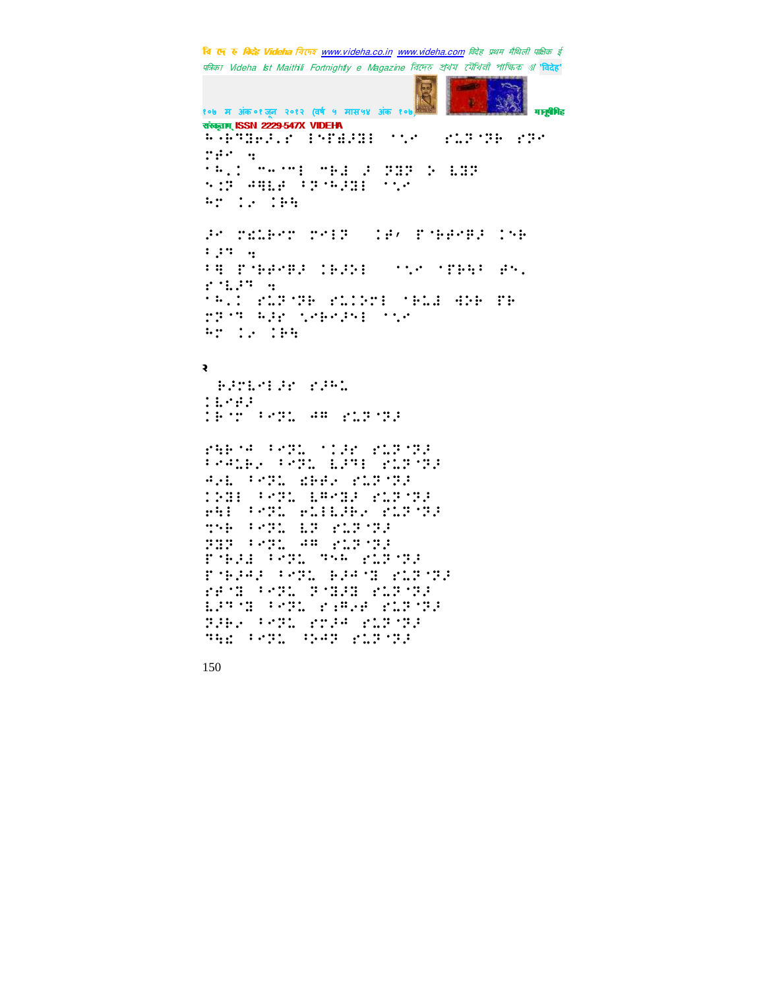**CONTRACTOR** 

 $\mathbf{g}_i$ मानुबेगिह १०७ में अंक०१ जून २०१२ (वर्ष ५ मास५४ अंक १०७) संस्कृतम् ISSN 2229-547X VIDEHA <u>RAPORIZA IMPOZICANA ALPARAN</u>  $2.44 - 4.$ 1821 SAMTE SEBUA 2002 A 182<br>NGC ANG PANAGEMBAN **Ar 12 194** an relent rnig (18) foeega (ne  $1.13 - 4.$ FROM PORTUGAL CONTROL PROPERTY AND  $\mathbf{r}$  . The set of  $\mathbf{r}$ **MAIL POSTER POINTS TELL BEFORE** TEST WAY SPECIAL TOP **Ar 12 194**  $\mathbf{a}$ BOTHER SON  $11.997$ 1977 F-21 AM SID 23 PARTA PRINTING CLEARER

PRANEL PRINT NORTH PLEADS ARE POIL SHAR SINCE **CONFIDENT CONTROL PHI PARL PLIERE PLEARE** THE PER 13 MAP TH **THE REAL PROPERTY OF A SECOND PROPERTY** FOREST PARTNERS PORTH FOR BROOK CONTR 8898 FRN 87828 RICHAR LPP B PRED PIRA PLP PR THE PERSONAL MINT The Pope Grap File The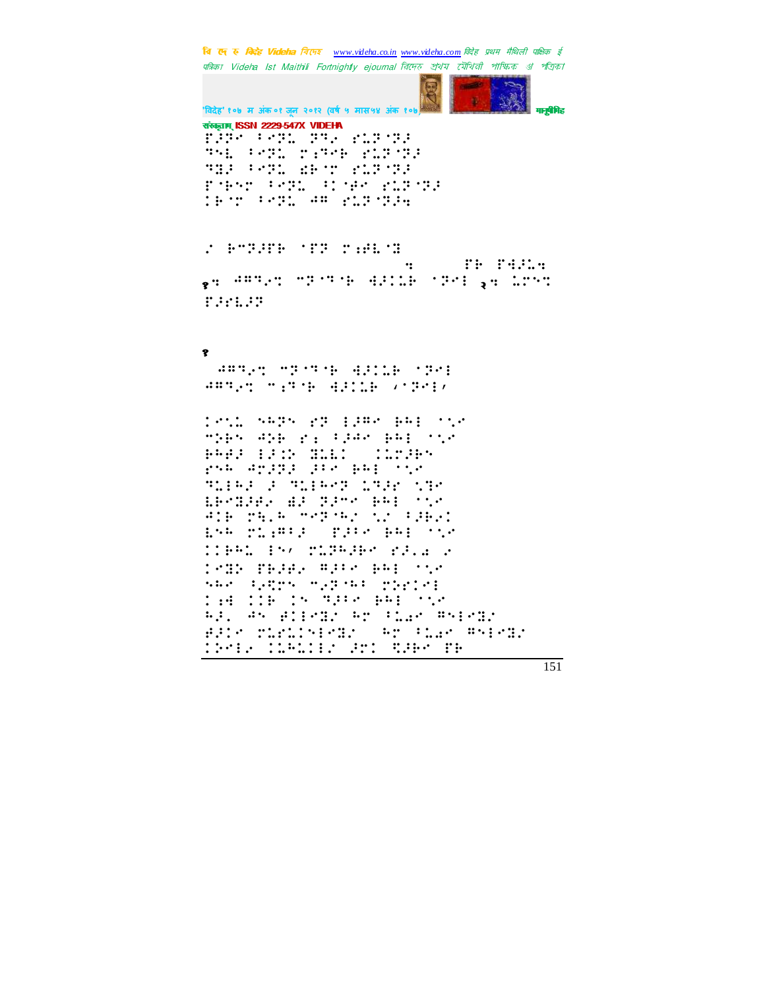चि एक रु *विदेह Videha चिए*न्छ <u>www.videha.co.in www.videha.com</u> विदेह प्रथम मैथिली पाक्षिक ई पत्रिका Videha Ist Maithili Fortnightly ejournal রিদেহ প্রথম মৌথিনী পাক্ষিক গ্র পত্রিক।

'वदेह' १०७ म अंक ०१ जून २०१२ (वष ५ मास५४ अंक १०७) मानुषीिमह संस्कृतम् ISSN 2229-547X VIDEHA 2⢼⢽!C⢽⣅!⢽⢹⢴!"⣅⢽⢽⢼! THE PRESS OF THE SECTOR **THE PERMIT OF THE SET** 2⢷!C⢽⣅!⢸⢾!"⣅⢽⢽⢼! ⢷!C⢽⣅!⢺⢻!"⣅⢽⢽⢼⣒! 4!⢷`⢽⢼2⢷!2⢽!⣐⢾⣇⣝! he discovered by the control of the control of the control of the control of the control of the control of the<br>Experimental control of the control of the control of the control of the control of the control of the control १⣒!⢺⢻⢹⢴⣉!`⢽⢹⢷!⣚⢼⣅⢷!⢽5!२⣒!⣅⣉! 2⢼"⣇⢼⢽! १ !⢺⢻⢹⢴⣉!`⢽⢹⢷!⣚⢼⣅⢷!⢽5! ⢺⢻⢹⢴⣉!`⣐⢹⢷!⣚⢼⣅⢷!'⢽5' ⣁⣅!⢳⢽."⢽!5⢼⢻!⢷⢳5!⣁!! `⢵⢷!⢺⢵⢷!"⣐!C⢼⢺!⢷⢳5!⣁!}! ⢷⢳⢾⢼!5⢼⣈⢵!⣝⣅⣇!!⣅⢼⢷!  $^{\circ}$  ^ C = 0.000  $^{\circ}$  C = 0.000  $^{\circ}$  C = 0.000  $^{\circ}$ **SLIES S SLIET LEAT LIET ST** LE-SINE AF JET PER THE STA ⢺⢷!⣓G⢳!`⢽⢳4!⣁4!C⢼⢷⢴! LSA PLAMA PRESS PART (SP ⢷⢳⣅!5'!⣅⢽⢳⢼⢷!"⢼G⣔!⢴!  $\frac{1}{2}$   $\frac{1}{2}$   $\frac{1}{2}$   $\frac{1}{2}$   $\frac{1}{2}$   $\frac{1}{2}$   $\frac{1}{2}$   $\frac{1}{2}$   $\frac{1}{2}$   $\frac{1}{2}$   $\frac{1}{2}$   $\frac{1}{2}$   $\frac{1}{2}$   $\frac{1}{2}$   $\frac{1}{2}$   $\frac{1}{2}$   $\frac{1}{2}$   $\frac{1}{2}$   $\frac{1}{2}$   $\frac{1}{2}$   $\frac{1}{2}$   $\frac{1}{2}$   $\$  $\sim$  5.5  $\sim$  5.5  $\sim$  5.5  $\sim$  5.5  $\sim$  5.5  $\sim$  5.5  $\sim$  5.5  $\sim$  5.5  $\sim$  5.5  $\sim$  5.5  $\sim$  5.5  $\sim$  5.5  $\sim$  5.5  $\sim$  5.5  $\sim$  5.5  $\sim$  5.5  $\sim$  5.5  $\sim$  5.5  $\sim$  5.5  $\sim$  5.5  $\sim$  5.5  $\sim$  5.5  $\sim$  5.5  $\sim$  5.5  $\sim$  5 ∑id (216 15 SPP) PRE SSP BE, AN BIEREN PE PLAN PNEREN ⢾⢼!⣅"⣅5⣝4-!⢳!C⣅⣔!⢻5⣝4!}!  $\overline{55}$  :  $\overline{5}$   $\overline{15}$   $\overline{15}$   $\overline{15}$   $\overline{15}$   $\overline{15}$   $\overline{15}$   $\overline{15}$   $\overline{15}$   $\overline{15}$   $\overline{15}$   $\overline{15}$   $\overline{15}$   $\overline{15}$   $\overline{15}$   $\overline{15}$   $\overline{15}$   $\overline{15}$   $\overline{15}$   $\overline{15}$   $\overline{15}$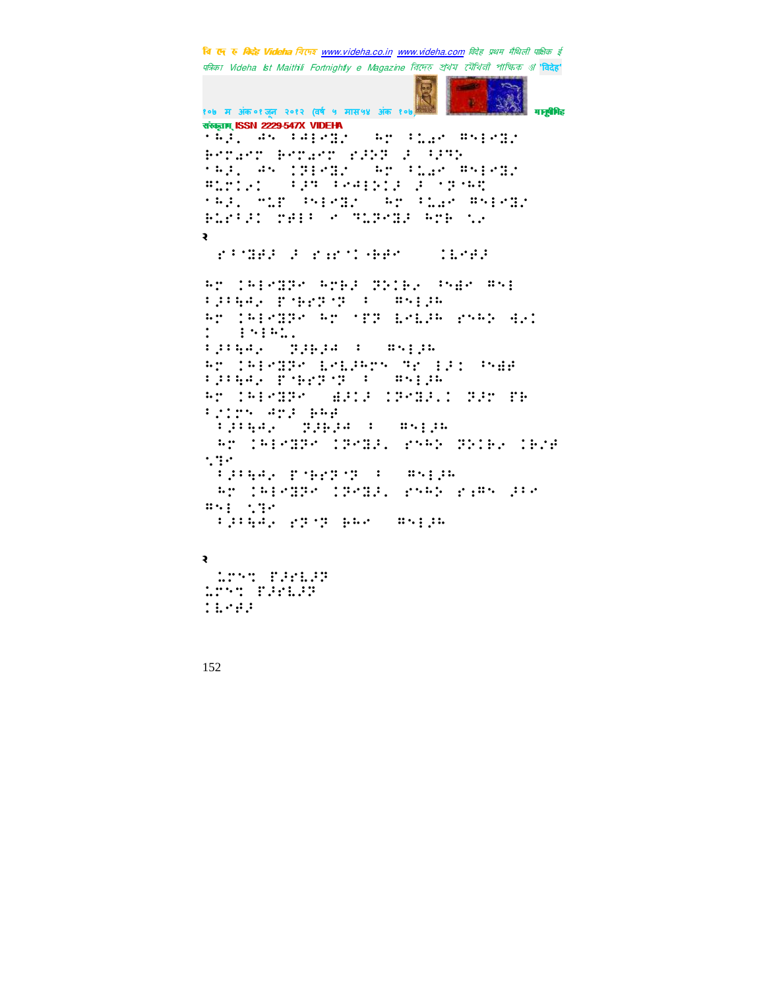**CONTRACTOR** 

१०७ म अंक ०१जून २०१२ (वष ५ मास५४ अंक १०७) मानुषीिमह संस्कृतम् ISSN 2229-547X VIDEHA  $\widetilde{\mathcal{F}}$  GeV (Saper Corollard Corollard Corollard Corollard Corollard Corollard Corollard Corollard Corollard Corollard Corollard Corollard Corollard Corollard Corollard Corollard Corollard Corollard Corollard Corollar ⢷⣔.⢷⣔!"⢼⢵⢽!⢼!⢸⢼⢹⢵!! MAG. An IGERAG 'An Flar Anfrid  $\frac{1}{2}$  $^+$ 42. The Geiral School and Geiral BLPOS THE CONTROL STREET २ !"⢸⣝⢾⢼!⢼!"⣐"D⢷⢾!)!⣇⢾⢼!\*! ⢳!⢳5⣝⢽!⢳⢷⢼!⢽⢵⢷⢴!⢸⣞!⢻5! COUNTER CONTROL  $\frac{1}{2}$  $\{\cdot\},\{\cdot\},\ldots$ C⢼C⣓⢺⢴!!⢽⢼⢷⢼⢺!⢸(!⢻5⢼⢳!!  $5$  The state of the state  $5$  The state of the state  $5$ C⢼C⣓⢺⢴!2⢷"⢽⢽!⢸(!⢻5⢼⢳! ⢳!⢳5⣝⢽!!⣞⢼⢼!⢽⣝⢼G!⢽⢼!2⢷! C1: The Ari Baa !C⢼C⣓⢺⢴!!⢽⢼⢷⢼⢺!⢸(!⢻5⢼⢳!! !We delete the second state of the second second second second second second second second second second second  $\cdot$  . Then !C⢼C⣓⢺⢴!2⢷"⢽⢽!⢸(!⢻5⢼⢳! !⢳!⢳5⣝⢽!⢽⣝⢼G!"⢳⢵!"⣐⢻!⢼C! **BAE** 512 !C⢼C⣓⢺⢴!"⢽⢽!⢷⢳!!⢻5⢼⢳!"! २ !⣅⣉!2⢼"⣇⢼⢽!

 $L$ "'! IRELEP ⣇⢾⢼.!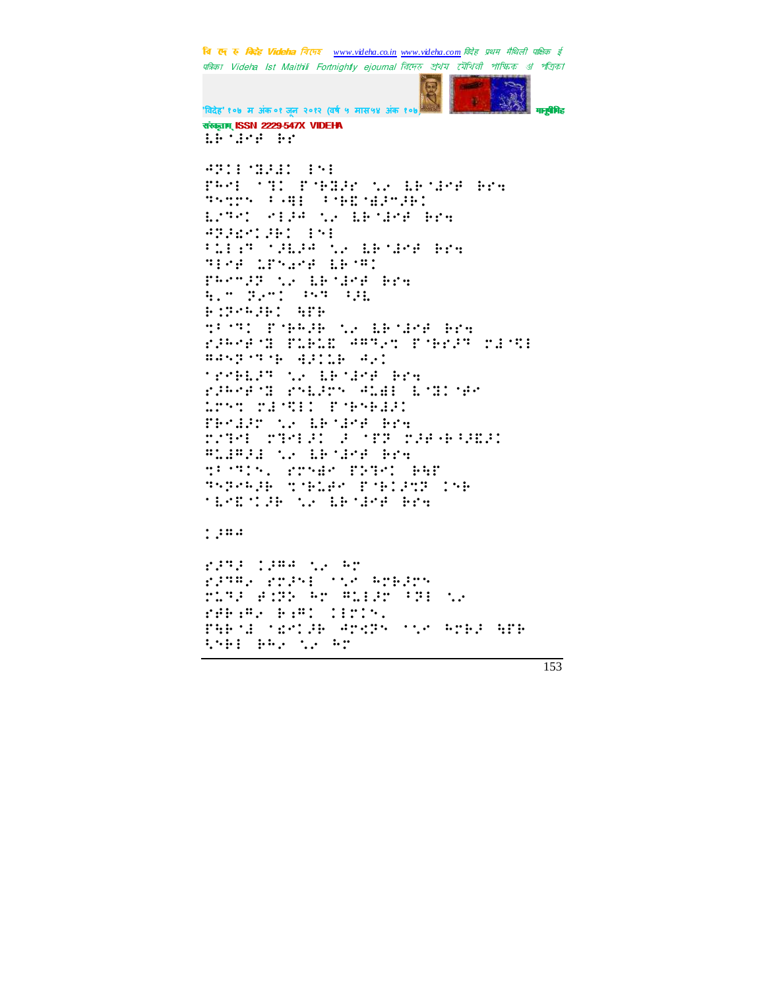बि एक रु विर्देह Videha विर्एक www.videha.co.in www.videha.com विदेह प्रथम मैथिली पाक्षिक ई पत्रिका Videha Ist Maithili Fortnightly ejournal রিদেহ প্রথম মৌথিনী পাক্ষিক প্র পত্রিকা



'विदेह' १०७ म अंक०१ जून २०१२ (वर्ष ५ मास५४ अं

संस्कृतम् ISSN 2229-547X VIDEHA

LE MARE EP PRODUCED PORRELL AR AROUNDED Serre Papel Policieral: ESTATUATIE SA EPSIAE BEG **ATASTAN 151 TIER THIS WAIRTHE BE** Hef artes arts PROSP NO BENES BEN 4. T. T. T. T. T. **BIP-421 400** TEST PARK WARRIET Rameri Mikis WesleyMarkas Mikis HASPYTH GRILD AFI SPORES NA ERSEN ROM ramens robero Aldi bistinen MARINE PRAIL PROBRETO ARTHOLOGY PEN TIRE TREE 2 COTF THEFULL **WINDER TO BE NEW BY:** TETTS, POSE THR. PHP TSPSHIE TOELES POBLICE ISE **MERCH WEBMPH Br** 

 $\dddot{\phantom{0}}$ 

rana 1984 (2008) rang road the Academy ring Side ar Aller (MB to **SHOW BHI MINE** FARME MEMORE APARA MOM APAR AFR thei bas to an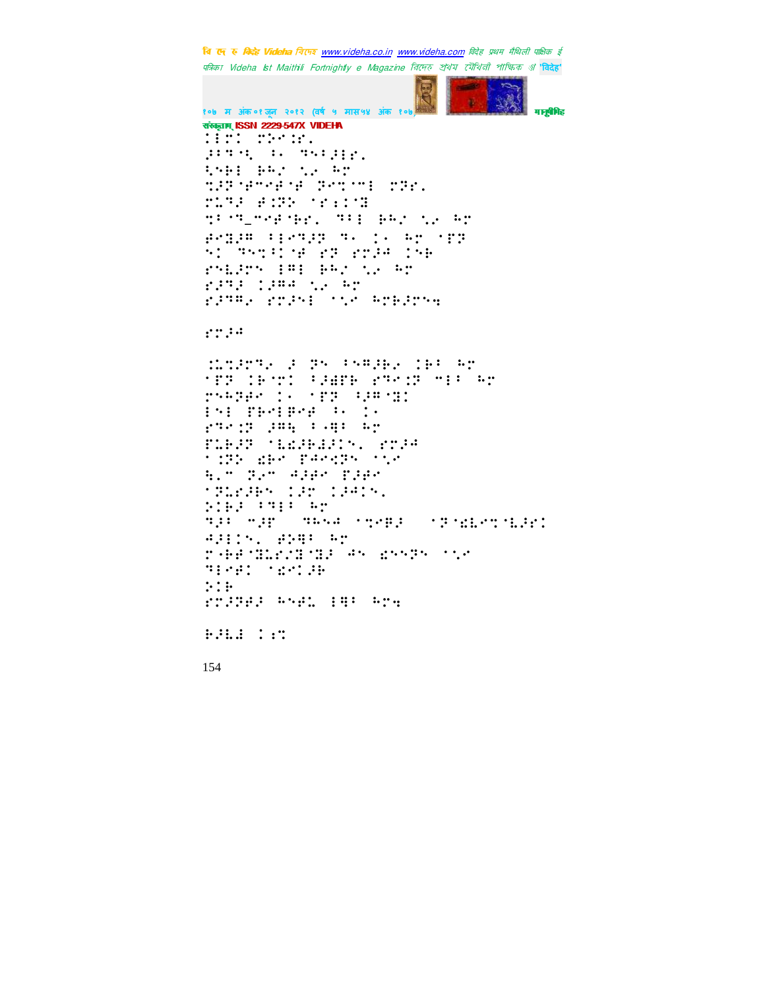

१०७ म अंक ०१जून २०१२ (वष ५ मास५४ अंक १०७) मानुषीिमह संस्कृतम् ISSN 2229-547X VIDEHA 11: TPCH. GUNDER CONTROL **West Hard to Ar** ⣉⢼⢽⢾`⢾⢾!⢽⣉`5!⢽"G! ⣅⢹⢼!⢾⣈⢽⢵!"⣐⣈⣝!  $T$  C –  $T$  (  $T$  )  $T$  (  $T$  )  $T$  )  $T$  (  $T$  )  $T$  (  $T$  )  $T$ ⢾⣝⢼⢻.C5⢹⢼⢽!⢹l!l!⢳!2⢽! !⢹⣉⢸⢾!"⢽!"⢼⢺!⢷!! "⣇⢼!5⢻5!⢷⢳4!⣁⢴!⢳! "⢼⢹⢼!⢼⢻⢺!⣁⢴!⢳!! "⢼⢹⢻⢴!"⢼5!⣁!⢳⢷⢼⣒!

"⢼⢺!

⣈⣅⣉⢼⢹⢴!⢼!⢽!C⢻⢼⢷⢴!⢷C!⢳! 2⢽!⢷!C⢼⣞2⢷!"⢹⣈⢽!`5C!⢳!  $\frac{1}{2}$  . 2010 12:20 12:20 12:20 12:20 12:20 12:20 12:20 12:20 12:20 12:20 12:20 12:20 12:20 12:20 12:20 12: 55: PROPERTY 1, 1, "cas Constant Constant Constant Constant Constant Constant Constant Constant Const 2⣅⢷⢼⢽!⣇⣎⢼⢷⣜⢼G!"⢼⢺!  $^{\prime}$  :Phone E403Phone 2 **W. T.P. P.P. P.P.** ⢽⣅"⢼⢷!⢼.⢼⢺G!!  $\text{HSE}$  (Fig. )  $\text{HSE}$ ⢹⢼C.`⢼2-!⢹⢳⢺.⣉⢿⢼-!⢽⣎⣇⣉⣇⢼"! ⢺⢼5G!⢾⢵⣛C!⢳! D⢷⢾⣝⣅"4⣝⣝⢼!⢺!⣎⢽!⣁!! SHAND CENTRE  $: :$ "⢼⢽⢾⢼!⢳⢾⣅!5⣛C!⢳⣒!

**b**: i.i.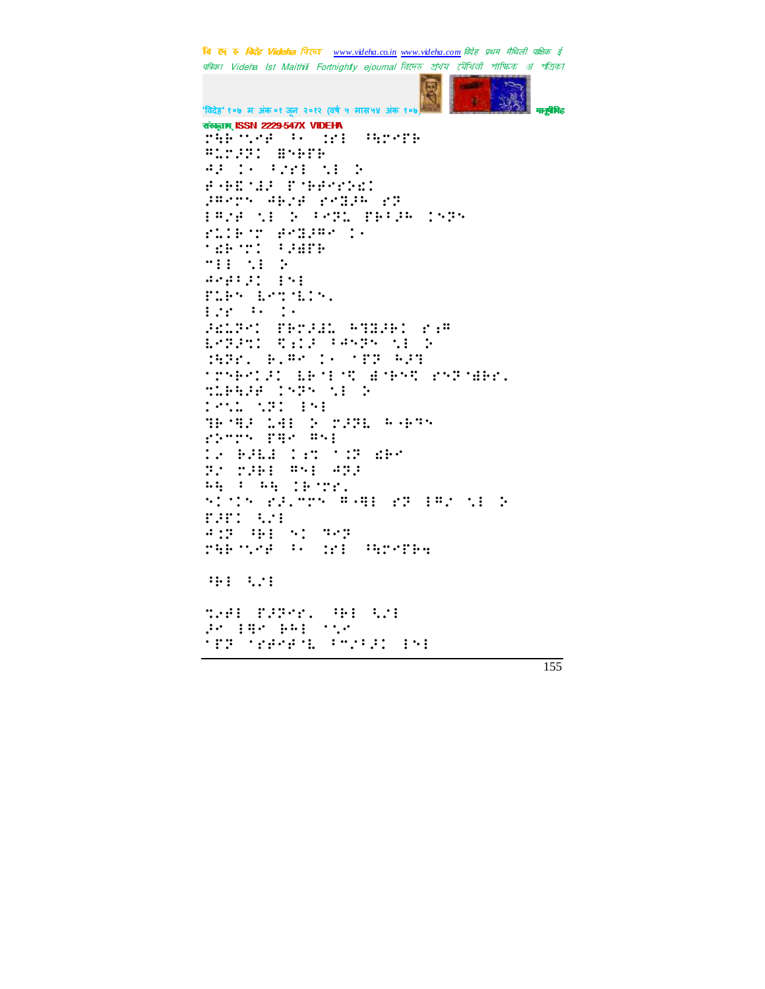चि एक रु *विदेह Videha चिए*न्छ <u>www.videha.co.in www.videha.com</u> विदेह प्रथम मैथिली पाक्षिक ई पत्रिका Videha Ist Maithili Fortnightly ejournal রিদেহ প্রথম মৌথিনী পাক্ষিক গ্র পত্রিক।

 $\sim$ 

'वदेह' १०७ म अंक ०१ जून २०१२ (वष ५ मास५४ अंक १०७) मानुषीिमह संस्कृतम् ISSN 2229-547X VIDEHA  $\mathbb{R}$ Allowski to the second second second second second second second second second second second second second second second second second second second second second second second second second second second second se ⢻⣅⢼⢽!⣟⢷2⢷! ⢺⢼!l!C4"5!⣁5!⢵! ⢾D⢷⣏⣜⢼!2⢷⢾"⢵⣎!! ⢼⢻!⢺⢷4⢾!"⣝⢼⢳!"⢽! 5⢻4⢾!⣁5!⢵!C⢽⣅!2⢷C⢼⢳!⢽! **THE THE SECTION OF MENTI PASSE** `55!⣁5!⢵! ⢺⢾C⢼!55! rub is the control 54"!⢸l!l!! ⢼⣎⣅⢽!2⢷⢼⣜⣅!⢳⣙⣝⢼⢷!"⣐⢻! ⣇⢽⢼⣉!⣋⣐⢼!C⢺⢽!⣁5!⢵! ⣈⣓⢽"G!⢷G⢻!l!2⢽!⢳⢼⣙! MINER IS ON THE STATE OF THE STATE OF THE STATE OF THE STATE OF THE STATE OF THE STATE OF THE STATE OF THE STA ⣉⣅⢷⣓⢼⢾!⢽!⣁5!⢵! **CONSTRAINERS** ⣙⢷⣛⢼!⣅⣚5!⢵!⢼⢽⣇!⢳D⢷⢹! THE THE SET  $\overline{\phantom{a}}$ 31 : 599 : 599 : 599  $H_1$  C.  $H_2$  . C. C. "SI "ON 23. MAY <sup>18</sup> AB 25 25 26 26 20221 10:22 5.  $T$ He time  $T$  is a set  $T$  set  $T$  set  $T$ ⢸⢷5!⣃45! **TAS STREET STREET**  $j$ 50 | 550 | 551 | 552 | 553 2⢽!"⢾⢾⣇!C`4C⢼!55!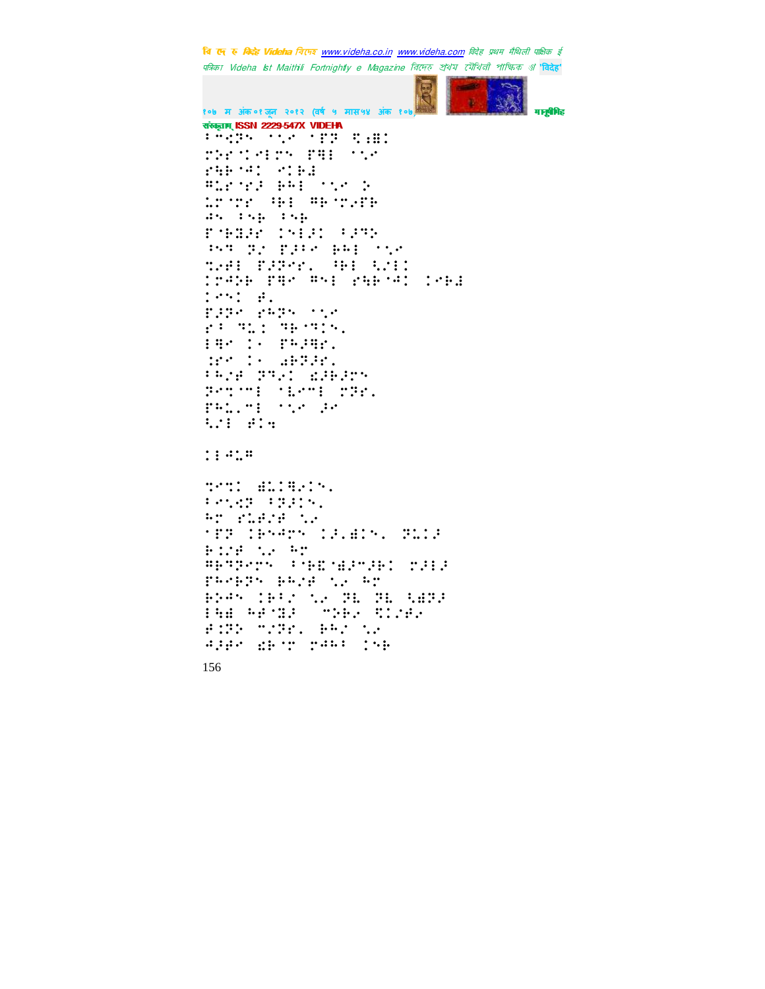

१०७ म अंक ०१जून २०१२ (वष ५ मास५४ अंक १०७) मानुषीिमह संस्कृतम् ISSN 2229-547X VIDEHA COND. 2012. 2012. **THE SECTION CONTROL** "⣓⢷⢺!⢷⣜! Shipper School  $\mathbb{Z}$  :  $\mathbb{Z}$  :  $\mathbb{Z}$  :  $\mathbb{Z}$  :  $\mathbb{Z}$  :  $\mathbb{Z}$  :  $\mathbb{Z}$  :  $\mathbb{Z}$  :  $\mathbb{Z}$  :  $\mathbb{Z}$  :  $\mathbb{Z}$  :  $\mathbb{Z}$  :  $\mathbb{Z}$  :  $\mathbb{Z}$  :  $\mathbb{Z}$  :  $\mathbb{Z}$  :  $\mathbb{Z}$  :  $\mathbb{Z}$  :  $\mathbb{Z}$  :  $\mathbb{Z}$  :  $\$ as the the 2⢷⣝⢼"!5⢼!C⢼⢹⢵! ⢸⢹!⢽4!2⢼C!⢷⢳5!⣁! the Presence of the set ⢺⢵⢷!2⣛!⢻5!"⣓⢷⢺!⢷⣜! !⢾G! PER PER PER  $f$  = The Section 198 1- P-8201 ⣈"!l!⣔⢷⢽⢼"G!! C⢳4⢾!⢽⢹⢴!⣎⢼⢷⢼! **SPECTE SECTIONS** 2⢳⣅G`5!⣁!⢼!! ⣃45!⢾⣒!  $\mathbb{R}$ :  $\mathbb{R}$   $\mathbb{R}$   $\mathbb{R}$ **THIS SECTION** CONSTRUCTS William School 2⢽!⢷⢺!⢼G⣞G!⢽⣅⢼! **F** 129 129 121

⢻⢷⢹⢽!⢸⢷⣏⣞⢼`⢼⢷!⢼5⢼! 2⢳⢷⢽!⢷⢳4⢾!⣁⢴!⢳! ⢷⢵⢺!⢷C4!⣁⢴!⢽⣇.⢽⣇!⣃⣞⢽⢼! 5⣓⣞.⢳⢾⣝⢼-!`⢵⢷⢴.⣋4⢾⢴! ⢾⣈⢽⢵!`4⢽"G!⢷⢳4!⣁⢴! GREE SECTIONS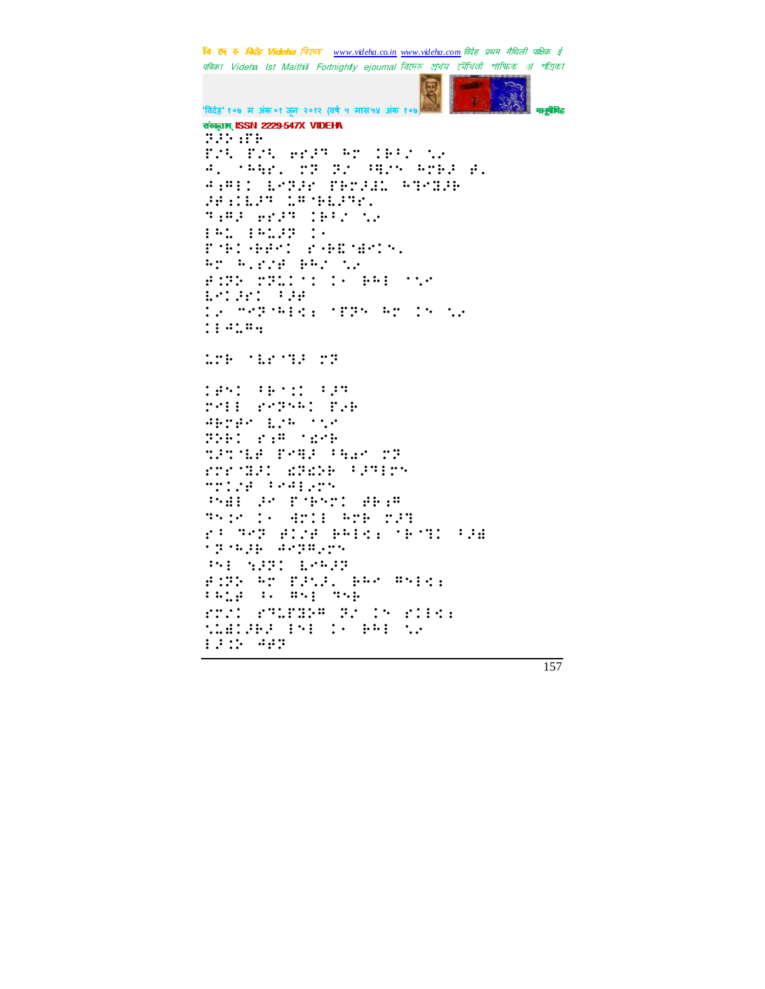**त्रि एन रु क्रिटेह Videha** विएम्ब \_www.videha.co.in\_www.videha.com विदेह प्रथम मैथिली पाक्षिक ई पत्रिका Videha Ist Maithili Fortnightly ejournal রিদেহ প্রথম মৌথিনী পাক্ষিক গ্র পত্রিক।



'वदेह' १०७ म अंक ०१ जून २०१२ (वष ५ मास५४ अंक १०७) मानुषीिमह संस्कृतम् ISSN 2229-547X VIDEHA ⢽⢼⢵⣐2⢷! 200.24 PM 24 PM 24 PM 24 PM 24 PM 24 PM 24 PM 24 PM 24 PM 24 PM 24 PM 24 PM 24 PM 24 PM 24 PM 24 PM 24 PM 24 PM  $\#C$  (1964)  $\#C$   $\#C$   $\#C$   $\#C$   $\#C$   $\#C$ ⢺⣐⢻5!⣇⢽⢼"!2⢷⢼⣜⣅!⢳⣙⣝⢼⢷! ⢼⢾⣐⣇⢼⢹.⣅⢻⢷⣇⢼⢹"G!! ⢹⣐⢻⢼.⢶"⢼⢹!⢷C4!⣁⢴! 5⢳⣅.5⢳⣅⢼⢽!l!! POST PRESENT HT WARTH HWY TA ⢾⣈⢽⢵!⢽⣅⣈!l!⢷⢳5!⣁! ⣇⢼"!C⢼⢾!  $\mathbb{Z}$  , the problem is the problem of the problem in the problem in the problem in the problem in the problem in the problem in the problem in the problem in the problem in the problem in the problem in the problem in t  $5:4:4:4$  $\mathbb{Z}$  : The start of  $\mathbb{Z}$ 

1951 (Print) (PP) **55!! SEPART FAR** ⊕re ka ⢽⢵⢷!"⣐⢻!⣎⢷! ⣉⢼⣉⣇⢾!2⣛⢼!C⣓⣔!⢽! ""⣝⢼!⣎⢽⣎⢵⢷!C⢼⢹5! `4⢾!C⢺5⢴! PHI 20 FORD STREET Ship is an output of the state "⢸!⢹⢽!⢾4⢾!⢷⢳5⣊⣐!⢷⣙!C⢼⣞! ⢽⢳⢼⢷!⢺⢽⢻⢴! SHI SHI SHI ⢾⣈⢽⢵!⢳!2⢼⣁⢼G!⢷⢳!⢻5⣊⣐! CHIE C CONTROL "4!"⢹⣅2⣝⢵⢻!⢽4!!"5⣊⣐! ⣁⣅⣞⢼⢷⢼!55!l!⢷⢳5!⣁⢴! 5⢼⣈⢵!⢺⢾⢽!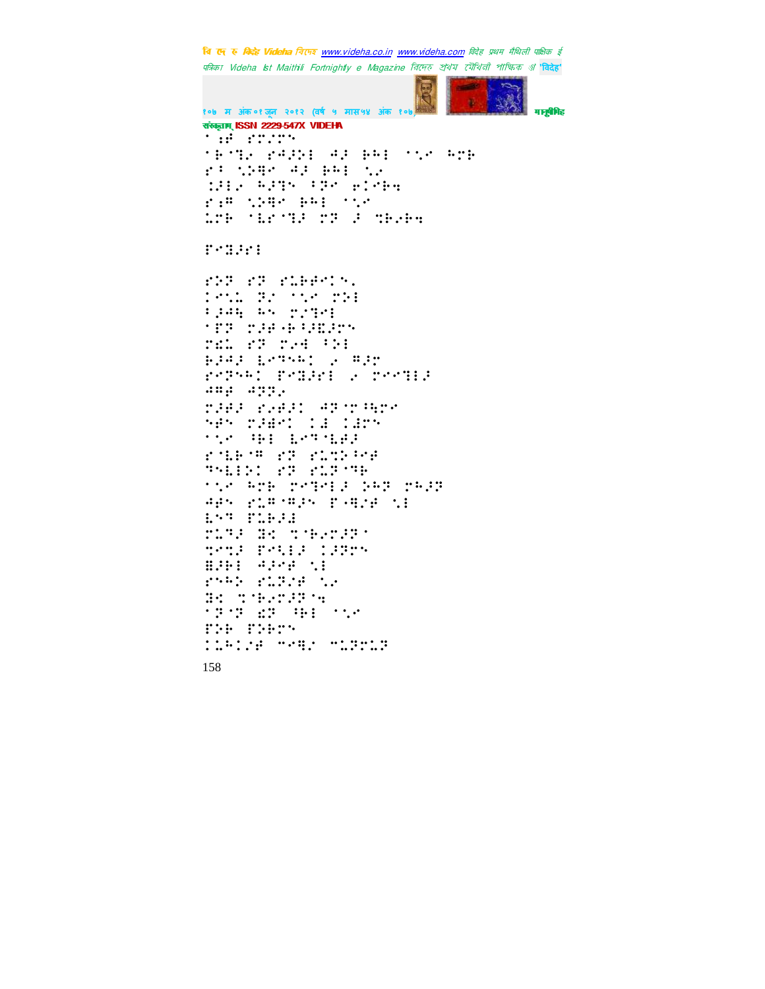**Service** १०७ म अंक ०१जून २०१२ (वष ५ मास५४ अंक १०७) मानुषीिमह

```
संस्कृतम् ISSN 2229-547X VIDEHA
^+ :# | :::::::
⢷⣙⢴!"⢺⢼⢵5!⢺⢼!⢷⢳5!⣁!⢳⢷!
"⢸!⣁⢵⣛!⢺⢼!⢷⢳5!⣁⢴!
⣈⢼5⢴!⢳⢼⣙!C⢽!⢶⢷⣒!
"⣐⢻!⣁⢵⣛!⢷⢳5!⣁!
\Box
```
2⣝⢼"5!

158 THE THE STATE SECTION. ⣁⣅!⢽4!⣁!⢵5! COUNTY THE STATE 2⢽!⢼⢾D⢷⢸⢼⣏⢼! THE #3 THE #5 SE ⢷⢼⢺⢼!⣇⢹⢳!⢴!⢻⢼! "⢽⢳!2⣝⢼"5!⢴!⣙5⢼! ⢺⢻⢾.⢺⢽⢽⢴! ⢼⢾⢼!"⢴⢾⢼!⢺⢽⢸⣓!  $^{\prime}$   $^{\prime}$   $^{\prime}$   $^{\prime}$   $^{\prime}$   $^{\prime}$   $^{\prime}$   $^{\prime}$   $^{\prime}$   $^{\prime}$   $^{\prime}$   $^{\prime}$   $^{\prime}$   $^{\prime}$   $^{\prime}$   $^{\prime}$   $^{\prime}$   $^{\prime}$   $^{\prime}$   $^{\prime}$   $^{\prime}$   $^{\prime}$   $^{\prime}$   $^{\prime}$   $^{\prime}$   $^{\prime}$   $^{\prime}$   $^{\prime}$   $^{\prime}$   $^{\prime}$   $^{\prime}$   $^{\prime}$ **TA** SHE STREET " **THESE FR FR FR FR**  $^{\prime}$   $^{\prime}$   $^{\prime}$   $^{\prime}$   $^{\prime}$   $^{\prime}$   $^{\prime}$   $^{\prime}$   $^{\prime}$   $^{\prime}$   $^{\prime}$   $^{\prime}$   $^{\prime}$   $^{\prime}$   $^{\prime}$   $^{\prime}$   $^{\prime}$   $^{\prime}$   $^{\prime}$   $^{\prime}$   $^{\prime}$   $^{\prime}$   $^{\prime}$   $^{\prime}$   $^{\prime}$   $^{\prime}$   $^{\prime}$   $^{\prime}$   $^{\prime}$   $^{\prime}$   $^{\prime}$   $^{\prime}$  $\frac{44}{7}$  :  $\frac{1}{3}$  :  $\frac{1}{3}$  :  $\frac{1}{3}$  :  $\frac{1}{3}$  :  $\frac{1}{3}$  :  $\frac{1}{3}$  :  $\frac{1}{3}$  :  $\frac{1}{3}$  :  $\frac{1}{3}$  :  $\frac{1}{3}$  :  $\frac{1}{3}$  :  $\frac{1}{3}$  :  $\frac{1}{3}$  :  $\frac{1}{3}$  :  $\frac{1}{3}$  :  $\frac{1}{3}$  :  $\frac{1}{3}$  :  $\frac{1$ ⣇⢹.2⣅⢷⢼⣜! ⣅⢹⢼!⣝⣊!⣉⢷⢴⢼⢽! ⣉⣉⢼!2⣃5⢼!⢼⢽!! ⣟⢼⢷5!⢺⢼⢾!⣁5! "⢳⢵!"⣅⢽4⢾!⣁⢴! ⣝⣊!⣉⢷⢴⢼⢽⣒!!!!! ⢽⢽.⣎⢽!⢸⢷5!⣁!! 2⢵⢷.2⢵⢷!! ⣅⢳4⢾!`⣛4.`⣅⢽⣅⢽!!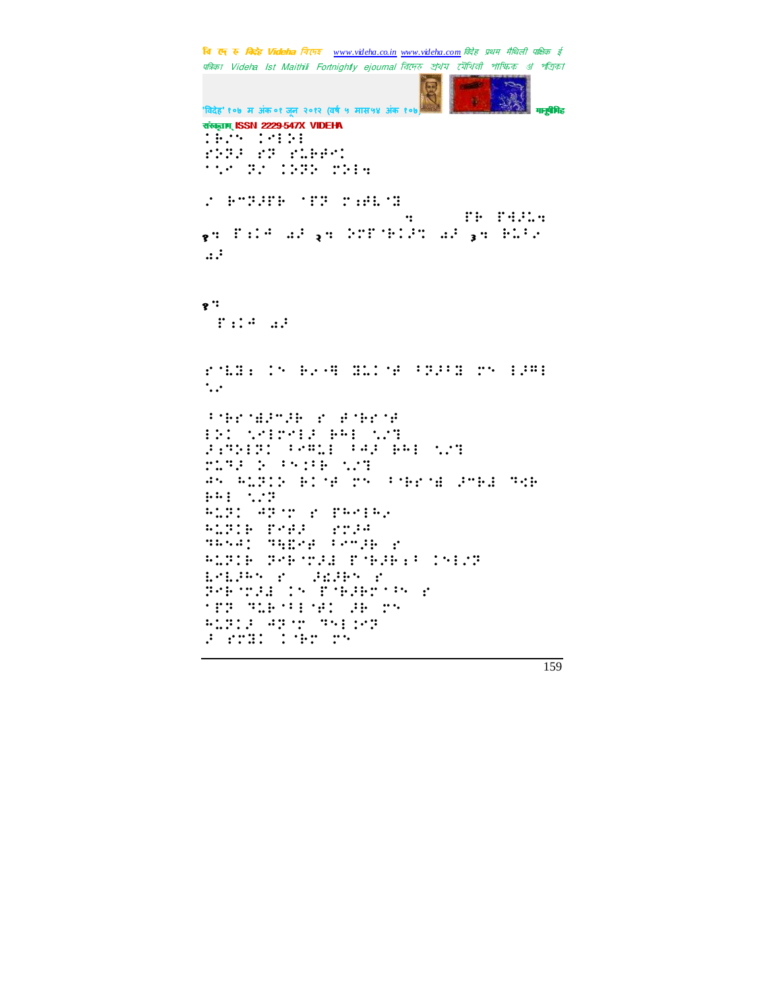**त्रि एन रु क्रिटेह Videha** विएम्ब \_www.videha.co.in\_www.videha.com विदेह प्रथम मैथिली पाक्षिक ई पत्रिका Videha Ist Maithili Fortnightly ejournal রিদেহ প্রথম মৌথিনী পাক্ষিক গ্র পত্রিক। 'वदेह' १०७ म अंक ०१ जून २०१२ (वष ५ मास५४ अंक १०७) मानुषीिमह संस्कृतम् ISSN 2229-547X VIDEHA **TEPS 18151** "⢵⢽⢼!"⢽!"⣅⢷⢾!! **\*** We Straight the Straight of the Straight of the Straight of the Straight of the Straight of the Straight of 4!⢷`⢽⢼2⢷!2⢽!⣐⢾⣇⣝! hhbkfoesbAwjefib⣒dpn!2⢷!2⣚⢼⣅⣒!! १⣒!2⣐⢺!⣔⢼!२⣒!⢵2⢷⢼⣉!⣔⢼!३⣒!⢷⣅C⢴!  $\ddot{\cdot}$ १ " !2⣐⢺!⣔⢼! "⣇⣝⣐!!⢷⢴D⣛!⣝⣅⢾!C⢽⢼C⣝!!5⢼⢻5!  $\dddot{\bullet}$ ... ⢸⢷"⣞⢼`⢼⢷!"!⢾⢷"⢾-!  $55!$   $55!$   $55!$ ⢼⣐⢹⢵5⢽!C⢻⣅5!C⢺⢼!⢷⢳5!⣁4⣙-!  $T$ . The contract of the contract of the contract of the contract of the contract of the contract of the contract of the contract of the contract of the contract of the contract of the contract of the contract of the contr  $\frac{1}{2}$  which is the set of the set of the set of the set of the set of the set of the set of the set of the set of the set of the set of the set of the set of the set of the set of the set of the set of the set of the s **FFI 4.73** HLP: PP: PH:<br>HLP:B PreP (PPPP)  $^{\circ}$ ⢹⢳⢺!⢹⣓⣏⢾!C`⢼⢷!"-! ⢳⣅⢽⢷!⢽⢷⢼⣜!2⢷⢼⢷⣐⢸!54⢽-! LALPH STREET FOR THE PRESS OF THE PARTY OF THE PARTY OF THE PARTY OF THE PARTY OF THE PARTY OF THE PARTY OF THE PARTY OF TH 1FF THE COST OF TH **SLED SET SET SET** ⢼!"⣝!⢷!-!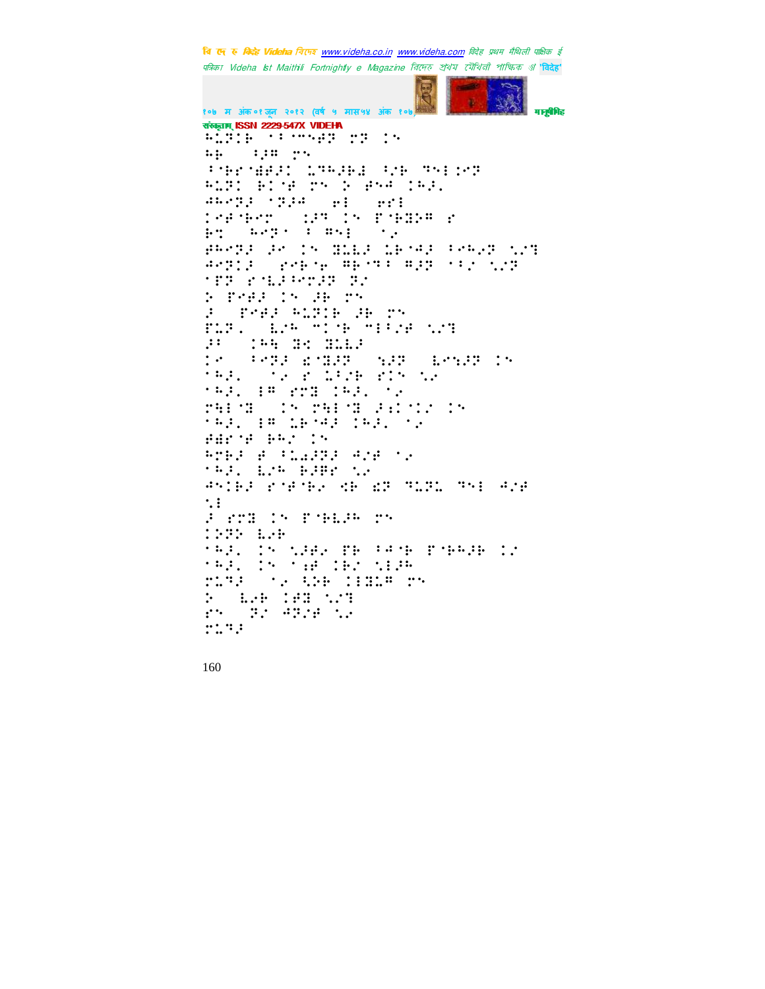

१०७ म अंक०१जून २०१२ (वर्ष ५ मास५४ अंक १० संस्कृतम् ISSN 2229-547X VIDEHA ADD: SPORE 23 15 STRINGER CORPORATION RELIEF<br>ALBITATING THE START IARD **ARPIE (P.P. P. P. P.)** legener (drijk pågde p<br>Broger (født 1988) PROTECTS IN THE SPORT PORT OUT **APPILE COMPANY #BOTE #27 192 127 THE PREPRIET BY** 8 P48 15 8 95 F PHP WINE B TY TLT. APP TITE THINK WIT (144 H: HLLP)  $\mathbf{P}$ : De Perrorument art bear De tel. The platform the \*\*\*: :# : : : : : : : : : : reins (Screinscapping)<br>1992 : Polene (1992-1993) FAR THE BASE IN POBJ 8 PLANNE AND TH **TARE EST REPS TR** ANIEZ KOROEK ME KR JUSI JNE AVE  $\ddots$ S STR IN PORTS TO 1939 L.F TRAVIS SARA PROFESSIONARIST tel, in the 182 nigh **MARK COMMANDER**  $\begin{array}{ll} \mathbb{H} & \mathbb{H}_2\oplus \mathbb{H}_2\oplus \mathbb{H}_2 \oplus \mathbb{H}_2^2\\ \mathbb{H}^2 & \mathbb{H}_2\oplus \mathbb{H}_2\oplus \mathbb{H}_2\oplus \mathbb{H}_2^2 \end{array}$ minus.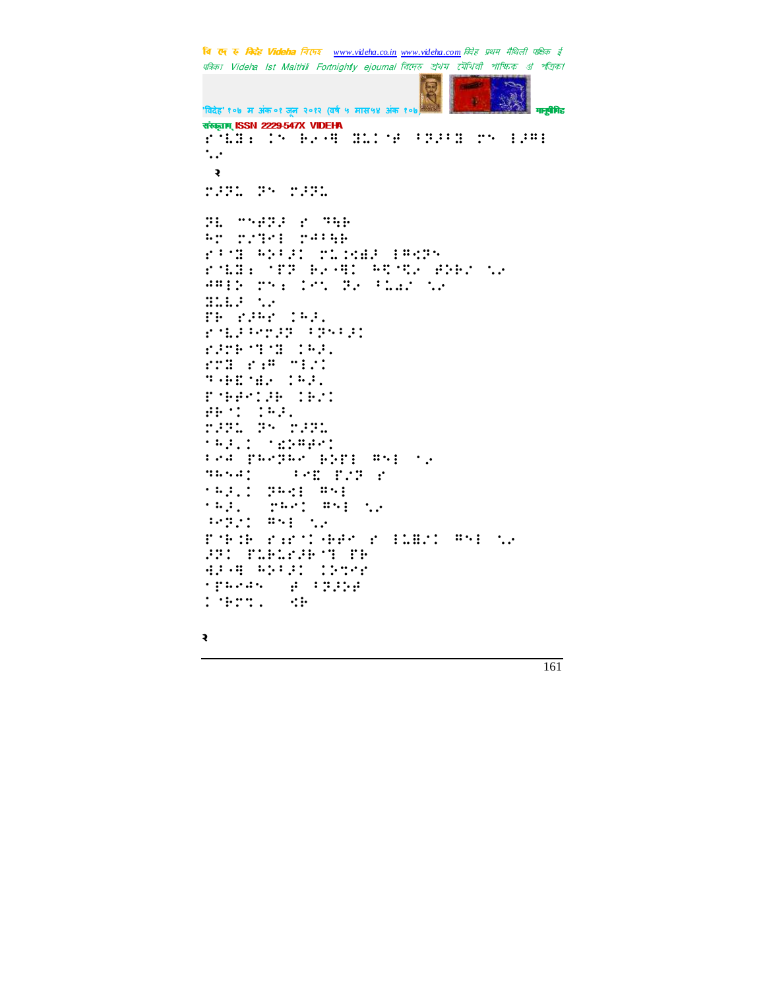**त्रि एन रु क्रिटेह Videha** विएम्ब \_www.videha.co.in\_www.videha.com विदेह प्रथम मैथिली पाक्षिक ई पत्रिका Videha Ist Maithili Fortnightly ejournal রিদেহ প্রথম মৌথিনী পাক্ষিক গ্র পত্রিক। **CONTROL** 'वदेह' १०७ म अंक ०१ जून २०१२ (वष ५ मास५४ अंक १०७) मानुषीिमह संस्कृतम् ISSN 2229-547X VIDEHA  $r$ <sup>1</sup>  $\overline{121}$  :  $1 \times 1000$   $\overline{121}$   $\overline{211}$   $\overline{121}$   $\overline{211}$   $\overline{211}$   $\overline{211}$   $\overline{211}$  $\dddot{\phantom{0}}$ . २ THE TWO THE ∷ …… **WE SENSE SENSE** "⢸⣝!⢳⢵C⢼!⣅⣈⣊⣞⢼!5⢻⣊⢽-! "⣇⣝⣐!2⢽!⢷⢴D⣛!⢳⣋⣋⢴!⢾⢵⢷4!⣁⢴-! **SHIN THE CONSTRAINT OF** ⣝⣅⣇⢼!⣁⢴-! PH 2992 192.  $T$  (1200)  $T$ "⢼⢷⣙⣝!⢳⢼G!@! ::3 ::" "i:: ⢹D⢷⣏⣞⢴!⢳⢼G!@! 2⢷⢾⢼⢷!⢷4-! ⢾⢷!⢳⢼G!@! ⢼⢽⣅!⢽!⢼⢽⣅-! ⢳⢼G!⣎⢵⢻⢾-! C�� Para Bara (1952)<br>C�� Parain (1952) ⢹⢳⢺!!!C⣏!24⢽!"-! ragi pag sa:<br>ragi pag sa: MAD. TAP: BRE NP ⢸⢽4!⢻5!⣁⢴-! 2⢷⣈⢷!"⣐"D⢷⢾!"!5⣅⣟4!⢻5!⣁⢴-!  $\overline{2}$  :  $\overline{2}$  :  $\overline{2}$  :  $\overline{2}$  :  $\overline{2}$  :  $\overline{2}$  :  $\overline{2}$  :  $\overline{2}$ ⣚⢼D⣛!⢳⢵C⢼!⢵⣉"-! 12000 - 2000 - 2000 - 2000 - 2000 - 2000 - 2000 - 2000 - 2000 - 2000 - 2000 - 2000 - 2000 - 2000 - 2000 - 2000  $\Box$ 

२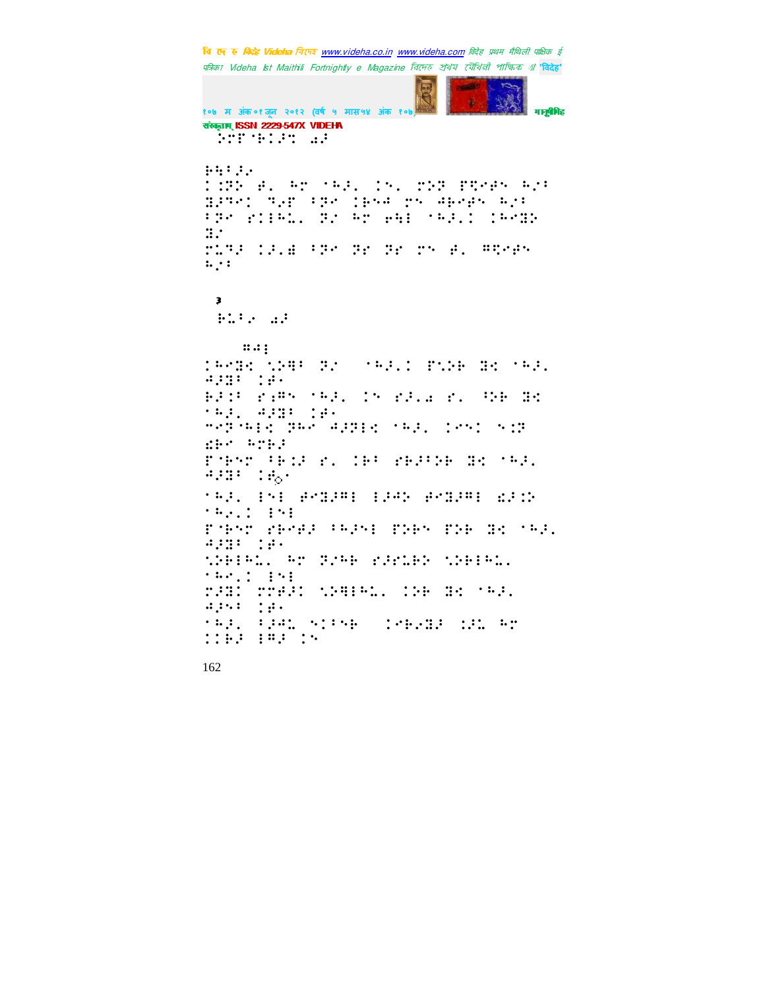```
चि एक रु मिन्हे Videha विएक www.videha.co.in www.videha.com विदेह प्रथम मैथिली पाक्षिक ई
पत्रिका Videha Ist Maithili Fortnightly e Magazine রিদেহ প্রথম মৌথিরী পাক্ষিক রা'বিदेह'
१०७ म अंक ०१जून २०१२ (वष ५ मास५४ अंक १०७) मानुषीिमह 
संस्कृतम् ISSN 2229-547X VIDEHA
 !⢵2⢷⢼⣉!⣔⢼!
⢷⣓C⢼⢴!
⣈⢽⢵!⢾G!⢳!⢳⢼G!G!⢵⢽!2⣋⢾!⢳4C!
⣝⢼⢹!⢹⢴2!C⢽!⢷⢺!!⢺⢷⢾!⢳4C!
CO SUN TE SAN TE SAN SERIES
::⣅⢹⢼!⢼G⣞!C⢽!⢽"!⢽"!!⢾G!⢻⣋⢾!
\ddots:
 ३
 !⢷⣅C⢴!⣔⢼!
    !!!!
1₽0H: 199H: ## O
⢺⢼⣝C!⢾l!
ĐIJE KATO JEST GIZ, IN KATO KATO GIZ
↑WE. GEE GEE
`⢽⢳5⣊!⢽⢳!⢺⢼⢽5⣊!⢳⢼G!!⣈⢽!
⣎⢷!⢳⢷⢼!
2⢷!C⢷⣈⢼!"G!⢷C!"⢷⢼C⢵⢷!⣝⣊!⢳⢼G!
\text{GUE} \rightarrow \text{G}⢳⢼G!55!⢾⣝⢼⢻5!5⢼⢺⢵!⢾⣝⢼⢻5!⣎⢼⣈⢵!
⢳⢴G!55!
PURST PRESS THE 20 UP.
⢺⢼⣝C!⢾l!
⣁⢵⢷5⢳⣅G!⢳!⢽4⢳⢷!"⢼"⣅⢷⢵!⣁⢵⢷5⢳⣅G!
SHAGE (1915)
⢼⣝!⢾⢼!⣁⢵⣛5⢳⣅G!⢵⢷!⣝⣊!⢳⢼G!
⢺⢼C!⢾l!
⢳⢼G!C⢼⢺⣅!C⢷!!⢷⢴⣝⢼!⣈⢼⣅!⢳!
∷: : : : : : : :
```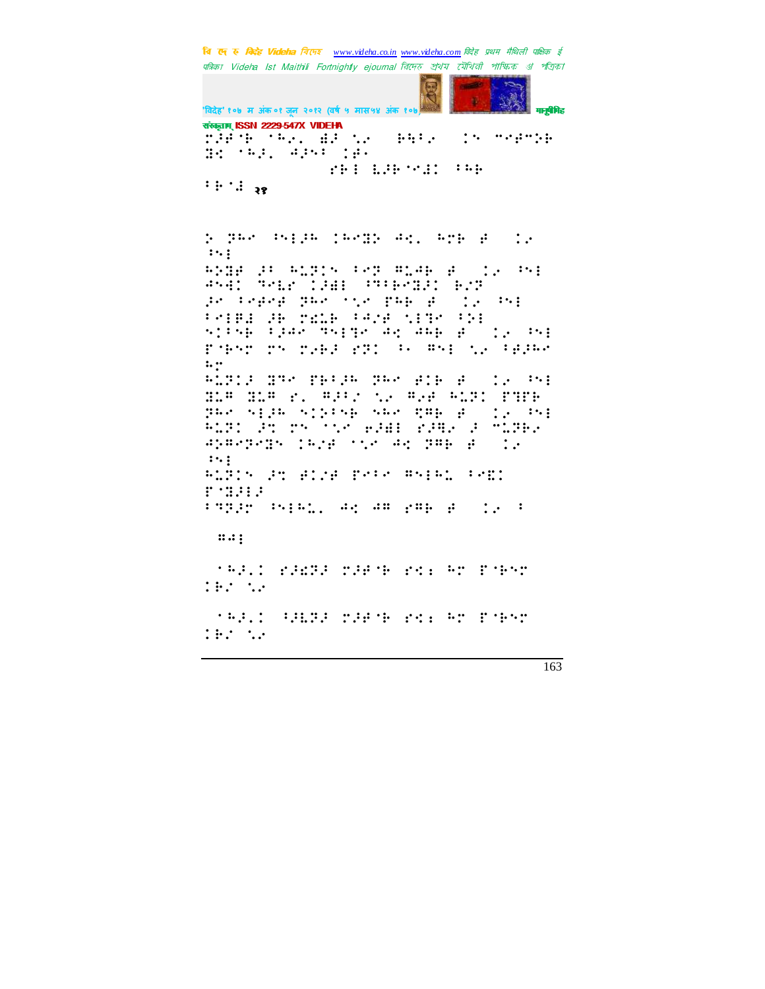बि एक रु क्रिके Videha विरमर www.videha.co.in www.videha.com विदेह प्रथम मैथिली पाक्षिक ई पत्रिका Videha Ist Maithili Fortnightly ejournal রিদেত প্রথম মৌথিনী পাক্ষিক প্রা পত্রিকা **CONTRACT** × 'विदेह' १०७ म अंक ०१ जून २०१२ (वर्ष ५ मास५४ अंक १० मानुबैमिह संस्कृतम् ISSN 2229-547X VIDEHA **BRIDGE IN SPECIE** THE TELL BE TH He that was the **The ESPACE SER**  $\vdots$   $\vdots$   $\vdots$ S PAR PHIN TARBY AR, AME B (1)  $\cdots$  : RNBE 25 RNBIN FRB RNB B (12) PNB ANAI TREP CHAI (MIRRENT RZP)  $\cdots$ protested particle padded (19) PRIBE SHOTELE PATE SITE PDE  $\mathcal{N}_1^2(\mathcal{N}_T^2) = \mathbb{E}\left[\mathcal{I}^{21} \mathcal{N}^{21} \mathcal{N}^{21} \mathcal{N}^{21} \mathcal{N}^{21} \mathcal{N}^{21} \mathcal{N}^{21} \mathcal{N}^{21} \mathcal{N}^{21} \mathcal{N}^{21} \mathcal{N}^{21} \mathcal{N}^{21} \mathcal{N}^{21} \mathcal{N}^{21} \mathcal{N}^{21} \mathcal{N}^{21} \mathcal{N}^{21} \mathcal{N}^{21} \mathcal{N}^{21} \mathcal$ FORT TH THE STI IN WHE AR PEING  $\mathbf{L}$  : ALTIC OVERFIELD THE SIDE SEATS ON HAR HAR F. REPORTS REPORTS FILE PROSECUTIVE STATES SECTION FOR STATES ROBI STORY TO PANE RABY A MORE **ANAMPARK CAMB STATE ARTIFUL CAM**  $\cdots$ andra de arra pele maian legon r mara FREED PHEAD, AS AN PHEAD (2003)  $\ldots$ **MARIO REATE TERME POR AT TMAT** 192002 **TAGLI SHERE THESE PER AT PSPT** TER NE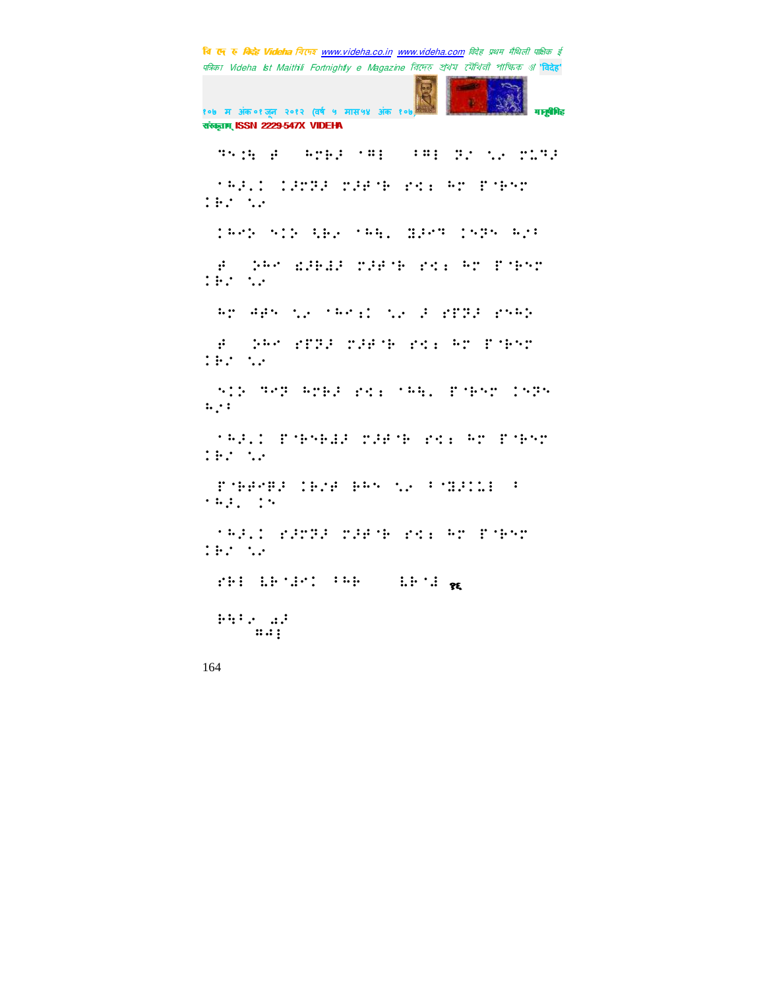१०७ म अंक ०१जून २०१२ (वष ५ मास५४ अंक १०७) मानुषीिमह संस्कृतम् ISSN 2229-547X VIDEHA !⢹⣈⣓!⢾(!⢳⢷⢼!⢻5.!C⢻5!⢽4!⣁⢴!⣅⢹⢼!! !⢳⢼G!⢼⢽⢼!⢼⢾⢷!"⣊⣐!⢳!2⢷!  $1911 - 141$ !⢳⢵!⢵!⣃⢷⢴!⢳⣓G!⣝⢼⢹!⢽!⢳4C!! !⢾(!⢵⢳!⣎⢼⢷⣜⢼!⢼⢾⢷!"⣊⣐!⢳!2⢷!  $: + : +$ ! Ar 49 (1) ^40 (1) 10 (2) 2000 2040 !⢾(!⢵⢳!"2⢽⢼!⢼⢾⢷!"⣊⣐!⢳!2⢷!  $1911 - 1911$ !⢵!⢹⢽!⢳⢷⢼!"⣊⣐!⢳⣓G!2⢷!⢽!  $\ddot{L}$   $\ddot{L}$  : !⢳⢼G!2⢷⢷⣜⢼!⢼⢾⢷!"⣊⣐!⢳!2⢷!  $\frac{1}{2}$ !2⢷⢾⢿⢼!⢷4⢾!⢷⢳!⣁⢴!C⣝⢼⣅5!⢸(! ⢳⢼G!! !⢳⢼G!"⢼⢽⢼!⢼⢾⢷!"⣊⣐!⢳!2⢷!  $14.4 \div 14.4$ !" THE LETIMAL PRESS LETTER !⢷⣓C⢴!⣔⢼!! !!!!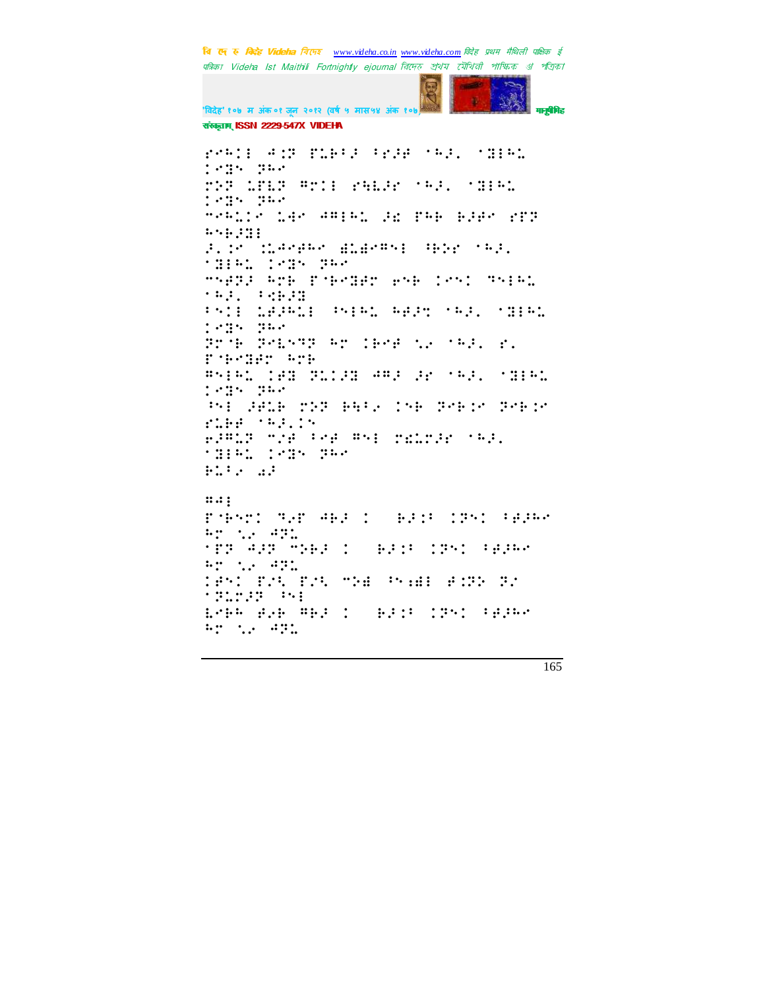वि एक रु मिनेह Videha विएम्ब www.videha.co.in www.videha.com विदेह प्रथम मैथिली पाक्षिक ई पत्रिका Videha Ist Maithili Fortnightly ejournal রিদেত প্রথম মৌথিনী পাক্ষিক প্রা পত্রিকা

'विदेह' १०७ म अंक ०१ जून २०१२ (वर्ष ५ मास५४ अंक संस्कृतम् ISSN 2229-547X VIDEHA

reach and field crew say, shiel 1935-348 THE LEAF WILE FALLE THE TIEN teds dae meanie nae amian de Paa Bdae err  $1.44.131$ S. 20 MARGAR BLERAGE SHEET MAS. \*HBL 18H8 HR MARRE AND POD-SEN PAD CRAIN SAID.  $542.34822$ PRIE MARGI PRING AART (AR. (MIAM peda par Professor and Head to the St. reading again #5161 193 PLIPS ##2 28 SA2, SSIAL Denne par PH JALE TOT BALK INF THEIM THEIM ries (ABLIS) BRANCH MORE PRESENTED MARI  $H^1$   $H^2$   $H^2$   $H^2$   $H^2$  $\ldots$ PORTE THE ARE IS BEING ITSI FRIGHT Pr th 931 **TER APP MODEL I (BPIF IPMI FRIGHT April 2019 4312** TAND TON TON MOB PRESENTENT 131233 991 End also may : also crypt again  $42.747 \pm 0.0001$ 

165

मानुबेमिह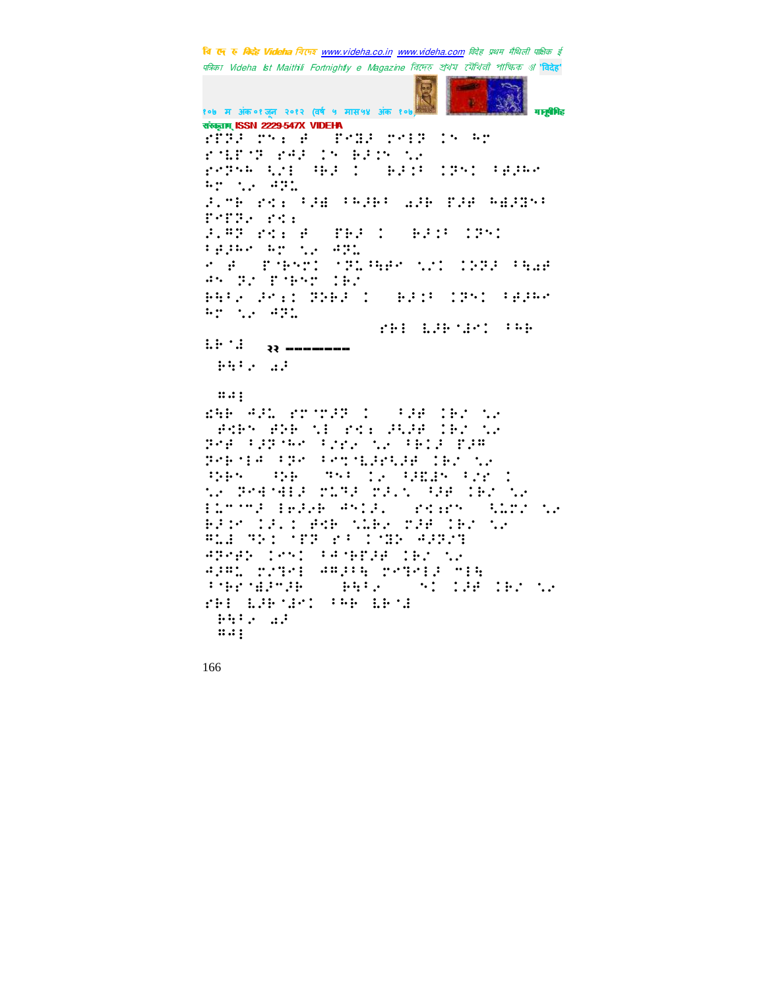**Service** 

मानुबेगिह १०७ म अंक०१ जून २०१२ (वर्ष ५ मास५४ अंक १०७) संस्कृतम् ISSN 2229-547X VIDEHA rPRA ry: A (Programmer in Ar FARM FAR IN BRINGE report (2) He (2) Bridge (20) (800- $42.11 + 431.$ F.MR 2011 FRA FRIDE AND TID RAINSE PAPPA POI APP POSSES THAT IS HARD CTM. 1836-57 N. ST. s a chrash raimas who caachaan<br>Ascar hash chr BATA SPAIL PRES 1 (BSIF 1951) FEST  $47.711$   $431.7$ rB: MB-MP: PBB  $\mathbf{a} \mathbf{b}$  $22 - 1 - 1$ **Sharp School**  $\ldots$ : SHE ARD STORE I (188 IB) NA GREN BREAK SONG PUBLIES IN Pre (1955) (2011) 12-1812 FPR President Production (B) (B) (2)  $\mathbf{F}_1^{\mathbf{F}_2}$  is the set of  $\mathbf{F}_2^{\mathbf{F}_3}$  is the set of  $\mathbf{F}_3^{\mathbf{F}_4}$  is the set of  $\mathbf{F}_4$ **THE LE HEEN PART** th Premera play pair age incorn Himshi Helek Andlu (Sharn) Airbore BACK CALC BEB SLB2 2AB CB2 S2 BLE BET THE PROGRESS ARREST APARTICAL PANEZE IES NA APROVING ARPIA MATHEMATH PARTNERS AND STORE IN TH FB: LABOARD (BB LBOA **Share all**  $\ldots$  :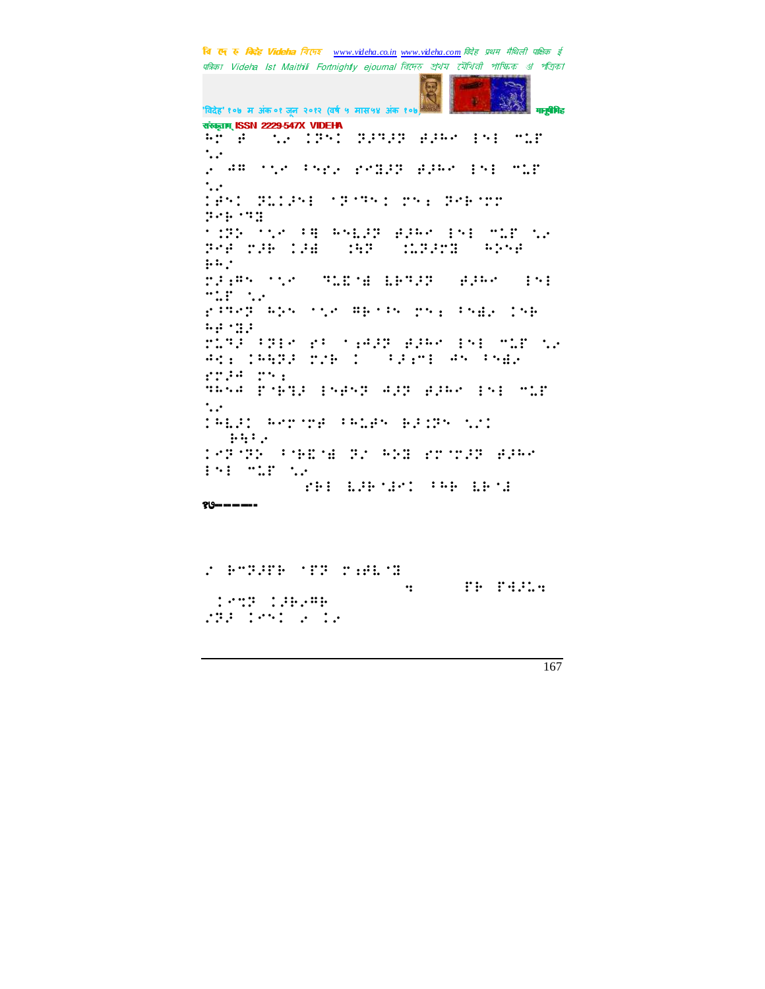**त्रि एन रु क्रिटेह Videha** विएम्ब \_www.videha.co.in\_www.videha.com विदेह प्रथम मैथिली पाक्षिक ई पत्रिका Videha Ist Maithili Fortnightly ejournal রিদেহ প্রথম মৌথিনী পাক্ষিক গ্র পত্রিক।

**CONTRACT** 

```
x
'विदेह' १०७ म अंक ०१ जून २०१२ (वर्ष ५ मास५४ अंक १०७) मानुसीर के सामुवी मिट
संस्कृतम् ISSN 2229-547X VIDEHA
⢳!⢾(!⣁⢴!⢽!⢽⢼⢹⢼⢽!⢾⢼⢳!55!`⣅2!
\dddot{\phantom{2}}^{\circ} ^{\circ} ^{\circ} ^{\circ} ^{\circ} ^{\circ} ^{\circ} ^{\circ} ^{\circ} ^{\circ} ^{\circ} ^{\circ} ^{\circ} ^{\circ} ^{\circ} ^{\circ} ^{\circ} ^{\circ} ^{\circ} ^{\circ} ^{\circ} ^{\circ} ^{\circ} ^{\circ} ^{\circ} ^{\circ} ^{\circ} ^{\circ} ^{\circ} ^{\circ} ^{\circ} ^{\circ}\dddot{\phantom{0}}.
1991 Think is the state of 1991⢽⢷⢹⣝!!
 ↑ 195 | 153 | 141 | 142 | 142 | 143 | 143 | 143 | 143 | 143<br>|Pre | 144 | 144 | 1542 | 1612-161 | 1455-1
\overline{P} \overline{C} \overline{P} \overline{C} \overline{C} \overline{C} \overline{C} \overline{C} \overline{C} \overline{C} \overline{C} \overline{C} \overline{C} \overline{C} \overline{C} \overline{C} \overline{C} \overline{C} \overline{C} \overline{C} \overline{C} \overline{C} \overline{C} \overline{C} \overline{C\vdots⢼⣐⢻!⣁!!⢹⣅⣏⣞!⣇⢷⢹⢼⢽!!⢾⢼⢳!!55!
`⣅2!⣁⢴!
^{\circ} ^{\circ} = ^{\circ} = ^{\circ} = ^{\circ} ^{\circ} ^{\circ} ^{\circ} = ^{\circ} ^{\circ} ^{\circ} = ^{\circ} ^{\circ} = ^{\circ} ^{\circ} = ^{\circ} ^{\circ} = ^{\circ} ^{\circ} = ^{\circ} ^{\circ} = ^{\circ} ^{\circ} = ^{\circ} = ^{\circ} ^{\circ} = ^{\circ} = ^{\circ}\mathbf{H} \mathbf{H} : \mathbf{H} : \mathbf{H}⣅⢹⢼!C⢽5!"C!⣐⢺⢼⢽!⢾⢼⢳!55!`⣅2!⣁⢴!!
⢺⣊⣐!⢳⣓⢽⢼!4⢷!(!C⢼⣐`5!⢺!C⣞⢴!
: : : : : : : : :
⢹⢳⢺!2⢷⣙⢼!5⢾⢽!⢺⢼⢽!⢾⢼⢳!55!`⣅2!
 \dddot{\bullet}.
 ⢳⣇⢼!⢳⢾!C⢳⣅⢾!⢷⢼⣈⢽!⣁4!
      (., . . , .)⢽⢽⢵!⢸⢷⣏⣞!⢽4!⢳⢵⣝!"⢼⢽!⢾⢼⢳!
55!`⣅2!⣁⢴!
                               ........"⢷5!⣇⢼⢷⣜!C⢳⢷!⣇⢷⣜!..
१७-- -- -- --- -
4 : 4 1 : 4 1 : 4 1 : 4 1 : 4 1 : 4 1 : 4 1 : 4 1 : 4 1 : 4 1 : 4 1 : 4 1 : 4 1 : 4 1 : 4 1 : 4 1 : 4 1 : 4 1 : 4 1 : 4 1 : 4 1 : 4 1 : 4 1 : 4 1 : 4 1 : 4 1 : 4 1 : 
                                                              hhbkfoesbAwjefib⣒dpn!2⢷!2⣚⢼⣅⣒!!
   !⣉⢽!⢼⢷⢴⢻⢷!
```
4994 (49) 1994 (49) 1994 (49) 1994 (49) 1994 (49) 1994 (49) 1994 (49) 1994 (49) 1994 (49) 1994 (49) 1994 (49)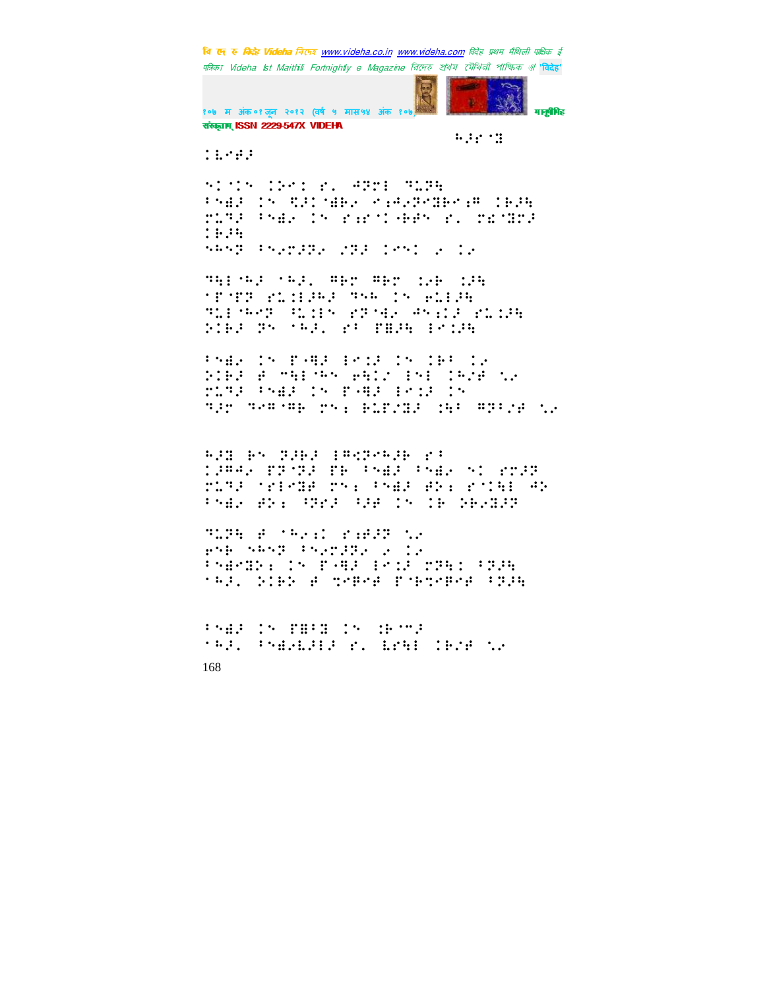**CONTRACTOR**  $\mathcal{R}$ १०७ म अंक०१जून २०१२ (वर्ष ५ मास५४ अंक १०७ मानुबेगिह संस्कृतम् ISSN 2229-547X VIDEHA

 $4.33 - 3$ 

 $11.997$ 

**SIMPS IPMI R. APPI TEPH** PARE IN THINGE, SAPPATESAR IRIB ring they in raroigen ri recent  $: 1: 1: 1$ SPSP PSPIER PER COST POIR

**MAINAZ (RA) MPT MPT 128 128 TEMPE PLIERE THE IN BLERE** THE SEP SENES PROFESSION PLICE **NIES TA MAS, PROTESTING EMISSION** 

President Poes (Polsco) de los biês à marchy and the component TERPORTE IN PART POINTS SPECTABLE THE BIDDED INFORMATION

**AND BY THE IMMEDIATE TARAY BOYON BE PREP PREP NO STAR** ring offers resoluted are rough an **PARK BY: PRIP RESIDENT IN SECRIP** 

TIPE # 'Pail radio's PSE SEST PSOTIE 2012 PARAGE IN FAGE FAIR TERI FERE **TRACKIER & SPREAD PORTREAD PRAG** 

PARK IN THE IN SECTION **TRACTMENTAL P. EMBE IRTH NA** 168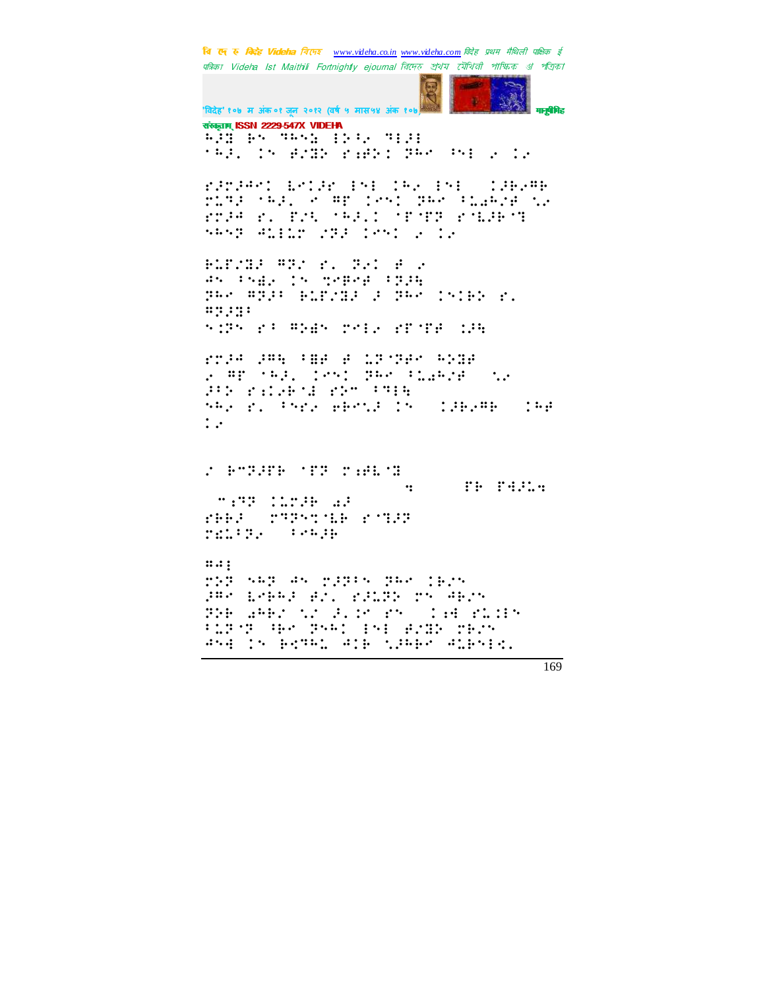**त्रि एन रु क्रिटेह Videha** विएम्ब \_www.videha.co.in\_www.videha.com विदेह प्रथम मैथिली पाक्षिक ई पत्रिका Videha Ist Maithili Fortnightly ejournal রিদেহ প্রথম মৌথিনী পাক্ষিক গ্র পত্রিক।

'विदेह' १०७ म अंक ०१ जून २०१२ (वर्ष ५ मास५४ अंक १०७) मानुसीर के सामुवी मिट संस्कृतम् ISSN 2229-547X VIDEHA **WEST : 500 SET OF STREET**  $^+$  GeV  $^+$  GeV  $^+$  GeV  $^+$  (Sec. )  $^+$  (Sec. )  $^+$  (Sec. )  $^+$  (Sec. )  $^+$  (Sec. )  $^+$  (Sec. )  $^+$  (Sec. )  $^+$  (Sec. )  $^+$  (Sec. )  $^+$  (Sec. )  $^+$  (Sec. )  $^+$  (Sec. )  $^+$  (Sec. )  $^+$  (Sec. )  $^+$  (Sec. ) "⢼⢼⢺!⣇⢼"!55!⢳⢴!55!#⢼⢷⢴⢻⢷#!! ⣅⢹⢼!⢳⢼G!!⢻2!!⢽⢳!C⣅⣔⢳4⢾!⣁⢴!! "⢼⢺!"G!24⣃!⢳⢼G!22⢽!"⣇⢼⢷⣙!! ⢳⢽!⢺⣅5⣅!4⢽⢼!!⢴!⢴!@! ⢷⣅24⣝⢼!⢻⢽4!"G!⢽⢴!⢾!⢴!! GS (CQ) 25 TO 2000 (CO) THE WELL PLATFORM OF THE SET ⢻⢽⢼⣝C!  $^{\prime}$  : The set of the set of the set of the set of the set of the set of the set of the set of the set of the set of the set of the set of the set of the set of the set of the set of the set of the set of the set of the "⢼⢺!⢼⢻⣓!C⣟⢾!⢾!⣅⢽⢽⢾!⢳⢵⣝⢾!!  $\mu$  and the control of the control of the control of the control of the control of the control of the control of the control of the control of the control of the control of the control of the control of the control of the  $\mathcal{G}(\mathcal{V})$  and  $\mathcal{G}(\mathcal{V})$  and  $\mathcal{G}(\mathcal{V})$  and  $\mathcal{G}(\mathcal{V})$ ⢳⢴!"G!C"⢴!⢶⢷⣁⢼!!#⢼⢷⢴⢻⢷#!⢳⢾!  $\ddot{\cdot}$   $\ddot{\cdot}$ 4!⢷`⢽⢼2⢷!2⢽!⣐⢾⣇⣝! hekhoesbawjefiberialen.<br>Die beskip is die beskip die beskip die beskip die beskip die beskip die beskip die beskip die beskip die besk<br>Die beskip die beskip die beskip die beskip die beskip die beskip die beskip die beskip !`⣐⢹⢽!⣅⢼⢷!⣔⢼! "⢷⢷⢼-!⢹⢽⣉⣇⢷!"⣙⢼⢽! ⣎⣅C⢽⢴-!C⢳⢼⢷! ⢻⢺5.2!  $^{+12.7}_{-12.7}$   $^{+13.7}_{-12.7}$   $^{+14.7}_{-12.7}$   $^{+16.7}_{-12.7}$  $^{\mu\nu}$  (Express)  $^{\mu}$  (C)  $^{\mu}$  (C)  $^{\mu}$  (C)  $^{\mu}$  (C)  $^{\mu}$  (C)  $^{\mu}$  (C)  $^{\mu}$ BH WHAT AN ALON PROVINCE Change in the second second second second second second second second second second second second second second ⢺⣚!!⢷⣊⢹⢳⣅!⢺⢷!⣁⢼⢳⢷!⢺⣅⢷5⣊G!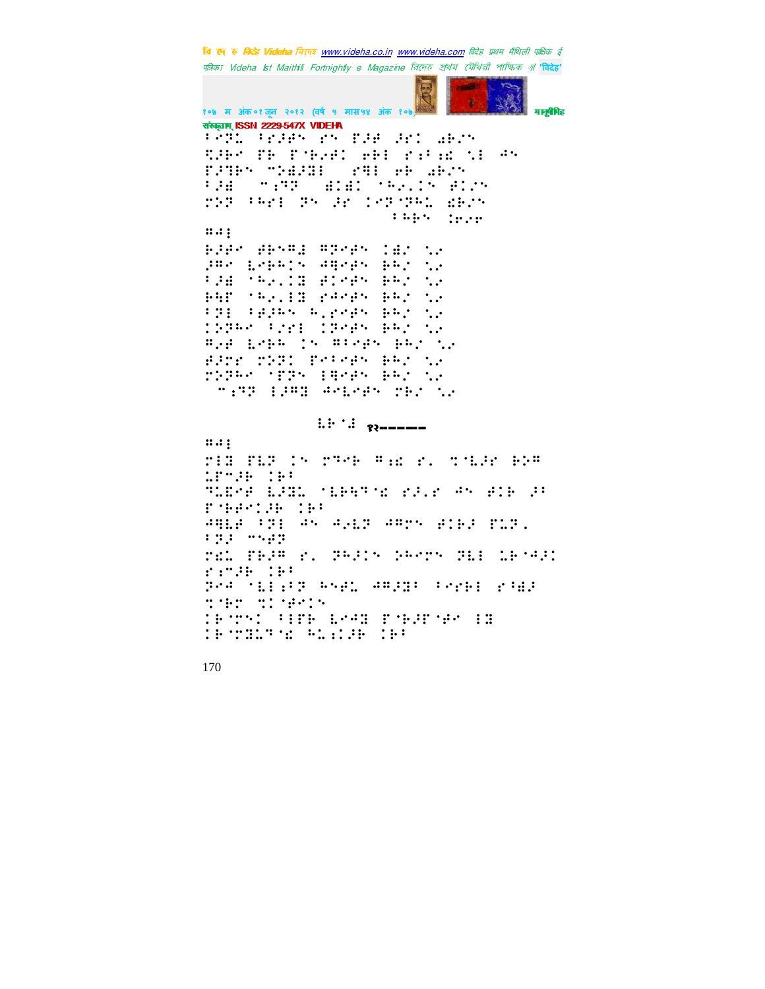

संस्कृतम् ISSN 2229-547X VIDEHA CONDUCT CONTROL CONTROL ⣋⢼⢷!2⢷!2⢷⢴⢾-⢶⢷5!"⣐C⣐⣎!⣁5!⢺! 2⢼⣙⢷!`⢵⣞⢼⣝5-!"⣛5!⢶⢷!⣔⢷4! C⢼⣞!(`⣐⢹⢽(!⣞⣞!⢳⢴G!⢾4!  $T57$  (Ferry 5-0  $T57$  )  $T57$   $T59$   $T59$ 3233.3323.32330C⢳⢷.⣈⢶⢴⢶!  $...;$ ⢷⢼⢾!⢾⢷⢻⣜!⢻⢽⢾!⣞4!⣁⢴!

⢼⢻!⣇⢷⢳!⢺⣛⢾!⢷⢳4!⣁⢴! COLLECT CONTROL CONTROL PHP 'P&SIE PRPPP PRP'S COST CONTROL CONTROL CONTROL CONTROL 105967 PHZ 50591 DEC Bee iste 'n Broek een ne ⢾⢼"!⢵⢽!2C⢾!⢷⢳4!⣁⢴!  $\overline{1525}$   $\overline{175}$   $\overline{185}$   $\overline{187}$   $\overline{187}$   $\overline{187}$   $\overline{187}$ #`⣐⢹⢽#5⢼⢻⣝!⢺⣇⢾!⢷4!⣁⢴!

## $\therefore$   $\therefore$   $\Omega$ ------

 $...;$ THE FLE IN THE FREE CONTROL TO  $L2^{\prime\prime}$ .28  $L2^{\prime\prime}$ ⢹⣅⣏⢾!⣇⢼⣝⣅!⣇⢷⣓⢹⣎!"⢼G"!⢺!⢾⢷!⢼C! 2⢷⢾⢼⢷!⢷C! ⢺⣛⣇⢾!C⢽5!⢺!⢺⢴⣇⢽!⢺⢻!⢾⢷⢼!2⣅⢽⣀! CHI ... TEL TRAP E. TRAPH SPEED IN MAD  $f: "JH \to TH$ ⢽⢺!⣇5⣐C⢽!⢳⢾⣅!⢺⢻⢼⣝C!C"⢷5!"⢸⣞⢼! ⣉⢷.⣉⢾!  $[15.225]$  (Figs. )  $[16.25]$  (Figs. )  $[16.25]$  (Figs. )  $[16.25]$  $\overline{H}$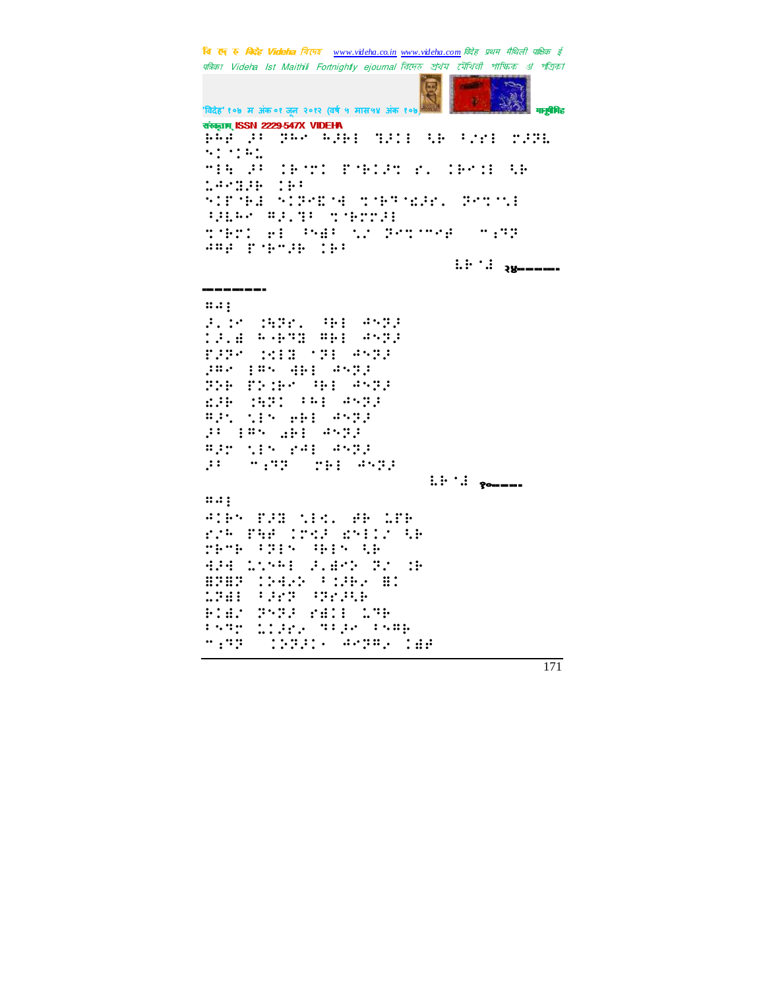**त्रि एन रु क्रिटेह Videha** विएम्ब \_www.videha.co.in\_www.videha.com विदेह प्रथम मैथिली पाक्षिक ई पत्रिका Videha Ist Maithili Fortnightly ejournal রিদেহ প্রথম মৌথিনী পাক্ষিক গ্র পত্রিক।

**CONTROL** 

'विदेह' १०७ म अंक ०१ जून २०१२ (वर्ष ५ मास५४ अंक १०७) मानुसीर के सामुवी मिट संस्कृतम् ISSN 2229-547X VIDEHA ₿Ĥ@ }} {{P}} A.Q6! NOTE {{P}} {{P}} {{P}}} ⢳⣅!! `5⣓!⢼C!⢷!2⢷⢼⣉!"G!⢷⣈5!⣃⢷! ⣅⢺⣝⢼⢷!⢷C! 2⢷⣜!⢽⣏⣚!⣉⢷⢹⣎⢼"G!⢽⣉⣁5! ⢸⢼⣇⢳!⢻⢼G⣙C!⣉⢷⢼5!! ⣉⢷!⢶5!⢸⣞C!⣁4!⢽⣉`⢾!#`⣐⢹⢽#!  $\ldots$  $\therefore$   $\frac{1}{2}$ . --- -- -- --- -- -- - ⢻⢺5.5!  $G$ . Go (998) G. Go (998)  $\ldots$  S  $\ldots$  D  $\ldots$  D  $\ldots$ 2⢼⢽!⣈⣊5⣝!⢽5!⢺⢽⢼! ⢼⢻!5⢻!⣚⢷5!⢺⢽⢼!! ⢽⢵⢷!2⢵⣈⢷!⢸⢷5!⢺⢽⢼! ⣎⢼⢷!⣈⣓⢽!C⢳5!⢺⢽⢼! ⢻⢼⣁!⣁5!⢶⢷5!⢺⢽⢼! :  $10\%$   $15\%$   $15\%$ ⢻⢼!⣁5!"⢺5!⢺⢽⢼!  $\mathcal{G}$  : the state of the state of the state of the state of the state of the state of the state of the state of  $323338333$  $::.:$ ⢺⢷!2⢼⣝!⣁5⣊G!⢾⢷.⣅2⢷! 104 THE 1242 SMILL ARE  $^{\prime\prime}$  : File in the state of  $^{\prime\prime}$ ⣚⢼⣚!⣅⣁⢳5!⢼G⣞⢵!⢽4!⣈⢷!! ⊞PHP (1942) P1962 B: ⣅⢽⣞5!C⢼"⢽!⢸⢽"⢼⣃⢷!! HINE THE STR CARD CONSERVATION CONSERVATION `⣐⢹⢽(!⢵⢽⢼l!⢺⢽⢻⢴!⣞⢾!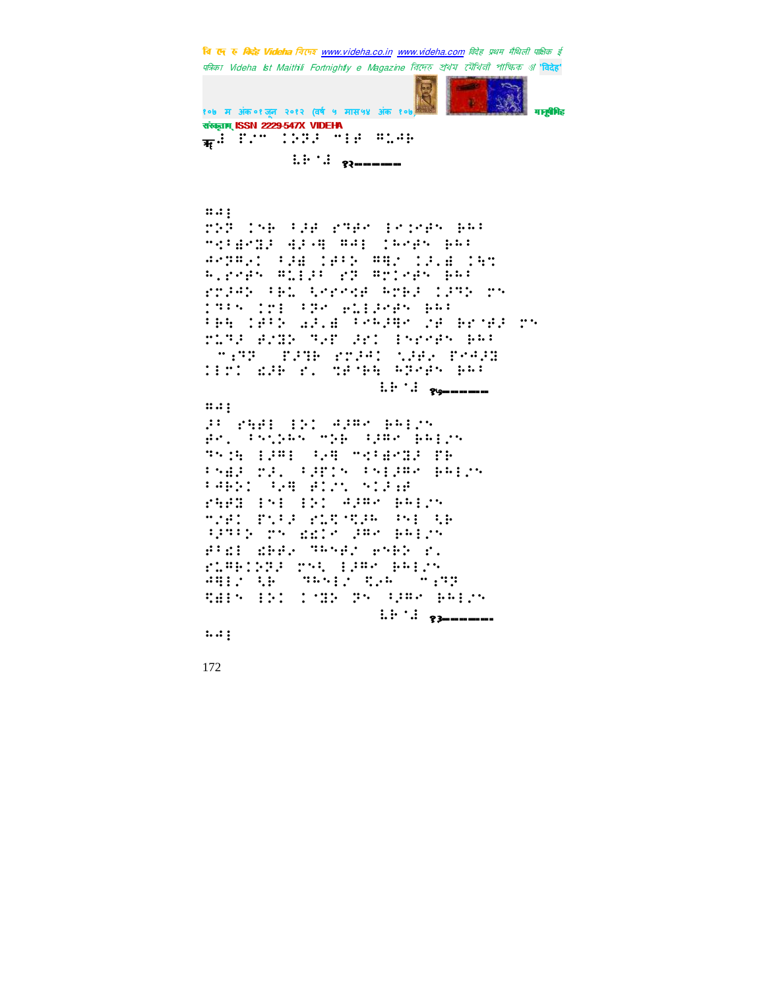172

 $...$ :

 $\ldots$ 

⢾G!C⣁⢵⢳!`⢵⢷!⢸⢼⢻!⢷⢳54! SHILF SHE SHE SHE SHE Códa rai carto consegue estro C "⣓⢾⣝!55!5⢵!⢺⢼⢻!⢷⢳54!  $^{\prime\prime}$  . The state of the state  $^{\prime\prime}$ **COUNTY SERVICE**  $H$ File she which  $\mathbf{r}$ "⣅⢻⢷⢵⢽⢼!⣃!5⢼⢻!⢷⢳54! ⢺⣛54!⣃⢷-!⢹⢳54!⣋⢴⢳!#`⣐⢹⢽#! SHIN 101 (195 39 39 39 30 30 30 30 ..............⣇⢷⣜.१३-- -- -- --- -- -

 $\vdots$   $\vdots$   $\vdots$   $\vdots$   $\vdots$   $\vdots$   $\vdots$ 

 $\therefore$  :  $\frac{1}{2}$   $\frac{1}{2}$   $\frac{1}{2}$   $\frac{1}{2}$   $\frac{1}{2}$   $\frac{1}{2}$   $\frac{1}{2}$   $\frac{1}{2}$   $\frac{1}{2}$   $\frac{1}{2}$   $\frac{1}{2}$   $\frac{1}{2}$   $\frac{1}{2}$   $\frac{1}{2}$   $\frac{1}{2}$   $\frac{1}{2}$   $\frac{1}{2}$   $\frac{1}{2}$   $\frac{1}{2}$   $\frac{1}{2}$   $\frac{1}{2}$   $\frac$ 

 $\ldots;$ THE THE PERSON CONTROL  $"C$ ⢺⢽⢻⢴!C⢼⣞!⢾C⢵!⢻⣛4!⢼G⣞.⣓⣉!  $E$ , grads while  $F$  and  $F$   $F$   $F$   $F$   $F$   $F$   $F$   $F$ "⢼⢺⢵!C⢷⣅!⣃"⣊⢾!⢳⢷⢼!⢼⢹⢵!!  $[5155, 121]$  (25)  $[611, 61]$ THE CHIN ANAL PREPROTE BETH 20 ⣅⢹⢼!⢾4⣝⢵!⢹⢴2!⢼"!5"⢾!⢷⢳C! (`⣐⢹⢽(!2⢼⣙⢷!"⢼⢺!⣁⢼⢾⢴!2⢺⢼⣝! 5!⣎⢼⢷!"G!⣉⢾⢷⣓!⢳⢽⢾!⢷⢳C!

१०७ म अंक ०१जून २०१२ (वष ५ मास५४ अंक १०७) मानुषीिमह संस्कृतम् ISSN 2229-547X VIDEHA <sub>₩</sub>å`r:" 1093 ™ie #146  $\therefore$   $\therefore$   $\aleph$ ------



चि एक रु मिन्हे Videha विएक www.videha.co.in www.videha.com विदेह प्रथम मैथिली पाक्षिक ई पत्रिका Videha Ist Maithili Fortnightly e Magazine রিদেহ প্রথম মৌথিরী পাক্ষিক রা'**বিदेह'**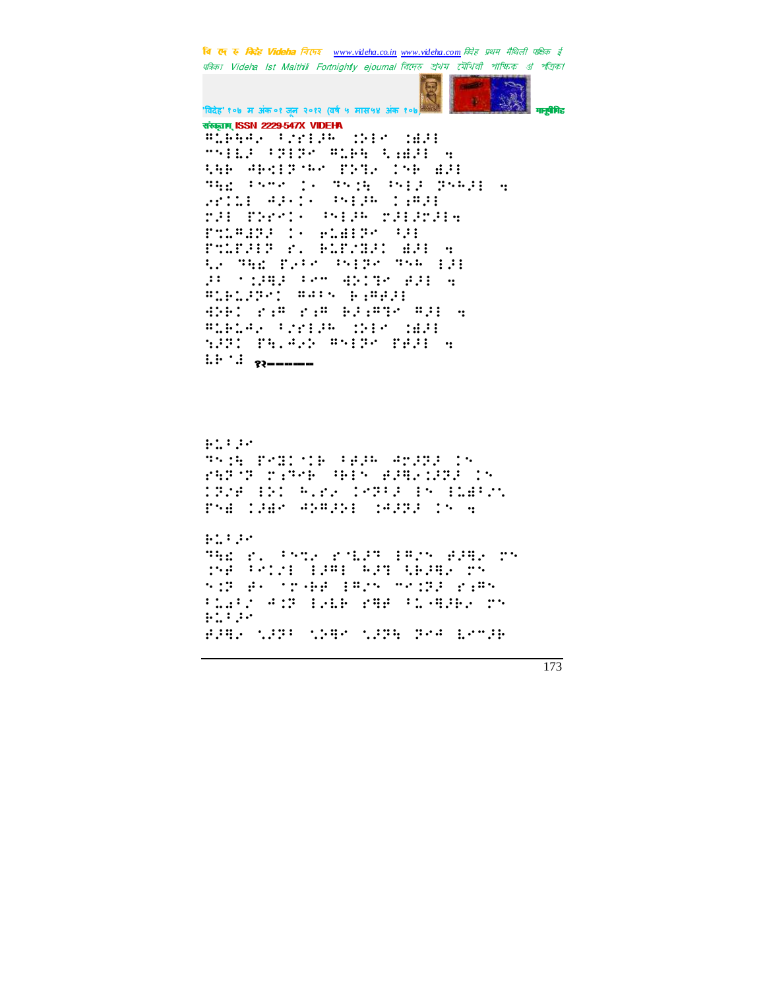**त्रि एन रु क्रिटेह Videha** विएम्ब \_www.videha.co.in\_www.videha.com विदेह प्रथम मैथिली पाक्षिक ई पत्रिका Videha Ist Maithili Fortnightly ejournal রিদেহ প্রথম মৌথিনী পাক্ষিক গ্র পত্রিক।

'वदेह' १०७ म अंक ०१ जून २०१२ (वष ५ मास५४ अंक १०७) मानुषीिमह



संस्कृतम् ISSN 2229-547X VIDEHA ⢻⣅⢷⣓⢺⢴!C4"5⢼⢳!⣈⢵5!⣈⣞⢼5! `5⣇⢼!C⢽5⢽!⢻⣅⢷⣓!⣃⣐⣞⢼5!⣒!! **WEB 200 SERVER STREET** ⢹⣓⣎!C`!l!⢹⣈⣓!⢸5⢼!⢽⢳⢼5!⣒! ,  $\vdots$   $\vdots$   $\vdots$   $\vdots$   $\vdots$   $\vdots$   $\vdots$   $\vdots$   $\vdots$   $\vdots$   $\vdots$   $\vdots$   $\vdots$   $\vdots$   $\vdots$   $\vdots$   $\vdots$   $\vdots$   $\vdots$   $\vdots$   $\vdots$   $\vdots$   $\vdots$   $\vdots$   $\vdots$   $\vdots$   $\vdots$   $\vdots$   $\vdots$   $\vdots$   $\vdots$   $\vdots$   $\vdots$   $\vdots$   $\vdots$   $\vdots$   $\$  $5.31$   $1.31$   $1.31$   $1.31$   $1.31$   $1.31$   $1.31$   $1.31$   $1.31$   $1.31$   $1.31$   $1.31$   $1.31$   $1.31$   $1.31$   $1.31$   $1.31$   $1.31$   $1.31$   $1.31$   $1.31$   $1.31$   $1.31$   $1.31$   $1.31$   $1.31$   $1.31$   $1.31$   $1.31$   $1.31$   $1.31$   $1.31$ 2⣉⣅⢻⣜⢽⢼!l!⢶⣅⣞5⢽!⢸⢼5! 2⣉⣅2⢼5⢽!"G!⢷⣅24⣝⢼!⣞⢼5!⣒! ⣃⢴.⢹⣓⣎!2⢴C!⢸5⢽!⢹⢳!5⢼5!  $H$  C  $\cdot$   $H$ ⢻⣅⢷⣅⢼⢽!⢻⢺C!⢷⣐⢻⢾⢼5! ⣚⢵⢷!"⣐⢻."⣐⢻!⢷⢼⣐⢻⣙!⢻⢼5!⣒! ⢻⣅⢷⣅⢺⢴!C4"5⢼⢳!⣈⢵5!⣈⣞⢼5!  $^{\circ}$ SHI! PRISO ESING ESING ESING ESING ESING ESING ESING ESING ESING ESING ESING ESING ESING ESING ESING ESI  $::$ .<br> $::$   $_{\alpha}$ 

⢷⣅C⢼.2! ⢽4⢾!5⢵!⢳G"⢴!⢽C⢼!5!5⣅⣞C4⣁! ⢷⣅C⢼.3!

 $\overline{2}$   $\overline{2}$   $\overline{2}$   $\overline{2}$   $\overline{2}$   $\overline{2}$   $\overline{2}$   $\overline{2}$   $\overline{2}$   $\overline{2}$   $\overline{2}$   $\overline{2}$   $\overline{2}$   $\overline{2}$   $\overline{2}$   $\overline{2}$   $\overline{2}$   $\overline{2}$   $\overline{2}$   $\overline{2}$   $\overline{2}$   $\overline{2}$   $\overline{2}$   $\overline{2}$   $\overline{2$ "⣓⢽⢽!⣐⢹⢷!⢸⢷5!⢾⢼⣛⢴⣈⢼⢽⢼!!

2⣞!⢼⣞!⢺⢵⢻⢼⢵5!⣈⢺⢼⢽⢼!!⣒!

⣈⢽!⢾l!D⢷⢾!5⢻4!`⣈⢽⢼!"⣐⢻! C⣅⣔C4!⢺⣈⢽!5⢴⣇⢷!"⣛⢾!C⣅D⣛⢼⢷⢴!!

⢾⢼⣛⢴!⣁⢼⢽C!⣁⢵⣛!⣁⢼⢽⣓!⢽⢺!⣇`⢼⢷!!

⢷⣅C⢼.4!

HE PASSES TO CONSIDER THE STATE OF THE STATE OF THE STATE OF THE STATE OF THE STATE OF THE STATE OF THE STATE O ⣈⢾!C45!5⢼⢻5!⢳⢼⣙!⣃⢷⢼⣛⢴!!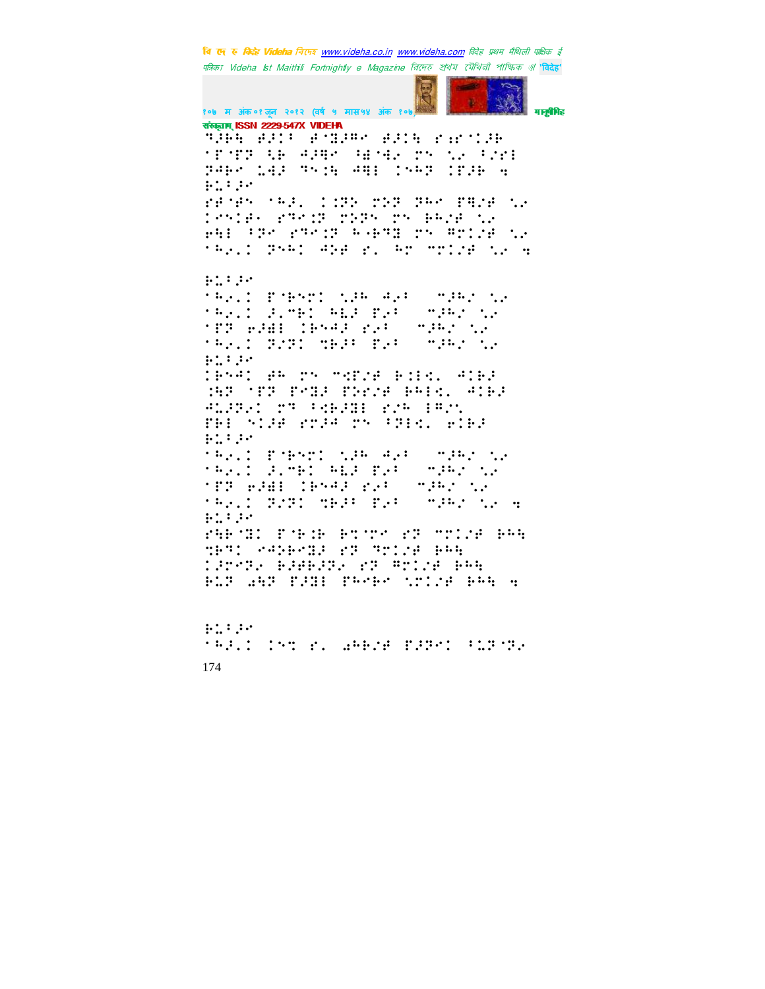

१०७ म अंक०१जून २०१२ (वर्ष ५ मास५४ अंक १०७) संस्कृतम् ISSN 2229-547X VIDEHA MARA ASIM AMBARA ASIM PAMISH trur de agges drag no de frei 3468 143 3536 481 1543 1836 4  $\left\langle \cdot, \cdot, \cdot, \cdot \right\rangle$ renes that limp mor pas para the Denis, recuperate programs. PHI PRO PROSE REPROST PROPERTY ter. Peer end as en model true  $1.1111$ **SARAT PORTS NAMES**  $\begin{array}{ccc}\n\cdots & \cdots & \cdots\n\end{array}$ **TRAVE SUMPLE REF BAR CONFERENCE TER WHEELENGE WAS STRAINED** TRACK BABI MEDAL TAAL SARA NA  $1.1111$ TESAT AR TS MARZA BILA, ATER MAR TER PRES EDECA BRIK. ADDA WEBSI TT PERMIT TAN INTE THE SIDE POOR ON FREE. WIND **BLUE** TRAVE EMPATE NAR AND START NA **SARED REMARKS AND THE START OF** TER BREE CENAR BRACK MORE NR **TRAVE BOBI MESS BASE MORE NAME**  $1.1111$ PHENIC PORCH ROOM PROMISE RAN this especial for drive bas. 135-32 B386332 23 85128 656 SO AN THE THE STILL WILL BE

 $H = 1.14$ **TRACTION SCHEDE EARNITERY** 174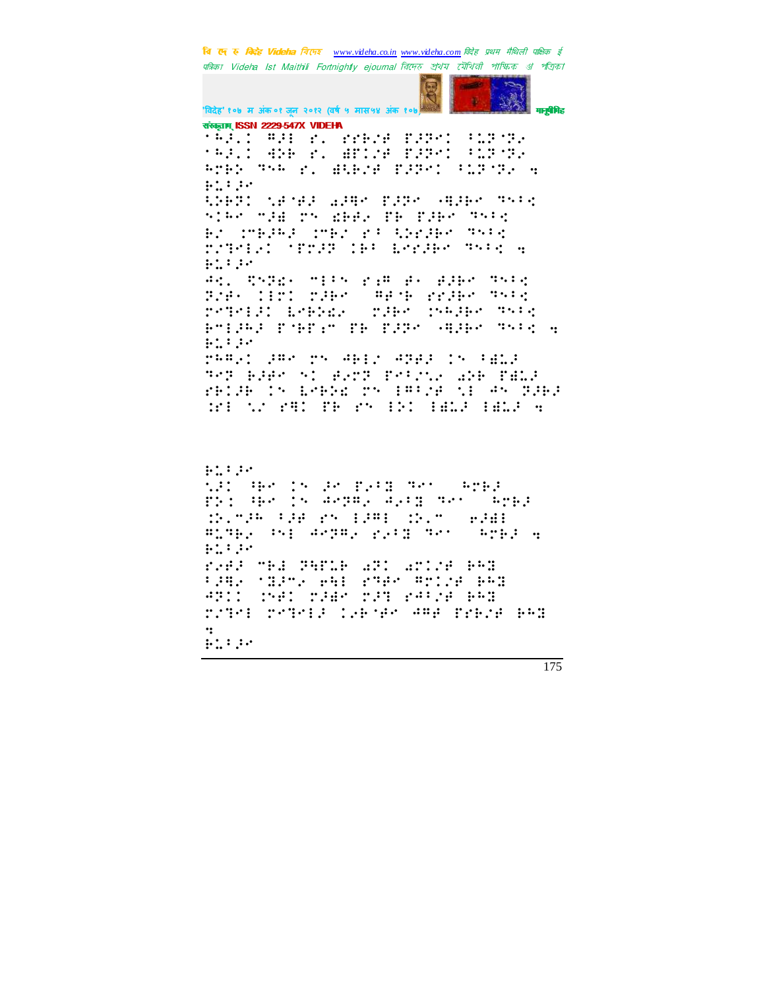**बि एक रु** *बिर्दह Videha विए***नर** www.videha.co.in www.videha.com विदेह प्रथम मैथिली पाक्षिक ई पत्रिका Videha Ist Maithili Fortnightly ejournal রিদেহ প্রথম মৌথিনী পাক্ষিক প্র পত্রিকা

**September** × 'विदेह' १०७ म अंक०१ जून २०१२ (वर्ष ५ मास५४ अंक १०७ मानुबेगिह संस्कृतम् ISSN 2229-547X VIDEHA **MARKET BELLEVILLE BELLEVILLE STATE**  $(3.12.27)$  $(312.22)$ **MARINE MARINE TEMPER** Arbe MyA gi dibed fangi (1277) g  $H = 1.14$ SNOT SEMILLEM PIPE SERRE TER STAR MIN TO ERRY TR TIRE TOOK BY IMBJEJ IMBY PF REPUBE 3513 rateled office the leading which h  $H = 1.14$ Ag, Chrometer Pick Part (Allen Sheep Brek (1851) SJER (1947) Spjer Shir reteil: Lebbar (r.Be) people tele PTERE PORTE TROPP (REP) 3518 S  $1:1:1:2:2$ gang, pne gs appy approjecting Replaces of acro return what rang PRINK IN LORDE TO IPPINE NE AN BIRE WE WARE THAN ENDERGY BELL A  $1:1:1:2:2$ the Herody around the Service PRI de la kapel Roop pas l'Egge 12.534 FBB 85 1381 12.5 SEB1 strip we serve ploy that which  $H = 1.14$ FARE TOPS AND PRAY ROLL AND APIL CHEL CABY CAT PAINE BAB rine: reneral these and reasonan  $\dddot{\bullet}$ 

 $1:1:2$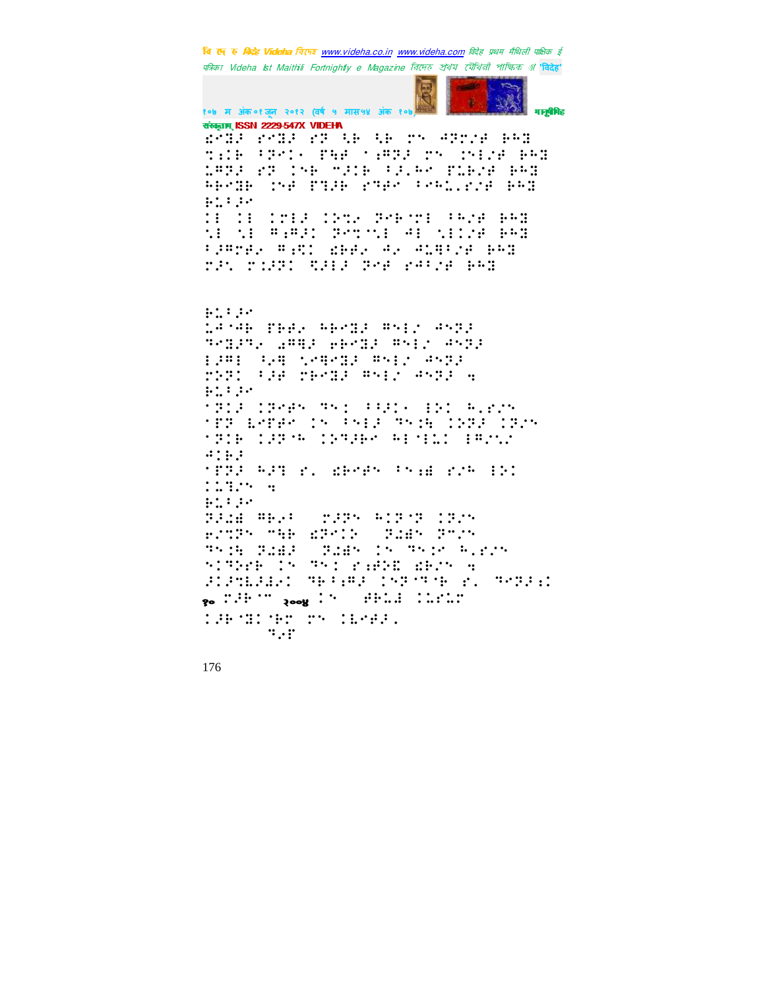**COMPANY** 螺  $\mathbf{0}$  . १०७ म अंक०१ जून २०१२ (वर्ष ५ मास५४ अंक १०७) मानुबैमिह

संस्कृतम् ISSN 2229-547X VIDEHA EMIR PMIR PT AB AB TY ATTER BAI til (Pri The '1922 th Inlin PA 1833 23 196 7316 33167 FIB28 863 REMIR THE FILE FIRM FRALLENE BAI IE IE IMER INST GRETE FRYE BRO the the West Service Alexandry BAN funce with departments and TRI TIRT CRIP Rep PAPIN PAS  $1.1111$ 

Sange peel gevolk gyfy gypp THING AND PRES NOTE AND fini the crerge way ways 5531 FAR 56033 Which While 4  $H = 1.14$ this index well self- and algeb the presence that head iterations **MIDE COPEN CORONAL REGION IRON**  $4:4:4$ \*FFA RAT B. BERGY PYER BYR ID:  $11.314 - 4$ **BLUE** FOOR THE ERSIN TEEN TOOK **STARK IN THIS WINDS** This Pide STREETS TO SERVE SERVER STREAM TRANK INFORMATION TERM  $\frac{1}{20}$  with the  $\frac{1}{200}$  in the set of  $\frac{1}{200}$  in the set of  $\frac{1}{200}$ **THEORY OF INSPERI**  $\mathbf{r}$ .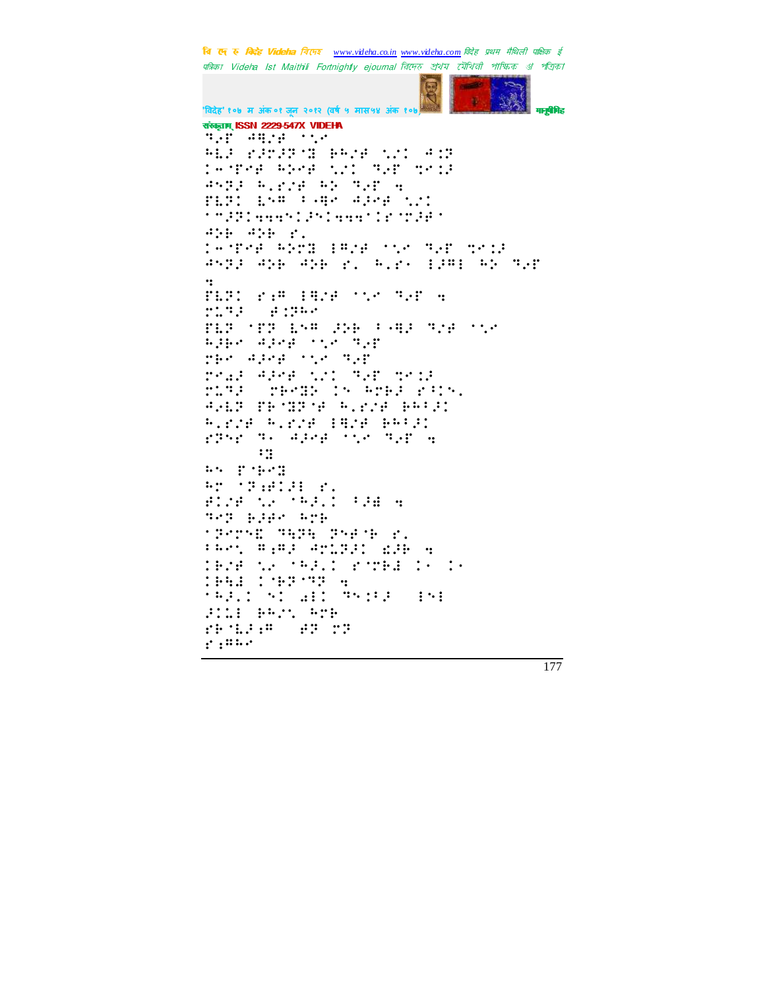बि एक रु मिन्हें Videha विरफर www.videha.co.in www.videha.com विदेह प्रथम मैथिली पाक्षिक ई पत्रिका Videha Ist Maithili Fortnightly ejournal রিদেহ প্রথম মৌথিনী পাক্ষিক প্র পত্রিকা

```
\simमनुष्टीमिह
```

```
'विदेह' १०७ म अंक ०१ जून २०१२ (वर्ष ५ मास५४ अंक
संस्कृतम् ISSN 2229-547X VIDEHA
ngr agya sir
ALF FRIED'S BACK WOO ASP
THORSE RESEARCH THE TRIP
ANTE ROYAL RE TAT 4
TERI ESH PARK APPROVED
THIRD GARDING ARRIVERS
4144 414 41Denne Room Earl over Ten Sevil
#592 #26 #26 r. #.r. 12#1 #2 #28
\cdot.
HAT PARTIES SAN TAP 4
2122 2125
HIT THE EST CHE FARE THE TE
Added Adept the Ter
par died over the
real specific manuscrip
rung (recue in Ared Siln.
AND THOUGH ANYTH BACK
R.P.P. R.P.P. 1928 BRIDE
greg no apop show nor a
      ∷
AND PORTS
RD (PHPIPE)<br>BIZBONA (PRPI)
               \cdotsnep pjes arp
SPORT BER PAPER.
:60% #:#2 4r1221 MHH +
TRAB NA TRAVI STORE IN IN
IHM INF TE 4
1921-51 all 9592 (15)
FILE BROWNER
PROBABING PROPER
\mathcal{C} , if i. \mathcal{C}
```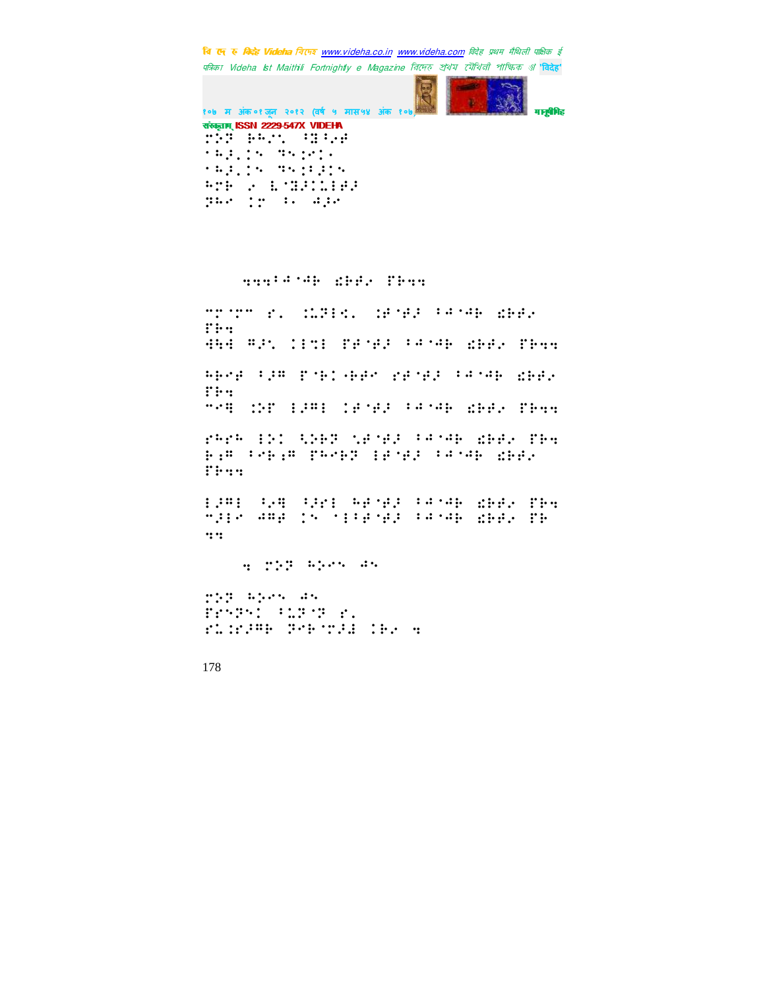

१०७ म अंक ०१जून २०१२ (वष ५ मास५४ अंक १०७) मानुषीिमह संस्कृतम् ISSN 2229-547X VIDEHA  $T\bar{G}T$  :  $H\bar{H}T$  :  $T\bar{H}T$ ⢳⢼G!⢹⣈l-! ⢳⢼G!⢹⣈C⢼-! **BIN A LANSING** ⢽⢳!!⢸l!⢺⢼}!

)4\*⣒⣒⣒C⢺⢺⢷!⣎⢷⢾⢴!2⢷⣒⣒!

"T"C" G. GIBER. GEGE FASHE BEE. 2⢷⣒! ⣚⣓⣚!⢻⢼⣁!5⣉5!2⢾⢾⢼!C⢺⢺⢷!⣎⢷⢾⢴!2⢷⣒⣒!

⢳⢷⢾!C⢼⢻!2⢷D⢷⢾!"⢾⢾⢼!C⢺⢺⢷!⣎⢷⢾⢴!  $::::$  $^{\circ}$   $^{\circ}$   $^{\circ}$   $^{\circ}$   $^{\circ}$   $^{\circ}$   $^{\circ}$   $^{\circ}$   $^{\circ}$   $^{\circ}$   $^{\circ}$   $^{\circ}$   $^{\circ}$   $^{\circ}$   $^{\circ}$   $^{\circ}$   $^{\circ}$   $^{\circ}$   $^{\circ}$   $^{\circ}$   $^{\circ}$   $^{\circ}$   $^{\circ}$   $^{\circ}$   $^{\circ}$   $^{\circ}$   $^{\circ}$   $^{\circ}$   $^{\circ}$   $^{\circ}$   $^{\circ}$   $^{\circ}$ 

"⢳"⢳!5⢵!⣃⢵⢷⢽!⣁⢾⢾⢼!C⢺⢺⢷!⣎⢷⢾⢴!2⢷⣒! ⢷⣐⢻.C⢷⣐⢻!2⢳⢷⢽!5⢾⢾⢼!C⢺⢺⢷!⣎⢷⢾⢴!  $?$   $: ...$ 

5⢼⢻5!⢸⢴⣛!⢸⢼"5!⢳⢾⢾⢼!C⢺⢺⢷!⣎⢷⢾⢴!2⢷⣒!  $^{\circ}$  )  $^{\circ}$  (  $^{\circ}$  )  $^{\circ}$  (  $^{\circ}$  )  $^{\circ}$  (  $^{\circ}$  )  $^{\circ}$  (  $^{\circ}$  )  $^{\circ}$  (  $^{\circ}$  )  $^{\circ}$  (  $^{\circ}$  )  $^{\circ}$  (  $^{\circ}$  )  $^{\circ}$  (  $^{\circ}$  )  $^{\circ}$  (  $^{\circ}$  )  $^{\circ}$  (  $^{\circ}$  (  $^{\circ}$  )  $^{\circ}$  (  $^{\circ}$  (  $^{\circ}$  $\cdot$  :

)5\*⣒#⢵⢽!⢳⢵!⢺.#!

 $T^*$   $T^*$   $T^*$   $T^*$   $T^*$   $T^*$   $T^*$   $T^*$   $T^*$   $T^*$   $T^*$   $T^*$ Profess (12219) 21 "⣅⣈"⢼⢻⢷!⢽⢷⢼⣜!⢷⢴!⣒!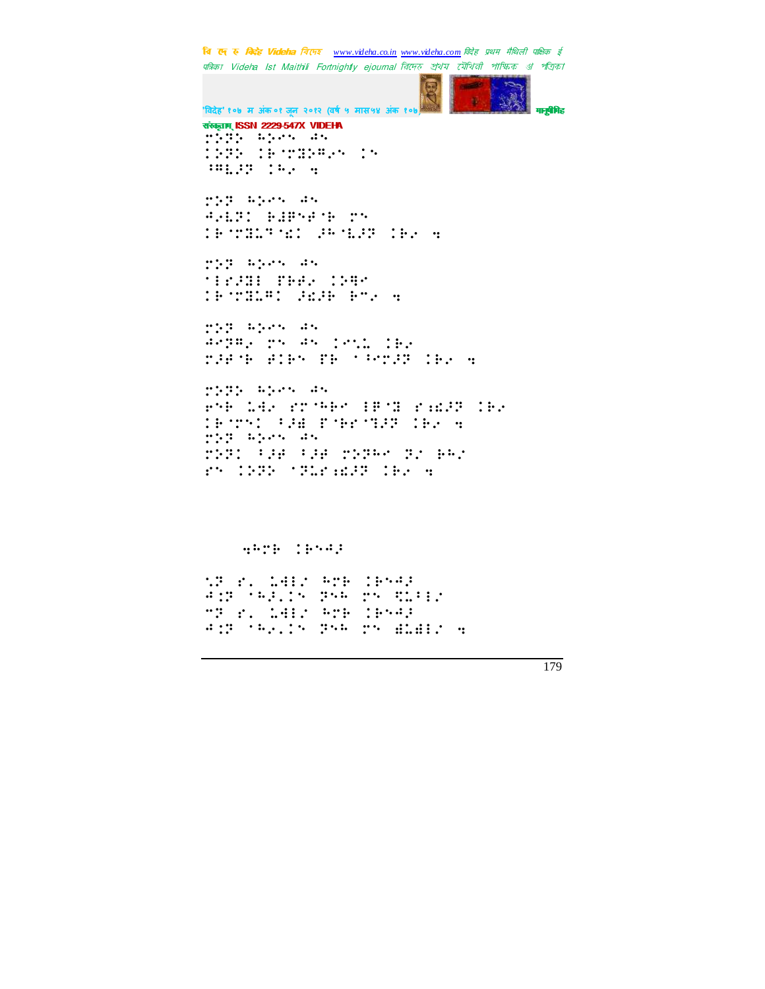चि एक रु *विदेह Videha चिए*न्छ <u>www.videha.co.in www.videha.com</u> विदेह प्रथम मैथिली पाक्षिक ई पत्रिका Videha Ist Maithili Fortnightly ejournal রিদেহ প্রথম মৌথিনী পাক্ষিক গ্র পত্রিক।

'वदेह' १०७ म अंक ०१ जून २०१२ (वष ५ मास५४ अंक १०७) मानुषीिमह

संस्कृतम् ISSN 2229-547X VIDEHA ∰∭, apes ds ⢵⢽⢵!⢷⣝⢵⢻⢴!! ⢸⢻⣇⢼⢽!⢳⢴!⣒!

TVP PV++ 45 ⢺⢴⣇⢽!⢷⣜⢿⢾⢷!! ⢷⣝⣅⢹⣎!⢼⢳⣇⢼⢽!⢷⢴!⣒!

TVP PV++ 45 5"⢼⣝5!2⢷⢾⢴!⢵⣛!  $'$ : will be a set of  $\mathcal{L}$ 

⢵⢽!⢳⢵!⢺! **APPRS 25 APPRS 1975 1975** ⢼⢾⢷!⢾⢷!2⢷!⢸⢼⢽!⢷⢴!⣒!

<u>MMM</u> 859 an  $^{\prime}$  , the state of the state of the state of the state of the state of the state of the state of the state of the state of the state of the state of the state of the state of the state of the state of the state of the s  $10.75$  The Fig.  $10.75$   $10.75$ ⢵⢽!⢳⢵!⢺!  $T$ "!⢵⢽⢵!⢽⣅"⣐⣎⢼⢽!⢷⢴!⣒!

)6\*⣒⢳⢷!⢷⢺⢼!

 $\overline{\rm MS}$  s. 14:2 brb 16543. ⢺⣈⢽!⢳⢼G!⢽⢳!!⣋⣅C54! "B r. 14:2 krp (preg  $\pm$ GP (542,150) FM (54)  $\pm$  GLEIM (4)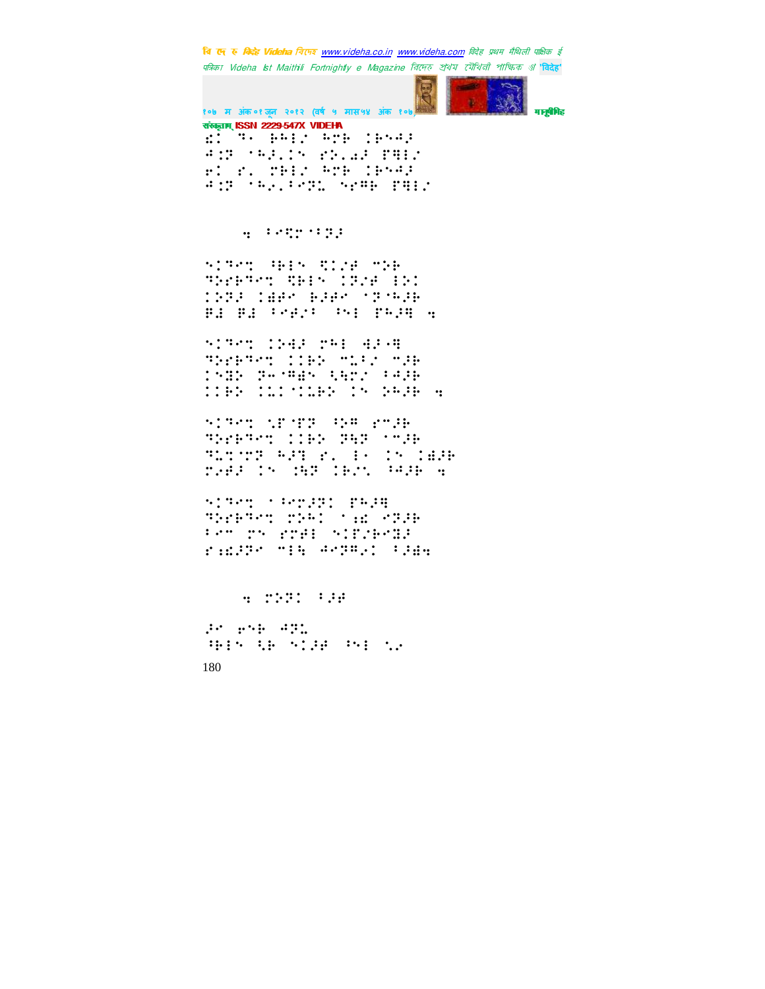

संस्कृतम् ISSN 2229-547X VIDEHA  $\mathbb{R}$ <sup>1</sup> The BH: 542 SEMB

⢺⣈⢽!⢳⢼G!"⢵G⣔⢼!2⣛54!!  $F1$  G. THIS WEB IPAR **GCO** SALLAR

)7\*⣒#C⣋C⢽⢼#!

 $^{\prime}$  (Fermion)  $^{\prime}$  (Fig. ) (Single ) (Single ) ⢹⢵"⢷⢹⣉!⣋⢷5!⢽4⢾.5⢵! ⢵⢽⢼!⣞⢾!⢷⢼⢾!⢽⢳⢼⢷! ⢿⣜.⢿⣜!C⢾4C!⢸5!2⢳⢼⣛!⣒!

 $^{\prime}$  . The state of  $^{\prime}$ ⢹⢵"⢷⢹⣉!⢷⢵!`⣅C4!`⢼⢷! **TAN PASSARY LARY PARK** ⢷⢵!⣅⣅⢷⢵!!⢵⢳⢼⢷!⣒!

 $^{\prime}$   $^{\prime}$  22  $^{\prime}$  22  $^{\prime}$  22  $^{\prime}$  22  $^{\prime}$  22  $^{\prime}$  22  $^{\prime}$  22  $^{\prime}$ ⢹⢵"⢷⢹⣉!⢷⢵!⢽⣓⢽.`⢼⢷! SWORLEY FOR STREET ⢴⢾⢼!!⣈⣓⢽!⢷4⣁!⢸⢺⢼⢷!⣒!!

⢹⣉!⢸⢼⢽!2⢳⢼⣛! ⢹⢵"⢷⢹⣉!⢵⢳!⣐⣎.⢽⢼⢷! CONDUCT SILL SILLER "⣐⣎⢼⢽!`5⣓!⢺⢽⢻⢴!C⢼⣞⣒!

)8\*⣒#⢵⢽!C⢼⢾#!

180  $J^{\prime}$  . The set of  $J^{\prime}$ HER SIN STREET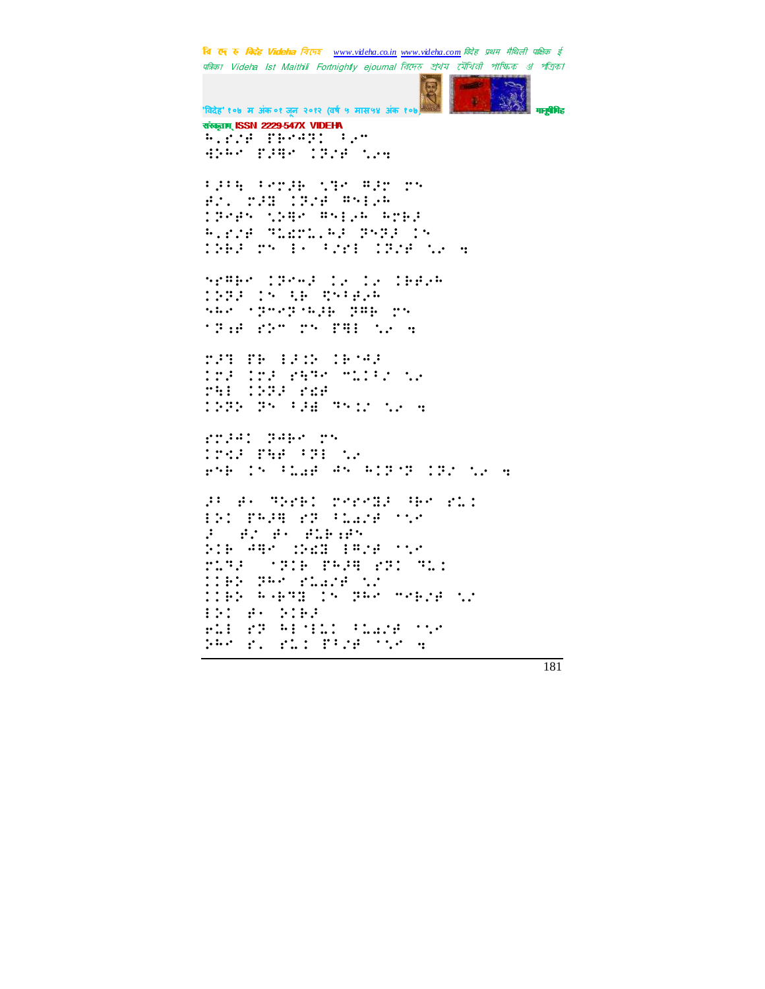**त्रि एन रु क्रिटेह Videha** विएम्ब \_www.videha.co.in\_www.videha.com विदेह प्रथम मैथिली पाक्षिक ई पत्रिका Videha Ist Maithili Fortnightly ejournal রিদেহ প্রথম মৌথিনী পাক্ষিক গ্র পত্রিক।



संस्कृतम् ISSN 2229-547X VIDEHA **B.** AND THE THE CONFIDENTIAL **49∞ 1994 1984** 

C�� C�� C�� C�� C�� C�� C��  $H_4$  (1953)  $H_4$  (1954)  $H_4$ ⢽⢾!⣁⢵⣛!⢻5⢴⢳!⢳⢷⢼! **W.M.M.COMO.O.**  $\frac{1}{2}$ 

" **"** ⢵⢽⢼!!⣃⢷!⣋C⢾⢴⢳! **SAR (1995)** 1995 1996 ⢽⣐⢾!"⢵`!!2⣛5!⣁⢴!⣒!

 $T$ : 200  $T$  : 200  $T$  : 200  $T$  $^{\prime}$  The second control of the second control of the second control of the second control of the second control of the second control of the second control of the second control of the second control of the second contro ⣓5!⢵⢽⢼!"⣎⢾!! ⢵⢽⢵!⢽!C⢼⣞!⢹⣈4!⣁⢴!⣒!

frid: Bake re ⣊⢼!2⣓⢾!C⢽5!⣁⢴!  $#$  40  $#$  10  $#$  10  $#$  40  $#$  10  $#$  10  $#$  10  $#$  10  $#$ 

⢼C!⢾l!⢹⢵"⢷!"⣝⢼!⢸⢷!"⣅⣈! 50 PERSONAL PROPERTY  $F$  (#2 #)  $F$  (#2  $\#$  $\overline{511}$   $\overline{41}$   $\overline{41}$   $\overline{51}$   $\overline{11}$   $\overline{11}$   $\overline{11}$   $\overline{11}$   $\overline{11}$   $\overline{11}$   $\overline{11}$   $\overline{11}$   $\overline{11}$   $\overline{11}$   $\overline{11}$   $\overline{11}$   $\overline{11}$   $\overline{11}$   $\overline{11}$   $\overline{11}$   $\overline{11}$   $\overline{11}$  ⣅⢹⢼-!⢽⢷!2⢳⢼⣛!"⢽!⢹⣅⣈! ⢷⢵!⢽⢳!"⣅⣔4⢾!⣁4!  $\overline{11}\overline{1}\overline{2}$   $\overline{4}$   $\overline{4}$   $\overline{4}$   $\overline{4}$   $\overline{4}$   $\overline{4}$   $\overline{4}$   $\overline{4}$   $\overline{4}$   $\overline{4}$   $\overline{4}$   $\overline{4}$   $\overline{4}$   $\overline{4}$   $\overline{4}$   $\overline{4}$   $\overline{4}$   $\overline{4}$   $\overline{4}$   $\overline{4}$   $\overline{4}$   $\overline{4}$   $\overline$ 100 # 500 ⢶⣅5!"⢽!⢳55⣅!C⣅⣔4⢾!⣁!  $\mathbb{R}$  For  $\mathbb{R}$  , which  $\mathbb{R}$  is the state  $\mathbb{R}$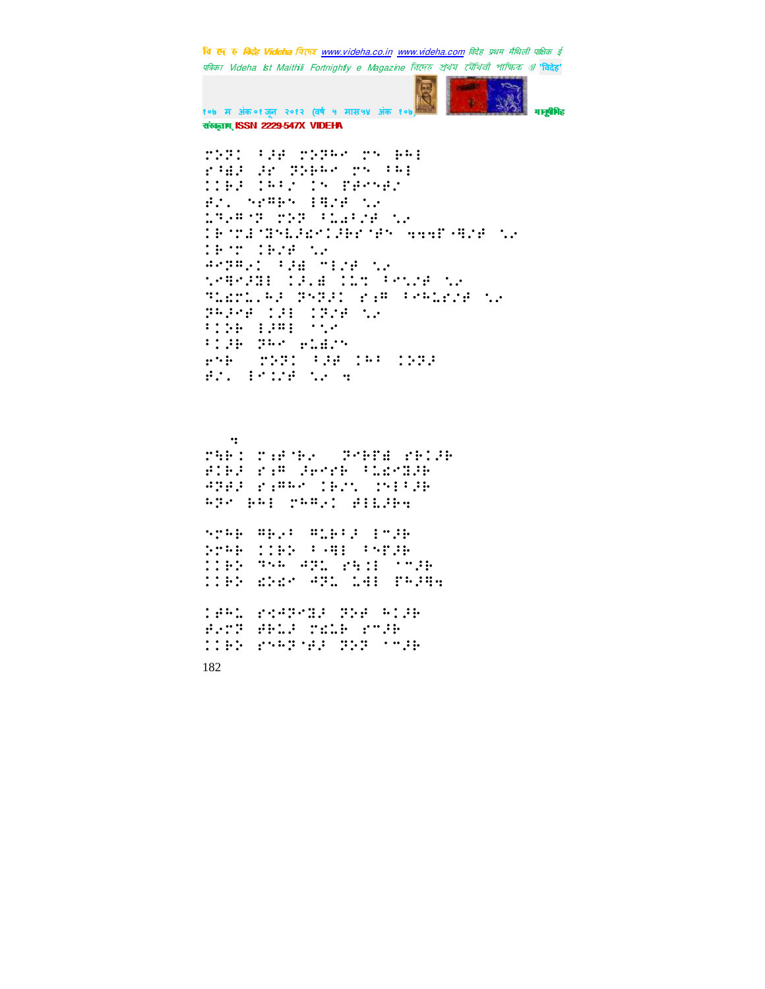चि एक रु मिन्हे Videha विएक www.videha.co.in www.videha.com विदेह प्रथम मैथिली पाक्षिक ई पत्रिका Videha Ist Maithili Fortnightly e Magazine রিদেহ প্রথম মৌথিরী পাক্ষিক রা'**বিदेह'** 



१०७ म अंक ०१जून २०१२ (वष ५ मास५४ अंक १०७) मानुषीिमह संस्कृतम् ISSN 2229-547X VIDEHA

⢵⢽!C⢼⢾!⢵⢽⢳!!⢷⢳5! "⢸⣞⢼!⢼"!⢽⢵⢷⢳!!C⢳5! ∷PJ (HP) (5 TBr5B)  $H_1$ , 5244 . ⣅⢹⢴⢻⢽!⢵⢽!C⣅⣔C4⢾!⣁⢴!  $\mathbf{I}$  B The Theory of the Company of the Company of the Company of the Company of the Company of the Company of the Company of the Company of the Company of the Company of the Company of the Company of the Company of th  $\ddot{H}$   $\dddot{H}$   $\dddot{H}$   $\dddot{H}$   $\dddot{H}$   $\dddot{H}$ ⢺⢽⢻⢴!C⢼⣞!`54⢾!⣁⢴!  $\sim$ 90928 : Cala (119 99128 ). ⢹⣅⣎⣅G⢳⢼!⢽⢽⢼!"⣐⢻!C⢳⣅"4⢾!⣁⢴! ⢽⢳⢼⢾!⢼5!⢽4⢾!⣁⢴! C⢵⢷!5⢼⢻5!⣁! CON THE SEATS ⢶⢷-!⢵⢽!C⢼⢾!⢳C!⢵⢽⢼! #20 HO 10 HO 10 HO 10 HO

 $\cdot$ : ⣓⢷⣈!⣐⢾⢷⢴-!⢽⢷2⣞!"⢷⢼⢷! ⢾⢷⢼!"⣐⢻!⢼⢶"⢷!C⣅⣎⣝⢼⢷!! ⢺⢽⢾⢼!"⣐⢻⢳!⢷4⣁!⣈5C⢼⢷!! ⢳⢽!⢷⢳5!⢳⢻⢴!⢾5⣇⢼⢷⣒!

STRE WELL STREET **STAR (1185-1481) 15738** ⢷⢵!⢹⢳!⢺⢽⣅!"⣓⣈5!`⢼⢷! ⢷⢵!⣎⢵⣎!⢺⢽⣅!⣅⣚5!2⢳⢼⣛⣒!

182 ⢾⢳⣅!"⣊⢺⢽⣝⢼!⢽⢵⢾!⢳⢼⢷! ⢾⢴⢽!⢾⢷⣅⢼!⣎⣅⢷!"`⢼⢷! ⢷⢵!"⢳⢽⢾⢼!⢽⢵⢽!`⢼⢷!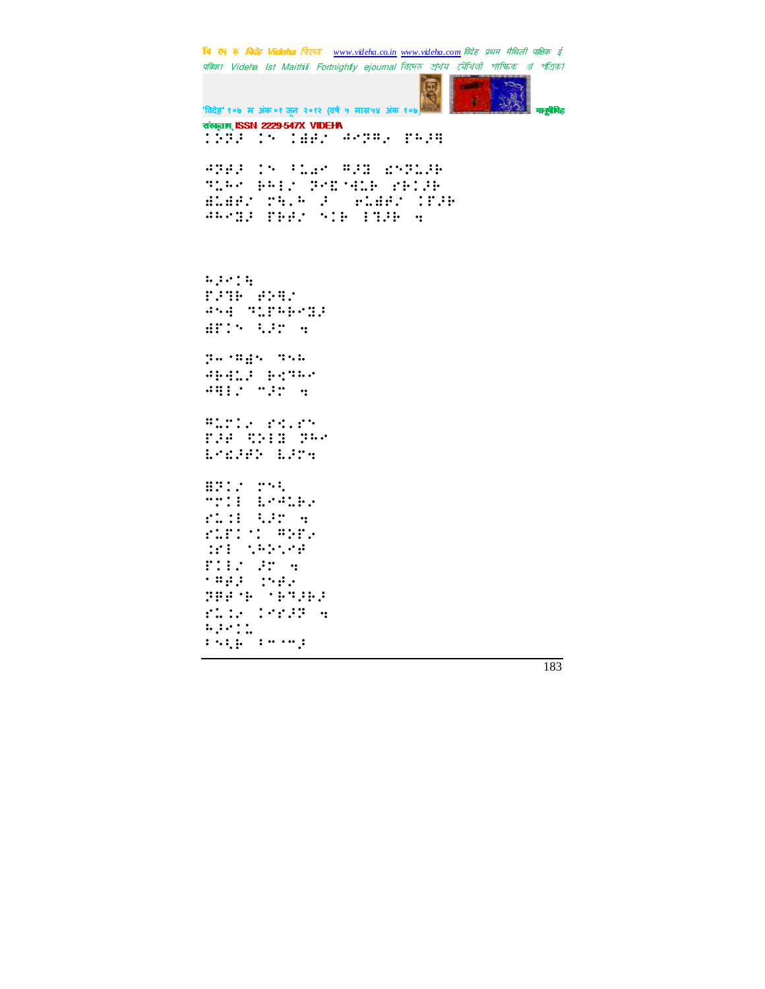**त्रि एन रु क्रिटेह Videha** विएम्ब \_www.videha.co.in\_www.videha.com विदेह प्रथम मैथिली पाक्षिक ई पत्रिका Videha Ist Maithili Fortnightly ejournal রিদেহ প্রথম মৌথিনী পাক্ষিক গ্র পত্রিক।



संस्कृतम् ISSN 2229-547X VIDEHA  $\vdots$   $\vdots$   $\vdots$   $\vdots$   $\vdots$   $\vdots$   $\vdots$   $\vdots$   $\vdots$   $\vdots$   $\vdots$   $\vdots$   $\vdots$   $\vdots$   $\vdots$   $\vdots$   $\vdots$   $\vdots$   $\vdots$   $\vdots$   $\vdots$   $\vdots$   $\vdots$   $\vdots$   $\vdots$   $\vdots$   $\vdots$   $\vdots$   $\vdots$   $\vdots$   $\vdots$   $\vdots$   $\vdots$   $\vdots$   $\vdots$   $\vdots$   $\vdots$ 

⢺⢽⢾⢼!!C⣅⣔!⢻⢼⣝!⣎⢽⣅⢼⢷! ⢹⣅⢳!⢷⢳54!⢽⣏⣚⣅⢷!"⢷⢼⢷! GLAP: TR.P 2 (PLAP: 182P) ⢺⢳⣝⢼!2⢷⢾4!⢷!5⣙⢼⢷!⣒!

 $L$ ;  $L$  :  $L$ 2⢼⣙⢷!⢾⢵⣛4! ⢺⣚!⢹⣅2⢳⢷⣝⢼! **APPER 50 APP 40** 

⢽⢲⢻⣞!⢹⢳! ⢺⢷⣚⣅⢼!⢷⣊⢹⢳! **<del>₫912 : "JP +</del>** 

⢻⣅⢴!"⣊G"! 2⢼⢾!⣋⢵5⣝!⢽⢳! ⣇⣎⢼⢾⢵!⣇⢼⣒!

89:20 20: `5!⣇⢺⣅⢷⢴! "⣅⣈5!⣃⢼!⣒!  $^2$  : 2011  $^2$  : 2011  $^2$ ⣈"5!⣁⢳⢵⣁⢾! 2011: 2014 ⢻⢾⢼!⣈⢾⢴! ⢽⢿⢾⢷!⢷⢹⢼⢷⢼! run (Priest)  $\frac{1}{2}$ Companies of the companies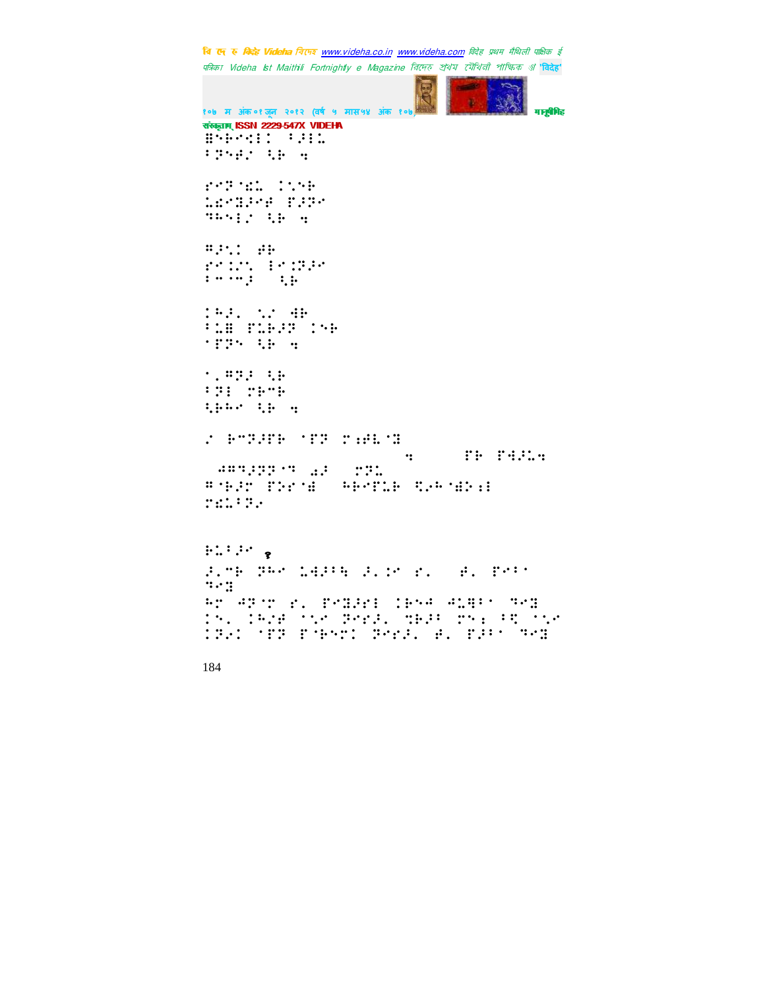```
पत्रिका Videha Ist Maithili Fortnightly e Magazine রিদেহ প্রথম মৌথিরী পাক্ষিক রা'বিदेह'
                                               County
१०७ म अंक ०१जून २०१२ (वष ५ मास५४ अंक १०७) मानुषीिमह 
संस्कृतम् ISSN 2229-547X VIDEHA
BREASHI SHIL
CONFIDENTIAL
rolle Come
⣅⣎⣝⢼⢾!2⢼⢽!
⢹⢳54!⣃⢷!⣒!
⢻⢼⣁!⢾⢷!
"⣈4⣁!5⣈⢽⢼!
\cdots \cdots \cdots \cdots;∺}, w ⊕
CO . 2010 : 2010 : 2010 : 2010
2⢽!⣃⢷!⣒!
\cdot.¤;; y
COS CHICA
⣃⢷⢳.⣃⢷!⣒!
4 : 4 1 : 4 1 : 4 1 : 4 1 : 4 1 : 4 1 : 4 1 : 4 1 : 4 1 : 4 1 : 4 1 : 4 1 : 4 1 : 4 1 : 4 1 : 4 1 : 4 1 : 4 1 : 4 1 : 4 1 : 4 1 : 4 1 : 4 1 : 4 1 : 4 1 : 4 1 : 4 1 : 
                                   hekhoesbawjefiberia<br>hekhoesbawjefiberia<br>hekhoesbawjefiberial
 !⢺⢻⢹⢼⢽⢽⢹!⣔⢼!(⢽⣅(!!
⢻⢷⢼!2⢵"⣞.!⢳⢷2⣅⢷!⣋⢴⢳⣞⢵⣐5-!
⣎⣅C⢽⢴!!
⢷⣅C⢼.१ 
G. The Gradient control of the Catalogue
\mathbb{R}^n⢳!⢺⢽!"G!2⣝⢼"5!⢷⢺!⢺⣅⣛C!⢹⣝!!
G!⢳4⢾!⣁!⢽"⢼G!⣉⢷⢼C!⣐!C⣋!⣁!!
\left( \frac{1}{2} \right)^2 . The second contract \left( \frac{1}{2} \right)^2 , and \left( \frac{1}{2} \right)^2
```
184

चि एक रु मिन्हे Videha विएक www.videha.co.in www.videha.com विदेह प्रथम मैथिली पाक्षिक ई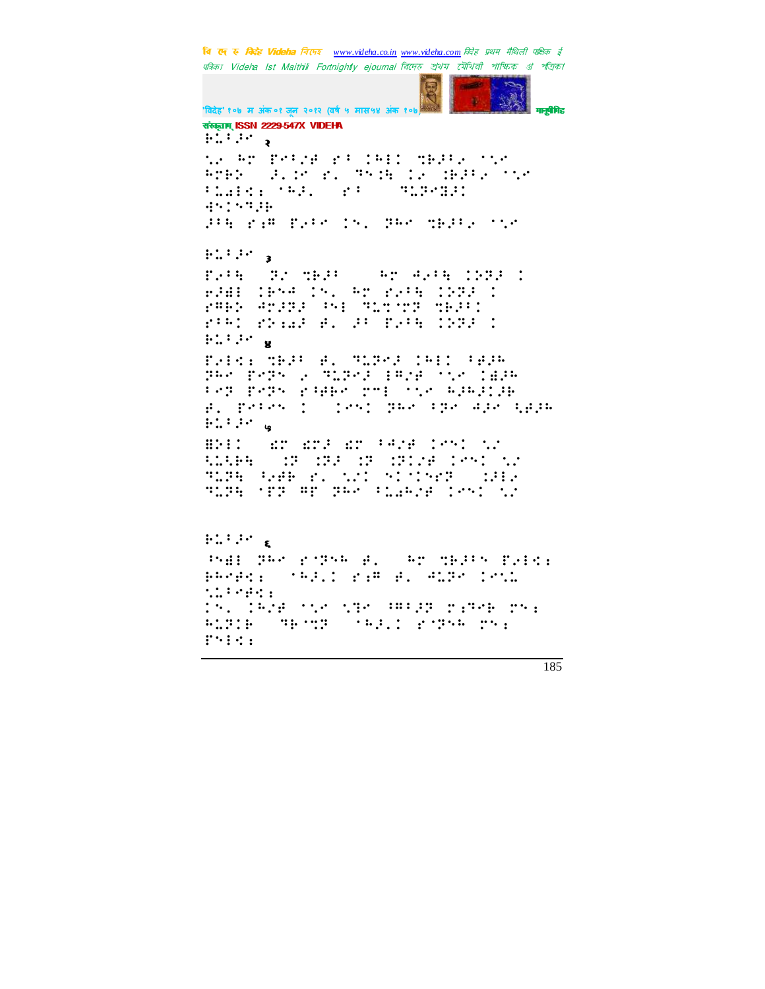**त्रि एन रु क्रिटेह Videha** विएम्ब \_www.videha.co.in\_www.videha.com विदेह प्रथम मैथिली पाक्षिक ई पत्रिका Videha Ist Maithili Fortnightly ejournal রিদেহ প্রথম মৌথিনী পাক্ষিক গ্র পত্রিক।

**START** 

'विदेह' १०७ म अंक ०१ जून २०१२ (वर्ष ५ मास५४ अंक १०७) मानुसीर के सामुवी मिट संस्कृतम् ISSN 2229-547X VIDEHA ⢷⣅C⢼.२ ⣁⢴!⢳!2C4⢾!"⢸!⢳5!⣉⢷⢼C⢴!⣁! WHEN I RIGHT ROOMS IN THE CONTROL COST CONTROL CONTROL CONTROL ⣚⢹⢼⢷! ⢼C⣓!"⣐⢻!2⢴C!G!⢽⢳!⣉⢷⢼C⢴!⣁! ⢷⣅C⢼.३ 2⢴C⣓!!⢽4!⣉⢷⢼C!!!⢳!⢺⢴C⣓!⢵⢽⢼!(!  $F.H.$  The control of the control of "⢻⢷⢵!⢺⢼⢽⢼!⢸5!⢹⣅⣉⢽!⣉⢷⢼C! "C⢳!"⢵⣐⣔⢼!⢾G!⢼C!2⢴C⣓!⢵⢽⢼!(! ⢷⣅C⢼.४ 2⢴5⣊⣐!⣉⢷⢼C!⢾G!⢹⣅⢽⢼!⢳5!C⢾⢼⢳! THE PERSON WAS CONSIDERED C�� Press and the control of the state of the state of the control of the control of the control of the control<br>Control of the control of the control of the control of the control of the control of the control of the contr ⢾G!2C!(!!⢽⢳!C⢽!⢺⢼!⣃⢾⢼⢳!  $H: H: H \times H$ BRIT AT ATA AT PAYA TEN TA ⣃⣅⣃⢷⣓!!⣈⢽.⣈⢽⢼.⣈⢽!⣈⢽4⢾!!⣁4!  $^{\prime\prime}$ G. Bernard S. (1911)  $^{\prime\prime}$  (1911)  $^{\prime\prime}$ PLPB 1PP PP PPP PLAH28 1PP1 12  $\mathbb{R}^{L\times L\times L}$  , and PHI PRO PUPA F. PT TEPS PHIL ⢷⢳⢾⣊⣐!!⢳⢼G!"⣐⢻!⢾G!⢺⣅⢽!⣁⣅! ⣁⣅C⢾⣊⣐!!  $C$   $\times$   $C$   $\rightarrow$   $C$   $\rightarrow$   $C$   $\rightarrow$   $C$   $\rightarrow$   $C$   $\rightarrow$   $C$   $\rightarrow$   $C$   $\rightarrow$   $C$   $\rightarrow$   $C$   $\rightarrow$   $C$   $\rightarrow$   $C$   $\rightarrow$   $C$   $\rightarrow$   $C$   $\rightarrow$   $C$   $\rightarrow$   $C$   $\rightarrow$   $C$   $\rightarrow$   $C$   $\rightarrow$   $C$   $\rightarrow$   $C$   $\rightarrow$   $C$   $\rightarrow$   $C$   $\rightarrow$   $C$   $\rightarrow$   $C$   $\rightarrow$   $C$   $\$ ⢳⣅⢽⢷!!⢹⢷⣉⢽!!⢳⢼G!"⢽⢳!⣐! Printing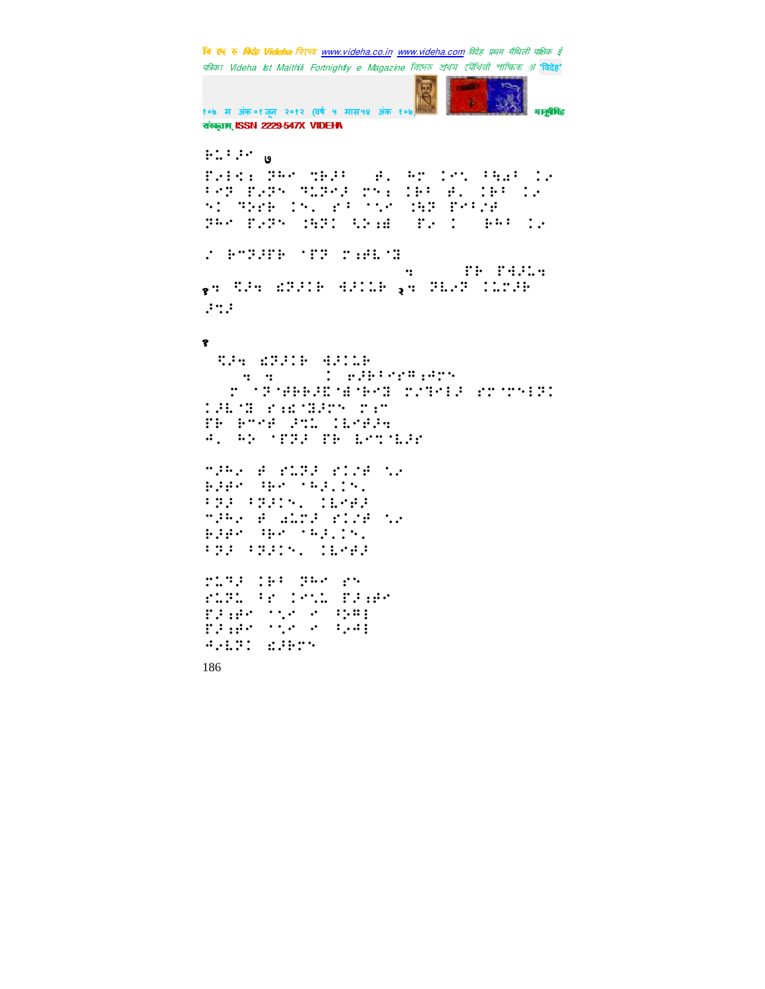चि एक रु मिन्हे Videha विएक www.videha.co.in www.videha.com विदेह प्रथम मैथिली पाक्षिक ई पत्रिका Videha Ist Maithili Fortnightly e Magazine রিদেহ প্রথম মৌথিরী পাক্ষিক রা'**বিदेह' START** १०७ म अंक ०१जून २०१२ (वष ५ मास५४ अंक १०७) मानुषीिमह संस्कृतम् ISSN 2229-547X VIDEHA  $\vdots$   $\vdots$   $\vdots$   $\vdots$ 2⢴5⣊⣐!⢽⢳!⣉⢷⢼C!!⢾G!⢳!⣁!C⣓⣔C!⢴!! CO PER CONSIDER THE CONSIDER TO  $5$  C The C  $5$  C  $10$  C  $10$  C  $10$  C  $10$  $P^{\mu\nu}$  (200 )  $P^{\mu\nu}$  (200 )  $P^{\mu\nu}$  (200 )  $P^{\mu\nu}$  (200 )  $P^{\mu\nu}$  $4$  : F-2016 (12 - 2016 ) h in the factor १⣒!⣋⢼⣒!⣎⢽⢼⢷!⣚⢼⣅⢷!२⣒!⢽⣇⢴⢽!⣅⢼⢷! ⢼⣉⢼! १ !⣋⢼⣒!⣎⢽⢼⢷!⣚⢼⣅⢷! )37⣒6⣒3123!⢶⢼⢷C"⢻⣐⢺! 35!⢽⢾⢷⢷⢼⣏⣞⢷⣝!4⣙5⢼!"5⢽! ⢼⣇⣝!"⣐⣎⣝⢼!⣐`!! 2⢷!⢷`⢾!⢼⣉⣅!⣇⢾⢼⣒\*! ⢺G!⢳⢵!2⢽⢼!2⢷!⣇⣉⣇⢼"! `⢼⢳⢴!⢾!"⣅⢽⢼!"4⢾!⣁⢴!! ₿₿₽₽ BERG PRESSING COLORADO CONTROL `⢼⢳⢴!⢾!⣔⣅⢼!"4⢾!⣁⢴!! **EPR CHEC SEPRENT** COLORADO CONTROL ⣅⢹⢼!⢷C!⢽⢳!"! "⣅⢽⣅!C"!⣁⣅!2⢼⣐⢾! 2⢼⣐⢾!⣁!!⢸⢵⢻5! 25 September 2019 ⢺⢴⣇⢽!⣎⢼⢷!186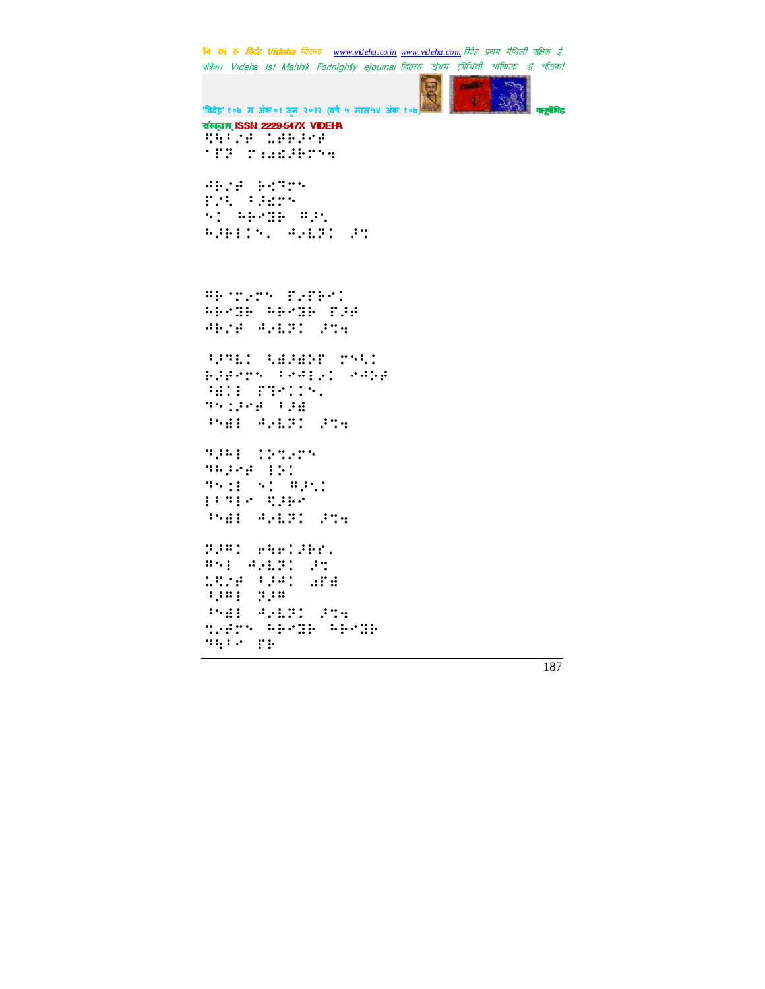**त्रि एन रु क्रिटेह Videha** विएम्ब \_www.videha.co.in\_www.videha.com विदेह प्रथम मैथिली पाक्षिक ई पत्रिका Videha Ist Maithili Fortnightly ejournal রিদেহ প্রথম মৌথিনী পাক্ষিক গ্র পত্রিক।

```
'विदेह' १०७ म अंक ०१ जून २०१२ (वर्ष ५ मास५४ अंक १०७) मानुसीर मानुसीरि कार्यक्रम के बानुसीरि
संस्कृतम् ISSN 2229-547X VIDEHA
⣋⣓C4⢾.⣅⢾⢷⢼⢾!
2⢽!⣐⣔⣎⢼⢷⣒!
⢺⢷4⢾!⢷⣊⢹!!
224 | CONSTRUCT
\begin{minipage}{.4\linewidth} \begin{tabular}{l} \multicolumn{1}{l}{} & \multicolumn{1}{l}{} & \multicolumn{1}{l} \\ \multicolumn{1}{l}{} & \multicolumn{1}{l}{} & \multicolumn{1}{l} \\ \multicolumn{1}{l}{} & \multicolumn{1}{l}{} & \multicolumn{1}{l} \\ \multicolumn{1}{l}{} & \multicolumn{1}{l}{} & \multicolumn{1}{l} \\ \multicolumn{1}{l}{} & \multicolumn{1}{l}{} & \multicolumn{1}{l} \\ \multicolumn{1}{l}{} & \multicolumn{1}{l}{} & \multicolumn{1}{l} \\ \multicolumn{1}{l}BESING BESING ST
BE THE THE THILL
WEE WEE WEER THE
⢺⢷4⢾!⢺⢴⣇⢽!⢼⣉⣒!
⢸⢼⢹⣇!⣃⣞⢼⣞⢵2!⣃!!
⢷⢼⢾!C⢺5⢴!⢺⢵⢾!
WELL ENGINEERS
⢹⣈⢼⢾!C⢼⣞!
⢸⣞5!⢺⢴⣇⢽!⢼⣉⣒!
SHE INST
⢹⢳⢼⢾!5⢵!
⢹⣈5!!⢻⢼⣁!
j: The state
⢸⣞5!⢺⢴⣇⢽!⢼⣉⣒!
7.77: 7.77:B5: J5: J5: J5:
⣅⣋4⢾!C⢼⢺!⣔2⣞!
⢸⢼⢻5!⢽⢼⢻!
PHI 4912 451
⣉⢴⢾!⢳⢷⣝⢷.⢳⢷⣝⢷!!
⢹⣓C!2⢷!
```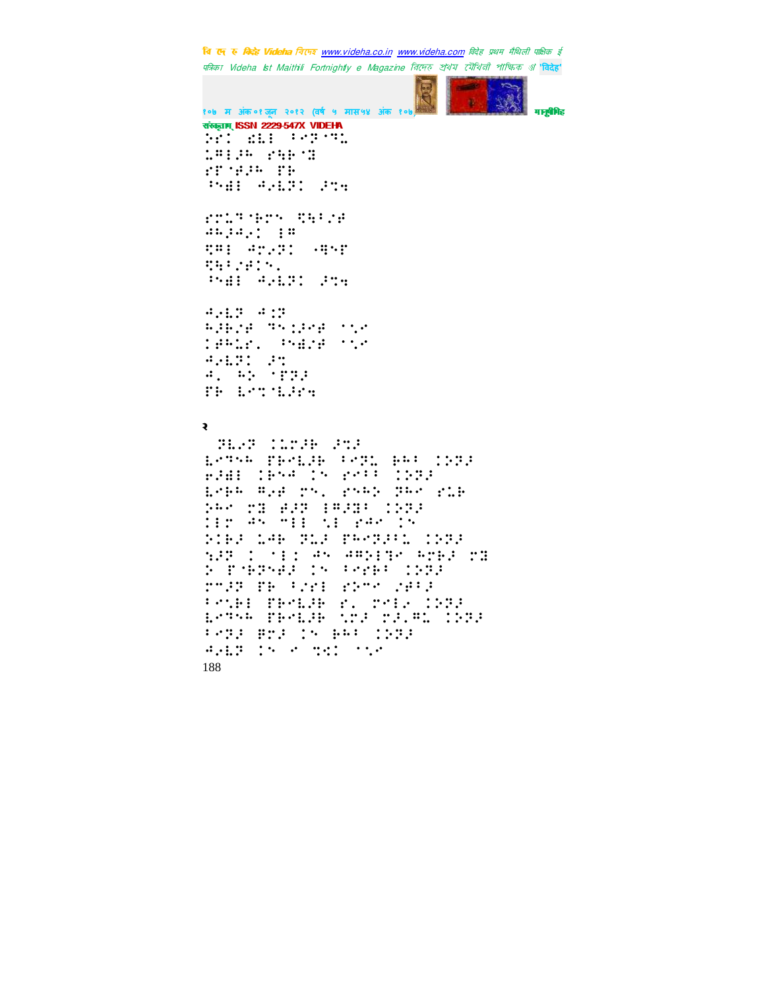चि एक रु मिन्हे Videha विएक www.videha.co.in www.videha.com विदेह प्रथम मैथिली पाक्षिक ई पत्रिका Videha Ist Maithili Fortnightly e Magazine রিদেহ প্রথম মৌথিরী পাক্ষিক রা'**বিदेह'** 

**Separate** १०७ म अंक ०१जून २०१२ (वष ५ मास५४ अंक १०७) मानुषीिमह

संस्कृतम् ISSN 2229-547X VIDEHA **Set and Concrete** ⣅⢻5⢼⢳!"⣓⢷⣝!! "2⢾⢼⢳!2⢷! ⢸⣞5!⢺⢴⣇⢽!⢼⣉⣒!

THE STREET  $\frac{3.5}{10}$ SH: **ST.ST.** SH: ⣋⣓C4⢾G!! ⢸⣞5!⢺⢴⣇⢽!⢼⣉⣒!

 $\frac{1}{2}$   $\frac{1}{2}$   $\frac{1}{2}$   $\frac{1}{2}$   $\frac{1}{2}$   $\frac{1}{2}$   $\frac{1}{2}$ **A.B.A. THERE IS A** ⢾⢳⣅"G!⢸⣞4⢾!⣁! ⢺⢴⣇⢽!⢼⣉! ⊕G PRESTI PH EPTIMATE

२

188 !⢽⣇⢴⢽!⣅⢼⢷!⢼⣉⢼! LATAR PRESENT PAR 1222.  $F$ , 50  $F$  50  $F$  50  $F$  50  $F$  50  $F$  50  $F$  50  $F$  50  $F$  50  $F$  50  $F$  50  $F$  50  $F$  50  $F$  50  $F$ L'EN WAR THE STA ⢵⢳!⣝!⢾⢼⢽!5⢻⢼⣝C!⢵⢽⢼! 1:55 AN MIE NI 255 SAM (N  $\overline{C}$ ⣑⢼⢽!!5⣈!⢺!⢺⢻⢵5⣙!⢳⢷⢼!⣝!  $\ddot{2}$  Thenes in the strip  $\ddot{2}$ `⢼⢽!2⢷!C4"5!"⢵`!4⢾C⢼! COSE PROBLEM CONTROL ⣇⢹⢳!2⢷⣇⢼⢷!⣁⢼!⢼G⢻⣅!⢵⢽⢼! Company of the company of the company of the company of the company of the company of the company of the compa ⢺⢴⣇⢽!!!⣉⣊!⣁!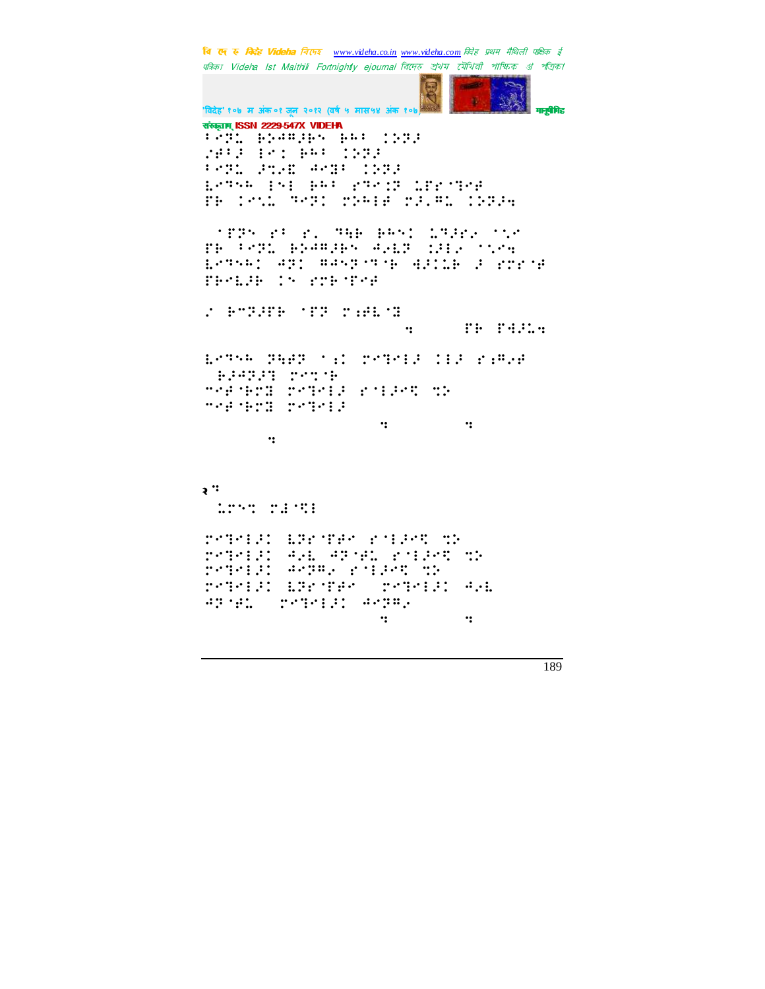**त्रि एन रु क्रिटेह Videha** विएम्ब \_www.videha.co.in\_www.videha.com विदेह प्रथम मैथिली पाक्षिक ई पत्रिका Videha Ist Maithili Fortnightly ejournal রিদেহ প্রথম মৌথিনী পাক্ষিক গ্র পত্রিক।

**CONTRACT** 

'विदेह' १०७ म अंक ०१ जून २०१२ (वर्ष ५ मास५४ अंक १०७) मानुसीर के सामुवी मिट संस्कृतम् ISSN 2229-547X VIDEHA C⢽⣅!⢷⢵⢺⢻⢼⢷!⢷⢳C!⢵⢽⢼! 4⢾C⢼!5⣈!⢷⢳C!⢵⢽⢼! C LANGE IN THE PART OF THE CITY 2⢷!⣁⣅!⢹⢽!⢵⢳5⢾!⢼G⢻⣅!⢵⢽⢼⣒!  $\overline{2}$  (2005) C  $\overline{2}$  (2006) C  $\overline{2}$  (2006) C  $\overline{2}$ 2⢷!C⢽⣅!⢷⢵⢺⢻⢼⢷!⢺⢴⣇⢽!⣈⢼5⢴!⣁⣒! ⣇⢹⢳!⢺⢽!⢻⢺⢽⢹⢷!⣚⢼⣅⢷!⢼!""⢾! PROBLEM IN STRAPHO 4!⢷`⢽⢼2⢷!2⢽!⣐⢾⣇⣝! he does beleidste beleidste beleidste beleidste beleidste beleidste beleidste beleidste beleidste beleidste be<br>Die beleidste beleidste beleidste beleidste beleidste beleidste beleidste beleidste beleidste beleidste beleid ⣇⢹⢳!⢽⣓⢾⢽!⣐!⣙5⢼!5⢼!"⣐⢻⢴⢾! ! `⢾⢷⣝!⣙5⢼!"5⢼⣋!⣉⢵!  $"$ )iuuqt;00tjuftigta dipnobow (10th phmf dpn0bow) jefib.dpn0wjefib.qbjoujoht.com २ " 12751 72751 ⣙5⢼!⣇⢽"2⢾!"5⢼⣋!⣉⢵! ⣙5⢼!⢺⢴⣇.⢺⢽⢾⣅!"5⢼⣋!⣉⢵! ⣙5⢼!⢺⢽⢻⢴!"5⢼⣋!⣉⢵! ⣙5⢼!⣇⢽"2⢾0!⣙5⢼!⢺⢴⣇! ⢺⢽⢾⣅0!⣙5⢼!⢺⢽⢻⢴!! )iuuqt;00tjuftigta dipnobow (10th phmf dpn0bow)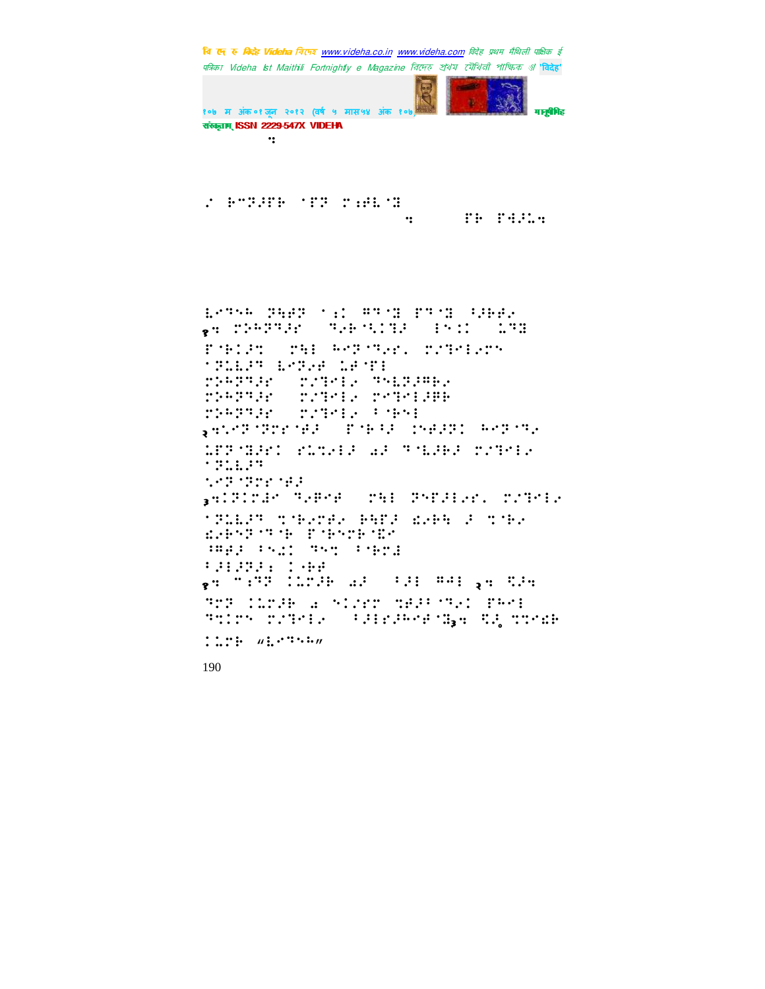चि एक रु मिन्हे Videha विएक www.videha.co.in www.videha.com विदेह प्रथम मैथिली पाक्षिक ई पत्रिका Videha Ist Maithili Fortnightly e Magazine রিদেহ প্রথম মৌথিরী পাক্ষিক রা'**বিदेह'** 



१०७ म अंक ०१जून २०१२ (वष ५ मास५४ अंक १०७) मानुषीिमह संस्कृतम् ISSN 2229-547X VIDEHA jefib.dpn0wjefib.qbjoujoht.com

```
4!⢷`⢽⢼2⢷!2⢽!⣐⢾⣇⣝!
                           hhbkfoesbAwjefib⣒dpn!2⢷!2⣚⢼⣅⣒!
```
⣇⢹⢳!⢽⣓⢾⢽!⣐!⢻⢹⣝.2⢹⣝!⢸⢼⢷⢾⢴! १⣒!⢵⢳⢽⢹⢼"!)⢹⢴⢷⣃⣙⢼\*;5⣈;!⣅⢹⣝! 2⢷⢼⣉!)⣓5!⢳⢽⢹⢴"G!4⣙5⢴! ⢽⣅⣇⢼⢹!⣇⢽⢴⢾!⣅⢾25\*! ⢵⢳⢽⢹⢼"!)4⣙5⢴.⢹⣇⢽⢼⢻⢷⢴\*! ⢵⢳⢽⢹⢼"!)4⣙5⢴.⣙5⢼⢿⢷\*! ⢵⢳⢽⢹⢼"!)4⣙5⢴.C⢷5\*! २⣒⣁⢽⢽"⢾⢼.!2⢷⢸⢼!⣈⢾⢼⢽!⢳⢽⢹⢴! ⣅2⢽⣝⢼"!"⣅⣉⢴5⢼!⣔⢼!⢹⣇⢼⢷⢼!4⣙5⢴! ⢽⣅⣇⢼⢹!! ⣁⢽⢽"⢾⢼! ३⣒⢽⣜!⢹⢴⢿⢾!)⣓5!⢽2⢼5⢴"G!4⣙5⢴! ⢽⣅⣇⢼⢹!⣉⢷⢴⢾⢴!⢷⣓2⢼!⣎⢴⢷⣓!⢼!⣉⢷⢴! ⣎⢴⢷⢽⢹⢷!2⢷⢷⣏\*! GREE COLORED STATE COLORED CONFINE १⣒!`⣐⢹⢽!⣅⢼⢷!⣔⢼.!C⢼5!⢻⢺5!२⣒!⣋⢼⣒! THE CONSERVATION OF THE SERVE SUIPS PARTIES OF FRIENDS SAN SAN SAN STREET **THE WESTERN**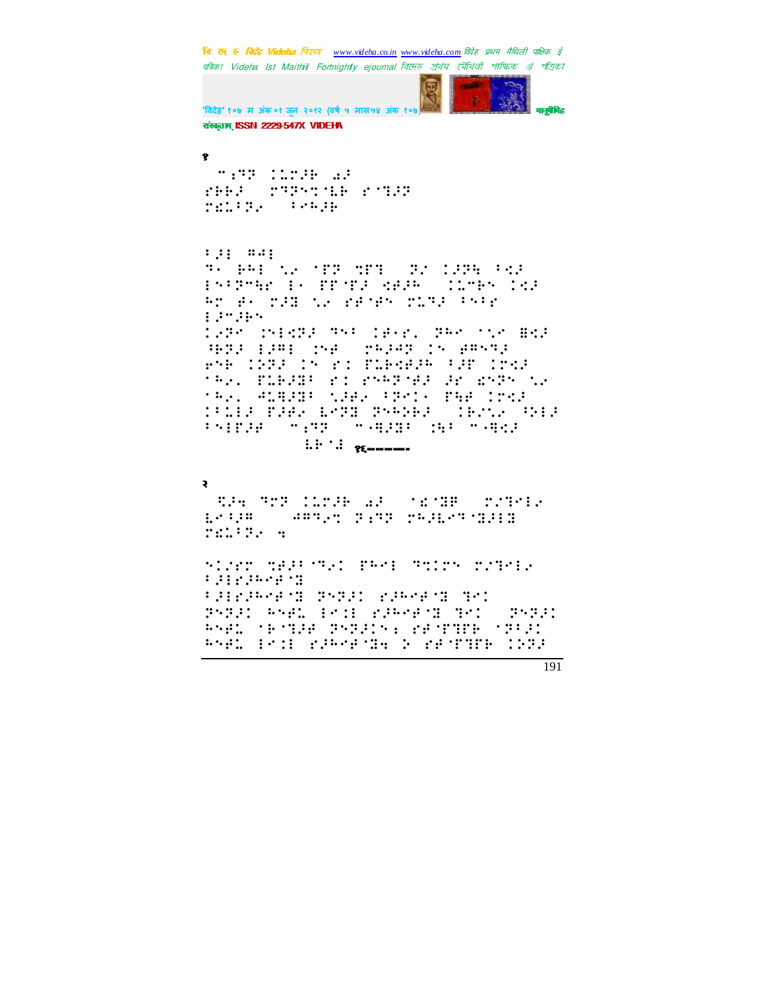FRIDGE MORE MARKED ON MARKE  $\mathbb{R}\mathbb{H}^{n+1}\mathbb{R}^{n}$  generates  $\ddot{\mathbf{z}}$ SURFATE COMMA ARE SECURE STORES ESTAR CONFESS PER PRIEST MILER rategy a STREET SARROWST PREP WATER STREET **POSTED STATE FREEDWAYE PREAL ESPARTE TO:** President Pris paragrephent  $-3.333$ PARL TETRA PARKING PATTER TRAK RNAL ERSE RARGAREN DER MANNE 1933

 $:$   $:$   $:$   $...$ TO BREAK METALET STACKERS AND ESPERENT PETER RAPHY (LTBS 183) Professional theory from the state 1,27,285 1988 THERBE RHADIERS SPACES BRE 9822 1281 258 25242 15 88532 PH INTE IN PI PLEASER FUR ITAP ter, Plesma ri reedigs sporte tr tell Almade the spoil particular stila PAS 1991 pooles (Gene Spie

**MARY COMPAS** FREE TRESTOR FORE rative coup

 $\mathbf{r}$ 

'विदेह' १०७ म अंक ०१ जून २०१२ (वर्ष ५ मास५४ अंक १ संस्कृतम् ISSN 2229-547X VIDEHA

वि एक रु मिनेह Videha विएम्ब www.videha.co.in www.videha.com विदेह प्रथम मैथिली पाक्षिक ई पत्रिका Videha Ist Maithili Fortnightly ejournal রিদেহ প্রথম মৌথিনী পাক্ষিক প্র পত্রিকা

191

मानुबेमिह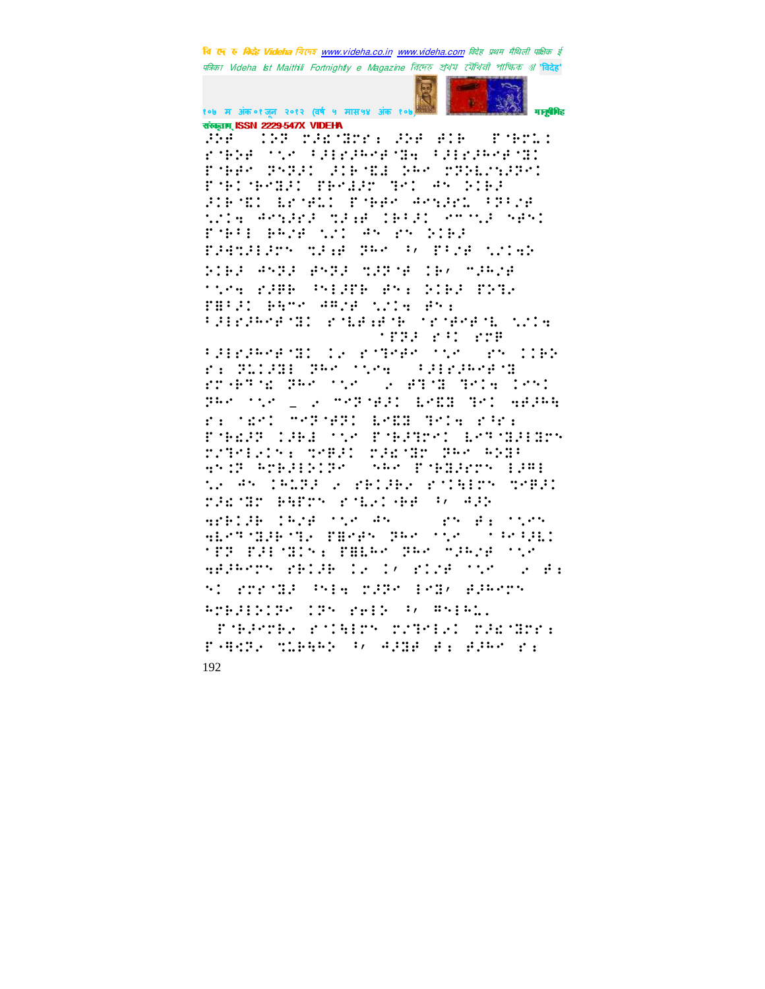बि एक रु क्विहे Videha विरफ्श www.videha.co.in www.videha.com बिरेह प्रथम मैथिली पाक्षिक ई पत्रिका Videha Ist Maithili Fortnightly e Magazine রিদেক প্রথম মৌথিনী পাক্ষিক প্র' 'विदेह'



#### १०७ म अंक०१जून २०१२ (वर्ष ५ मास५४ अंक १०७) संस्कृतम् ISSN 2229-547X VIDEHA

100 randri AV Alb Turn: and a series of the series of the series of the series of the series of the series of the series of the series ang taong ng panggunang panggunang sat Pohen Sofie (Sirohi Sen Sfringste) POSTECHNIC TECHNIC AC SIEP FIRTH EPTEL PTHER ARGED TRIPE STE PORT STREET PLAT STORES FORTH BROW NOT WAS SAFEKEEPING FJ45JEJ55 5JEB 3W6 () PP2B 52142 bied ands gnds wabje ie, waere ting rame belane and blad none THIS HER WHIP WILL PRE FREEZHOPPIE EOLPHEIM OF NORTH STEP **SPER SALES STR** 

FRIERPENICIA ENTHROTIC (PS IIBR r: PLIPBE PRO Stor (FREERFORT) PERPORTER TO SAFETE PORTION PROTOS LOS MORTERS ESERCIBIDADES ri test medigaat beda aste rari PORCH CHA SAM PORTERT LATORHERS rateleis: reggi raratr gae avoi AND PRESENCE AND PARAGUAISME in an Imige nordigen rilere trag rache Berry chaided to Adv and provides APRILED TRIP TO AN AND HEAT MEETING FRAGA THAN THAN IN PARED TER EALTRING FOURT SPACEFORM TO ARJEANN PRIJE IS IV PIZE MIK (S. R. **NI PREMIS THE RIGHT EMIX BIGGEN** ROBERTS IN PAIN & WAIR.

STORAGED SOCHETS TURNED TAROSTER ragge minne of added elector. 192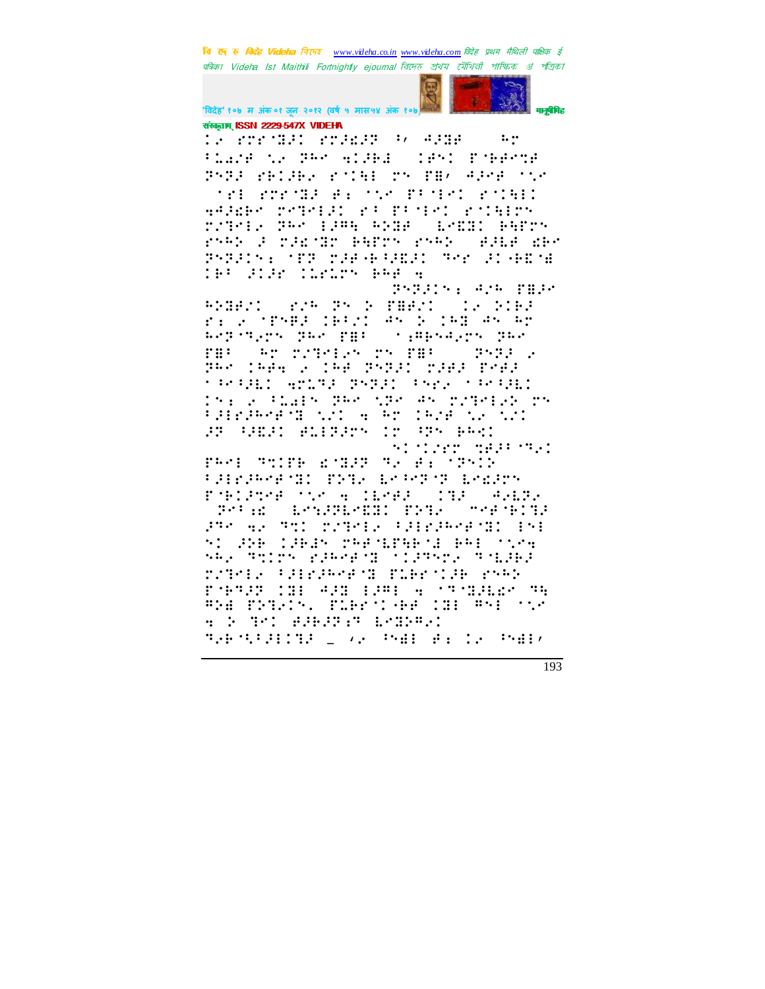वि ए रु क्रिडे Videha विएक www.videha.co.in www.videha.com विदेह प्रथम मैथिली पाक्षिक ई पत्रिका Videha Ist Maithili Fortnightly ejournal রিদেহ প্রথম মৌথিনী পাক্ষিক প্র পত্রিকা



'विदेह' १०७ म अंक ०१ जून २०१२ (वर्ष ५ मास५४ अंक १० संस्कृतम् ISSN 2229-547X VIDEHA

<u> 10 Kranski pridis (</u> 4186 –  $\cdots$ Place to PRO ACPEE (1851 Pomerte PSPA PRIJER POLED TS PB/ APSP ONC Tel energy as the proper entail ARGER PRIPER SA PENERI STIBETY randa Per Lamb Abdel Lroot Barry rned Forkompodernn rned (BRE der Sti 193 236-633831 326 31-6818  $(3.4, 3.3)$ **THE SIGN TIMES HAR 4** 

PARADA: AMA PEAM

**SECOND PROPERTY**  $\mathbb{R}^2$  . The  $\mathbb{R}^2$  $1.1.14.11$ ri 2 MPHP (BR2) An 2 (RB An Ar Reponsors par part of Sapsages par **FHI** THE PATHLEY PROFILE OF PREACH PRO CRAN 2 CRA PSPAC TARA POAR **TREAD ANDRE PRESS PRESS PRESS** The Southern Park who are primited by Paleamers with a montere we wi 37 HEAD REPART ON MPT BRO **AND THE THE STATE** 

FRAME TO THE RECORD TO HE AT A TO THE STATE PRESERVATORI PROVINCIAMENTAL ERRIPA PORTENE SAM A TEMPER THE CANERY **Tele EesTRenn Ten Seeger** 256 A2 SMI M29612 F2182668781 151 SI AGE LABAS TRESERENA BRESSON SRA POIDS PARSENE SIAPSON POLIBA MARKEY PAPERPHAR BIBEATAB SART russim an core consumer BRE PRINTS, PLEY'S HE INFORMED THE 4 F THI BIBBER EMBRAI

THREEING IN THE BEING THEY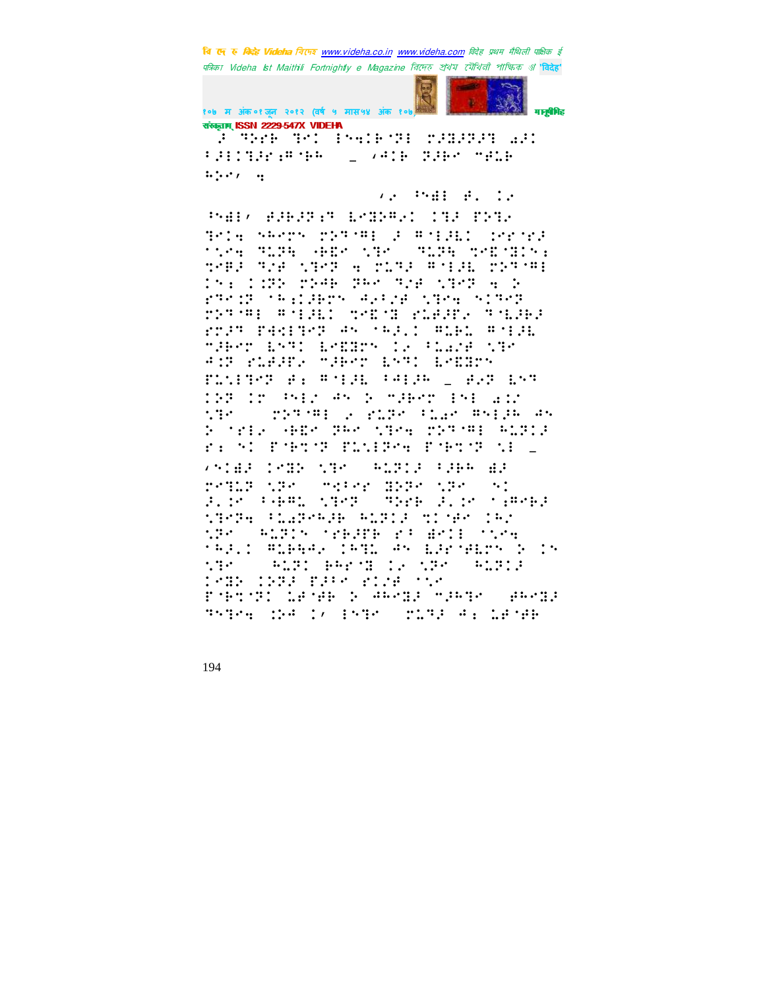बि एक रु क्विहे Videha विरफ्श www.videha.co.in www.videha.com बिरेह प्रथम मैथिली पाक्षिक ई पत्रिका Videha Ist Maithili Fortnightly e Magazine রিদেক প্রথম মৌথিনী পাক্ষিক প্র' 'विदेह'



१०७ म अंक०१जून २०१२ (वर्ष ५ मास५४ अंक १०७) संस्कृतम् ISSN 2229-547X VIDEHA

) The To Indiana capaca Wa **THEORYTH LAND PHOTOGRAP**  $\mathbf{L}^{\prime}$  ,  $\mathbf{L}^{\prime}$  ,  $\mathbf{L}^{\prime}$  ,  $\mathbf{L}^{\prime}$ 

*Ale Philips in the* 

PABL PRESER EMBRED INFORMA Tele Saers ritter ( # # 1911) **Service SECRETE SECTION SAME TIME SHEET SIM** SPEA THE STREAM SIZE FOLED SYTCH 15: 1:PD TDAR PAS TOR SPECK A D randa negospom suchra nang soar ressur which report claims which PTP PROTES AN INFLIGADED ANIAL "Her LST Lemmes I. Thing the **AN PLANE THAT LATE LABRY** TIMEST P: #MERL PALPH \_ RAT LNT 198 15 PHILAR D'HART ERE 212 TVP ME 2 STORY PLAY REPORT AN 化性动物 人名 S tria GREE BRE the partner Richar ri y fyrt Elisa fyrt fyrt i 1 **VALUE CAND ANY SERVICE FORM UP** redir the steel measure the  $\ddotsc$ lle (Papel 1923) **THE F.P TIMER** them clareddy bliti tiche ibr MPS PLEIN SPEPE PROBATIONS **TREST PLEASE IFIL AN ESPRETH 3 IN**  $-41211$ **ALSI PRESS IS NEW**  $2.321$ 1982 (1982 Page Strawbook ESPOST LENE D'ARMIE MERIM (ARMIE SARAH 194 LA 1838 (2132 41 1838)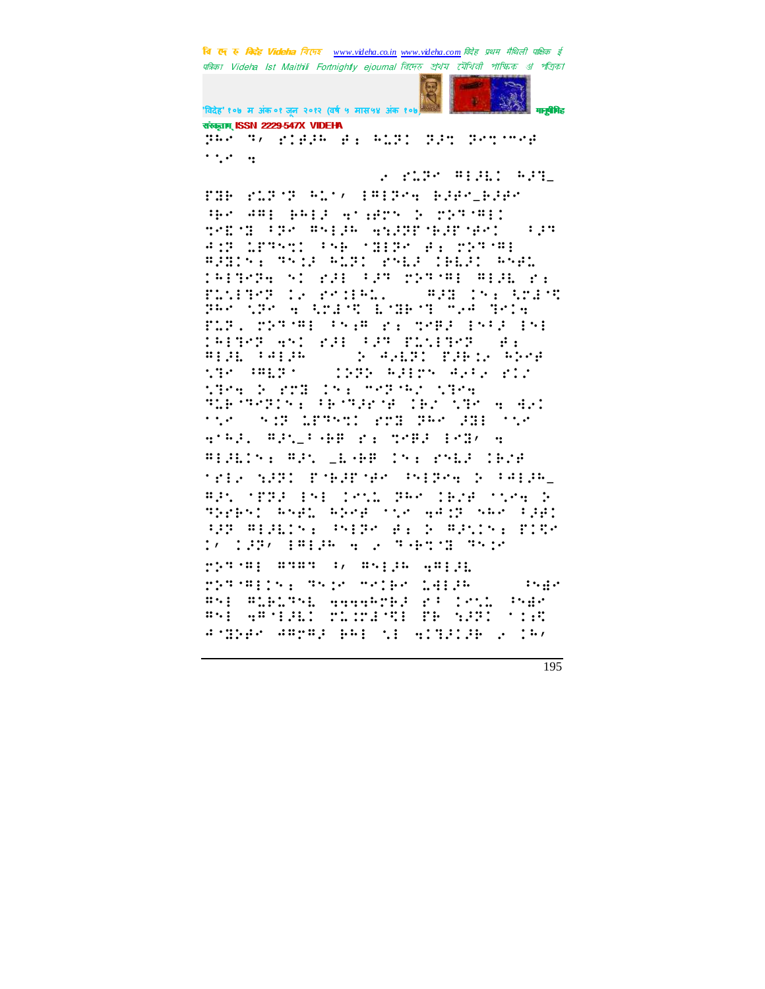वि ए रु क्रिडे Videha विएक www.videha.co.in www.videha.com विदेह प्रथम मैथिली पाक्षिक ई पत्रिका Videha Ist Maithili Fortnightly ejournal রিদেহ প্রথম মৌথিনী পাক্ষিক প্র পত্রিকা



'विदेह' १०७ म अंक ०१ जून २०१२ (वर्ष ५ मास५४ अंक १०

संस्कृतम् ISSN 2229-547X VIDEHA gar n, rigga gi aidi din grunneg  $\mathcal{L}^{\text{max}}$  ,  $\mathcal{L}^{\text{max}}$  , and

FOR MINT RIM, 1812-6 BIRGERIN aproduced pack are provided to the control SARIS PROGRESS ANDROHOL COM AND LEAST PAR SHIPS AT START #BRAVANIA ALBITALLITALI: AAAL 1919-14 SI 231 FJP 227-91 9131 21 POSITOR CONTROL RUBBON CONTR PROSTE A AMENT EMBOR MAR RO  $: \cdot$  : FLF. 2003-8: Prim ri 2003 (000) (5) CRETHE AND VALUEST TONETHE UP:  $\overline{m}$  :  $\overline{m}$  :  $\overline{m}$  :  $\overline{m}$  :  $\overline{m}$ 3 ANDI TABLE ADER 1939 RABON RATE 212 the South Car Server Sheep SLECTORING FECTIONAL IEN NIC A AVI MAR SAR LERMI EDE PROVEE MAR AND SPOTTED AND THE STATE OF THE STATE OF A WEBCA WAS LEARNING MARKING tria 533: Pobaroko (51364 ) (41361 BEN TERF ENE CRND BAR CEME TORE D Spring and april the gags namely SP WEEKS: PHPP B: 2 WPLD: FIRE DOMESTIC PERMIT AND PROPERTY 223-81 8383 1, 85116 98111 rradios, and show the series  $\cdots$ ski sinisti gagashi ri jeti a shekar #5: e#filic ricraft: CB 5271 fil **A MINER ARPRICENT (1) AITITIE 2014,**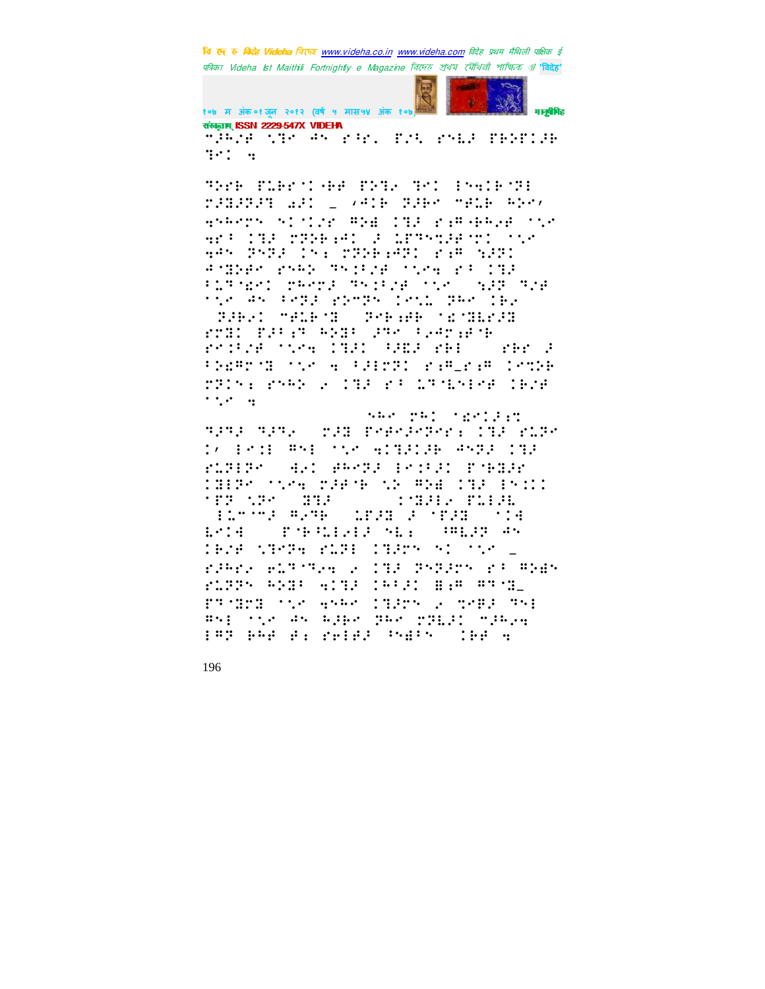बि एक रु क्विहे Videha विरफ्श www.videha.co.in www.videha.com बिरेह प्रथम मैथिली पाक्षिक ई पत्रिका Videha Ist Maithili Fortnightly e Magazine রিদেক প্রথম মৌথিনী পাক্ষিক প্র' 'विदेह'



१०७ म अंक०१ जून २०१२ (वर्ष ५ मास५४ अंक १०७) संस्कृतम् ISSN 2229-547X VIDEHA

MARTE STRUCK PART FOR PALE PROPIER  $301 - 4$ 

The first he frie in 1941-78 MARAZAR WAL ZONACH ZAHR MALE RIRA anbron nicipal Red (Sie aleboarding) erf (192 speken 2 linnsiges) (2 445 PSB3 15: 2700.000 2.8 5201 ASSERT PARK SACRETING TO CONTROL FLAMENT CHROSE ANDERS TEN 1998 APR nga asl naga gaags Tagi geelije. THE MEDIC THEFT CONDUCT rrot pacer whose and careers reduktione (1931) GADA reduction and a PREACT TEACH PRICE FROM CATE MINE ROOM A CHA RA LANEMA CEMA  $\mathcal{F}(\mathcal{F})$  , and

ner pel narisin SPR SPR (200 Preserve) (SP 200 12 FRIE #58 SNR AINAIRE #592 INA PLEEDS (ALC ARSED ESCEPT POBLE COOPS TO STORY TO SAFE CONTROLLER **TERMINAL PRESS SEP NEW**  $\mathbb{R}^n$ **BISTME RANK (IPER 2 TEER 1998** EMIR (FMPHILLE NEED PREP) PN TRIP STORE ROOT CORPS SI TOO rames elsoner a colo dedare es mede r1995 ASSE ANSE (AFFI BAW ASS) FRONT OUR ANNO 1930N & CREA RNE #5: The 45 Appe BAR 2013: MJA24 is the second service of the service of the service of the service of the service of the service of the service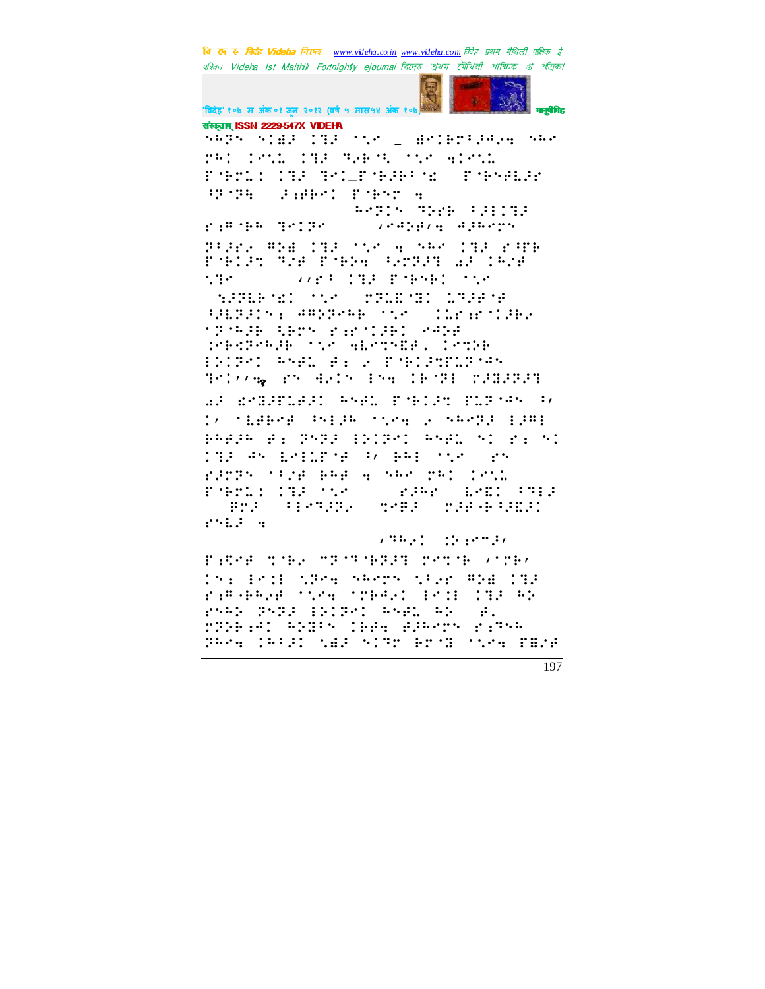वि ए रु क्रिडे Videha विएक www.videha.co.in www.videha.com विदेह प्रथम मैथिली पाक्षिक ई पत्रिका Videha Ist Maithili Fortnightly ejournal রিদেহ প্রথম মৌথিনী পাক্ষিক প্র পত্রিকা



संस्कृतम् ISSN 2229-547X VIDEHA SAPS SIER INFOSKO I ESIPIFRAN SAS PRI TRIL THE REER TOO AIRIL PARTICIPALEMENT PARENT spond classes power a **APRIL THE FRIDE** rimsk grupe  $\sqrt{3}$  , which is a positive problem in the state of the state of the state of the state of the state of the state of the state of the state of the state of the state of the state of the state of the state of the state o

Bidge What 193 the 4 name 193 goup PALES AND PAPE ANSWER WE CAND **WARE THE POINT OF**  $2.34$ 

**NUMBER OF START STATE** BRIDGE ARSPARE TO STRIP CREAT **TRINGE ARTS PAPILED PASA** SCHORAGE TO HEATTER, ISTER ERIPYL RNAL ARE 2 FORIPHELPORN This was the deline from the Theorem School

AF RENEWARD WARD PORTED PORTAGES, IV MERRAR PAIRN MOAR 2 SPARE IRR PRESR E: 2522 (2023) PSEL 51 F: 51 THE AN EMELTYPICS PAPERTYPIC PN range ofine east a saw nat trut Premier Chemical  $\mathbb{R}^{2n+1}$  . E-E1  $\mathbb{R}^{n+1}$ **BMA MISTARY MSBA MARSHALLI** 

 $f''$  is independent of  $f''$ 

 $\sqrt{2\log(1-\frac{1}{2}\log(2\pi)/2)}$ 

PARKE THE MESTIFIED PRICE STREA The Brill STRA SARTS STAR ADE CTA rimand the transfer and the state ryak 3533 (KISS) angl ako  $\mathbf{H}$ TIME WILL RISK (1984) BIRSTY (1975) PRAN (REST NAME NOTE PRAN PRAN

197

मनुवैमिह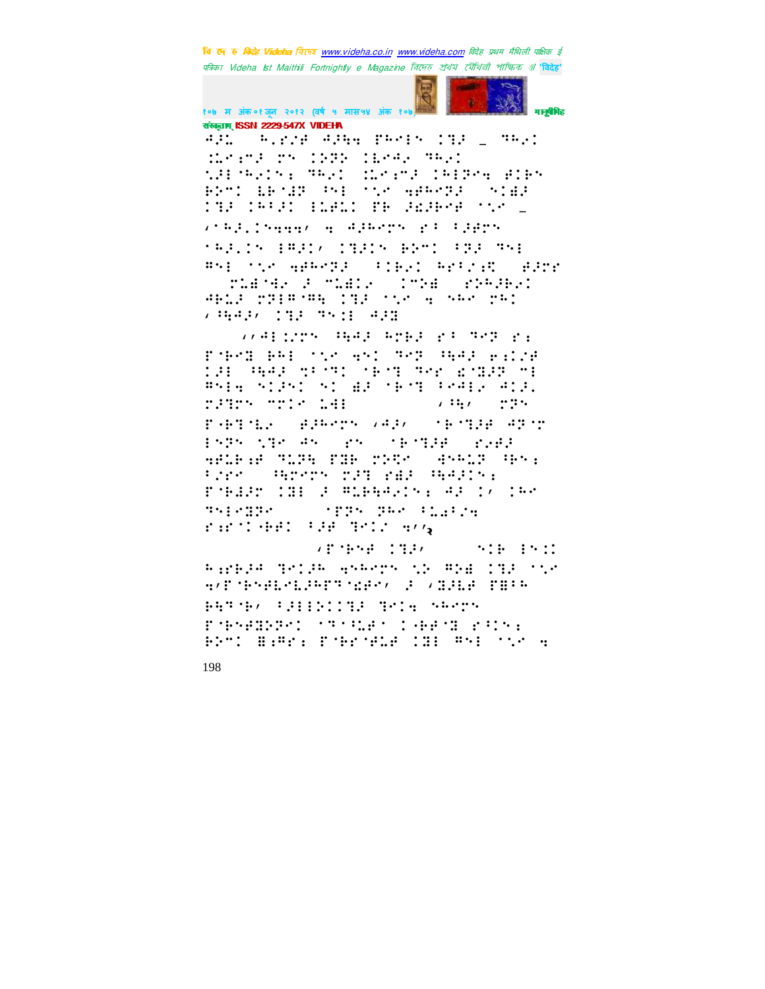बि एक रु क्विहे Videha विरफ्श www.videha.co.in www.videha.com बिरेह प्रथम मैथिली पाक्षिक ई पत्रिका Videha Ist Maithili Fortnightly e Magazine রিদেত প্রথম মৌথিনী পাক্ষিক প্র' 'विदेह'



१०७ म अंक०१जून २०१२ (वर्ष ५ मास५४ अंक १०७) संस्कृतम् ISSN 2229-547X VIDEHA

APL (Average Appelbate 1980) (APP) dens ry 1989 (1989 September the mathem meat officers of Edgard Bibn BOTO LETAR (PE) TOM HARMRE (POLAR t de la carta de la carta de la carta de la carta de la carta de la carta de la carta de la carta de la carta  $\sqrt{2} \left( \frac{1}{2} \sum_{i=1}^{n} \sum_{i=1}^{n} \frac{1}{2} \sum_{i=1}^{n} \frac{1}{2} \sum_{i=1}^{n} \frac{1}{2} \sum_{i=1}^{n} \frac{1}{2} \sum_{i=1}^{n} \frac{1}{2} \sum_{i=1}^{n} \frac{1}{2} \sum_{i=1}^{n} \frac{1}{2} \sum_{i=1}^{n} \frac{1}{2} \sum_{i=1}^{n} \frac{1}{2} \sum_{i=1}^{n} \frac{1}{2} \sum_{i=1}^{n} \frac{1}{2} \sum_{i=1}^{$ **TRACK ERACY CRACK BOYD FRAUDHE** #5: TV APPSE (PDF) Privat Pirr Schule March (1981) - Contemporare (1982)<br>Septim Schule March (1982) - Schule March (1982)  $\sqrt{4443}/133/7911/433$ 

 $\sqrt{4111775}$  (Ref. And) at  $7777$ Porch Reformed Monterney (Reformation 1980 AAR digital second acare of 书房中 医1951 医1 油床 计执行机 开始开启 进191 **PINE MAY WHI**  $\mathbf{u}$  :  $\mathbf{u}$  $\mathbb{R}^{n}$ ESPECIAL BIROTS VALV CORCER ARCT 1979 MTP AN UPS CONTROL PARK 4000 0000 000 000 0000 000  $\text{H}_{\text{L}}\text{H}_{\text{L}}\text{H}_{\text{L}}$  ,  $\text{H}_{\text{L}}\text{H}_{\text{L}}\text{H}_{\text{L}}$  ,  $\text{H}_{\text{L}}\text{H}_{\text{L}}\text{H}_{\text{L}}$ **Parameter** roger (m) a minheire ga is leo no penne. **STEP BRY PLATIN** PAPTEMENT PRESENTED

**APPEAR CREATE AGE EACO** RAPER TRIP ASPARS SE PER ITE TSP AFTHALMENTIEN CONSERVED BATTE, PRIIDITER TELA SAPPS PORTHERS OFFICES LARGE PICE. BDMI BARY: POBROBLE COM RHE SOM A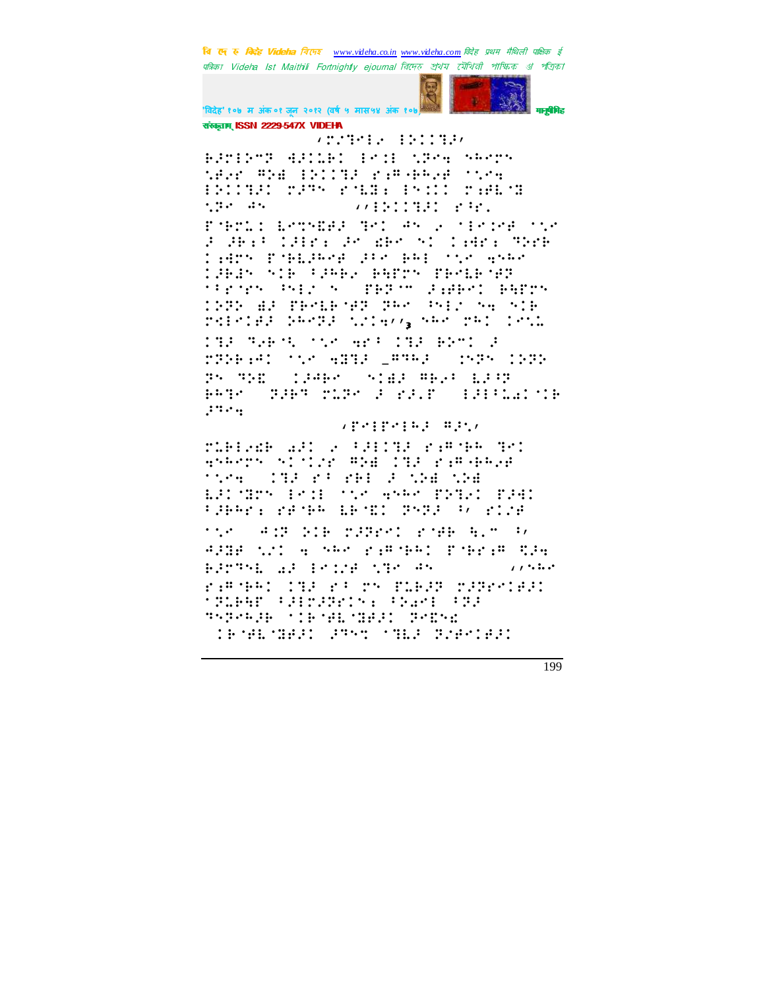वि ए रु क्रिडे Videha विएक www.videha.co.in www.videha.com विदेह प्रथम मैथिली पाक्षिक ई पत्रिका Videha Ist Maithili Fortnightly ejournal রিদেহ প্রথম মৌথিনী পাক্ষিক প্র পত্রিকা



# 'विदेह' १०७ म अंक ०१ जून २०१२ (वर्ष ५ मास५४ अंक १ संस्कृतम् ISSN 2229-547X VIDEHA

# $\frac{1}{2}$   $\frac{1}{2}$   $\frac{1}{2}$   $\frac{1}{2}$   $\frac{1}{2}$   $\frac{1}{2}$   $\frac{1}{2}$   $\frac{1}{2}$   $\frac{1}{2}$   $\frac{1}{2}$   $\frac{1}{2}$   $\frac{1}{2}$   $\frac{1}{2}$   $\frac{1}{2}$   $\frac{1}{2}$   $\frac{1}{2}$   $\frac{1}{2}$   $\frac{1}{2}$   $\frac{1}{2}$   $\frac{1}{2}$   $\frac{1}{2}$   $\frac{1}{2}$

BRTINT ARILEI ESIE SPSA SPSTS tear man (11119) ram-emae stra ESITED THR FAND: PAID THEAN ngan ang  $\mathcal{L} \times \mathcal{L} \times \mathcal{L} \times \mathcal{L} \times \mathcal{L} \times \mathcal{L} \times \mathcal{L} \times \mathcal{L} \times \mathcal{L} \times \mathcal{L} \times \mathcal{L} \times \mathcal{L} \times \mathcal{L} \times \mathcal{L} \times \mathcal{L} \times \mathcal{L} \times \mathcal{L} \times \mathcal{L} \times \mathcal{L} \times \mathcal{L} \times \mathcal{L} \times \mathcal{L} \times \mathcal{L} \times \mathcal{L} \times \mathcal{L} \times \mathcal{L} \times \mathcal{L} \times \mathcal{$ Pobri: LordEd 901 45 2 official cid F Best Chira Prodes Sin **Tedri Mirik** Gers romance aux mei closelend TJEIN NIE FJAEL BATTN TEMIENET SPEAK PHILE SO PRROT FORMS PRETS TOOK AS TEMAPHONE TEM SMALL MALL MIE refelds began then you we recover.

INFORMATION AND INFORMATION 2726341 152 4332 18963 1996 1992 35 MHZ (1980) SIAP ME20 LPD PROS THR MIN PART (PRIMAD)  $\mathcal{L}^{\text{max}}$ 

# $\sqrt{r}$  . The property of  $\mathbb{R}^n$  ,  $\mathbb{R}^n$  ,  $\mathbb{R}^n$  ,  $\mathbb{R}^n$  ,  $\mathbb{R}^n$

rikkak alt a tillig rænge pr entern nicipi Ara (112 p.A.Atta tion (IB at aB) a the the EFICITY PRID TO ANNY TYPE THE FJERE: 287ER LETTI JSTF F/ 2004  $\mathcal{F}(\mathcal{G},\mathcal{F}) = \mathcal{G}(\mathcal{G},\mathcal{F}) = \mathcal{G}(\mathcal{G},\mathcal{F},\mathcal{F}) = \mathcal{G}(\mathcal{G},\mathcal{G},\mathcal{F},\mathcal{F}) = \mathcal{F}(\mathcal{F},\mathcal{F},\mathcal{F}) = \mathcal{F}(\mathcal{F},\mathcal{F},\mathcal{F}) = \mathcal{F}(\mathcal{F},\mathcal{F},\mathcal{F}) = \mathcal{F}(\mathcal{F},\mathcal{F},\mathcal{F}) = \mathcal{F}(\mathcal{F},\mathcal{F},\mathcal{F},\math$ APSE SMITH SAM PARTER PORTER SA BETTEL AF ESIME NES 45  $\mathcal{L}_{\mathcal{A}}$  is the state ramshed (SI) ra ny fiber nerrodes \*PLAAP (\$\$\$\$\$\$\$\$\$\$\$\$\$\$\$\$\$\$\$\$ **THEFFIEL TIP MELTIPS: PRIME** TRYBLYBBC STYT THE BYBYISE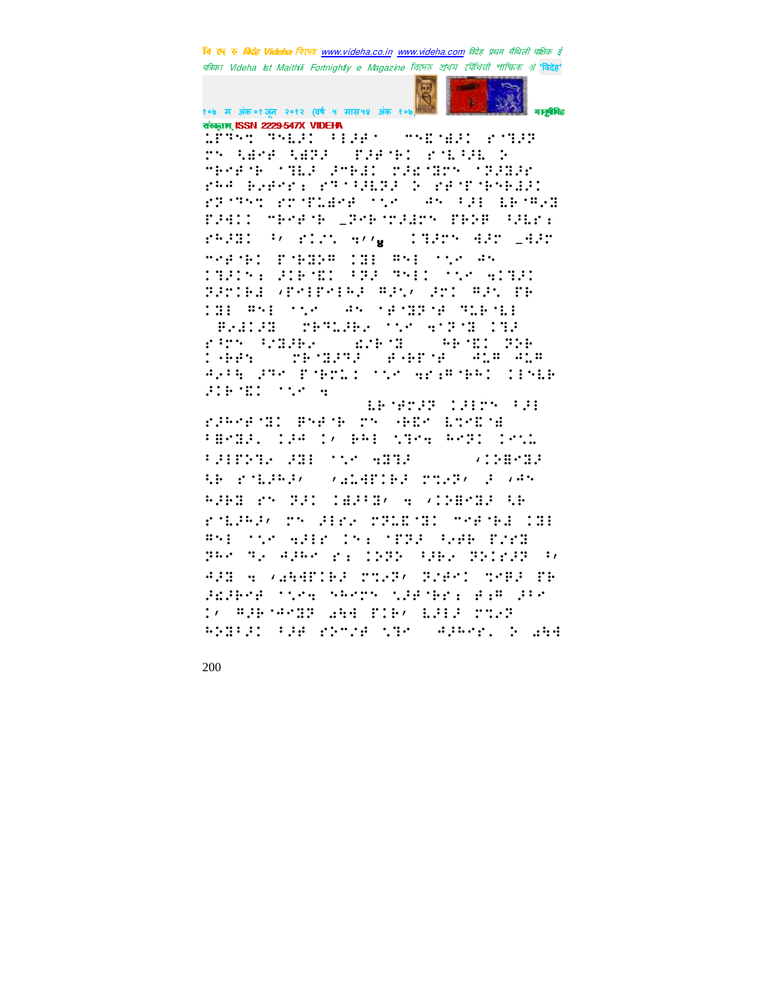बि एक रु क्विहे Videha विरफ्श www.videha.co.in www.videha.com बिरेह प्रथम मैथिली पाक्षिक ई पत्रिका Videha Ist Maithili Fortnightly e Magazine রিদেক প্রথম মৌথিনী পাক্ষিক প্র' 'विदेह'



### १०७ म अंक०१जून २०१२ (वर्ष ५ मास५४ अंक १०७) संस्कृतम् ISSN 2229-547X VIDEHA

tříky sklad (1947) (nkromad posle ry tang taon singni rubun t MERRIME STELL SMELL CARSTERS STATED res brenn produce a reconnect FROM PROPERTY ON A PARTIE RESER FACI TEMPE \_PMETRAPH TESH ARE: regio es rico ass<sub>a</sub> (1925-925 1925

meanic priming (d) gri che dr **THERE AND HIS THE THE SET OF STRE** SUMBER CRAINS AND ANY AND SH THE RAE STAR CAN SESMAN RIFOLE BREADTH MARKET MARKETING rans and may concern the series  $\mathbb{R}^n$ taks reduce ears and an APPE PRO PORTLY TOO APPROVED INSER  $\begin{minipage}{.4\linewidth} \begin{tabular}{l} \hline \multicolumn{1}{c}{\textbf{1.1}} \end{tabular} & \multicolumn{1}{c}{\textbf{1.1}} \end{minipage} \begin{minipage}{.4\linewidth} \begin{tabular}{l} \hline \multicolumn{1}{c}{\textbf{2.1}} \end{tabular} & \multicolumn{1}{c}{\textbf{3.1}} \end{minipage} \begin{minipage}{.4\linewidth} \begin{tabular}{l} \hline \multicolumn{1}{c}{\textbf{2.1}} \end{tabular} & \multicolumn{1}{c}{\textbf{3.1}} \end{minipage} \begin{minipage}{$ 

EPSPER 12155 131 raboard: Brank rr (Adr 1890) FRANK (18 1) BRE STAR RATI IAS **BEERING CONSTRUCTS**  $\sim 1.144444$ thermal waldtief rock a ver 8368 PR 231 18318/ 9 \108782 16 right, ry dire raining weight the Bri the Adir Cr. TEBS GAB PreB par ne apar es 1999 (DBE PD1819 () 438 A (264PIE3 STAR) ROBER THREE PR JEJERA STRA SPROTSKIA SRTA AVROJEKT *ty #3674288 and Biby 6313 253* ANGELED FIR SNOWS NGA 1980 ALAMS, NO 284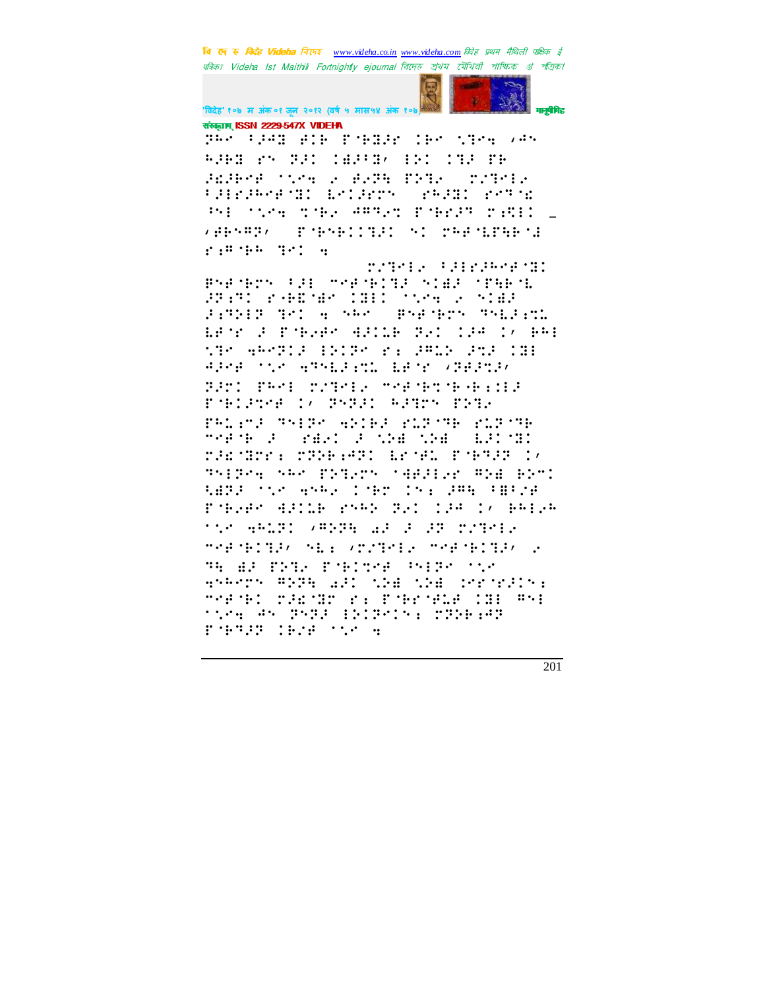वि ए रु क्रिडे Videha विएक www.videha.co.in www.videha.com विदेह प्रथम मैथिली पाक्षिक ई पत्रिका Videha Ist Maithili Fortnightly ejournal রিদেহ প্রথম মৌথিনী পাক্ষিক প্র পত্রিকা



### 'विदेह' १०७ म अंक ०१ जून २०१२ (वर्ष ५ मास५४ अंक १० संस्कृतम् ISSN 2229-547X VIDEHA

gar fjer fir fjrint int trek ver 8368 PV 331 18378/ 121 133 TB REPARTNALL BRAINTER TETAL FJERDHARMED ERDDROM (PHOBO) RRTME PHOTOGENIES ARTST PIECHT PERIL **VARMARY PROPERTIES AS PRACHERS** rimen get a

rathia (Birdhhend PSECRIPS FREE MORCHETER STAR CERROL BRITISHER SHER THE STATE STAR FRIDE TO A SAC TRACK THERES We're finded Affile T.C. 194 1, 84: **196 APPILE ISIDE PL PRID PMP ISI** APPROVIS ATALENTE LANK (PAPTE) FRED PROF STREET MORTHS REFERE FORTHOLD DARRI WRTH PRIN PALENT THERE ANIBE SLETTE SLETTE **MARK A SEAT A NAM NAM WALKER** ractor: compact bridge compa Third had prison tealign whe bro SAPP TO ANNA CORT CNE PRESERVE Porte Alla rock 221 124 17 Relew the ARIBI (#1986 AS 3 38 STREET media: Bay (Siri) (Martinia (Media: Bay) an TH AS TYTE TORITOP THIRD OUR entern Work all the the proposers MARCHEL CAROTEC PORT POPULATION AND 1134 45 3532 10135151 2306143 POSSES DESPITED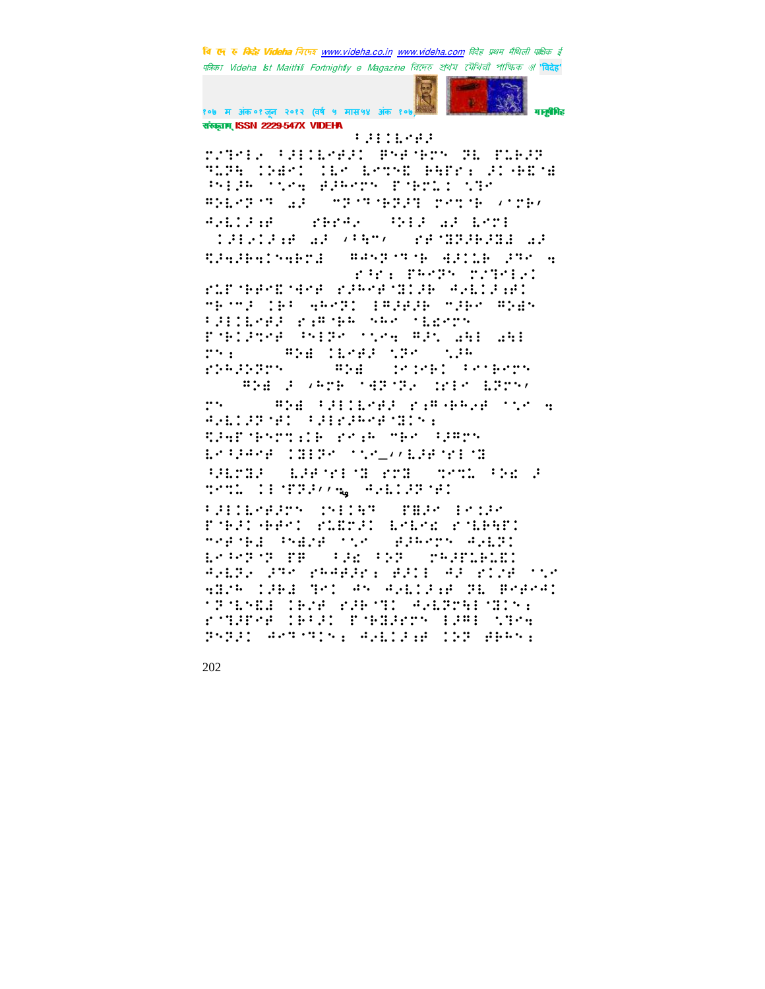बि एक रु क्विहे Videha विएक www.videha.co.in www.videha.com बिदेह प्रथम मैथिली पाक्षिक ई पत्रिका Videha Ist Maithili Fortnightly e Magazine রিদেক প্রথম মৌথিনী পাক্ষিক প্র' 'विदेह'



१०७ म अंक०१जून २०१२ (वर्ष ५ मास५४ अंक १०७ संस्कृतम् ISSN 2229-547X VIDEHA

**POSSIBILITY** TZIMER PAECEMAAL PHATETH PE FIEAR  $21.24 - 1$ Charl (Le Leond Barri J. Arrie PHIN TON BRATH EMPLICATO BREAT HE STORIER TATE VIEW Addited Service Will al Lori THRIBA AF CHM, SPORTHIE AF **BASESTER BILLE 275 A** CJ4JB4154BMI FRI PROPR COPIES

rtrimerare represente partent menns (et about 1820) muscle wide PRINCIPAL PARTNER SERVICEPTS riellske bine som gun aan aan ry: Websites the State State rdedure and the content forecr **ADE 2 VATE TERMINE DEPT ERTY,** 

**ARE PRILEME PARAGEMENT R**  $\mathbf{r}$ **AND CONTROLLS AND ALL AND CONTROLLS AND CONTROLLS AND CONTROLLS AND CONTROLLS AND** SPARING THE RIGHT THAN SPRING ESPRAG IBERS SVOLVERENENB SARAH LASTIS MI SALIKI SALI **TATLE INTERVAL PRINTING** 

FRIDARITY TYPIN THEY PAIR PORT GRAN SALEMAN EALAS SOLERN report being the places agili LOGOS TR GREATER SERVICE ANLEW STATEMARTER FRIEDAR SINA TOA ABSA CHA TRI AN AGAILEA PE PRAPAI **SPENDE CHAN RIP TO AGENTERY:** PORT OFFICERS OFFICE STA BSB31 WestErs, Weblag 198 WHEEL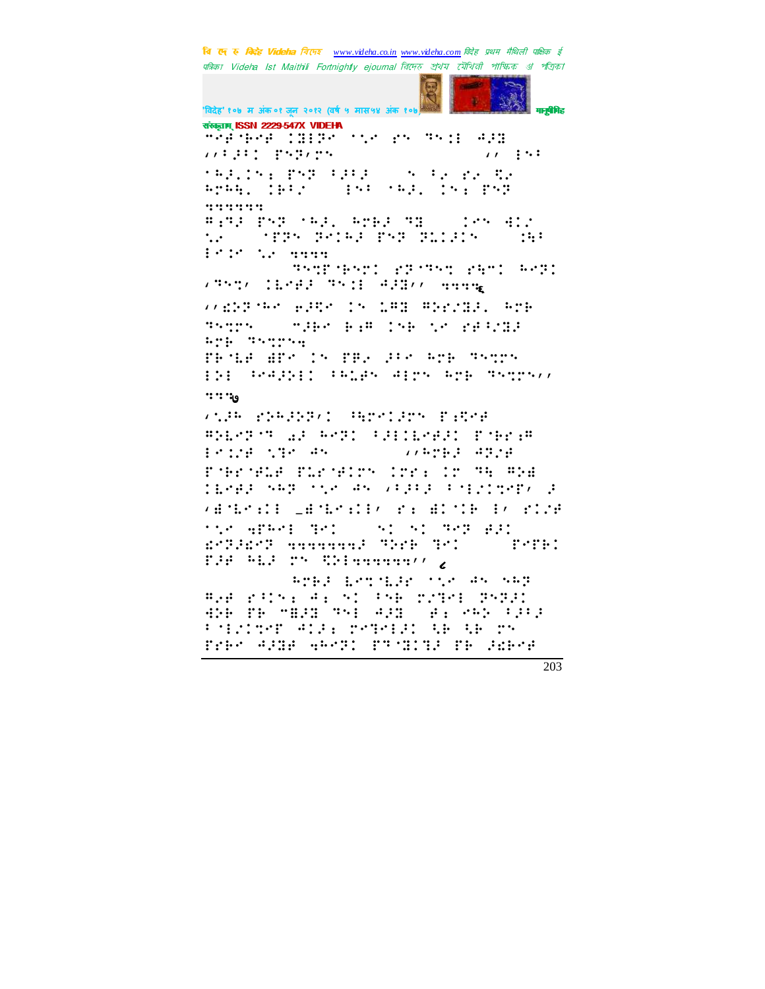वि एक रु मिनेह Videha विएक www.videha.co.in www.videha.com विदेह प्रथम मैथिली पाक्षिक ई पत्रिका Videha Ist Maithili Fortnightly ejournal রিদে<u>ক</u> প্রথম মৌথিরী পাক্ষিক *ঙা* পত্রিকা

'विदेह' १०७ म अंक ०१ जून २०१२ (वर्ष ५ मास५४ अंक १०

संस्कृतम् ISSN 2229-547X VIDEHA mediana jogan sin an mnag-ado  $\sqrt{13212}$  (PSP) 25  $\sqrt{1 + \frac{1}{2} + \frac{1}{2}}$ **SAPILINE BREAKERS**  $\mathcal{O}(\mathcal{O}(\mathcal{O}(\log n))\log n)$  . The Arab. (Bir ) (Bri (AP) (Sr: PrP  $1:1:1:1:1:1$ #252 PSP (AS) AMB2 7B (125 BIZ) MERS POINT EST PLINIS  $\cdots$  $\ddotsc$ Printing Service SAMPARAMI PRASAM PRAI RASI  $\sqrt{2}\mathcal{H}^2\mathcal{H}^2=\mathbb{E}\left[2\mathcal{H}^2\mathcal{H}^2\mathcal{H}^2\mathcal{H}^2\mathcal{H}^2\mathcal{H}^2\mathcal{H}^2\mathcal{H}^2\mathcal{H}^2\mathcal{H}^2\mathcal{H}^2\mathcal{H}^2\mathcal{H}^2\mathcal{H}^2\mathcal{H}^2\mathcal{H}^2\mathcal{H}^2\mathcal{H}^2\mathcal{H}^2\mathcal{H}^2\mathcal{H}^2\mathcal{H}^2\mathcal{H}^2\mathcal{H}^$ VANDERS PRESS IS 181 SERVICE STR de grec Chiar agus tha ne eascrit **ATH TATTAR** TROLE AFRICA TRACTIC ROBOTSCOM EDE PRAGOED PANAS AFRS ARE PSTRS. ់ៈ ៈ ៈ $\mathfrak{g}$ **AND PRESS CONTROLLER PERME** #51/277 AP RMS (PRIIMAR) Prese Ending the as- $\sqrt{7}$  ,  $\frac{1}{2}$  ,  $\frac{1}{2}$  ,  $\frac{1}{2}$  ,  $\frac{1}{2}$  ,  $\frac{1}{2}$  ,  $\frac{1}{2}$ FOR YEAR TEACHING INC IN THE REE TERRE SAR STROOMS VERFECT FORTUNALE VENERALE LENERALE/ PACEDONE E/ PODE the anset me  $\mathcal{L}=\left\{ \mathcal{L}^{(1)}_{\mathcal{L}^{(2)}_{\mathcal{L}^{(1)}}}, \mathcal{L}^{(2)}_{\mathcal{L}^{(2)}_{\mathcal{L}^{(1)}}}, \mathcal{L}^{(3)}_{\mathcal{L}^{(2)}_{\mathcal{L}^{(2)}}}, \mathcal{L}^{(4)}_{\mathcal{L}^{(3)}_{\mathcal{L}^{(1)}}}, \mathcal{L}^{(5)}_{\mathcal{L}^{(6)}_{\mathcal{L}^{(1)}}}, \mathcal{L}^{(6)}_{\mathcal{L}^{(6)}_{\mathcal{L}^{(6)}}}, \mathcal{L}^{(7)}_{\$ 

Andel Lencher the An AAD

ROSACH AAAAAAA SYND BOL

BAR PROVISE ALL SI POR COTOR TOTAL 426 FR ME28 751 428 (#: 842 1212 Printer Alle repeil (AB AB re rebo 4318 46031 radiotic re Jubor

F.H. WEST TY SPEARANTHROUND

203

aren ingilar

मानुबेमिह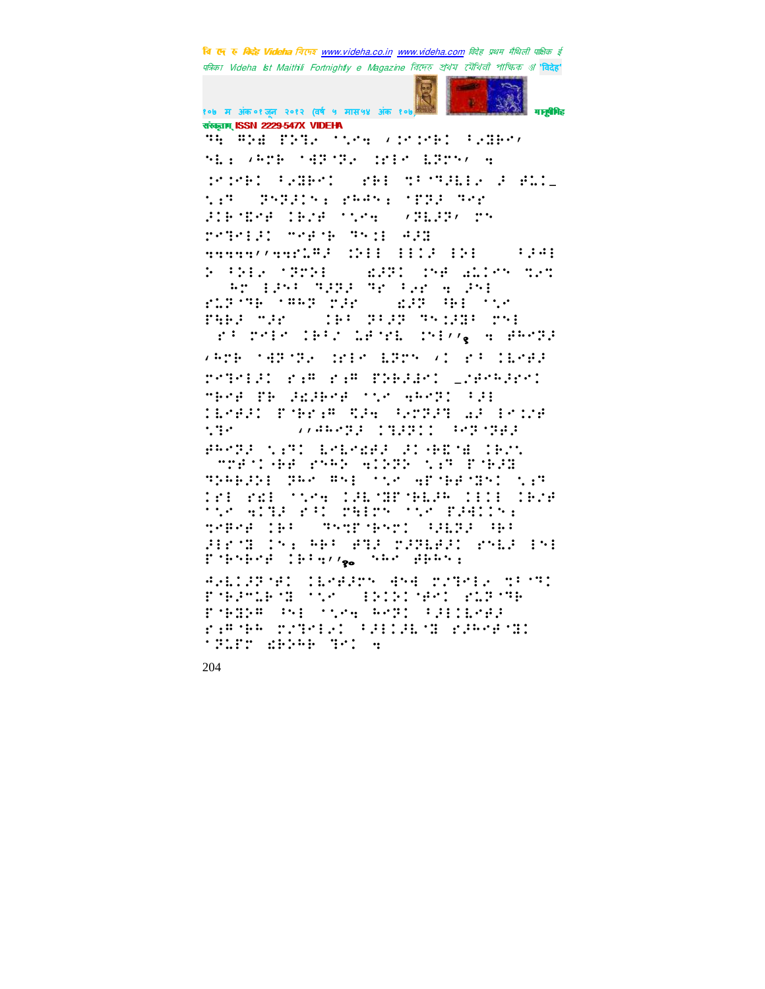बि एक रु क्विहे Videha विरफ्श www.videha.co.in www.videha.com बिरेह प्रथम मैथिली पाक्षिक ई पत्रिका Videha Ist Maithili Fortnightly e Magazine রিদেত প্রথম মৌথিনী পাক্ষিক প্র' 'विदेह'



१०७ म अंक०१जून २०१२ (वर्ष ५ मास५४ अंक १०७) संस्कृतम् ISSN 2229-547X VIDEHA

He Hidden that the strict of the state, SEE VANG SEPARA INTA ERNA A professor (Address Sales of Males States) tif Sharphy Peer, 1992 are FIRMENT IRIE (1984)  $7.34.337 \pm 0.002$ penerat media nuar adm  $\cdots$ F (PHP (TPPH) and the manufacture An EPSI MPP Mr Per a PSE  $f(12,12)$   $f(24,12)$   $f(24,12)$ **AND HEATH STEP BIRD SYSTEM SYS** Para mar at the Set of Second State of the Second Second

Vere napopy drie Epro VI pa lives rendial rim rim fieldael \_recearcl MERG TE SESERE MIR ARRIV VIE **TERRI PARTA SA ARTA WA PRIMA**  $\sqrt{48992/192911/19292}$  $\cdot$  :  $\cdot$ PROTECTIVE ECHONOMIC STORIES INC. **MORAL GREET WINDS ALSO ARRESTS FOR ALL** THERE THE THE SIM AT THE TELL SIT Tel edi tiga (SALMAP 46.34 (SITE 1828 the AINE RAI PAIPS the EPAIIS. **SHIPPS: WARP** Seperators Hrt (5) West Program (1988) Start (198 Purpor Interne and Anna

AVEILENCE IERARDS ASA DITALV SPORI ESPANDENE SNA (1991) NAME PORTUG Pobase syn steamerst fantarea ramsk rumski fallalsk ramski **TELET RESAR TO STATE**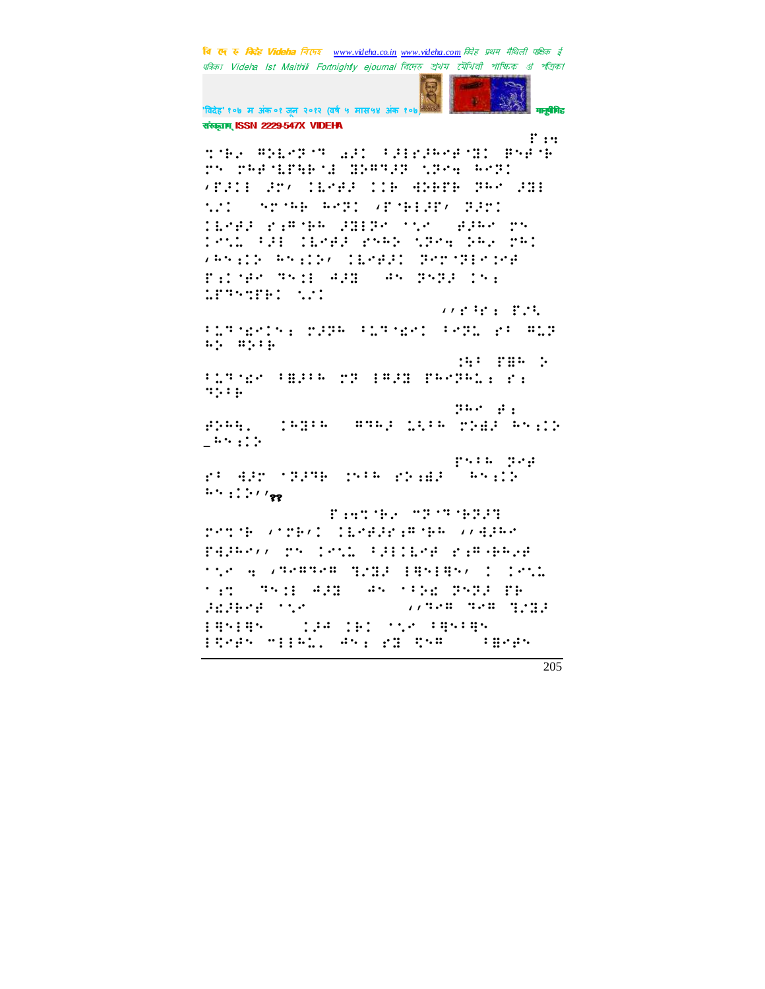वि एक रु मिनेह Videha विएक www.videha.co.in www.videha.com विदेह प्रथम मैथिली पाक्षिक ई पत्रिका Videha Ist Maithili Fortnightly ejournal রিদেহ প্রথম মৌথিনী পাক্ষিক প্র পত্রিকা

संस्कृतम् ISSN 2229-547X VIDEHA

मनुबैमिह 'विदेह' १०७ म अंक ०१ जून २०१२ (वर्ष ५ मास५४ अंक

 $\cdots$ the Phistical and Chilenes the Philip **75 768 SERR SE SEPPER (SPA 602) VESTI STA TEMPS TIP BIFFE THM SHI** WILL STORE REPLACEMENT SPEC TEMPER THROUGH THE STATE OF THE STATE OF THE STATE OF THE STATE OF THE STATE OF THE STATE OF THE STATE OF THE gine pr 1951 FB: 11983 PRAD 5384 DAY 281 **VANGIN ANGIN/ IEMARI PMP TEMIMA** Palmer Shop APB (An PhPP Ins denserbi di  $\mathcal{L} \times \mathcal{L} \times \mathcal{L} \times \mathcal{L} \times \mathcal{L} \times \mathcal{L} \times \mathcal{L} \times \mathcal{L} \times \mathcal{L} \times \mathcal{L} \times \mathcal{L} \times \mathcal{L} \times \mathcal{L} \times \mathcal{L} \times \mathcal{L} \times \mathcal{L} \times \mathcal{L} \times \mathcal{L} \times \mathcal{L} \times \mathcal{L} \times \mathcal{L} \times \mathcal{L} \times \mathcal{L} \times \mathcal{L} \times \mathcal{L} \times \mathcal{L} \times \mathcal{L} \times \mathcal{$ FLANKING THAN FLANKING FRILL OF BLA  $\mathbf{a} \mathbf{y} = \mathbf{a} \mathbf{y} + \mathbf{y}$  $141$   $184$   $16$ PLTMA PHIPS TT PRIN PROPRIS TE  $35.14$  $\mathbb{R}^{n+1}$   $\mathbb{R}^{n}$ **(Adda - Anal Calla Chall Anal)**  $\mathbf{f}$  $\mathbb{R}^n$  is a set of  $\mathbb{R}^n$ PAIR 202 rt der Seeme Syth ridde (Pydli  $5.5 : 1.7 : 1.22$ Forthe SPS 1999 renne virezh lenegramiek vagee PAPPROV THE CHILD FREIGHT PAPPROP the 4 (sesses drug (Bright I lett the Well All (An time Philips  $\sqrt{3}$  , when  $\sqrt{3}$  and  $\sqrt{3}$  and  $\sqrt{3}$  and  $\sqrt{3}$  and  $\sqrt{3}$  and  $\sqrt{3}$  and  $\sqrt{3}$  and  $\sqrt{3}$  and  $\sqrt{3}$  and  $\sqrt{3}$  and  $\sqrt{3}$  and  $\sqrt{3}$  and  $\sqrt{3}$  and  $\sqrt{3}$  and  $\sqrt{3}$  and  $\sqrt{3}$  and  $\sqrt{3}$  and  $\$ Sadbre thr 198198 - 124 191 152 198198

ERMAN MILAG, AND 23 RNA (

205

 $\mathbf{u}$  : given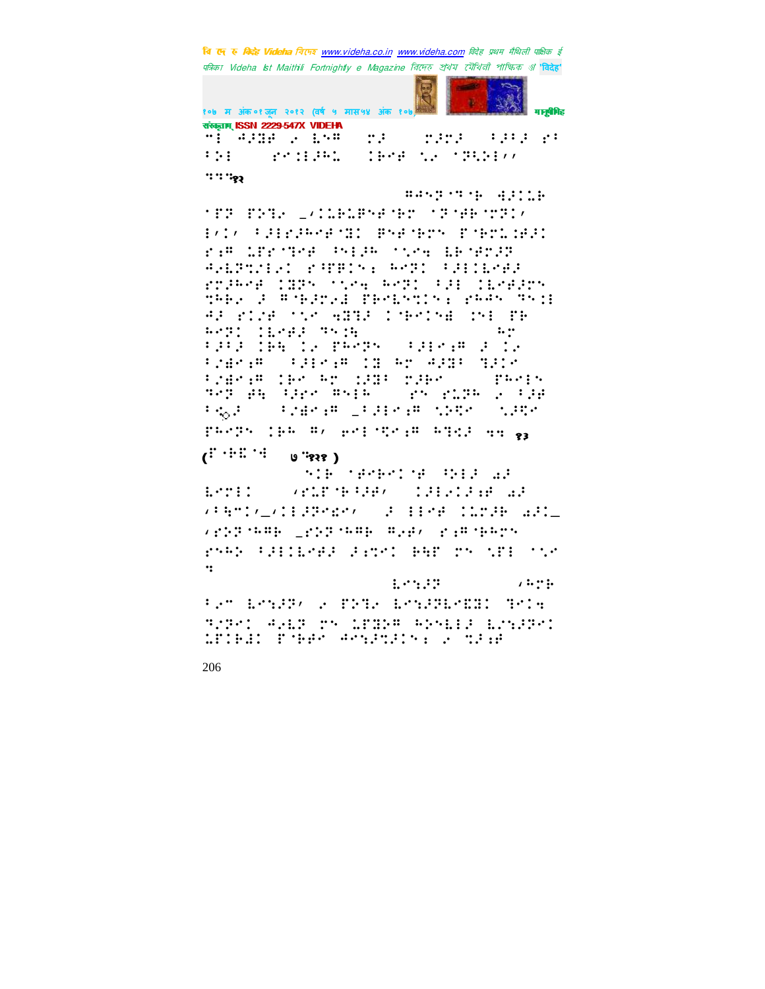बि एक रु क्रिके Videha विरफ्श www.videha.co.in www.videha.com बिरेह प्रथम मैथिली पाक्षिक ई पत्रिका Videha Ist Maithili Fortnightly e Magazine রিদেক প্রথম মৌথিনী পাক্ষিক প্র' 'विदेह'



संस्कृतम् ISSN 2229-547X VIDEHA THE SPECT  $\mathbf{m}$  and  $\mathbf{m}$  are all  $\mathbf{m}$  $\mathbb{R}^3$  $: \cdot :$ **SECTIONS CONTROLLED AT A PROPERTY** 

१०७ में अंक०१जून २०१२ (वर्ष ५ मास५४ अंके १०।

 $\cdots$   $\cdots$ 

sanger gegge **TER ENGL LINESENFORM TRANSMEN** EVIV FJERJAMENI BYENBRY PNBRL1831 rim 122 Ter (Silk over 16 dell ARITOIRE PATTES PATE PRIIMAR rolese inns sisk espi fil inselms TRES 3 ROBERTAL PRODUCTION PRODUCT AP PICE TOO ANDED INFONE INFORM 8891 11892 7518  $\ddots$  : PREP IRE IS TRAPS (PRISED FOIS trakim (theim is an add, maik France (Br Ar 1936 r3Br ) in grave pro 303 AB SPECIAL SAN FIRE 2 SPA **STARK BOOK STARK STARK STARK**  $\mathcal{L}(\mathcal{L}_{\mathcal{O}})$ packs (pack) political and an ea

 $e^{\pm i\frac{\pi}{2} \pm \frac{\pi}{2} \pm \frac{\pi}{2}}$ ( ???`` ט

**SIP SPEEDS REPAIR**  $1.1111$ **VELEMENTE, CONTENTAR** VERMIKLAIDERMANY (F. BEMA ILMAR) ARIL **VISTMAR LISTMAR APROVEMENT** real filled large BAT result sta  $\ddot{\cdot}$ 

 $1.45.33$  $\mathbf{u}$ Par Engly , from Englycometry of TARK AWAR TH AFBIR ADMII ANNIPED MIDEO PARK AMERICA LA MER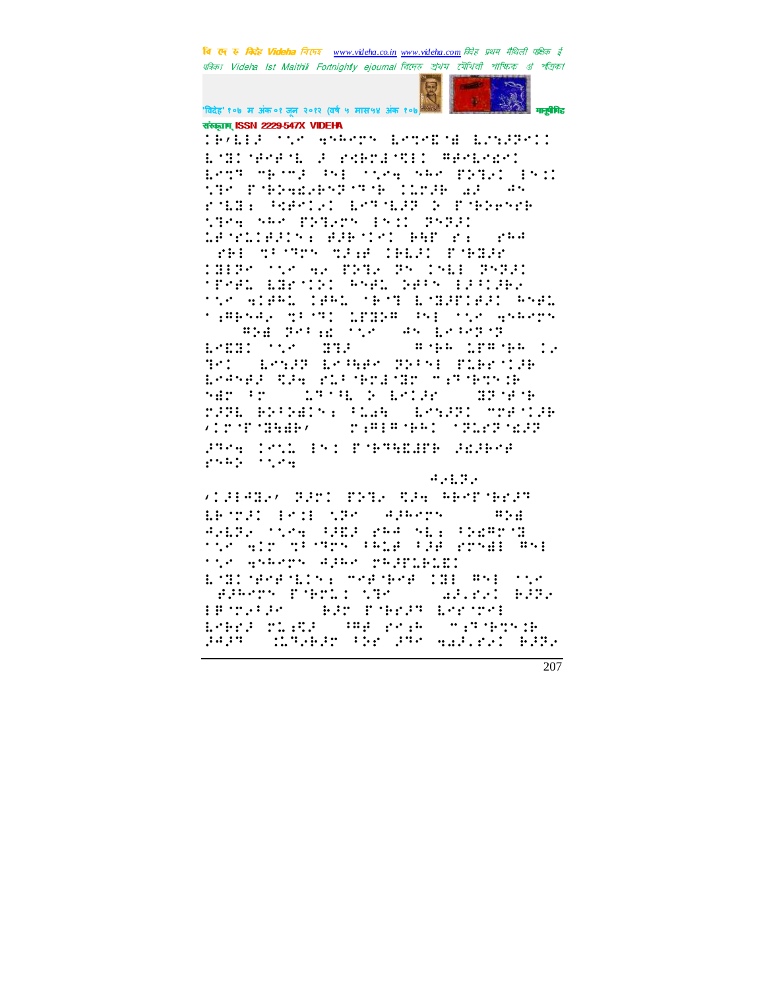**बि एक रु** *बिर्दह Videha विए***नर** www.videha.co.in www.videha.com विदेह प्रथम मैथिली पाक्षिक ई पत्रिका Videha Ist Maithili Fortnightly ejournal রিদেহ প্রথম মৌথিনী পাক্ষিক প্র পত্রিকা



### 'विदेह' १०७ म अंक०१ जून २०१२ (वर्ष ५ मास५४ अंक १०। संस्कृतम् ISSN 2229-547X VIDEHA

IP/LES TOP ANAPON LOTED LOGSPOI ESERGEN FRANKISK WALKER ESTROPHONE PHEOLOGY NEW PRINT END the refearable the first are as rdia: Restat Lemondr & Pobberb the secretary from the Part: LEACLIFICAT FIRACAL PRESERVATOR FB: TRITES TRACTALLY PIRE 1982–156 ar Prin 25 1588 2523<br>1950 Martin Asel Sets (2012er **MARINE DEL MEMBEDED PAD** SARPARA MESTIC LEGAT PAI STAR ANDRO

**ADE POLE TO AN ESTRET EPHIL MAY HILL AND**  $\mathbf{u}$  ,  $\mathbf{u}$  ,  $\mathbf{u}$  ,  $\mathbf{u}$  ,  $\mathbf{u}$  ,  $\mathbf{u}$  ,  $\mathbf{u}$  ,  $\mathbf{u}$  ,  $\mathbf{u}$ TO: LOWER LOANEO FRAME FLECTIF ESPARE CHE PLATEMENT TERMINIE SAM PROVIDENTAL & ESCAR COMPOSIT MPR PROBLEM CLARK LENGTH MMPCOP **VITTMEN THEFMAN MINTAIR** Program in Popperate Sales  $\mathcal{C}^{n+1}(\mathbb{R}^n) \cong \mathbb{C}^{n+1}(\mathbb{R}^n)$ 

 $4.417.7$ 

**WINDS BEN TRIE THE BESTIERT** EPSTED PRID NEW SERVICE  $\cdots$ APERA TORA (PREP 2008) NEW PREPERE tir els skrev kele kan ernek <sup>m</sup>ne the gabers wibe refficing ESTIMATES CONTRACTOR CONTROL SOME **BURNIN BIRDER COM** adarah 633. ERSTAGE HET PARAT ERPORT EMPER MIRROR CHA PASA CONFINING papy (MSDBP) the PV antient BPD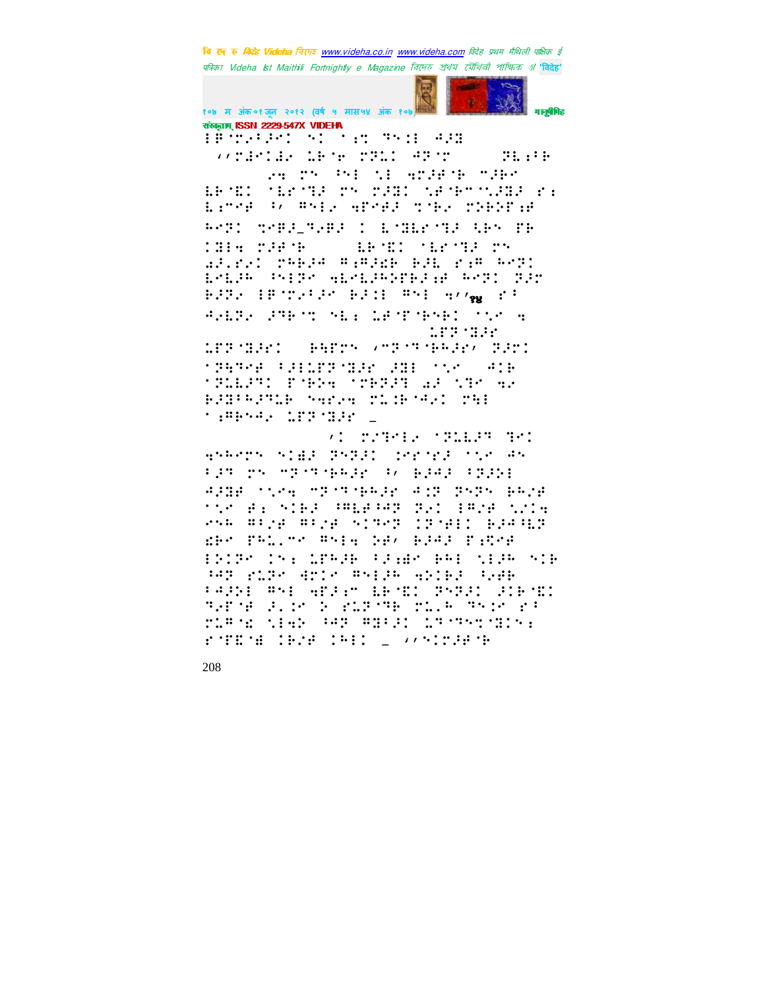बि एक रु क्विहे Videha विरफ्श www.videha.co.in www.videha.com बिरेह प्रथम मैथिली पाक्षिक ई पत्रिका Videha Ist Maithili Fortnightly e Magazine রিদেহ প্রথম মৌথিরী পাক্ষিক প্র' '<mark>विदेह'</mark>



१०७ म अंक०१जून २०१२ (वर्ष ५ मास५४ अंक १०७) संस्कृतम् ISSN 2229-547X VIDEHA

FRONTPO SI MENURANE APR varini di ti rri drir  $\mathbb{R}^n$  :  $\mathbb{R}^n$ in the William Atlantic Miller

BRONN CHAOTA TO TANK CACHOOLANA SE Linds & Anti-School with Theres APPL SPEEDRED I ESHERING ARS TR **THE TAPE CONSTRUCT ALECTIC SECTIONS** alizi repe mimine pic rim evr EMESH SHIPM AEMESHDED E HMP: PPD BRRA IBONARAN BRID BRI HAV<sub>EM</sub> 27

ARLEA STEAT ML: LEATARED MAN 4 **WEBSTERN** 

MPP MARI ( PAPPS ( "P'T'PAPA) PAPI **SPERGE FRIGER SERVICE STATE STA MILLEY PARA MORTE AF NEMAR** BOSTAGRIB SARVA MIDESAVI MAD 

energy nies PhPSI (projection an FIR THE TEST SEEDS OF BIRD OFFICE agga nika mperembagi adpopen baya the Brooker (MiB) MAD 1828 half esa miya miya sinep ipoaii plangr den Pallman Ander De, Blad Picca BOOK IN: GRAD FRIEN BAL NEAR NIB PAR PLIP ANIM RNISH ANIBE PARK PASSE AND ARSEN WEND SNESS SIENES **SAP YEAR AND AND YEAR ON A SAFEKEEP** rians the say are interesting romanika (Billia) (Antoine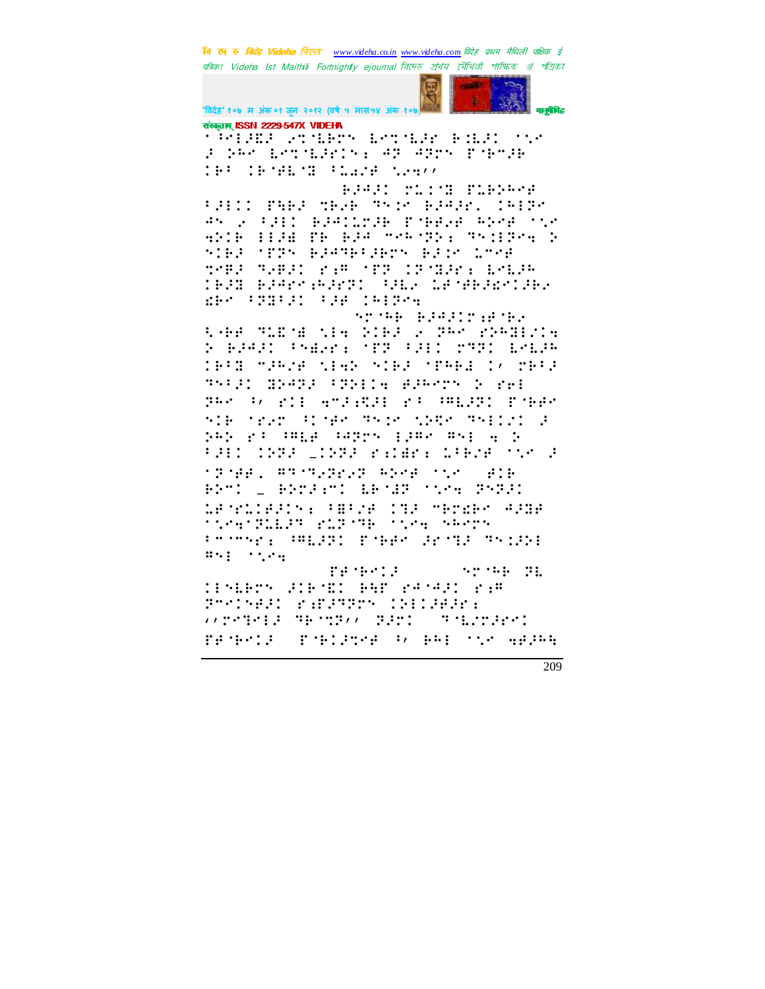**बि एक रु** *बिर्दह Videha विए***नर** www.videha.co.in www.videha.com विदेह प्रथम मैथिली पाक्षिक ई पत्रिका Videha Ist Maithili Fortnightly ejournal রিদেহ প্রথম মৌথিনী পাক্ষিক প্র পত্রিকা



'विदेह' १०७ म अंक०१ जून २०१२ (वर्ष ५ मास५४ अंक १० संस्कृतम् ISSN 2229-547X VIDEHA **TRIED ATMETS ESTER BOOKS TO** 

a der brondatte ap appe prenae IPP IPMEME PLANE NAME

**B.D.C. C.C. C. C.B.D.P.P** FRIDE PARK MRSR THOM BRAIN, IRITH An 2 FAIL BARLEAD PABAR AGNE TO ANIE ILAM TE EAS MARKEN (MAILBAR) SIER MITS ERATEIREN ERIM LIME SPEP ROBER FOR THE CHANGE EMERG 1622 GJARA (GJRT) VILK 1970-1987196. 2000 - 2001 - 2002 - 2003 - 2004 - 2005 - 2006 - 2007 - 2008 - 2009 - 2009 - 2009 - 2009 - 2009 - 2009 - 2009

srikk baggirande the TICE the SIEP 2 The CONDICT S BRAIN PABLE: MTB PRIN 2771 BREAK IPFS MJRJE NEAD NIEJ MTREG IV MBFJ THE BRANK ENGIN APPROVED THE 368 F/ 211 AMPIED 23 SALPED IMBER MIR SEAT PINES THAN NOTE THEIRIG 565 pr HALE 14955 1386 851 g S FAIL COOR INSER RELATE LARGE TO A *STORE WAS SERVED FREE STATE RIP* BRTI \_ BRTIST WEST-TRANSFORM Lengthers, HBSS (TR SPOCK ARDE **SERVICES** PROPERTY SERVICES Promes Webst Power Brog Record  $\mathfrak{m}(\mathfrak{q}) = \mathfrak{m}(\mathfrak{q},\mathfrak{q})$ 

**Paradicipio STORE TE TERRET STERN BAY SARARI SAM** STAINARI PARRISTIK (SILAARE)  $\sqrt{2777742}$  (36/72// 2021) **STANDARY** PROPOSE PORTUGUE AN PRESSOR ARTHR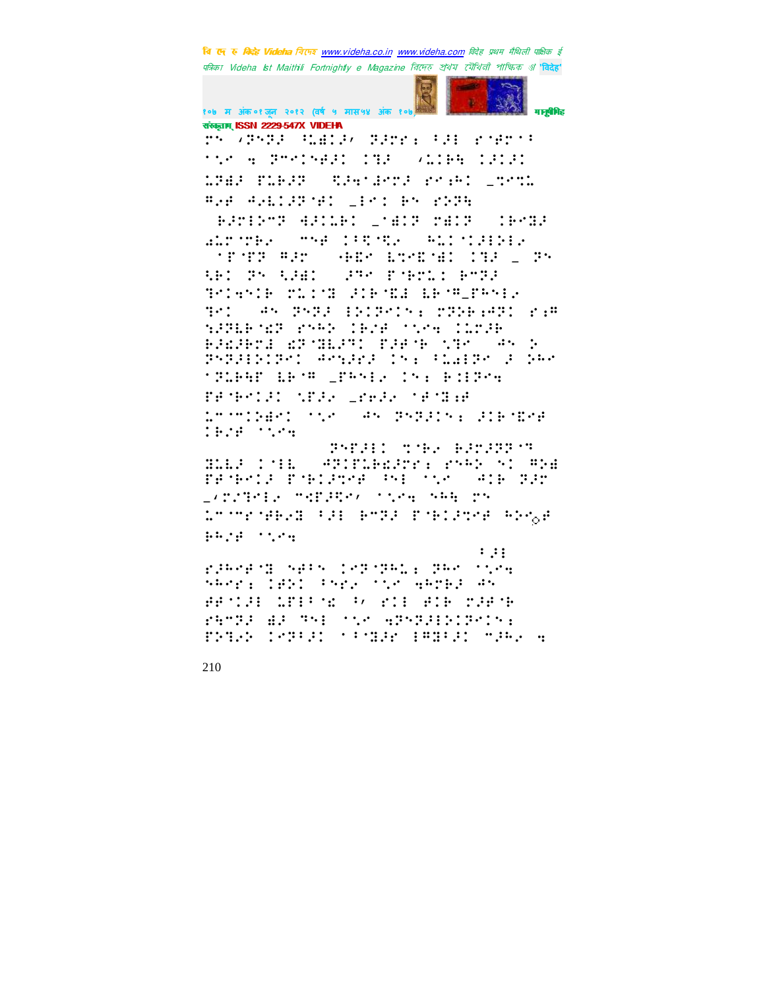बि एक रु क्विहे Videha विरफ्श www.videha.co.in www.videha.com बिरेह प्रथम मैथिली पाक्षिक ई पत्रिका Videha Ist Maithili Fortnightly e Magazine রিদেক প্রথম মৌথিনী পাক্ষিক প্র' 'विदेह'

१०७ म अंक०१जून २०१२ (वर्ष ५ मास५४ अंक १०७ संस्कृतम् ISSN 2229-547X VIDEHA



rn (PnB) Raily Barri (Pal ridri) the a Prepared Chr. (1186-1212) 1383 PLB33 (RS453253 PRSH) \_SPS1 Bed Addisper Lini by 2006

SEPTIME APILEI \_'AIP MAIR (1808) ANTIBA TERS INTERNATIONAL **MINISTER AND LEATHER IN 200** th: 35 t.H. **SPACE SECONDERS** TOINGTON WILLIE SIDERE EDGELPHIC This are proved into the convenient of  $\theta$ SHIRTER PARK IRIN 1509 ILMIR BREAKTE EPTHLATI PARTE THE CAN B PARABAIRAI APARAR ING PENBRATA SAP **TIGHT GETE \_PASE. IN: BIBMA** remains the gear model

Lookian on an Bhaine albora TECH STOR

SMERI THE BREEFT HILLS I ME **ABIBLE:Pri PAGE 51 BDE** PROPOSE PORTUGAL PARTNING TATE SPEC LTOTEMBAB FAB BTRA POBLATAR REAGE  $100.700 - 10.000$ 

 $\mathbf{1}$   $\mathbf{1}$  : rimers are the critical partners SPEED THIS PAPE TIME APPER AN BENIN MILLA LA PIL BIR MBAR PROFILE THE TOO HIMPSENITURE FRIS DOUGLAS SENIG INTER SAGAR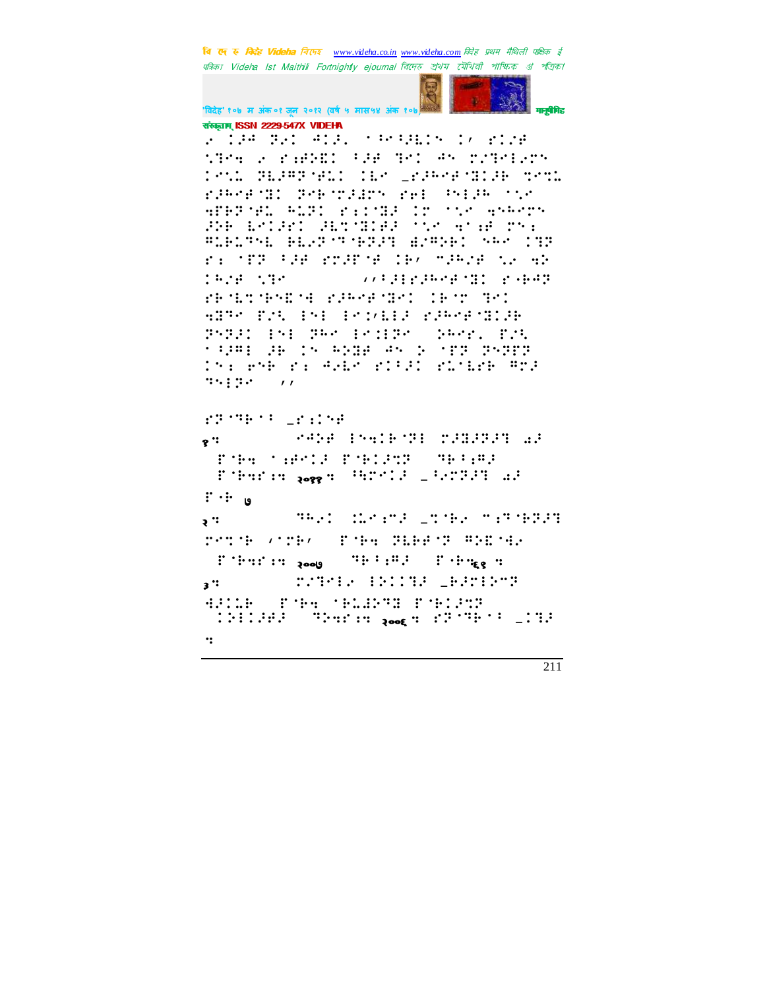**बि एक रु** *बिर्दह Videha विए***नर** www.videha.co.in www.videha.com विदेह प्रथम मैथिली पाक्षिक ई पत्रिका Videha Ist Maithili Fortnightly ejournal রিদেহ প্রথম মৌথিনী পাক্ষিক প্র পত্রিকা



a 194 Bal All, nemillin 17 alah the socialist the hot as pricipre ISM PEPPEND OR LEPTES MIRE TOUR ranged and the coalcomers on the con-APPROAL ALBI FILMS IN ON SAMPLY BR ESTAT BETHING TO ATH TY: **WIELTHE BEAT THERE BYWEEL HAR ITS** ri (FF (Be roff)e lex maked them? tare stell **APPROXIMATE: PARAT** rendriksen rakkanskt tenn ski ANTE PARTIES EN DEL PARAMENTER PSP31 ESE PRO EC1EPC (PROF. P.S. tum a thang an a tra she The end re Agent right ringroups  $3.4894$  $\overline{1}$ 

2277673 \_23756 **PAGE INGLETH TJEJFJE AF**  $\mathbf{r}$ The Second Policy South Fiberal Sapple Harris \_ Wordships  $\vdots$   $\vdots$   $\vdots$  $\begin{minipage}{.4\linewidth} \begin{tabular}{l} \multicolumn{1}{l}{} & \multicolumn{1}{l}{} & \multicolumn{1}{l}{} \\ \multicolumn{1}{l}{} & \multicolumn{1}{l}{} & \multicolumn{1}{l}{} \\ \multicolumn{1}{l}{} & \multicolumn{1}{l}{} & \multicolumn{1}{l}{} \\ \multicolumn{1}{l}{} & \multicolumn{1}{l}{} & \multicolumn{1}{l}{} \\ \multicolumn{1}{l}{} & \multicolumn{1}{l}{} & \multicolumn{1}{l}{} \\ \multicolumn{1}{l}{} & \multicolumn{1}{l}{} & \multicolumn{1}{l}{} \\ \mult$  $\mathbf{z}$  : rende (1967), Poby PlbBoR ADD-42 **Extending pool** The Hill Forming of <u> TARA BALAN LEITIMI</u>  $3$   $\ddots$ Fibe (BLEPH FIBLET **BEATH** 1001000 There was 1007011 200  $\dddot{\mathbf{z}}$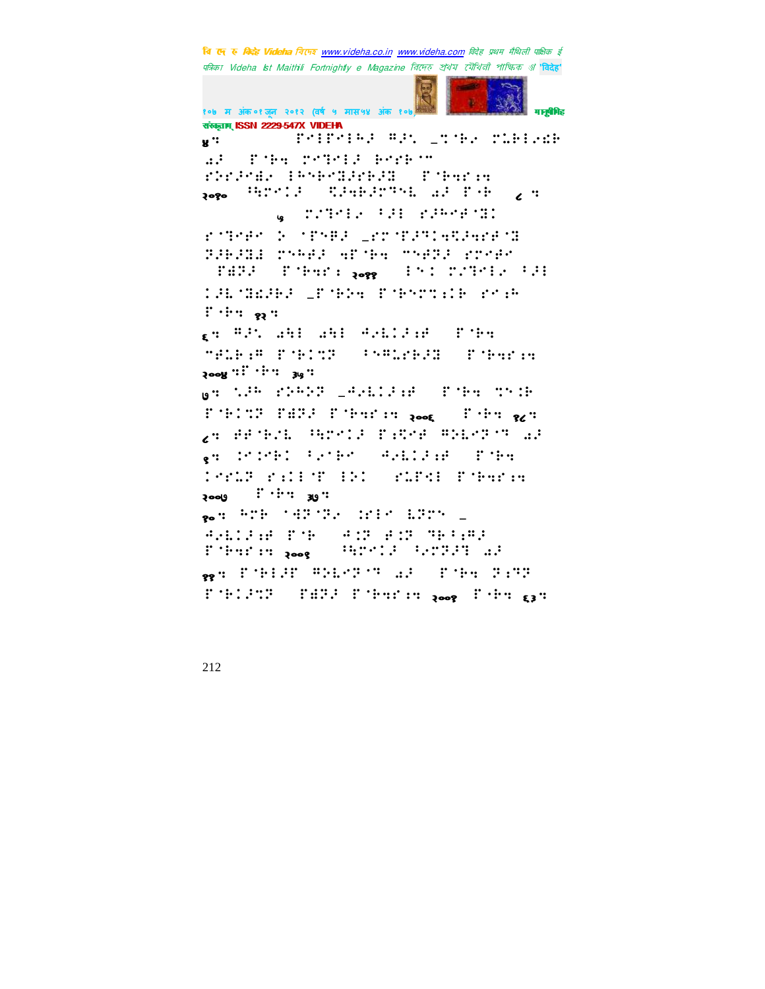चि एक रु मिन्हे Videha विएक www.videha.co.in www.videha.com विदेह प्रथम मैथिली पाक्षिक ई पत्रिका Videha Ist Maithili Fortnightly e Magazine রিদেহ প্রথম মৌথিরী পাক্ষিক রা'**বিदेह'** 

⊌से | 25325 अप्टाइट से सामान्य समाप्त कार्य संस्थान के सामान्य संस्थान के सामान्य संस्थान के सामान्य संस्थान क

संस्कृतम् ISSN 2229-547X VIDEHA



 $H$ : Philadelphia (1995) "⢵"⢼⣞⢴-5⢳⢷⣝⢼"⢷⢼⣝-!2⢷⣒"⣐⣒. २०१० - फिल्टोरेंट - फिल्में-सिलिया - अर्थ से साथ <sub>द</sub>ेश !!!!!!५ 4⣙5⢴!C⢼5."⢼⢳⢾⣝!  $'$  'The  $'$  left  $''$  and  $''$ ⢽⢼⢷⢼⣝⣜!⢳⢾⢼!⣒2⢷⣒.`⢾⢽⢼!"⢾! -2G23 -2 (Printi <sub>Rogg</sub> - 191 223012 -231 ⢼⣇⣝⣎⢼⢷⢼!–2⢷⢵⣒!2⢷⣉⣐⢷!"⣐⢳!  $2\cdot 2\cdot 2\cdot 3$ ६⣒!⢻⢼⣁!⣔⣓5.⣔⣓5.⢺⢴⣇⢼⣐⢾-!2⢷⣒. `⢾⣅⢷⣐⢻!2⢷⣉⢽!-C⢻⣅"⢷⢼⣝!-2⢷⣒"⣐⣒. २००<u>५</u> :: : : : 3<sup>16</sup><br>२००४ :: : : : : 3<sup>16</sup> : <sup>७</sup>⣒!⣁⢼⢳!"⢵⢳⢵⢽!–⢺⢴⣇⢼⣐⢾-!2⢷⣒.⣉⣈⢷! 2⢷⣉⢽-2⣞⢽⢼-2⢷⣒"⣐⣒.२००६-!2D⢷⣒.१८⣒! ८⣒!⢾⢾⢷4⣇.⢸⣓⢼.2⣐⣋⢾!⢻⢵⣇⢽⢹!⣔⢼!! ९⣒!⣈⣈⢷!C⢴⢷.!⢺⢴⣇⢼⣐⢾-!2⢷⣒.  $1$  order the set of the set of the set of the set of the set of the set of the set of the set of the set of the set of the set of the set of the set of the set of the set of the set of the set of the set of the set of the २००७ <sup>: .</sup>:.. <sup>30</sup>. <sub>२०</sub>० मेश्स (अ. १९३८ : २१० स.२०० | ⢺⢴⣇⢼⣐⢾-2⢷-.⢺⣈⢽!⢾⣈⢽-⢹⢷⢸⣐⢻⢼-! 2⢷⣒"⣐⣒.२००९-!⢸⣓⢼.⢸⢴⢽⢼⣙!⣔⢼!! ११⣒!2⢷5⢼2.⢻⢵⣇⢽⢹!⣔⢼!-2⢷⣒.⢽⣐⢹⢽! Post Post Post Post Press Post Press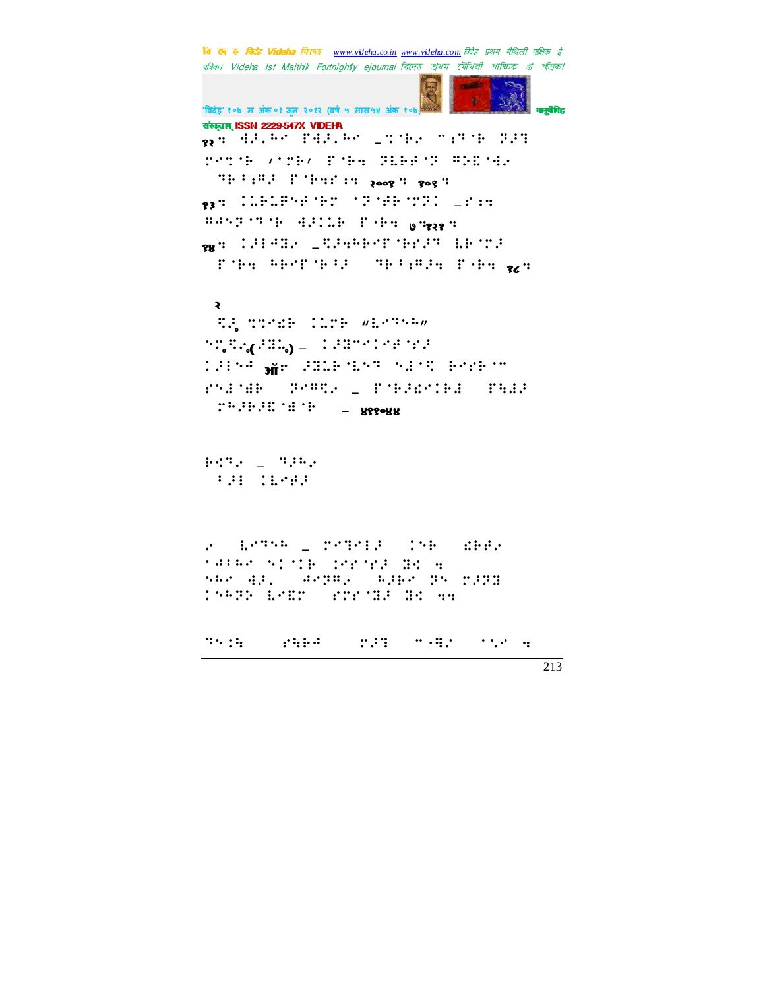$11.74 \div 11.74 \div 11.74$  = 833-88  $H(T) = T(0)$  $\rightarrow$  31 (10043) F ESTAR LONGIER (1880) BREA rathe side información 548 AP. (4898) 5988 PM 2998 **TANK RET STILLED BY** This paper will have the proportion

The Website Constants President  $\overline{\mathbf{R}}$  $\mathbb{R}^n$  with  $\mathbb{R}^n$  and  $\mathbb{R}^n$  are  $\mathbb{R}^n$  $\mathcal{P} \mathcal{P}_\mathbf{q} \mathcal{P}_\mathbf{q} \mathcal{P}_\mathbf{q} \mathcal{P}_\mathbf{q} \mathcal{P}_\mathbf{q} = -\mathbb{E} \mathcal{P} \mathbb{E} \mathcal{P} \mathcal{P} \mathcal{P}_\mathbf{q} \mathcal{P}_\mathbf{q} \mathcal{P}_\mathbf{q} \mathcal{P}_\mathbf{q}$ 19854 Web 2018-1657 Saint Berbert PAINE (PORT) \_ PORTROLL (PAIR

'विदेह' १०७ म अंक ०१ जून २०१२ (वर्ष ५ मास५४ अंक १ मानवैमित संस्कृतम् ISSN 2229-547X VIDEHA gridhe falle inte mane 223 rench (the Pole Biber Spreech)  $\mathbb{E}[\mathbb{E}[\mathbb{E}[\mathbb{E}[\mathbb{E}[\mathbb{E}[\mathbb{E}[\mathbb{E}[\mathbb{E}[\mathbb{E}[\mathbb{E}[\mathbb{E}[\mathbb{E}[\mathbb{E}[\mathbb{E}[\mathbb{E}[\mathbb{E}[\mathbb{E}[\mathbb{E}[\mathbb{E}[\mathbb{E}[\mathbb{E}[\mathbb{E}[\mathbb{E}[\mathbb{E}[\mathbb{E}[\mathbb{E}[\mathbb{E}[\mathbb{E}[\mathbb{E}[\mathbb{E}[\mathbb{E}[\mathbb{E}[\mathbb{E}[\mathbb{E}[\mathbb{E}[\mathbb{$  $_{23}$ s (1969–1987) i Pierre (1988–1998)  $_{\pm1}$ ris sanger in 1991 and the same search ws 1819B2 \_SPARRYPTHERS BROCK

बि ए रु क्रिडे Videha विएक www.videha.co.in www.videha.com विदेह प्रथम मैथिली पाक्षिक ई पत्रिका Videha Ist Maithili Fortnightly ejournal রিদেহ প্রথম মৌথিনী পাক্ষিক গ্র পত্রিকা

 $\overline{213}$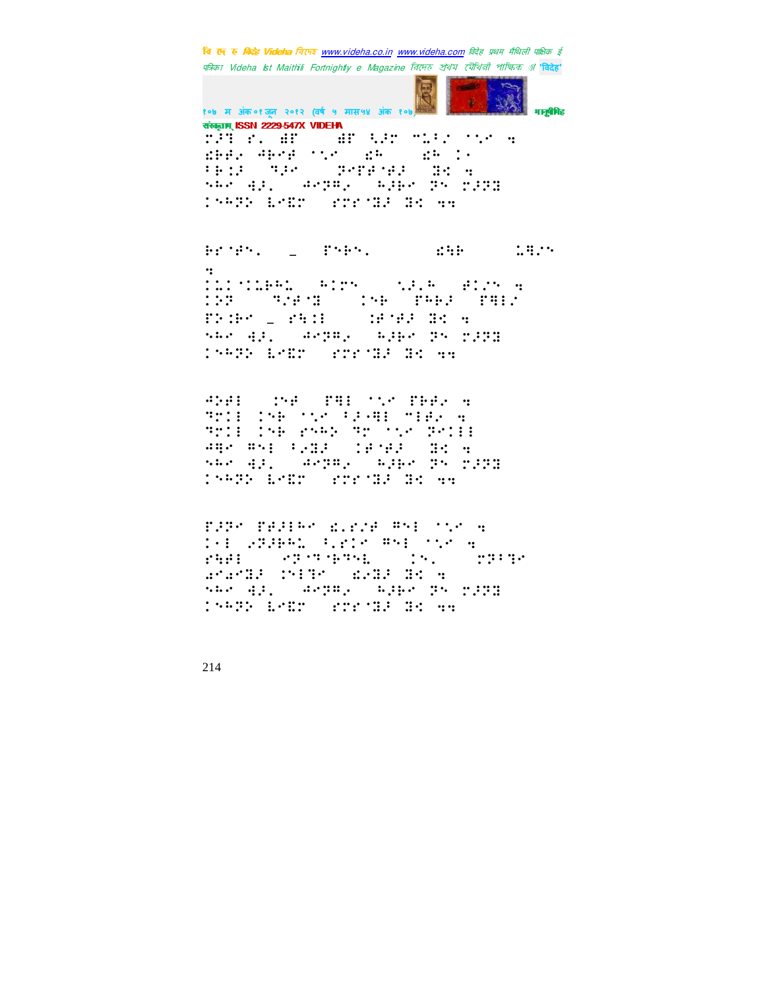बि ए रु क्रिटे Videha विएक www.videha.co.in www.videha.com बिरेह प्रथम मैथिली पाक्षिक ई पत्रिका Videha Ist Maithili Fortnightly e Magazine রিদেক প্রথম মৌথিনী পাক্ষিক প্র' 'विदेह'



संस्कृतम् ISSN 2229-547X VIDEHA **SEPTINE SERVICE TAN PASSED #HP2 #HP# アンビー#H → #H I+** TEND SON SPEEDED BE 4 ský gr. (naspěr ležian 24 řízna **TAASE EPER FREEDED BE AN** 

Bright L. Pres.  $\mathbf{r}$  $\cdot$ : ILIMIARA RICH NASH BIZHA<br>IPA TAPMA ISR TREA THEO **PERM 2 PRID SERVICE SERVICE** sar qil shekar ajar boʻlgan **TAGO BANK STAND DE 44** 

4541 THE THE TIME HER W STIE INFORMATION STATES SO STIL INF PARK STORY SHILL 여행의 부사는 여성질과 100대 사과 1000대 이상<br>사과의 여성인 100개 대통령 100개 대통령 100개 100개 **TARY RET STERRE BE AN** 

FARS FEATHS EVENT AND SASSA 191 233951 S.E.C. #51 155 9 PART CONFINING TO THE COMPANY BREAK MITH BRIDGE skr gr. (Arport Alpr ps 1200 **TAASE EPER FREEDED BE AN**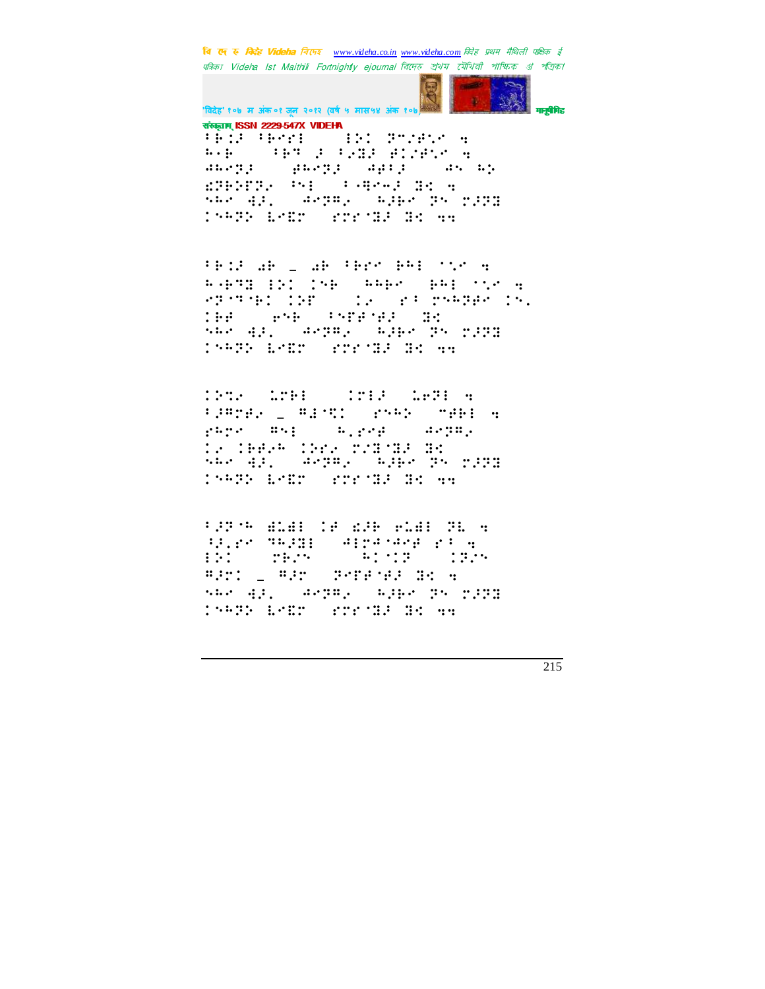बि ए रु क्रिटे Videha विरमर www.videha.co.in www.videha.com विदेह प्रथम मैथिली पाक्षिक ई पत्रिका Videha Ist Maithili Fortnightly ejournal রিদেহ প্রথম মৌথিনী পাক্ষিক প্র পত্রিকা



'विदेह' १०७ म अंक०१ जून २०१२ (वर्ष ५ मास५४ अंक १०७ संस्कृतम् ISSN 2229-547X VIDEHA TRIA TRANS (1911-2018) all EPRING MI (FARAL SCA) sar qr. (arps) agar ps ripp **TAARD LART STEARED HE AN** 

FRIDGE 2 AR FREE RRESTER RAPS IN THE RAPE PRESSURE PROTOKO INE (112) PA PARRA IN. the light copies as li<br>Second, scepe, specificate **TAARD EART STEART HE AR** 

Church Lobel (Colorado Lege e) FRAME CONSTRUCTION OF SAFEKEEPING rand wall already were. 12 THER ING THE WAY BE 548 42. 42782 5283 75 7278 **CASE RET FIRST RESERVE** 

FREDRICH IF BREAKING HOW 32.20 MADH = 41247408 23 A  $\frac{1}{2}$  is the set of  $\frac{1}{2}$  in  $\frac{1}{2}$  in  $\frac{1}{2}$  in  $\frac{1}{2}$  in  $\frac{1}{2}$ **EPI TEMP Addi \_ Addi Profered Brig** sar qr. (arps) agar ps ripp 19826 Left (Friday Books

 $\frac{215}{ }$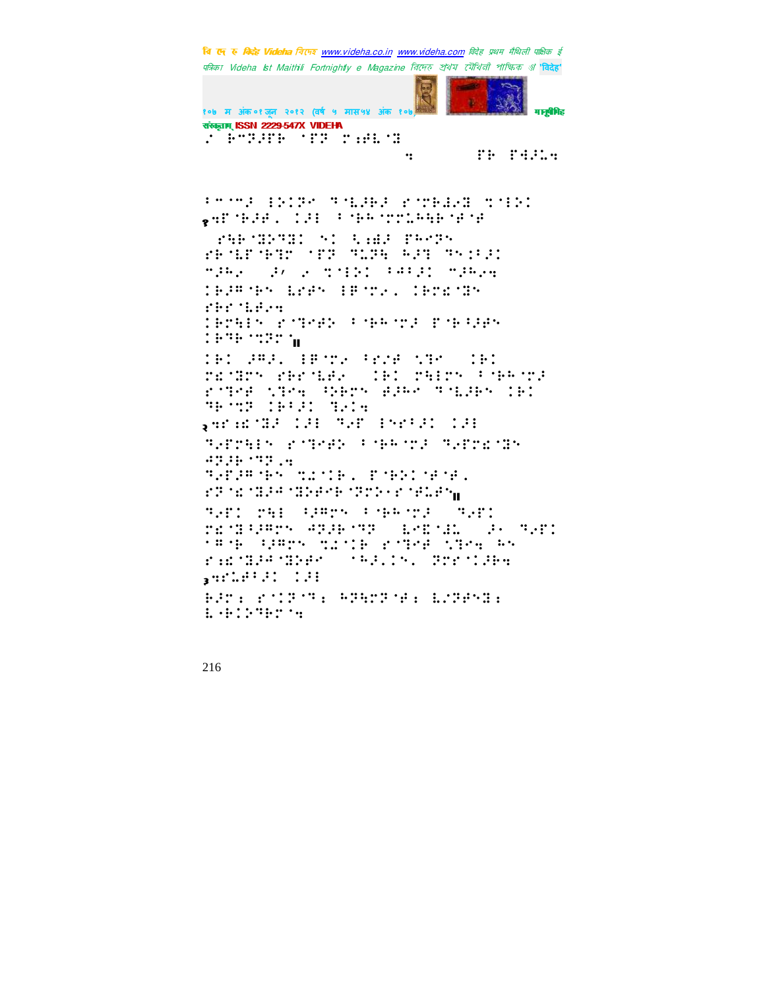चि एक रु मिन्हे Videha विएक www.videha.co.in www.videha.com विदेह प्रथम मैथिली पाक्षिक ई पत्रिका Videha Ist Maithili Fortnightly e Magazine রিদেহ প্রথম মৌথিরী পাক্ষিক রা'**বিदेह'** 



संस्कृतम् ISSN 2229-547X VIDEHA  $4$  :  $\frac{1}{2}$  :  $\frac{1}{2}$  :  $\frac{1}{2}$  :  $\frac{1}{2}$  :  $\frac{1}{2}$  :  $\frac{1}{2}$  :  $\frac{1}{2}$  :  $\frac{1}{2}$  :  $\frac{1}{2}$  :  $\frac{1}{2}$  :  $\frac{1}{2}$  :  $\frac{1}{2}$  :  $\frac{1}{2}$  :  $\frac{1}{2}$  :  $\frac{1}{2}$  :  $\frac{1}{2}$  :  $\frac{1}{2}$  :  $\frac{1}{2}$  :

hhbkfoesbAwjefib⣒dpn!!2⢷!2⣚⢼⣅⣒!!

CONDUCT SERVICE CONDUCTS १⣒2⢷⢼⢾⣀!⢼5!C⢷⢳⣅⢳⣓⢷⢾⢾! )"⣓⢷⣝⢵⢹⣝!!⣃⣐⣞⢼!2⢳⢽\*! "⢷⣇2⢷⣙!2⢽!⢹⣅⢽⣓!⢳⢼⣙!⢹⣈C⢼! `⢼⢳⢴-!⢼'!⢴!⣉5⢵!C⢺C⢼!`⢼⢳⢴⣒! ⢷⢼⢻⢷!⣇"⢾!5⢿⢴⣀!⢷⣎⣝! "⢷"⣇⢾⢴⣒! ⢷⣓5!"⣙⢾⢵!C⢷⢳⢼!2⢷⢸⢼⢾! ⢷⢹⢷⣉⢽॥  $[151, 152]$   $[152, 152]$   $[152, 152]$ TENDRE FROM THE SALE OF THE SALE "⣙⢾!⣁⣙⣒!⢸⢵⢷!⢾⢼⢳!⢹⣇⢼⢷!⢷! ⢹⢷⣉⢽!⢷C⢼!⣙⢴⣒! २⣒"⣐⣎⣝⢼!⢼5!⢹⢴2!5"C⢼!⢼5.! ⢹⢴2⣓5!"⣙⢾⢵!C⢷⢳⢼!⢹⢴2⣎⣝! ⢺⢽⢼⢷⢹⢽⣀⣒! ⢹⢴2⢼⢻⢷!⣉⣌⢷⣀!2⢷⢵⢾⢾⣀! "⢽⣎⣝⢼⢺⣝⢵⢾⢷⢽⢵l"⢾⣅⢾॥ ⢹⢴2!⣓5!⢸⢼⢻!C⢷⢳⢼-!⢹⢴2! ⣎⣝⢸⢼⢻!⢺⢽⢼⢷⢹⢽!)⣇⣏⣜⣅\*!⢼l!⢹⢴2! ⢻⢷!⢸⢼⢻!⣉⣌⢷!"⣙⢾!⣁⣙⣒!⢳!  $^{\circ}$  on the theory of the constant ३⣒"⣅⢾C⢼!⢼5.! ⢷⢼⣐!"⢽⢹⣐!⢳⢽⣓⢽⢾⣐!⣇4⢽⢾⣝⣐! ⣇D⢷⢵⢹⢷⣒!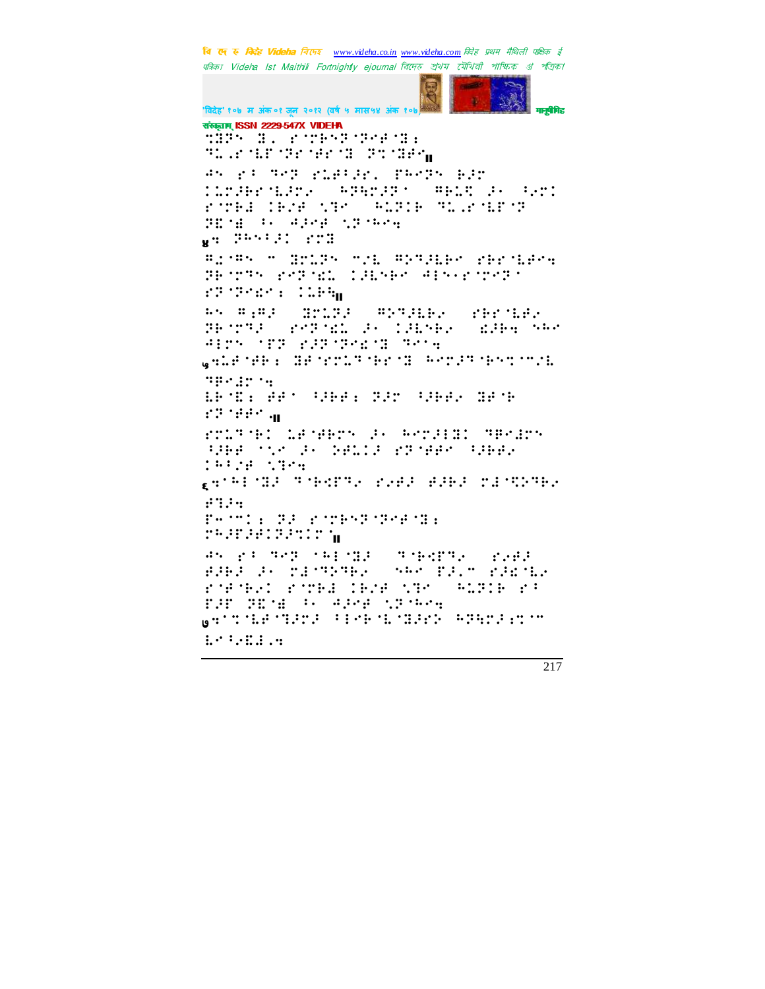वि एक रु मिनेह Videha विएक www.videha.co.in www.videha.com विदेह प्रथम मैथिली पाक्षिक ई पत्रिका Videha Ist Maithili Fortnightly ejournal রিদেহ প্রথম মৌথিনী পাক্ষিক প্র পত্রিকা

'विदेह' १०७ म अंक०१ जून २०१२ (वर्ष ५ मास५४ ३ मानीपिट संस्कृतम् ISSN 2229-547X VIDEHA the masser control **TOURNEYS YEAR STORY** An el mes elette. Presn Bir **TEMPER NEWS PREMIER PREMIER SENT** rona leze the sunce mirture SENE POSPER SPORTS ga 255:31 STB Rings of Brids only Rothler Services PRODUCE PAROLEL CHEMPA HIMPEODARO rdiders Clean BS WARP HELPS WETHER SHEMING BETTE POTTED IN LIENER (2008) NAM HITS TEE FIRTHER TOTAL galanaka da molt bendi kepat benombi **NBPACY 14** APS APS UNA THE UNA APS ad de la contra della contra rolade: Lederd P. Worles, applic SPEED the Second Professional Press  $14424 - 1344$ personal segundan dalam dan personal  $\mathbf{f}:\mathbf{G}\rightarrow\mathbf{G}$ Permia da angeles del da 2520221220121 45 23 322 191132 3392032 2292 BARA AN TEMPERAL SAM BALT PARTER rifiel rich (Pre STR ALT) ri TH HALL BEARING START gar motor (1992) is the state of Adams among ESPONDED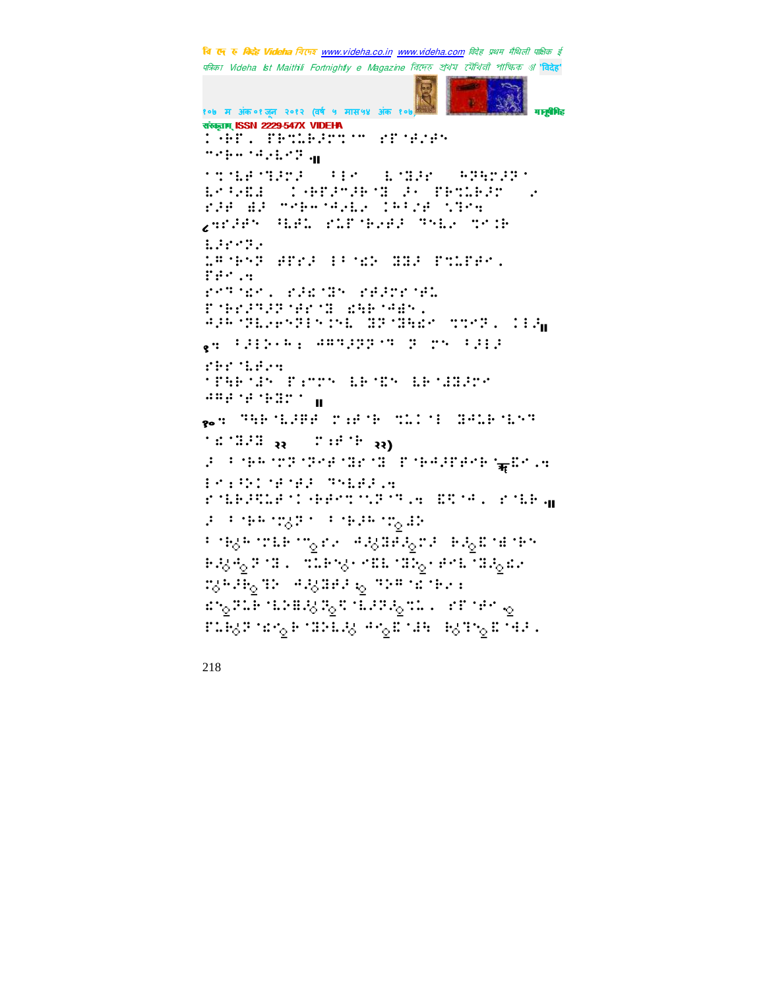बि एक रु क्विहे Videha विएक www.videha.co.in www.videha.com बिदेह प्रथम मैथिली पाक्षिक ई पत्रिका Videha Ist Maithili Fortnightly e Magazine রিদেচ প্রথম মৌথিনী পাক্ষিক প্র' 'विदेह'

१०७ म अंक०१जून २०१२ (वर्ष ५ मास५४ अंक १० मानुबेगिह संस्कृतम् ISSN 2229-547X VIDEHA mental control and **FIR LINE SPRING** Bright (GRIMAGE B PROBR) V rde di scensolari (Afrik 1984 garden (Bell richteled Shell noch LUPPER LENDAR AREA BENGA HILL POLISH. Parties. PATTER . PARTIE PARTETAL PORTABOR SHENGEN. APP TENNISY IN SPOREN STAR (SIA  $\bullet$ : (First, 489) 200 0 200 200 200 first factors **SPARING PATTS ARTIST ARTIFICAT**  $489.932277$ post THE SLAPE COMPRODUCTE GALE SLAP  $\begin{bmatrix} 1 & 0 & 0 & 0 & 0 \\ 0 & 0 & 0 & 0 & 0 \\ 0 & 0 & 0 & 0 & 0 \\ 0 & 0 & 0 & 0 & 0 \\ 0 & 0 & 0 & 0 & 0 \\ 0 & 0 & 0 & 0 & 0 \\ 0 & 0 & 0 & 0 & 0 \\ 0 & 0 & 0 & 0 & 0 \\ 0 & 0 & 0 & 0 & 0 \\ 0 & 0 & 0 & 0 & 0 \\ 0 & 0 & 0 & 0 & 0 \\ 0 & 0 & 0 & 0 & 0 & 0 \\ 0 & 0 & 0 & 0 & 0 & 0 \\ 0 & 0 & 0 & 0 &$ 2003 de obzidente de la condensación de la Printer and Sales podeledae store establistica ( Estore Copode) 4 **2001/09/2003 10:25 12:25** a dega dola do<sub>s</sub> colla egua egua la guna des  $\mathbb{H}(\mathbb{J}_0^1)_{\mathbb{Q}} \mathbb{P}^1(\mathbb{R}_+ \cup \mathbb{Q}, \mathbb{H} \mathbb{H}^1)_{\mathbb{Q}}) \times \mathbb{H}(\mathbb{L} \cap \mathbb{H}^1_{\mathbb{Q}}) \times \mathbb{H}^1(\mathbb{L} \cap \mathbb{H}^1_{\mathbb{Q}}) \times$ DEPROTE PROTECTO TEST OF A  $\mathbb{C}^n \otimes \mathbb{P} \mathbb{Z} \oplus \mathbb{C} \mathbb{Z} \oplus \mathbb{R} \otimes \mathbb{C}^n \otimes \mathbb{C}^n \mathbb{Z} \oplus \mathbb{C}^n \mathbb{Z} \oplus \mathbb{C}^n \oplus \mathbb{C}^n \otimes \mathbb{C}^n$ FLESTING ENDERGY PODNET ESTOCHNIC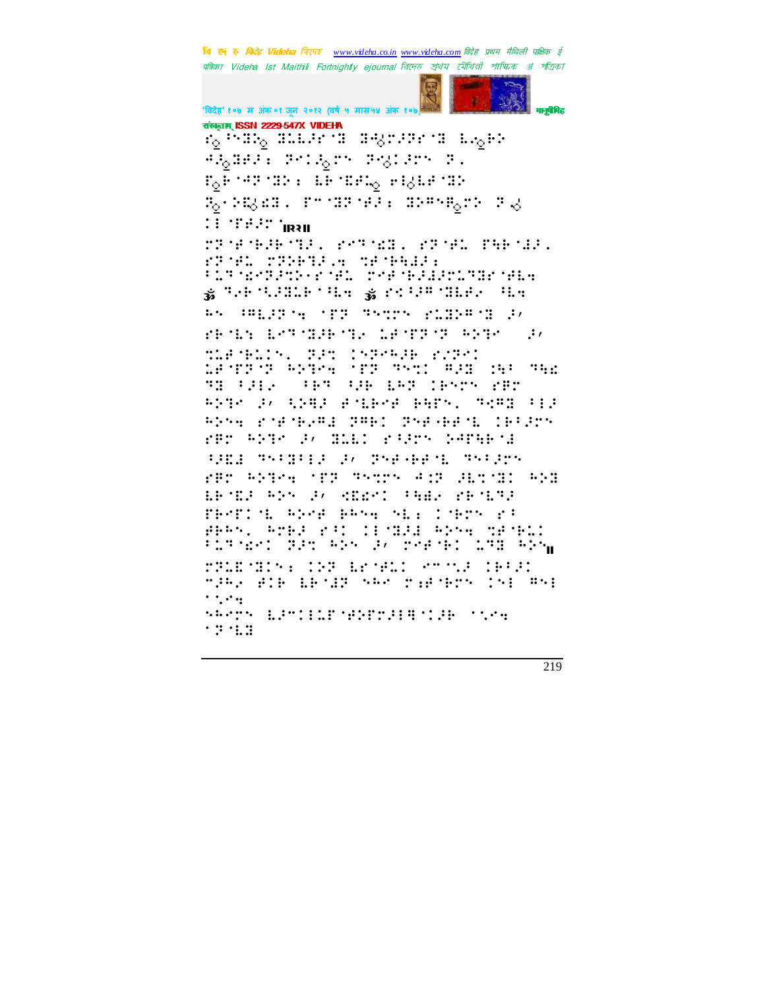बि एक रु *बिरोह Videha चिए*क www.videha.co.in www.videha.com विदेह प्रथम मैथिली पाक्षिक ई पत्रिका Videha Ist Maithili Fortnightly ejournal রিদেহ প্রথম মৌথিনী পাক্ষিক প্র পত্রিকা

'विदेह' १०७ म अंक ०१ जून २०१२ (वर्ष ५ मास५४ अंक १० मानवैमिड संस्कृतम् ISSN 2229-547X VIDEHA og træg æller tæ ægnere tæ loger PAGBER: PriAgry PrgiPry P.  $\Gamma_0$ P 197 132 : LP 1581, PR/LP 132 Rockwall from Hell meesware aw  $\mathbb{R}^n$  :  $\mathbb{R}^n$  :  $\mathbb{R}^n$  in all TROPORTER PROVINCE PROFESSIONAL STAL TRANS WORTHER **CONSTRUCTIONS** THE BUILDING SEA % Telestrial state % restrictions and We SERRE THE TERM FROM PLEASE TE LA PROBA LOTORA TROLEUTION ANTO CAP the Shirt, Bat incompetent LPOPOR ANDAL STRUCKS CORPORATION THE FILE OF FRIED HIS LATE CRACK STO 8216 37 A283 # AB64 BAT5, 7088 F13 Absence of development cose-each concers FAR RETE AV BLEI FRAM SAPHENE agni pranalju (, presedno prajnr FROM PARA STRUCK RED AND SECTION PAR ERSEPT ARM (F) SERVIC PARK SRIEGE PROTION ANON RANG MES IMPROVE BRAN, AMBEL BAD IENBEL ADNA MBNBLI FLAMENT BIR POSSED CHEMEL LAB POST PRINCED VAN ESCHID STOLENDER make alb bends nen marchen (nicht)  $\cdot$  ,  $\cdot$  . SPEER LIMILITYPPETER CHR TOM  $\cdot : \cdot ::$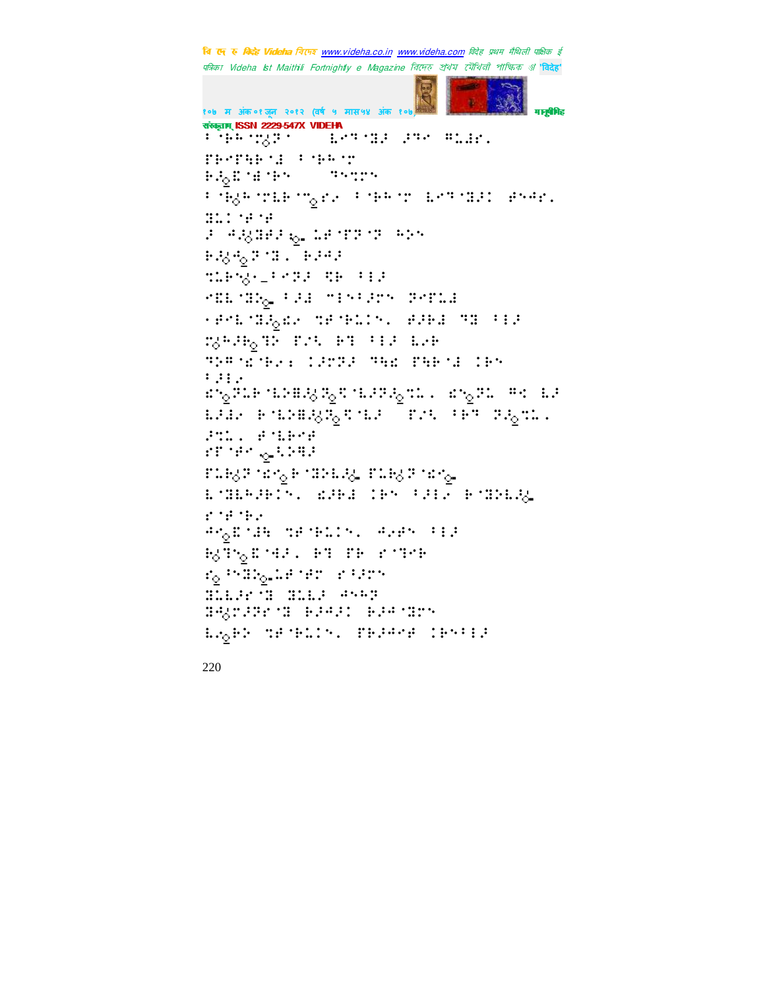बि एक रु क्विहे Videha विरफ्श www.videha.co.in www.videha.com बिरेह प्रथम मैथिली पाक्षिक ई पत्रिका Videha Ist Maithili Fortnightly e Magazine রিদেহ প্রথম মৌথিনী পাক্ষিক প্র' 'विदेह'

१०७ म अंक०१जून २०१२ (वर्ष ५ मास५४ अंक १०७ मानुबेगिह संस्कृतम् ISSN 2229-547X VIDEHA **PERCENT ESTER PROBLEM** CONTO STORES **EASEMENT STATES** Firege museum<sub>o</sub> public televori sur mascillaneo. H.: 999 2 HASBER 62 WENTENT (PPM 4.接吻其他, 4.443 TEPS-ISTE THATE PEESENG FOR STREPPS PETLE serbida<sub>o</sub>bs de muis, easp mo FFA MARE THAT HE LA THE NORTH CONTROL THE CENTER CENT  $: 3: .$  $\mathfrak{a}\gamma_0\mathfrak{p}\mathfrak{a}\mathfrak{b}^*\mathfrak{a}\mathfrak{b}\mathfrak{b}\mathfrak{b}\mathfrak{b}\mathfrak{b}_0\mathfrak{c}^*\mathfrak{a}\mathfrak{b}\mathfrak{b}\mathfrak{b}_0\mathfrak{a}\mathfrak{b}^*\mathfrak{c}^*\mathfrak{b}\mathfrak{b}^*\mathfrak{b}\mathfrak{b}^*\mathfrak{b}\mathfrak{b}^*\mathfrak{b}\mathfrak{b}^*\mathfrak{b}\mathfrak{b}^*\mathfrak{b}^*\mathfrak{b}^*\mathfrak{b}\mathfrak$ LEE FANDASSALE THE PESSAL Pull Public  $\mathcal{C} \mathcal{D} \mathcal{D} \mathcal{D} \subset \mathbb{Q}^{1,1,2,3,1,2}$  $\texttt{FL} \texttt{PQ} \texttt{F} \texttt{M} \texttt{PQ} \texttt{F} \texttt{M} \texttt{PL} \texttt{PQ} \texttt{F} \texttt{M} \texttt{PQ} \texttt{F} \texttt{M} \texttt{PQ}$ EMERGETY, EGES OF SGIP ROBER  $\mathcal{C}^{\text{out}}$  the Program de relativa (Poen 1993) POTTOETHAL PT TROPTICE  $\mathbb{P}_{\mathbb{Q}}\triangleq\mathbb{P}(\mathbb{R}\mathbb{Z}_{\mathbb{Q}};\mathbb{L}\#^{\times}\# \mathbb{P})\otimes\mathbb{P}(\mathbb{H}\mathbb{P})^{\times}$ **HILL: W HILL: #582** 38322813 E2821 E281357 LAGEN TETELLY, TEJPAN CENTLE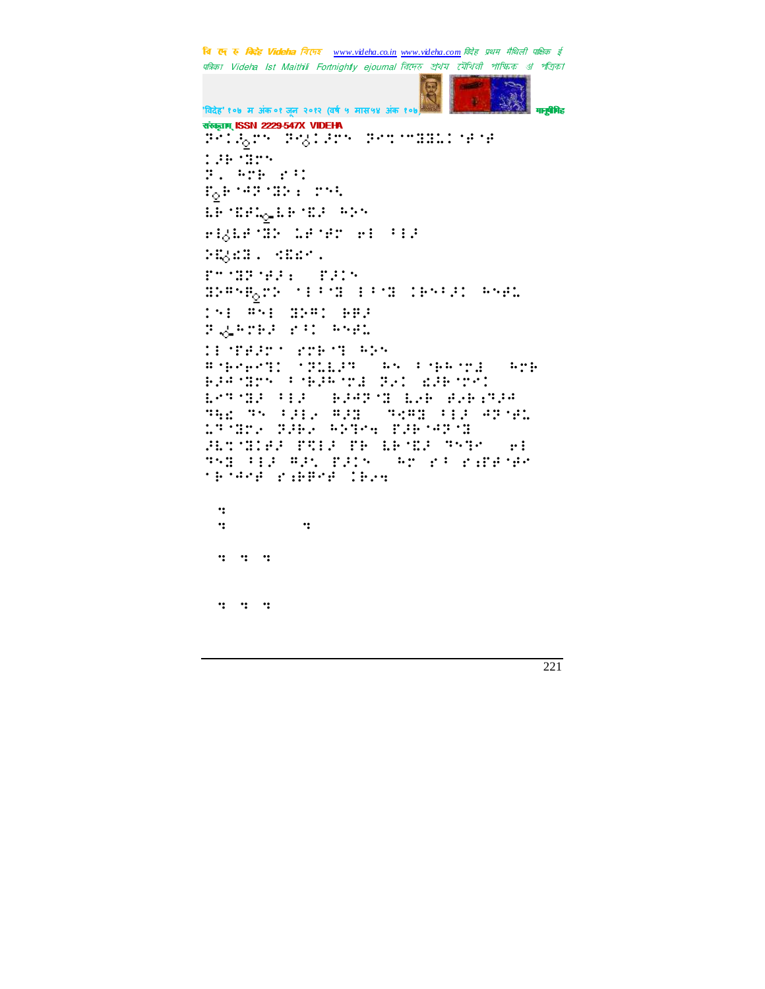चि एक रु *विदेह Videha चिए*न्छ <u>www.videha.co.in www.videha.com</u> विदेह प्रथम मैथिली पाक्षिक ई पत्रिका Videha Ist Maithili Fortnightly ejournal রিদেহ প্রথম মৌথিনী পাক্ষিক গ্র পত্রিক।

'वदेह' १०७ म अंक ०१ जून २०१२ (वष ५ मास५४ अंक १०७) मानुषीिमह संस्कृतम् ISSN 2229-547X VIDEHA ⢽⢼◌॒.⢽◌॑⢼.⢽⣉`⣝⣝⣅⢾⢾! ⢼⢷⣝! ⢽⣀.⢳⢷!"⢸! 2◌॒⢷⢺⢽⣝⢵⣐.⣃! ⣇⢷⣏⢾⣅◌॒-⣇⢷⣏⢼!⢳⢵!  $+1$ 30.5  $+1$  . The control of  $5$ ⢵⣏◌॑⣎⣝⣀.⣊⣏⣎⣀! 2`⣝⢽⢾⢼⣐.!2⢼! ⣝⢵⢻⢿◌॒⢵.5⢸⣝!5⢸⣝!⢷C⢼!⢳⢾⣅! 5!⢻5!⣝⢵⢻!⢷⢿⢼! SQLPS - SOL 52⢾⢼."⢷⣙!⢳⢵! ⢻⢷⢶⣙!⢽⣅⣇⢼⢹.!⢳!C⢷⢳⣜-!⢳⢷! B. Company of the Company of the Company of ⣇⢹⣝⢼!C5⢼-!⢷⢼⢺⢽⣝.⣇⢴⢷-⢾⢴⢷⣐⢹⢼⢺-! Her Stript Source Construction of the Construction of the Construction of the Co  $\overline{17}$  :  $\overline{20}$   $\overline{20}$   $\overline{20}$   $\overline{20}$   $\overline{20}$   $\overline{20}$   $\overline{20}$   $\overline{20}$   $\overline{20}$   $\overline{20}$   $\overline{20}$   $\overline{20}$   $\overline{20}$   $\overline{20}$   $\overline{20}$   $\overline{20}$   $\overline{20}$   $\overline{20}$   $\overline{20}$   $\overline{20}$   $\overline{20}$  ⢼⣇⣉⣝⢾⢼!2⣋5⢼!2⢷!⣇⢷⣏⢼!⢹⣙-!⢶5! ⢹⣝!C5⢼!⢻⢼⣁!2⢼-!⢳!"⢸!"⣐2⢾⢾! ⢷⢺⢾0"⣐⢷⢿⢾!⢷⢴⣒! 9 WJEFIBID: SFTJEFIBID: SFTJEFIBID: SFTJEFIBID: SFTJEFOUT! 9⣒2!up!9⣒4!NBJUIJMJ!  $\cdots$  $9:2:2:2$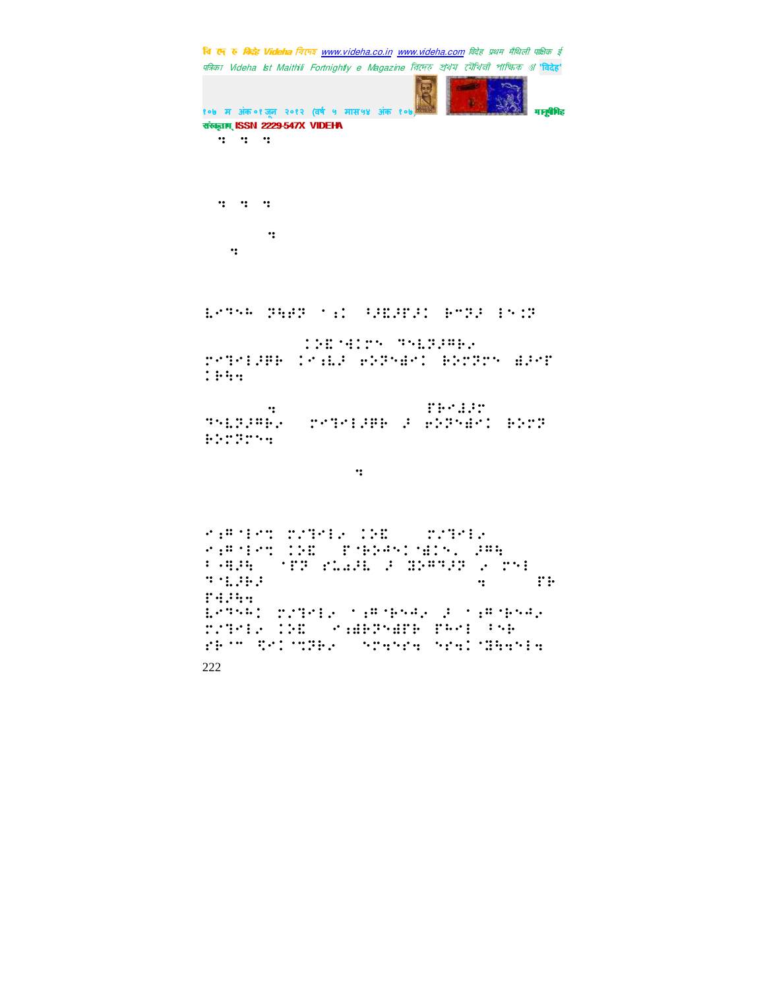चि एक रु मिन्हे Videha विएक www.videha.co.in www.videha.com विदेह प्रथम मैथिली पाक्षिक ई पत्रिका Videha Ist Maithili Fortnightly e Magazine রিদেহ প্রথম মৌথিরী পাক্ষিক রা'**বিदेह'** ø, १०७ म अंक ०१जून २०१२ (वष ५ मास५४ अंक १०७) मानुषीिमह संस्कृतम् ISSN 2229-547X VIDEHA 9⣒2⣒4⣒Po`uif`ejdf.  $9:2:2:2$ cz! Esperant w Political Political Political Political Political Political Political Political Political Political Political Political Political Political Political Political Political Political Political Political Politic  $\mathbb{R}^n$ LAND EN 2010 PHE 2010 PHE 2010 PHE 2010 PHE 2010 PHE 2010 PHE 2010 PHE 2010 PHE 2010 PHE 2010 PHE 2010 PHE 20 Joqvu;!)⢵⣏⣚!⢹⣇⢽⢼⢻⢷⢴-! ⣙5⢼⢿⢷!⣐⣇⢼!⢶⢵⢽⣞.⢷⢵⢽!⣞⢼2! ⢷⣓⣒!Joqvu!jo!Efwbobhbsj-! Spnake<br>Spnbowy (1981-1982) (1982-1982) ⢹⣇⢽⢼⢻⢷⢴-!⣙5⢼⢿⢷!⢼!⢶⢵⢽⣞.⢷⢵⢽0! ⢷⢵⢽⣒!Sftvmu!jo!Efwbobhbsj-! Spield (Spield Control) ⣐⢻5⣉.4⣙5⢴.⢵⣏!0!4⣙5⢴. ⣐⢻5⣉.⢵⣏!!2⢷⢵⢺⣞G!⢼⢻⣓! COLLECT CONTROL CONTROL CONTROL ⢹⣇⢼⢷⢼!hhbkfoesbAwjefib⣒dpn!2⢷! 2⣚⢼⣓⣒! ⣇⢹⢳!4⣙5⢴.⣐⢻⢷⢺⢴!⢼!⣐⢻⢷⢺⢴! 4⣙5⢴!⢵⣏!)⣐⣞⢷⢽⣞2⢷!2⢳5!C⢷!  $'$ 222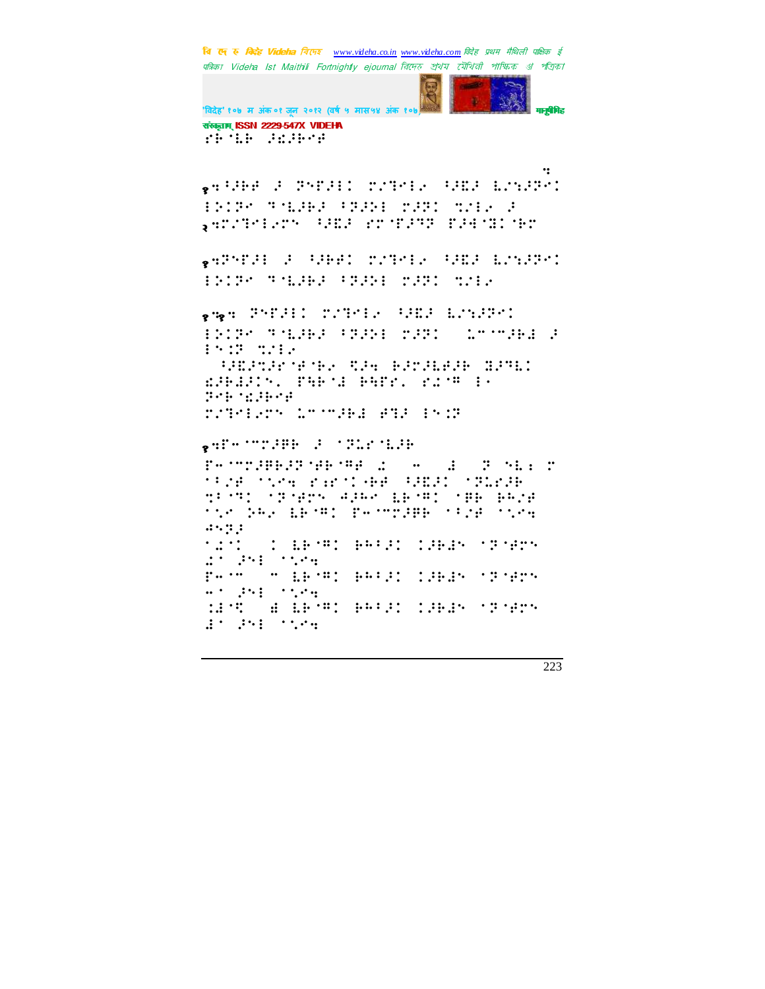चि एक रु *विदेह Videha चिए*न्छ <u>www.videha.co.in www.videha.com</u> विदेह प्रथम मैथिली पाक्षिक ई पत्रिका Videha Ist Maithili Fortnightly ejournal রিদেহ প্রথম মৌথিনী পাক্ষিক গ্র পত্রিক।

'विदेह' १०७ म अंक ०१ जून २०१२ (वर्ष ५ मास५४ अंक १०७) मानुसीर के सामुवी मिट

संस्कृतम् ISSN 2229-547X VIDEHA

"⢷⣇⢷!⢼⣎⢼⢷⢾!.Cbtfe!po!nt.trm! Fohmjti.Nbjuijmj!Ejdujpobsz⣒! १⣒⢸⢼⢷⢾!⢼!⢽2⢼5!4⣙5⢴!⢸⢼⣏⢼.⣇4⣑⢼⢽! 5⢵⢽!⢹⣇⢼⢷⢼!C⢽⢼⢵5!⢼⢽!⣉45⢴!⢼! २⣒4⣙5⢴!⢸⢼⣏⢼!"2⢼⢹⢽!2⢼⣚⣝⢷! १⣒⢽2⢼5!⢼!⢸⢼⢷⢾!4⣙5⢴!⢸⢼⣏⢼.⣇4⣑⢼⢽! 5⢵⢽!⢹⣇⢼⢷⢼!C⢽⢼⢵5!⢼⢽!⣉45⢴! १⣒१⣒!⢽2⢼5!4⣙5⢴!⢸⢼⣏⢼!⣇4⣑⢼⢽! 5⢵⢽!⢹⣇⢼⢷⢼!C⢽⢼⢵5!⢼⢽!!⣅``⢼⢷⣜!⢼! 5⣈⢽!⣉45⢴! )⢸⢼⣏⢼⣉⢼"⢾⢷⢴!⣋⢼⣒!⢷⢼⢼⣇⢾⢼⢷!⣝⢼⢹⣇! ⣎⢼⢷⣜⢼G!2⣓⢷⣜!⢷⣓2"G!"⣌⢻!5l! ⢽⢷⣎⢼⢷⢾\*!! 5. The second control of the second control of the second control of the second control of the second control o <sub>?'</sub>HPH''TIFE 2 'PLE'BJF' 2⢲`⢼⢿⢷⢼⢽⢾⢷⢻⢾!⣌-!⢲-!⣜-!⢽!⣇⣐!! C4 24 DEC 10 DEC 10 DEC 10 DECEMBER 1999 ⣉C⢹!⢽⢾!⢺⢼⢳!⣇⢷⢻!⢿⢷!⢷⢳4⢾!  $^{\prime}$   $^{\prime}$   $^{\prime}$   $^{\prime}$   $^{\prime}$   $^{\prime}$   $^{\prime}$   $^{\prime}$   $^{\prime}$   $^{\prime}$   $^{\prime}$   $^{\prime}$   $^{\prime}$   $^{\prime}$   $^{\prime}$   $^{\prime}$   $^{\prime}$   $^{\prime}$   $^{\prime}$   $^{\prime}$   $^{\prime}$   $^{\prime}$   $^{\prime}$   $^{\prime}$   $^{\prime}$   $^{\prime}$   $^{\prime}$   $^{\prime}$   $^{\prime}$   $^{\prime}$   $^{\prime}$   $^{\prime}$  $\mathbf{a} \cdot \mathbf{y}$  $\{A: I\}$  , are the second consequence of the second  $\mathcal{L}^{\text{max}}_{\text{max}}$  ,  $\mathcal{L}^{\text{max}}_{\text{max}}$  ,  $\mathcal{L}^{\text{max}}_{\text{max}}$ 2⢲`!)`!⣇⢷⢻!⢷⢳C⢼!⢼⢷⣜!⢽⢾!  $\sigma$  ,  $\sigma$  ,  $\sigma$  ,  $\sigma$  ,  $\sigma$  ,  $\sigma$  ,  $\sigma$  ,  $\sigma$ ⣈⣜⣋!)⣞!⣇⢷⢻!⢷⢳C⢼!⢼⢷⣜!⢽⢾!  $B$   $\mathcal{F}$   $\mathcal{F}$   $\mathcal{F}$   $\mathcal{F}$   $\mathcal{F}$   $\mathcal{F}$   $\mathcal{F}$   $\mathcal{F}$   $\mathcal{F}$   $\mathcal{F}$   $\mathcal{F}$   $\mathcal{F}$   $\mathcal{F}$   $\mathcal{F}$   $\mathcal{F}$   $\mathcal{F}$   $\mathcal{F}$   $\mathcal{F}$   $\mathcal{F}$   $\mathcal{F}$   $\mathcal{F}$   $\mathcal{F}$   $\mathcal{F}$   $\mathcal{F}$   $\$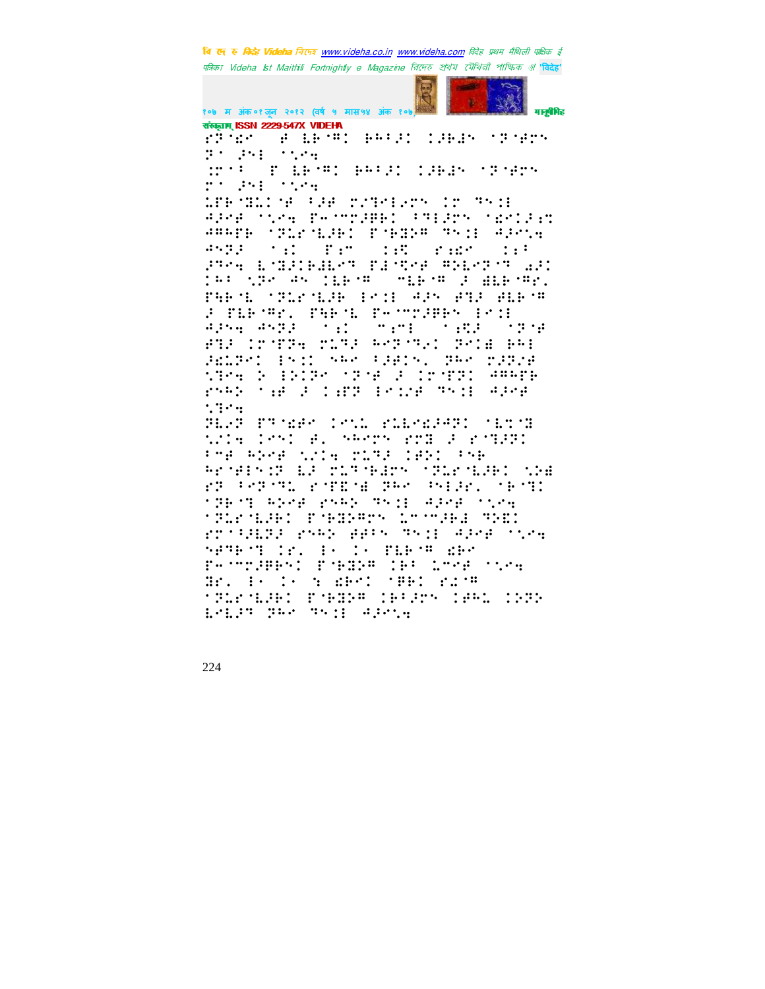बि एक रु क्विहे Videha विरफ्श www.videha.co.in www.videha.com बिरेह प्रथम मैथिली पाक्षिक ई पत्रिका Videha Ist Maithili Fortnightly e Magazine রিদেহ প্রথম মৌথিরী পাক্ষিক প্র' '<mark>विदेह'</mark>



१०७ में अंक०१ जून २०१२ (वर्ष ५ मास५४ अंक १०७) संस्कृतम् ISSN 2229-547X VIDEHA

ranch a benn each laean nanach 

WORLD BENNY BROAD CARAN SPORTS  $\frac{1}{2}$   $\frac{1}{2}$   $\frac{1}{2}$   $\frac{1}{2}$   $\frac{1}{2}$   $\frac{1}{2}$   $\frac{1}{2}$   $\frac{1}{2}$   $\frac{1}{2}$   $\frac{1}{2}$   $\frac{1}{2}$   $\frac{1}{2}$   $\frac{1}{2}$   $\frac{1}{2}$   $\frac{1}{2}$   $\frac{1}{2}$   $\frac{1}{2}$   $\frac{1}{2}$   $\frac{1}{2}$   $\frac{1}{2}$   $\frac{1}{2}$   $\frac{1}{2}$ 

WPB MOLD NAME AND MONOGROUPS OF STREET APAR TYPE PHONORHED FRERN TERCRED ARAPE (SEP SLARI PORTRA SSOC APSOL *AND : 12 FM : 12*  $\mathcal{L}^{\text{in}}(\Omega,\mathbb{R}^d) \cong \mathbb{R}^d \times \mathbb{R}^d$ ang bunikan nagawa nasara an 166 NPK 45 11638 (MibiR 3 BibiRr. PHP NO STARTAGE (PRIORING PIP PAPER) FIRENT THE PENTHER POI agsalasgg (fall hanfilitad lighe<br>aga conga pung kegunac geca kki BELGAL ENIL NAM FREIN, GAM MEGGE sang a laian sasa a irèni Amér real the Folder Professor Adee  $1.3994$ 

PERP PROBE COLL PLEOBRED OFFICE wie 1851 A. SARPS PPE 2 POTZEI Phe abee wite place cebi  $\cdots$ Render as monday incident the FROM PROTOCOL ENTERTAINMENT AND THE MAIN their above practical along them **MIRTIAL PASSEN LTTER THI** rroughts read gain which ages they SPRESH IP. BY IS TERME WHO PAINTERNI PIERNE INFORMATION Br. En la maret (FRI rang **MARKET PROPERTIES CONTROLLER** ESERT THE TRIE WISSE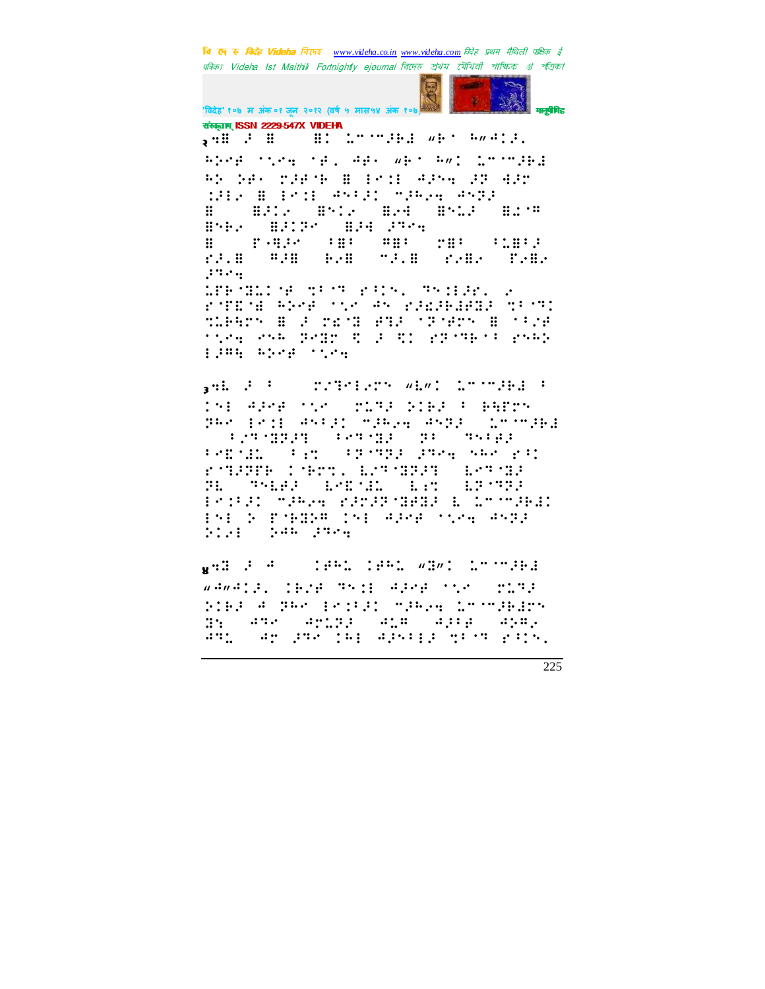**बि एक रु** *बिर्दह Videha विए***नर** www.videha.co.in www.videha.com विदेह प्रथम मैथिली पाक्षिक ई पत्रिका Videha Ist Maithili Fortnightly ejournal রিদেহ প্রথম মৌথিনী পাক্ষিক প্র পত্রিকা



संस्कृतम् ISSN 2229-547X VIDEHA  $\mathbb{R}$ :  $\mathbb{R}^n$  :  $\mathbb{R}^n$  :  $\mathbb{R}^n$  ,  $\mathbb{R}^n$  ,  $\mathbb{R}^n$  ,  $\mathbb{R}^n$  ,  $\mathbb{R}^n$  $2 \cdot 3 \cdot 5 \cdot 5$ Aber they from Arcocket Automotive AN NEO MIESE BOIPAI AINE IN AIM MER B ERME ANTEL MARRA ANDE **ALL:** Bris Had  $H^{1}L^{1}L^{2} = H^{1}L^{1}H^{1}$  $\mathbf{H}$ **BYD: BALLY BAR ANYW** FURN THE MHE THE FINER  $\frac{1}{2}$ **CALL PREP PREP**  $\mathcal{L}^{\text{max}}$ MPP THAT YESTER PRINT TO HIRD. roprod Abob one an redeeded of co tifics a force for them a the tics can pedrogogy and except comp pjes spre nore

 $\frac{1}{2}$  and  $\frac{1}{2}$  (  $\frac{1}{2}$  ) (  $\frac{1}{2}$  ) (  $\frac{1}{2}$  ) (  $\frac{1}{2}$  ) (  $\frac{1}{2}$  ) (  $\frac{1}{2}$  ) (  $\frac{1}{2}$  ) (  $\frac{1}{2}$  ) (  $\frac{1}{2}$  ) (  $\frac{1}{2}$  ) (  $\frac{1}{2}$  ) (  $\frac{1}{2}$  ) (  $\frac{1}{2}$  ) (  $\frac{1}{2}$  ) ( INE APRESSING SIDE SIBLE PARTY par proposero monga sepo communi  $\begin{minipage}{0.9\linewidth} \begin{tabular}{l} \hline $\mathbf{1}_1$ & $\mathbf{2}_2$ & $\mathbf{3}_3$ & $\mathbf{4}_4$ & $\mathbf{3}_5$ \\ $\mathbf{3}_4$ & $\mathbf{3}_5$ & $\mathbf{3}_6$ & $\mathbf{3}_6$ \\ $\mathbf{4}_5$ & $\mathbf{4}_6$ & $\mathbf{4}_7$ & $\mathbf{3}_7$ \\ $\mathbf{4}_6$ & $\mathbf{4}_7$ & $\mathbf{4}_7$ & $\mathbf{3}_8$ \\ $\mathbf{4}_7$ & $\mathbf{4}_7$ & $\mathbf{4}_7$ & $\mathbf{4}_7$ \\ $\mathbf{4}_8$ PREMIUS PAT (PROTRE PROGRAM KR) rigger (Serri Ersteger Erste si sua letti arrangen s Professor Perky (2012-1898) a Chorneles PHONOPHER INFORMATION AND 2001 - 100 1984

 $g \in \mathbb{R}^3$  ,  $\mathbb{R}^3$  ,  $\mathbb{R}^3$ 1981 1981 W201 1000311 wewell, leve this electory with bieg a ger fried maege imomgegne By And Arms And Apre App.  $431$ **1. 中国人民共和国党委会、中国科学党委、世界大学、全国党委、** 

 $\overline{225}$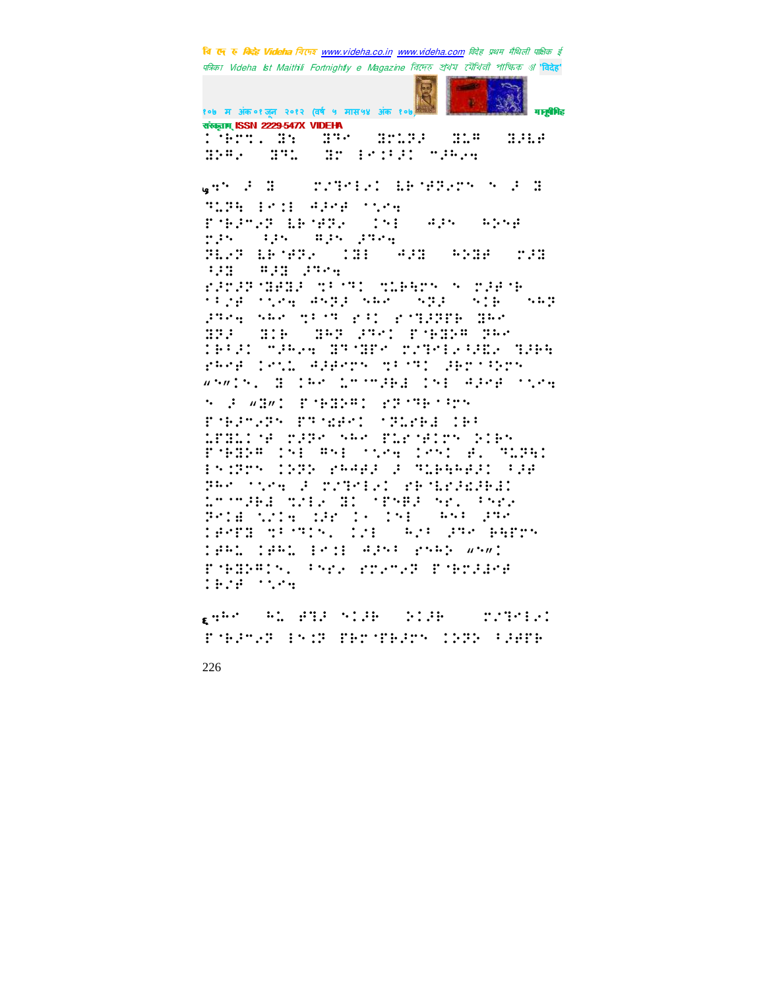बि एक रु क्रिके Videha विरफ्श www.videha.co.in www.videha.com बिरेह प्रथम मैथिली पाक्षिक ई पत्रिका Videha Ist Maithili Fortnightly e Magazine রিদেক প্রথম মৌথিনী পাক্ষিক প্র' 'विदेह'

 $\mathcal{G}$ १०७ म अंक०१जून २०१२ (वर्ष ५ मास५४ अंक १०७) मानुबेगिह संस्कृतम् ISSN 2229-547X VIDEHA

**Service** 

1990 - 1990 - 1990 - 1990 - 1990 - 1990 - 1990 - 1990 - 1990 - 1990 - 1990 - 1990 - 1990 - 1990 - 1990 - 1990<br>1990 - 1990 - 1990 - 1990 - 1990 - 1990 - 1990 - 1990 - 1990 - 1990 - 1990 - 1990 - 1990 - 1990 - 1990 - 1990 **HALP CONSTRUCTS** 899. 891. 87. 1931. 786.

QHR 2 B - STIPERI LEMBRIN N 2 B **SLEE ESSE APSE STAR** ESPANAR (1891-1891)<br>1925 - Greco Arabi, amerika  $\mathcal{A}(\mathcal{D}) = \mathcal{A}(\mathcal{D})$ HAR LEMRA (18) ARE ANGE 278  $\ldots$   $\ldots$   $\ldots$   $\ldots$ FAMAR MEDAL MASMA MUREMA A SARAHA 13.18 11.04 4593 540 - 593 - 518 - 549 Pres and great part perspect me 1920 - 1136 - 162 (255), fotballander<br>1932: Johnne Islamsk potensjerne tigen PROF COLL APROVA NE ME SPECTREN whath. Bolke Loophia Info@Here over **SEARCHILLE STATES** PORPORA PROBECT ORDER CRA LPHLIGH TREATMAC PLEASED WIRM FOREST INE WAR STORE INNI WE MERRI **IS NOS (1912 PRAPA A SLEEPART PAR** PRO STOR 2 MATRIE: MP NECHLEL LTOWARE THEY HE SPYRE SELL PAPE Prim this day is the same pre-DESTA SPORTS, COLL. AND JOS BARDS THE THE PRIMAGE WALKING POBRATOS, Pora reamaR Pobradae TEMP STAR

EARY AL AND SIDE (1910) contract FORFOR INSTALLERS CONTROLLERS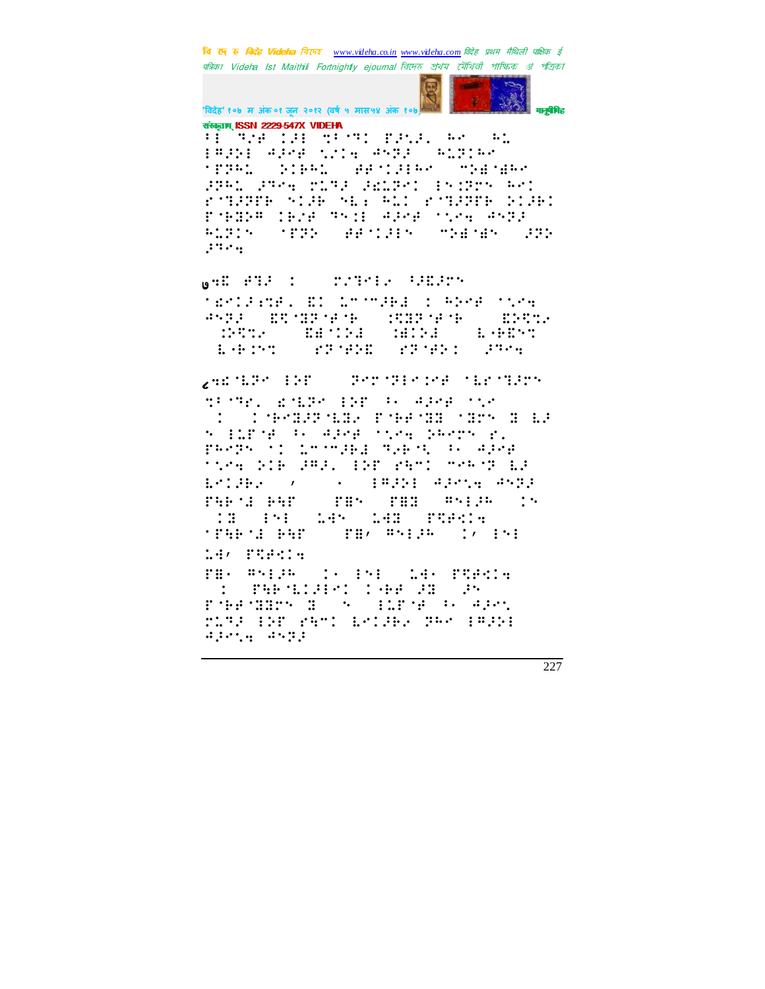वि ए रु क्रिडे Videha विएक www.videha.co.in www.videha.com विदेह प्रथम मैथिली पाक्षिक ई पत्रिका Videha Ist Maithili Fortnightly ejournal রিদেহ প্রথম মৌথিনী পাক্ষিক প্র পত্রিকা

'विदेह' १०७ म अंक०१ जून २०१२ (वर्ष ५ मास५४ अंक १०७ संस्कृतम् ISSN 2229-547X VIDEHA



HÉ ANG ISE NEUAT PINI, ANG AL PROSE ADAPTICIE ANDER ALDIAN STERL BESTRIAM MOBSHAM  $\cdot$   $\cdots$ BRAN BRAN MIRE BENEAT BAGGAR ART FMERTH SIDE SEE AND FMERTH SIDE: PARDE TEMP THIS WINE TONE WHILE RITIN METER BEMIJEN MEDIGEN ITE gara da gu

**GAR PIP : STATE PRIPER MACDEMED IS SECTIFIED A REPRODUCE 4573 BIMB9918 Editiba**  $11.55321$  $\mathbb{R}^2$  :  $\mathbb{R}^2$  :  $\mathbb{R}^2$  :  $\mathbb{R}^2$  :  $1171471$  $1.4422$  $\mathbb{R}^n$  . The set of  $\mathbb{R}^n$ 

 $e^{447.1139}$  (1947) **SPONSES DE SERVIERS** TESTEL ESERGIBE EL APPE SUS **CONTRACTMENT SECTIONS INC.** S ELETE POSSERE TORA DRAMA EL redro to condemn debt al alde TORE DIE JAR. IDE PETI TRATE ER  $\mathbf{i} \cdot \mathbf{j} \cdot \mathbf{k}$ a a grupp diriga diri **THE THE BELL IS THE LEADER** TE THE 145 148 PRACH **THE SENSON SERVES SERVES** 14, PRACTA

FB: #5126 (1) 151 (14) FRACH  $\mathbb{R}$  . The district of he such space robeomers a so already by gar. MAR INT PATI LOOK. DAY PANG  $\mathcal{A}(\mathcal{I},\mathcal{O}_\mathcal{I},\mathcal{U})=\mathcal{A}(\mathcal{O}_\mathcal{I}(\mathcal{I}))$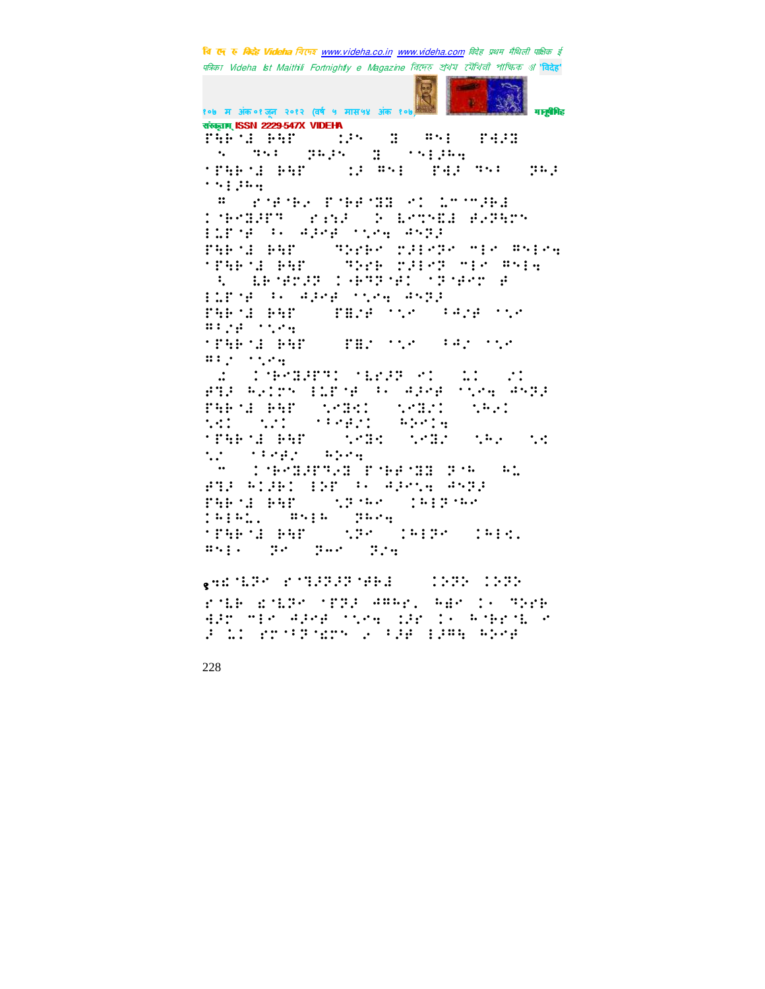बि एक रु क्रिके Videha विरफ्श www.videha.co.in www.videha.com बिरेह प्रथम मैथिली पाक्षिक ई पत्रिका Videha Ist Maithili Fortnightly e Magazine রিদেক প্রথম মৌথিনী পাক্ষিক প্র' 'विदेह'

**County** 

 $\mathbf{g}_i$ १०७ म अंक०१जून २०१२ (वर्ष ५ मास५४ अंक १०७ मानुबेगिह संस्कृतम् ISSN 2229-547X VIDEHA FARMERS OF STAR  $\cdots$   $\cdots$  : **TAB**  $\mathcal{H} = \mathcal{H} \mathcal{H} = \mathcal{H} \mathcal{H} = \mathcal{H} = \mathcal{H} = \mathcal{H} \mathcal{H} \mathcal{H}$ **TIME 12 BAP SECTION CONTROL**  $\cdots$  $1.44 \pm 0.001$ **A Premier President Communa** D'ESBAPT (PANA) D'ESTREA PAPERS ELPARTS WEEK SYSN WARE **THE SENSON THE PHONE THE BAILE** ting in the state of the state  $\mathcal{A} = \mathcal{B} \oplus \mathcal{B} \oplus \mathcal{B} \oplus \mathcal{B}$  ,  $\mathcal{B} \oplus \mathcal{B} \oplus \mathcal{B}$  ,  $\mathcal{B} \oplus \mathcal{B} \oplus \mathcal{B}$ ELPORTA APPROXIMATER **THIS MAY SAME MAY THE LEADER**  $\mathbf{H}^{\mathbf{1}}\left( \mathbf{1}_{\mathbf{1}}^{\mathbf{1}}\mathbf{1}_{\mathbf{1}}^{\mathbf{1}}\right) =\mathbf{1}_{\mathbf{1}}^{\mathbf{1}}\left( \mathbf{1}_{\mathbf{1}}^{\mathbf{1}}\mathbf{1}_{\mathbf{1}}^{\mathbf{1}}\right)$ **TERRIBE TEACHER TANKS**  $\mathbf{H}(\mathbf{r}_1,\ldots,\mathbf{r}_n) = \mathbf{H}(\mathbf{r}_1,\mathbf{r}_2) + \mathbf{H}(\mathbf{r}_2,\mathbf{r}_3) + \mathbf{H}(\mathbf{r}_3) + \mathbf{H}(\mathbf{r}_4) + \mathbf{H}(\mathbf{r}_5) + \mathbf{H}(\mathbf{r}_6) + \mathbf{H}(\mathbf{r}_7) + \mathbf{H}(\mathbf{r}_8)$ **A CHANNEL MENT CO**  $\mathbf{u}$   $\mathbf{v}$ FIR RECOVALENCE PROPERTIES AND PHOLEN SONG  $\sim$  0.000  $\sim$  $\mathcal{L}$  . The set of  $\mathcal{L}$  $\cdots$ **THE LEADER**  $1.724 - 1.727$  $\mathcal{L}^{\mathcal{A}}\left( \mathcal{A},\mathcal{A}\right) =\mathcal{L}^{\mathcal{A}}\left( \mathcal{A},\mathcal{A}\right)$ u seg apa lin - conkiranda leona da conconc FIR RIPE: INT 36 APMIN ANDE

 $\mathcal{L}=\sum_{i=1}^{n} \mathcal{L}_i\mathcal{L}_i$  , where  $\mathcal{L}_i$ **THE WE BAT**  $\frac{1}{2}$  is a properties of the set of the set of the set of the set of the set of the set of the set of the set of the set of the set of the set of the set of the set of the set of the set of the set of the set of the s :A:A:, #5:A ;A20<sub>9</sub> TEARING RAT (1928) 1942-1944. Baji ya yan yan

**QHEMEDY SYTEPHP MEET (1999) 1999** rib ribe (1980) (1982) Adapt, Age (1980) (1982) APPLICER PRESENTED OR COUPONERS R 3 11 27 33 227 2 338 1389 3208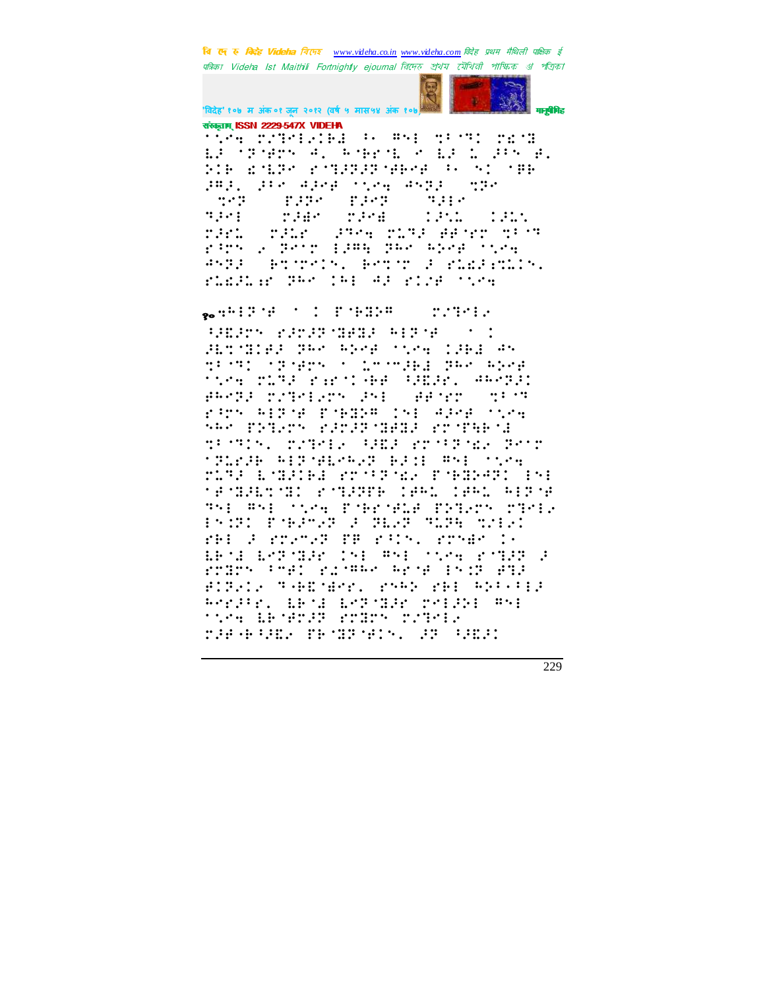**बि एक रु** *बिर्दह Videha विए***नर** www.videha.co.in www.videha.com विदेह प्रथम मैथिली पाक्षिक ई पत्रिका Videha Ist Maithili Fortnightly ejournal রিদেহ প্রথম মৌথিনী পাক্ষিক প্র পত্রিকা



## 'विदेह' १०७ म अंक ०१ जून २०१२ (वर्ष ५ मास५४ अंक १०७ संस्कृतम् ISSN 2229-547X VIDEHA TORE CONFIDENT PHONE CROSS CENT EP SPORTS AL ASBECE POEP DOPEN B.

SIR KNIP PNICOSTARNA (F. SI NOR 282. 258 4288 1184 4522 - 128  $\mathbb{R}^{n}$ **TAPE TAPE**  $\mathcal{L} = \{1,2,3,4,5\}$ **SERVICE**  $22.44$ raan rana nana a THE STAR TIME RETT TEST ring a Benn (1985-1968 Aber 1969) éség (Bronsle, Beron d'Emmarganis) runding Personal Adminisher Stra

## softling and the second control arat in the problem **BEET FRIEDED BEET** Hrydiae Perseye (194 1981 45 STORY CROPS of Leonged Ben epop ting play rand ge sample amoun PROTECTORESTY PHOTOGRAPHY rans Albert Penna (si Alex Stea SAR PERSON PROFESER POSTABLE trings, press, gaze rolledge grou **TRAPP RIPYREMES RAIL RME TOME** MIRA EMBIDA KOMBONA PODBARI (P) MANUAL MUUTE DAG DAG ADAM The Rhe Sidne Potentele Private alter PROSTOR PROTECT CONSTRUCTION PRESERVATOR PROPERTY START IN BROWNER IN THE COMPACT PRESS rodos Podi rismas arme Esto Add BITALA THEOBAY, PARK PHI REPARIS Arrair, about artist relate whe **TIME LE MATHE STIPS STIPLE MARKET MARKET AND ARRIVE**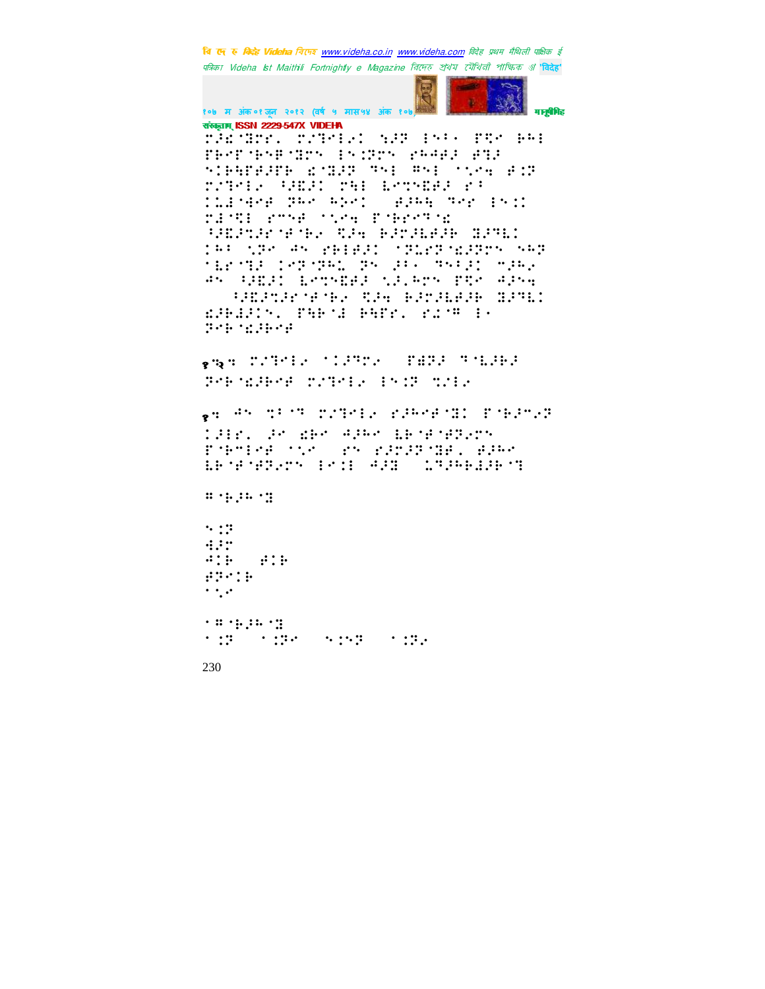बि एक रु क्रिके Videha विरफ्श www.videha.co.in www.videha.com बिरेह प्रथम मैथिली पाक्षिक ई पत्रिका Videha Ist Maithili Fortnightly e Magazine রিদেক প্রথম মৌথিনী পাক্ষিক প্র' 'विदेह'



संस्कृतम् ISSN 2229-547X VIDEHA DESCRIPT CONTRIGUOSER ISLA PRO PRI TRATISHING ISTUS PRAKI BIL SIPHTHUTE ROBUS TSI TSI SACH FIN TATMER WERE THE EMTHER AN the definition with adma ser is: TEMPE STOP TOOK PORCHOL WESTERNIE THE BRIEFE INTE TAR SPACES PHIRRICARDER SARROWS President and the state of the state of the state of the state of the state of the state of the state of the s AN HEED ESTREED NEIGHT FRY APNE **WEBSTART CHARDSHIP EPS** EPRINT THE SUPHER SECTION Police State

par DIRES (1970) TERP TEAPP Sibjalki pjelu 153 pje

<sub>e</sub>g as distributivily playerd: prelated THE PO WHO APPOINTMENT Portical control and adaptational adapt EPROPRIES POINT SEPARATES

 $\frac{1}{2}$  :  $\frac{1}{2}$  :  $\frac{1}{2}$  :  $\frac{1}{2}$  :  $\frac{1}{2}$ 

 $\sim$  103  $4.39$  $\ddots$  :  $\mathbf{r}$  :  $\mathbf{r}$ **BOSTE**  $\cdot$  .  $\begin{picture}(150,10) \put(0,0){\vector(1,0){10}} \put(10,0){\vector(1,0){10}} \put(10,0){\vector(1,0){10}} \put(10,0){\vector(1,0){10}} \put(10,0){\vector(1,0){10}} \put(10,0){\vector(1,0){10}} \put(10,0){\vector(1,0){10}} \put(10,0){\vector(1,0){10}} \put(10,0){\vector(1,0){10}} \put(10,0){\vector(1,0){10}} \put(10,0){\vector(1,0){10}} \put(10,0){\vector($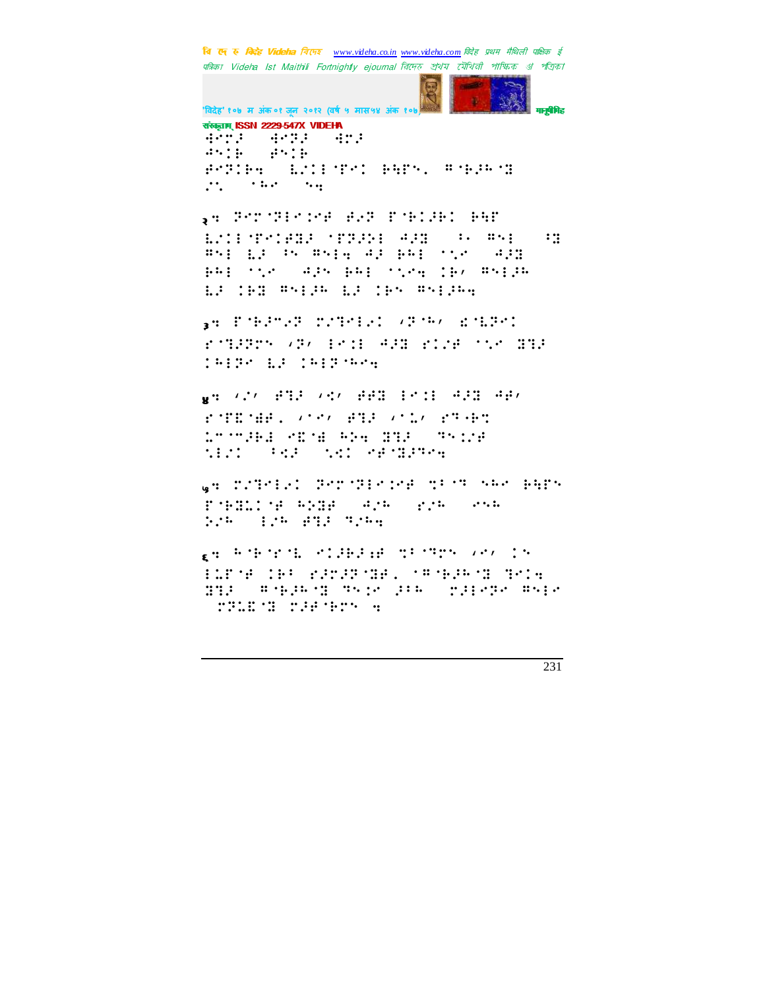चि एक रु *विदेह Videha चिए*न्छ <u>www.videha.co.in www.videha.com</u> विदेह प्रथम मैथिली पाक्षिक ई पत्रिका Videha Ist Maithili Fortnightly ejournal রিদেহ প্রথম মৌথিনী পাক্ষিক গ্র পত্রিক।



संस्कृतम् ISSN 2229-547X VIDEHA<br> $\vdots \vdots \qquad \vdots \qquad \vdots \qquad \vdots \qquad \vdots$ ⊣Pre<br>Presidente ⢺⢷-!⢾⢷! ⢾⢽⢷⣒!)⣇452!⢷⣓2G!⢻⢷⢼⢳⣝\*!  $44.4$   $44.4$   $44.4$ 

२⣒!⢽⢽5⣈⢾!⢾⢴⢽!2⢷⢼⢷!⢷⣓2!  $\frac{1}{2}$  $5.5$   $5.5$   $5.5$   $5.5$   $5.5$   $5.5$   $5.5$   $5.5$   $5.5$   $5.5$   $5.5$   $5.5$   $5.5$   $5.5$   $5.5$   $5.5$   $5.5$   $5.5$   $5.5$   $5.5$   $5.5$   $5.5$   $5.5$   $5.5$   $5.5$   $5.5$   $5.5$   $5.5$   $5.5$   $5.5$   $5.5$   $5.5$   $5.5$   $5.5$   $5.5$   $5.5$   $5.5$  ⢷⢳5!⣁-!⢺⢼!⢷⢳5!⣁⣒!⢷'!⢻5⢼⢳-! ⣇⢼!⢷⣝!⢻5⢼⢳!⣇⢼!⢷!⢻5⢼⢳⣒!

 $\overline{3^{\prime\prime\prime}}$  . Point with the control of the control "f 'HPP' \P, Ind #1 4PH fire 'the HH. ⢳5⢽!⣇⢼!⢳5⢽⢳⣒!

⊌₩ NI/ #HI YY/ ##H EMI #PH ##/ "2⣏⣞⢾⣀!''!⢾⣙⢼!'⣅'!"⢹D⢷⣉! ⣅``⢼⢷⣜!⣏⣞!⢳⢵⣒!⣝⣙⢼.!⢹⣈4⢾-!  $547-147-147-147-147$ 

५⣒!4⣙5⢴!⢽⢽5⣈⢾!⣉C⢹!⢳!⢷⣓2! 2⢷⣝⣅⢾!⢳⢵⣝⢾;!⢺4⢳-!"4⢳-!⢳-!  $5.74 - 1.74 - 0.141 - 0.744$ 

<sup>६</sup>⣒!⢳⢷"⣇!⢼⢷⢼⣐⢾!⣉C⢹!''!! 5⣅2⢾!⢷C!"⢼⢼⢽⣝⢾⣀!⢻⢷⢼⢳⣝!⣙⣒! ⣝⣙⢼.!⢻⢷⢼⢳⣝!⢹⣈!⢼C⢳-!⢼5⢽!⢻5! )⢽⣅⣏⣝!⢼⢾⢷\*⣒!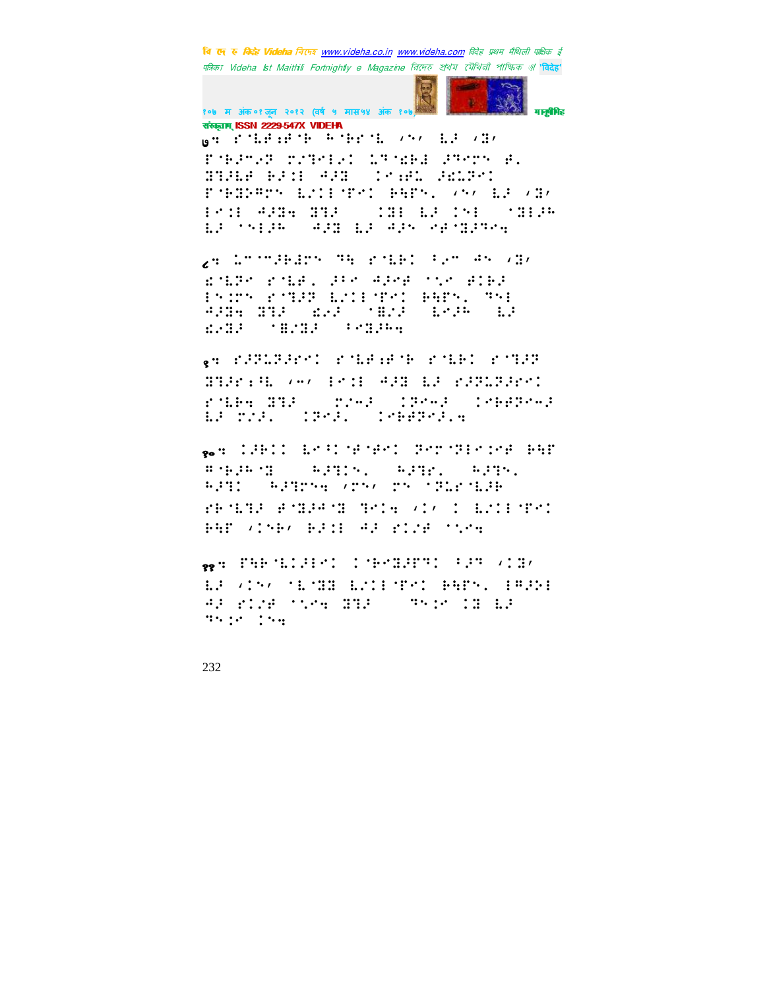बि ए रु क्रिटे Videha विएक www.videha.co.in www.videha.com बिरेह प्रथम मैथिली पाक्षिक ई पत्रिका Videha Ist Maithili Fortnightly e Magazine রিদেক প্রথম মৌথিনী পাক্ষিক প্র' 'विदेह'



संस्कृतम् ISSN 2229-547X VIDEHA ga rimane the three showed show PORTS TITUL LIGAR STOR R. POHENEN ESTROPHEN, VS ER VEZ 1911 - 1911 - 1911 - 1911 - 1912 - 1913 - 1914  $\cdot$  : : : : : LE SAILE (APR LE APR PESSING)

ge in makans de acter (Famoes VI) RADA RADA SPA ASAR MAN BIBS ENDIN KNIPP EZIENPAL PREN, 751 **AMAR STAR SERVICE SERVICE**  $\mathbf{1} \cdot \mathbf{1} \cdot \mathbf{1}$  $\ldots$ **RANK PEACH PARTIES** 

en KARLBARYI KOLEHEN KOLEI KOTAR HARRY ME AND TRIE AND AND PARABARY: rowe BiR (2004) (Pref. 1968-06 if not (1961) Composed

**WARRANTED BOARD MANUFACTURE PROPERTY Administration Administration Administration Administration Administration Administration Administration Admin APROVE ANY ON STARTER**  $\mathbf{L}$  ,  $\mathbf{L}$  ,  $\mathbf{L}$ FROM PORT TO SALE AND THE BAT KINDA BESI AF PIZE TIME

<sub>22</sub> THE SECRET CONFIDENT COST (CI) EPOSTAVO NEMIECENTE PROTOGRENA (ERPE) AF PICE MONAGER (1980) THIN IR EF  $\mathcal{V}^{(1)}\left(\mathcal{V}^{(2)}\right)=\left(\mathcal{V}^{(1)}\right)\mathcal{V}^{(2)}\left(\mathcal{V}^{(1)}\right)$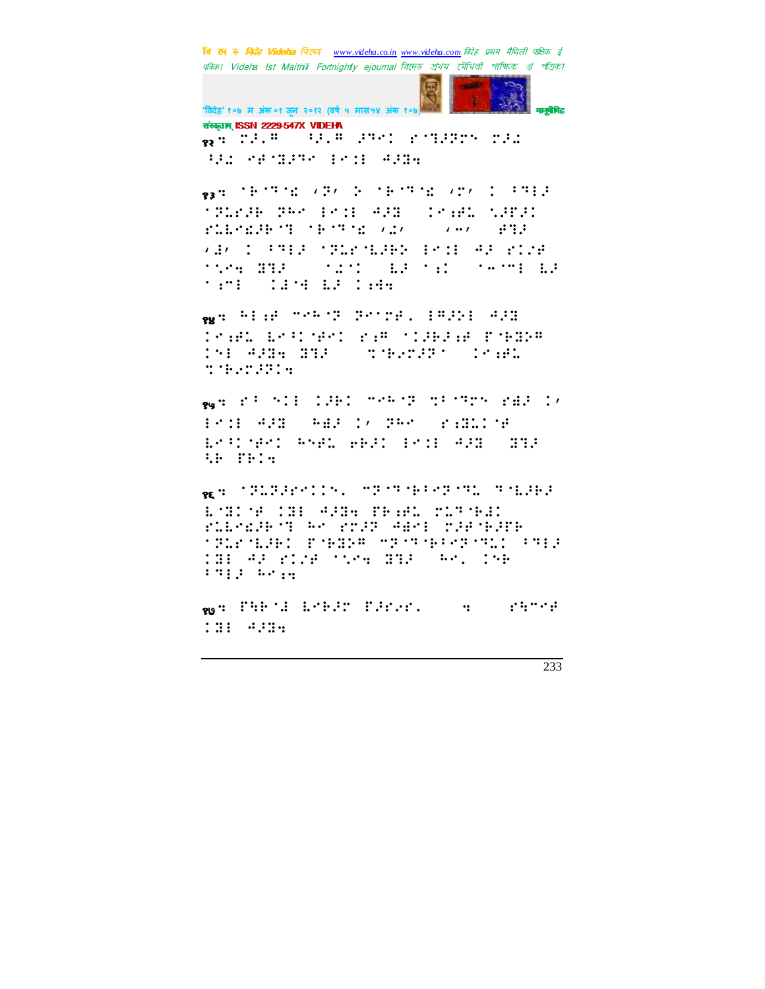बि एक से विरोह Videha विएक www.videha.co.in www.videha.com विदेह प्रथम मैथिली पाक्षिक ई पत्रिका Videha Ist Maithili Fortnightly ejournal রিদেত প্রথম মৌথিনী পাক্ষিক প্রা পত্রিকা

'विदेह' १०७ म अंक०१ जून २०१२ (वर्ष ५ मास५४ अंक १०७

मानुबेगिह

संस्कृतम् ISSN 2229-547X VIDEHA ar had an and conservate **BE PENDING BRIDGED** 

 $\frac{1}{32}$  and the theory with the theory of the second control of the second control of the second second second second second second second second second second second second second second second second second second se **TREE BROOKS AND STANDARD MIPERS SENSIVE**  $\mathbf{u} \cdot \mathbf{v} = \mathbf{u} \cdot \mathbf{v}$ **WE I FALE SALES ERROR FOR SIZE** tion BRA (1991) ALASKA (1995) AR tem (19 AP 19 Apr

we Him means sended image Add Trans Lrainers ram (1963an Pongem  $\mathcal{L}^{\text{max}}$  , the state  $\mathcal{L}^{\text{max}}$ a di seriali di seriali di seriali di Seriali di Seriali di Seriali di Seriali di Seriali di Seriali di Serial<br>Seriali di Seriali di Seriali di Seriali di Seriali di Seriali di Seriali di Seriali di Seriali di Seriali di **TOBATANIA** 

**RGM AT SIE ISBN 2008-22-21-2225-ABS IN** Principal March Schroenberg ESTIMAT PRED ARCT 1811 ACR (230 the Phine

**READERSHOLD** STATES TO THE REAL PROPERTY EMINE COMPANY PREPLACEMENT FLECKER TO ACCEPT ARCHIVERED **MELPALES PARE MEMPARYERS PRE** INE AF RICH Straw NHF (Art. Inc  $1.3111 - 0.0111$ 

<sub>90</sub>: PHP WE LAPPER PRESENT ( ) ( ) (PHPAP  $131 - 4334$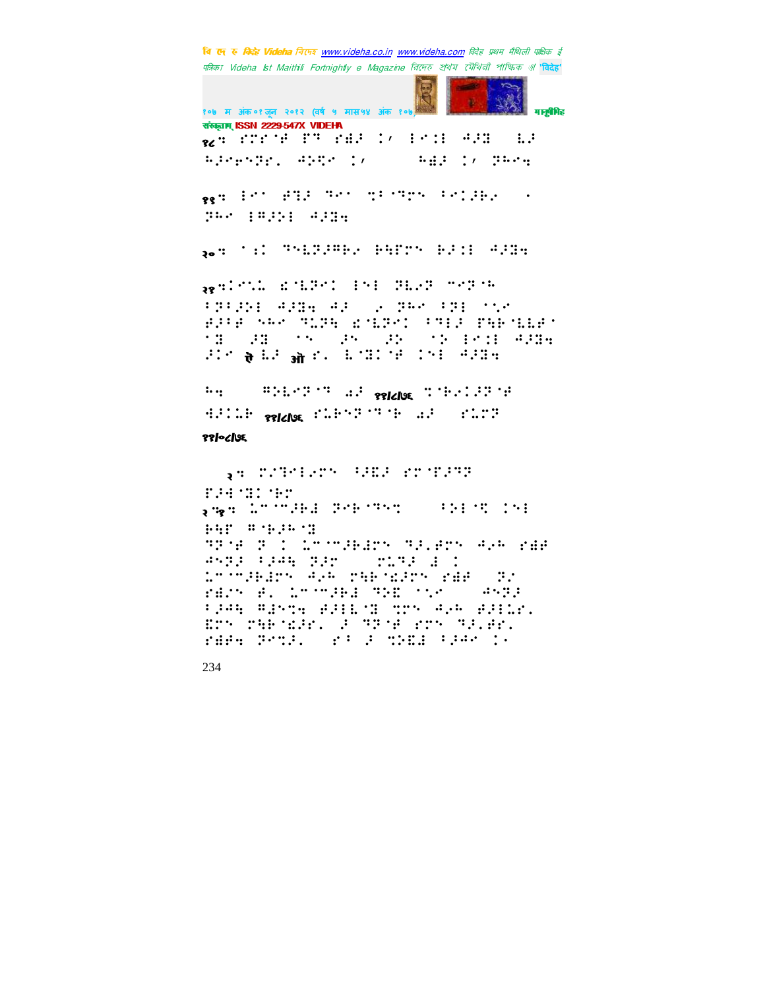चि एक रु मिन्हे Videha विएक www.videha.co.in www.videha.com विदेह प्रथम मैथिली पाक्षिक ई पत्रिका Videha Ist Maithili Fortnightly e Magazine রিদেহ প্রথম মৌথিরী পাক্ষিক রা'**বিदेह'** 

१०७ म अंक ०१जून २०१२ (वष ५ मास५४ अंक १०७) मानुषीिमह संस्कृतम् ISSN 2229-547X VIDEHA

⢳⢼⢶⢽"G!⢺⢵⣋!'!-!!⢳⣞⢼!'!⢽⢳⣒!

१९⣒!5!⢾⣙⢼!⢹!⣉C⢹!C⢼⢷⢴!)l\*!

२०⣒!⣐!⢹⣇⢽⢼⢻⢷⢴!⢷⣓2!⢷⢼⣈5!⢺⢼⣝⣒!

₽JPP SPA JUDE BALPAL PJEJ PHPALLP<br>13 JPD 15 JPD 25 JPD 15 PAIR PDD

 $\mathbf{R}$ ९: 2011 संग्रहण करता है। 55 संग्रहण करता करता है। COUNCIL COMPANY OF STREET

 $\mathbb{R}$  of  $\mathfrak{g}$  in  $\mathfrak{g}$  in the function of the second

₩, 0. PHP127 P. 2010 P. 2010 P. 2010 P. ⣚⢼⣅⢷!११/८/७६ "⣅⢷⢽⢹⢷!⣔⢼!#"⣅⢽#!

 $\sqrt{2}$ s 27941.75 (1885) 1895 (1995)

 $\frac{1}{2}$  . The state of the state of the state of the state of the state of the state of the state of the state of the state of the state of the state of the state of the state of the state of the state of the state of th

 $^4$  HIM #. Lowell MA MA WI

२७१ थे प्राप्त करने के प्राप्त करने के प्राप्त करने के प्राप्त करने के प्राप्त करने के प्राप्त करने के प्राप्त

Normaedry aye reendary pap (22)<br>Pary al Normaed Spp (12) (453)

COUNTER CONTROL CONTROL CONTROL EDN DARMENE, J. PRAF EDN PRIEM. "⣞⢾⣒!⢽⣉⢼G-!"⢸!⢼!⣉⢵⣏⣜!C⢼⢺!l!

WHERE IN THE SALE OF STREET

⣝0!⢼⣝0!0!⢼0!⢼⢵0!⢵!5⣈5!⢺⢼⣝⣒!

⢽⢳!5⢻⢼⢵5!⢺⢼⣝⣒!

**START** 

8, 2011 12: 13 PR 145 PR 16 PR 16 PR 16 PR

234

११/०८/७६

2⢼⣚⣝⢷!!

 $PI: "?':'."$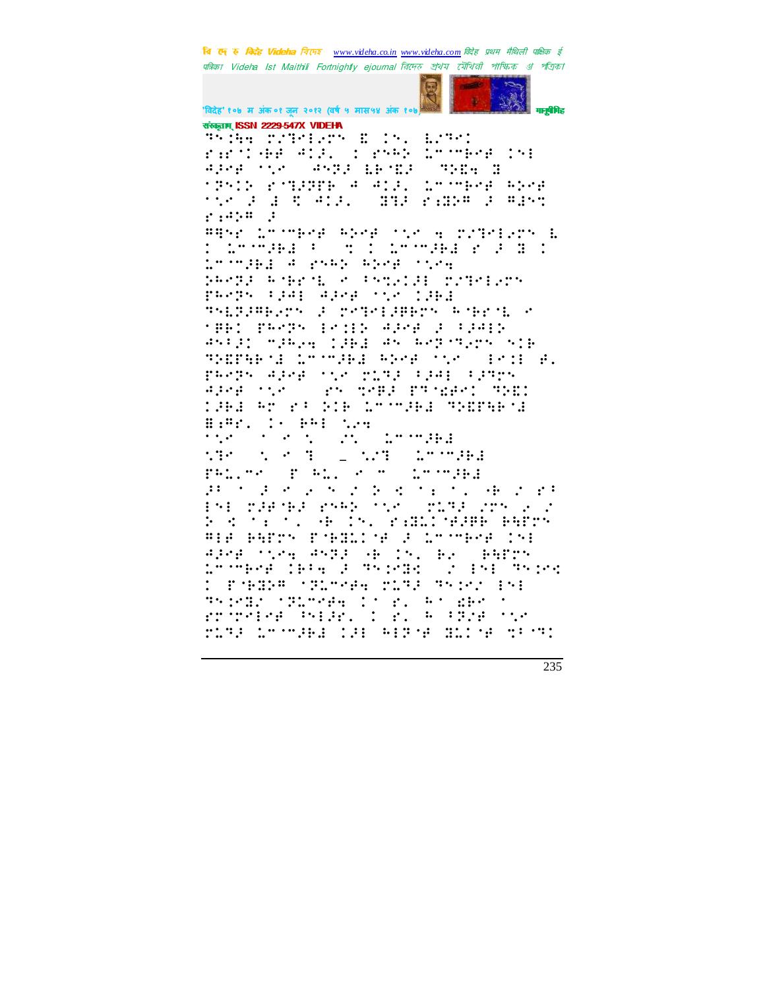वि एक रु मिनेह Videha विएक www.videha.co.in www.videha.com विदेह प्रथम मैथिली पाक्षिक ई पत्रिका Videha Ist Maithili Fortnightly ejournal রিদেহ প্রথম মৌথিনী পাক্ষিক প্র পত্রিকা

'विदेह' १०७ म अंक ०१ जून २०१२ (वर्ष ५ मास५४ अंक १०७)



संस्कृतम् ISSN 2229-547X VIDEHA Tříme profesor E (r. 1777) rander all, cannot comparison Alegorie (Anglickich Spekce)<br>1951: Krigger Aoslav, Londerf Abre the F E R Atl. ( BHF PABR F ABS) ran r sang troppe and one roomers b <u>Dosoded a ramb mbar sva</u> PROTE ROBEON OF PACEING COTONERS PROPR (1941) 4308 (1960)1383 SNESIBERTNOS TRIPLISERTNOS PER NEOR **THE PROPE ECONOMICATIONS** and at local capacitation and considerable to SPEPHENE LOOMFRE PROFILMS (FOIL) B. Perde alra son plat tial tiape.<br>Alra son con memi pasari albu 1963 Ar 23 Gib 15759-2 Sporter a **H**: **H:** (1) H: (1) 1.00 **Source Street Construction**  $\cdot$  ,  $\cdot$ MP SACRE LAND ASSEMBL PROCHE POSSIBLE SCHOOLS おいしおとび かいかん かいしゃ かまお in zama per he finisher.<br>Porti nombre de all'ese espr ALA BARON ESBAILISA 2 LOSTERA (N. Loomere Ieffe 2 Monther (2019) Monther D PARDA (Plovey play andro Ph Thirds (Ployda Inst. Broghes)<br>Prophete Phile, Israel Politic (N ring informations were midded to the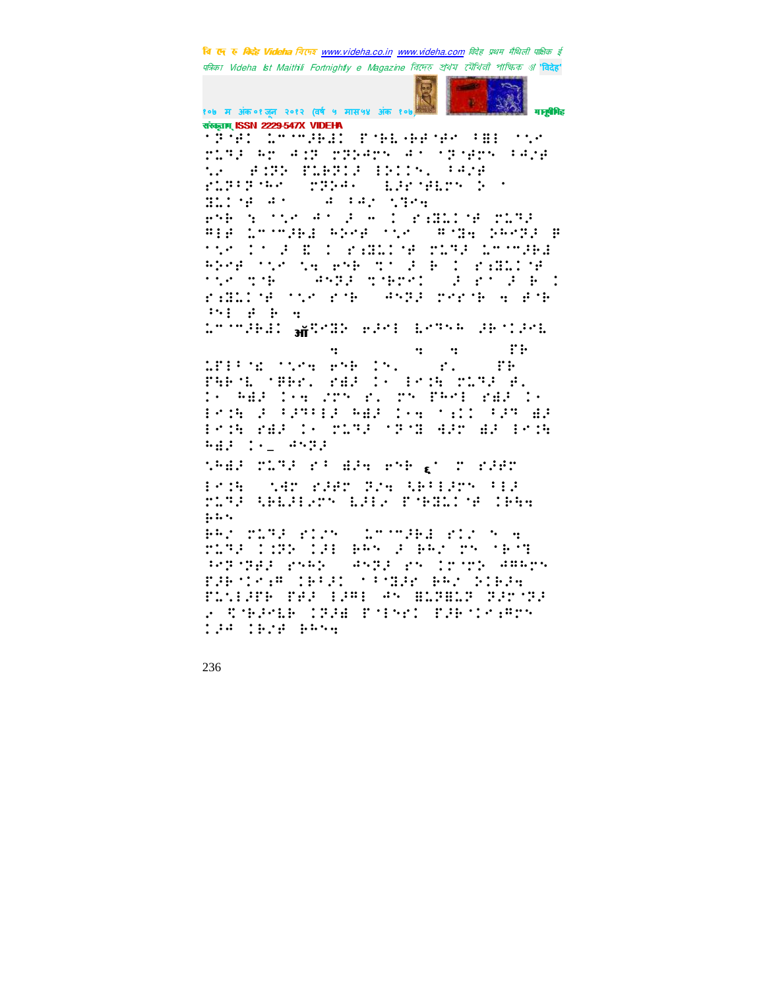बि एक रु क्रिके Videha विरफ्श www.videha.co.in www.videha.com बिरेह प्रथम मैथिली पाक्षिक ई पत्रिका Videha Ist Maithili Fortnightly e Magazine রিদেক প্রথম মৌথিনী পাক্ষিক প্র' 'विदेह'



१०७ म अंक०१ जून २०१२ (वर्ष ५ मास५४ अंक १०७) संस्कृतम् ISSN 2229-547X VIDEHA

třík chosku rokank (kromu o ring ar au rhian a' 'n Gerald  $\rightarrow$  2005 PLEPIS (PRICE) (9422)  $\dddot{\phantom{0}}$ FLPPPRO TREAS LETTERS E  $\mathbf{a}$  and  $\mathbf{a}$  and  $\mathbf{a}$ Hille av

PRESS STATES AND POSSIBLE PROPERTY Bid Loomand Abrahove (Body SArda B sie Ts Fall biegaarse page annigeg RESERVING THE TO PORT OF THE TOP STATES tir na Canal name: Sa et a Boi raming the right geng rerogan gog  $\begin{bmatrix} 1 & 1 & 1 & 1 & 1 & 1 \\ 1 & 1 & 1 & 1 & 1 & 1 \\ 1 & 1 & 1 & 1 & 1 & 1 \\ 1 & 1 & 1 & 1 & 1 & 1 \\ 1 & 1 & 1 & 1 & 1 & 1 \\ 1 & 1 & 1 & 1 & 1 & 1 \\ 1 & 1 & 1 & 1 & 1 & 1 \\ 1 & 1 & 1 & 1 & 1 & 1 \\ 1 & 1 & 1 & 1 & 1 & 1 \\ 1 & 1 & 1 & 1 & 1 & 1 \\ 1 & 1 & 1 & 1 & 1 & 1 \\ 1 & 1 & 1 & 1 & 1 &$ 

DO MURAL SARVAR SPACE ESTADO UNICURE

 $\cdots$  $\dddot{\cdot}$  $\mathbf{B}^{\text{max}}$  , and  $\mathbf{B}^{\text{max}}$ LPICAL CLOSE BOB IN. ∵⊪  $\mathbf{r}$ PHP NO TERRITORIAL IN TECHNOLOGICAL In Add Ing 200 pl 00 PAME PdF. Problem Partie Adams Problem Car de Problema (Fouring office age agostom PAP 1+1 PRP2

thes class of est end give oser Prim (195 plan 224 martins fil TITE ABLEESTY LEES FYBILINE CBAW  $\ddot{p}$  is the set of  $\ddot{p}$ 

BRZ PLFF PLOY (LOOPFEL PLOY) NOBOL<br>PLFF LOPP LFF BRY FOREZON OBOT seperations, asplies trep amage FJRMING# (BRJ) SPORP BRZ 21834 FLAIRE THE 1281 AN BLABLE SEMICE 2 STEPHE IFAN PTEMI PARTIMARY 134 1678 BRS4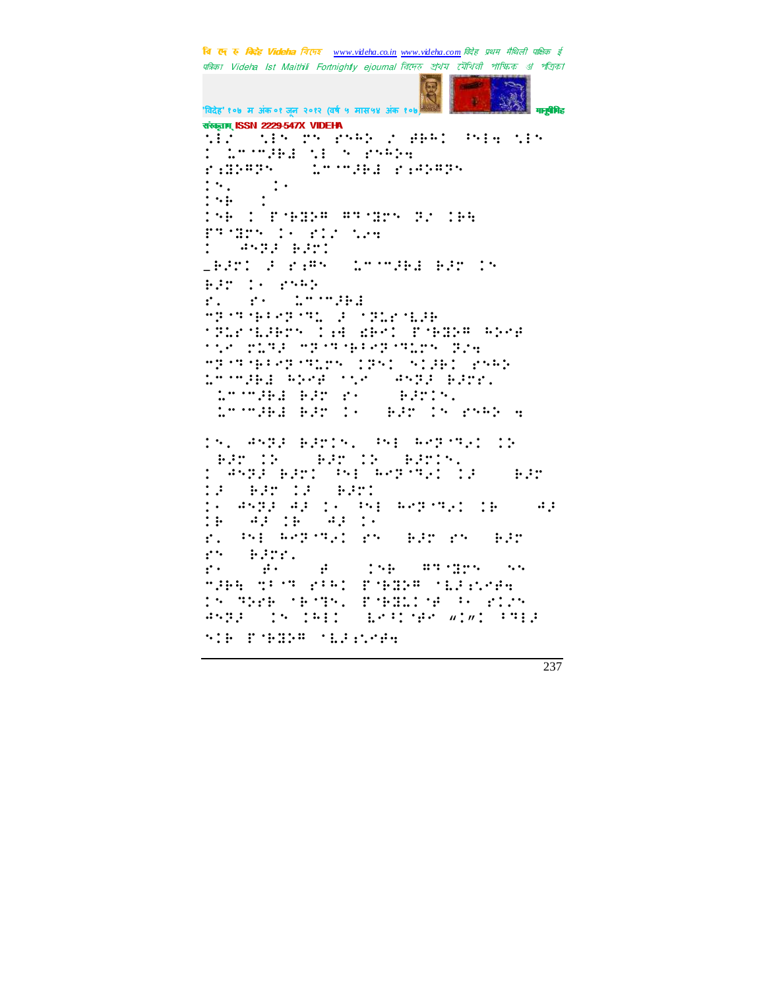वि एक रु मिनेह Videha विएक www.videha.co.in www.videha.com विदेह प्रथम मैथिली पाक्षिक ई पत्रिका Videha Ist Maithili Fortnightly ejournal রিদেহ প্রথম মৌথিনী পাক্ষিক প্র পত্রিকা

**START** 

 $\mathcal{R}$ मानुबेगिह 'विदेह' १०७ म अंक ०१ जून २०१२ (वर्ष ५ मास५४ अंक १०७ संस्कृतम् ISSN 2229-547X VIDEHA MP SERVICE PART PART PHAINER **COMMONS SECTION** rupers conductiveers  $\mathbb{R}^{n}$  $\mathbb{R}^{n+1}$ INF I FMERF FRONTZ IPE PROBA NO PIC NOT : Ande Baro \_BROOK PARK (NormaBa BROOK) BEN DA STAR al ar Commaeg<br>Sporgerpor, a calactae<br>Calactaers Lebabel Poege erre **TEC PLAS PROPORTATION RES MEAN OR POSTED AS SERVED AND REAL PROPERTY** Loomaal Abra (thos Anga Barr) Simonalea (1920) est collegencial.<br>Simonalea (1920) collegencial entre el  $\frac{1}{2}$   $\frac{1}{2}$   $\frac{1}{2}$   $\frac{1}{2}$   $\frac{1}{2}$   $\frac{1}{2}$   $\frac{1}{2}$ 15. ASPA BAMIS, PSI RSPYRZ (D.<br>1840-1011 - BAMIS, BAMIS,<br>174594 BAMI PSI RSPYRZ (D. 1840 **13 BBT 13 BBT** 16 ANG AR 16 PNI ANG MAI 18 - AR 18 AP 18 AP 18 r. PH Practic ry Bar ry Bar **SEPTE SERVICE**  $\mathbf{r}$  $\begin{bmatrix} 1 & 0 & 0 \\ 0 & 0 & 0 \end{bmatrix} \begin{bmatrix} 0 & 0 & 0 \\ 0 & 0 & 0 \\ 0 & 0 & 0 \end{bmatrix} \begin{bmatrix} 0 & 0 & 0 \\ 0 & 0 & 0 \\ 0 & 0 & 0 \end{bmatrix} \begin{bmatrix} 0 & 0 & 0 \\ 0 & 0 & 0 \\ 0 & 0 & 0 \end{bmatrix}$  $\mathbf{r}$ .  $\mathbf{r}$  :  $\mathbb{R}^2$ mann mach anns a mhaire calaisean. IS THE MEMBER THEN ME BEING  $4533 - 15 - 1411$ the property of the state of the state of the state of the state of the state of the state of the state of the **MAN PRODUCTION CONTROL**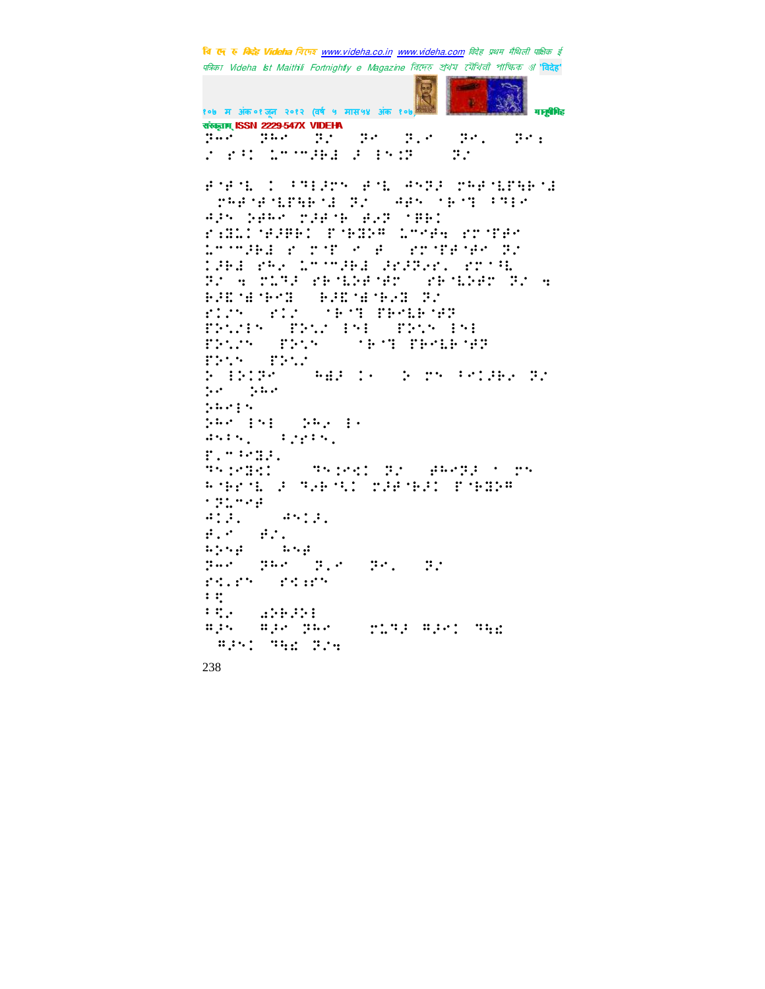चि एक रु मिन्हे Videha विएक www.videha.co.in www.videha.com विदेह प्रथम मैथिली पाक्षिक ई पत्रिका Videha Ist Maithili Fortnightly e Magazine রিদেহ প্রথম মৌথিরী পাক্ষিক রা'**বিदेह'** 

**CONTRACTOR** 

१०७ म अंक ०१जून २०१२ (वष ५ मास५४ अंक १०७) मानुषीिमह संस्कृतम् ISSN 2229-547X VIDEHA

dêrî der din de din. De. den<br>Swett înfrontes fan de 4!"⢸!⣅``⢼⢷⣜!⢼!5⣈⢽!.!⢽4!!

⢾⢾⣇!!C⢹5⢼!⢾⣇!⢺⢽⢼!⢳⢾⣇2⣓⢷⣜! )⢳⢾⢾⣇2⣓⢷⣜!⢽4\*!⢺⢾!⢷⣙!C⢹5! ⢺⢼!⢵⢾⢳!⢼⢾⢷!⢾⢴⢽!⢿⢷! "⣐⣝⣅⢾⢼⢿⢷!2⢷⣝⢵⢻!⣅`⢾⣒!"2⢾.! L'onlie di constanti di consegue di co  $\Box$ Hel res lowershi arager, room. At A three seconds of the second second the second second second second second second second second second second second second second second second second second second second second second second second second second sec ⢷⢼⣏⣞⢷⣝!)⢷⢼⣏⣞⢷⢴⣝!⢽4\*!  $40.17 \pm 0.000$   $10.17 \pm 0.0000$   $10.17 \pm 0.0000$ 20. EN 250 PM 2⢵⣁40!2⢵⣁0!)⢷⣙!2⢷⣇⢷⢾⢽\*! 2000 - 2000 - 2000 -⢵!5⢵⢽!)!⢳⣞⢼!l-!⢵!!C⢼⢷⢴!⢽4\*!  $\mathbb{R}^n$  ,  $\mathbb{R}^n$ ⢵⢳50!!  $550$  :  $151$  :  $550$  :  $15$ GNO CO CONTROL ECHER.<br>Byzag: ⢹⣈⣝⣊0!)⢹⣈⣊!⢽4.!⢾⢳⢽⢼!!! ⢳⢷"⣇!⢼!⢹⢴⢷⣃!⢼⢾⢷⢼!2⢷⣝⢵⢻!  $^{\circ}$   $^{\circ}$   $^{\circ}$   $^{\circ}$   $^{\circ}$   $^{\circ}$   $^{\circ}$   $^{\circ}$   $^{\circ}$   $^{\circ}$   $^{\circ}$   $^{\circ}$   $^{\circ}$   $^{\circ}$   $^{\circ}$   $^{\circ}$   $^{\circ}$   $^{\circ}$   $^{\circ}$   $^{\circ}$   $^{\circ}$   $^{\circ}$   $^{\circ}$   $^{\circ}$   $^{\circ}$   $^{\circ}$   $^{\circ}$   $^{\circ}$   $^{\circ}$   $^{\circ}$   $^{\circ}$   $^{\circ$  $G:G \to G$ ⢾G0!⢾4G0! ⢳⢵⢾!0!⢳⢾! \$0.00 \$0.00 \$1.00 \$1.00 \$1.00 \$1.00 \$1.00 \$1.00 \$1.00 \$1.00 \$1.00 \$1.00 \$1.00 \$1.00 \$1.00 \$1.00 \$1.00 \$1.00 \$1 "CONTROL COMPANY  $\frac{1}{2}$ tre server<br>Compositor ⢻⢼!)⢻⢼!⢽⢳\*-!⣅⢹⢼!⢻⢼!⢹⣓⣎! )⢻⢼!⢹⣓⣎!⢽4⣒\*!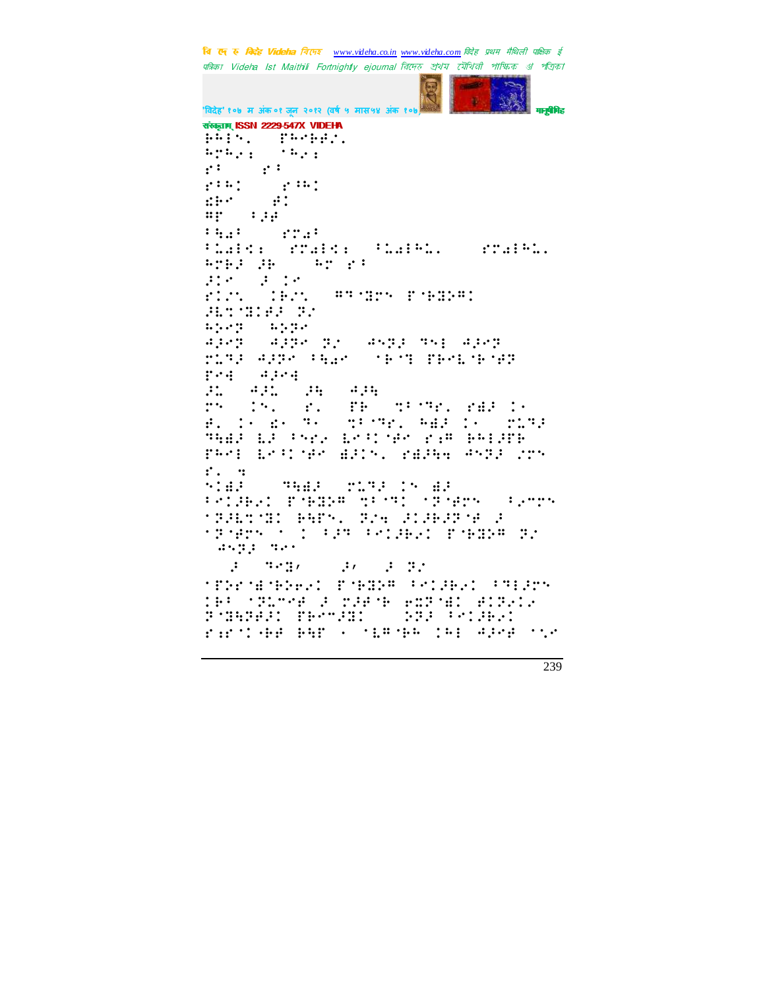चि एक रु *विदेह Videha चिए*न्छ <u>www.videha.co.in www.videha.com</u> विदेह प्रथम मैथिली पाक्षिक ई पत्रिका Videha Ist Maithili Fortnightly ejournal রিদেহ প্রথম মৌথিনী পাক্ষিক গ্র পত্রিক।

**START** 

'वदेह' १०७ म अंक ०१ जून २०१२ (वष ५ मास५४ अंक १०७) मानुषीिमह संस्कृतम् ISSN 2229-547X VIDEHA **FHIS SERVICE** ⢳⢳⢴⣐0!⢳⢴⣐!  $\mathcal{C}^{\pm}$  .  $\mathcal{C}^{\pm}$  $f(16)$   $f(16)$ ∷: ...  $2.22 \times 1.22$ Chat contains Fīdzies (Czaies Fīdziels) (Czaiels) HIBJ HE INT PP ⢼.!⢼!! "4⣁0!⢷4⣁!)⢻⢹⣝!2⢷⣝⢵⢻! ⢼⣇⣉⣝⢾⢼!⢽4\*!  $\frac{1}{2} \sum_{i=1}^{n} \frac{1}{2} \sum_{i=1}^{n} \frac{1}{2} \sum_{i=1}^{n} \frac{1}{2} \sum_{i=1}^{n} \frac{1}{2} \sum_{i=1}^{n} \frac{1}{2} \sum_{i=1}^{n} \frac{1}{2} \sum_{i=1}^{n} \frac{1}{2} \sum_{i=1}^{n} \frac{1}{2} \sum_{i=1}^{n} \frac{1}{2} \sum_{i=1}^{n} \frac{1}{2} \sum_{i=1}^{n} \frac{1}{2} \sum_{i=1}^{n} \frac{1}{2} \sum_{i=1}^{n}$ ⢺⢼⢽!)⢺⢼⢽!⢽4-!⢺⢽⢼!⢹5!⢺⢼⢽\*! ⣅⢹⢼!⢺⢼⢽.C⣓⣔!)⢷⣙!2⢷⣇⢷⢾⢽\*! 2⣚0!⢺⢼⣚! GEO GEO GEO<br>Principi Principi<br>Briti Britis Principi P -!G-!"G-!2⢷!)⣉C⢹"G!"⣞⢼!l\*! GINE GENERAL ⢹⣓⣞⢼!⣇⢼!C"⢴!⣇⢸⢾!"⣐⢻!⢷⢳5⢼2⢷! 2⢳5!⣇⢸⢾!⣞⢼G!"⣞⢼⣓⣒!⢺⢽⢼!4! "<br>"C#P □ …… = contract = contract = contract = contract = contract = contract = contract = contract = contract = cont Cóles ferre tras constants de ⢽⢼⣇⣉⣝!⢷⣓2G!⢽4⣒!⢼⢼⢷⢼⢽⢾!⢼! ⢽⢾!!!C⢼⢹!C⢼⢷⢴!2⢷⣝⢵⢻!⢽4! )⢺⢽⢼!⢹! -!⢼0!⢹⣝'!-!⢼'-!⢼!⢽4!\*!! 2⢵"⣞⢷⢵⢶⢴!2⢷⣝⢵⢻!C⢼⢷⢴!C⢹5⢼!  $[CP]$   $[CP]$   $[CP]$   $[CP]$   $[CP]$   $[CP]$   $[CP]$   $[CP]$   $[CP]$   $[CP]$   $[CP]$   $[CP]$   $[CP]$   $[CP]$   $[CP]$   $[CP]$   $[CP]$   $[CP]$   $[CP]$   $[CP]$   $[CP]$   $[CP]$   $[CP]$   $[CP]$   $[CP]$   $[CP]$   $[CP]$   $[CP]$   $[CP]$   $[CP]$   $[CP]$   $[CP]$   $[CP]$   $[CP]$   $[CP]$   $[CP]$   $[CP]$  ⢽⣝⣓⢽⢾⢼!2⢷`⢼⣝\*.!⢵⢽⢼!C⢼⢷⢴! "⣐"D⢷⢾!⢷⣓2!l!⣇⢻⢷⢳!⢳5!⢺⢼⢾!⣁!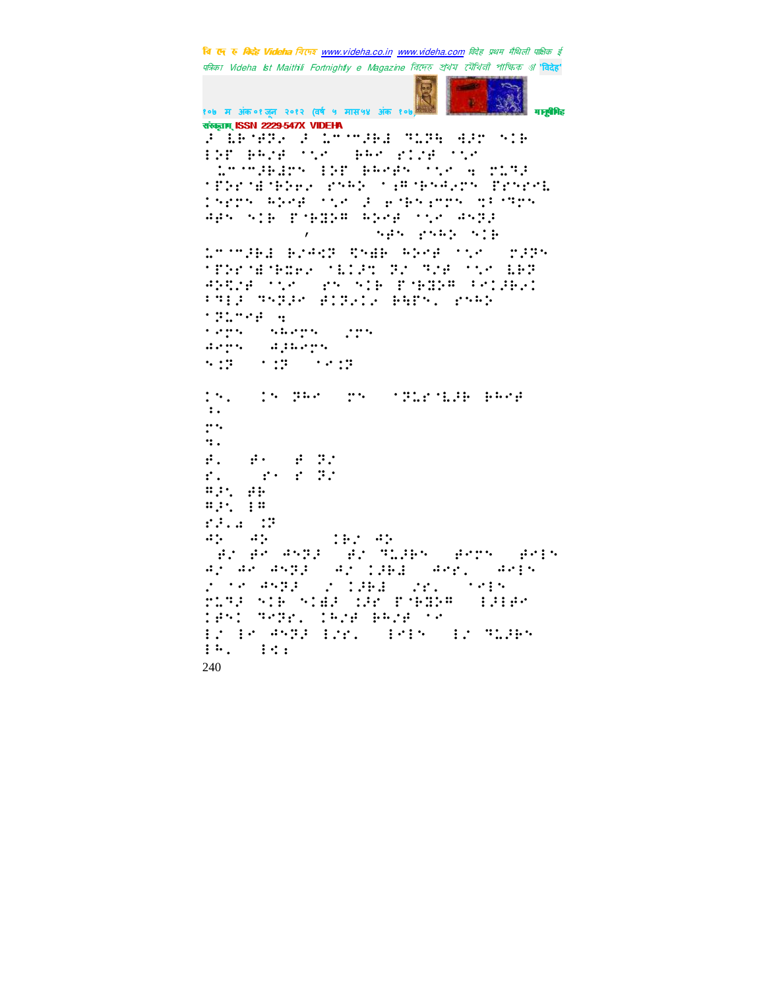चि एक रु मिन्हे Videha विएक www.videha.co.in www.videha.com विदेह प्रथम मैथिली पाक्षिक ई पत्रिका Videha Ist Maithili Fortnightly e Magazine রিদেহ প্রথম মৌথিরী পাক্ষিক রা'**বিदेह'** 

**CONTRACTOR** १०७ म अंक ०१जून २०१२ (वष ५ मास५४ अंक १०७) मानुषीिमह

संस्कृतम् ISSN 2229-547X VIDEHA  $\mathcal{P}$  is the stripping of  $\mathcal{P}$ 5⢵2!⢷⢳4⢾!⣁0!⢷⢳!"4⢾!⣁! ) Loopeler (1980) Beach (1980) Burg 2⢵"⣞⢷⢵⢶⢴!"⢳⢵!⣐⢻⢷⢺⢴!2""⣇!  $!$  ~  $!$   $\vdots$   $\vdots$   $\vdots$   $\vdots$   $\vdots$   $\vdots$   $\vdots$   $\vdots$   $\vdots$ ⢺⢾!⢷!2⢷⣝⢵⢻!⢳⢵⢾!⣁!⢺⢽⢼! sbjtpo!e'fusf!⢾!"⢳⢵!⢷!  $\frac{1}{2}$  with  $\frac{1}{4}$  and  $\frac{1}{4}$  and  $\frac{1}{4}$  and  $\frac{1}{4}$  and  $\frac{1}{4}$  and  $\frac{1}{4}$  and  $\frac{1}{4}$  and  $\frac{1}{4}$ 2⢵"⣞⢷⣍⢶⢴!⣇⢼⣉!⢽4!⢹4⢾!⣁!⣇⢷⢽! ⢺⢵⣋4⢾!⣁-!"!⢷!2⢷⣝⢵⢻!C⢼⢷⢴! COST CONTROL CONTROL CONTROL ⢽⣅`⢾\*⣒! - egga - dalega - gga deps different  $\gamma$  : 0  $\gamma$  = 0  $\gamma$  0  $\gamma$  = 0  $\gamma$  $S^*$  )  $S^*$  (  $S^*$  )  $S^*$  (  $S^*$  )  $S^*$  (  $S^*$  )  $S^*$  (  $S^*$  )  $S^*$  (  $S^*$  )  $S^*$  (  $S^*$  )  $S^*$  (  $S^*$  )  $S^*$  (  $S^*$  )  $S^*$  (  $S^*$  )  $S^*$  (  $S^*$  )  $S^*$  (  $S^*$  )  $S^*$  (  $S^*$  )  $S^*$  (  $S^*$  )  $S^*$   $\cdot$ !  $\ddot{H}$ ∫∄l- # #2 "G!)!"l!"!⢽4\*! ⢻⢼⣁!⢾⢷! ⢻⢼⣁!5⢻!  $f: G: G \to G$ Hp- Hp- (1942–410) (1942–410) (1944–410) !⢾40⢾!⢺⢽⢼.!⢾4!⢹⣅⢼⢷0!⢾0!⢾5!  $4/40$ 40 OST (459-50) - 2010 - 2010 - 2010 - 2010 - 2010 - 2010 - 2010 - 2010 - 2010 - 20 ⣅⢹⢼!⢷!⣞⢼!⣈⢼"!2⢷⣝⢵⢻.!5⢼5⢾!  $\left( \begin{array}{cc} \frac{1}{2} & \frac{1}{2} & \frac{1}{2} & \frac{1}{2} & \frac{1}{2} & \frac{1}{2} & \frac{1}{2} & \frac{1}{2} & \frac{1}{2} & \frac{1}{2} & \frac{1}{2} & \frac{1}{2} & \frac{1}{2} & \frac{1}{2} & \frac{1}{2} & \frac{1}{2} & \frac{1}{2} & \frac{1}{2} & \frac{1}{2} & \frac{1}{2} & \frac{1}{2} & \frac{1}{2} & \frac{1}{2} & \frac{1}{2} & \frac{1}{2} & \frac{1}{2} & \frac{$ 5405!⢺⢽⢼!54"G0!550!54!⢹⣅⢼⢷!  $5 - 5 - 5$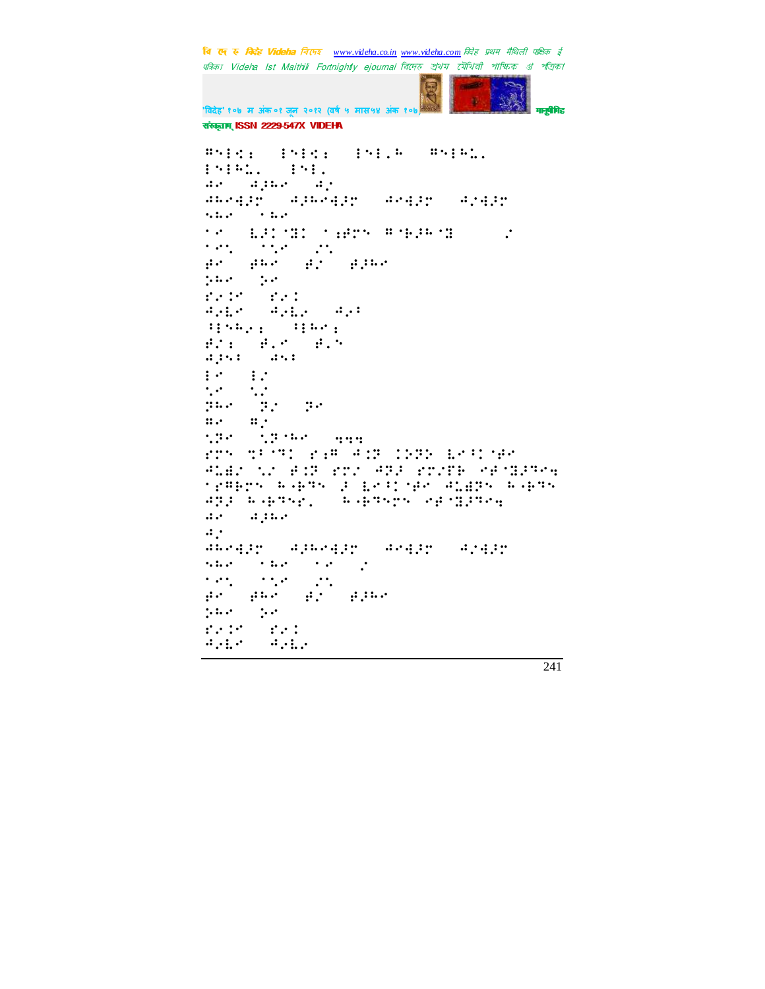चि एक रु *विदेह Videha चिए*न्छ <u>www.videha.co.in www.videha.com</u> विदेह प्रथम मैथिली पाक्षिक ई पत्रिका Videha Ist Maithili Fortnightly ejournal রিদেহ প্রথম মৌথিনী পাক্ষিক গ্র পত্রিক। **COLOR** 'विदेह' १०७ म अंक ०१ जून २०१२ (वर्ष ५ मास५४ अंक १०७) मानुसीर के सामुवी मिट संस्कृतम् ISSN 2229-547X VIDEHA BNEK: ENEK: ENE.B (BNEBL) 55⢳⣅G0!55G!  $\frac{1}{4}$   $\frac{1}{2}$   $\frac{1}{4}$   $\frac{1}{4}$   $\frac{1}{4}$   $\frac{1}{4}$   $\frac{1}{4}$ ⢺⢳⣚⢼0!⢺⢼⢳⣚⢼0!⢺⣚⢼0!⢺4⣚⢼!! ⢳0!⢳0!! !)⣇⢼⣝!⣐⢾!⢻⢷⢼⢳⣝\*!0!4!!  $\mathcal{O}(\mathcal{O}(\log n))$  . The  $\mathcal{O}(\log n)$ ⢾0!⢾⢳0!⢾40!⢾⢼⢳!! ⢵⢳0!⢵!! "⢴⣈0!"⢴⣈!! ⢺⢴⣇0!⢺⢴⣇⢴0!⢺⢴C!!! However, Since ∄2: ∄.n €.h dight and  $\sigma$  $\begin{array}{ll} \mbox{13}\\ \mbox{56}\\ \mbox{17}\\ \mbox{18}\\ \mbox{19}\\ \mbox{10}\\ \mbox{10}\\ \mbox{11}\\ \mbox{12}\\ \mbox{13}\\ \mbox{14}\\ \mbox{16}\\ \mbox{17}\\ \mbox{18}\\ \mbox{19}\\ \mbox{10}\\ \mbox{11}\\ \mbox{12}\\ \mbox{13}\\ \mbox{14}\\ \mbox{16}\\ \mbox{17}\\ \mbox{18}\\ \mbox{19}\\ \mbox{19}\\ \mbox{19}\\ \mbox{10}\\ \mbox{10}\\ \mbox{11}\\ \mbox{12}\\ \mbox$  $\ddot{\phantom{0}}$ 999 92 92  $\mathbf{u} \cdot \mathbf{u}$ ⣁⢽0!⣁⢽⢳!!⣒⣒⣒!! "!⣉C⢹!"⣐⢻!⢺⣈⢽!⢵⢽⢵!⣇⢸⢾! ⢺⣅⣞4!⣁4!⢾⣈⢽!"4!⢺⢽⢼!"42⢷!⢾⣝⢼⢹⣒! "⢻⢷!⢳D⢷⢹!⢼!⣇⢸⢾!⢺⣅⣞⢽!⢳D⢷⢹! ⢺⢽⢼!⢳D⢷⢹"G-!⢳D⢷⢹!⢾⣝⢼⢹⣒!!!! die digital  $\ddot{a}$  . ⢺⢳⣚⢼0!⢺⢼⢳⣚⢼0!⢺⣚⢼0!⢺4⣚⢼! ⢳0!⢳0!0!4!  $\mathcal{O}(\mathcal{O}(1))$  . The contract of the contract of the contract of the contract of the contract of the contract of the contract of the contract of the contract of the contract of the contract of the contract of the contra βr β60 β20 β260  $\frac{1}{2}$ "⢴⣈0!"⢴⣈! ⢺⢴⣇0!⢺⢴⣇⢴0!!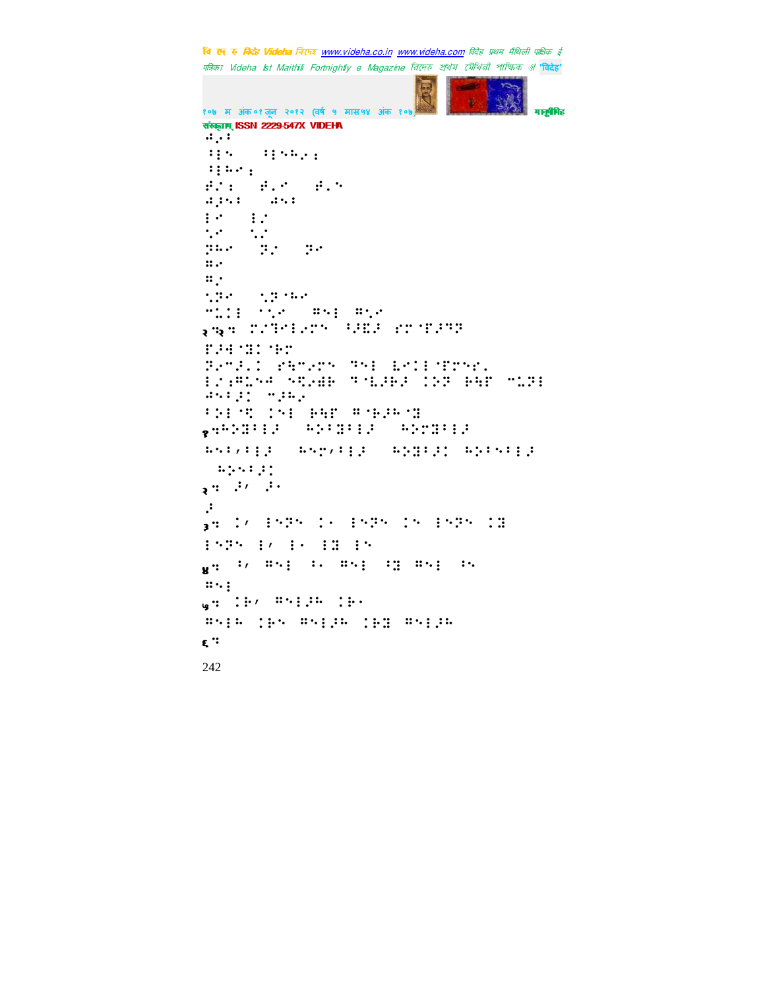```
चि एक रु मिन्हे Videha विएक www.videha.co.in www.videha.com विदेह प्रथम मैथिली पाक्षिक ई
पत्रिका Videha Ist Maithili Fortnightly e Magazine রিদেহ প্রথম মৌথিরী পাক্ষিক রা'বিदेह'
                                              CONTRACTOR
१०७ म अंक ०१जून २०१२ (वष ५ मास५४ अंक १०७) मानुषीिमह 
संस्कृतम् ISSN 2229-547X VIDEHA
\frac{d}{dt}\cdots\cdot : \cdot :
#2: #.4 #.4
⢺⢼C0!⢺C!
\mathbb{R}^2 , \mathbb{R}^2\frac{1}{2} and \frac{1}{2}⢽⢳0!⢽40!⢽!
\cdots\mathbf{u}.
⣁⢽0!⣁⢽⢳!
" 1111 | 1120 | 1121 | 1122
२७९ : 1059 E.C. (1985) : 1059 E.
2⢼⣚⣝⢷!!
SUMBER OF STREET
54⣐⢻⣅⢺!⣋⢴⣞⢷!⢹⣇⢼⢷⢼!⢵⢽!⢷⣓2!`⣅⢽5!
GSP (C) = C
COUNTER CHANGE
१⣒⢳⢵⣝C5⢼0!⢳⢵C⣝C5⢼0!⢳⢵⣝C5⢼0!
CCC0.59913212 : 3/2\cdot३⣒!'!5⢽0l!5⢽0!5⢽0⣝!
1939 17 17 18 19
\frac{1}{2}40\frac{1}{2}, \frac{1}{2} , \frac{1}{2} , \frac{1}{2} , \frac{1}{2} , \frac{1}{2} , \frac{1}{2} , \frac{1}{2} , \frac{1}{2} , \frac{1}{2} , \frac{1}{2} , \frac{1}{2} , \frac{1}{2} , \frac{1}{2} , \frac{1}{2} , \frac{1}{2} , \frac{1}{2} , \frac{1}{25.5७: : : / <sup>85</sup>¦.<sup>85</sup> | 195
⢻5⢳0⢷!⢻5⢼⢳0⢷⣝!⢻5⢼⢳!!
\epsilon "
```

```
242
```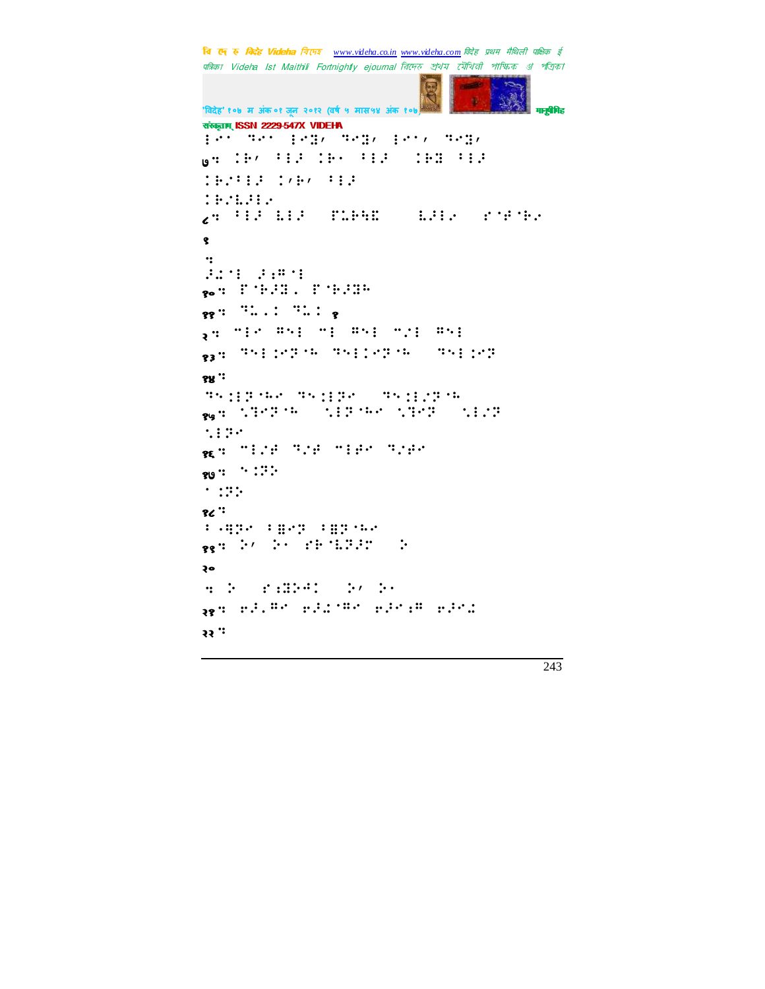```
चि एक रु विदेह Videha चिएन्छ <u>www.videha.co.in www.videha.com</u> विदेह प्रथम मैथिली पाक्षिक ई
पत्रिका Videha Ist Maithili Fortnightly ejournal রিদেহ প্রথম মৌথিনী পাক্ষিক গ্র পত্রিক।
'विदेह' १०७ म अंक ०१ जून २०१२ (वर्ष ५ मास५४ अंक १०७) मानुसीर के सामुवी मिट
संस्कृतम् ISSN 2229-547X VIDE<del>H</del>A
500 (1991) 5932 (1993) 594 (1995)
0 : Dec 115 : Dec 115 : C50 : C50
⢷4C5⢼0'⢷'!C5⢼!0!
⢷4⣇⢼5⢴!!
८⣒!C5⢼!⣇5⢼!)2⣅⢷⣓⣏*-!⣇⢼5⢴!)"⢾⢷⢴*!
९
\dddot{\bullet}⢼⣌5!⢼⣐⢻5!!
8.º: P 1923. P 19238
११⣒!⢹⣅⣀⣈!⢹⣅⣈!१
२⣒!`5!⢻5!`5!⢻50`45!⢻5!!
१३⣒!⢹5⣈⢽⢳!⢹5⢽⢳-!⢹5⣈⢽!!
१४ \cdotSA SER ARA SER O SA SER SER
<sub>१७</sub>९ थक्टिक अधिकारी थाए।
5.17<sub>1</sub>१६⣒!`54⢾0⢹4⢾!`5⢾0⢹4⢾!!
\mathbf{P} \mathbf{P} : \mathbf{P} : \mathbf{P} : \mathbf{P} : \mathbf{P} : \mathbf{P} : \mathbf{P} : \mathbf{P} : \mathbf{P} : \mathbf{P} : \mathbf{P} : \mathbf{P} : \mathbf{P} : \mathbf{P} : \mathbf{P} : \mathbf{P} : \mathbf{P} : \mathbf{P} : \mathbf{P} : \math^{\circ} :31
36:
CONGETT CONGETT
१९⣒!⢵'0⢵l)"⢷⣇⢽⢼*!⢵!!
२०
\ddot{H} ) \ddot{H} = \ddot{H} = \ddot{H} = \ddot{H} = \ddot{H} = \ddot{H} = \ddot{H} = \ddot{H} = \ddot{H} = \ddot{H} = \ddot{H} = \ddot{H} = \ddot{H} = \ddot{H} = \ddot{H} = \ddot{H} = \ddot{H} = \ddot{H} = \ddot{H} = \२१⣒!⢶⢼G⢻0⢶⢼⣌⢻!⢶⢼⣐⢻0⢶⢼⣌!!
२२ "
```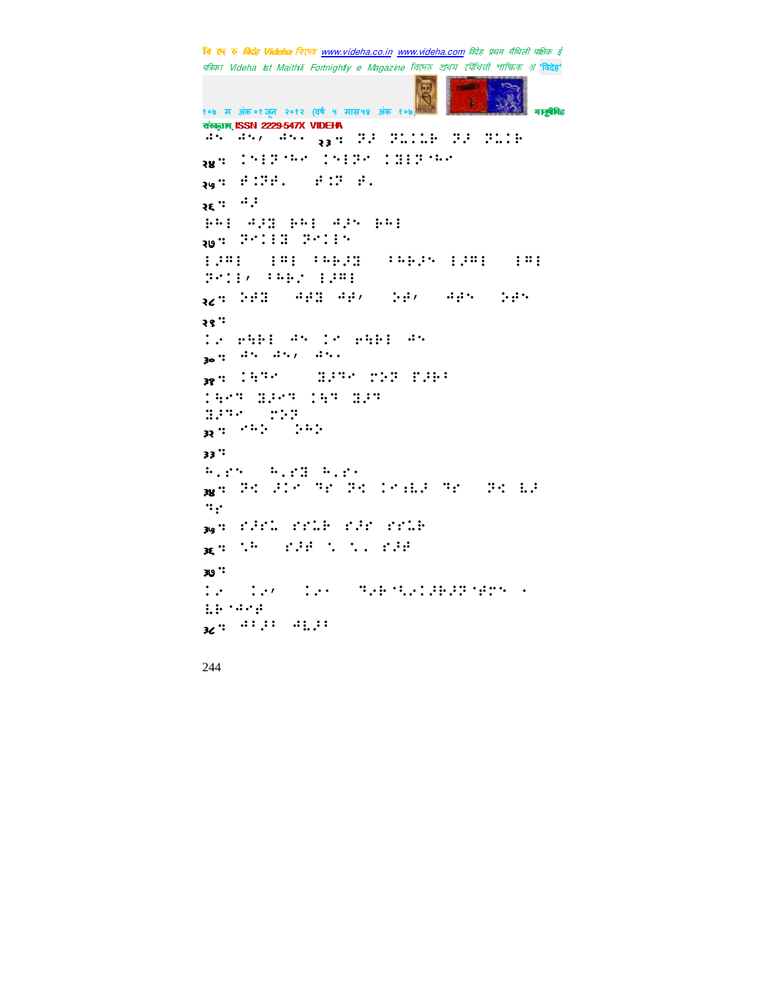चि एक रु मिन्हे Videha विएक www.videha.co.in www.videha.com विदेह प्रथम मैथिली पाक्षिक ई पत्रिका Videha Ist Maithili Fortnightly e Magazine রিদেহ প্রথম মৌথিরী পাক্ষিক রা'**বিदेह' CONTRACTOR** १०७ म अंक ०१जून २०१२ (वष ५ मास५४ अंक १०७) मानुषीिमह संस्कृतम् ISSN 2229-547X VIDEHA GR (45) 45, 45, <sub>23</sub>q PP PLILE PP PLIE २४ अ. - 1930 मध्ये अस्ति । अस्ति । अस्ति । अस्ति । अस्ति । अस्ति । अस्ति । अस्ति । अस्ति । अस्ति । अस्ति । अस् २७° ते 2001. सा २६<sup>...</sup>... ⢷⢳50⢺⢼⣝!⢷⢳50⢺⢼!⢷⢳5!! २७: 38113 38113 5811 5⢼⢻50!5⢻5!C⢳⢷⢼⣝0!C⢳⢷⢼!5⢼⢻50!5⢻5! *S-11, Philips (200)* <sup>२८</sup>⣒!⢵⢾⣝0!⢺⢾⣝!⢺⢾'0!⢵⢾'0!⢺⢾0!⢵⢾!! २९  $"$ ⢴!⢶⣓⢷5!⢺!!⢶⣓⢷5!⢺!!  $30$   $\frac{3}{2}$   $\frac{3}{2}$   $\frac{3}{2}$   $\frac{3}{2}$   $\frac{3}{2}$   $\frac{3}{2}$   $\frac{3}{2}$   $\frac{3}{2}$   $\frac{3}{2}$   $\frac{3}{2}$   $\frac{3}{2}$   $\frac{3}{2}$   $\frac{3}{2}$   $\frac{3}{2}$   $\frac{3}{2}$   $\frac{3}{2}$   $\frac{3}{2}$   $\frac{3}{2}$   $\frac{3}{2}$   $\frac{3}{2}$   $\frac{3}{2}$   $\frac{3}{$ ३१⣒!⣓⢹!0!⣝⢼⢹)⢵⢽!2⢼⢷C\*! 199 0 199 09<br>Dani 199  $\therefore$ ३२ <sup>२०</sup>२ ∶09 ३३  $"$ **WEST OF STREET** ३४⣒!⢽⣊!⢼!⢹"0⢽⣊!⣐⣇⢼!⢹"0!⢽⣊!⣇⢼!  $"$  $\mathbf{a}_9$ s férd fris fris fris ३६⣒!⣁⢳0!"⢼⢾!⣁0⣁⣀0"⢼⢾!! ३७⣒!  $\mathbb{I}\mathcal{P}=\mathbb{I}\mathcal{P}(\mathcal{P}(\mathcal{P}(\mathcal{P}(\mathcal{P}(\mathcal{P}(\mathcal{P}(\mathcal{P}(\mathcal{P}(\mathcal{P}(\mathcal{P}(\mathcal{P}(\mathcal{P}(\mathcal{P}(\mathcal{P}(\mathcal{P}(\mathcal{P}(\mathcal{P}(\mathcal{P}(\mathcal{P}(\mathcal{P}(\mathcal{P}(\mathcal{P}(\mathcal{P}(\mathcal{P}(\mathcal{P}(\mathcal{P}(\mathcal{P}(\mathcal{P}(\mathcal{P}(\mathcal{P}(\mathcal{P}(\mathcal{P}(\mathcal{P}(\$ ⣇⢷⢺⢾\*!!  $36$  :  $60$  C C C C C C C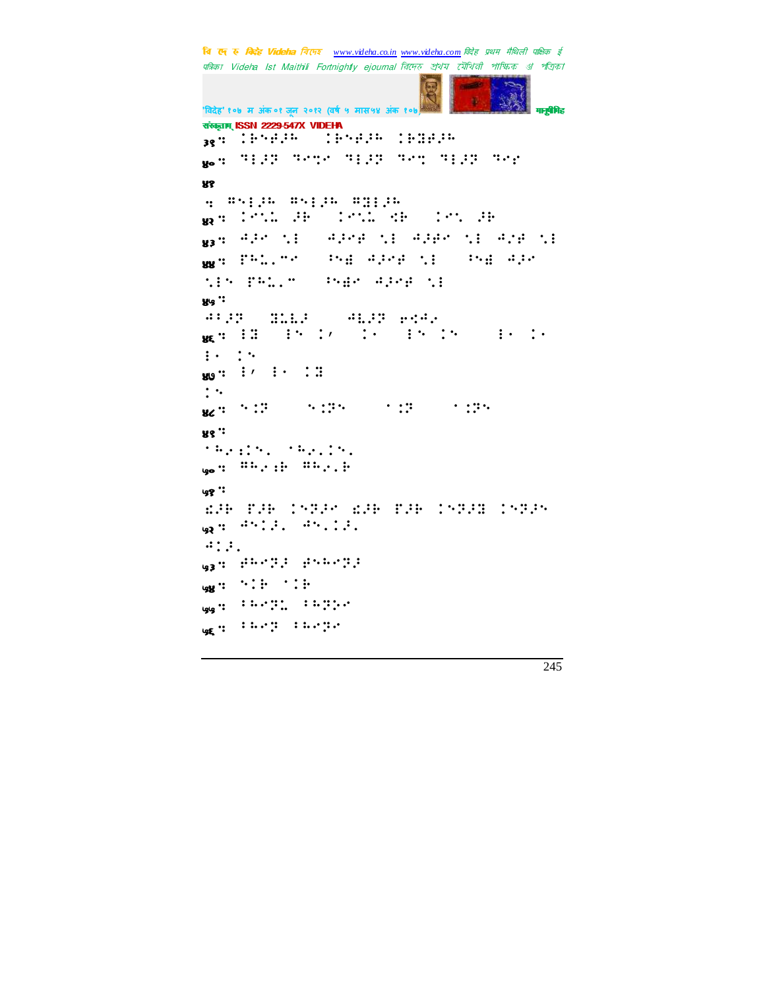चि एक रु *विदेह Videha चिए*न्छ <u>www.videha.co.in www.videha.com</u> विदेह प्रथम मैथिली पाक्षिक ई पत्रिका Videha Ist Maithili Fortnightly ejournal রিদেহ প্রথম মৌথিনী পাক্ষিক গ্র পত্রিক।

```
'विदेह' १०७ म अंक ०१ जून २०१२ (वर्ष ५ मास५४ अंक १०७) मानुसीर के सामुवी मिट
संस्कृतम् ISSN 2229-547X VIDEHA
३९⣒!⢷⢾⢼⢳0!⢷⢾⢼⢳!⢷⣝⢾⢼⢳!!
४०⣒!⢹5⢼⢽!⢹⣉!⢹5⢼⢽!⢹⣉0⢹5⢼⢽!⢹"!!
४१
⣒!⢻5⢼⢳!⢻5⢼⢳0⢻⣝5⢼⢳!!
क्कम (२८८ स€ 1952) से अपने एक
४३⣒!⢺⢼!⣁50!⢺⢼⢾!⣁5!⢺⢼⢾!⣁50⢺4⢾!⣁5!!
४४⣒!2⢳⣅G`0!⢸⣞!⢺⢼⢾!⣁50!⢸⣞!⢺⢼!
59.5 19.20 19.20 19.20 19.20४७ "⢺C⢼⢽!)⣝⣅⣇⢼*0!⢺⣇⢼⢽)⢶⣊⢺⢴*!!
४६⣒!5⣝0!5!'0!l0!5!!0!5l!l0!
\mathbf{j} \leftarrow \mathbf{j} \leftarrow\mathbf{y}_0 : \mathbf{i} \cdot \mathbf{j} \cdot \mathbf{j} : \mathbf{j} \cdot \mathbf{k}\frac{1}{86} : \frac{1}{2} : \frac{1}{2} : \frac{1}{2}४८⣒!⣈⢽!0!⣈⢽!0!⣈⢽!0!⣈⢽!!
४९⣒!!
⢳⢴⣐G!⢳⢴GG!!
५०⣒!⢻⢳⢴⣐⢷!⢻⢳⢴G⢷!!
'' १२
⣎⢼⢷!2⢼⢷!⢽⢼!⣎⢼⢷!2⢼⢷!⢽⢼⣝0⢽⢼!!
\mathbf{Q}^{(1)} = \mathbf{G}^{(1)} \mathbf{G}^{(1)} \mathbf{G}^{(1)} \mathbf{G}^{(1)} \mathbf{G}^{(1)} \mathbf{G}^{(1)} \mathbf{G}^{(1)} \mathbf{G}^{(1)} \mathbf{G}^{(1)} \mathbf{G}^{(1)} \mathbf{G}^{(1)} \mathbf{G}^{(1)} \mathbf{G}^{(1)} \mathbf{G}^{(1)} \mathbf{G}^{(1)} \mathbf{G}^{(1)} \mathbf{G}^{(1)} \mathbf{G}^{(1)} \mathbf{G}^{(1)} \mathbf{G}^{(1)} \mathbf{G}^{(1G:G.५३⣒!⢾⢳⢽⢼!⢾⢳⢽⢼!!
५<u>४</u>: 'ं!!' '
\mathbf{G}_{\mathbf{S}} : \mathbf{S} = \mathbf{S} \cdot \mathbf{S} : \mathbf{S} = \mathbf{S} \cdot \mathbf{S}५६⣒!C⢳⢽!C⢳⢽!!
```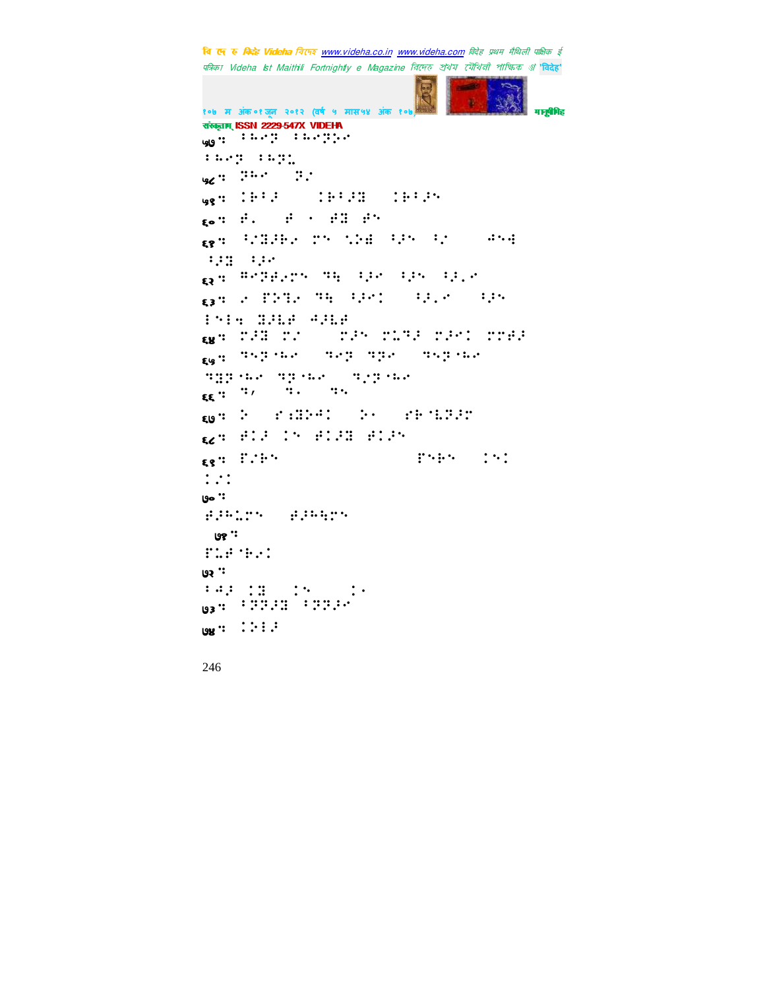चि एक रु मिन्हे Videha विएक www.videha.co.in www.videha.com विदेह प्रथम मैथिली पाक्षिक ई पत्रिका Videha Ist Maithili Fortnightly e Magazine রিদেহ প্রথম মৌথিরী পাক্ষিক রা'**বিदेह'** 

```
१०७ म अंक ०१जून २०१२ (वष ५ मास५४ अंक १०७) मानुषीिमह 
संस्कृतम् ISSN 2229-547X VIDEHA
الملك المستحدة المراقية المراقية المراقية المراقية المراقية المراقية المراقية المراقية المراقية المر<br>المراقية المراقية المراقية المراقية المراقية المراقية المراقية المراقية المراقية المراقية المراقية المراقية ال<br>المراقية 
Chapter Construction
७∠ः :ं… : ::
५९९ : Eº 2 | 18928 | 18929
६०⣒!⢾G0!⢾!l!⢾⣝0⢾!!
६१⣒!⢸4⣝⢼⢷⢴!!⣁⢵⣞.⢸⢼0⢸40-!⢺⣚.
⢸⢼⣝0⢸⢼-!!
६२⣒!⢻⢽⢾⢴!⢹⣓!⢸⢼0⢸⢼0⢸⢼G!!!
६३⣒!⢴!2⢵⣙⢴!⢹⣓!⢸⢼0!⢸⢼G0!⢸⢼0!
\ddotsc \ddotsc \ddotsc \ddotsc६४⣒!⢼⣝!4!0!⢼!⣅⢹⢼!⢼!⢾⢼!!
६५⣒!⢹⢽⢳0!⢹⢽!⢹⢽0!⢹⢽⢳0!
⢹⣝⢽⢳!⢹⢽⢳0!⢹4⢽⢳!!
\mathbf{g} \in \mathbb{R}^{n \times n} , where \mathbb{R}^{n \times n}६७⣒!⢵!)"⣐⣝⢵⢺*!⢵l!)"⢷⣇⢽⢼*!!
६८⣒!⢾⢼!!⢾⢼⣝!⢾⢼!!
६९९ में 24° (100 points) के लिए किया है। इस प्रकार के लिए किया है। इस प्रकार के लिए किया है। इस प्रकार के लिए
\ddot{\cdot} :
७०⣒!
⢾⢼⢳⣅0!⢾⢼⢳⣓!!
 '' १७
2⣅⢾⢷⢴!!
''  प्रध
Company of the company of the company of the company of the company of the company of the company of the compa<br>Company of the company of the company of the company of the company of the company of the company of the compa
ى: 2009: 2009: 2009: 2009: 2009: 2009: 2009: 2009: 2009: 2009: 2009: 2009: 2009: 200<br>ماركون
\mathbf{g} : \mathbf{S}: \mathbf{S}
```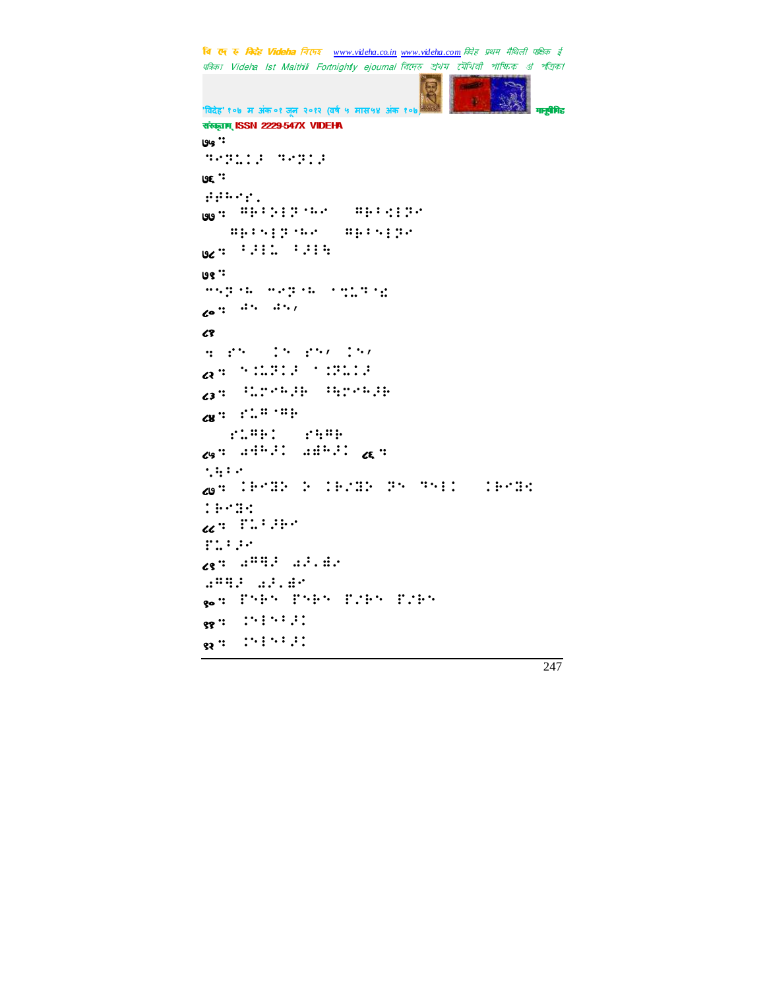```
चि एक रु विदेह Videha चिएन्छ <u>www.videha.co.in www.videha.com</u> विदेह प्रथम मैथिली पाक्षिक ई
पत्रिका Videha Ist Maithili Fortnightly ejournal রিদেহ প্রথম মৌথিনী পাক্ষিক গ্র পত্রিক।
'विदेह' १०७ म अंक ०१ जून २०१२ (वर्ष ५ मास५४ अंक १०७) मानुसीर के सामुवी मिट
संस्कृतम् ISSN 2229-547X VIDEHA
: واق
⢹⢽⣅⢼!⢹⢽⢼!!
७६⣒!
⢾⢾⢳"G!!
७७⣒!⢻⢷C⢵5⢽⢳0!⢻⢷C⣊5⢽0!
    !!⢻⢷C5⢽⢳0!⢻⢷C5⢽!!
\nu_6: \vdots \vdots \vdots'' १७
`
\mathcal{L}^{\alpha} : \mathcal{L}^{\alpha} : \mathcal{L}^{\alpha} : \mathcal{L}^{\alpha}८१
e en 15 en 15,
८२⣒!⣈⣅⢽⢼!⣈⢽⣅⢼!!
८३⣒!⢸⣅⢳⢼⢷!⢸⣓⢳⢼⢷!!
\alpha : \mathbb{C} \mathbb{C} \mathbb{C} \mathbb{C} \mathbb{C} \mathbb{C}0!"⣅⢻⢷0!"⣓⢻⢷!!
\alphas"\alpha<sup>1</sup>\beta: \alpha<sup>1</sup>
\cdot , \cdot , \cdot८७⣒!⢷⣝⢵0⢵!⢷4⣝⢵!⢽!⢹5!0⢷⣝⣊.
⢷⣝⣊!!
\alpha : \mathbb{R}^2 : \mathbb{R}^22⣅C⢼!!
८९⣒!⣔⢻⣛⢼.⣔⢼G⣞⢴!
⣔⢻⣛⢼.⣔⢼G⣞!!
९०⣒!2⢷.2⢷!24⢷.24⢷!
88: : : : : : : : : :
\mathbf{R}^{(1)} = \mathbb{Z}^{n} \oplus \mathbb{Z}^{n} \oplus \mathbb{Z}^{n}
```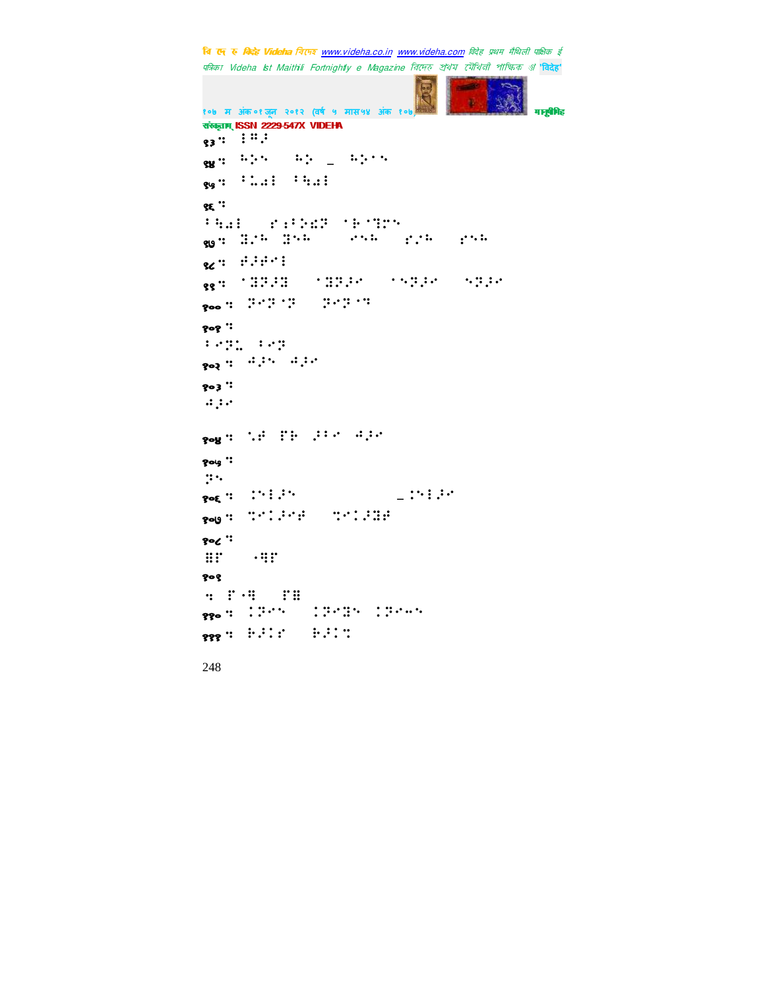चि एक रु मिन्हे Videha विएक www.videha.co.in www.videha.com विदेह प्रथम मैथिली पाक्षिक ई पत्रिका Videha Ist Maithili Fortnightly e Magazine রিদেহ প্রথম মৌথিরী পাক্ষিক রা '**বিदेह'** १०७ म अंक ०१जून २०१२ (वष ५ मास५४ अंक १०७) मानुषीिमह संस्कृतम् ISSN 2229-547X VIDEHA  $83$ :  $\frac{1}{2}$   $\frac{1}{2}$ <sub>९४</sub> में स्टेल करें ⊥े स्टेल्ल ९५⣒!C⣅⣔5!C⣓⣔5!! ९६ : CHAI (PERSON'T ) <sub>९७</sub>०: अध्यक्ष अध्यक्ष अध्यक्ष अध्यक्ष अध्यक्ष अध्यक्ष अध्यक्ष अध्यक्ष अध्यक्ष अध्यक्ष अध्यक्ष अध्यक्ष अध्यक्ष अ  $\mathcal{C}$ :  $\mathcal{C}$ :  $\mathcal{C}$ ९९⣒!⣝⢽⢼⣝.!⣝⢽⢼0!⢽⢼0!⢽⢼!! <sub>१००</sub>० प्रतिप्रदेश । प्रतिप्रदेश १०१ : CONTROL COMP १०२ $\mathbb{R}^{n}$ ं $\mathbb{R}^{n}$ ं $\mathbb{R}^{n}$ ं $\mathbb{R}^{n}$ १०३ :  $\mathcal{A}$ jo!) jo ejggfsfou tfotfolken i staten i staten i staten i staten i staten i staten i staten i staten i <sub>?૦ષ્ઠ</sub>ઃ પ્ઃં∷ં ∷ે કાર ચ્યુર १०७ :  $\mathbf{P}$ १०६ : 19199 - 19199 - 19199 १०७⣒!⣉⢼⢾.!⣉⢼⣝⢾!! १०८  $"$ ⣟2.!D⣛2!! १०९ ⣒!2D⣛.!2⣟!! १९०९ - २००९ - २००० - २००१ - २००१ १९९ : २२२ : २१२ : २१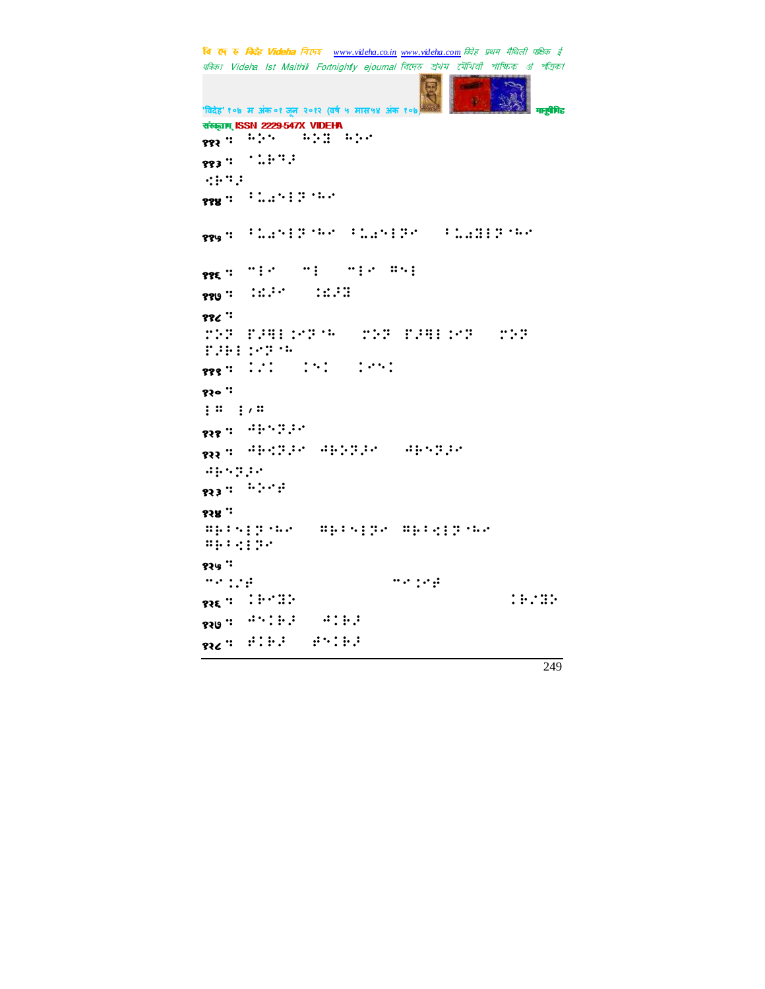```
चि एक रु विदेह Videha चिएन्छ <u>www.videha.co.in www.videha.com</u> विदेह प्रथम मैथिली पाक्षिक ई
 पत्रिका Videha Ist Maithili Fortnightly ejournal রিদেহ প্রথম মৌথিনী পাক্ষিক গ্র পত্রিক।
'विदेह' १०७ म अंक ०१ जून २०१२ (वर्ष ५ मास५४ अंक १०७) मानुसीर के सामुवी मिट
संस्कृतम् ISSN 2229-547X VIDEHA
1985 : 1997 : 1997 : 1997 : 1997 : 1997 : 1997 : 1997 : 1997 : 1997 : 1997 : 1997 : 1997 : 1997 : 1997 : 1997 : 1997 : 1997 : 1997 : 1997 : 1997 : 1997 : 1997 : 1997 : 1997 : 1997 : 1997 : 1997 : 1997 : 1997 : 1997 : 1997 
883 : \frac{118}{118}⣊⢷⢹⢼!!
१९४ प्राप्त कार्य करने हैं। इन्छन्।<br>इन्दर्भ संस्कृति
 १९७५ मा जिल्लामा अस्ति । अस्ति अस्ति अस्ति अस्ति । अस्ति अस्ति अस्ति अस्ति अस्ति अस्ति । अस्ति अस्ति अस्ति अस्<br>इति अस्ति अस्ति अस्ति अस्ति अस्ति अस्ति अस्ति अस्ति अस्ति अस्ति अस्ति अस्ति अस्ति अस्ति अस्ति अस्ति अस्ति अस्
 ११६ मधील करते होते. अस्य अस्ति केन्द्रं स्थानं स्थानं स्थानं स्थानं स्थानं स्थानं स्थानं स्<br>इ.स. १९७१ साले स्थानं स्थानं स्थानं स्थानं स्थानं स्थानं स्थानं स्थानं स्थानं स्थानं स्थानं स्थानं स्थानं स्था
\gamma<sub>?</sub> \gamma<sup>9</sup>\gamma : \gamma : \gamma : \gamma : \gamma : \gamma : \gamma : \gamma : \gamma : \gamma११८ \cdotT 22 T 23 T 25 T 25 T 25 T 25 T 25 T 25 T2⢼⢷5⣈⢽⢳!!
१९९९: 1011 - 1911 1991
१२०⣒!
j := j१२१⣒!⢺⢷⢽⢼!!
१२२⣒!⢺⢷⣊⢽⢼!⢺⢷⢵⢽⢼.!⢺⢷⢽⢼0!
⢺⢷⢽⢼!!
१२३ : लिंग्ड
१२४⣒!
 ⢻⢷C5⢽⢳0!⢻⢷C5⢽!⢻⢷C⣊5⢽⢳0!
 ⢻⢷C⣊5⢽!!
१२७ ः
\mathcal{M}_4 . In the contract of the contract of the contract of the contract of the contract of the contract of the contract of the contract of the contract of the contract of the contract of the contract of the contract o
१२६ º (1993) and the state of the state of the state of the state of the state of the state of the state of th
\mathbf{R}^{30} : \mathbf{R}^{30} : \mathbf{R}^{30}R_0
```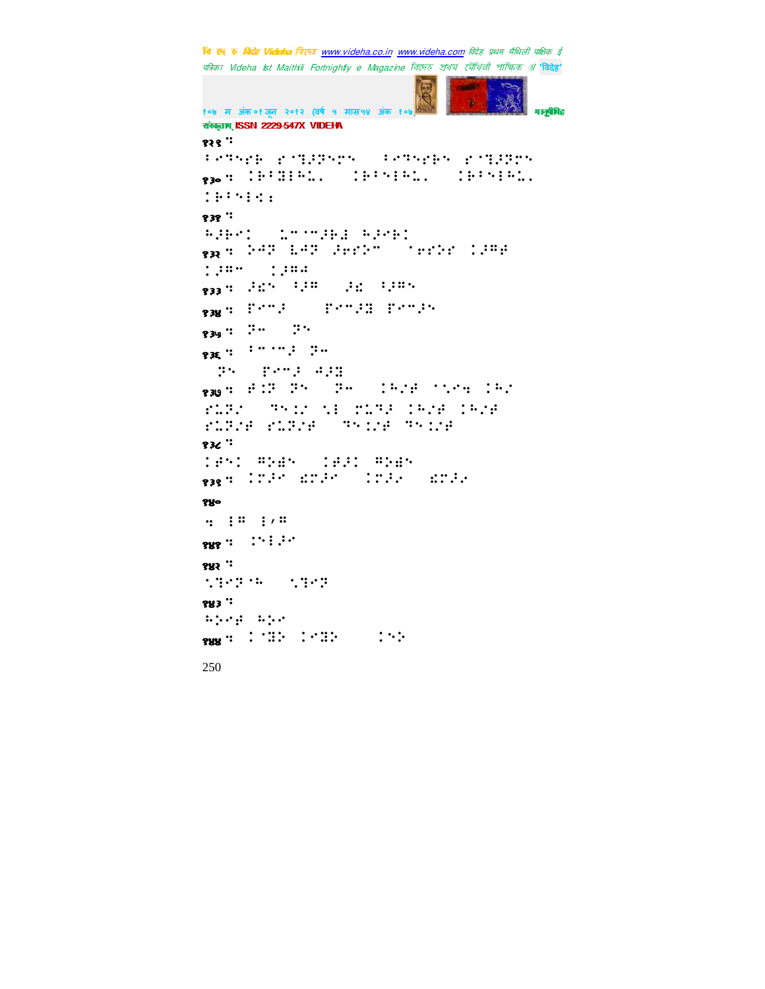चि एक रु मिन्हे Videha विएक www.videha.co.in www.videha.com विदेह प्रथम मैथिली पाक्षिक ई पत्रिका Videha Ist Maithili Fortnightly e Magazine রিদেহ প্রথম মৌথিরী পাক্ষিক রা '**বিदेह'** 

**County** 

```
१०७ म अंक ०१जून २०१२ (वष ५ मास५४ अंक १०७) मानुषीिमह 
संस्कृताम् ISSN 2229-547X VIDEHA
250
१२९ "
C��"versitet en C��"
१३० : CHISBRI, COHINERI, CHINERI,
[]१३१ :
⢳⢼⢷!)⣅``⢼⢷⣜!⢳⢼⢷*!!
१३२⣒!⢵⢺⢽!⣇⢺⢽!⢼⢶"⢵`0!⢶"⢵"!⢼⢻⢾0!
⢼⢻`0!⢼⢻⢺!
१३३⣒!⢼⣎!⢸⢼⢻0!⢼⣎.⢸⢼⢻!!
१३४⣒!2`⢼!0!2`⢼⣝02`⢼!!
\mathbf{B}^{36} : \mathbf{B}^{10} : \mathbf{B}^{11}\frac{1}{2} \frac{1}{2} \frac{1}{2} \cdots \frac{1}{2} \cdots \frac{1}{2} \cdots)⢽*!2`⢼!⢺⢼⣝!!
१३७⣒!⢾⣈⢽!⢽!)⢽⢲*!⢳4⢾!⣁⣒!⢳40!
"⣅⢽40!⢹⣈4!⣁5!⣅⢹⢼!⢳4⢾.⢳4⢾0!
"⣅⢽4⢾."⣅⢽4⢾0!⢹⣈4⢾.⢹⣈4⢾!
36 "1951 951 951838 a (1994) and (1994) and
१४०
⣒!5⢻!5'⢻!!
883 : \cdots१४२ <sup>::</sup>
⣁⣙⢽⢳0!⣁⣙⢽!!
१४३ "⢳⢵⢾!⢳⢵!!
१७४ अ.स. १९३१ - १९४४ <sub>अ.स.</sub> १९४४ - १९४४ - १९४४ - १९४४ - १९४४ - १९४४ - १९४४ - १९४४ - १९४४ - १९४४ - १९४४ - १९४४ - <del>१९४४ - १९४४ - १९४४ - १९४४ - १९४४ - १९४४ - १९४४ - १९४४ - १९४४ - १९४४ - १९४४ - १९४४ - १९४४ - १९४४ - <del>१९४४ - १</del></del>
```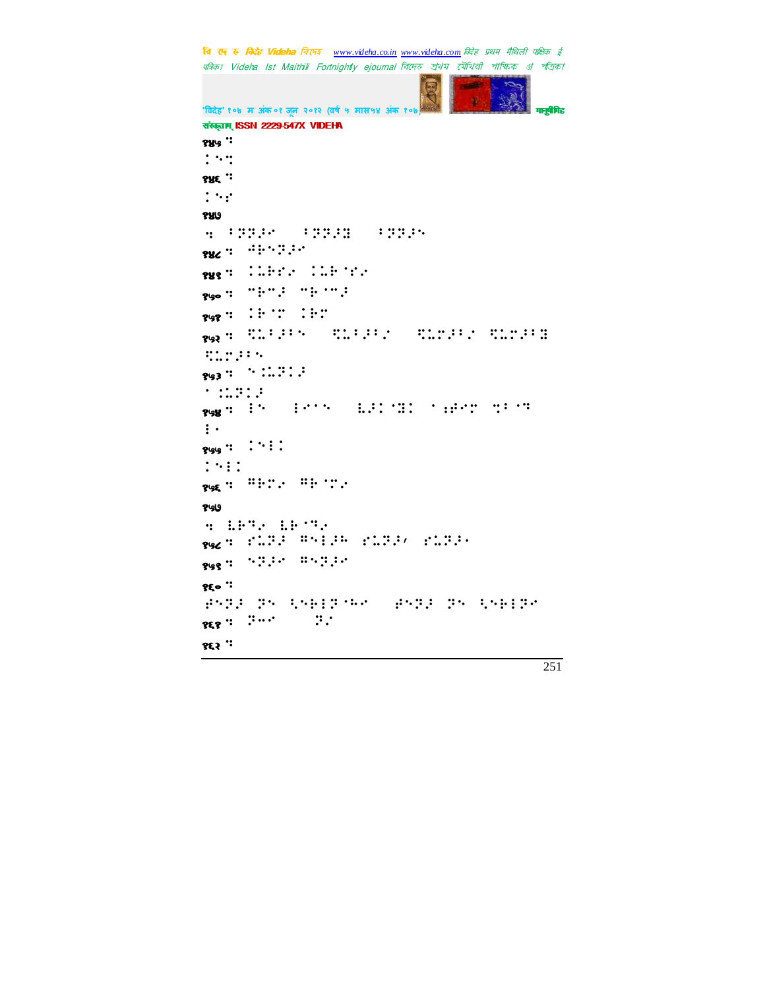```
चि एक रु विदेह Videha चिएन्छ <u>www.videha.co.in www.videha.com</u> विदेह प्रथम मैथिली पाक्षिक ई
पत्रिका Videha Ist Maithili Fortnightly ejournal রিদেহ প্রথম মৌথিনী পাক্ষিক গ্র পত্রিক।
'वदेह' १०७ म अंक ०१ जून २०१२ (वष ५ मास५४ अंक १०७) मानुषीिमह 
संस्कृतम् ISSN 2229-547X VIDEHA
१४५ "
\vdots :
१४६ :
\ddots१४७
\pm CONSERVENT CONTROL
\mathbf{R} \mathbf{B} \mathbf{C} : \mathbf{B} \mathbf{B} \mathbf{C} : \mathbf{B} \mathbf{B} \mathbf{C}988 : Chiero Chiero
\frac{1}{200} : \frac{1}{20} : \frac{1}{20} : \frac{1}{20} : \frac{1}{20} : \frac{1}{20} : \frac{1}{20} : \frac{1}{20} : \frac{1}{20} : \frac{1}{20} : \frac{1}{20} : \frac{1}{20} : \frac{1}{20} : \frac{1}{20} : \frac{1}{20} : \frac{1}{20} : \frac{1}{20} :
१५१ : में १९१९ : १९१९
१५२⣒!⣋⣅C⢼C0!⣋⣅C⢼C40!⣋⣅⢼C4!⣋⣅⢼C⣝0!
⣋⣅⢼C!!
\frac{843}{10} : \frac{1}{2} : \frac{1}{2} : \frac{1}{2}^{\circ} :13113
१५४⣒!50!5!)⣇⢼⣝!⣐⢾!⣉C⢹*.!
\vdotsg_{bg} : \cdots : : :
5!!
१५६⣒!⢻⢷⢴!⢻⢷⢴!!
१५७
⣒!⣇⢷⢹⢴!⣇⢷⢹⢴!!
१५८⣒!"⣅⢽⢼!⢻5⢼⢳!"⣅⢽⢼'0"⣅⢽⢼l!!
१५९ : ५३३२ : ३५९३२
१६० "GMP3 PH SMEEPHA (GMP3 PH SMEEPH)<br>∞∞s PH1 (FI
R8 : \frac{1}{2}...१६२ :
```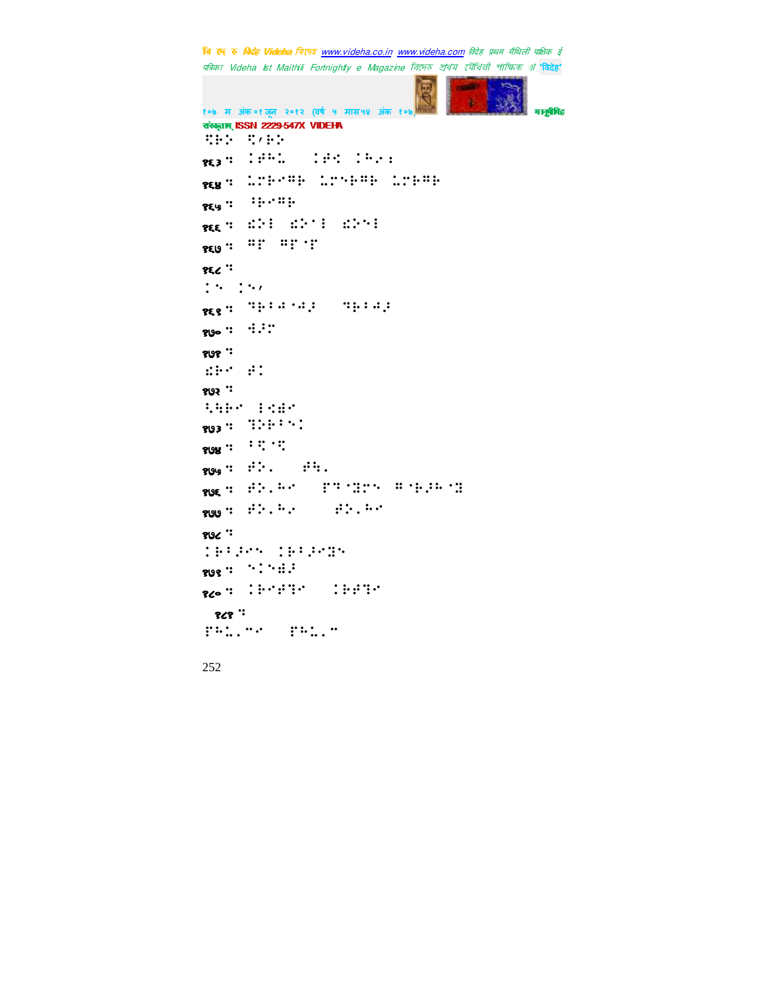चि एक रु मिन्हे Videha विएक www.videha.co.in www.videha.com विदेह प्रथम मैथिली पाक्षिक ई पत्रिका Videha Ist Maithili Fortnightly e Magazine রিদেহ প্রথম মৌথিরী পাক্ষিক রা '**বিदेह'** 

```
१०७ म अंक ०१जून २०१२ (वष ५ मास५४ अंक १०७) मानुषीिमह 
संस्कृतम् ISSN 2229-547X VIDEHA
SHE SHE
१६३⣒!⢾⢳⣅0!⢾⣊!⢳⢴⣐!!
१६४⣒!⣅⢷⢻⢷.⣅⢷⢻⢷!⣅⢷⢻⢷!!
R_{\mathcal{R}} : \cdots<sub>966</sub> में अपि 50 अपि 50 अपि 50
850 : \frac{10}{25} : \frac{10}{25} : \frac{10}{25}१६८ "! \leq \cdots ! \leq \cdots१९९९ प्रतिप्राप्त प्रकारण
१७०\cdot: \cdot \cdot \cdot१७१ \cdot⣎⢷!⢾!!
१७२ :SHER BREE
893 : 7.77777\mathbf{R}^{\text{99}} \mathbf{R}^{\text{100}} : \mathbf{R}^{\text{110}}\frac{1}{209} : \frac{1}{20}; \frac{1}{20}; \frac{1}{20}; \frac{1}{20}; \frac{1}{20}; \frac{1}{20}; \frac{1}{20}; \frac{1}{20}; \frac{1}{20}; \frac{1}{20}; \frac{1}{20}; \frac{1}{20}; \frac{1}{20}; \frac{1}{20}; \frac{1}{20}; \frac{1}{20}; \frac{1}{20}; \frac१७६९ : २००३ साली साथ प्राप्त का अधिकारि
\frac{1}{200} : \frac{1}{200} : \frac{1}{200} : \frac{1}{200} : \frac{1}{200} : \frac{1}{200} : \frac{1}{200} : \frac{1}{200} : \frac{1}{200} : \frac{1}{200} : \frac{1}{200} : \frac{1}{200} : \frac{1}{200} : \frac{1}{200} : \frac{1}{200} : \frac{1}{200}१७८ :
⢷C⢼!⢷C⢼⣝!!
१७९ : निर्माणि
१८० : २००१ : २००१ : २००१
  १८१ \cdot2000 CONTROL COMPANY
```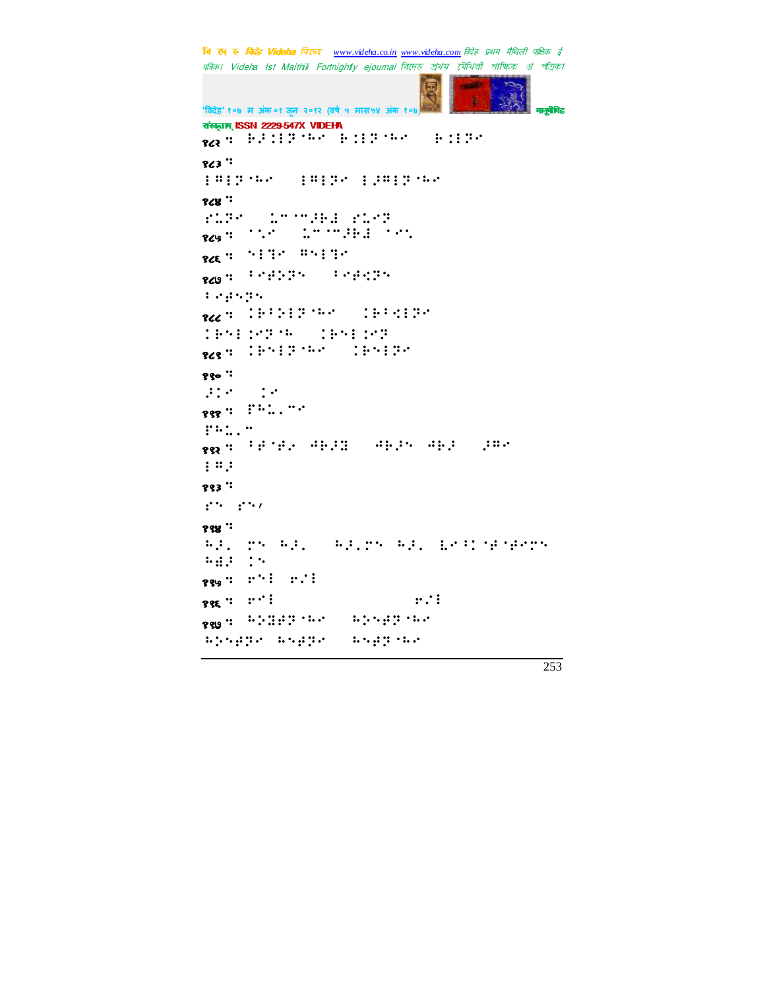```
पत्रिका Videha Ist Maithili Fortnightly ejournal রিদেহ প্রথম মৌথিনী পাক্ষিক গ্র পত্রিক।
'विदेह' १०७ म अंक ०१ जून २०१२ (वर्ष ५ मास५४ अंक १०७) मानुसीर के सामुवी मिट
संस्कृतम् ISSN 2229-547X VIDEHA
१८२⣒!⢷⢼⣈5⢽⢳!⢷⣈5⢽⢳0!⢷⣈5⢽!!
१८३ :
5⢻5⢽⢳0!5⢻5⢽!5⢼⢻5⢽⢳!!
368:
"⣅⢽!)⣅``⢼⢷⣜!"⣅⢽*!!
१८५ : २००९ : २००१ : २००१ : २००१ : २००१ : २००१ : २००१ : २००१ : २००१ : २००१ : २००१ : २००१ : २००१ : २००१ : २००१ :
१८६ में जिले में से मान करने में स
१८७ : २००० : २००० : २०००
Copyright
१८८ : २०१० २०१० : २०१० : २०१०
⢷5⣈⢽⢳0!⢷5⣈⢽!!
१८९९ - २००३ ए. १९९९ - १९९३ पुरु
१९० :
FD 015
888 : 1.95...PHIL."
१९२९ में टेलिंग पर प्रकार करने के लिए हैं।
; " ;१९३⣒!!
\mathbf{r}" \mathbf{r}" \mathbf{r}१९४⣒!!
⢳⢼G!!⢳⢼G!)⢳⢼G!⢳⢼G!⣇⢸⢾⢾!
WHIP : 49
884 : : : : : : : : :895 500 500 500 500 500 500१९७⣒!⢳⢵⣝⢾⢽⢳0!⢳⢵⢾⢽⢳0!
⢳⢵⢾⢽0⢳⢾⢽0!⢳⢾⢽⢳!!
```
**त्रि एन रु क्रिटेह Videha** विएम्ब \_www.videha.co.in\_www.videha.com विदेह प्रथम मैथिली पाक्षिक ई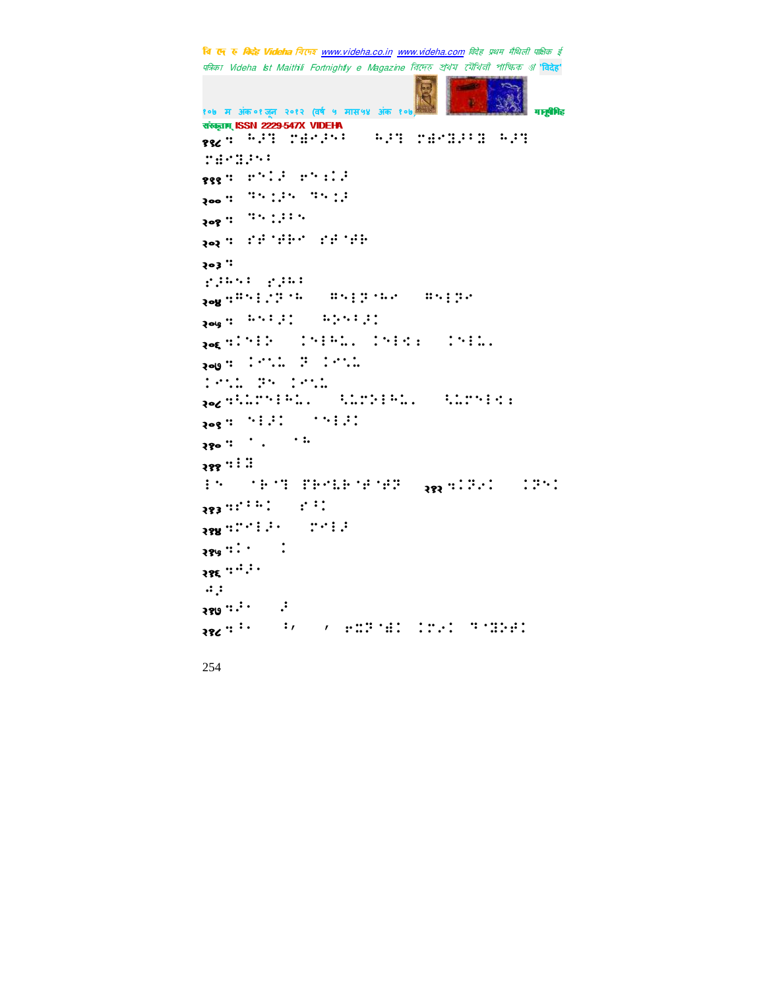चि एक रु मिन्हे Videha विएक www.videha.co.in www.videha.com विदेह प्रथम मैथिली पाक्षिक ई पत्रिका Videha Ist Maithili Fortnightly e Magazine রিদেহ প্রথম মৌথিরী পাক্ষিক রা'**বিदेह'** १०७ म अंक ०१जून २०१२ (वष ५ मास५४ अंक १०७) मानुषीिमह संस्कृतम् ISSN 2229-547X VIDEHA १९८⣒!⢳⢼⣙!⣞⢼C0!⢳⢼⣙!⣞⣝⢼C⣝0⢳⢼⣙! ⣞⣝⢼C!! १९९९ : २९९% : २९९% : २९९% २०० <sup>म</sup>े अप्रैलिया अधिकारी  $208$  :  $10 \cdot 100$ २०२ में अर्थित करने कर २०३  $"$ "⢼⢳C!"⢼⢳C!! २०४ तमध्य प्रभारत का सामान्य संस्कृति ।<br>२०४ २०५ : 559 : 559 : 559 : 559 : 559 : 559 : 559 : 559 : 559 : 559 : 559 : 559 : 559 : 559 : 559 : 559 : 559 : 55 २०६ सा २००१ - २००१ मध्ये प्राप्त का अनुसार के लिए जाता है।<br>जनसङ्ख्या २०७ : २०७ : २०७ : २०७ 1951 PH 1951 २०८⣒⣃⣅5⢳⣅G0!⣃⣅⢵5⢳⣅G0!⣃⣅5⣊⣐!! २०९⣒!5⢼0!5⢼!!  $280$   $\therefore$   $\therefore$ २११ : : : : 5!)⢷⣙.2⢷⣇⢷⢾⢾⢽\*!२१२⣒⢽⢴0!⢽!!  $283$   $223$  C $-2$   $-2$  C $-2$ २४४ मध्यप्रदेशिया  $5$  $284$  :  $\cdot$  : २१६ $\mathbb{R}^{n+1}$ ं  $\ddot{a}$  : २१७ '' ' २१८⣒⢸l!0⢸'!)'!⢶⣍⢽⣞!⢴!⢹⣝⢵⢾\*!!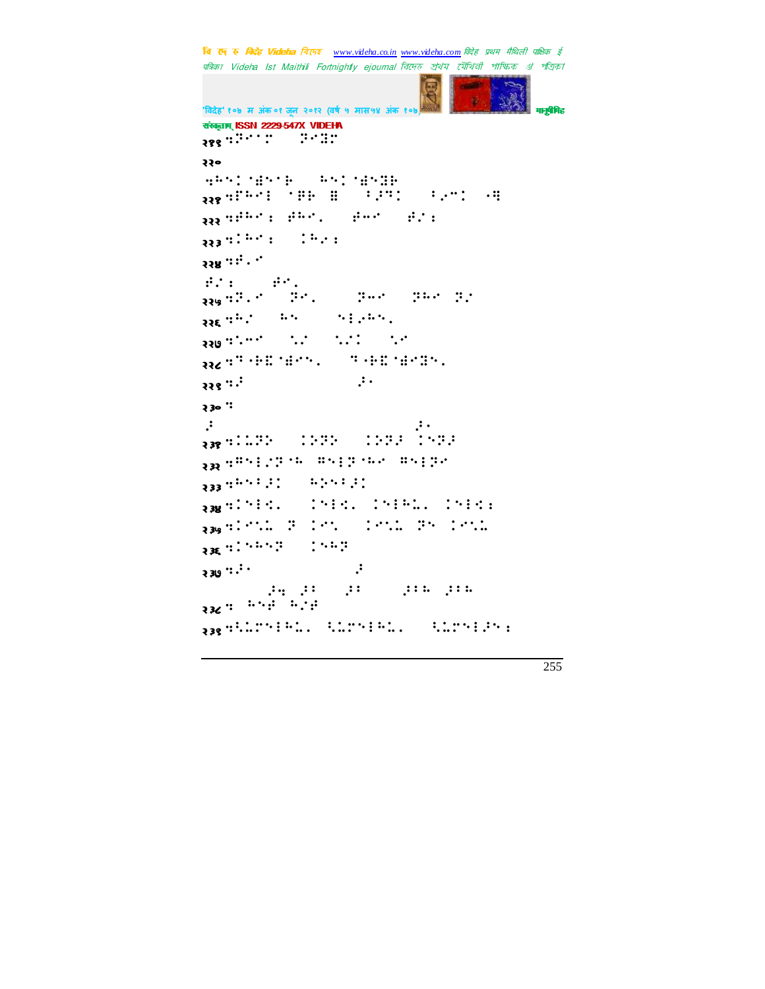```
त्रि एन रु क्रिटेह Videha विएम्ब _www.videha.co.in_www.videha.com विदेह प्रथम मैथिली पाक्षिक ई
पत्रिका Videha Ist Maithili Fortnightly ejournal রিদেহ প্রথম মৌথিনী পাক্ষিক গ্র পত্রিক।
'वदेह' १०७ म अंक ०१ जून २०१२ (वष ५ मास५४ अंक १०७) मानुषीिमह 
संस्कृतम् ISSN 2229-547X VIDEHA
२१९ मध्यप्रधानम् । अस्य अप्र
२२०
⣒⢳⣞⢷0!⢳⣞⣝⢷!!
२२१⣒2⢳5!⢿⢷!⣟0!C⢼⢹0!C⢴`!D⣛!!
२२२ परिमान के समिति हैं। इस प्रतिकार
२२३ प्रतिलंबर सामान्याः
२२४ <sup>...</sup>...
\#२२५ पे.C. (Co. Good Good Good Good
33640.7 -0.6 -0.4 40.5२२७ : २००९ : २००९ : २००९ : २००९ : २००९ : २००९ : २००९ : २००९ : २००९ : २००९ : २००९ : २००९ : २००९ : २००९ : २००९ : 
२२८ परिचार को जिलेगा जिले होता.<br>पुरुष को प्रकार को प्रकार को प्रकार को प्रकार को प्रकार को प्रकार को प्रकार को प्रकार को प्रकार को प्रकार को प
\mathbf{228} iii dpn \mathbf{33}२३० :\mathcal{F} ) denote the density of \mathcal{F} . We also also the density of \mathcal{F}<sub>२३१</sub> साइटाल - 1999 - 1999 - 1999 -
२३२⣒⢻54⢽⢳.⢻5⢽⢳.⢻5⢽!
२३३⣒⢳C⢼.!⢳⢵C⢼!
२३४ G.H.C. S. 1984, C.S.B.D. (1984)
२३५⣒⣁⣅!⢽!⣁.!⣁⣅!⢽!⣁⣅!
२३६ <sup>(</sup> ) <sup>194</sup>7 ( ) | 1947 (
\mathbf{z} ) denote the contract of \mathbf{z} is the contract of \mathbf{z}.
              \beta boehome. \beta is a constant of \beta२३८\frac{1}{4} \frac{1}{2} \frac{1}{2} \frac{1}{4} \frac{1}{4} \frac{1}{4} \frac{1}{4} \frac{1}{4} \frac{1}{4} \frac{1}{4} \frac{1}{4} \frac{1}{4} \frac{1}{4} \frac{1}{4} \frac{1}{4} \frac{1}{4} \frac{1}{4} \frac{1}{4} \frac{1}{4} \frac{1}{4} \frac{1}{4} \frac{1}{4\frac{1}{338}sklarniel. klarniel. Klarniel.
```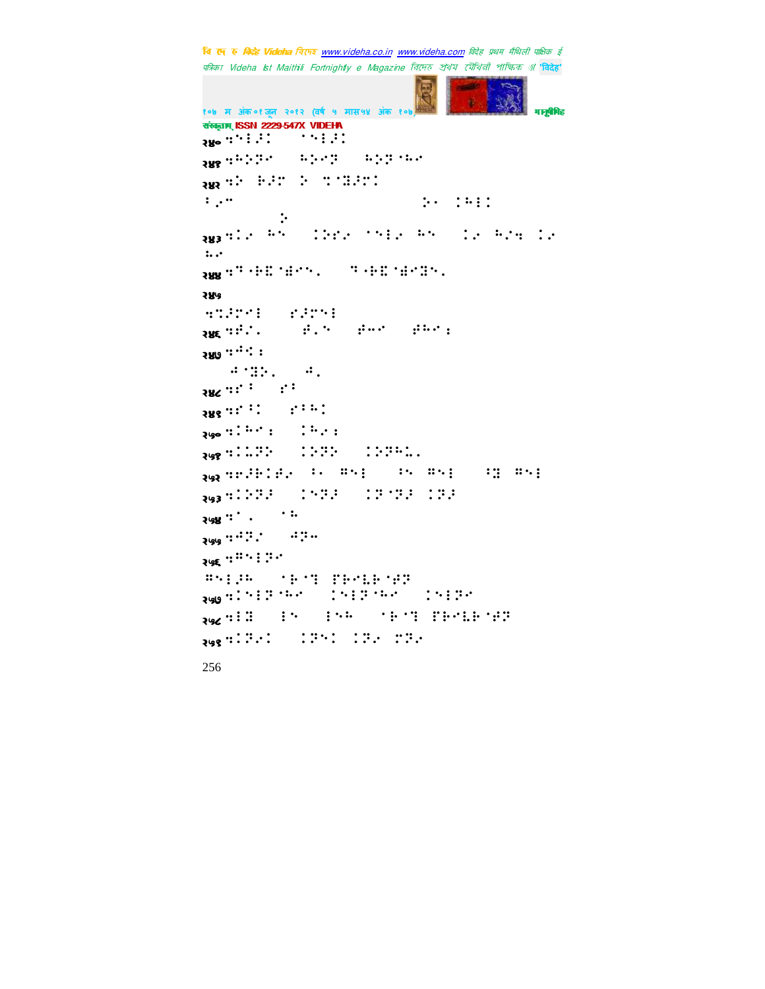चि एक रु मिन्हे Videha विएक www.videha.co.in www.videha.com विदेह प्रथम मैथिली पाक्षिक ई पत्रिका Videha Ist Maithili Fortnightly e Magazine রিদেহ প্রথম মৌথিরী পাক্ষিক রা'**বিदेह'** 

```
१०७ म अंक ०१जून २०१२ (वष ५ मास५४ अंक १०७) मानुषीिमह 
संस्कृतम् ISSN 2229-547X VIDEHA<br>2000 :: \cdot : \cdot :
280२४१⣒⢳⢵⢽.!⢳⢵⢽0!⢳⢵⢽⢳0!
२४२ मध्य असे जिले ही अपने साथ असे अध्यक्ष आणि असे अध्यक्ष आणि असे अध्यक्ष आणि असे अध्यक्ष आणि असे अध्यक्ष आणि <br>जनसङ्ख्या
Company of the company of the company of the company of the company of the company of the company of the company of the company of the company of the company of the company of the company of the company of the company of t
\frac{1}{2}२४३⣒⢴!⢳0!⢵"⢴!5⢴!⢳0!⢴!⢳4⣒!⢴!
\ddots२४४⣒⢹D⢷⣏⣞G0!⢹D⢷⣏⣞⣝G!
२४५
⣒⣉⢼50!"⢼5!!
२४६ °C प्रदेश को देखिया।
२४७ \cdots:
     \frac{1}{2} \frac{1}{2} \frac{1}{2} \frac{1}{2} \frac{1}{2} \frac{1}{2} \frac{1}{2}२४८⣒"⢸0!"C!
२४९⣒"⢸0!"C⢳!
2\sqrt{9}o\sqrt{10} \sqrt{10} \sqrt{10} \sqrt{10} \sqrt{10} \sqrt{10}२५९९:11225 (1225) (12251)
२७२ पण्डी सिट्रिकेट के सम्बद्ध सम्पत्त समिति का सम्बद्ध समिति हो।
२५३⣒⢵⢽⢼0!⢽⢼0!⢽⢽⢼0⢽⢼!
२५४ ः प्रमाणि
२५७ ः <sup>:: :</sup> : : : : : : :
२७६ : <sup>:: :</sup> : : : : :
⢻5⢼⢳!)⢷⣙!2⢷⣇⢷⢾⢽*!!
२७७ : 1010 - 1010 - 1010 - 1010 - 1010 - 1010 - 1010 - 1010 - 1010 - 1010 - 1010 - 1010 - 1010 - 1010 - 1010 -
२५८⣒5⣝0!50!5⢳!)⢷⣙!2⢷⣇⢷⢾⢽*!
२५९⣒⢽⢴0!⢽0⢽⢴.⢽⢴!
```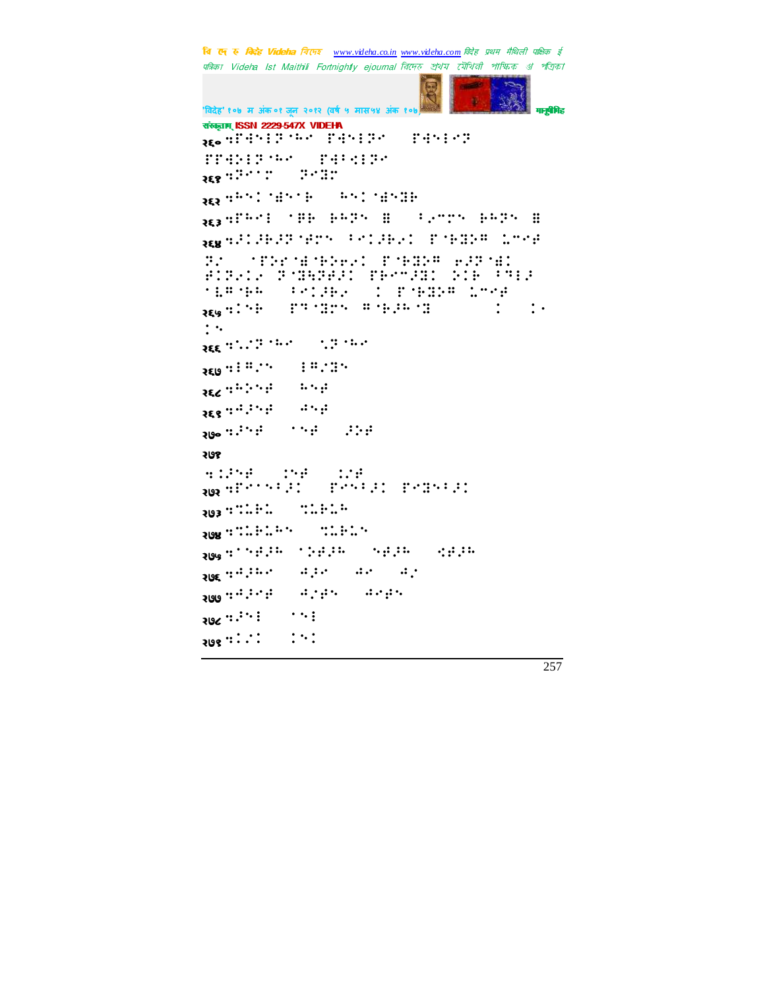चि एक रु *विदेह Videha चिए*न्छ <u>www.videha.co.in www.videha.com</u> विदेह प्रथम मैथिली पाक्षिक ई पत्रिका Videha Ist Maithili Fortnightly ejournal রিদেহ প্রথম মৌথিনী পাক্ষিক গ্র পত্রিক।

```
'विदेह' १०७ म अंक ०१ जून २०१२ (वर्ष ५ मास५४ अंक १०७) मानुस्थान के सामग्री मानुसमिद
संस्कृतम् ISSN 2229-547X VIDEHA
२६० से संस्था से उपाध करते हैं।<br>इन्द्र अपनी संस्कृति के संस्कृति के संस्कृति के संस्कृति के संस्कृति के संस्कृति के संस्कृति के संस्कृति के सं<br>देखना के संस्कृति के संस्कृति के संस्कृति के संस्कृति के संस्कृति के संस्कृति 
22⣚⢵5⢽⢳0!2⣚C⣊5⢽0!
२६१⣒⢽0!⢽⣝!
२६२⣒⢳⣞⢷0!⢳⣞⣝⢷!
२६३⣒2⢳5!⢿⢷!⢷⢳⢽!⣟0!C⢴`!⢷⢳⢽!⣟!
२६४⣒⢼⢼⢷⢼⢽⢾!C⢼⢷⢴!2⢷⣝⢵⢻!⣅`⢾!
⢽40!2⢵"⣞⢷⢵⢶⢴!2⢷⣝⢵⢻!⢶⢼⢽⣞!
⢾⢽⢴⢴!⢽⣝⣓⢽⢾⢼!2⢷`⢼⣝!⢵⢷!C⢹5⢼!
⣇⢻⢷⢳!)C⢼⢷⢴*!!2⢷⣝⢵⢻!⣅`⢾!
२६५ º!) 2E G PE SHE PE SHE PE
\ddot{\cdot} :
२६६⣒⣁4⢽⢳.!⣁⢽⢳!
२६७ : 5^{10}: : 5^{10}२६८⣒⢳⢵⢾0!⢳⢾!
२६९ <sup>011</sup>ं <sup>01</sup>
२७०⣒⢼⢾0!⢾0!⢼⢵⢾!
२७१
⣒⣈⢼⢾0!⣈⢾0!⣈4⢾!!
२७२ सालाच्या २० व्या शतकातील विशेषण विशेषण विशेषण विशेषण विशेषण विशेषण विशेषण विशेषण विशेषण विशेषण विशेषण विशे
२७३⣒⣉⣅⢷⣅0!⣉⣅⢷⣅⢳!
२७४⣒⣉⣅⢷⣅⢳0!⣉⣅⢷⣅!
२७५ था अनुपाल अनुपाल अनुपाल अनुपाल अनुपाल अनुपाल अनुपाल अनुपाल अनुपाल अनुपाल अनुपाल अनुपाल अनुपाल अनुपाल अनुपा
२७६⣒⢺⢼⢳0!⢺⢼0!⢺0!⢺40!
२७७ पर्वतीय संस्कृति कारण
२७८⣒⢼50!5!
208 : 11 : 11
```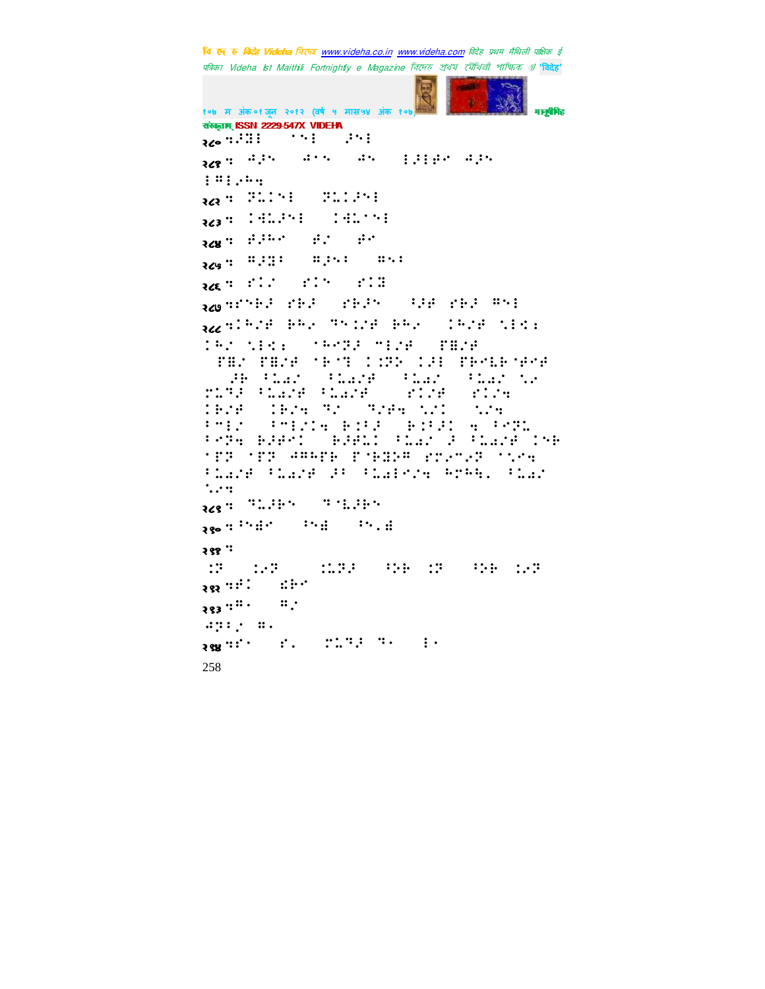चि एक रु मिन्हे Videha विएक www.videha.co.in www.videha.com विदेह प्रथम मैथिली पाक्षिक ई पत्रिका Videha Ist Maithili Fortnightly e Magazine রিদেহ প্রথম মৌথিরী পাক্ষিক রা'**বিदेह'** 

१०७ म अंक ०१जून २०१२ (वष ५ मास५४ अंक १०७) मानुषीिमह संस्कृतम् ISSN 2229-547X VIDEHA 258 २८०⣒⢼⣝50!50!⢼5! २८१ प्राचीन काल काल कृतिहरू वृत्ति  $5.5, 5.5, 5.5$ २८ - २०११ - २०१२ - २०१ २८३ : २००७ : २००९ : २००९ : २००९ : २००९ : २००९ : २००९ : २००९ : २००९ : २००९ : २००९ : २००९ : २००९ : २००९ : २००९ : २८४<sup>०</sup> में से में बार कर कर कर कर प्रसिद्ध होता है। २८५ : <sup>0</sup>.20: - 0.1 २८६ में में में अपने प्राप्त करने के अपने प्राप्त करने के अपने प्राप्त करने के अपने प्राप्त करने के अपने प्राप २८७⣒"⢷⢼0"⢷⢼0!"⢷⢼!)⢸⢼⢾!"⢷⢼!⢻5\*! २८८⣒⢳4⢾!⢷⢳⢴0⢹⣈4⢾!⢷⢳⢴0!⢳4⢾!⣁5⣊⣐0!  $142$   $143$   $144$   $140$ )<br>2 Je (1942) (1942) (1942) (1944)<br>2 Je (1942) (1942) (1942) (1942) .!⢼⢷!C⣅⣔40!C⣅⣔4⢾!)C⣅⣔40!C⣅⣔4!⣁⢴-! ⣅⢹⢼!C⣅⣔4⢾.C⣅⣔4⢾\*0!"4⢾0!"4⣒! 1₽2₽ (P24 M2) M24<br>PH12 (PH1214 B1P2) B1P21 4 P C`540!C`54⣒!⢷⣈C⢼0!⢷⣈C⢼!⣒!C⢽⣅0! C<u>ón de Barantes (Companie</u> Companie Companie Companie Companie Companie Companie Companie Companie Companie Comp 2⢽.2⢽!⢺⢻⢳2⢷!2⢷⣝⢵⢻!"⢴`⢴⢽!⣁⣒! CLAND CLAND OF CLAIR COMPONERS CONT  $\ddotsc$ २८९⣒!⢹⣅⢼⢷0!⢹⣇⢼⢷! २९०⣒⢸⣞0!⢸⣞0!⢸G⣞! २९१  $:$ 19 12 129 1129 1129 129 129 129<br><sub>201</sub> 129 129 129 २९२ ::"  $283$ <sup>un.</sup> pi ⢺⢽C4!⢻l\*! २९४ <sup>मधी</sup>री का का प्रकार करने हैं।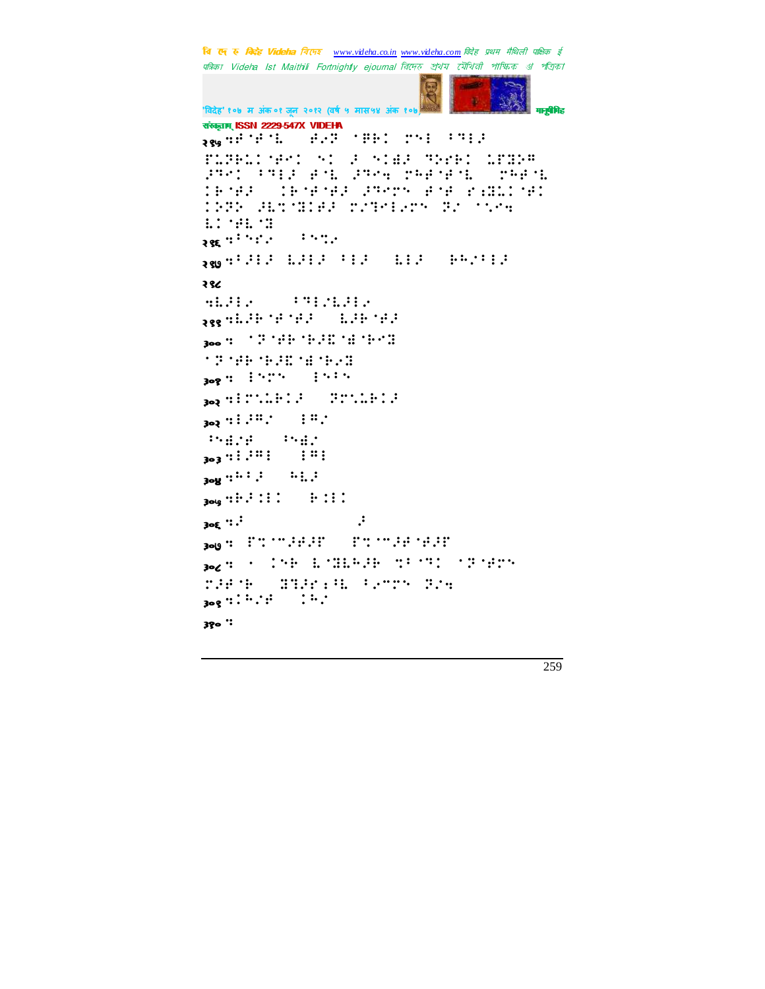चि एक रु *विदेह Videha चिए*न्छ <u>www.videha.co.in www.videha.com</u> विदेह प्रथम मैथिली पाक्षिक ई पत्रिका Videha Ist Maithili Fortnightly ejournal রিদেহ প্রথম মৌথিনী পাক্ষিক গ্র পত্রিক।

```
'विदेह' १०७ म अंक ०१ जून २०१२ (वर्ष ५ मास५४ अंक १०७) मानुसीर के सामुवी मिट
संस्कृतम् ISSN 2229-547X VIDEHA
२९५⣒⢾⢾⣇-)⢾⢴⢽!⢿⢷!5!C⢹5⢼!
2⣅⢽⢷⣅⢾!!⢼!⣞⢼!⢹⢵"⢷!⣅2⣝⢵⢻*!
^{\text{J44}} C supervisors of the control of the control of the control of the control of the control of the control of the control of the control of the control of the control of the control of the control of the control of
\overline{1} \overline{1} \overline{1} \overline{2} \overline{3} \overline{4} \overline{1} \overline{2} \overline{3} \overline{4} \overline{4} \overline{2} \overline{4} \overline{2} \overline{4} \overline{2} \overline{4} \overline{2} \overline{4} \overline{2} \overline{4} \overline{2} \overline{2} \overline{4} \overline{2⢵⢽⢵!⢼⣇⣉⣝⢾⢼!4⣙5⢴!⢽4!⣁⣒!
LI 18L'I<br><sub>per</sub>sindro (1912)
२९६⣒C"⢴0!C⣉⢴!
२९७ : FIF EFF FIF TIP (FFF FFF FF
२९८
WELFER STREET
२९९⣒⣇⢼⢷⢾⢾⢼0!⣇⢼⢷⢾⢼!
३००⣒!⢽⢾⢷⢷⢼⣏⣞⢷⣝0!
⢽⢾⢷⢷⢼⣏⣞⢷⢴⣝!
308 : 55.75 55.75३०२⣒5⣁⣅⢷⢼-!⢽⣁⣅⢷⢼!
302 : 1.34; : 1.82Sharp Sharp
303 : 1.3 : 1.330y :: :: :: :: :: ::३०५⣒⢷⢼⣈50!⢷⣈5!
3^\circ is the contract of \mathcal{C}\mathbf{a}_{\text{old}}: Promester Promester
३०८⣒!l!⢷!⣇⣝⣇⢳⢼⢷!⣉C⢹!⢽⢾!
⢼⢾⢷-!⣝⣙⢼"⣐⢸⣇!C⢴`!⢽4⣒!
308 \frac{11.4}{1.4} \frac{11.4}{1.4}३१०⣒!
```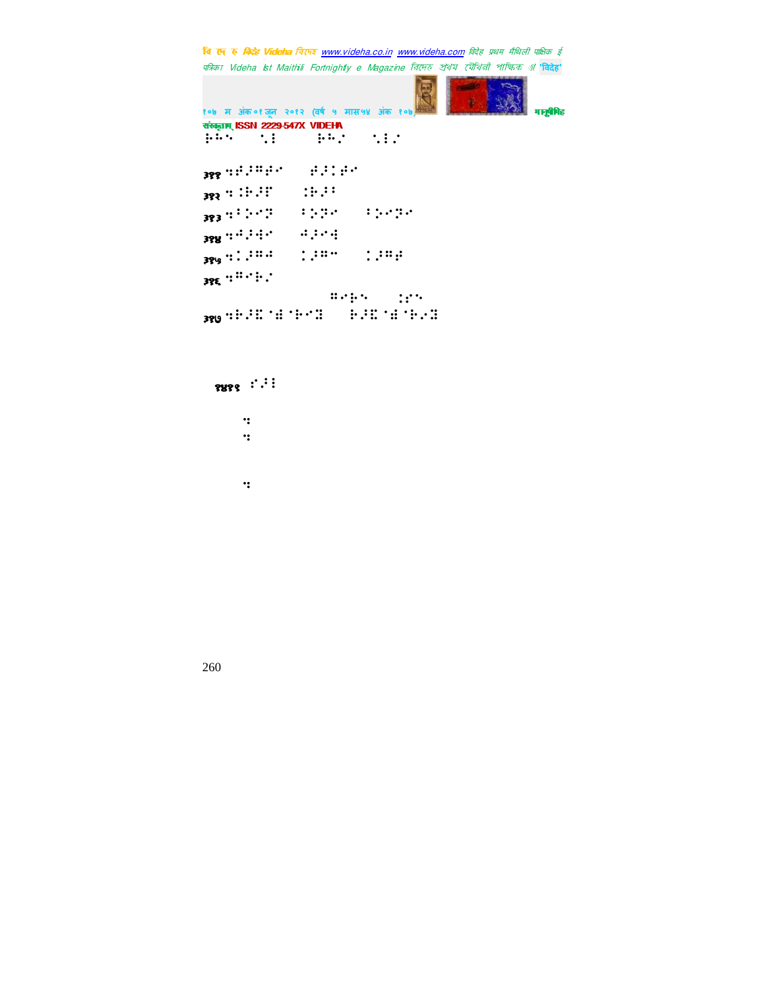चि एक रु मिन्हे Videha विएक www.videha.co.in www.videha.com विदेह प्रथम मैथिली पाक्षिक ई पत्रिका Videha Ist Maithili Fortnightly e Magazine রিদেহ প্রথম মৌথিরী পাক্ষিক রা'**বিदेह'** 

१०७ म अंक ०१जून २०१२ (वष ५ मास५४ अंक १०७) मानुषीिमह संख्याम् ISSN 2229-547X VIDEHA<br> $\cdots$   $\cdots$  $\frac{1}{2}$   $\frac{1}{2}$   $\frac{1}{2}$   $\frac{1}{2}$   $\frac{1}{2}$   $\frac{1}{2}$   $\frac{1}{2}$   $\frac{1}{2}$   $\frac{1}{2}$   $\frac{1}{2}$   $\frac{1}{2}$   $\frac{1}{2}$   $\frac{1}{2}$   $\frac{1}{2}$   $\frac{1}{2}$   $\frac{1}{2}$   $\frac{1}{2}$   $\frac{1}{2}$   $\frac{1}{2}$   $\frac{1}{2}$   $\frac{1}{2}$   $\frac{1}{2}$  ३११⣒⢾⢼⢻⢾0!⢾⢼⢾!  $\frac{383}{25} \times \frac{11}{20} \times \frac{11}{20} \times \frac{11}{20} \times \frac{11}{20} \times \frac{11}{20} \times \frac{11}{20} \times \frac{11}{20} \times \frac{11}{20} \times \frac{11}{20} \times \frac{11}{20} \times \frac{11}{20} \times \frac{11}{20} \times \frac{11}{20} \times \frac{11}{20} \times \frac{11}{20} \times \frac{11}{20} \times \frac{11}{20} \times \frac{11}{20} \times \frac{11}{20} \$ ३१३⣒C⢵⢽0!C⢵⢽0!C⢵⢽!  $\frac{388}{256} \frac{\pi^2 \left( \frac{1}{2} \frac{1}{2} \right)^2}{\pi^2 \left( \frac{1}{2} \frac{1}{2} \right)^2} = \frac{\pi^2 \left( \frac{1}{2} \right)^2}{\pi^2 \left( \frac{1}{2} \right)^2}$  $\ddotsc$  $385$ <sup>4:0</sup> $\cdot$ the property of the second second second second second second second second second second second second second ३१७⣒⢷⢼⣏⣞⢷⣝0!⢷⢼⣏⣞⢷⢴⣝!

 $888$  :  $:$  $\mathbf{S}^2$  3122.  $\mathbf{S}^2$  312.  $\mathbf{S}^2$  312.  $\mathbf{S}^2$  313.  $\mathbf{S}^2$  313.  $\mathbf{S}^2$  313.  $\mathbf{S}^2$  313.  $\mathbf{S}^2$  313.  $\mathbf{S}^2$  313.  $\mathbf{S}^2$  313.  $\mathbf{S}^2$  313.  $\mathbf{S}^2$  313.  $\mathbf{S}^2$  313.  $\mathbf{S}^2$  3  $\frac{1}{2}$ Gfc 3123. September 2123.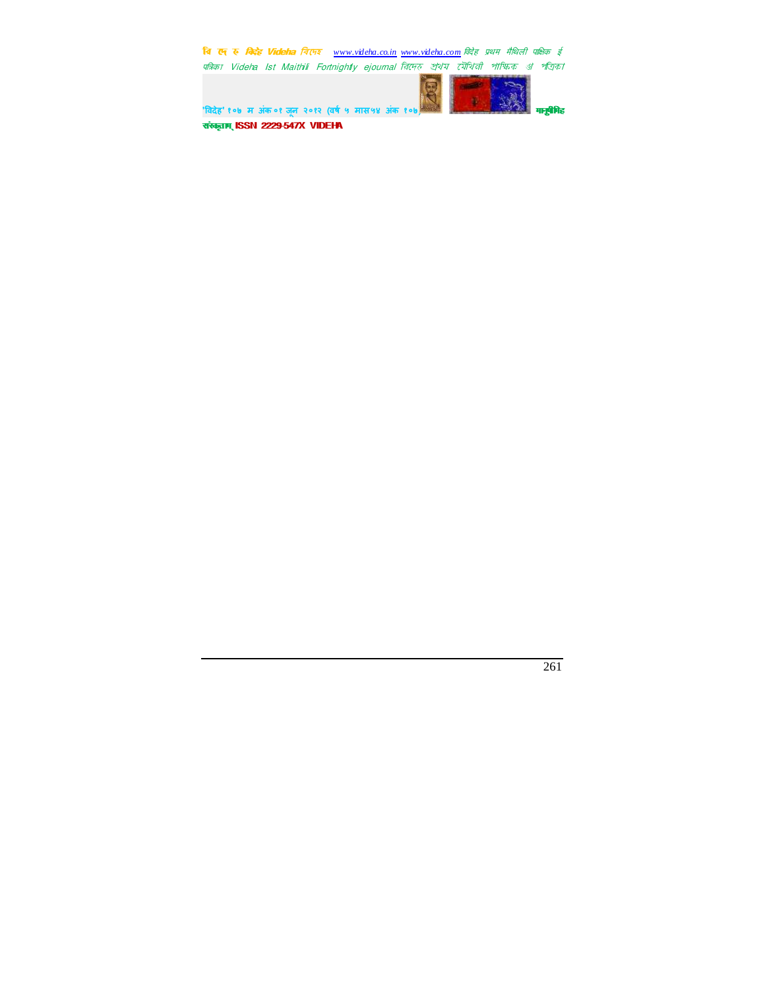चि एक रु *विदेह Videha चिए*न्छ <u>www.videha.co.in www.videha.com</u> विदेह प्रथम मैथिली पाक्षिक ई पत्रिका Videha Ist Maithili Fortnightly ejournal রিদেহ প্রথম মৌথিনী পাক্ষিক গ্র পত্রিক।



संस्कृतम् ISSN 2229-547X VIDEHA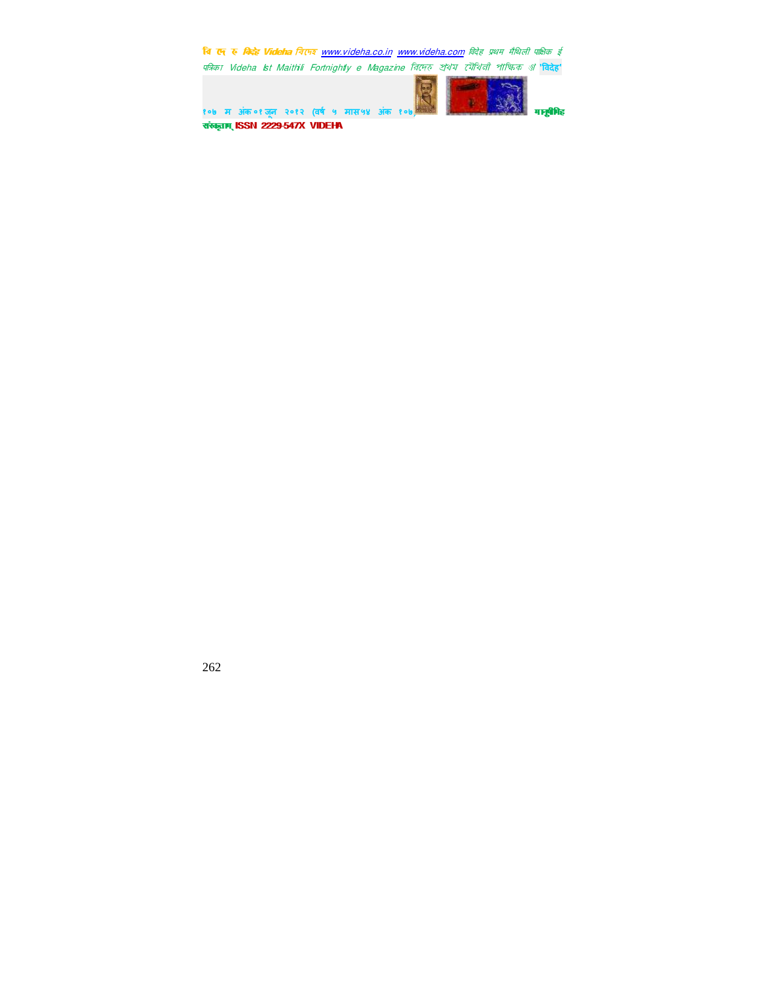चि एक रु मिन्हे Videha विएक www.videha.co.in www.videha.com विदेह प्रथम मैथिली पाक्षिक ई पत्रिका Videha Ist Maithili Fortnightly e Magazine রিদেহ প্রথম মৌথিরী পাক্ষিক রা'**বিदेह'** 



१०७ म अंक०१जून २०१२ (वर्ष ५ मास५४ अंक १०७) मानुसार सम्बद्धा मानुसीमह संस्कृतम् ISSN 2229-547X VIDE<del>H</del>A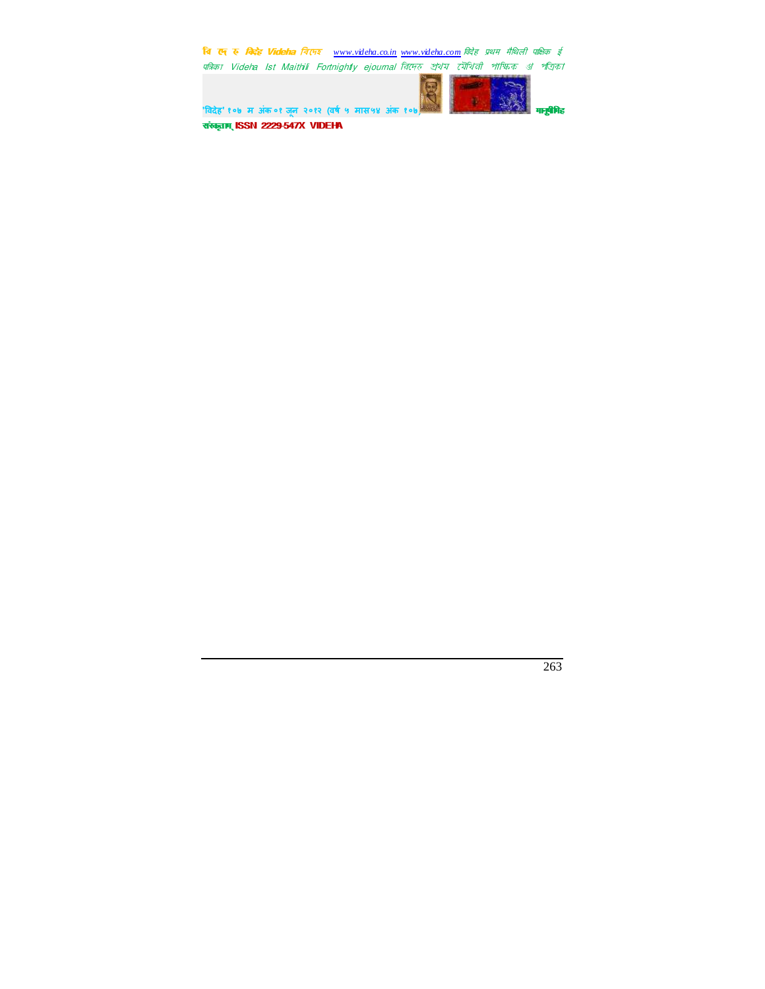चि एक रु *विदेह Videha चिए*न्छ <u>www.videha.co.in www.videha.com</u> विदेह प्रथम मैथिली पाक्षिक ई पत्रिका Videha Ist Maithili Fortnightly ejournal রিদেহ প্রথম মৌথিনী পাক্ষিক গ্র পত্রিক।



संस्कृतम् ISSN 2229-547X VIDEHA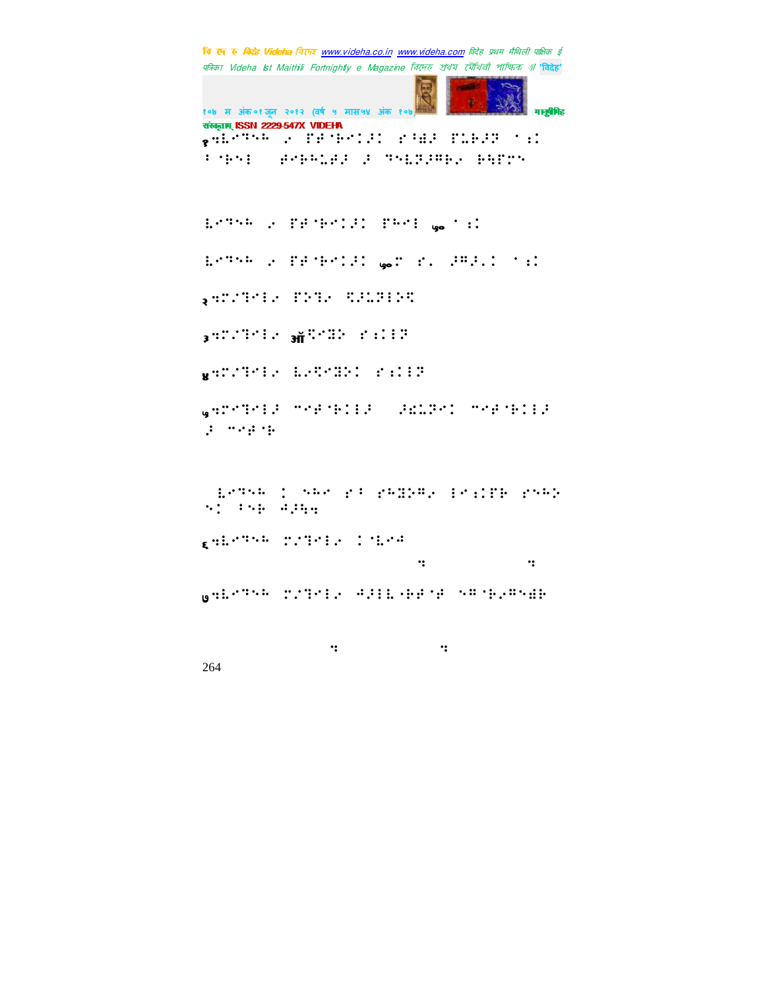चि एक रु मिन्हे Videha विएक www.videha.co.in www.videha.com विदेह प्रथम मैथिली पाक्षिक ई पत्रिका Videha Ist Maithili Fortnightly e Magazine রিদেহ প্রথম মৌথিরী পাক্ষিক রা'**বিदेह'** 



१⣒⣇⢹⢳!⢴.2⢾⢷⢼!"⢸⣞⢼!2⣅⢷⢼⢽!⣐! C⢷5-!⢾⢷⢳⣅⢾⢼!⢼!⢹⣇⢽⢼⢻⢷⢴!⢷⣓2!

⣇⢹⢳!⢴.2⢾⢷⢼!2⢳5!५० ⣐!

⣇⢹⢳!⢴.2⢾⢷⢼!५०!"G!⢼⢻⢼G!⣐!

 $\overline{\mathcal{A}}$ 42,794): PDP, RPLP80

 $_3$ 42,794 :  $_3$  and  $_3$  and  $_3$  and  $_3$  .

 $y$ 42,794; November 1993; November

५⣒⣙5⢼!`⢾⢷5⢼0!⢼⣎⣅⢽!`⢾⢷5⢼! ⢼!`⢾⢷!Njuijmb!Qbjoujoh0!

#⣇⢹⢳#!⢳!"⢸!"⢳⣝⢵⢻⢴!5⣐2⢷!"⢳⢵! SI PART REPORT

 $\epsilon$ Historic primits (1968) ius;00wjefibration;00wjefibrvidae;00wjefibrvidae;00wjefibrvidae;00wjefibrvidae;00wjefibrvidae;00wjefibrvidae;

७⣒⣇⢹⢳!4⣙5⢴!⢺⢼5⣇D⢷⢾⢾!⢻⢷⢴⢻⣞⢷!

bhash bhash ann an chuid ann an chuid an chuid an chuid an chuid an chuid an chuid an chuid an chuid an chuid a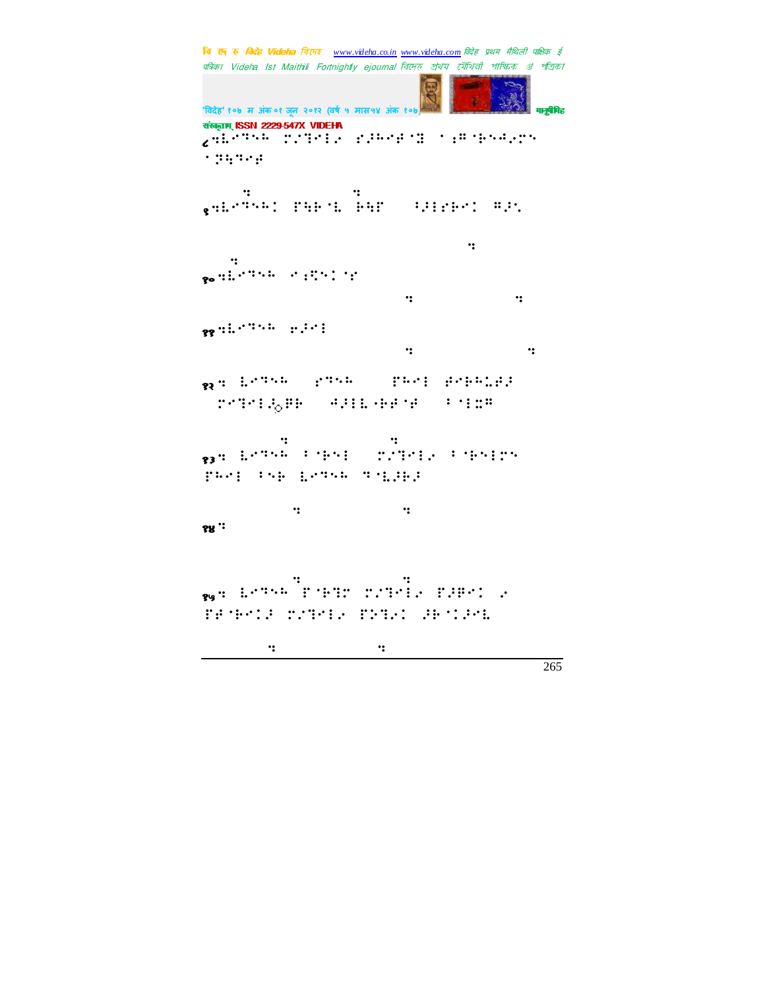```
चि एक रु विदेह Videha चिएन्छ <u>www.videha.co.in www.videha.com</u> विदेह प्रथम मैथिली पाक्षिक ई
पत्रिका Videha Ist Maithili Fortnightly ejournal রিদেহ প্রথম মৌথিনী পাক্ষিক গ্র পত্রিক।
'विदेह' १०७ म अंक ०१ जून २०१२ (वर्ष ५ मास५४ अंक १०७) मानुसीर के सामुवी मिट
संस्कृतम् ISSN 2229-547X VIDEHA
८⣒⣇⢹⢳!4⣙5⢴!"⢼⢳⢾⣝!⣐⢻⢷⢺⢴!
⢽⣓⢹⢾!
bsuch the control of the control of the control of the control of the control of the control of the control of
९⣒⣇⢹⢳!2⣓⢷⣇.⢷⣓2!#⢸⢼5"⢷!⢻⢼⣁#!!
iuuq;00hbkfoesbuiblvs⣒cmphtq
puòde della contra
१० सक्रमण स्थान का अधिकारित स्थान का अधिकारित स्थान का अधिकारित स्थान का अधिकारित स्थान का अधिकारित स्थान का अ<br>इन्द्र संस्कृतिकारित स्थान का अधिकारित स्थान का अधिकारित स्थान का अधिकारित स्थान का अधिकारित स्थान का अधिकारि
iuuq;00wjefib234 ministerii dpn
१<mark>१</mark>९ मध्य प्राप्त करने के लिख करने हैं।
ius;00wjefib234,000wjefib234
१२ %) हिल्ला देवा जिल्हा हो। उन्होंने स्टेड अर्था
  )⣙5⢼◌़⢿⢷*!⢺⢼5⣇D⢷⢾⢾!)C5⣍⢻*!!
tbefore the control of the control of the control of the control of the control of the control of the control of the control of the control of the control of the control of the control of the control of the control of the 
<sub>१३ प</sub>्राप्त प्राप्त का अनुसार का इंग्लाह के बाद प्राप्त का अनुसार का अनुसार का अनुसार का अनुसार का अनुसार का अ<br>प्राप्त का अनुसार का अनुसार का अनुसार का अनुसार का अनुसार का अनुसार का अनुसार का अनुसार का अनुसार का अनुसार 
2⢳5!C⢷!⣇⢹⢳!⢹⣇⢼⢷⢼!
csbjmmformation of the control of the control of the control of the control of the control of the control of the control of the control of the control of the control of the control of the control of the control of the cont
\mathbf{y} will be a set of the set of the set of the set of the set of the set of the set of the set of the set of the set of the set of the set of the set of the set of the set of the set of the set of the set of the set 
bsdie bedruik in der deutsche bedruik in der deutsche bedruik in der deutsche bedruik in der deutsche bedruik 
१५⣒!⣇⢹⢳!2⢷⣙!4⣙5⢴!2⢼⢿!⢴!
2⢾⢷⢼!4⣙5⢴!2⢵⣙⢴!⢼⢷⢼⣇!
q_1cmphtq_2dpuij\alpha
```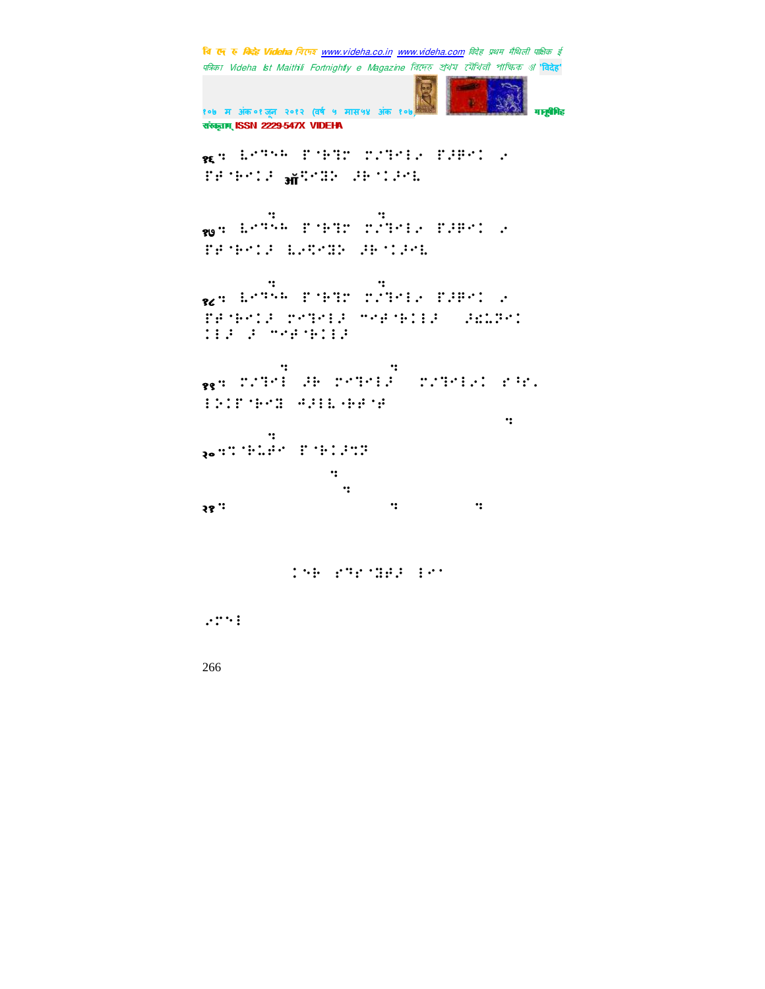चि एक रु मिन्हे Videha विएक www.videha.co.in www.videha.com विदेह प्रथम मैथिली पाक्षिक ई पत्रिका Videha Ist Maithili Fortnightly e Magazine রিদেহ প্রথম মৌথিরী পাক্ষিক রা'**বিदेह'** 



 $\epsilon$ ९ । अत्रिकाः संक्रिप्तः संस्कृते ।

संस्कृतम् ISSN 2229-547X VIDEHA

2⢾⢷⢼!ऑ⣋⣝⢵!⢼⢷⢼⣇!

by the control of the control of the control of the control of the control of the control of the control of the <sub>१७</sub>५ 1/7755 Politic 201512 Politic 2016 2⢾⢷⢼!⣇⢴⣋⣝⢵!⢼⢷⢼⣇!

where  $\mathbf{q}$  is the positive point of  $\mathbf{q}$ १८⣒!⣇⢹⢳!2⢷⣙!4⣙5⢴!2⢼⢿!⢴! 2⢾⢷⢼!⣙5⢼!`⢾⢷5⢼-!⢼⣎⣅⢽!  $113.5$  The Section

quadre control of the control of the control of the control of the control of the control of the control of the control of the control of the control of the control of the control of the control of the control of the contr <sub>१९</sub>५ :27991 जन्म 2005 : 201913 : 201913 : 20191 5⢵2⢷⣝!⢺⢼5⣇D⢷⢾⢾\*! ius;00nbjuijmbvsnjuijmbvsnjuijmbvsniuijmbvsniuijmbvsniuijmbvsniuijmbvsniuijmbvsniuijmbvsniuijmbvsniuijmbvsniui

https://www.file.com <sub>२०</sub>०९'िसेसेल शासकातील ius in control de la control de la control de la control de la control de la control de la control de la control de la control de la control de la control de la control de la control de la control de la control de la contr  $\mathbf{q}$ <mark>२१</mark> भी प्रकाशित हो जिल्लाको अवस्थित हो। यो प्रकाशित हो अवस्थित हो अवस्थित हो। यो प्रकाशित हो अवस्थित हो। यो प्र

INE PRESENCE IS

 $5:5:1$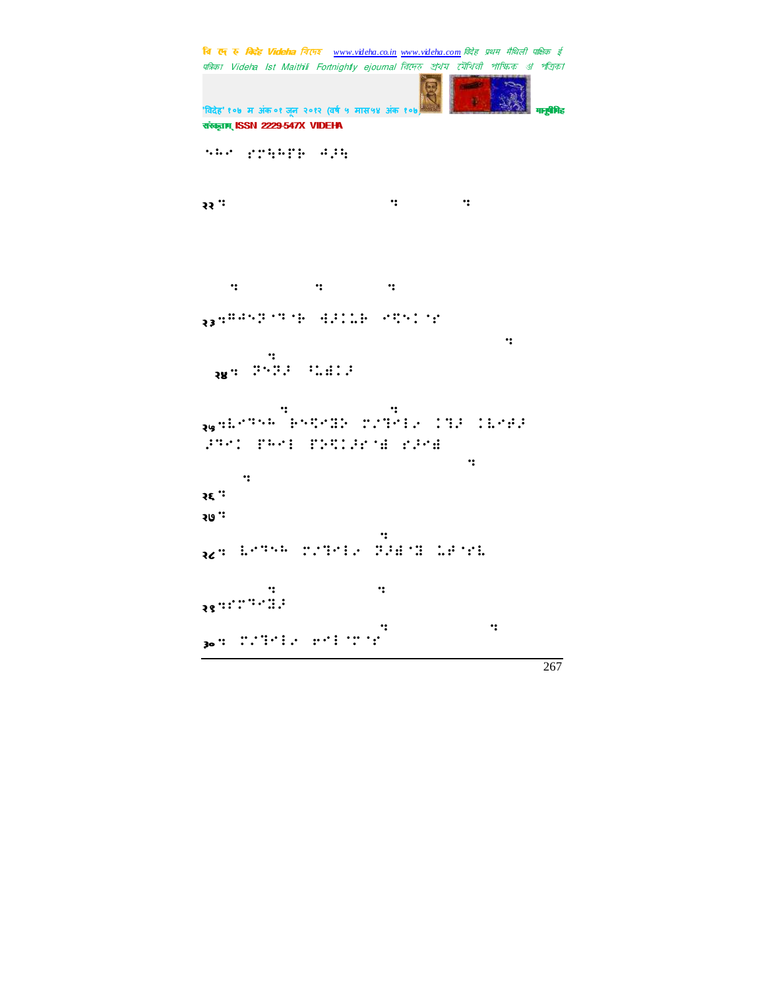```
चि एक रु विदेह Videha चिएन्छ <u>www.videha.co.in www.videha.com</u> विदेह प्रथम मैथिली पाक्षिक ई
पत्रिका Videha Ist Maithili Fortnightly ejournal রিদেহ প্রথম মৌথিনী পাক্ষিক গ্র পত্রিক।
'विदेह' १०७ म अंक ०१ जून २०१२ (वर्ष ५ मास५४ अंक १०७) मानुसीर के सामुविधि मानुवीपित
संस्कृतम् ISSN 2229-547X VIDEHA
                                                                               267
⢳!"⣓⢳2⢷!⢺⢼⣓!!
\mathbf{22}ं under the control \mathbf{23} and \mathbf{34} and \mathbf{25}\frac{3}{2}<sub>२३ प</sub>समध्य राष्ट्रीय संस्था संस्था प्राप्त करते. या
ius;00hbkgbkgbkgbkgbkgbkgbkgbkgbkg
https://www.file.com
   <sub>२४</sub>९ प्रधानम् ।<br>जन्म
libcbt⣒cmphtqpu⣒dpn0!!!!
<sub>२५</sub>а£/954 (655)9793 (1995)
⢼⢹!2⢳5!2⢵⣋⢼"⣞!"⢼⣞!
ius (100 wieleniai) in de staat de staat de staat de staat de staat de staat de staat de staat de staat de sta<br>De staat de staat de staat de staat de staat de staat de staat de staat de staat de staat de staat de staat de
        \cdot:
२६ :२७\mathcal{P} : which we first the \mathcal{P}\mathbf{g} is a set of \mathbf{g} is a set of \mathbf{g}\alphadi Wana ama wana wanda wanda wanda wanda wanda wanda wanda wanda wanda wanda wanda wanda wanda wanda wanda
esbnb, esbnb, esbnb, esbnb, esbnb, esbnb, esbnb, esbnb, esbnb, esbnb, esbnb, esbnb, esbnb, esbnb, esbnb, esbnb
२९ ::::::::::::::
ius;00ftbnbbesquedpnbbesquedpnbbesquedpnbbesquedpnbbesquedpnbbesquedpnbbesquedpnbbesquedpnbbesquedpnbbesquedpn
<sub>३०</sub>० :2799:20 : 2799:30 :
```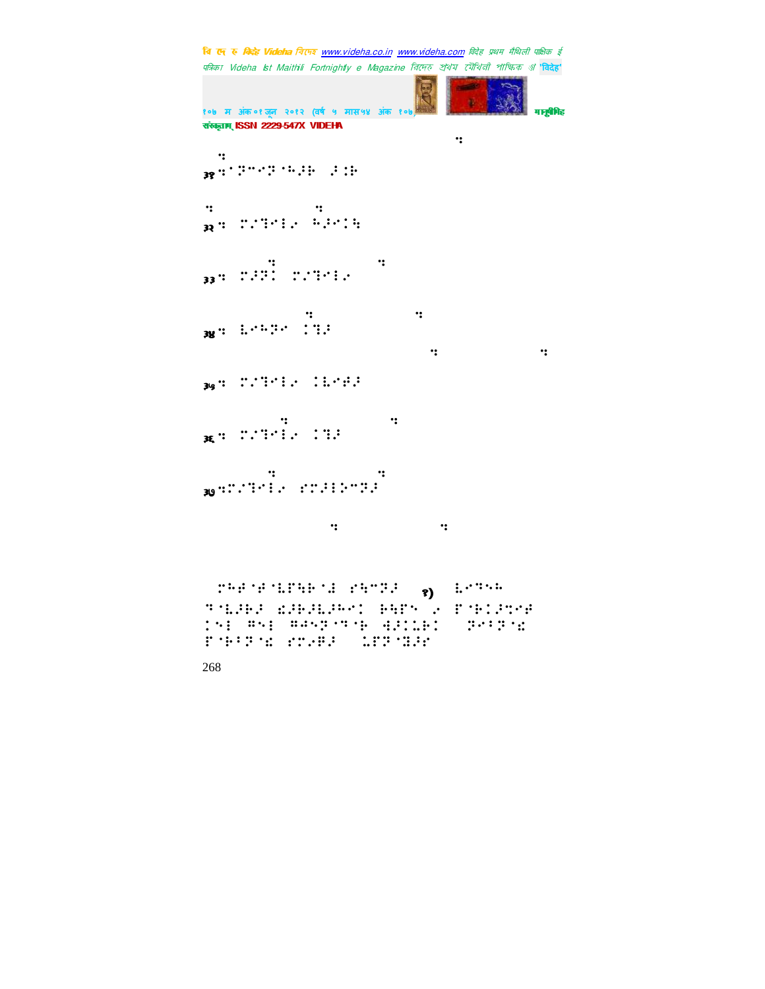चि एक रु मिन्हे Videha विएक www.videha.co.in www.videha.com विदेह प्रथम मैथिली पाक्षिक ई पत्रिका Videha Ist Maithili Fortnightly e Magazine রিদেহ প্রথম মৌথিরী পাক্ষিক রা'**বিदेह'** १०७ म अंक ०१जून २०१२ (वष ५ मास५४ अंक १०७) मानुषीिमह संस्कृतम् ISSN 2229-547X VIDEHA ius;00nbjuijmjegimntoja (1900-1900) udproduce the control of the control of the control of the control of the control of the control of the control of the control of the control of the control of the control of the control of the control of the control of th <sub>३१</sub> ± 100 ± 100 ± 100 ± 100 ± 100 ± 100 ± 100 ± 100 ± 100 ± 100 ± 100 ± 100 ± 100 ± 100 ± 100 ± 100 ± 100 ± 100 ± 100 ± 100 ± 100 ± 100 ± 100 ± 100 ± 100 ± 100 ± 100 ± 100 ± 100 ± 100 ± 100 ± 100 ± 100 ± 100 ± 100 ± 100 ⣒cmphtqpu⣒dpn0!! <sub>32</sub>q: 223912 (b.92919) ibility of the company of the company of the company of the company of the company of the company of the company of the company of the company of the company of the company of the company of the company of the company of t <sub>33</sub>q: 2330 201919. nbjurga (1990), provincia (1990), provincia (1990), provincia (1990), provincia (1990), provincia (1990), provi **≫**थ <sup>12</sup> ⊡ि ius dialektura dialektura dialektura dialektura dialektura dialektura dialektura dialektura dialektura dialekt<br>Dialektura dialektura dialektura dialektura dialektura dialektura dialektura dialektura dialektura dialektura <u>૱</u>; :::::: : :::::: lbwydd ar yn y bryn y bryn y bryn y bryn y bryn y bryn y bryn y bryn y bryn y bryn y bryn y bryn y bryn y bryn <sub>क्</sub>षः २०१७:३० (१९३०) lbuib, photography of the control of the control of the control of the control of the control of the control of <sub>30</sub> 42,1948 - 12,548 1959 tbnbmpdiobate both products and the products of the products of the products of the products of the products of the products of the products of the products of the products of the products of the products of the products o !⢳⢾⢾⣇2⣓⢷⣜!"⣓`⢽⢼;)१) (⣇⢹⢳(! THE CONSTRUCT PROPORT IN THE CONSTRUCT OF THE CONSTRUCT OF THE CONSTRUCT OF THE CONSTRUCT OF THE CONSTRUCT OF <br>The Construction of the Construct Of The Construct Of The Construct Of The Const 5!⢻5!⢻⢺⢽⢹⢷!⣚⢼⣅⢷!!⢽C⢽⣎.

268

2⢷C⢽⣎."⢴⢿⢼-!⣅2⢽⣝⢼"!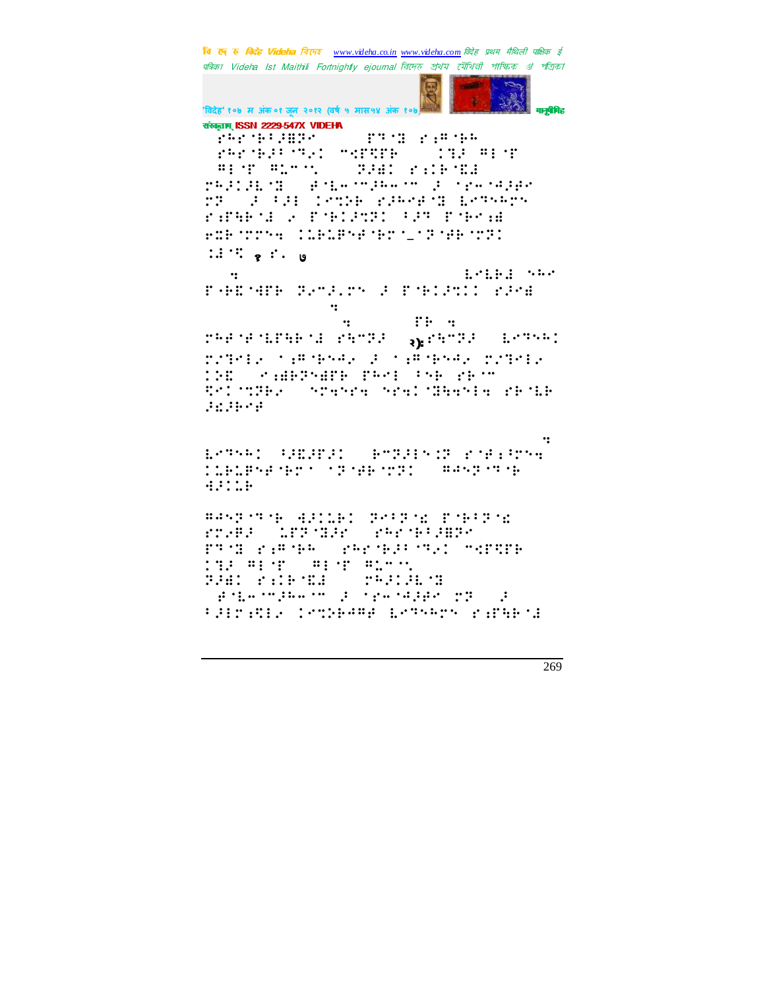चि एक रु *विदेह Videha चिए*न्छ <u>www.videha.co.in www.videha.com</u> विदेह प्रथम मैथिली पाक्षिक ई पत्रिका Videha Ist Maithili Fortnightly ejournal রিদেহ প্রথম মৌথিনী পাক্ষিক গ্র পত্রিক।

'वदेह' १०७ म अंक ०१ जून २०१२ (वष ५ मास५४ अंक १०७) मानुषीिमह संस्कृतम् ISSN 2229-547X VIDEHA  $\mathbf{\hat{r}}$ Ardetary (2005) reduced )"⢳"⢷⢼C⢹⢴!`⣊2⣋2⢷\*-!⣙⢼.⢻52! )⢻52.⢻⣅`⣁\*-!⢽⢼⣞)"⣐⢷⣏⣜\*-! ⢳⢼⢼⣇⣝!)⢾⣇⢲`⢼⢳⢲`!⢼!"⢲⢺⢼⢾!  $T$ 5. C S OF STATE REPORTS THE STATE SECTION rupted a state of the control of the control of the control of the control of the control of the control of the control of the control of the control of the control of the control of the control of the control of the contr ⢶⣍⢷⣒!⣅⢷⣅⢿⢾⢷–⢽⢾⢷⢽!  $\therefore$   $\vdots$   $\therefore$   $\circ$   $\vdots$   $\circ$ Op State Contract Contract Contract Contract Contract Contract Contract Contract Contract Contract Contract Co 2D⢷⣏⣚2⢷!⢽⢴`⢼G!⢼!2⢷⢼⣉!"⢼⣞! ius in control de la control de la control de la control de la control de la control de la control de la control de la control de la control de la control de la control de la control de la control de la control de la contr  $\ddot{\bullet}$   $\ddot{\bullet}$   $\ddot{\bullet}$   $\ddot{\bullet}$   $\ddot{\bullet}$  $\mathcal{L}$  where  $\mathcal{L}$  and  $\mathcal{L}$  and  $\mathcal{L}$  and  $\mathcal{L}$  and  $\mathcal{L}$  and  $\mathcal{L}$  and  $\mathcal{L}$ 4⣙5⢴.⣐⢻⢷⢺⢴!⢼!⣐⢻⢷⢺⢴!4⣙5⢴! ⢵⣏!)⣐⣞⢷⢽⣞2⢷!2⢳5!C⢷!"⢷`. ⣋⣉⢽⢷⢴\*!⣒"⣒!"⣒⣝⣓⣒5⣒!"⢷⣇⢷! ⢼⣎⢼⢷⢾!.Cbtfe!po!nt.trm!tfswfs! Fohmjti.Nbjuijmj!Ejdujpobsz⣒! ⣇⢹⢳!⢸⢼⣏⢼2⢼.!⢷`⢽⢼5⣈⢽!"⢾⣐⢸⣒! ⣅⢷⣅⢿⢾⢷!⢽⢾⢷⢽.!⢻⢺⢽⢹⢷!  $...$ ⢻⢺⢽⢹⢷!⣚⢼⣅⢷!⢽C⢽⣎.2⢷C⢽⣎. "⢴⢿⢼-!⣅2⢽⣝⢼"!)"⢳"⢷C⢼⣟⢽\*!-! 2⢹⣝."⣐⢻⢷⢳!)"⢳"⢷⢼C⢹⢴!`⣊2⣋2⢷\*-! ∷ga<sup>n</sup>apor apor ar~s gan Viewi' e<sup>n</sup>gian )⢾⣇⢲`⢼⢳⢲`!⢼!"⢲⢺⢼⢾!⢽\*!⢼! C⢼5⣐⣋5⢴.⣉⢵⢷⢺⢻⢾!⣇⢹⢳!"⣐2⣓⢷⣜!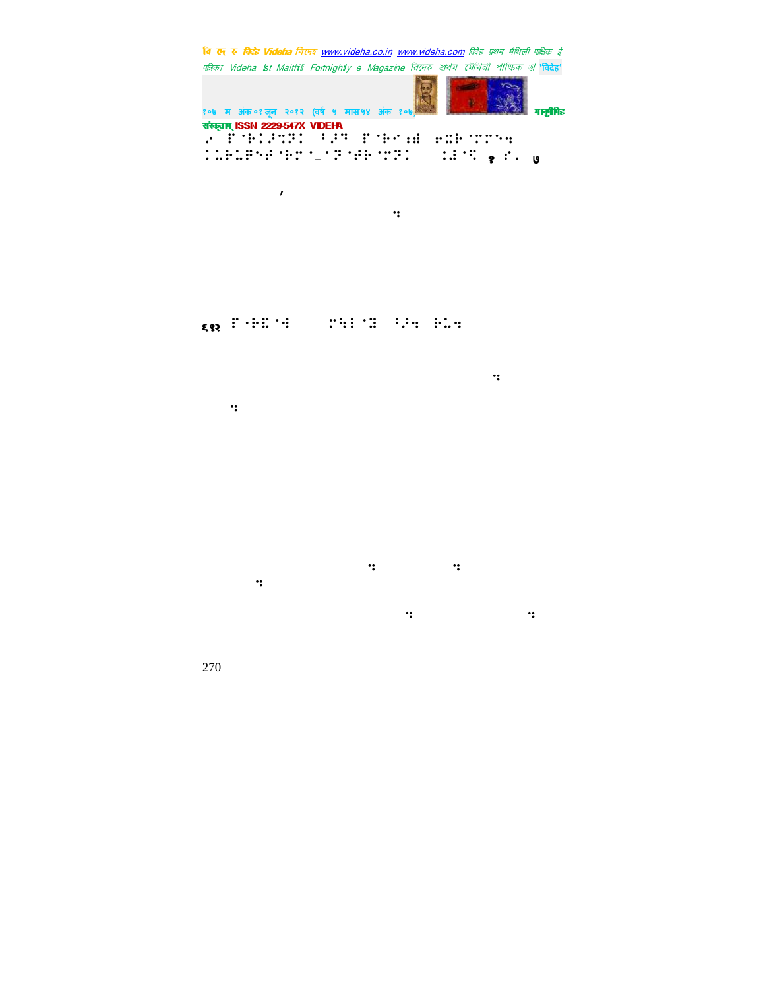चि एक रु बिरहे Videha विएक www.videha.co.in www.videha.com विदेह प्रथम मैथिली पाक्षिक ई पत्रिका Videha Ist Maithili Fortnightly e Magazine রিদেত প্রথম মৌথিনী পাক্ষিক প্র' 'विदेह'

१०७ म अंक०१जून २०१२ (वर्ष ५ मास५४ अंक १०७)<br><mark>संस्कृतम् ISSN 2229-547X VIDE<del>H</del>A</mark> मानुबैमिह FINEDAL PROPERTY FOR THE 

 $\dddot{\cdot}$ 

 $\mathcal{L}_{\mathcal{A}}$ 

## ER PORTH - THE TEST PLA

 $\ddot{\cdot}$  $\dddot{\cdot}$ 

 $\cdot$ :  $\dddot{\mathbf{r}}$  $\cdot:$  $\dddot{\cdot}$  $\dddot{\bullet}$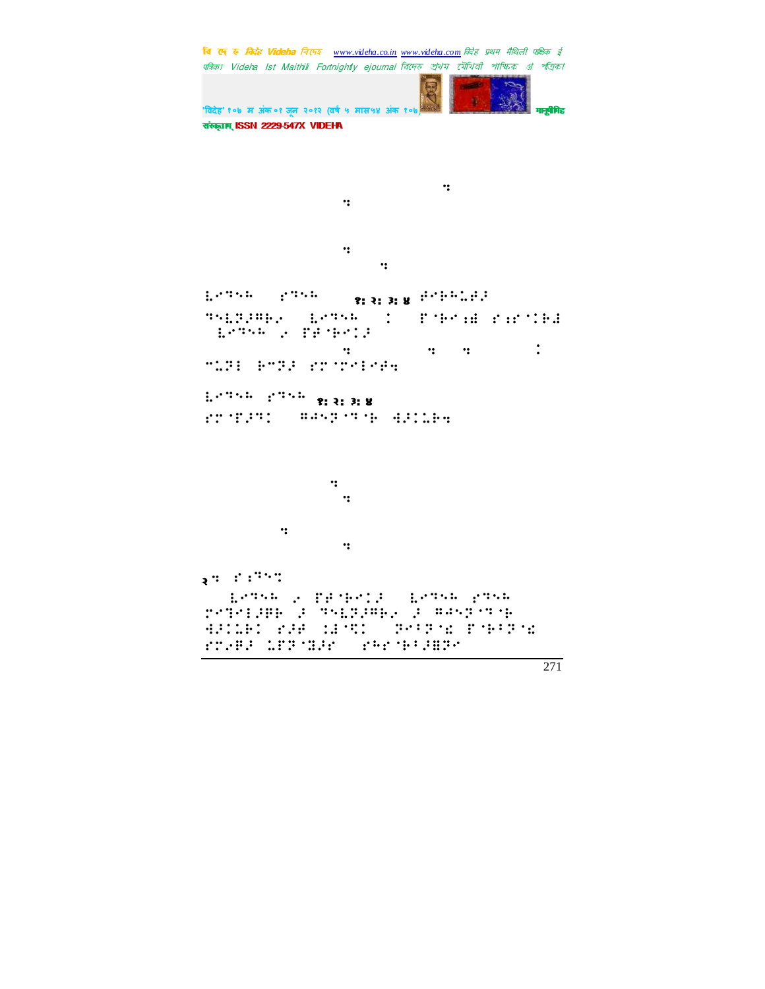'विदेह' १०७ म अंक ०१ जून २०१२ (वर्ष ५ मास५४ अंक १०७) मानुसीर के सामुवी मिट संस्कृतम् ISSN 2229-547X VIDEHA 271 xfctium (1980), iuu quadrum (1980), iuu  $\frac{d\theta}{d\theta}$ nbjm;tisvuj⣒qvcmjdbujpoAtisv uj.dov. a na staro dpa je postavlja se obrazil na staro dpa je postavlja se obrazil na staro dpa je postavlja<br>Dogodka je postavlja se obrazil na staro dpa je postavlja se obrazil na staro dpa je postavlja se obrazil na s  $\mathbb{R}^{12.5\times 10^{-11}}$  ,  $\mathbb{R}^{13.5\times 10^{-11}}$  ,  $\mathbb{R}^{13.5\times 10^{-11}}$  ,  $\mathbb{R}^{13.5\times 10^{-11}}$  ,  $\mathbb{R}^{13.5\times 10^{-11}}$  ,  $\mathbb{R}^{13.5\times 10^{-11}}$  ,  $\mathbb{R}^{13.5\times 10^{-11}}$  ,  $\mathbb{R}^{13.5\times 10^{-11}}$  ,  $\mathbb{R}^{13.5\times 10^{-11}}$ ⢹⣇⢽⢼⢻⢷⢴!#⣇⢹⢳#!-!2⢷⣐⣞!"⣐"⢷⣜! ;⣇⢹⢳.⢴.2⢾⢷⢼!  $\mathbf{u} = \mathbf{u} \times \mathbf{u}$ `⣅⢽5!⢷`⢽⢼!"5⢾⣒!  $\frac{1}{2}$ ,  $\frac{1}{2}$ ,  $\frac{1}{2}$ ;  $\frac{1}{2}$ ;  $\frac{1}{2}$ ;  $\frac{1}{2}$ ;  $\frac{1}{2}$ ;  $\frac{1}{2}$ ;  $\frac{1}{2}$ ;  $\frac{1}{2}$ "2⢼⢹;!⢻⢺⢽⢹⢷!⣚⢼⣅⢷⣒! ius in control de la control de la control de la control de la control de la control de la control de la control de la control de la control de la control de la control de la control de la control de la control de la contr qvcmjdbujpo buje buje na postala po postala po postala po postala po postala po postala po postala po postala tisvuje konstantine konstantine konstantine konstantine konstantine konstantine konstantine konstantine konstantine konstantine konstantine konstantine konstantine konstantine konstantine konstantine konstantine konstantin  $\mathbf{q}$ २⣒!"⣐⢹⣉.!  $\sim$  10000  $\sim$  2000  $\sim$  2000  $\sim$  2000  $\sim$  2000  $\sim$ ⣙5⢼⢿⢷!⢼!⢹⣇⢽⢼⢻⢷⢴!⢼!⢻⢺⢽⢹⢷! ⣚⢼⣅⢷!"⢼⢾!⣈⣜⣋.!⢽C⢽⣎.2⢷C⢽⣎. "⢴⢿⢼-⣅2⢽⣝⢼"!)"⢳"⢷C⢼⣟⢽\*!-!

चि एक रु *विदेह Videha चिए*न्छ <u>www.videha.co.in www.videha.com</u> विदेह प्रथम मैथिली पाक्षिक ई पत्रिका Videha Ist Maithili Fortnightly ejournal রিদেহ প্রথম মৌথিনী পাক্ষিক গ্র পত্রিক।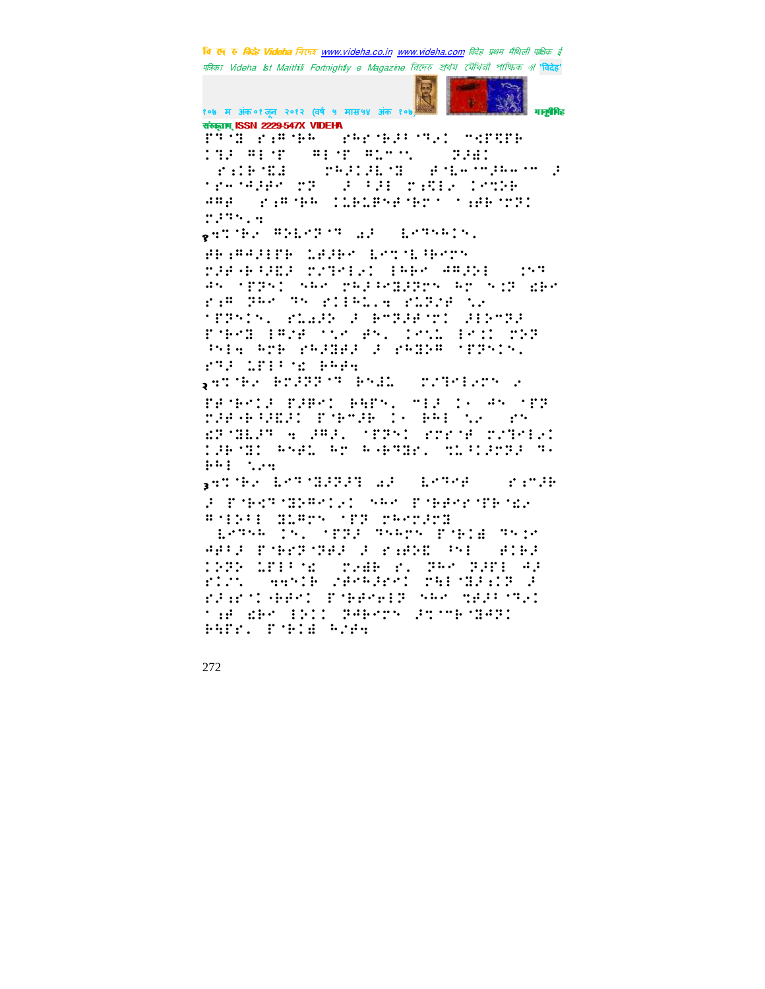बि एक रु क्विहे Videha विरफ्श www.videha.co.in www.videha.com बिरेह प्रथम मैथिली पाक्षिक ई पत्रिका Videha Ist Maithili Fortnightly e Magazine রিদেহ প্রথম মৌথিরী পাক্ষিক প্র' '<mark>विदेह'</mark>



१०७ म अंक०१ जून २०१२ (वर्ष ५ मास५४ अंक १०७) संस्कृतम् ISSN 2229-547X VIDEHA

FROM PARTIES CONFORMING CONTREP **THE WEST WEST WITH WARE** seilen as deplach an Angelensp<br>Seinae des Politikes line amp ( p. A. Sen (1161856-1657) ( GB-1571 

genome spress af cressing

BROWNIER 1836- ESTABRETS MARKER MATHER BAR ARAS (197 An intent new performance ar nic der rim der de richtie richte in SPRAIN, PLASH S BROSBARI SHIPPS PAPA (PAP the Pr. 1911 (Pil 201 Pig Are related a rearch (projé) **START START START** 

**SATIS REPROT RAIL** a porte to present

PROPOS PREMI PAPS, MERCIA AS SPR THE ESTIMATOR TEMPERATURE AND THE CONTROL EPSHEP A PRAY STRAT President Price **THAN WHIP WESTER TO SERVE TH** 9991 109

gende britanni an britann felh

3 Prestrazental Sen Preferradera **B (11:11 SIMP)** (22 PRODUCT)

APTER IS STILL TERM PORCH TO P APPE PORTUGE E PARE PH (AIR) <u> 1980 LEEPA (MAGH (1980 SIPE) 43</u> <u>fin Michael Mester fanging f</u> ranches (Phere) (1990) tak den 1911 galegs grone<sup>1</sup>dag: BUY: T'BIN BING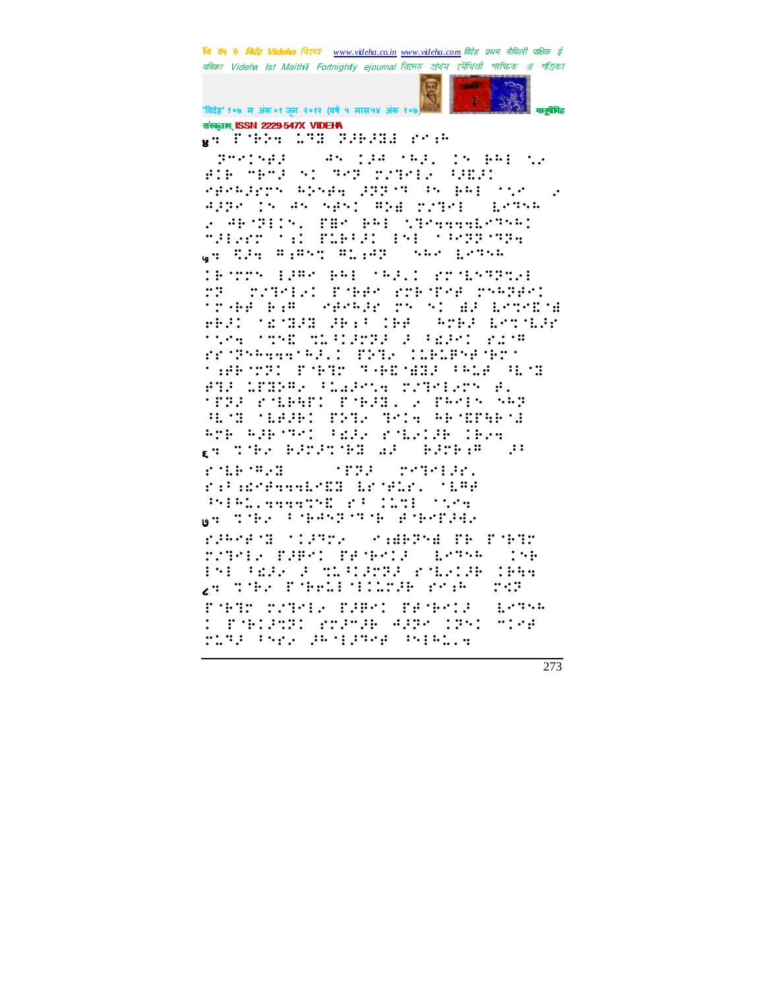बि एक रु *बिरोह Videha चिए*क www.videha.co.in www.videha.com विदेह प्रथम मैथिली पाक्षिक ई पत्रिका Videha Ist Maithili Fortnightly ejournal রিদেহ প্রথম মৌথিনী পাক্ষিক প্র পত্রিকা



## 'विदेह' १०७ म अंक०१ जून २०१२ (वर्ष ५ मास५४ अंक १० संस्कृतम् ISSN 2229-547X VIDEHA

yê Pjera 198 guedad prim

 $\begin{array}{cccccccccc} \mathcal{A}\mathcal{H} & \mathcal{V} & \mathcal{V} & \mathcal{H} & \mathcal{V} & \mathcal{H} & \mathcal{V} & \mathcal{V} & \mathcal{V} & \mathcal{V} & \mathcal{V} & \mathcal{V} & \mathcal{V} \end{array}$ BIB MEMP NI MPT TIMPER SHEED ependers novel drive by place over **APPA IN AN NAND REAL MOTOR (1875)** 2 ABYSION, SHR BAI (SPAAAALKTNA) MALGER SAL PLATAL 151 STREPHEN WHERE HENT RIGHT SAM LATER

IPTTP HARR PRESSREE PTSERTTER ra (realed formed reported reading trake kan sakeada ny young benyona PRINT NENROLE SEARCHER (PORT LANGER ting the million of Head and rrunneernd. Die Cabberrer MARTITI PATE TARTARI ING ALT STRATEGIST CONSTRUCTION CONTROL TER PALENT PARK 2 Personal and there from the medicine RTE RABITET FEAR POLICAB TERM pe the Baranned Wall Barber (a)

**STEP STREET** rildrendrom bridge (188 PHPL. SSSTER ST TIME TIME @q TP2 FMPPMM P PMPPPH

rakers tifty, rakers of court rrank flach fankil (Shaw (Se PHORES FOR CRIPE FOR CHE ga the Pobelfollowsk reak (202

PORT TIRES FRAG PROPER LETS I PACESI MERE APP CPC TOP ring they pacifical chially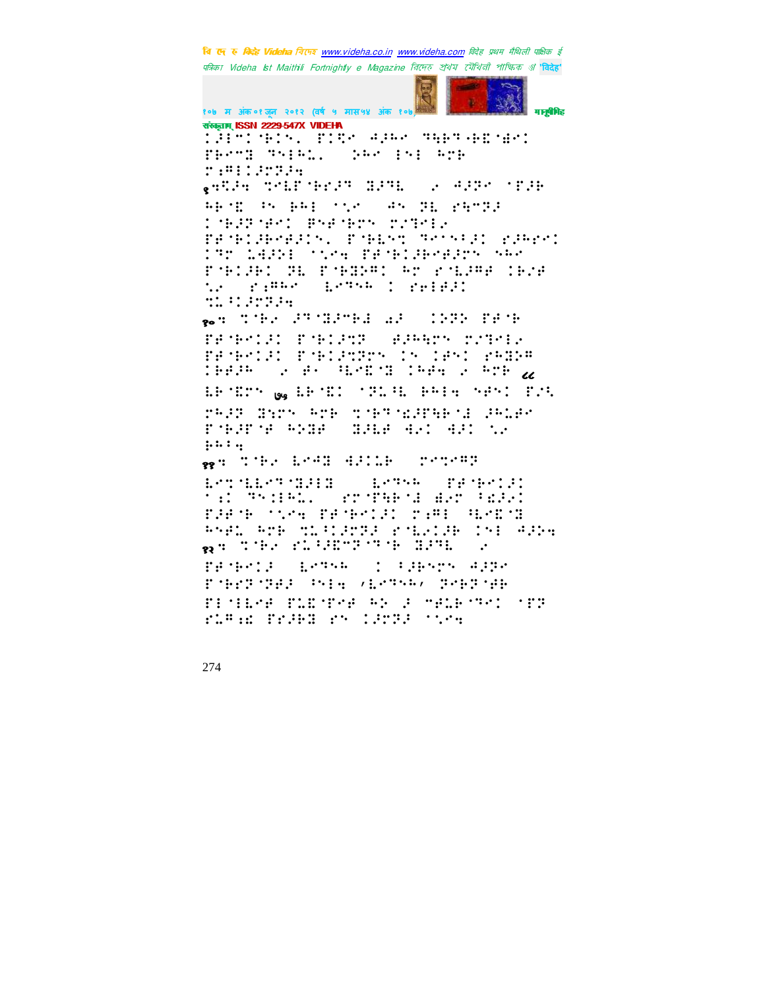बि एक रु क्विहे Videha विरफ्श www.videha.co.in www.videha.com बिरेह प्रथम मैथिली पाक्षिक ई पत्रिका Videha Ist Maithili Fortnightly e Magazine রিদেক প্রথম মৌথিনী পাক্ষিক প্র' 'विदेह'



१०७ म अंक०१ जून २०१२ (वर्ष ५ मास५४ अंक १०७) संस्कृतम् ISSN 2229-547X VIDEHA <u> 13051915, PIRK AJAK MAAR-AB'AK</u> **THOMA MAINS.** a jarah pada ang a **MARIO 2012-01 WEBSTART SERVE START START SERVICE** ARCH PH RAIL COMP AN TE PROTE **CONSTRACT BAROEN COOLS** PROBLEMENTAL POBLAT PROVIDE ENGINO **CRO LAPPE STORE PROPIPERENT SAR** rnin markov kradu poz the stamps define to redeed the Controller **SAN THE PROGRESS ARE SERVED** PROPOSE PORTAGE (RIPROS CATALA FROM PORTFOLIO 18 INC PARA tera a South Hollyn Chem of Are 22 LE MONT <sub>De</sub> LE MONT TRUSE (ERES TRENT FOR rage dynk and the might is galer rnore som man all direct  $......$ <sub>22</sub> STEP LOAN APILE (POTOR) ESTALFANDER ESTAD PRAPTE til Prikli (romannischer Regel FARTH TOME FROM COUNTRY RESEAR Angl Are nighters rolling (no guya **REACT THE PERFORMANCE SERVICE**  $\ddot{\phantom{a}}$ PROPOSE ESTAR (1980) PRATA APPA Pobracana (Sig), Estat (Santa Cara FINING PLENGE AN 3 MALENAS MPF flam Hill re 1973 tie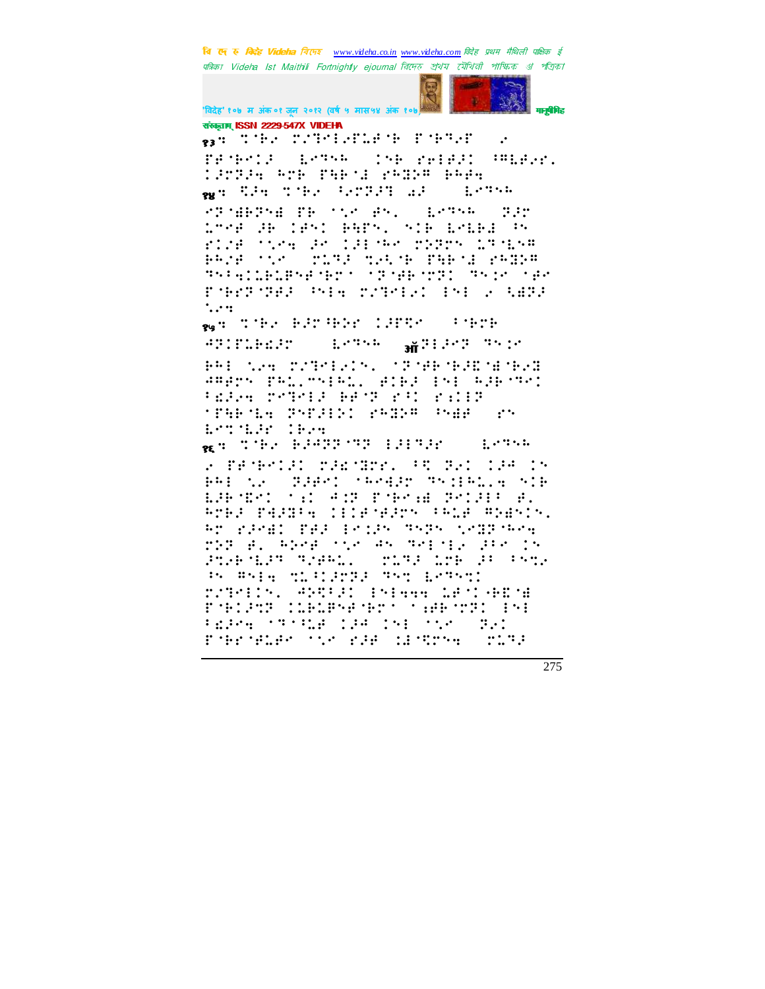**बि एक रु** *बिर्दह Videha विए***नर** www.videha.co.in www.videha.com विदेह प्रथम मैथिली पाक्षिक ई पत्रिका Videha Ist Maithili Fortnightly ejournal রিদেহ প্রথম মৌথিনী পাক্ষিক প্র পত্রিকা



## 'विदेह' १०७ म अंक ०१ जून २०१२ (वर्ष ५ मास५४ अंक १० संस्कृतम् ISSN 2229-547X VIDEHA

03: THE PERISTLE'S POSTER  $\ddot{\phantom{a}}$ TANDALI LATHA (196 PAIARI AMLAS) 195994 AMB PAB-18 PAGDA BARA we the the bright and drubb

romanche che pri laro di contro Love 28 1951 BAPS, SIR EVERE PS FIRE TORE AR ISENED PREPRODUCED PROFILED TO THE THEFT OF THE CONTROL THE BILELENE METAL AT MELOTIC THAN A SPA PORTUGAL PHALOGRAPH PHILALERS  $\ddotsc$ 

post within Burnster Custom Construct

**APIPLEMAP ENTAR WHIPE THIS** 

PRESSURE CONFEDERATION OF MEMBERSHIPPING AREN PROSTNIKO BIEJ 151 RJETRI PERSONAL PROPERTY AND ANISA **TERMA SYCHOL PAGE PARE** ⋰ Letthier Ches

**REACTION ESPERING ESERSE COLVEAN** 

a penendah papahang an pada dan din BREAKS STREET SPARED TRIBLES NIE LARGED TEL AND PORTABLE AL RTEA PAAREN CICA'AARTA FRON ASANCA. RE PROBLEMA BOOK TORO NORTHAON THE B. REAR CONSIDERED BY BROOK anye maso salesi, o anye inde de ceny Promote that House Tot Letter ratelly, spread infeed Lendershi POSITY CLEARANTY THEORY IN Pages of the 198 151 one (PP) Policement of EAR (Active Collea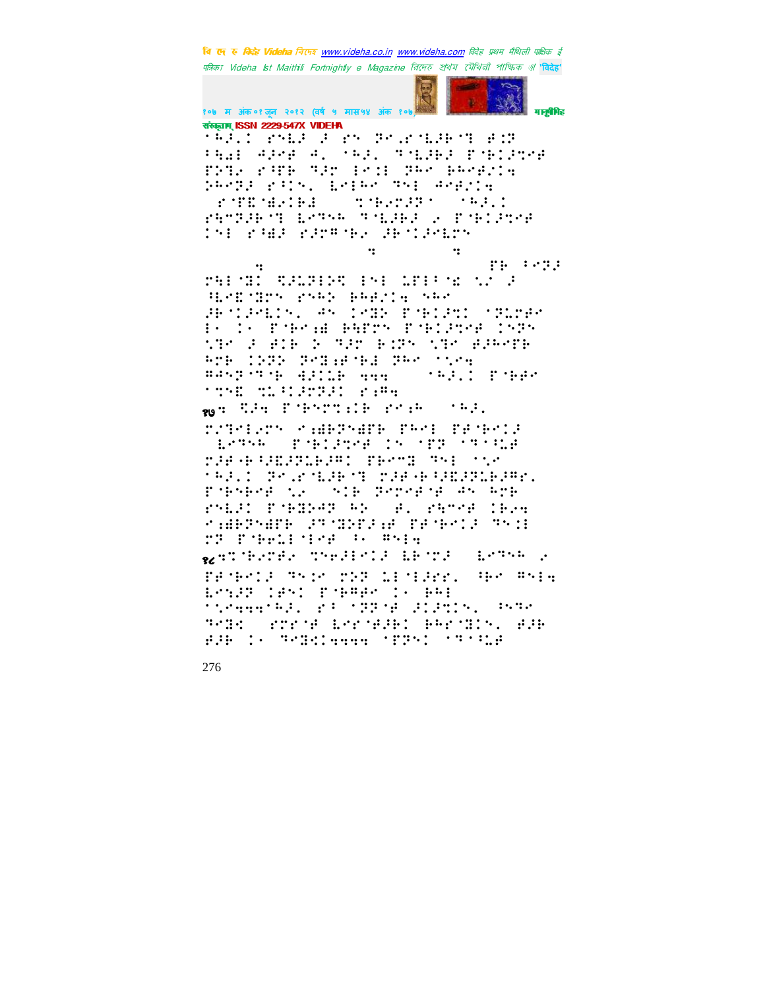बि एक रु क्विहे Videha विरफ्श www.videha.co.in www.videha.com बिरेह प्रथम मैथिली पाक्षिक ई पत्रिका Videha Ist Maithili Fortnightly e Magazine রিদেহ প্রথম মৌথিরী পাক্ষিক প্র' '<mark>विदेह'</mark>



 $\dddot{\bullet}$ 

१०७ म अंक०१ जून २०१२ (वर्ष ५ मास५४ अंक १०७) संस्कृतम् ISSN 2229-547X VIDEHA

têj. Danbi 2 an delamber eld PAAL APAR A. SAD. THIBB PADINAR PRIS PATE MAY LETE PRO BROADLY PROTE PAIN, LOIRO TSE ROBOTA **STEPHATES**  $\mathcal{L} = \{ \mathbf{r}_1, \mathbf{r}_2, \mathbf{r}_3, \mathbf{r}_4, \ldots, \mathbf{r}_n, \mathbf{r}_n \}$ PROFINCE LOOK COLLER & PORTPOR Informal rangues abovance

TH POIL PHONE RELEEN ENE LEEPE NOONG HERITING PARK PARTIE SAR ARTIANIS, AS ISBN PORTION TROPHS EK IK POPSA PATOS PORINGE ISPS the a gift to man fine the gamery ATE ISTS TOTHERNE THOUSAND ##SPYPYB HILLB HAA ( TRILL FYBBS **TOSE ON HISTSEL FIRE** 

gga S.P. Polycolle cole  $\cdots$ 

rathers campsare peopleshed: **LOTAR PORTION IN MEDICINE** references results and the **TRACK BROWNER TO WARRENT CONTROLLERY.** Portra New Sir Bereford An Arr ryall popular alo el rande leva rampyare promotion researchers **MI PARLEMAN B. Byle** genomerne investeds de ma colemne le PROPOSE THIS TEP LEOLEN. HE THEY **MONEY WEST PORTHER IN BRI** SteamerPlay of STRIP 202015, PSP Prime ( and the Log thing) graphics ( High BUB 10 SPREEDWARE SPRAINS STAR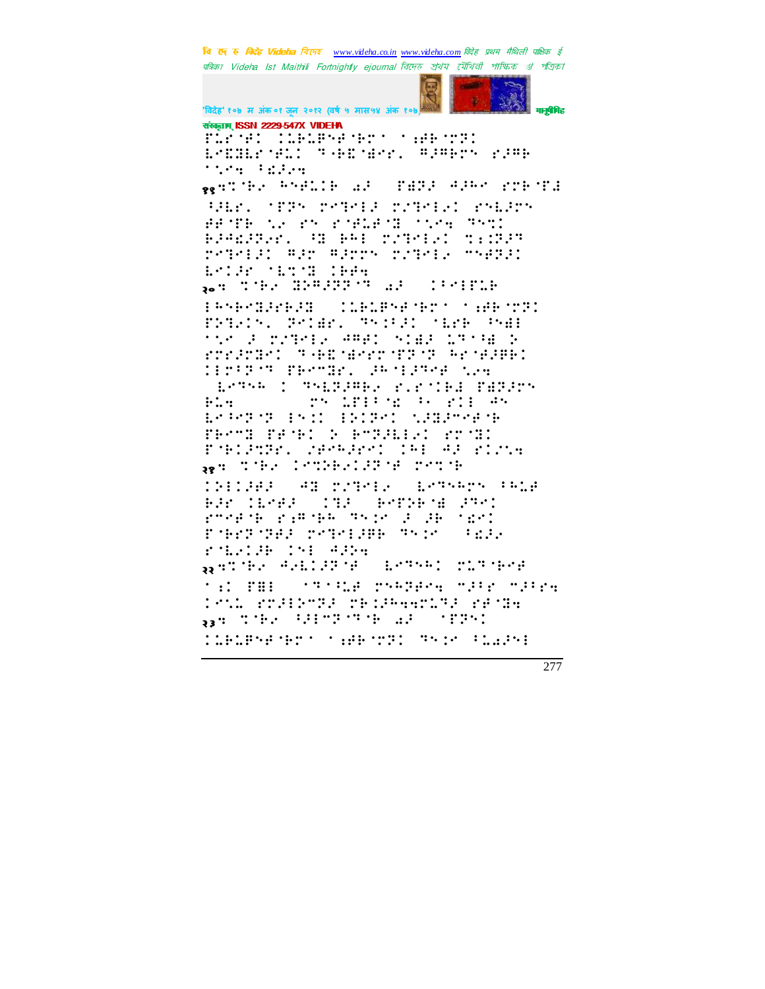वि एक रू विरोह Videha विएक www.videha.co.in www.videha.com विदेह प्रथम मैथिली पाक्षिक ई पत्रिका Videha Ist Maithili Fortnightly ejournal রিদেহ প্রথম মৌথিনী পাক্ষিক প্র পত্রিকা



'विदेह' १०७ म अंक ०१ जून २०१२ (वर्ष ५ मास५४ अंक १०। संस्कृतम् ISSN 2229-547X VIDEHA rifus computer tubers E-BOOK-ALL THEODYNE HIMES FINE **Time Pales** penditus Anglile ad (PAPD AdAM spectra SALE, TERN PERSON PUBLIC PREADS PROTECTA STATEMENT COMMA PROD BRANCHING HE BAI MUNICIPAL MENSION reneis: #3r #3rrs reneis ms#B3: **Brile March Ches** post the description are created *insuriguent* **MANUFACTURE 1997** PRINCE POINT TENNIS MER PAN TAC POTER ARE SINFACTOR S rninget separatringen eragen Hrtri Hendr. General Le ESTAR I TALBURES KINIDE PERUTA ry driese a sil av  $\ddot{r}$ . ESPECIAL BRIEF MERCHE FRAME FROM S ROBBERT PROB Pobleski jakobnično de Pirtu agn Tibe Condector a rough INICHA AN MANIA (BASANA PALA **THE BOOKSETH STAT** Bar Marga rmente rapide delle different PORTUGE TERRIFICATO CALL robeigh in: 4254 marking the second property Lense: Minseed til PB: (191826-2562854-2232-22324 Cond refered recommended rena 339 TORE FRIED TOR WAS STEPNE **CLELBYFYED MYSER MACH AND RELEVE**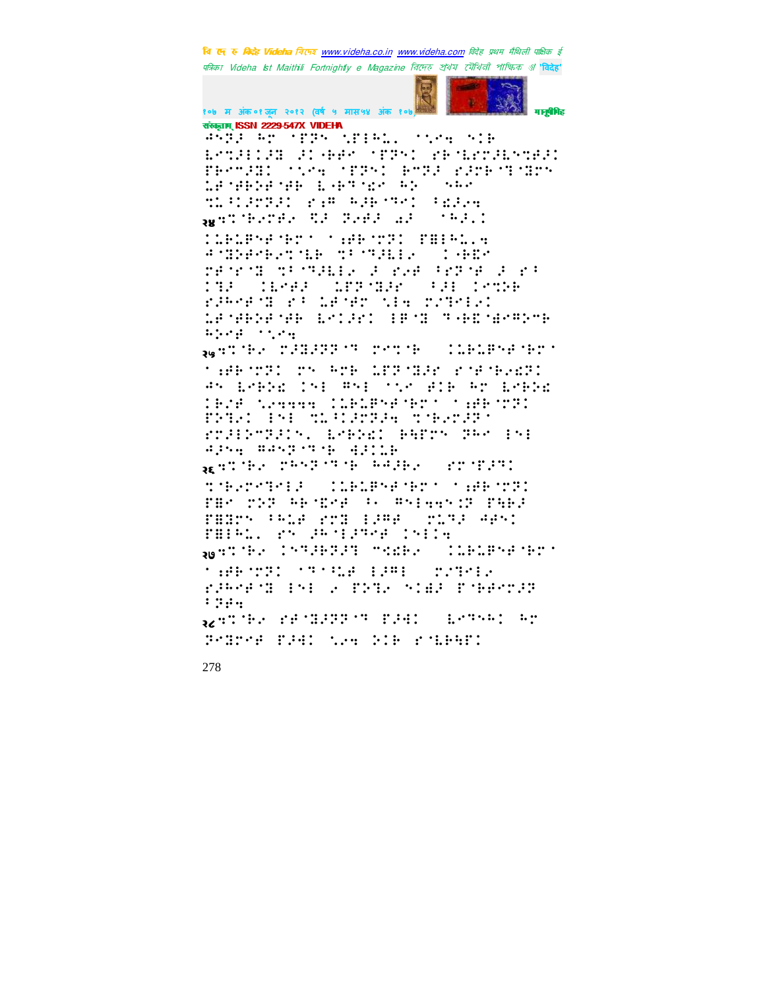बि एक रु क्विहे Videha विएक www.videha.co.in www.videha.com बिदेह प्रथम मैथिली पाक्षिक ई पत्रिका Videha Ist Maithili Fortnightly e Magazine রিদেহ প্রথম মৌথিরী পাক্ষিক প্র' '<mark>विदेह'</mark>



१०७ म अंक०१जून २०१२ (वर्ष ५ मास५४ अंक १०७) संस्कृतम् ISSN 2229-547X VIDEHA WRIGHT TERS WEEKLY TYPE SIR ESTATIVE ALGER STREET PROBABINGER

FRAMERI (1984) (FPAI) RMPE VERRORING de representé d'ap<sup>ar</sup>igó dipl  $\ddots$  :  $\ddots$ TERRIC PROGRESS REPORT aged thereby diff deed all (1991)

**TERENAMENT SARTIS PERSON**  $\therefore$   $\therefore$   $\therefore$ **ANDREWSHERMAN** 

renna d'Alabes a rue franc a ri ni (Bai 1778) al la cate ramens ra dener tie rathelt LA SARGA SAR (LAIGEI) (EASIL AGAINSARSAR Adenas (1920)

agencies charactering concerns and allenging reco

**THE TEL TY ATE LEFTER FIRENCE** An Espher (n: An: Sir Alb Ar Esphe TEMP SPAARS (IPIPASES) SARKST FRING ENE MISCRIPH MOBRING FTJERTIJS, LAPRED PATTY INA ENE Ago, maspere gride

RESULTING THAT THE HAPPY CONTINUES.

thermal Classenro (Abort FBP 2003 AB-2008 (A SAINANCIS PARI FARTY TALE FOR 1988 (TLTD ABY) FATAL STORAGINA INT

mente (Stabal Schel (Margarett) **THEORY ORDER EPH STREET** 

rawers in a fill nime was removed  $\ldots$ 

Renoted recognizes radio administration Prove fiel the Sid ruder: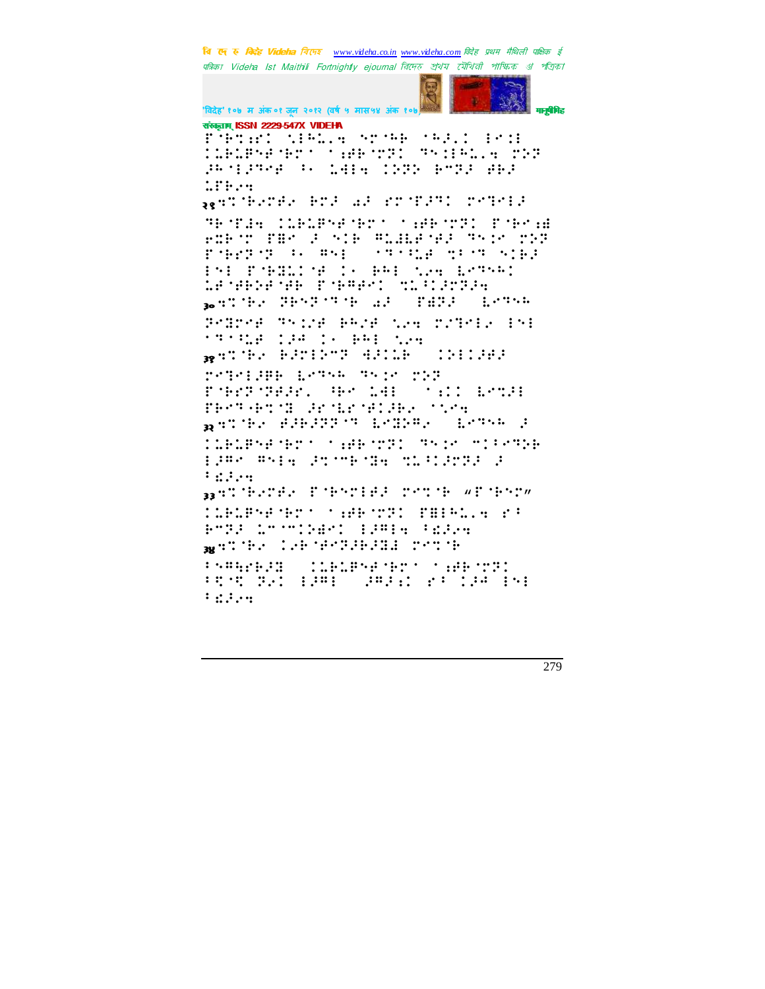**बि एक रु** *बिर्दह Videha विए***नर** www.videha.co.in www.videha.com विदेह प्रथम मैथिली पाक्षिक ई पत्रिका Videha Ist Maithili Fortnightly ejournal রিদেহ প্রথম মৌথিনী পাক্ষিক প্র পত্রিকা



संस्कृतम् ISSN 2229-547X VIDEHA FARING SPOLA STAR (PRID PAIR)<br>INFORMATION (PRID PSIPOLA TVP) aktrona () 1914 (191 kral 86)  $1.111...$ Restaurantes de la provincia de la THOTAG CONDITATION CONTINUES TO THE CONTINUES. PORT FOR 2 SIR RUBBAR REPORT policie in map  $\mathcal{L}^{\mathcal{L}}(\mathcal{L}^{\mathcal{L}}(\mathcal{L}^{\mathcal{L}}(\mathcal{L}^{\mathcal{L}}(\mathcal{L}^{\mathcal{L}}(\mathcal{L}^{\mathcal{L}}(\mathcal{L}^{\mathcal{L}}(\mathcal{L}^{\mathcal{L}}(\mathcal{L}^{\mathcal{L}}(\mathcal{L}^{\mathcal{L}}(\mathcal{L}^{\mathcal{L}}(\mathcal{L}^{\mathcal{L}}(\mathcal{L}^{\mathcal{L}}(\mathcal{L}^{\mathcal{L}}(\mathcal{L}^{\mathcal{L}}(\mathcal{L}^{\mathcal{L}}(\mathcal{L}^{\mathcal{L$ PH PARING IS BH AN ESTAI LENHING ENFRANCIERS **W**ATTER TEST THE WE STATE ( LATSE Polyce Shire Pere the ritele in: **STARR DEACH PRESSING** BRITTEN BUTINET HUILDEN INICURU 20301386 Longa 3510 223 PORTUGAL ARTIST CONTROL PROGRESS DE SECRETARIA mente subsprite benes (benes d CLELBYFORT CORPORE SYSTEM STREET EPRO RNEW POSTECH SLATERE P  $4:2:4:4$  $_{33}$  = T (Ferrie ) I (Formisis) requires with Form  $\pi$ **CONSERVATION CONSERVATION IN A POINT AND A POINT A POINT A POINT A POINT A POINT A POINT A POINT A POINT A POINT** 

8723 177713871 13814 FEJ24 mented lebtersesse rente

TSPACES INFORMATION (APPOSIT)<br>PRODUCTS ISPID SPEED 29 194 ISI Parties.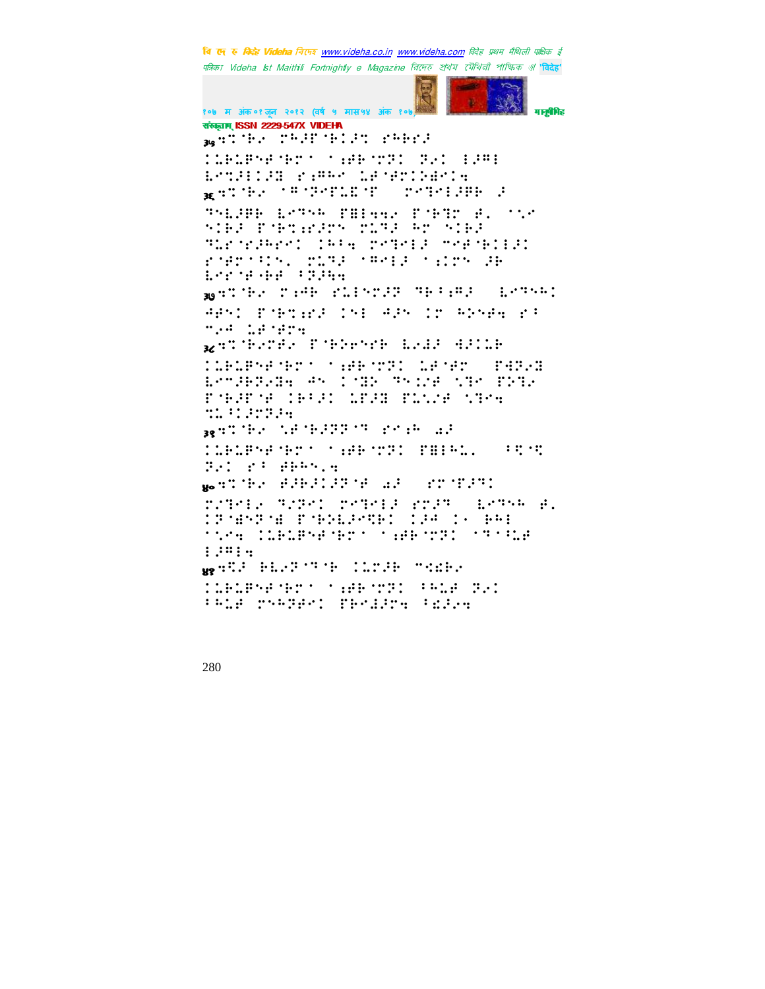बि एक रु क्विहे Videha विरफ्श www.videha.co.in www.videha.com बिरेह प्रथम मैथिली पाक्षिक ई पत्रिका Videha Ist Maithili Fortnightly e Magazine রিদেহ প্রথম মৌথিরী পাক্ষিক প্র' '<mark>विदेह'</mark>



१०७ म अंक०१ जून २०१२ (वर्ष ५ मास५४ अंक १० संस्कृतम् ISSN 2229-547X VIDEHA **B**SILES PRAPARTED PRESS CONCRETENT SHENGED BAD BOWS ESTATION POWER LENGTINGSIN RESULTING A SUPPORT AND THE CONTROLLER OF THERE ESTAR PHINNE FORT B. TV SIEF PORTECTS TIME AT SIEF Sirnaben: 1664 redela merdella: remote mass cando con de Lerestar (2004) most the right rilergy matched (lemma) APSI PORTHER IST APS IN ADSPECT must be recht petieres Pobberg Lada Adile **CONSENSATION CONSENSATION CONSENSES** ESTABALE AN INEX TRIM NEW PRES FORTH WORLD MONTHLING TO **MARISHING** sent the controller to an ad-**CONSENSATION CONSENSATION CONSENSATION** Sil St Abby. watter BRBISTA af Schiff rodela dodel redell'arigo (Ledsa al CRYBYRYB PYBREAGHD CAR CY BAB **TOPS CONDENSATOR POSSESSION SECTION**  $: . . . . . .$ <sub>we</sub>wall bisang ng Tinab membe CLELBYFORT COMPOTED FRIE BY: **FALE TYPERED TRAINER FERRY**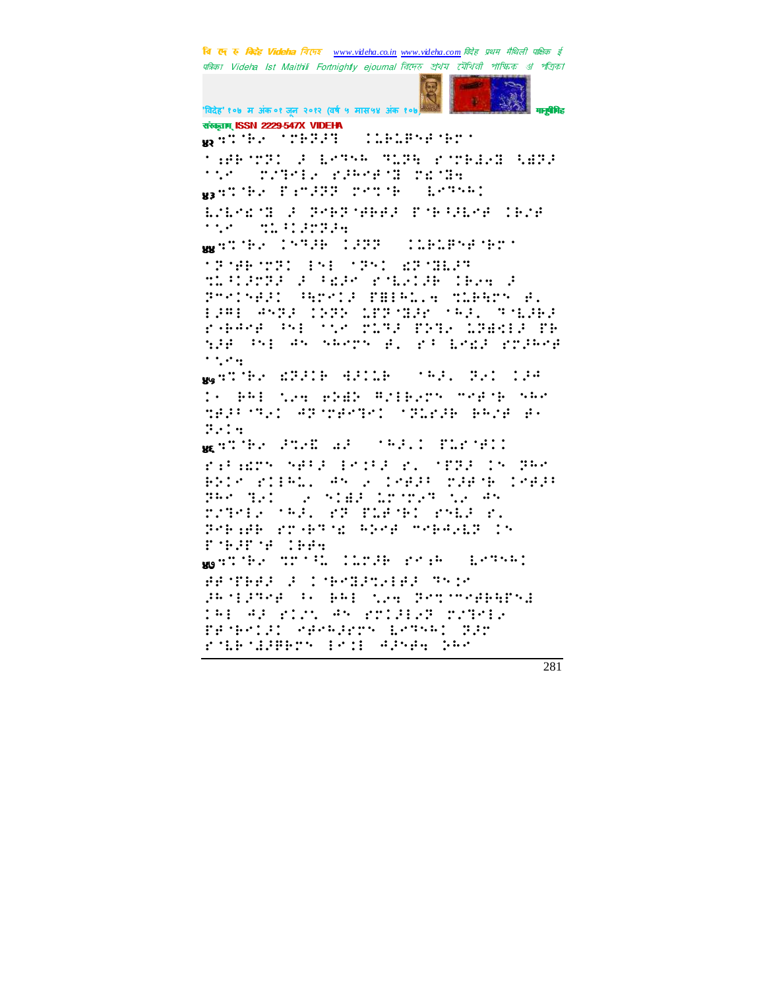**बि एक रु** *बिर्दह Videha विए***नर** www.videha.co.in www.videha.com विदेह प्रथम मैथिली पाक्षिक ई पत्रिका Videha Ist Maithili Fortnightly ejournal রিদেহ প্রথম মৌথিনী পাক্ষিক প্র পত্রিকা



'विदेह' १०७ म अंक ०१ जून २०१२ (वर्ष ५ मास५४ अंक १ संस्कृतम् ISSN 2229-547X VIDEHA **CONSERVATOR TANKTON A LETER TIME POTERED RATE MARK CONTROL STATE ME DEMON** watched Pangga perik (Aegoki LARAN F POSTOBE PREBRA ING the millioned WHIPPER INFORMATION CORDENFIED **TRIMEINAL ENE TANS WATHER** tillere a larg rigidh legg a Photogal Herola PHIPL.4 SLEADY B. EPRO ANTE (1972-1873-1982) (PAEL STALER) race be the CIPS TRIP CREEP TR the still an increase all as beam armore  $\mathcal{L}$  ,  $\mathcal{L}$  ,  $\mathcal{L}$  ,  $\mathcal{L}$ Westler EPPIE HPILE (1992, Priorie In BRE the BDBD ASEBSTA TRACK SAM MARK MAIL AR MARKBRI (MRIARA BRIAR) AR  $7.14$ WANTED PODE AP STREET FOR MELT right and definition of the control of the BRIC PIERL AN 2 IMPROVEMENTMEN PRODUCT SOMETIME TO THE SAME rand (s. alan language de Preside crodence bard crode.edu.co **TOBBOS CREW** mentike trill lingk energy between RATHAR S CORTESIAN TYPE *photoman in this was proceedered* TAE AP PICS AN POIPERT COTMER PROPOSI SPORADOS ESTARI PAD rdbusser Pod Ara 250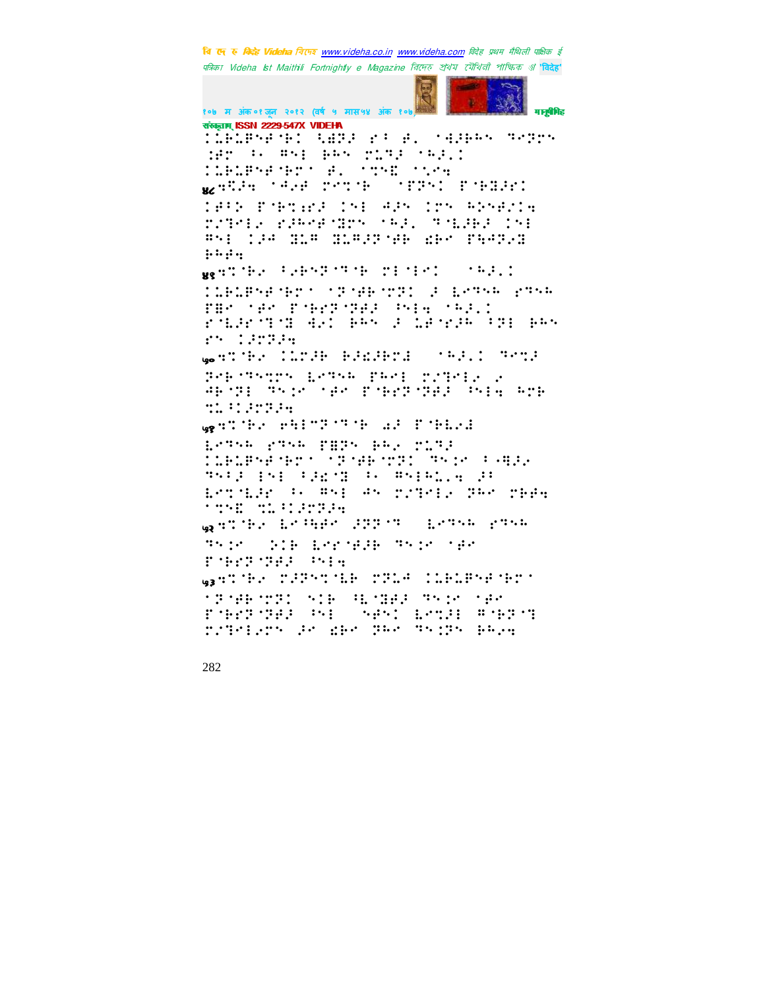बि एक रु क्विहे Videha विरफ्श www.videha.co.in www.videha.com बिरेह प्रथम मैथिली पाक्षिक ई पत्रिका Videha Ist Maithili Fortnightly e Magazine রিদেহ প্রথম মৌথিরী পাক্ষিক প্র' '<mark>विदेह'</mark>



१०७ म अंक०१जून २०१२ (वर्ष ५ मास५४ अंक १०७) संस्कृतम् ISSN 2229-547X VIDEHA CLELBYFYEL RAPP BY F. YAPERY MYPPY HP W WH HP TITE MALI CLELENE GROUP, CONSEQUING<br>WARPEN CORPORATION CONTROL **APRIL 1999** TARE PORTHER INFORMATION RENACTOR rately remember only where the ski ja zis zistra de ze regeri  $......$ went that farmly the states of the states TIPIPSP SPOKET PROPERTY IN EXTANSIVE THE SAM PORTUGAL PAIR SALL rdardia est em la vel (PP) em an caraa Personale Leona Pael Critele a AB THE TRIP OF A PORT PREPORT IN EXECUT misterale wenter earning the all popular Lense grae para bel cine CONDENSAME TO MANAGEMENT CONTROL AND A THE PHORN CONTROL OF Estile Work as the president part read **THE MANUFACTURE** wenth, Essays (PP) - Essay pass Thir (216 LeroB36 Thir 197 PORTUGE PHA we have the state of the construction of the state of the state of the state of the state of the state of the s **SPORTSEL SIR SECRET TOOL SPO** PORTUGE WE SAND LOCE FORTU rranders an den abn mscas belg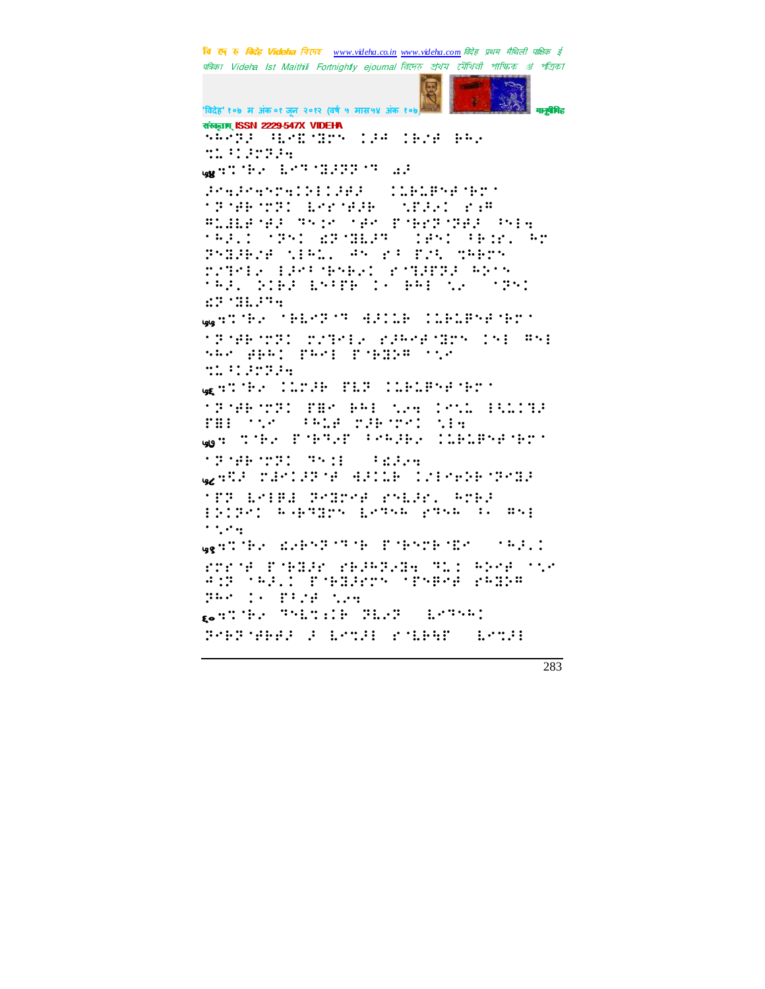वि एक रू विरोह Videha विएक www.videha.co.in www.videha.com विदेह प्रथम मैथिली पाक्षिक ई पत्रिका Videha Ist Maithili Fortnightly ejournal রিদেহ প্রথম মৌথিনী পাক্ষিক প্র পত্রিকা

'विदेह' १०७ म अंक ०१ जून २०१२ (वर्ष ५ मास५४ अंक १० मानीमिह संस्कृतम् ISSN 2229-547X VIDEHA sképe greformus (pa java akr misterne west the definition of **CLELBY# 1EM** 3043045241311383 **MEMBERSHIPS**  $\sim 122.1 \times 10^{12}$ BLILENED TYPE NEW PORTUGE ONE Test Petro Ar PRINKE MEAL AN PROPERTY rathis isn'indred rations by tel MBS ESTE IS PRESS STORE d2 131.374 Westify (PEPT) GRILE CLELPHORT **TRIBUTE: TATHER PARTERS INE THE** sar gaa: par: pranse rur **MARISHER** genore Class FLP Claimentor 1978-721 EBM PH NAM 1911 BILITA<br>EBC 118 - PALE 235-781 NBA we the Post form and the Second thro **SPORTS TO BE**  $\mathcal{L}$ :  $\mathcal{L}$ <sub>90</sub>HR2 - Marti2Port (H2)12E - 121Prr2EoPrd2 'TT LAIBE TATTAR PALIE, AMÉR principal and signal provided and service and service and service and service and service and service and service  $\mathcal{L}^{\bullet}$  ,  $\mathcal{L}^{\bullet}$  as Gentle debthine Pibthibic (1931) rore female release all ever the **ANY MARINE EMBRETY MENAGE PARAM PRACT PROPERTY** positive This Middle (1895) POSTOBER FIRME FORBER 1893: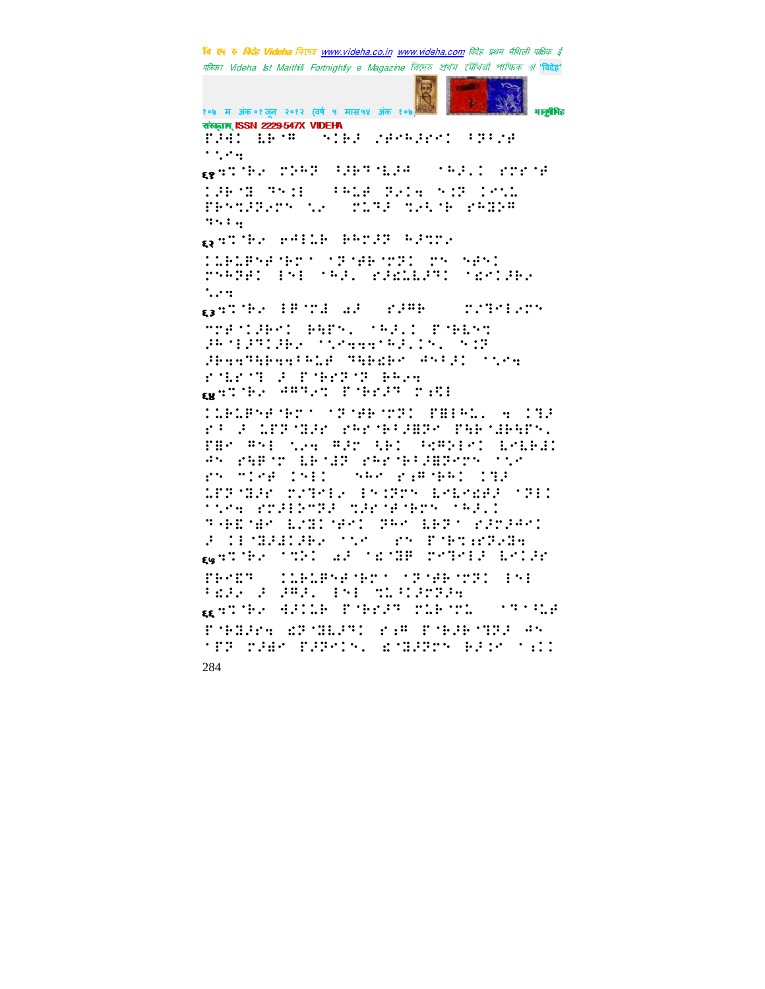बि एक रु क्विहे Videha विरफ्श www.videha.co.in www.videha.com बिरेह प्रथम मैथिली पाक्षिक ई पत्रिका Videha Ist Maithili Fortnightly e Magazine রিদেহ প্রথম মৌথিরী পাক্ষিক প্র' '<mark>विदेह'</mark>



१०७ म अंक०१जून २०१२ (वर्ष ५ मास५४ अंक १०७ संस्कृतम् ISSN 2229-547X VIDEHA

THE BEST SIER MASSERT TRIME  $\cdot$  .  $\cdot$  .

esting the second control of the second control.

DARTH THIS SALE RAIN NORTHER FRANKFATA NA CONSTRUCCIÓN PARAM  $3.44$ 

ast the establishment sender

CONFIDENTIAL CONTROL CONTROL readed informationalized render  $\ddotsc$ 

gander (Pondoad) every 22321225

TTESTING NUTS, SAILT FORDS JR SIPPLIER STRAGGETERLIN, SSP Heathbanttin their dull tid ring a recogness gender denen Pobele ben

<u> 116184487 - 1246-121 - 1866 - 1967</u> r: Plannar recenter method. FBP #51 524 #25 561 PO#2101 EPERI AS PARTY LETIN PARTERSHIPPIN TIP grad model (1931)  $\sim$  540  $\pm$  (H) (H) (H) (H) LEPTER CORTE PACES ESERGER TRI **TAPE POSSETS ASSOCIATE** THETER ENTIRES THAN ERTY PITIARS FOR THE PERSONAL CONTRACTOR egan the contest cash of the method is a best se

**CONDENSATION 1980 1991 1992 PERMIT** PEAK A ARAL INFORMATION

ERSTRAGENT PROFILE  $\mathbb{R}^n \times \mathbb{R}^n \times \mathbb{R}^n$ rjenica arjonici cap rjeđejnica.

**TEP CAR EARTS, RIBARY BASE TEC** 284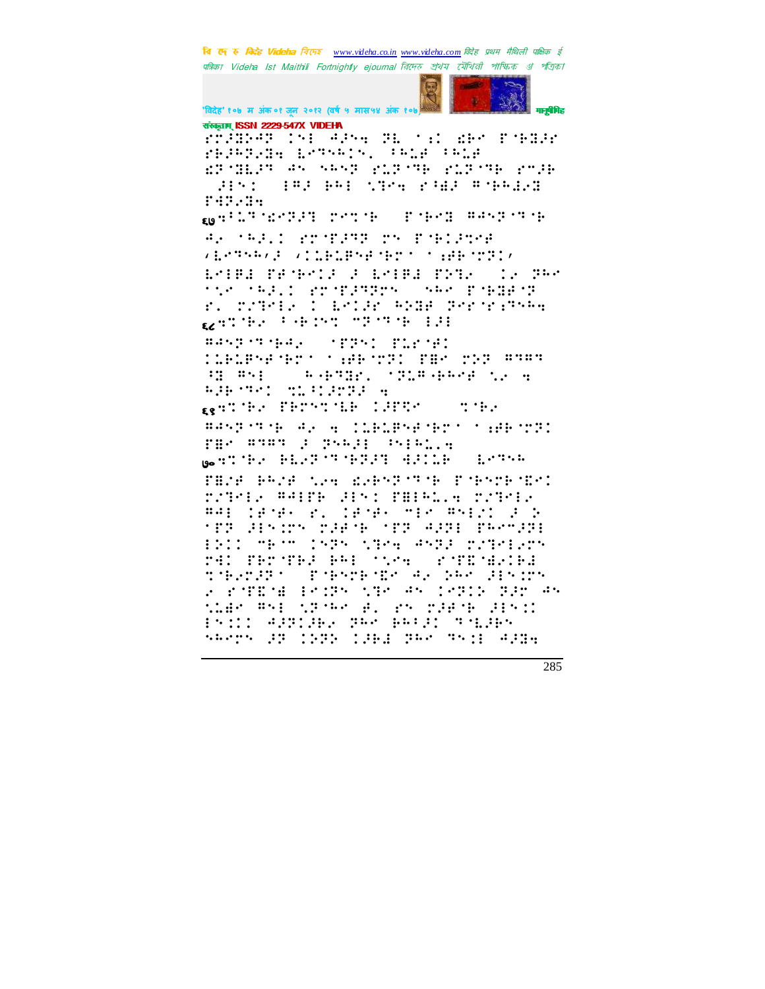वि एक रू विरोह Videha विएक www.videha.co.in www.videha.com विदेह प्रथम मैथिली पाक्षिक ई पत्रिका Videha Ist Maithili Fortnightly ejournal রিদেহ প্রথম মৌথিনী পাক্ষিক প্র পত্রিকা



'विदेह' १०७ म अंक ०१ जून २०१२ (वर्ष ५ मास५४ अंक १०। संस्कृतम् ISSN 2229-547X VIDEHA rřígina (sp. 4254 gr. 191 gen pjedik PROPOSE ESTATAL PALE PALE EPSILP AN NAMP PLP MA PLP PROPER HS: HR PH STOR PHP PSPART renonment and the second of the second second control of the second second control of the second second second second second second second second second second second second second second second second second second second seco AF MAIL STORAGE TH PORTAGE **VERTHALL VIGELENE NET TO BESTED** LAIRE TRANSVILLE LAIRE TYTE (100 THA MACHAEL STREET CAR PARENT r. T.Tele : 101/12 5518 Territors general Person Sports 191 ##SPYPE#2 (TPSI PLETE) TIPLESH SPY ( ) BR STIL THE TIP CHANNEL **A. BASHING AND AND ARROW**  $\mathbb{R}^n$  and  $\mathbb{R}^n$ Albert sitter . <sub>ce</sub>stify fronth LHTP  $\mathbf{r}$  :  $\mathbf{r}$  : ##SPYPYB #2 A CLELPSFYBY TO HBYTE FBP #3#3 2 PSAPE SHIAL.4  $\mathbb{R}^{2n}$  in the first state  $\mathbb{R}^{n}$ **00:00 PERFIT PERMIT REALLY** FEAR PRAP NAM WARNT THE FORNIE (EN) rately mairs give release rately BA: CRYBY P. CRYBY MER BYEND ROCK trê Dislos olarak trê girê restirê EDII MESMUINEN STAAT ANEZ COTALOON MAI PROTES RAE SAMA COTENENEE there we have the serve that the serve 2 POTENE EXITY NTP AN IPTID TEM AN MAR PHE MESPO BL PS MARCH ADSI PAIL ANTIBA NAM BAGI TALHA **SARTS AN INTE IABA NAR SSI AANA**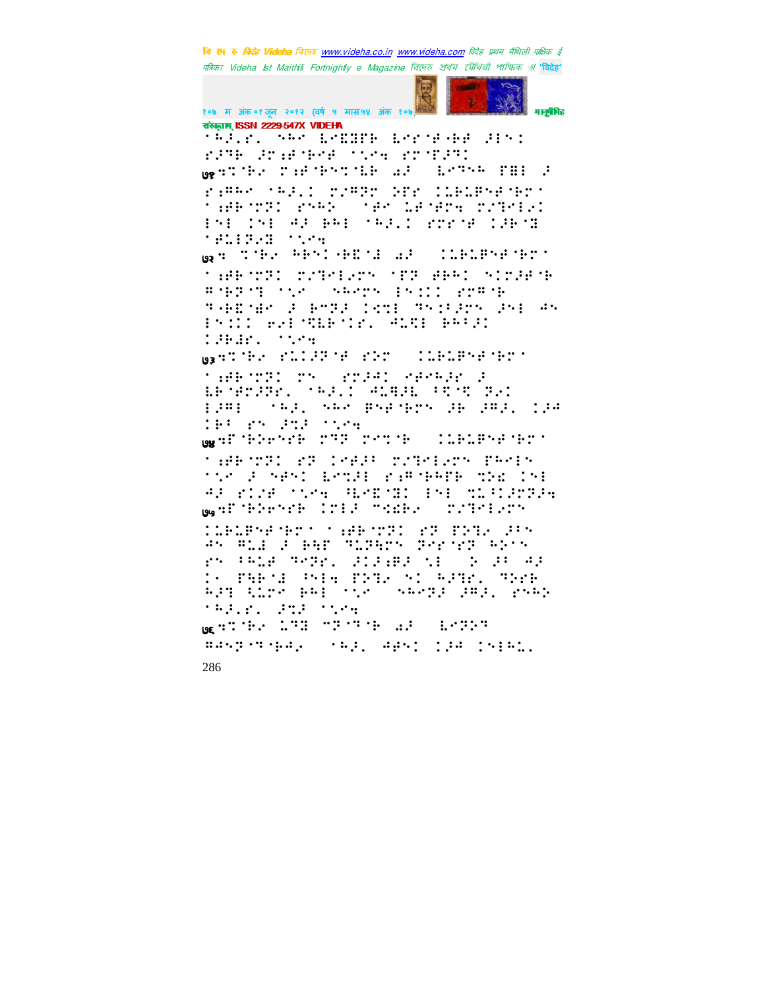बि एक रु क्विहे Videha विरफ्श www.videha.co.in www.videha.com बिरेह प्रथम मैथिली पाक्षिक ई पत्रिका Videha Ist Maithili Fortnightly e Magazine রিদেহ প্রথম মৌথিরী পাক্ষিক প্র' '<mark>विदेह'</mark>



संस्कृतम् ISSN 2229-547X VIDEHA tagger sam behold beredag gist rank arended the rrober **Gentling The Terry Line ad College PHICA** ramen religionerro dirigionerren taërong: angel (den 1878), nogheral PHOTOS AP RAI TRACT POPTR CORTE **MANUFACTURE** most the RESIGNAL af (1161856/Br) talkorl reklar (fr. Akko serang  $\mathbb{E}\left[\left\{ \frac{1}{2},\frac{1}{2},\frac{1}{2}\right\} \right] \leq \left\{ \frac{1}{2},\frac{1}{2},\frac{1}{2}\right\}$ **Suprements for the Second Seconds** THE NEW POST COST TRIPP (PHILIP ESIL PRESENT AND PROP Tabar, Mary **BRACE STATES SECTION CONSIGNATION** ta#fr#1 rh (rr#41 geg#2) BROWNER, MARIE ANNER PROVINCI EPRESS MADE SAM BREMEN OR ORDER 19 TER EN 252 COMME **GRAF SPRESSEN 277 2002 16 - CLELPSE SETS** ta#Front of Compa conclete prole TO POSSE ESTE PERTETE TRE INE AF RINE TORE ALREADY ENE MISSINGER **WAS TERMINED IN EXTREMINING THE SERVICE SERVICE CLELPSHORY CONFORT 27 FRIE 205** as what a par Girard derivations PS PALE ROBEL SISHES NEW DOCK AP In THE WORKING TOTAL MOVING THE **APP MODE BREETON Surprished State TRAVEL AND TIME BEACH THE STATE AND LARGE SERVICE** Basgereal (this ags) (20 1536)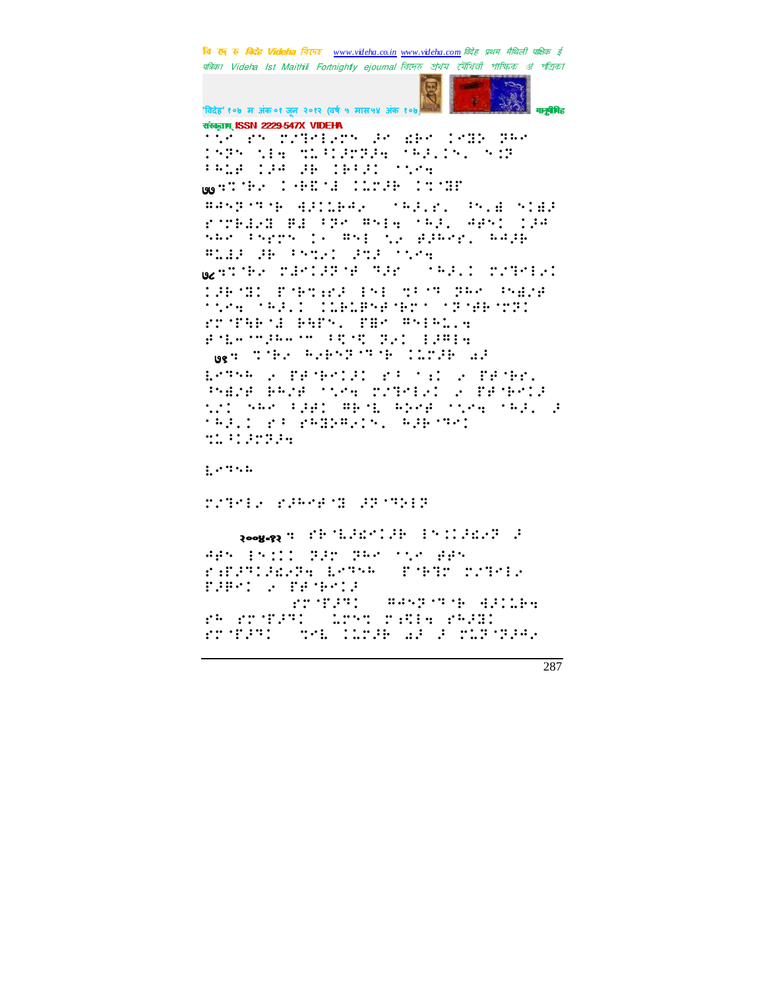वि ए रु क्रिडे Videha विएक www.videha.co.in www.videha.com विदेह प्रथम मैथिली पाक्षिक ई पत्रिका Videha Ist Maithili Fortnightly ejournal রিদেহ প্রথম মৌথিনী পাক্ষিক প্র পত্রিকা

'विदेह' १०७ म अंक०१ जून २०१२ (वर्ष ५ मास५४ अंक १०७ मानुबैमिह

संस्कृतम् ISSN 2229-547X VIDEHA tic resulting and are composed 1575 MH MIRIPER MARINE STR **TALE 134 SE 18731 (1974 WORTH: I-PENE ILMIP INNER** 

##527716 4211642 (192.2. P.A. 5142 romaga es tre especial, apsicila<br>saectspris is esposito elementada BLEE HE PATE: PTP TIME went the charter the first of the concerned THE MILL PORT AND SENSE MAY THE SPACE RELAT tives that I coaldanging the transfer POSTARIA RADY, THE PRIROGA #1161078610 PENT BEL 12814 west the beboride first as

ESTAR A PROPOSICATO VIL A PROPIN PARTE BRIE STORE MITTERS & PROBOTS the same representation and considering or SARIO ES PARABAIN, APROXEI  $11.41.417744$ 

 $L$  and the field  $L$ 

**TIME REPAIR SEMPLE** 

Roomer The Management of the Same Research

APROINCES BEN BAR SCHOOL ranstialsk bette finer retter rand a reduct From Park Company Research **PH PENDING ANTERNATION** POSTERI (SPECIENE AF FORÊNHA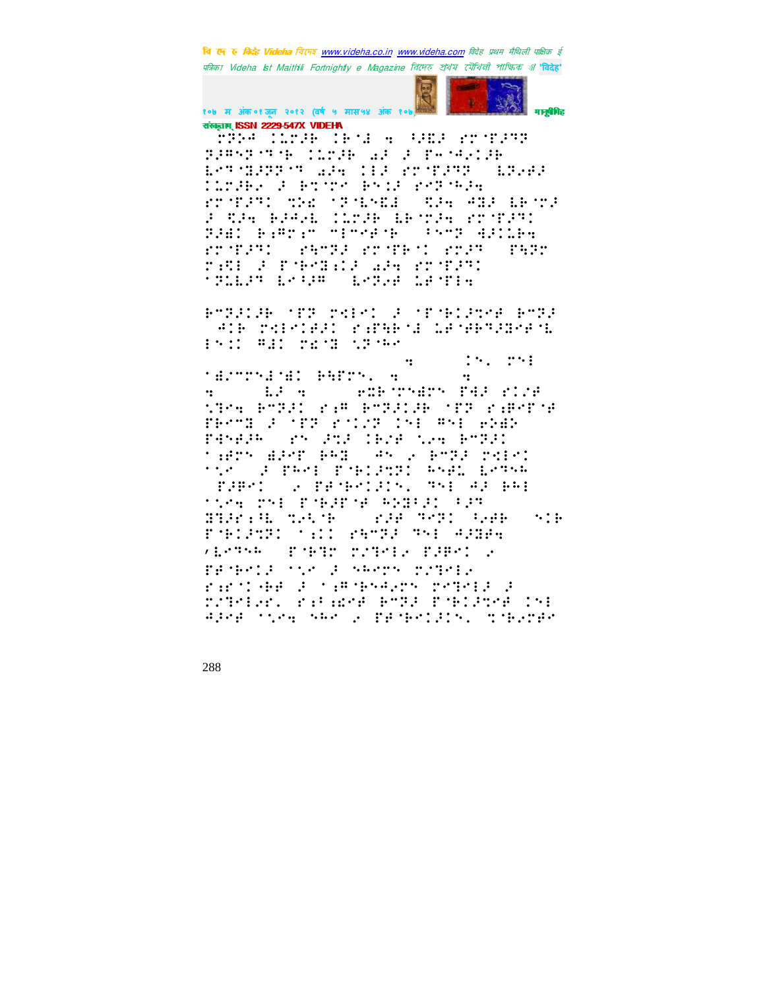बि एक रु क्रिके Videha विरफ्श www.videha.co.in www.videha.com बिरेह प्रथम मैथिली पाक्षिक ई पत्रिका Videha Ist Maithili Fortnightly e Magazine রিদেক প্রথম মৌথিনী পাক্ষিক প্র' 'विदेह'



१०७ में अंक०१ जून २०१२ (वर्ष ५ मास५४ अंक १०७) संस्कृतम् ISSN 2229-547X VIDEHA

(2004 Close Cens & Gust Konstag BRASTEN CONFERENT PATALLE 1277122277 album 112 an nann 112242<br>Conaba a Ghone Geola aen 129 From Part (1962) (Political Party Add Leone a tak bagai linab ibung profasi.<br>aal basrin sisyadi (sena galibk FOREST FROM FOREST FOR THE rati a poboblia abe cropani **Principle Company Company Company Company Company Company Company Company Company** 

BORELER STRUCKERS E STORIESHE BORE **ALE MALAGERY PAPER 12 LEARTS PARTS ENGL PAI CENT SPORT** 

 $\mathbb{C}^{n}$ .  $\mathbb{C}^{n}$ •: 'd:"":a'd: PHT"\. +  $\dddot{\bullet}$ LF a competition far size  $\ddot{\mathbf{u}}$ the Port rim Portin or rarent FROM A TERMINIAN POLYPHO FAMAR (25 253 IBSE 124 BMP2) taer aler eg (sk. av ener refe) tic a per relative even hope **THEM SAME THAT SETS AND THE SHIP SEE TOM THE PHAPME BABED FAR** HIRTHE TRITH (1980) PRESS RANK  $\sim$  1.10  $\sim$  1.10  $\sim$ FMELFORD (1000) PROPERTIES APORA ALARAH (PANGKALANGKALANGKALANGKALANGKALANGKALANGKALANGKALANGKALANGKALANGKALANGKALANGKALANGKALANGKALANGKALANGKA PROBABLY THE READY STREET rander Poemeses percip SZTALARI KALADAR ETRI ESELENE (SI Alexandre Service Panaelling (1920)